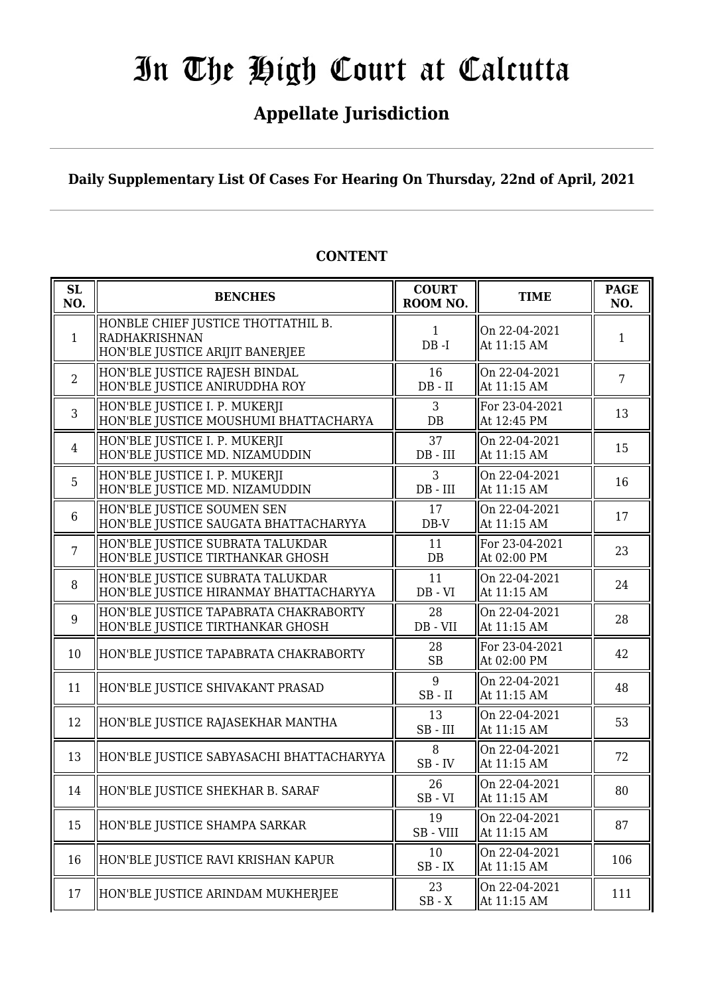## **Appellate Jurisdiction**

**Daily Supplementary List Of Cases For Hearing On Thursday, 22nd of April, 2021**

| SL<br>NO.      | <b>BENCHES</b>                                                                         | <b>COURT</b><br>ROOM NO.                        | <b>TIME</b>                   | <b>PAGE</b><br>NO. |
|----------------|----------------------------------------------------------------------------------------|-------------------------------------------------|-------------------------------|--------------------|
| $\mathbf{1}$   | HONBLE CHIEF JUSTICE THOTTATHIL B.<br>RADHAKRISHNAN<br>HON'BLE JUSTICE ARIJIT BANERJEE | $\mathbf{1}$<br>$DB - I$                        | On 22-04-2021<br>At 11:15 AM  | 1                  |
| $\overline{2}$ | HON'BLE JUSTICE RAJESH BINDAL<br>HON'BLE JUSTICE ANIRUDDHA ROY                         | 16<br>$DB$ - $II$                               | On 22-04-2021<br>At 11:15 AM  | $\overline{7}$     |
| $\mathfrak{Z}$ | HON'BLE JUSTICE I. P. MUKERJI<br>HON'BLE JUSTICE MOUSHUMI BHATTACHARYA                 | 3<br>$DB$                                       | For 23-04-2021<br>At 12:45 PM | 13                 |
| $\overline{4}$ | HON'BLE JUSTICE I. P. MUKERJI<br>HON'BLE JUSTICE MD. NIZAMUDDIN                        | 37<br>$DB$ - $III$                              | On 22-04-2021<br>At 11:15 AM  | 15                 |
| 5              | HON'BLE JUSTICE I. P. MUKERJI<br>HON'BLE JUSTICE MD. NIZAMUDDIN                        | 3<br>$DB$ - $III$                               | On 22-04-2021<br>At 11:15 AM  | 16                 |
| 6              | HON'BLE JUSTICE SOUMEN SEN<br>HON'BLE JUSTICE SAUGATA BHATTACHARYYA                    | 17<br>$DB-V$                                    | On 22-04-2021<br>At 11:15 AM  | 17                 |
| $\overline{7}$ | HON'BLE JUSTICE SUBRATA TALUKDAR<br>HON'BLE JUSTICE TIRTHANKAR GHOSH                   | 11<br>$DB$                                      | For 23-04-2021<br>At 02:00 PM | 23                 |
| 8              | HON'BLE JUSTICE SUBRATA TALUKDAR<br>HON'BLE JUSTICE HIRANMAY BHATTACHARYYA             | 11<br>$DB - VI$                                 | On 22-04-2021<br>At 11:15 AM  | 24                 |
| 9              | HON'BLE JUSTICE TAPABRATA CHAKRABORTY<br>HON'BLE JUSTICE TIRTHANKAR GHOSH              | 28<br>$DB - VII$                                | On 22-04-2021<br>At 11:15 AM  | 28                 |
| 10             | HON'BLE JUSTICE TAPABRATA CHAKRABORTY                                                  | 28<br><b>SB</b>                                 | For 23-04-2021<br>At 02:00 PM | 42                 |
| 11             | HON'BLE JUSTICE SHIVAKANT PRASAD                                                       | 9<br>$SB$ - $II$                                | On 22-04-2021<br>At 11:15 AM  | 48                 |
| 12             | HON'BLE JUSTICE RAJASEKHAR MANTHA                                                      | 13<br>$SB$ - $III$                              | On 22-04-2021<br>At 11:15 AM  | 53                 |
| 13             | HON'BLE JUSTICE SABYASACHI BHATTACHARYYA                                               | 8<br>$SB$ - $IV$                                | On 22-04-2021<br>At 11:15 AM  | 72                 |
| 14             | HON'BLE JUSTICE SHEKHAR B. SARAF                                                       | 26<br>$SB - VI$                                 | On 22-04-2021<br>At 11:15 AM  | 80                 |
| 15             | HON'BLE JUSTICE SHAMPA SARKAR                                                          | 19<br>SB - VIII                                 | On 22-04-2021<br>At 11:15 AM  | 87                 |
| 16             | HON'BLE JUSTICE RAVI KRISHAN KAPUR                                                     | 10<br>$\operatorname{SB}$ - $\operatorname{IX}$ | On 22-04-2021<br>At 11:15 AM  | 106                |
| 17             | HON'BLE JUSTICE ARINDAM MUKHERJEE                                                      | 23<br>$\operatorname{SB}$ - $\operatorname{X}$  | On 22-04-2021<br>At 11:15 AM  | 111                |

#### **CONTENT**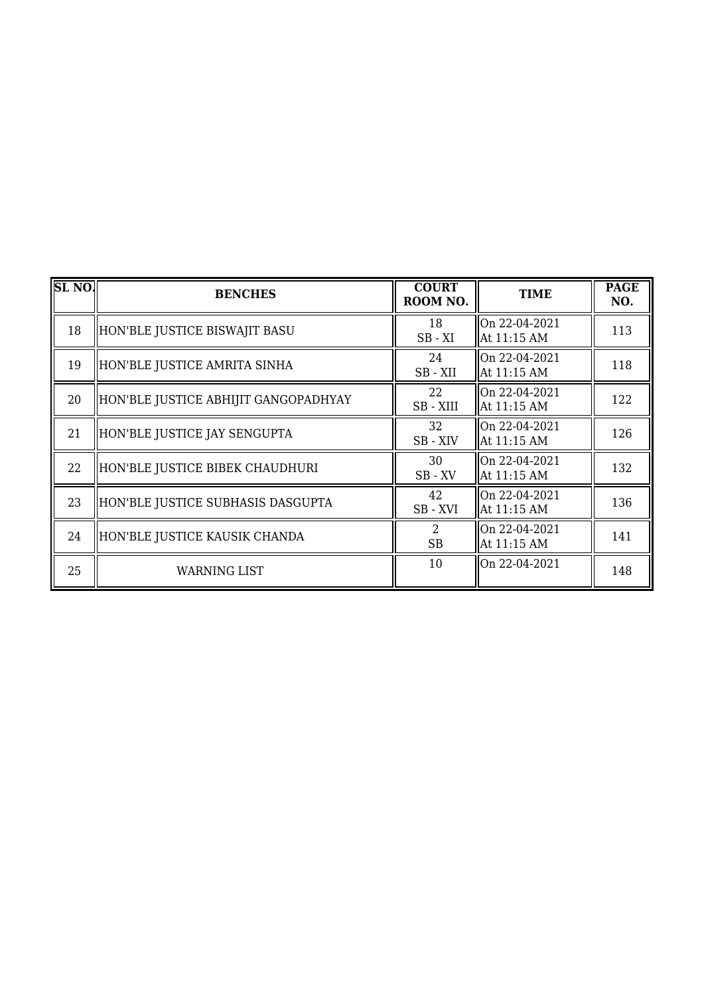| SL <sub>NO</sub> | <b>BENCHES</b>                       | <b>COURT</b><br>ROOM NO.                 | <b>TIME</b>                     | <b>PAGE</b><br>NO. |
|------------------|--------------------------------------|------------------------------------------|---------------------------------|--------------------|
| 18               | HON'BLE JUSTICE BISWAJIT BASU        | 18<br>$SB - XI$                          | On 22-04-2021<br>At 11:15 AM    | 113                |
| 19               | HON'BLE JUSTICE AMRITA SINHA         | 24<br>SB-XII                             | On 22-04-2021<br>At 11:15 AM    | 118                |
| 20               | HON'BLE JUSTICE ABHIJIT GANGOPADHYAY | 22<br>SB-XIII                            | On 22-04-2021<br>At 11:15 AM    | 122                |
| 21               | HON'BLE JUSTICE JAY SENGUPTA         | 32<br>SB - XIV                           | lOn 22-04-2021<br>  At 11:15 AM | 126                |
| 22               | HON'BLE JUSTICE BIBEK CHAUDHURI      | 30<br>$\rm SB$ - $\rm XV$                | On 22-04-2021<br>  At 11:15 AM  | 132                |
| 23               | HON'BLE JUSTICE SUBHASIS DASGUPTA    | 42<br>SB - XVI                           | On 22-04-2021<br>At 11:15 AM    | 136                |
| 24               | HON'BLE JUSTICE KAUSIK CHANDA        | $\mathcal{D}_{\mathcal{L}}$<br><b>SB</b> | On 22-04-2021<br>At 11:15 AM    | 141                |
| 25               | WARNING LIST                         | 10                                       | $ On 22-04-2021$                | 148                |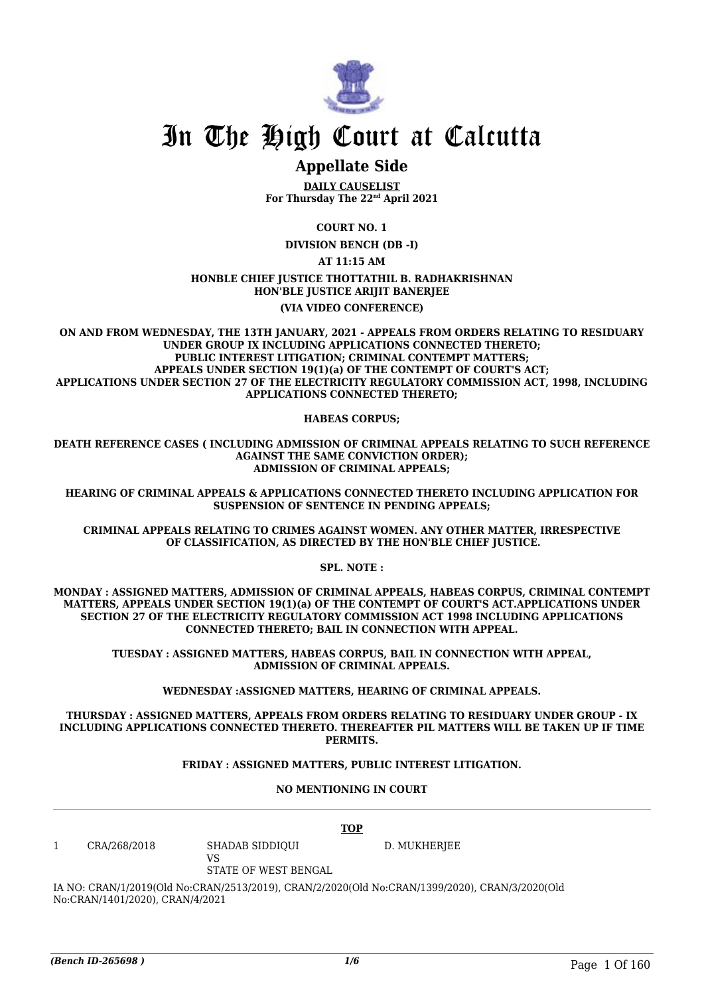

### **Appellate Side**

**DAILY CAUSELIST For Thursday The 22nd April 2021**

**COURT NO. 1**

**DIVISION BENCH (DB -I)**

**AT 11:15 AM**

**HONBLE CHIEF JUSTICE THOTTATHIL B. RADHAKRISHNAN HON'BLE JUSTICE ARIJIT BANERJEE**

#### **(VIA VIDEO CONFERENCE)**

**ON AND FROM WEDNESDAY, THE 13TH JANUARY, 2021 - APPEALS FROM ORDERS RELATING TO RESIDUARY UNDER GROUP IX INCLUDING APPLICATIONS CONNECTED THERETO; PUBLIC INTEREST LITIGATION; CRIMINAL CONTEMPT MATTERS; APPEALS UNDER SECTION 19(1)(a) OF THE CONTEMPT OF COURT'S ACT; APPLICATIONS UNDER SECTION 27 OF THE ELECTRICITY REGULATORY COMMISSION ACT, 1998, INCLUDING APPLICATIONS CONNECTED THERETO;**

**HABEAS CORPUS;**

**DEATH REFERENCE CASES ( INCLUDING ADMISSION OF CRIMINAL APPEALS RELATING TO SUCH REFERENCE AGAINST THE SAME CONVICTION ORDER); ADMISSION OF CRIMINAL APPEALS;**

**HEARING OF CRIMINAL APPEALS & APPLICATIONS CONNECTED THERETO INCLUDING APPLICATION FOR SUSPENSION OF SENTENCE IN PENDING APPEALS;**

**CRIMINAL APPEALS RELATING TO CRIMES AGAINST WOMEN. ANY OTHER MATTER, IRRESPECTIVE OF CLASSIFICATION, AS DIRECTED BY THE HON'BLE CHIEF JUSTICE.**

**SPL. NOTE :**

**MONDAY : ASSIGNED MATTERS, ADMISSION OF CRIMINAL APPEALS, HABEAS CORPUS, CRIMINAL CONTEMPT MATTERS, APPEALS UNDER SECTION 19(1)(a) OF THE CONTEMPT OF COURT'S ACT.APPLICATIONS UNDER SECTION 27 OF THE ELECTRICITY REGULATORY COMMISSION ACT 1998 INCLUDING APPLICATIONS CONNECTED THERETO; BAIL IN CONNECTION WITH APPEAL.**

**TUESDAY : ASSIGNED MATTERS, HABEAS CORPUS, BAIL IN CONNECTION WITH APPEAL, ADMISSION OF CRIMINAL APPEALS.**

**WEDNESDAY :ASSIGNED MATTERS, HEARING OF CRIMINAL APPEALS.**

**THURSDAY : ASSIGNED MATTERS, APPEALS FROM ORDERS RELATING TO RESIDUARY UNDER GROUP - IX INCLUDING APPLICATIONS CONNECTED THERETO. THEREAFTER PIL MATTERS WILL BE TAKEN UP IF TIME PERMITS.**

#### **FRIDAY : ASSIGNED MATTERS, PUBLIC INTEREST LITIGATION.**

**NO MENTIONING IN COURT**

|   |              | <b>TOP</b>                                    |              |
|---|--------------|-----------------------------------------------|--------------|
| 1 | CRA/268/2018 | SHADAB SIDDIOUI<br>VS<br>STATE OF WEST BENGAL | D. MUKHERJEE |

IA NO: CRAN/1/2019(Old No:CRAN/2513/2019), CRAN/2/2020(Old No:CRAN/1399/2020), CRAN/3/2020(Old No:CRAN/1401/2020), CRAN/4/2021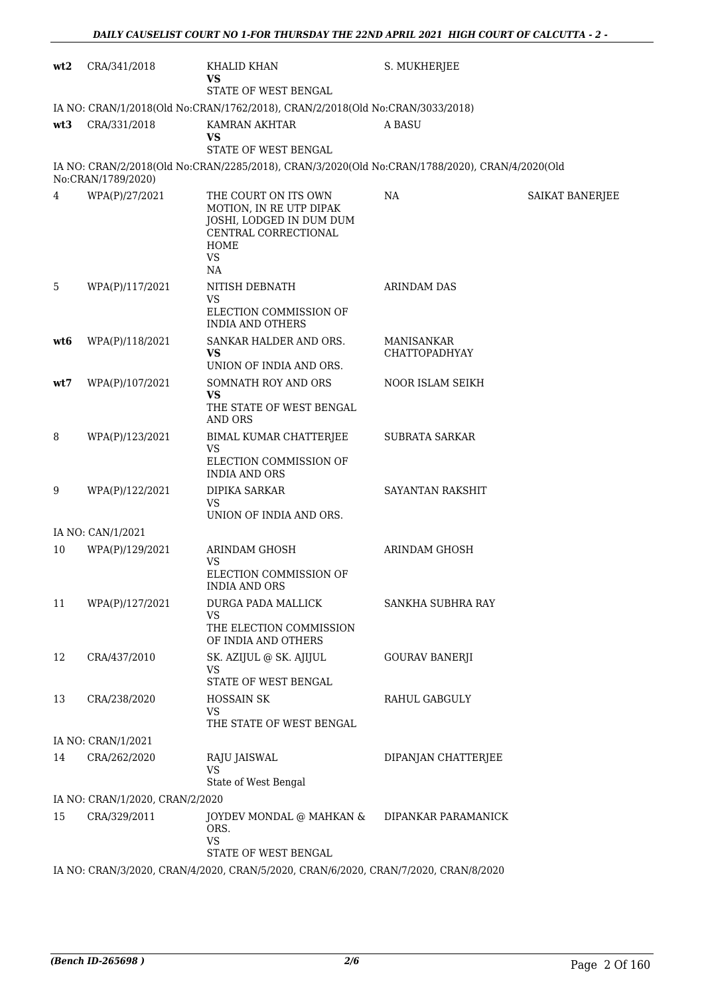| wt2             | CRA/341/2018                                                                                                | KHALID KHAN<br>VS<br>STATE OF WEST BENGAL                                                                                      | S. MUKHERJEE                              |                 |  |  |  |
|-----------------|-------------------------------------------------------------------------------------------------------------|--------------------------------------------------------------------------------------------------------------------------------|-------------------------------------------|-----------------|--|--|--|
|                 | IA NO: CRAN/1/2018(Old No:CRAN/1762/2018), CRAN/2/2018(Old No:CRAN/3033/2018)                               |                                                                                                                                |                                           |                 |  |  |  |
| wt <sub>3</sub> | CRA/331/2018                                                                                                | KAMRAN AKHTAR<br>VS                                                                                                            | A BASU                                    |                 |  |  |  |
|                 |                                                                                                             | STATE OF WEST BENGAL                                                                                                           |                                           |                 |  |  |  |
|                 | No:CRAN/1789/2020)                                                                                          | IA NO: CRAN/2/2018(Old No:CRAN/2285/2018), CRAN/3/2020(Old No:CRAN/1788/2020), CRAN/4/2020(Old                                 |                                           |                 |  |  |  |
| 4               | WPA(P)/27/2021                                                                                              | THE COURT ON ITS OWN<br>MOTION, IN RE UTP DIPAK<br>JOSHI, LODGED IN DUM DUM<br>CENTRAL CORRECTIONAL<br>HOME<br><b>VS</b><br>NA | NA                                        | SAIKAT BANERJEE |  |  |  |
| 5               | WPA(P)/117/2021                                                                                             | NITISH DEBNATH<br><b>VS</b><br>ELECTION COMMISSION OF<br><b>INDIA AND OTHERS</b>                                               | <b>ARINDAM DAS</b>                        |                 |  |  |  |
| wt6             | WPA(P)/118/2021                                                                                             | SANKAR HALDER AND ORS.<br>VS<br>UNION OF INDIA AND ORS.                                                                        | <b>MANISANKAR</b><br><b>CHATTOPADHYAY</b> |                 |  |  |  |
| wt7             | WPA(P)/107/2021                                                                                             | SOMNATH ROY AND ORS<br><b>VS</b><br>THE STATE OF WEST BENGAL<br>AND ORS                                                        | NOOR ISLAM SEIKH                          |                 |  |  |  |
| 8               | WPA(P)/123/2021                                                                                             | BIMAL KUMAR CHATTERJEE<br><b>VS</b><br>ELECTION COMMISSION OF<br><b>INDIA AND ORS</b>                                          | SUBRATA SARKAR                            |                 |  |  |  |
| 9               | WPA(P)/122/2021                                                                                             | DIPIKA SARKAR<br><b>VS</b><br>UNION OF INDIA AND ORS.                                                                          | SAYANTAN RAKSHIT                          |                 |  |  |  |
|                 | IA NO: CAN/1/2021                                                                                           |                                                                                                                                |                                           |                 |  |  |  |
| 10              | WPA(P)/129/2021                                                                                             | <b>ARINDAM GHOSH</b><br><b>VS</b><br>ELECTION COMMISSION OF<br><b>INDIA AND ORS</b>                                            | ARINDAM GHOSH                             |                 |  |  |  |
| 11              | WPA(P)/127/2021                                                                                             | <b>DURGA PADA MALLICK</b><br>VS<br>THE ELECTION COMMISSION<br>OF INDIA AND OTHERS                                              | SANKHA SUBHRA RAY                         |                 |  |  |  |
| 12              | CRA/437/2010                                                                                                | SK. AZIJUL @ SK. AJIJUL<br>VS<br>STATE OF WEST BENGAL                                                                          | <b>GOURAV BANERJI</b>                     |                 |  |  |  |
| 13              | CRA/238/2020                                                                                                | <b>HOSSAIN SK</b><br>VS<br>THE STATE OF WEST BENGAL                                                                            | <b>RAHUL GABGULY</b>                      |                 |  |  |  |
|                 | IA NO: CRAN/1/2021                                                                                          |                                                                                                                                |                                           |                 |  |  |  |
| 14              | CRA/262/2020                                                                                                | RAJU JAISWAL<br><b>VS</b>                                                                                                      | DIPANJAN CHATTERJEE                       |                 |  |  |  |
|                 | IA NO: CRAN/1/2020, CRAN/2/2020                                                                             | State of West Bengal                                                                                                           |                                           |                 |  |  |  |
| 15              | CRA/329/2011                                                                                                | JOYDEV MONDAL @ MAHKAN &                                                                                                       | DIPANKAR PARAMANICK                       |                 |  |  |  |
|                 |                                                                                                             | ORS.<br>VS                                                                                                                     |                                           |                 |  |  |  |
|                 | STATE OF WEST BENGAL<br>IA NO: CRAN/3/2020, CRAN/4/2020, CRAN/5/2020, CRAN/6/2020, CRAN/7/2020, CRAN/8/2020 |                                                                                                                                |                                           |                 |  |  |  |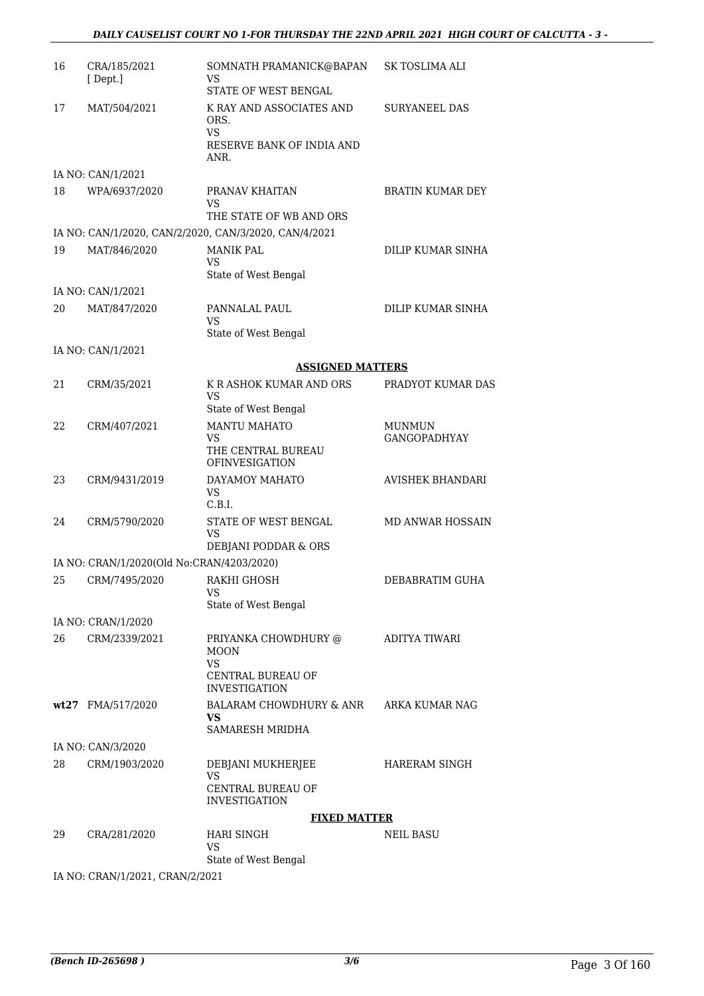| 16 | CRA/185/2021<br>[Dept.]                   | SOMNATH PRAMANICK@BAPAN<br>VS<br>STATE OF WEST BENGAL                                                | SK TOSLIMA ALI                       |
|----|-------------------------------------------|------------------------------------------------------------------------------------------------------|--------------------------------------|
| 17 | MAT/504/2021                              | K RAY AND ASSOCIATES AND<br>ORS.<br>VS.<br>RESERVE BANK OF INDIA AND<br>ANR.                         | <b>SURYANEEL DAS</b>                 |
|    | IA NO: CAN/1/2021                         |                                                                                                      |                                      |
| 18 | WPA/6937/2020                             | PRANAV KHAITAN<br>VS                                                                                 | <b>BRATIN KUMAR DEY</b>              |
|    |                                           | THE STATE OF WB AND ORS                                                                              |                                      |
| 19 | MAT/846/2020                              | IA NO: CAN/1/2020, CAN/2/2020, CAN/3/2020, CAN/4/2021<br><b>MANIK PAL</b>                            | DILIP KUMAR SINHA                    |
|    |                                           | VS.<br>State of West Bengal                                                                          |                                      |
|    | IA NO: CAN/1/2021                         |                                                                                                      |                                      |
| 20 | MAT/847/2020                              | PANNALAL PAUL<br>VS<br>State of West Bengal                                                          | DILIP KUMAR SINHA                    |
|    | IA NO: CAN/1/2021                         |                                                                                                      |                                      |
|    |                                           | <b>ASSIGNED MATTERS</b>                                                                              |                                      |
| 21 | CRM/35/2021                               | K R ASHOK KUMAR AND ORS                                                                              | PRADYOT KUMAR DAS                    |
|    |                                           | <b>VS</b><br>State of West Bengal                                                                    |                                      |
| 22 | CRM/407/2021                              | <b>MANTU MAHATO</b><br><b>VS</b><br>THE CENTRAL BUREAU                                               | <b>MUNMUN</b><br><b>GANGOPADHYAY</b> |
| 23 | CRM/9431/2019                             | <b>OFINVESIGATION</b><br>DAYAMOY MAHATO<br><b>VS</b><br>C.B.I.                                       | <b>AVISHEK BHANDARI</b>              |
| 24 | CRM/5790/2020                             | STATE OF WEST BENGAL<br><b>VS</b><br>DEBJANI PODDAR & ORS                                            | <b>MD ANWAR HOSSAIN</b>              |
|    | IA NO: CRAN/1/2020(Old No:CRAN/4203/2020) |                                                                                                      |                                      |
| 25 | CRM/7495/2020                             | RAKHI GHOSH<br><b>VS</b>                                                                             | DEBABRATIM GUHA                      |
|    |                                           | State of West Bengal                                                                                 |                                      |
|    | IA NO: CRAN/1/2020                        |                                                                                                      |                                      |
| 26 | CRM/2339/2021                             | PRIYANKA CHOWDHURY @<br><b>MOON</b><br><b>VS</b><br><b>CENTRAL BUREAU OF</b><br><b>INVESTIGATION</b> | ADITYA TIWARI                        |
|    | wt27 FMA/517/2020                         | BALARAM CHOWDHURY & ANR<br>VS<br>SAMARESH MRIDHA                                                     | ARKA KUMAR NAG                       |
|    | IA NO: CAN/3/2020                         |                                                                                                      |                                      |
| 28 | CRM/1903/2020                             | DEBJANI MUKHERJEE<br>VS<br><b>CENTRAL BUREAU OF</b><br><b>INVESTIGATION</b>                          | <b>HARERAM SINGH</b>                 |
|    |                                           | <b>FIXED MATTER</b>                                                                                  |                                      |
| 29 | CRA/281/2020                              | <b>HARI SINGH</b><br>VS                                                                              | NEIL BASU                            |
|    |                                           | State of West Bengal                                                                                 |                                      |
|    | IA NO: CRAN/1/2021, CRAN/2/2021           |                                                                                                      |                                      |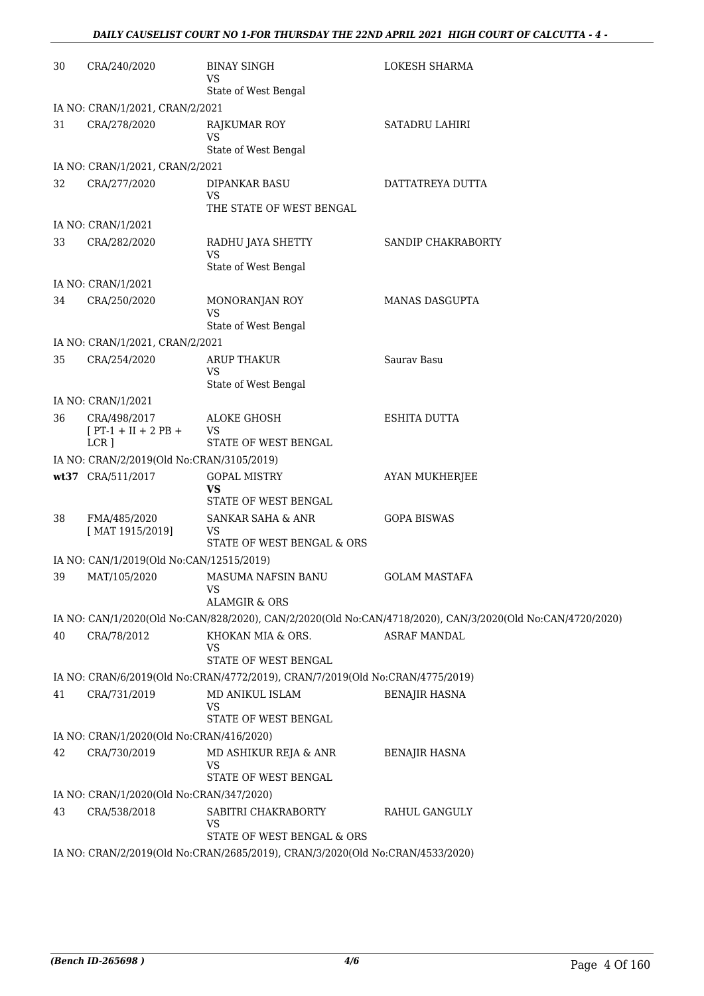| 30 | CRA/240/2020                                     | <b>BINAY SINGH</b><br>VS<br>State of West Bengal                              | LOKESH SHARMA                                                                                              |
|----|--------------------------------------------------|-------------------------------------------------------------------------------|------------------------------------------------------------------------------------------------------------|
|    | IA NO: CRAN/1/2021, CRAN/2/2021                  |                                                                               |                                                                                                            |
| 31 | CRA/278/2020                                     | <b>RAJKUMAR ROY</b><br>VS                                                     | <b>SATADRU LAHIRI</b>                                                                                      |
|    |                                                  | State of West Bengal                                                          |                                                                                                            |
| 32 | IA NO: CRAN/1/2021, CRAN/2/2021<br>CRA/277/2020  | DIPANKAR BASU                                                                 | DATTATREYA DUTTA                                                                                           |
|    |                                                  | VS<br>THE STATE OF WEST BENGAL                                                |                                                                                                            |
|    | IA NO: CRAN/1/2021                               |                                                                               |                                                                                                            |
| 33 | CRA/282/2020                                     | RADHU JAYA SHETTY<br><b>VS</b><br>State of West Bengal                        | SANDIP CHAKRABORTY                                                                                         |
|    | IA NO: CRAN/1/2021                               |                                                                               |                                                                                                            |
| 34 | CRA/250/2020                                     | MONORANJAN ROY<br><b>VS</b><br>State of West Bengal                           | <b>MANAS DASGUPTA</b>                                                                                      |
|    | IA NO: CRAN/1/2021, CRAN/2/2021                  |                                                                               |                                                                                                            |
| 35 | CRA/254/2020                                     | <b>ARUP THAKUR</b><br>VS                                                      | Saurav Basu                                                                                                |
|    |                                                  | State of West Bengal                                                          |                                                                                                            |
|    | IA NO: CRAN/1/2021                               |                                                                               |                                                                                                            |
| 36 | CRA/498/2017<br>$[PT-1 + II + 2 PB +$<br>$LCR$ ] | ALOKE GHOSH<br>VS<br>STATE OF WEST BENGAL                                     | ESHITA DUTTA                                                                                               |
|    | IA NO: CRAN/2/2019(Old No:CRAN/3105/2019)        |                                                                               |                                                                                                            |
|    | wt37 CRA/511/2017                                | <b>GOPAL MISTRY</b><br><b>VS</b><br>STATE OF WEST BENGAL                      | AYAN MUKHERJEE                                                                                             |
| 38 | FMA/485/2020<br>[MAT 1915/2019]                  | SANKAR SAHA & ANR<br>VS<br>STATE OF WEST BENGAL & ORS                         | <b>GOPA BISWAS</b>                                                                                         |
|    | IA NO: CAN/1/2019(Old No:CAN/12515/2019)         |                                                                               |                                                                                                            |
| 39 | MAT/105/2020                                     | <b>MASUMA NAFSIN BANU</b><br>ALAMGIR & ORS                                    | <b>GOLAM MASTAFA</b>                                                                                       |
|    |                                                  |                                                                               | IA NO: CAN/1/2020(Old No:CAN/828/2020), CAN/2/2020(Old No:CAN/4718/2020), CAN/3/2020(Old No:CAN/4720/2020) |
| 40 | CRA/78/2012                                      | KHOKAN MIA & ORS.<br>VS                                                       | <b>ASRAF MANDAL</b>                                                                                        |
|    |                                                  | STATE OF WEST BENGAL                                                          |                                                                                                            |
|    |                                                  | IA NO: CRAN/6/2019(Old No:CRAN/4772/2019), CRAN/7/2019(Old No:CRAN/4775/2019) |                                                                                                            |
| 41 | CRA/731/2019                                     | MD ANIKUL ISLAM<br>VS<br>STATE OF WEST BENGAL                                 | <b>BENAJIR HASNA</b>                                                                                       |
|    | IA NO: CRAN/1/2020(Old No:CRAN/416/2020)         |                                                                               |                                                                                                            |
| 42 | CRA/730/2019                                     | MD ASHIKUR REJA & ANR<br><b>VS</b><br>STATE OF WEST BENGAL                    | BENAJIR HASNA                                                                                              |
|    | IA NO: CRAN/1/2020(Old No:CRAN/347/2020)         |                                                                               |                                                                                                            |
| 43 | CRA/538/2018                                     | SABITRI CHAKRABORTY<br>VS                                                     | RAHUL GANGULY                                                                                              |
|    |                                                  | STATE OF WEST BENGAL & ORS                                                    |                                                                                                            |
|    |                                                  | IA NO: CRAN/2/2019(Old No:CRAN/2685/2019), CRAN/3/2020(Old No:CRAN/4533/2020) |                                                                                                            |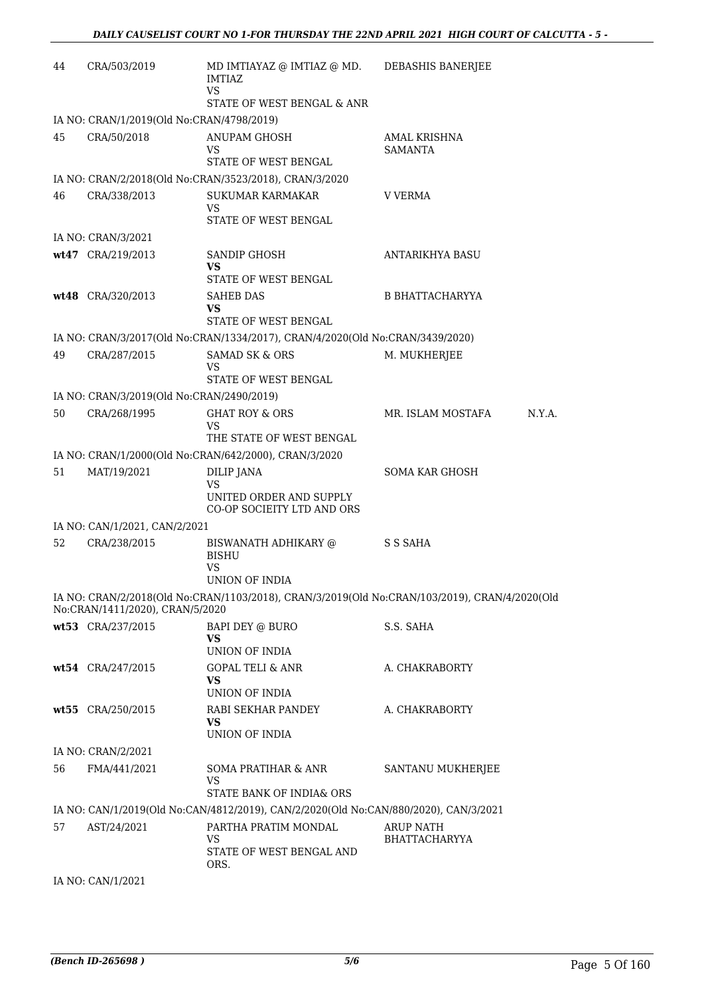| 44 | CRA/503/2019                              | MD IMTIAYAZ @ IMTIAZ @ MD.<br>IMTIAZ<br><b>VS</b>                                    | DEBASHIS BANERJEE                                                                             |
|----|-------------------------------------------|--------------------------------------------------------------------------------------|-----------------------------------------------------------------------------------------------|
|    |                                           | STATE OF WEST BENGAL & ANR                                                           |                                                                                               |
|    | IA NO: CRAN/1/2019(Old No:CRAN/4798/2019) |                                                                                      |                                                                                               |
| 45 | CRA/50/2018                               | ANUPAM GHOSH<br>VS.                                                                  | AMAL KRISHNA<br>SAMANTA                                                                       |
|    |                                           | STATE OF WEST BENGAL                                                                 |                                                                                               |
|    |                                           | IA NO: CRAN/2/2018(Old No:CRAN/3523/2018), CRAN/3/2020                               |                                                                                               |
| 46 | CRA/338/2013                              | <b>SUKUMAR KARMAKAR</b><br>VS                                                        | <b>V VERMA</b>                                                                                |
|    |                                           | STATE OF WEST BENGAL                                                                 |                                                                                               |
|    | IA NO: CRAN/3/2021                        |                                                                                      |                                                                                               |
|    | wt47 CRA/219/2013                         | SANDIP GHOSH<br>VS.                                                                  | ANTARIKHYA BASU                                                                               |
|    |                                           | STATE OF WEST BENGAL                                                                 |                                                                                               |
|    | wt48 CRA/320/2013                         | <b>SAHEB DAS</b><br>VS<br>STATE OF WEST BENGAL                                       | <b>B BHATTACHARYYA</b>                                                                        |
|    |                                           |                                                                                      |                                                                                               |
|    |                                           | IA NO: CRAN/3/2017(Old No:CRAN/1334/2017), CRAN/4/2020(Old No:CRAN/3439/2020)        |                                                                                               |
| 49 | CRA/287/2015                              | <b>SAMAD SK &amp; ORS</b><br>VS                                                      | M. MUKHERJEE                                                                                  |
|    |                                           | STATE OF WEST BENGAL                                                                 |                                                                                               |
|    | IA NO: CRAN/3/2019(Old No:CRAN/2490/2019) |                                                                                      |                                                                                               |
| 50 | CRA/268/1995                              | <b>GHAT ROY &amp; ORS</b><br>VS                                                      | MR. ISLAM MOSTAFA<br>N.Y.A.                                                                   |
|    |                                           | THE STATE OF WEST BENGAL                                                             |                                                                                               |
|    |                                           | IA NO: CRAN/1/2000(Old No:CRAN/642/2000), CRAN/3/2020                                |                                                                                               |
| 51 | MAT/19/2021                               | DILIP JANA<br>VS                                                                     | <b>SOMA KAR GHOSH</b>                                                                         |
|    |                                           | UNITED ORDER AND SUPPLY<br>CO-OP SOCIEITY LTD AND ORS                                |                                                                                               |
|    | IA NO: CAN/1/2021, CAN/2/2021             |                                                                                      |                                                                                               |
| 52 | CRA/238/2015                              | BISWANATH ADHIKARY @<br><b>BISHU</b><br>VS                                           | S S SAHA                                                                                      |
|    |                                           | UNION OF INDIA                                                                       |                                                                                               |
|    | No:CRAN/1411/2020), CRAN/5/2020           |                                                                                      | IA NO: CRAN/2/2018(Old No:CRAN/1103/2018), CRAN/3/2019(Old No:CRAN/103/2019), CRAN/4/2020(Old |
|    | wt53 CRA/237/2015                         | BAPI DEY @ BURO<br><b>VS</b>                                                         | S.S. SAHA                                                                                     |
|    |                                           | UNION OF INDIA                                                                       |                                                                                               |
|    | wt54 CRA/247/2015                         | <b>GOPAL TELI &amp; ANR</b><br><b>VS</b>                                             | A. CHAKRABORTY                                                                                |
|    |                                           | UNION OF INDIA                                                                       |                                                                                               |
|    | wt55 CRA/250/2015                         | RABI SEKHAR PANDEY<br><b>VS</b>                                                      | A. CHAKRABORTY                                                                                |
|    |                                           | UNION OF INDIA                                                                       |                                                                                               |
|    | IA NO: CRAN/2/2021                        |                                                                                      |                                                                                               |
| 56 | FMA/441/2021                              | SOMA PRATIHAR & ANR<br>VS.                                                           | SANTANU MUKHERJEE                                                                             |
|    |                                           | STATE BANK OF INDIA& ORS                                                             |                                                                                               |
|    |                                           | IA NO: CAN/1/2019(Old No:CAN/4812/2019), CAN/2/2020(Old No:CAN/880/2020), CAN/3/2021 |                                                                                               |
| 57 | AST/24/2021                               | PARTHA PRATIM MONDAL<br><b>VS</b>                                                    | ARUP NATH<br><b>BHATTACHARYYA</b>                                                             |
|    |                                           | STATE OF WEST BENGAL AND<br>ORS.                                                     |                                                                                               |
|    | IA NO: CAN/1/2021                         |                                                                                      |                                                                                               |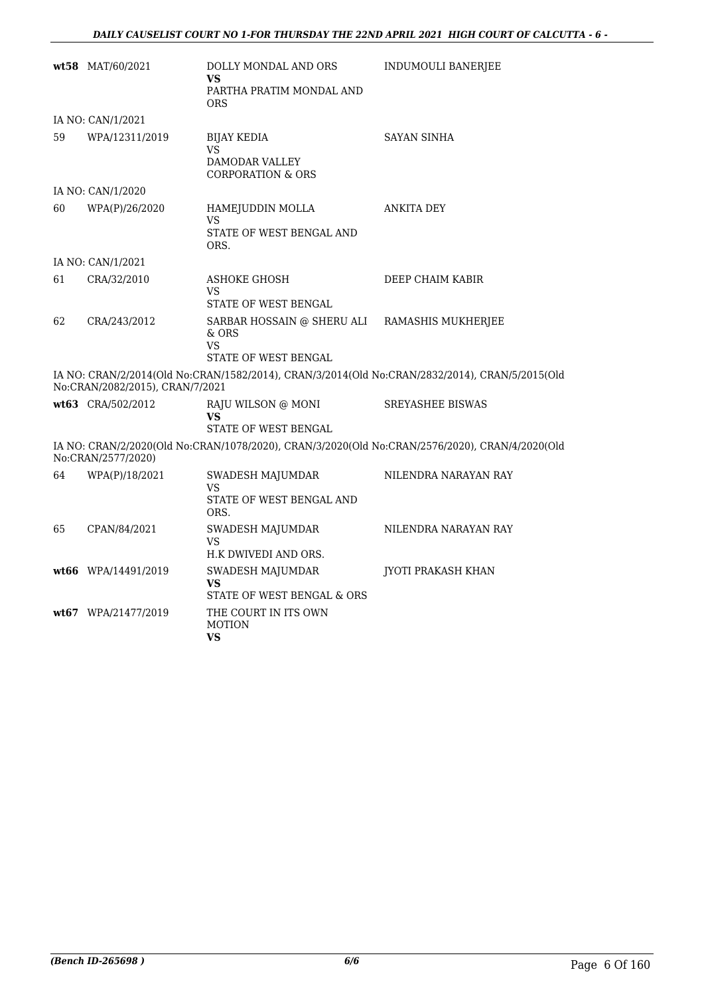|    | wt58 MAT/60/2021                | DOLLY MONDAL AND ORS<br>VS.<br>PARTHA PRATIM MONDAL AND<br><b>ORS</b>      | <b>INDUMOULI BANERJEE</b>                                                                      |
|----|---------------------------------|----------------------------------------------------------------------------|------------------------------------------------------------------------------------------------|
|    | IA NO: CAN/1/2021               |                                                                            |                                                                                                |
| 59 | WPA/12311/2019                  | <b>BIJAY KEDIA</b><br>VS<br>DAMODAR VALLEY<br><b>CORPORATION &amp; ORS</b> | <b>SAYAN SINHA</b>                                                                             |
|    | IA NO: CAN/1/2020               |                                                                            |                                                                                                |
| 60 | WPA(P)/26/2020                  | HAMEJUDDIN MOLLA<br>VS<br>STATE OF WEST BENGAL AND<br>ORS.                 | ANKITA DEY                                                                                     |
|    | IA NO: CAN/1/2021               |                                                                            |                                                                                                |
| 61 | CRA/32/2010                     | <b>ASHOKE GHOSH</b><br>VS<br>STATE OF WEST BENGAL                          | DEEP CHAIM KABIR                                                                               |
| 62 | CRA/243/2012                    | SARBAR HOSSAIN @ SHERU ALI<br>& ORS<br>VS<br>STATE OF WEST BENGAL          | RAMASHIS MUKHERJEE                                                                             |
|    | No:CRAN/2082/2015), CRAN/7/2021 |                                                                            | IA NO: CRAN/2/2014(Old No:CRAN/1582/2014), CRAN/3/2014(Old No:CRAN/2832/2014), CRAN/5/2015(Old |
|    | wt63 CRA/502/2012               | RAJU WILSON @ MONI<br>VS<br>STATE OF WEST BENGAL                           | <b>SREYASHEE BISWAS</b>                                                                        |
|    | No:CRAN/2577/2020)              |                                                                            | IA NO: CRAN/2/2020(Old No:CRAN/1078/2020), CRAN/3/2020(Old No:CRAN/2576/2020), CRAN/4/2020(Old |
| 64 | WPA(P)/18/2021                  | SWADESH MAJUMDAR<br>VS<br>STATE OF WEST BENGAL AND<br>ORS.                 | NILENDRA NARAYAN RAY                                                                           |
| 65 | CPAN/84/2021                    | SWADESH MAJUMDAR<br>VS<br>H.K DWIVEDI AND ORS.                             | NILENDRA NARAYAN RAY                                                                           |
|    | wt66 WPA/14491/2019             | SWADESH MAJUMDAR<br>VS<br>STATE OF WEST BENGAL & ORS                       | JYOTI PRAKASH KHAN                                                                             |
|    | wt67 WPA/21477/2019             | THE COURT IN ITS OWN<br><b>MOTION</b><br>VS                                |                                                                                                |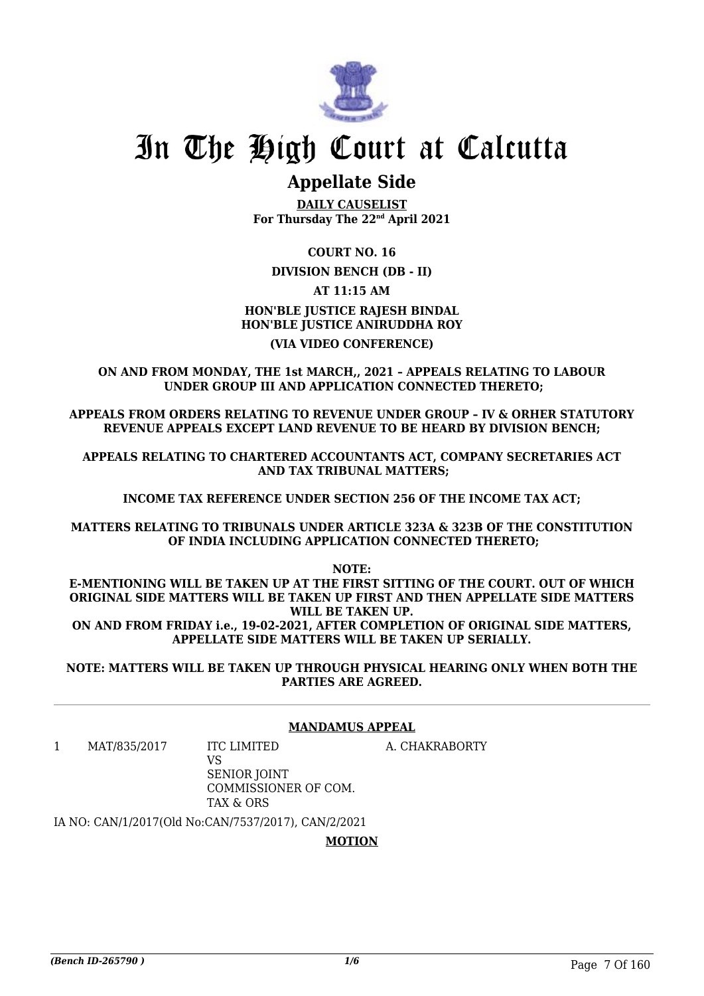

### **Appellate Side**

**DAILY CAUSELIST For Thursday The 22nd April 2021**

**COURT NO. 16**

#### **DIVISION BENCH (DB - II)**

**AT 11:15 AM**

#### **HON'BLE JUSTICE RAJESH BINDAL HON'BLE JUSTICE ANIRUDDHA ROY (VIA VIDEO CONFERENCE)**

**ON AND FROM MONDAY, THE 1st MARCH,, 2021 – APPEALS RELATING TO LABOUR UNDER GROUP III AND APPLICATION CONNECTED THERETO;**

**APPEALS FROM ORDERS RELATING TO REVENUE UNDER GROUP – IV & ORHER STATUTORY REVENUE APPEALS EXCEPT LAND REVENUE TO BE HEARD BY DIVISION BENCH;**

**APPEALS RELATING TO CHARTERED ACCOUNTANTS ACT, COMPANY SECRETARIES ACT AND TAX TRIBUNAL MATTERS;**

**INCOME TAX REFERENCE UNDER SECTION 256 OF THE INCOME TAX ACT;**

**MATTERS RELATING TO TRIBUNALS UNDER ARTICLE 323A & 323B OF THE CONSTITUTION OF INDIA INCLUDING APPLICATION CONNECTED THERETO;**

**NOTE:**

**E-MENTIONING WILL BE TAKEN UP AT THE FIRST SITTING OF THE COURT. OUT OF WHICH ORIGINAL SIDE MATTERS WILL BE TAKEN UP FIRST AND THEN APPELLATE SIDE MATTERS WILL BE TAKEN UP. ON AND FROM FRIDAY i.e., 19-02-2021, AFTER COMPLETION OF ORIGINAL SIDE MATTERS, APPELLATE SIDE MATTERS WILL BE TAKEN UP SERIALLY.**

**NOTE: MATTERS WILL BE TAKEN UP THROUGH PHYSICAL HEARING ONLY WHEN BOTH THE PARTIES ARE AGREED.**

#### **MANDAMUS APPEAL**

1 MAT/835/2017 ITC LIMITED

A. CHAKRABORTY

VS SENIOR JOINT COMMISSIONER OF COM. TAX & ORS

IA NO: CAN/1/2017(Old No:CAN/7537/2017), CAN/2/2021

**MOTION**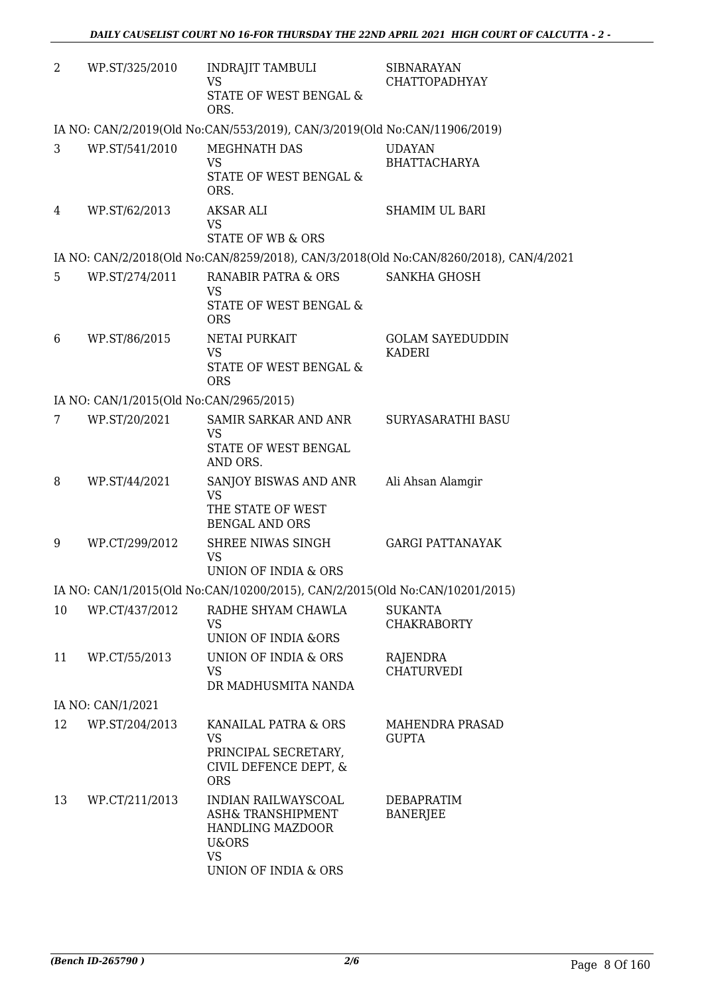|                |                                                                                    | <b>SIBNARAYAN</b><br><b>CHATTOPADHYAY</b>                                                                                                                                                                                                                                                                                                                                                                                                                                                                                                   |
|----------------|------------------------------------------------------------------------------------|---------------------------------------------------------------------------------------------------------------------------------------------------------------------------------------------------------------------------------------------------------------------------------------------------------------------------------------------------------------------------------------------------------------------------------------------------------------------------------------------------------------------------------------------|
|                | STATE OF WEST BENGAL &<br>ORS.                                                     |                                                                                                                                                                                                                                                                                                                                                                                                                                                                                                                                             |
|                |                                                                                    |                                                                                                                                                                                                                                                                                                                                                                                                                                                                                                                                             |
| WP.ST/541/2010 | MEGHNATH DAS                                                                       | <b>UDAYAN</b>                                                                                                                                                                                                                                                                                                                                                                                                                                                                                                                               |
|                | STATE OF WEST BENGAL &                                                             | <b>BHATTACHARYA</b>                                                                                                                                                                                                                                                                                                                                                                                                                                                                                                                         |
| WP.ST/62/2013  | AKSAR ALI                                                                          | <b>SHAMIM UL BARI</b>                                                                                                                                                                                                                                                                                                                                                                                                                                                                                                                       |
|                | <b>VS</b>                                                                          |                                                                                                                                                                                                                                                                                                                                                                                                                                                                                                                                             |
|                |                                                                                    |                                                                                                                                                                                                                                                                                                                                                                                                                                                                                                                                             |
|                |                                                                                    | <b>SANKHA GHOSH</b>                                                                                                                                                                                                                                                                                                                                                                                                                                                                                                                         |
|                | VS.                                                                                |                                                                                                                                                                                                                                                                                                                                                                                                                                                                                                                                             |
|                | <b>ORS</b>                                                                         |                                                                                                                                                                                                                                                                                                                                                                                                                                                                                                                                             |
| WP.ST/86/2015  | <b>NETAI PURKAIT</b>                                                               | <b>GOLAM SAYEDUDDIN</b><br><b>KADERI</b>                                                                                                                                                                                                                                                                                                                                                                                                                                                                                                    |
|                | STATE OF WEST BENGAL &<br><b>ORS</b>                                               |                                                                                                                                                                                                                                                                                                                                                                                                                                                                                                                                             |
|                |                                                                                    |                                                                                                                                                                                                                                                                                                                                                                                                                                                                                                                                             |
| WP.ST/20/2021  | SAMIR SARKAR AND ANR                                                               | SURYASARATHI BASU                                                                                                                                                                                                                                                                                                                                                                                                                                                                                                                           |
|                | STATE OF WEST BENGAL<br>AND ORS.                                                   |                                                                                                                                                                                                                                                                                                                                                                                                                                                                                                                                             |
| WP.ST/44/2021  | SANJOY BISWAS AND ANR<br><b>VS</b>                                                 | Ali Ahsan Alamgir                                                                                                                                                                                                                                                                                                                                                                                                                                                                                                                           |
|                | THE STATE OF WEST<br><b>BENGAL AND ORS</b>                                         |                                                                                                                                                                                                                                                                                                                                                                                                                                                                                                                                             |
| WP.CT/299/2012 | SHREE NIWAS SINGH                                                                  | <b>GARGI PATTANAYAK</b>                                                                                                                                                                                                                                                                                                                                                                                                                                                                                                                     |
|                | UNION OF INDIA & ORS                                                               |                                                                                                                                                                                                                                                                                                                                                                                                                                                                                                                                             |
|                |                                                                                    |                                                                                                                                                                                                                                                                                                                                                                                                                                                                                                                                             |
| WP.CT/437/2012 | RADHE SHYAM CHAWLA<br><b>VS</b>                                                    | <b>SUKANTA</b><br><b>CHAKRABORTY</b>                                                                                                                                                                                                                                                                                                                                                                                                                                                                                                        |
|                | UNION OF INDIA &ORS                                                                |                                                                                                                                                                                                                                                                                                                                                                                                                                                                                                                                             |
| WP.CT/55/2013  | UNION OF INDIA & ORS<br><b>VS</b>                                                  | RAJENDRA<br><b>CHATURVEDI</b>                                                                                                                                                                                                                                                                                                                                                                                                                                                                                                               |
|                |                                                                                    |                                                                                                                                                                                                                                                                                                                                                                                                                                                                                                                                             |
|                |                                                                                    |                                                                                                                                                                                                                                                                                                                                                                                                                                                                                                                                             |
| WP.ST/204/2013 | KANAILAL PATRA & ORS<br>VS.                                                        | <b>MAHENDRA PRASAD</b><br><b>GUPTA</b>                                                                                                                                                                                                                                                                                                                                                                                                                                                                                                      |
|                | CIVIL DEFENCE DEPT, &<br><b>ORS</b>                                                |                                                                                                                                                                                                                                                                                                                                                                                                                                                                                                                                             |
| WP.CT/211/2013 | INDIAN RAILWAYSCOAL<br>ASH& TRANSHIPMENT<br>HANDLING MAZDOOR<br>U&ORS<br><b>VS</b> | DEBAPRATIM<br><b>BANERJEE</b>                                                                                                                                                                                                                                                                                                                                                                                                                                                                                                               |
|                | WP.ST/325/2010<br>WP.ST/274/2011<br>IA NO: CAN/1/2021                              | INDRAJIT TAMBULI<br><b>VS</b><br>IA NO: CAN/2/2019(Old No:CAN/553/2019), CAN/3/2019(Old No:CAN/11906/2019)<br><b>VS</b><br>ORS.<br><b>STATE OF WB &amp; ORS</b><br>IA NO: CAN/2/2018(Old No:CAN/8259/2018), CAN/3/2018(Old No:CAN/8260/2018), CAN/4/2021<br>RANABIR PATRA & ORS<br>STATE OF WEST BENGAL &<br><b>VS</b><br>IA NO: CAN/1/2015(Old No:CAN/2965/2015)<br>VS.<br><b>VS</b><br>IA NO: CAN/1/2015(Old No:CAN/10200/2015), CAN/2/2015(Old No:CAN/10201/2015)<br>DR MADHUSMITA NANDA<br>PRINCIPAL SECRETARY,<br>UNION OF INDIA & ORS |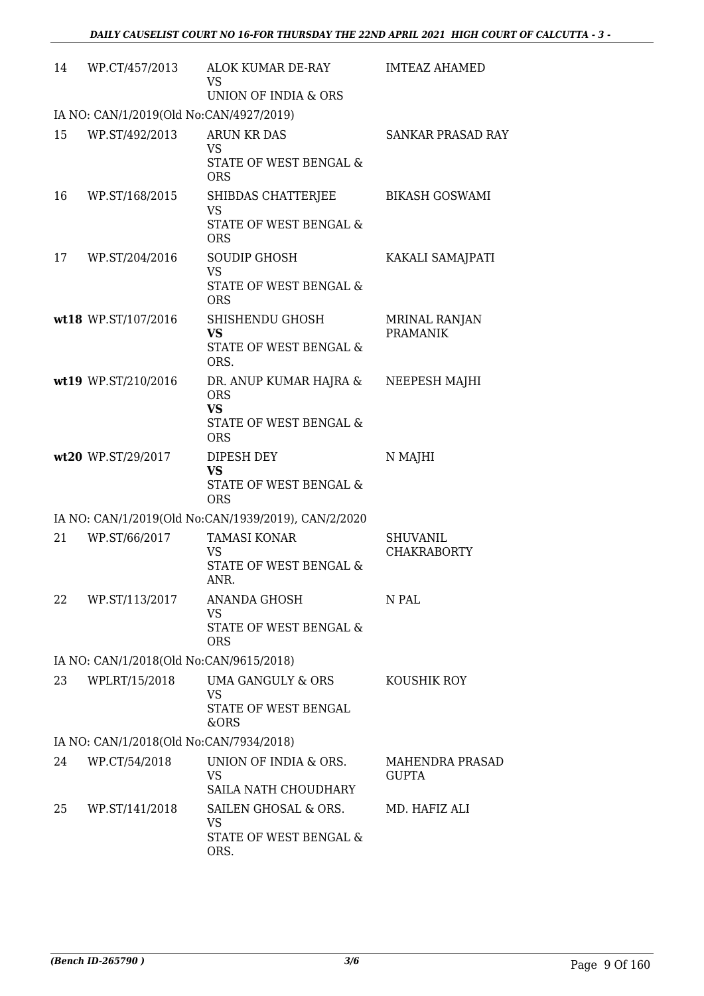| 14 | WP.CT/457/2013                          | ALOK KUMAR DE-RAY<br>VS.<br>UNION OF INDIA & ORS                                          | <b>IMTEAZ AHAMED</b>                    |  |  |  |
|----|-----------------------------------------|-------------------------------------------------------------------------------------------|-----------------------------------------|--|--|--|
|    | IA NO: CAN/1/2019(Old No:CAN/4927/2019) |                                                                                           |                                         |  |  |  |
| 15 | WP.ST/492/2013                          | ARUN KR DAS<br><b>VS</b><br>STATE OF WEST BENGAL &<br><b>ORS</b>                          | SANKAR PRASAD RAY                       |  |  |  |
| 16 | WP.ST/168/2015                          | SHIBDAS CHATTERJEE<br><b>VS</b><br>STATE OF WEST BENGAL &<br><b>ORS</b>                   | <b>BIKASH GOSWAMI</b>                   |  |  |  |
| 17 | WP.ST/204/2016                          | SOUDIP GHOSH<br><b>VS</b><br>STATE OF WEST BENGAL &<br><b>ORS</b>                         | KAKALI SAMAJPATI                        |  |  |  |
|    | wt18 WP.ST/107/2016                     | SHISHENDU GHOSH<br><b>VS</b><br>STATE OF WEST BENGAL &<br>ORS.                            | <b>MRINAL RANJAN</b><br><b>PRAMANIK</b> |  |  |  |
|    | wt19 WP.ST/210/2016                     | DR. ANUP KUMAR HAJRA &<br><b>ORS</b><br><b>VS</b><br>STATE OF WEST BENGAL &<br><b>ORS</b> | NEEPESH MAJHI                           |  |  |  |
|    | wt20 WP.ST/29/2017                      | DIPESH DEY<br><b>VS</b><br>STATE OF WEST BENGAL &<br><b>ORS</b>                           | N MAJHI                                 |  |  |  |
|    |                                         | IA NO: CAN/1/2019(Old No:CAN/1939/2019), CAN/2/2020                                       |                                         |  |  |  |
| 21 | WP.ST/66/2017                           | <b>TAMASI KONAR</b><br><b>VS</b><br>STATE OF WEST BENGAL &<br>ANR.                        | <b>SHUVANIL</b><br><b>CHAKRABORTY</b>   |  |  |  |
| 22 | WP.ST/113/2017                          | <b>ANANDA GHOSH</b><br><b>VS</b><br>STATE OF WEST BENGAL &<br><b>ORS</b>                  | N PAL                                   |  |  |  |
|    | IA NO: CAN/1/2018(Old No:CAN/9615/2018) |                                                                                           |                                         |  |  |  |
| 23 | WPLRT/15/2018                           | <b>UMA GANGULY &amp; ORS</b><br><b>VS</b><br>STATE OF WEST BENGAL<br>&ORS                 | KOUSHIK ROY                             |  |  |  |
|    | IA NO: CAN/1/2018(Old No:CAN/7934/2018) |                                                                                           |                                         |  |  |  |
| 24 | WP.CT/54/2018                           | UNION OF INDIA & ORS.<br><b>VS</b><br>SAILA NATH CHOUDHARY                                | <b>MAHENDRA PRASAD</b><br><b>GUPTA</b>  |  |  |  |
| 25 | WP.ST/141/2018                          | SAILEN GHOSAL & ORS.<br>VS<br>STATE OF WEST BENGAL &<br>ORS.                              | MD. HAFIZ ALI                           |  |  |  |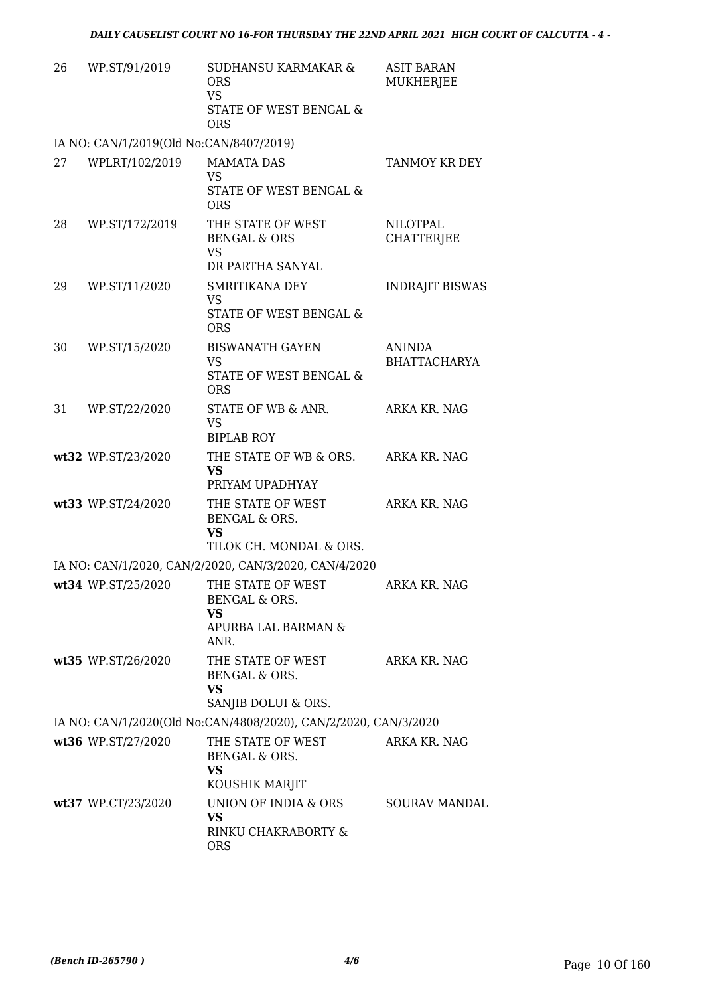| 26 | WP.ST/91/2019                           | <b>SUDHANSU KARMAKAR &amp;</b><br><b>ORS</b><br><b>VS</b><br>STATE OF WEST BENGAL &<br><b>ORS</b> | <b>ASIT BARAN</b><br>MUKHERJEE       |
|----|-----------------------------------------|---------------------------------------------------------------------------------------------------|--------------------------------------|
|    | IA NO: CAN/1/2019(Old No:CAN/8407/2019) |                                                                                                   |                                      |
| 27 | WPLRT/102/2019                          | <b>MAMATA DAS</b><br>VS<br>STATE OF WEST BENGAL &<br><b>ORS</b>                                   | TANMOY KR DEY                        |
| 28 | WP.ST/172/2019                          | THE STATE OF WEST<br><b>BENGAL &amp; ORS</b><br><b>VS</b><br>DR PARTHA SANYAL                     | <b>NILOTPAL</b><br><b>CHATTERJEE</b> |
| 29 | WP.ST/11/2020                           | <b>SMRITIKANA DEY</b><br>VS<br>STATE OF WEST BENGAL &<br><b>ORS</b>                               | <b>INDRAJIT BISWAS</b>               |
| 30 | WP.ST/15/2020                           | <b>BISWANATH GAYEN</b><br><b>VS</b><br>STATE OF WEST BENGAL &<br><b>ORS</b>                       | <b>ANINDA</b><br><b>BHATTACHARYA</b> |
| 31 | WP.ST/22/2020                           | STATE OF WB & ANR.<br><b>VS</b><br><b>BIPLAB ROY</b>                                              | ARKA KR. NAG                         |
|    | wt32 WP.ST/23/2020                      | THE STATE OF WB & ORS. ARKA KR. NAG<br><b>VS</b><br>PRIYAM UPADHYAY                               |                                      |
|    | wt33 WP.ST/24/2020                      | THE STATE OF WEST<br>BENGAL & ORS.<br><b>VS</b><br>TILOK CH. MONDAL & ORS.                        | ARKA KR. NAG                         |
|    |                                         | IA NO: CAN/1/2020, CAN/2/2020, CAN/3/2020, CAN/4/2020                                             |                                      |
|    | wt34 WP.ST/25/2020                      | THE STATE OF WEST<br>BENGAL & ORS.<br><b>VS</b><br>APURBA LAL BARMAN &<br>ANR.                    | ARKA KR. NAG                         |
|    | wt35 WP.ST/26/2020                      | THE STATE OF WEST<br>BENGAL & ORS.<br>VS<br>SANJIB DOLUI & ORS.                                   | ARKA KR. NAG                         |
|    |                                         | IA NO: CAN/1/2020(Old No:CAN/4808/2020), CAN/2/2020, CAN/3/2020                                   |                                      |
|    | wt36 WP.ST/27/2020                      | THE STATE OF WEST<br>BENGAL & ORS.<br><b>VS</b>                                                   | ARKA KR. NAG                         |
|    | wt37 WP.CT/23/2020                      | KOUSHIK MARJIT<br>UNION OF INDIA & ORS<br><b>VS</b><br>RINKU CHAKRABORTY &<br><b>ORS</b>          | <b>SOURAV MANDAL</b>                 |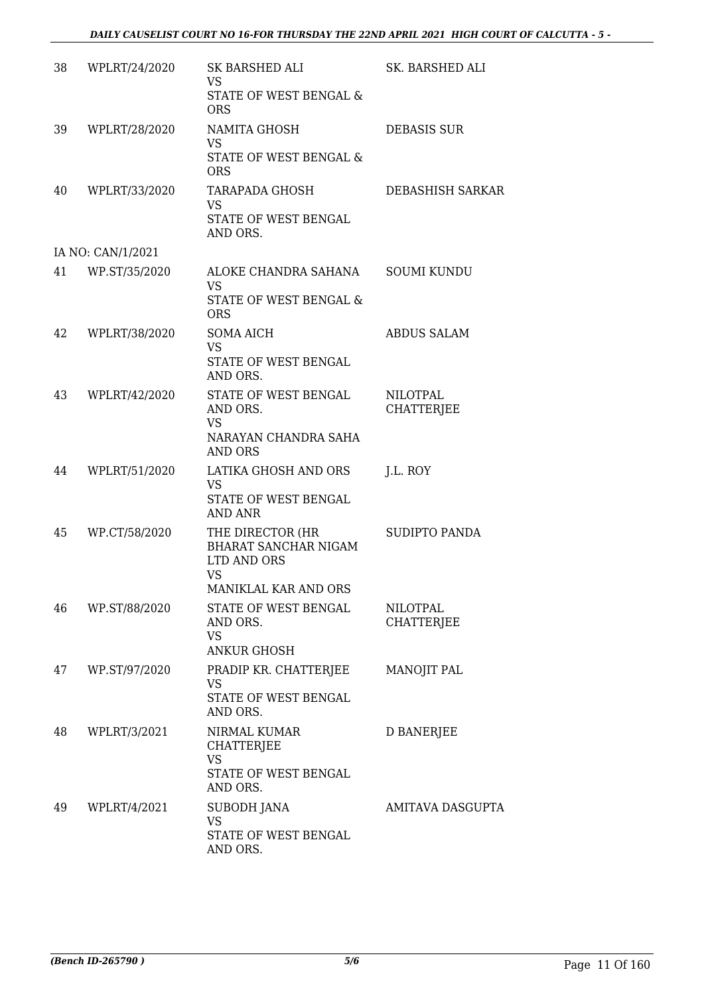| 38 | WPLRT/24/2020     | SK BARSHED ALI<br><b>VS</b><br>STATE OF WEST BENGAL &                                        | SK. BARSHED ALI                      |
|----|-------------------|----------------------------------------------------------------------------------------------|--------------------------------------|
| 39 | WPLRT/28/2020     | <b>ORS</b><br>NAMITA GHOSH<br><b>VS</b><br>STATE OF WEST BENGAL &<br><b>ORS</b>              | <b>DEBASIS SUR</b>                   |
| 40 | WPLRT/33/2020     | <b>TARAPADA GHOSH</b><br><b>VS</b><br>STATE OF WEST BENGAL<br>AND ORS.                       | DEBASHISH SARKAR                     |
|    | IA NO: CAN/1/2021 |                                                                                              |                                      |
| 41 | WP.ST/35/2020     | ALOKE CHANDRA SAHANA<br>VS.<br><b>STATE OF WEST BENGAL &amp;</b><br><b>ORS</b>               | <b>SOUMI KUNDU</b>                   |
| 42 | WPLRT/38/2020     | <b>SOMA AICH</b><br><b>VS</b><br>STATE OF WEST BENGAL<br>AND ORS.                            | <b>ABDUS SALAM</b>                   |
| 43 | WPLRT/42/2020     | STATE OF WEST BENGAL<br>AND ORS.<br><b>VS</b><br>NARAYAN CHANDRA SAHA<br><b>AND ORS</b>      | <b>NILOTPAL</b><br><b>CHATTERJEE</b> |
| 44 | WPLRT/51/2020     | LATIKA GHOSH AND ORS<br><b>VS</b><br>STATE OF WEST BENGAL<br><b>AND ANR</b>                  | J.L. ROY                             |
| 45 | WP.CT/58/2020     | THE DIRECTOR (HR<br>BHARAT SANCHAR NIGAM<br>LTD AND ORS<br><b>VS</b><br>MANIKLAL KAR AND ORS | <b>SUDIPTO PANDA</b>                 |
| 46 | WP.ST/88/2020     | STATE OF WEST BENGAL<br>AND ORS.<br><b>VS</b><br><b>ANKUR GHOSH</b>                          | <b>NILOTPAL</b><br><b>CHATTERJEE</b> |
| 47 | WP.ST/97/2020     | PRADIP KR. CHATTERJEE<br>VS<br>STATE OF WEST BENGAL<br>AND ORS.                              | MANOJIT PAL                          |
| 48 | WPLRT/3/2021      | NIRMAL KUMAR<br><b>CHATTERJEE</b><br><b>VS</b><br>STATE OF WEST BENGAL<br>AND ORS.           | <b>D BANERJEE</b>                    |
| 49 | WPLRT/4/2021      | SUBODH JANA<br><b>VS</b><br>STATE OF WEST BENGAL<br>AND ORS.                                 | AMITAVA DASGUPTA                     |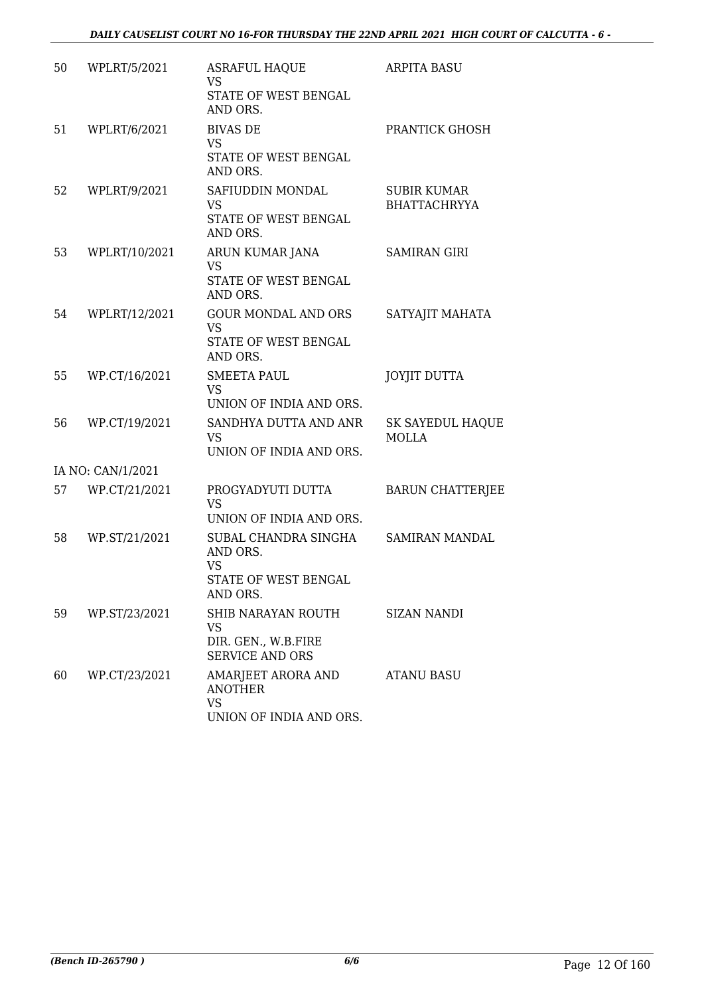| 50 | WPLRT/5/2021      | <b>ASRAFUL HAQUE</b><br><b>VS</b><br>STATE OF WEST BENGAL<br>AND ORS.             | <b>ARPITA BASU</b>                        |
|----|-------------------|-----------------------------------------------------------------------------------|-------------------------------------------|
| 51 | WPLRT/6/2021      | <b>BIVAS DE</b><br><b>VS</b><br>STATE OF WEST BENGAL<br>AND ORS.                  | PRANTICK GHOSH                            |
| 52 | WPLRT/9/2021      | SAFIUDDIN MONDAL<br><b>VS</b><br>STATE OF WEST BENGAL<br>AND ORS.                 | <b>SUBIR KUMAR</b><br><b>BHATTACHRYYA</b> |
| 53 | WPLRT/10/2021     | ARUN KUMAR JANA<br><b>VS</b><br>STATE OF WEST BENGAL<br>AND ORS.                  | <b>SAMIRAN GIRI</b>                       |
| 54 | WPLRT/12/2021     | <b>GOUR MONDAL AND ORS</b><br><b>VS</b><br>STATE OF WEST BENGAL<br>AND ORS.       | SATYAJIT MAHATA                           |
| 55 | WP.CT/16/2021     | <b>SMEETA PAUL</b><br><b>VS</b><br>UNION OF INDIA AND ORS.                        | <b>JOYJIT DUTTA</b>                       |
| 56 | WP.CT/19/2021     | SANDHYA DUTTA AND ANR<br><b>VS</b><br>UNION OF INDIA AND ORS.                     | <b>SK SAYEDUL HAQUE</b><br><b>MOLLA</b>   |
|    | IA NO: CAN/1/2021 |                                                                                   |                                           |
| 57 | WP.CT/21/2021     | PROGYADYUTI DUTTA<br><b>VS</b><br>UNION OF INDIA AND ORS.                         | <b>BARUN CHATTERJEE</b>                   |
| 58 | WP.ST/21/2021     | SUBAL CHANDRA SINGHA<br>AND ORS.<br><b>VS</b><br>STATE OF WEST BENGAL<br>AND ORS. | SAMIRAN MANDAL                            |
| 59 | WP.ST/23/2021     | SHIB NARAYAN ROUTH<br>VS<br>DIR. GEN., W.B.FIRE<br><b>SERVICE AND ORS</b>         | <b>SIZAN NANDI</b>                        |
| 60 | WP.CT/23/2021     | AMARJEET ARORA AND<br><b>ANOTHER</b><br><b>VS</b><br>UNION OF INDIA AND ORS.      | <b>ATANU BASU</b>                         |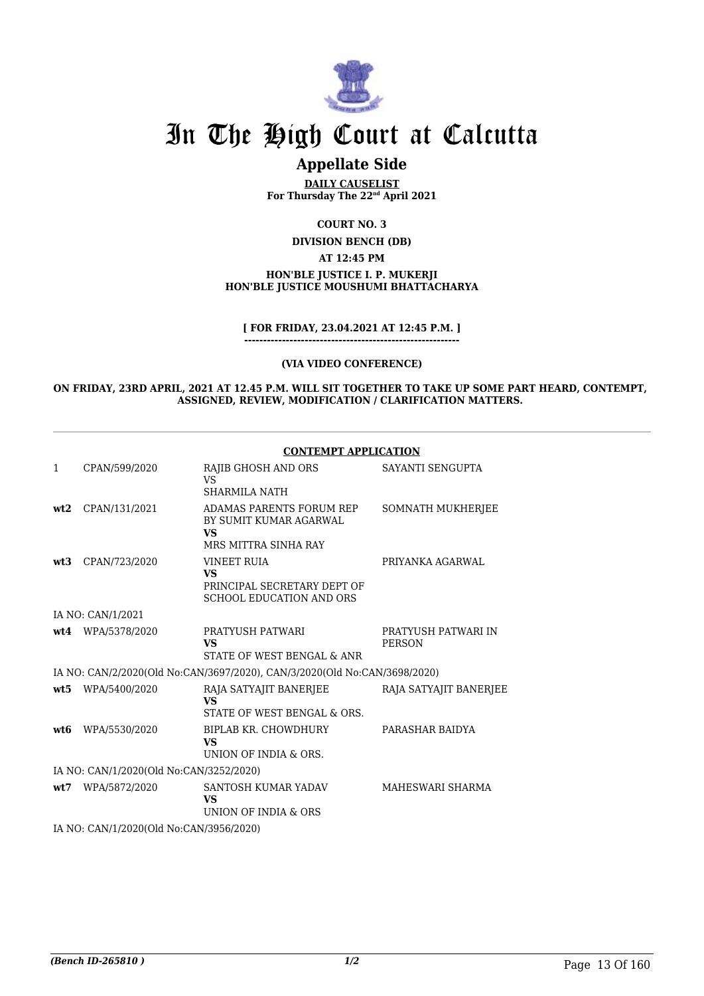

### **Appellate Side**

**DAILY CAUSELIST For Thursday The 22nd April 2021**

**COURT NO. 3**

**DIVISION BENCH (DB)**

**AT 12:45 PM**

#### **HON'BLE JUSTICE I. P. MUKERJI HON'BLE JUSTICE MOUSHUMI BHATTACHARYA**

**[ FOR FRIDAY, 23.04.2021 AT 12:45 P.M. ]**

**---------------------------------------------------------**

#### **(VIA VIDEO CONFERENCE)**

**ON FRIDAY, 23RD APRIL, 2021 AT 12.45 P.M. WILL SIT TOGETHER TO TAKE UP SOME PART HEARD, CONTEMPT, ASSIGNED, REVIEW, MODIFICATION / CLARIFICATION MATTERS.** 

#### **CONTEMPT APPLICATION**

| 1    | CPAN/599/2020                           | RAJIB GHOSH AND ORS<br>VS                                                                         | SAYANTI SENGUPTA                     |
|------|-----------------------------------------|---------------------------------------------------------------------------------------------------|--------------------------------------|
|      |                                         | <b>SHARMILA NATH</b>                                                                              |                                      |
| wt2  | CPAN/131/2021                           | <b>ADAMAS PARENTS FORUM REP</b><br>BY SUMIT KUMAR AGARWAL<br><b>VS</b>                            | SOMNATH MUKHERJEE                    |
|      |                                         | MRS MITTRA SINHA RAY                                                                              |                                      |
| wt3  | CPAN/723/2020                           | <b>VINEET RUIA</b><br><b>VS</b><br>PRINCIPAL SECRETARY DEPT OF<br><b>SCHOOL EDUCATION AND ORS</b> | PRIYANKA AGARWAL                     |
|      | IA NO: CAN/1/2021                       |                                                                                                   |                                      |
|      | wt4 WPA/5378/2020                       | PRATYUSH PATWARI<br><b>VS</b><br>STATE OF WEST BENGAL & ANR                                       | PRATYUSH PATWARI IN<br><b>PERSON</b> |
|      |                                         | IA NO: CAN/2/2020(Old No:CAN/3697/2020), CAN/3/2020(Old No:CAN/3698/2020)                         |                                      |
|      | wt5 WPA/5400/2020                       | RAJA SATYAJIT BANERJEE<br><b>VS</b><br>STATE OF WEST BENGAL & ORS.                                | RAJA SATYAJIT BANERJEE               |
| wt6  | WPA/5530/2020                           | BIPLAB KR. CHOWDHURY<br><b>VS</b><br>UNION OF INDIA & ORS.                                        | PARASHAR BAIDYA                      |
|      | IA NO: CAN/1/2020(Old No:CAN/3252/2020) |                                                                                                   |                                      |
| wt:7 | WPA/5872/2020                           | SANTOSH KUMAR YADAV<br><b>VS</b><br>UNION OF INDIA & ORS                                          | MAHESWARI SHARMA                     |
|      | IA NO: CAN/1/2020(Old No:CAN/3956/2020) |                                                                                                   |                                      |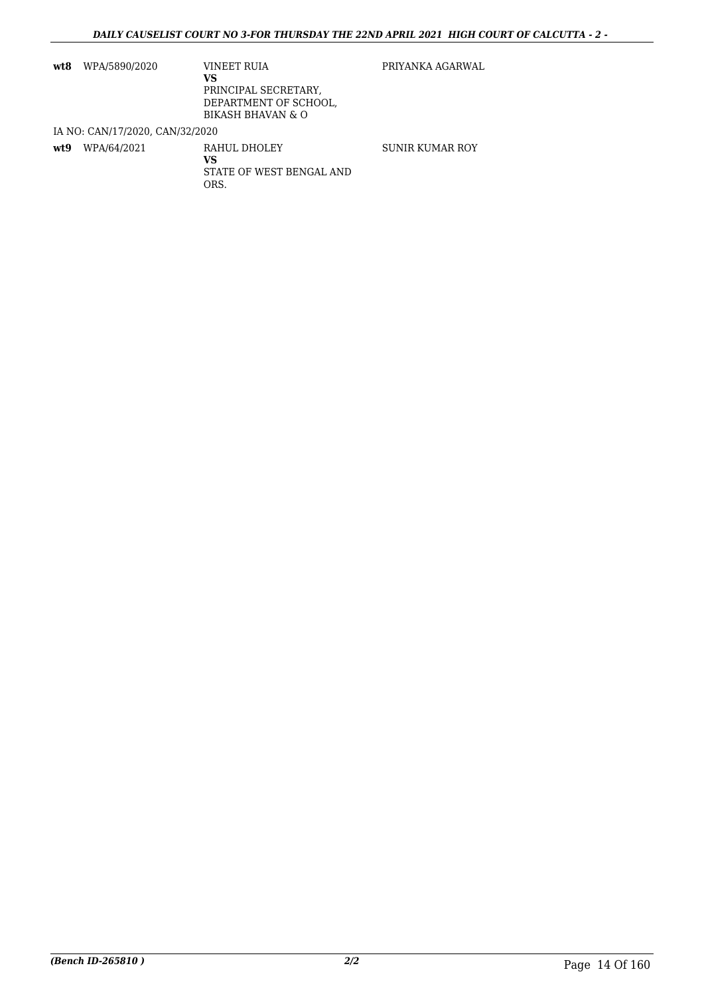| wt8  | WPA/5890/2020                   | VINEET RUIA<br>vs<br>PRINCIPAL SECRETARY,<br>DEPARTMENT OF SCHOOL,<br><b>BIKASH BHAVAN &amp; O</b> | PRIYANKA AGARWAL |
|------|---------------------------------|----------------------------------------------------------------------------------------------------|------------------|
|      | IA NO: CAN/17/2020, CAN/32/2020 |                                                                                                    |                  |
| wt.9 | WPA/64/2021                     | RAHUL DHOLEY<br>VS                                                                                 | SUNIR KUMAR ROY  |

STATE OF WEST BENGAL AND

ORS.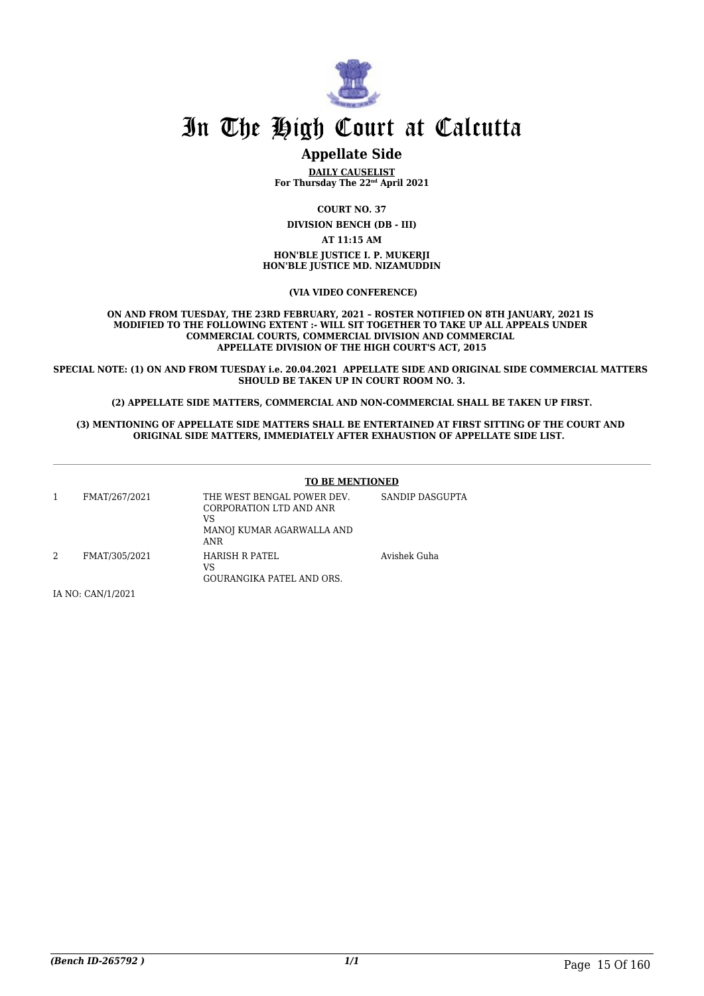

#### **Appellate Side**

**DAILY CAUSELIST For Thursday The 22nd April 2021**

**COURT NO. 37**

**DIVISION BENCH (DB - III) AT 11:15 AM HON'BLE JUSTICE I. P. MUKERJI HON'BLE JUSTICE MD. NIZAMUDDIN**

 **(VIA VIDEO CONFERENCE)**

**ON AND FROM TUESDAY, THE 23RD FEBRUARY, 2021 – ROSTER NOTIFIED ON 8TH JANUARY, 2021 IS MODIFIED TO THE FOLLOWING EXTENT :- WILL SIT TOGETHER TO TAKE UP ALL APPEALS UNDER COMMERCIAL COURTS, COMMERCIAL DIVISION AND COMMERCIAL APPELLATE DIVISION OF THE HIGH COURT'S ACT, 2015**

**SPECIAL NOTE: (1) ON AND FROM TUESDAY i.e. 20.04.2021 APPELLATE SIDE AND ORIGINAL SIDE COMMERCIAL MATTERS SHOULD BE TAKEN UP IN COURT ROOM NO. 3.**

**(2) APPELLATE SIDE MATTERS, COMMERCIAL AND NON-COMMERCIAL SHALL BE TAKEN UP FIRST.**

#### **(3) MENTIONING OF APPELLATE SIDE MATTERS SHALL BE ENTERTAINED AT FIRST SITTING OF THE COURT AND ORIGINAL SIDE MATTERS, IMMEDIATELY AFTER EXHAUSTION OF APPELLATE SIDE LIST.**

|   |               | <b>TO BE MENTIONED</b>                                                                                 |                 |
|---|---------------|--------------------------------------------------------------------------------------------------------|-----------------|
|   | FMAT/267/2021 | THE WEST BENGAL POWER DEV.<br>CORPORATION LTD AND ANR<br>VS<br>MANOJ KUMAR AGARWALLA AND<br><b>ANR</b> | SANDIP DASGUPTA |
| 2 | FMAT/305/2021 | HARISH R PATEL<br>VS<br><b>GOURANGIKA PATEL AND ORS.</b>                                               | Avishek Guha    |

IA NO: CAN/1/2021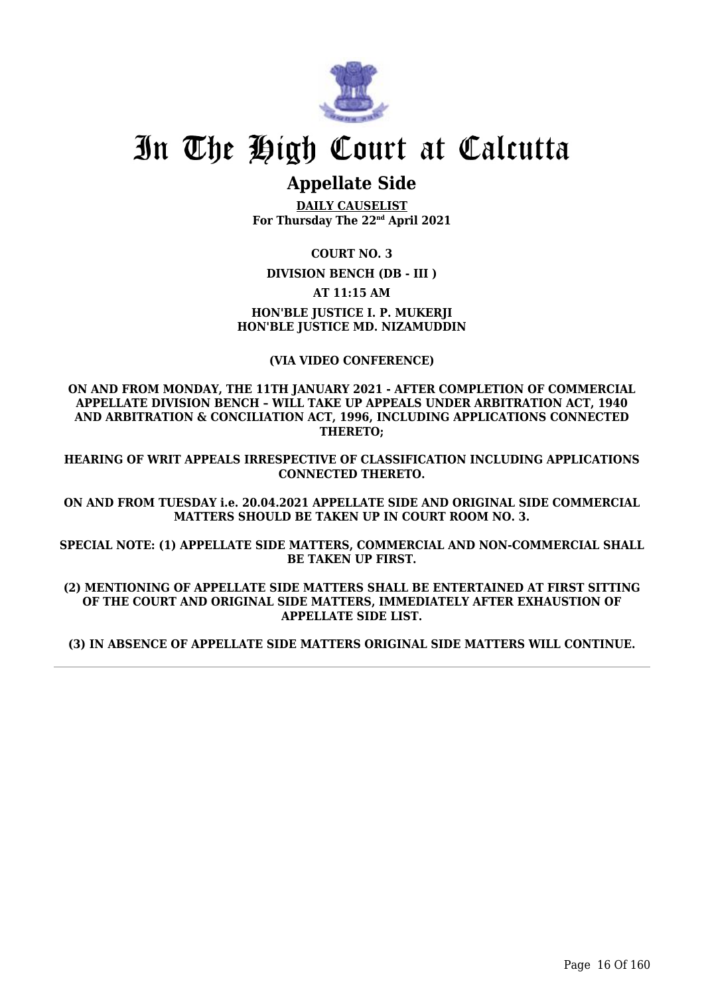

## **Appellate Side**

**DAILY CAUSELIST For Thursday The 22nd April 2021**

**COURT NO. 3**

**DIVISION BENCH (DB - III )**

**AT 11:15 AM**

#### **HON'BLE JUSTICE I. P. MUKERJI HON'BLE JUSTICE MD. NIZAMUDDIN**

**(VIA VIDEO CONFERENCE)**

**ON AND FROM MONDAY, THE 11TH JANUARY 2021 - AFTER COMPLETION OF COMMERCIAL APPELLATE DIVISION BENCH – WILL TAKE UP APPEALS UNDER ARBITRATION ACT, 1940 AND ARBITRATION & CONCILIATION ACT, 1996, INCLUDING APPLICATIONS CONNECTED THERETO;**

**HEARING OF WRIT APPEALS IRRESPECTIVE OF CLASSIFICATION INCLUDING APPLICATIONS CONNECTED THERETO.**

**ON AND FROM TUESDAY i.e. 20.04.2021 APPELLATE SIDE AND ORIGINAL SIDE COMMERCIAL MATTERS SHOULD BE TAKEN UP IN COURT ROOM NO. 3.**

**SPECIAL NOTE: (1) APPELLATE SIDE MATTERS, COMMERCIAL AND NON-COMMERCIAL SHALL BE TAKEN UP FIRST.**

**(2) MENTIONING OF APPELLATE SIDE MATTERS SHALL BE ENTERTAINED AT FIRST SITTING OF THE COURT AND ORIGINAL SIDE MATTERS, IMMEDIATELY AFTER EXHAUSTION OF APPELLATE SIDE LIST.**

**(3) IN ABSENCE OF APPELLATE SIDE MATTERS ORIGINAL SIDE MATTERS WILL CONTINUE.**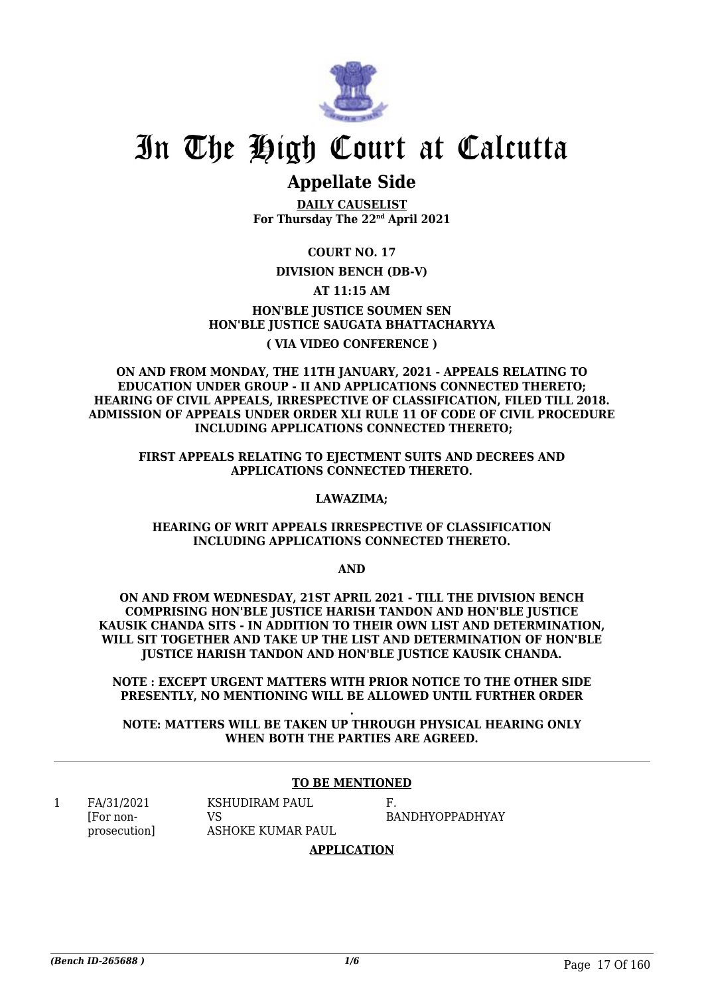

### **Appellate Side**

**DAILY CAUSELIST For Thursday The 22nd April 2021**

**COURT NO. 17**

#### **DIVISION BENCH (DB-V)**

#### **AT 11:15 AM**

**HON'BLE JUSTICE SOUMEN SEN HON'BLE JUSTICE SAUGATA BHATTACHARYYA ( VIA VIDEO CONFERENCE )**

**ON AND FROM MONDAY, THE 11TH JANUARY, 2021 - APPEALS RELATING TO EDUCATION UNDER GROUP - II AND APPLICATIONS CONNECTED THERETO; HEARING OF CIVIL APPEALS, IRRESPECTIVE OF CLASSIFICATION, FILED TILL 2018. ADMISSION OF APPEALS UNDER ORDER XLI RULE 11 OF CODE OF CIVIL PROCEDURE INCLUDING APPLICATIONS CONNECTED THERETO;**

**FIRST APPEALS RELATING TO EJECTMENT SUITS AND DECREES AND APPLICATIONS CONNECTED THERETO.**

#### **LAWAZIMA;**

#### **HEARING OF WRIT APPEALS IRRESPECTIVE OF CLASSIFICATION INCLUDING APPLICATIONS CONNECTED THERETO.**

**AND**

**ON AND FROM WEDNESDAY, 21ST APRIL 2021 - TILL THE DIVISION BENCH COMPRISING HON'BLE JUSTICE HARISH TANDON AND HON'BLE JUSTICE KAUSIK CHANDA SITS - IN ADDITION TO THEIR OWN LIST AND DETERMINATION, WILL SIT TOGETHER AND TAKE UP THE LIST AND DETERMINATION OF HON'BLE JUSTICE HARISH TANDON AND HON'BLE JUSTICE KAUSIK CHANDA.**

**NOTE : EXCEPT URGENT MATTERS WITH PRIOR NOTICE TO THE OTHER SIDE PRESENTLY, NO MENTIONING WILL BE ALLOWED UNTIL FURTHER ORDER**

**. NOTE: MATTERS WILL BE TAKEN UP THROUGH PHYSICAL HEARING ONLY WHEN BOTH THE PARTIES ARE AGREED.**

#### **TO BE MENTIONED**

1 FA/31/2021 [For nonprosecution]

KSHUDIRAM PAUL VS ASHOKE KUMAR PAUL F. BANDHYOPPADHYAY

#### **APPLICATION**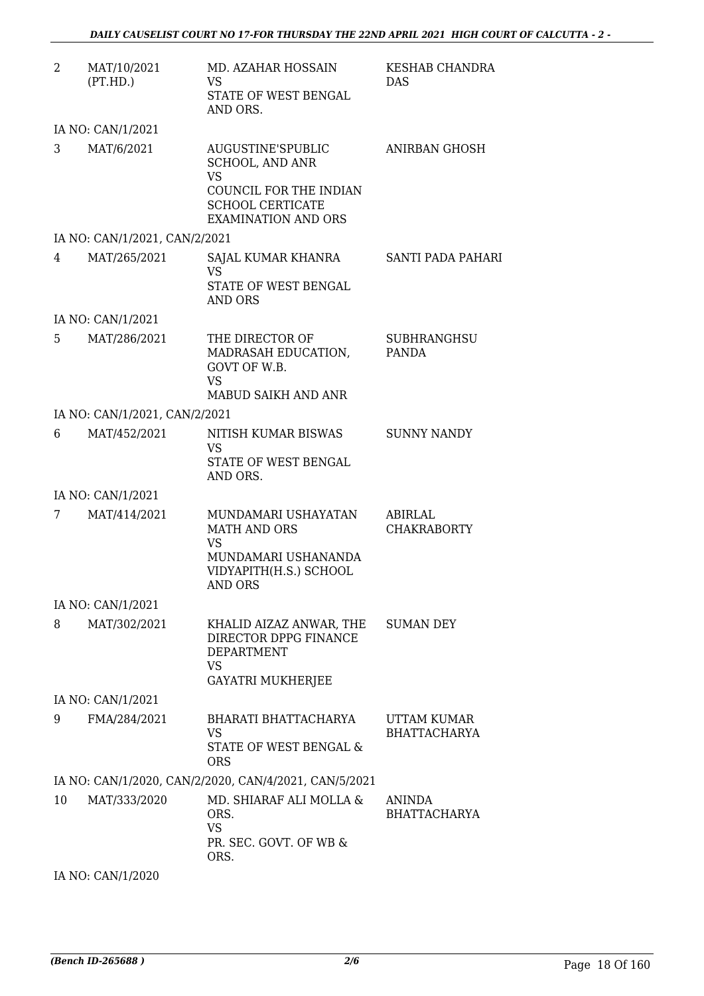| 2  | MAT/10/2021<br>(PT.HD.)       | MD. AZAHAR HOSSAIN<br>VS.<br>STATE OF WEST BENGAL<br>AND ORS.                                                                               | KESHAB CHANDRA<br>DAS                |
|----|-------------------------------|---------------------------------------------------------------------------------------------------------------------------------------------|--------------------------------------|
|    | IA NO: CAN/1/2021             |                                                                                                                                             |                                      |
| 3  | MAT/6/2021                    | AUGUSTINE'SPUBLIC<br><b>SCHOOL, AND ANR</b><br><b>VS</b><br>COUNCIL FOR THE INDIAN<br><b>SCHOOL CERTICATE</b><br><b>EXAMINATION AND ORS</b> | ANIRBAN GHOSH                        |
|    | IA NO: CAN/1/2021, CAN/2/2021 |                                                                                                                                             |                                      |
| 4  | MAT/265/2021                  | SAJAL KUMAR KHANRA<br><b>VS</b><br>STATE OF WEST BENGAL<br><b>AND ORS</b>                                                                   | <b>SANTI PADA PAHARI</b>             |
|    | IA NO: CAN/1/2021             |                                                                                                                                             |                                      |
| 5. | MAT/286/2021                  | THE DIRECTOR OF<br>MADRASAH EDUCATION,<br>GOVT OF W.B.<br><b>VS</b><br>MABUD SAIKH AND ANR                                                  | <b>SUBHRANGHSU</b><br>PANDA          |
|    | IA NO: CAN/1/2021, CAN/2/2021 |                                                                                                                                             |                                      |
| 6  | MAT/452/2021                  | NITISH KUMAR BISWAS<br><b>VS</b><br>STATE OF WEST BENGAL<br>AND ORS.                                                                        | <b>SUNNY NANDY</b>                   |
|    | IA NO: CAN/1/2021             |                                                                                                                                             |                                      |
| 7  | MAT/414/2021                  | MUNDAMARI USHAYATAN<br><b>MATH AND ORS</b><br><b>VS</b><br>MUNDAMARI USHANANDA<br>VIDYAPITH(H.S.) SCHOOL<br>AND ORS                         | ABIRLAL<br><b>CHAKRABORTY</b>        |
|    | IA NO: CAN/1/2021             |                                                                                                                                             |                                      |
| 8  | MAT/302/2021                  | KHALID AIZAZ ANWAR, THE<br>DIRECTOR DPPG FINANCE<br><b>DEPARTMENT</b><br><b>VS</b><br><b>GAYATRI MUKHERJEE</b>                              | <b>SUMAN DEY</b>                     |
|    | IA NO: CAN/1/2021             |                                                                                                                                             |                                      |
| 9  | FMA/284/2021                  | BHARATI BHATTACHARYA<br><b>VS</b><br>STATE OF WEST BENGAL &<br><b>ORS</b>                                                                   | UTTAM KUMAR<br><b>BHATTACHARYA</b>   |
|    |                               | IA NO: CAN/1/2020, CAN/2/2020, CAN/4/2021, CAN/5/2021                                                                                       |                                      |
| 10 | MAT/333/2020                  | MD. SHIARAF ALI MOLLA &<br>ORS.<br><b>VS</b><br>PR. SEC. GOVT. OF WB &<br>ORS.                                                              | <b>ANINDA</b><br><b>BHATTACHARYA</b> |

IA NO: CAN/1/2020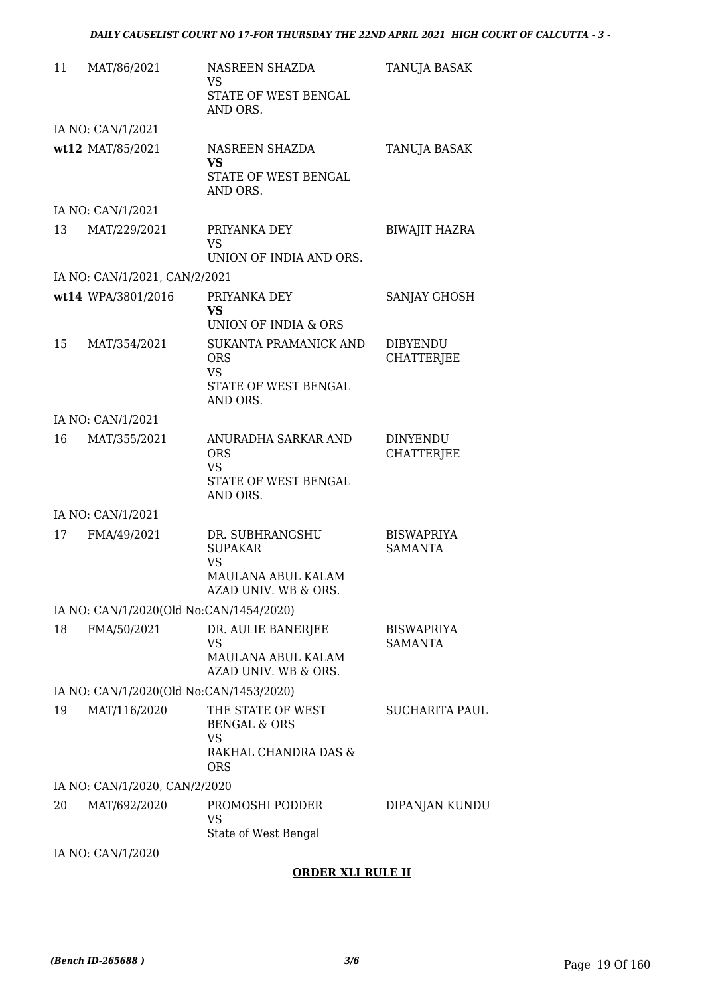| 11 | MAT/86/2021                             | NASREEN SHAZDA<br>VS                                                                  | TANUJA BASAK                         |
|----|-----------------------------------------|---------------------------------------------------------------------------------------|--------------------------------------|
|    |                                         | STATE OF WEST BENGAL<br>AND ORS.                                                      |                                      |
|    | IA NO: CAN/1/2021                       |                                                                                       |                                      |
|    | wt12 MAT/85/2021                        | NASREEN SHAZDA<br>VS.                                                                 | TANUJA BASAK                         |
|    |                                         | STATE OF WEST BENGAL<br>AND ORS.                                                      |                                      |
|    | IA NO: CAN/1/2021                       |                                                                                       |                                      |
| 13 | MAT/229/2021                            | PRIYANKA DEY<br><b>VS</b><br>UNION OF INDIA AND ORS.                                  | <b>BIWAJIT HAZRA</b>                 |
|    | IA NO: CAN/1/2021, CAN/2/2021           |                                                                                       |                                      |
|    | wt14 WPA/3801/2016                      | PRIYANKA DEY                                                                          | SANJAY GHOSH                         |
|    |                                         | <b>VS</b><br>UNION OF INDIA & ORS                                                     |                                      |
| 15 | MAT/354/2021                            | SUKANTA PRAMANICK AND<br><b>ORS</b><br><b>VS</b>                                      | <b>DIBYENDU</b><br><b>CHATTERJEE</b> |
|    |                                         | STATE OF WEST BENGAL<br>AND ORS.                                                      |                                      |
|    | IA NO: CAN/1/2021                       |                                                                                       |                                      |
| 16 | MAT/355/2021                            | ANURADHA SARKAR AND<br><b>ORS</b><br><b>VS</b><br>STATE OF WEST BENGAL<br>AND ORS.    | <b>DINYENDU</b><br><b>CHATTERJEE</b> |
|    | IA NO: CAN/1/2021                       |                                                                                       |                                      |
| 17 | FMA/49/2021                             | DR. SUBHRANGSHU<br><b>SUPAKAR</b><br>VS<br>MAULANA ABUL KALAM<br>AZAD UNIV. WB & ORS. | <b>BISWAPRIYA</b><br><b>SAMANTA</b>  |
|    | IA NO: CAN/1/2020(Old No:CAN/1454/2020) |                                                                                       |                                      |
| 18 | FMA/50/2021                             | DR. AULIE BANERJEE                                                                    | <b>BISWAPRIYA</b>                    |
|    |                                         | VS<br>MAULANA ABUL KALAM<br>AZAD UNIV. WB & ORS.                                      | <b>SAMANTA</b>                       |
|    | IA NO: CAN/1/2020(Old No:CAN/1453/2020) |                                                                                       |                                      |
| 19 | MAT/116/2020                            | THE STATE OF WEST<br><b>BENGAL &amp; ORS</b><br>VS                                    | <b>SUCHARITA PAUL</b>                |
|    |                                         | RAKHAL CHANDRA DAS &<br><b>ORS</b>                                                    |                                      |
|    | IA NO: CAN/1/2020, CAN/2/2020           |                                                                                       |                                      |
| 20 | MAT/692/2020                            | PROMOSHI PODDER<br><b>VS</b><br>State of West Bengal                                  | DIPANJAN KUNDU                       |
|    | IA NO: CAN/1/2020                       |                                                                                       |                                      |

#### **ORDER XLI RULE II**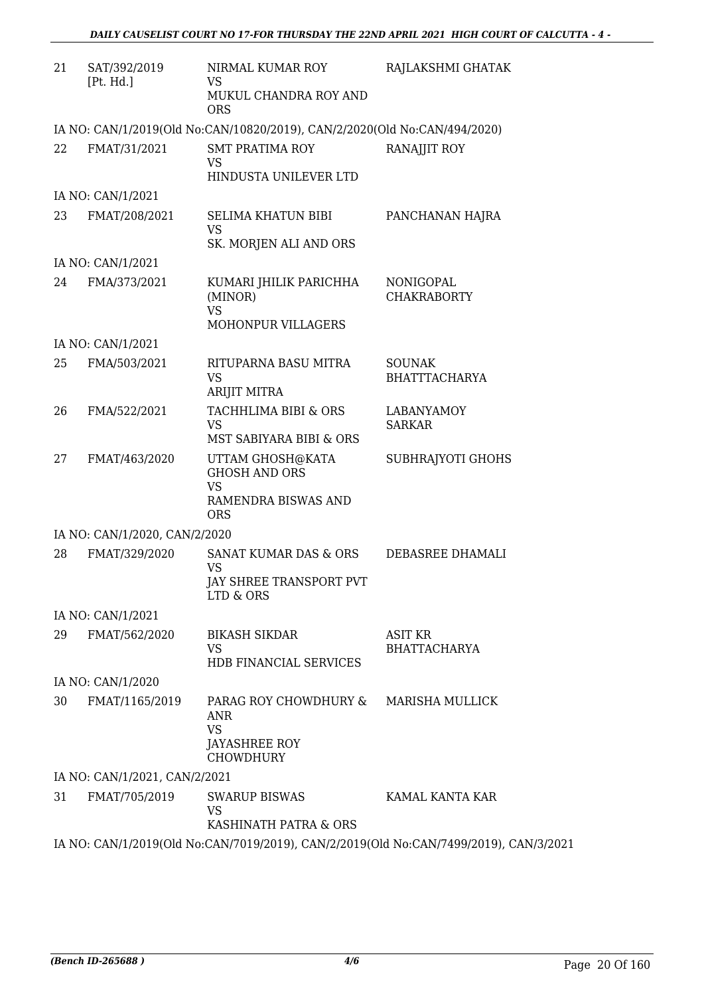| 21 | SAT/392/2019<br>[Pt. Hd.]     | NIRMAL KUMAR ROY<br><b>VS</b>                                             | RAJLAKSHMI GHATAK                                                                     |
|----|-------------------------------|---------------------------------------------------------------------------|---------------------------------------------------------------------------------------|
|    |                               | MUKUL CHANDRA ROY AND<br><b>ORS</b>                                       |                                                                                       |
|    |                               | IA NO: CAN/1/2019(Old No:CAN/10820/2019), CAN/2/2020(Old No:CAN/494/2020) |                                                                                       |
| 22 | FMAT/31/2021                  | SMT PRATIMA ROY<br><b>VS</b>                                              | RANAJJIT ROY                                                                          |
|    |                               | HINDUSTA UNILEVER LTD                                                     |                                                                                       |
|    | IA NO: CAN/1/2021             |                                                                           |                                                                                       |
| 23 | FMAT/208/2021                 | <b>SELIMA KHATUN BIBI</b><br><b>VS</b>                                    | PANCHANAN HAJRA                                                                       |
|    |                               | SK. MORJEN ALI AND ORS                                                    |                                                                                       |
|    | IA NO: CAN/1/2021             |                                                                           |                                                                                       |
| 24 | FMA/373/2021                  | KUMARI JHILIK PARICHHA<br>(MINOR)<br><b>VS</b><br>MOHONPUR VILLAGERS      | NONIGOPAL<br><b>CHAKRABORTY</b>                                                       |
|    | IA NO: CAN/1/2021             |                                                                           |                                                                                       |
| 25 | FMA/503/2021                  | RITUPARNA BASU MITRA<br><b>VS</b>                                         | <b>SOUNAK</b><br><b>BHATTTACHARYA</b>                                                 |
|    | ARIJIT MITRA                  |                                                                           |                                                                                       |
| 26 | FMA/522/2021                  | TACHHLIMA BIBI & ORS<br><b>VS</b><br>MST SABIYARA BIBI & ORS              | <b>LABANYAMOY</b><br><b>SARKAR</b>                                                    |
| 27 | FMAT/463/2020                 | UTTAM GHOSH@KATA<br><b>GHOSH AND ORS</b>                                  | SUBHRAJYOTI GHOHS                                                                     |
|    |                               | <b>VS</b><br>RAMENDRA BISWAS AND<br><b>ORS</b>                            |                                                                                       |
|    | IA NO: CAN/1/2020, CAN/2/2020 |                                                                           |                                                                                       |
| 28 | FMAT/329/2020                 | SANAT KUMAR DAS & ORS<br><b>VS</b>                                        | DEBASREE DHAMALI                                                                      |
|    |                               | JAY SHREE TRANSPORT PVT<br>LTD & ORS                                      |                                                                                       |
|    | IA NO: CAN/1/2021             |                                                                           |                                                                                       |
| 29 | FMAT/562/2020                 | <b>BIKASH SIKDAR</b><br>VS<br>HDB FINANCIAL SERVICES                      | <b>ASIT KR</b><br><b>BHATTACHARYA</b>                                                 |
|    | IA NO: CAN/1/2020             |                                                                           |                                                                                       |
| 30 | FMAT/1165/2019                | PARAG ROY CHOWDHURY &                                                     | MARISHA MULLICK                                                                       |
|    |                               | <b>ANR</b><br><b>VS</b><br><b>JAYASHREE ROY</b>                           |                                                                                       |
|    |                               | <b>CHOWDHURY</b>                                                          |                                                                                       |
|    | IA NO: CAN/1/2021, CAN/2/2021 |                                                                           |                                                                                       |
| 31 | FMAT/705/2019                 | <b>SWARUP BISWAS</b><br><b>VS</b><br>KASHINATH PATRA & ORS                | KAMAL KANTA KAR                                                                       |
|    |                               |                                                                           | IA NO: CAN/1/2019(Old No:CAN/7019/2019), CAN/2/2019(Old No:CAN/7499/2019), CAN/3/2021 |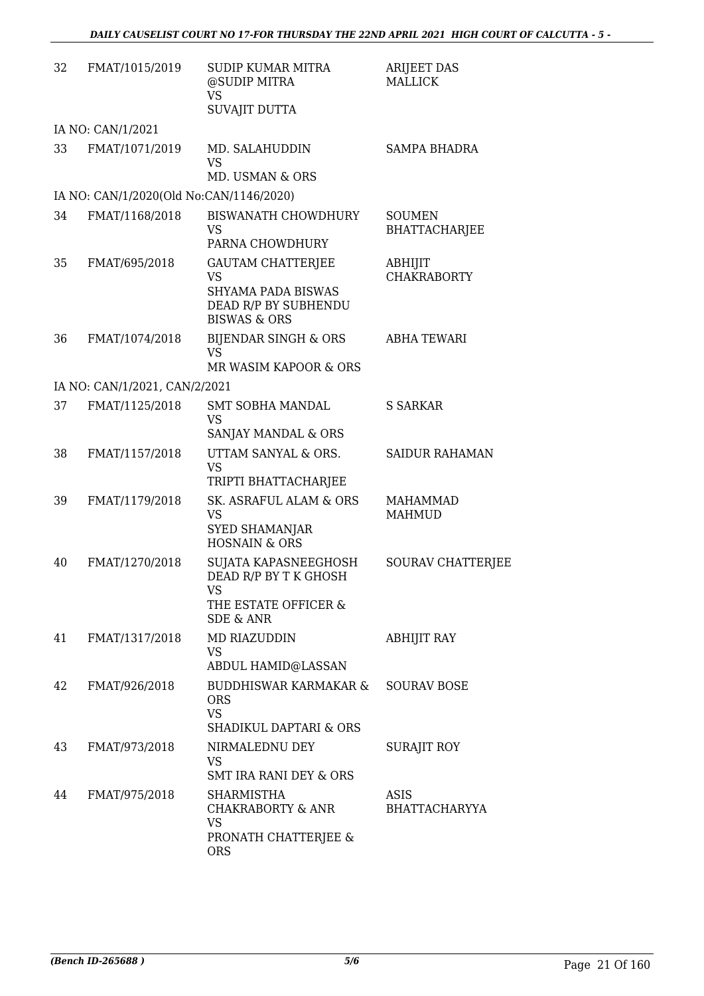| 32 | FMAT/1015/2019                          | <b>SUDIP KUMAR MITRA</b><br>@SUDIP MITRA<br><b>VS</b><br>SUVAJIT DUTTA                                         | <b>ARIJEET DAS</b><br><b>MALLICK</b>  |
|----|-----------------------------------------|----------------------------------------------------------------------------------------------------------------|---------------------------------------|
|    | IA NO: CAN/1/2021                       |                                                                                                                |                                       |
| 33 | FMAT/1071/2019                          | MD. SALAHUDDIN<br><b>VS</b><br><b>MD. USMAN &amp; ORS</b>                                                      | <b>SAMPA BHADRA</b>                   |
|    | IA NO: CAN/1/2020(Old No:CAN/1146/2020) |                                                                                                                |                                       |
| 34 | FMAT/1168/2018                          | <b>BISWANATH CHOWDHURY</b><br><b>VS</b><br>PARNA CHOWDHURY                                                     | <b>SOUMEN</b><br><b>BHATTACHARJEE</b> |
| 35 | FMAT/695/2018                           | <b>GAUTAM CHATTERJEE</b><br><b>VS</b><br>SHYAMA PADA BISWAS<br>DEAD R/P BY SUBHENDU<br><b>BISWAS &amp; ORS</b> | ABHIJIT<br><b>CHAKRABORTY</b>         |
| 36 | FMAT/1074/2018                          | <b>BIJENDAR SINGH &amp; ORS</b><br>VS<br>MR WASIM KAPOOR & ORS                                                 | <b>ABHA TEWARI</b>                    |
|    | IA NO: CAN/1/2021, CAN/2/2021           |                                                                                                                |                                       |
| 37 | FMAT/1125/2018                          | <b>SMT SOBHA MANDAL</b><br><b>VS</b><br>SANJAY MANDAL & ORS                                                    | <b>S SARKAR</b>                       |
| 38 | FMAT/1157/2018                          | UTTAM SANYAL & ORS.<br><b>VS</b><br>TRIPTI BHATTACHARJEE                                                       | <b>SAIDUR RAHAMAN</b>                 |
| 39 | FMAT/1179/2018                          | SK. ASRAFUL ALAM & ORS<br><b>VS</b><br><b>SYED SHAMANJAR</b><br><b>HOSNAIN &amp; ORS</b>                       | <b>MAHAMMAD</b><br><b>MAHMUD</b>      |
| 40 | FMAT/1270/2018                          | SUJATA KAPASNEEGHOSH<br>DEAD R/P BY T K GHOSH<br>VS                                                            | SOURAV CHATTERJEE                     |
|    |                                         | THE ESTATE OFFICER &<br><b>SDE &amp; ANR</b>                                                                   |                                       |
| 41 | FMAT/1317/2018                          | <b>MD RIAZUDDIN</b><br>VS<br>ABDUL HAMID@LASSAN                                                                | ABHIJIT RAY                           |
| 42 | FMAT/926/2018                           | BUDDHISWAR KARMAKAR &<br><b>ORS</b><br><b>VS</b><br>SHADIKUL DAPTARI & ORS                                     | <b>SOURAV BOSE</b>                    |
| 43 | FMAT/973/2018                           | NIRMALEDNU DEY<br><b>VS</b><br><b>SMT IRA RANI DEY &amp; ORS</b>                                               | <b>SURAJIT ROY</b>                    |
| 44 | FMAT/975/2018                           | SHARMISTHA<br><b>CHAKRABORTY &amp; ANR</b><br><b>VS</b><br>PRONATH CHATTERJEE &<br><b>ORS</b>                  | ASIS<br><b>BHATTACHARYYA</b>          |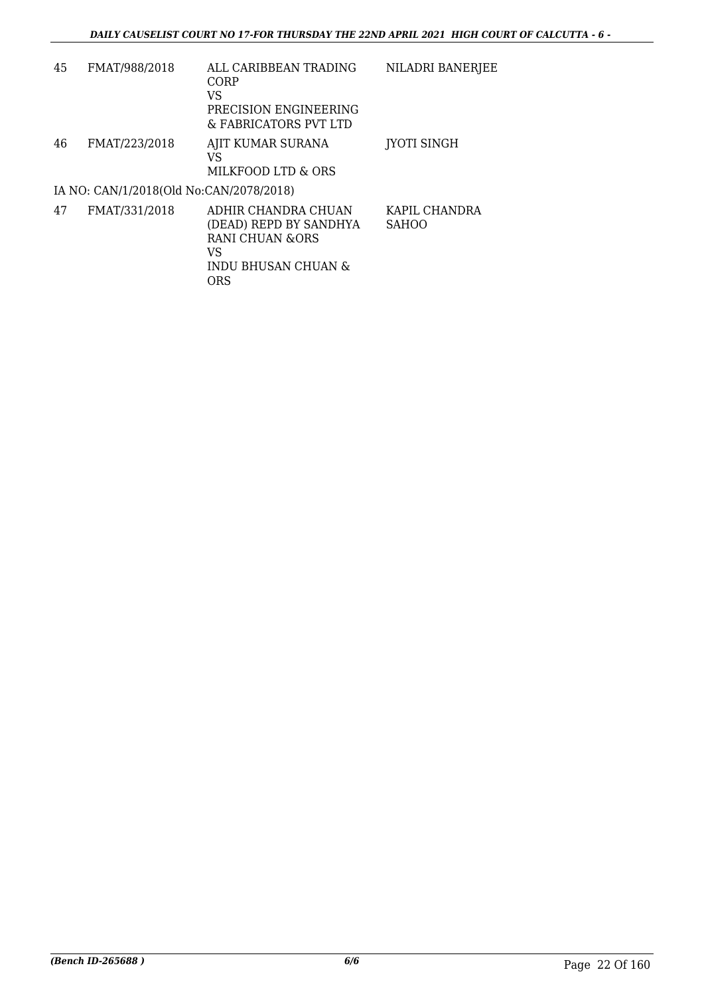| 45 | FMAT/988/2018                           | ALL CARIBBEAN TRADING<br>CORP<br>VS<br>PRECISION ENGINEERING<br>& FABRICATORS PVT LTD         | NILADRI BANERJEE              |
|----|-----------------------------------------|-----------------------------------------------------------------------------------------------|-------------------------------|
| 46 | FMAT/223/2018                           | AJIT KUMAR SURANA<br>VS<br>MILKFOOD LTD & ORS                                                 | <b>IYOTI SINGH</b>            |
|    | IA NO: CAN/1/2018(Old No:CAN/2078/2018) |                                                                                               |                               |
| 47 | FMAT/331/2018                           | ADHIR CHANDRA CHUAN<br>(DEAD) REPD BY SANDHYA<br>RANI CHUAN &ORS<br>VS<br>INDU BHUSAN CHUAN & | KAPIL CHANDRA<br><b>SAHOO</b> |

ORS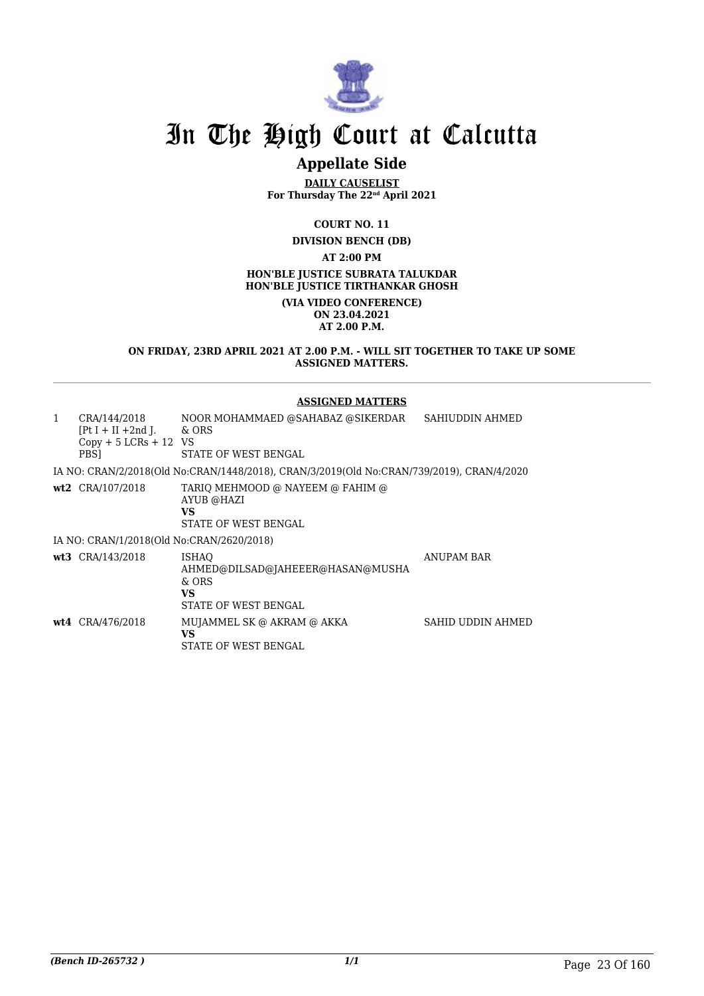

### **Appellate Side**

**DAILY CAUSELIST For Thursday The 22nd April 2021**

**COURT NO. 11**

**DIVISION BENCH (DB)**

**AT 2:00 PM**

**HON'BLE JUSTICE SUBRATA TALUKDAR HON'BLE JUSTICE TIRTHANKAR GHOSH**

> **(VIA VIDEO CONFERENCE) ON 23.04.2021 AT 2.00 P.M.**

**ON FRIDAY, 23RD APRIL 2021 AT 2.00 P.M. - WILL SIT TOGETHER TO TAKE UP SOME ASSIGNED MATTERS.**

#### **ASSIGNED MATTERS**

| $\mathbf{1}$ | CRA/144/2018<br>$[Pt I + II + 2nd I]$<br>$Copy + 5 LCRs + 12 VS$<br>PBS1 | NOOR MOHAMMAED @SAHABAZ @SIKERDAR<br>& ORS<br>STATE OF WEST BENGAL                         | SAHIUDDIN AHMED   |
|--------------|--------------------------------------------------------------------------|--------------------------------------------------------------------------------------------|-------------------|
|              |                                                                          | IA NO: CRAN/2/2018(Old No:CRAN/1448/2018), CRAN/3/2019(Old No:CRAN/739/2019), CRAN/4/2020  |                   |
|              | wt2 CRA/107/2018                                                         | TARIO MEHMOOD @ NAYEEM @ FAHIM @<br>AYUB @HAZI<br>VS<br>STATE OF WEST BENGAL               |                   |
|              | IA NO: CRAN/1/2018(Old No:CRAN/2620/2018)                                |                                                                                            |                   |
|              | wt3 CRA/143/2018                                                         | <b>ISHAO</b><br>AHMED@DILSAD@JAHEEER@HASAN@MUSHA<br>$\&$ ORS<br>VS<br>STATE OF WEST BENGAL | <b>ANUPAM BAR</b> |
|              | wt4 CRA/476/2018                                                         | MUJAMMEL SK @ AKRAM @ AKKA<br>VS<br>STATE OF WEST BENGAL                                   | SAHID UDDIN AHMED |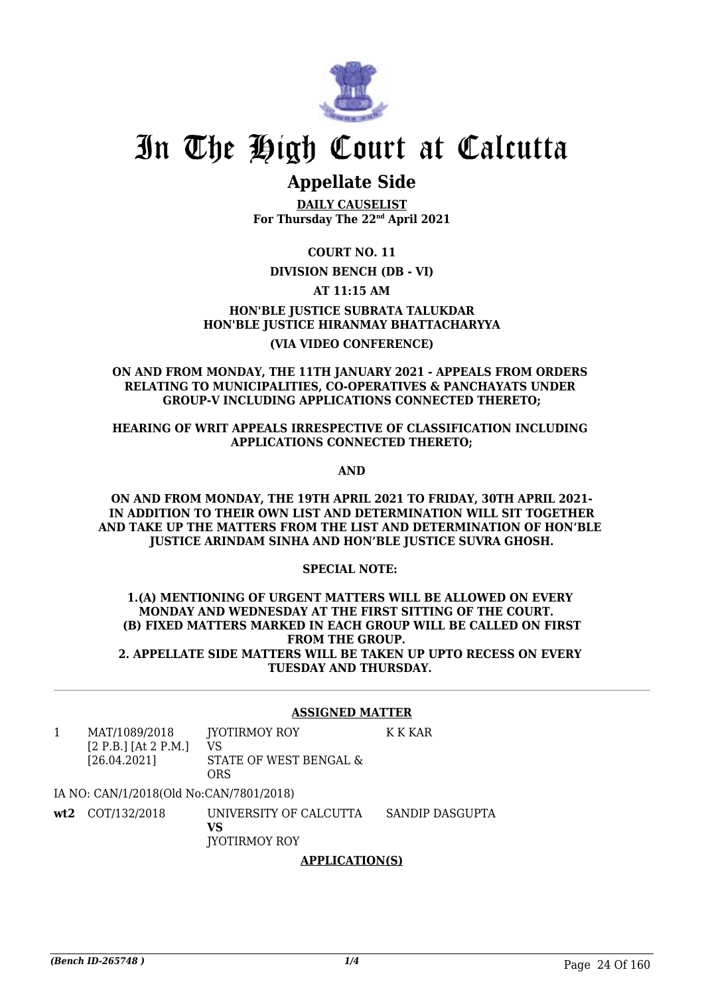

### **Appellate Side**

**DAILY CAUSELIST For Thursday The 22nd April 2021**

**COURT NO. 11**

#### **DIVISION BENCH (DB - VI)**

**AT 11:15 AM**

**HON'BLE JUSTICE SUBRATA TALUKDAR HON'BLE JUSTICE HIRANMAY BHATTACHARYYA (VIA VIDEO CONFERENCE)**

#### **ON AND FROM MONDAY, THE 11TH JANUARY 2021 - APPEALS FROM ORDERS RELATING TO MUNICIPALITIES, CO-OPERATIVES & PANCHAYATS UNDER GROUP-V INCLUDING APPLICATIONS CONNECTED THERETO;**

#### **HEARING OF WRIT APPEALS IRRESPECTIVE OF CLASSIFICATION INCLUDING APPLICATIONS CONNECTED THERETO;**

**AND**

**ON AND FROM MONDAY, THE 19TH APRIL 2021 TO FRIDAY, 30TH APRIL 2021- IN ADDITION TO THEIR OWN LIST AND DETERMINATION WILL SIT TOGETHER AND TAKE UP THE MATTERS FROM THE LIST AND DETERMINATION OF HON'BLE JUSTICE ARINDAM SINHA AND HON'BLE JUSTICE SUVRA GHOSH.**

#### **SPECIAL NOTE:**

#### **1.(A) MENTIONING OF URGENT MATTERS WILL BE ALLOWED ON EVERY MONDAY AND WEDNESDAY AT THE FIRST SITTING OF THE COURT. (B) FIXED MATTERS MARKED IN EACH GROUP WILL BE CALLED ON FIRST FROM THE GROUP. 2. APPELLATE SIDE MATTERS WILL BE TAKEN UP UPTO RECESS ON EVERY TUESDAY AND THURSDAY.**

#### **ASSIGNED MATTER**

K K KAR

1 MAT/1089/2018 [2 P.B.] [At 2 P.M.] [26.04.2021] JYOTIRMOY ROY VS STATE OF WEST BENGAL & **ORS** 

IA NO: CAN/1/2018(Old No:CAN/7801/2018)

**wt2** COT/132/2018 UNIVERSITY OF CALCUTTA **VS** JYOTIRMOY ROY SANDIP DASGUPTA

#### **APPLICATION(S)**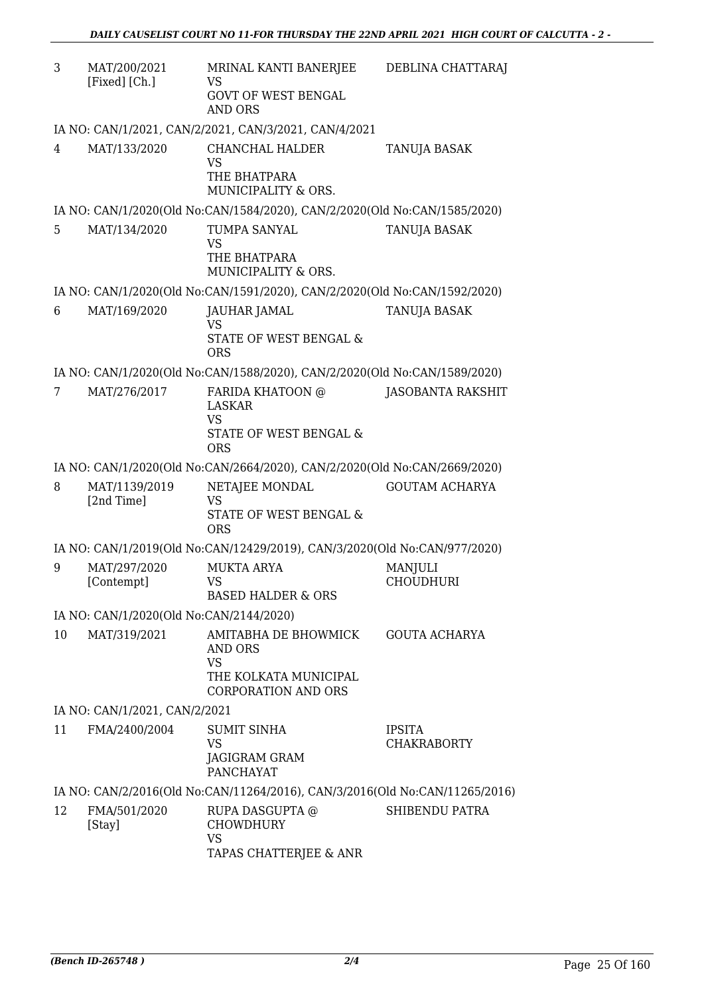| 3  | MAT/200/2021<br>[Fixed] [Ch.]           | MRINAL KANTI BANERJEE<br>VS<br><b>GOVT OF WEST BENGAL</b><br><b>AND ORS</b>                         | DEBLINA CHATTARAJ                   |
|----|-----------------------------------------|-----------------------------------------------------------------------------------------------------|-------------------------------------|
|    |                                         | IA NO: CAN/1/2021, CAN/2/2021, CAN/3/2021, CAN/4/2021                                               |                                     |
| 4  | MAT/133/2020                            | CHANCHAL HALDER<br><b>VS</b><br>THE BHATPARA<br>MUNICIPALITY & ORS.                                 | TANUJA BASAK                        |
|    |                                         | IA NO: CAN/1/2020(Old No:CAN/1584/2020), CAN/2/2020(Old No:CAN/1585/2020)                           |                                     |
| 5  | MAT/134/2020                            | TUMPA SANYAL<br><b>VS</b><br>THE BHATPARA<br>MUNICIPALITY & ORS.                                    | TANUJA BASAK                        |
|    |                                         | IA NO: CAN/1/2020(Old No:CAN/1591/2020), CAN/2/2020(Old No:CAN/1592/2020)                           |                                     |
| 6  | MAT/169/2020                            | JAUHAR JAMAL<br><b>VS</b><br>STATE OF WEST BENGAL &<br><b>ORS</b>                                   | <b>TANUJA BASAK</b>                 |
|    |                                         | IA NO: CAN/1/2020(Old No:CAN/1588/2020), CAN/2/2020(Old No:CAN/1589/2020)                           |                                     |
| 7  | MAT/276/2017                            | FARIDA KHATOON @                                                                                    | <b>JASOBANTA RAKSHIT</b>            |
|    |                                         | <b>LASKAR</b><br><b>VS</b><br>STATE OF WEST BENGAL &<br><b>ORS</b>                                  |                                     |
|    |                                         | IA NO: CAN/1/2020(Old No:CAN/2664/2020), CAN/2/2020(Old No:CAN/2669/2020)                           |                                     |
| 8  | MAT/1139/2019<br>[2nd Time]             | NETAJEE MONDAL<br>VS<br>STATE OF WEST BENGAL &<br><b>ORS</b>                                        | <b>GOUTAM ACHARYA</b>               |
|    |                                         | IA NO: CAN/1/2019(Old No:CAN/12429/2019), CAN/3/2020(Old No:CAN/977/2020)                           |                                     |
| 9  | MAT/297/2020<br>[Contempt]              | <b>MUKTA ARYA</b><br>VS.<br><b>BASED HALDER &amp; ORS</b>                                           | <b>MANJULI</b><br><b>CHOUDHURI</b>  |
|    | IA NO: CAN/1/2020(Old No:CAN/2144/2020) |                                                                                                     |                                     |
| 10 | MAT/319/2021                            | AMITABHA DE BHOWMICK<br>AND ORS<br><b>VS</b><br>THE KOLKATA MUNICIPAL<br><b>CORPORATION AND ORS</b> | <b>GOUTA ACHARYA</b>                |
|    | IA NO: CAN/1/2021, CAN/2/2021           |                                                                                                     |                                     |
| 11 | FMA/2400/2004                           | <b>SUMIT SINHA</b><br><b>VS</b><br>JAGIGRAM GRAM<br><b>PANCHAYAT</b>                                | <b>IPSITA</b><br><b>CHAKRABORTY</b> |
|    |                                         | IA NO: CAN/2/2016(Old No:CAN/11264/2016), CAN/3/2016(Old No:CAN/11265/2016)                         |                                     |
| 12 | FMA/501/2020<br>[Stay]                  | RUPA DASGUPTA @<br><b>CHOWDHURY</b><br><b>VS</b><br>TAPAS CHATTERJEE & ANR                          | SHIBENDU PATRA                      |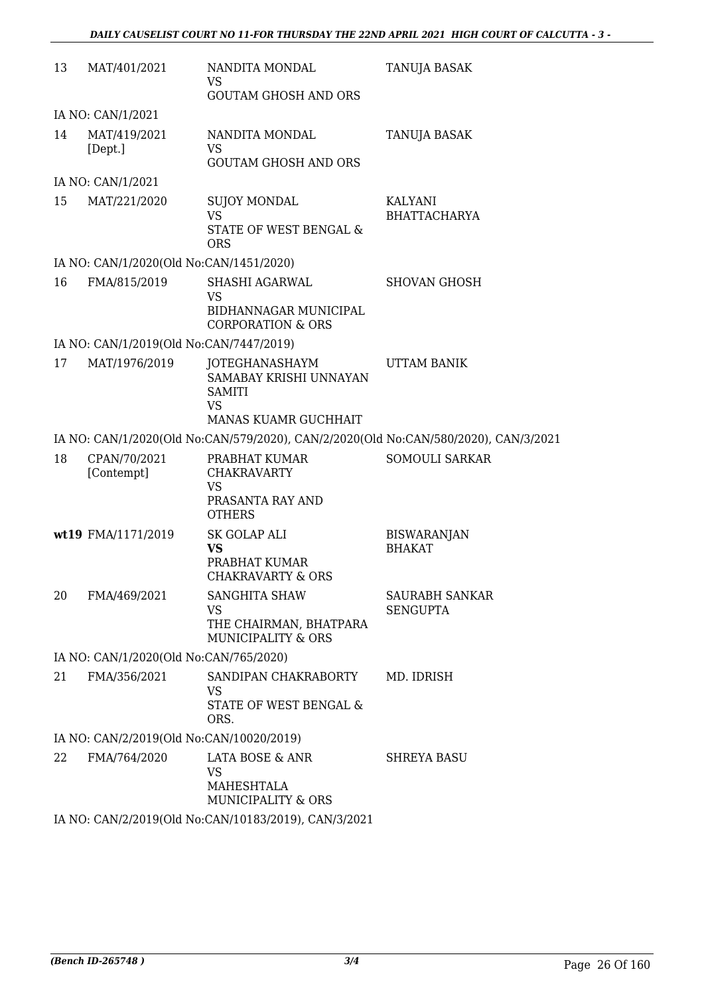| 13 | MAT/401/2021                             | NANDITA MONDAL<br>VS                                                                         | TANUJA BASAK                             |
|----|------------------------------------------|----------------------------------------------------------------------------------------------|------------------------------------------|
|    |                                          | <b>GOUTAM GHOSH AND ORS</b>                                                                  |                                          |
|    | IA NO: CAN/1/2021                        |                                                                                              |                                          |
| 14 | MAT/419/2021<br>[Dept.]                  | NANDITA MONDAL<br><b>VS</b>                                                                  | <b>TANUJA BASAK</b>                      |
|    | IA NO: CAN/1/2021                        | <b>GOUTAM GHOSH AND ORS</b>                                                                  |                                          |
| 15 | MAT/221/2020                             | <b>SUJOY MONDAL</b>                                                                          | KALYANI                                  |
|    |                                          | <b>VS</b><br>STATE OF WEST BENGAL &<br><b>ORS</b>                                            | <b>BHATTACHARYA</b>                      |
|    | IA NO: CAN/1/2020(Old No:CAN/1451/2020)  |                                                                                              |                                          |
| 16 | FMA/815/2019                             | SHASHI AGARWAL                                                                               | <b>SHOVAN GHOSH</b>                      |
|    |                                          | <b>VS</b><br>BIDHANNAGAR MUNICIPAL<br><b>CORPORATION &amp; ORS</b>                           |                                          |
|    | IA NO: CAN/1/2019(Old No:CAN/7447/2019)  |                                                                                              |                                          |
| 17 | MAT/1976/2019                            | JOTEGHANASHAYM<br>SAMABAY KRISHI UNNAYAN<br><b>SAMITI</b><br><b>VS</b>                       | UTTAM BANIK                              |
|    |                                          | MANAS KUAMR GUCHHAIT                                                                         |                                          |
|    |                                          | IA NO: CAN/1/2020(Old No:CAN/579/2020), CAN/2/2020(Old No:CAN/580/2020), CAN/3/2021          |                                          |
| 18 | CPAN/70/2021<br>[Contempt]               | PRABHAT KUMAR<br><b>CHAKRAVARTY</b><br><b>VS</b>                                             | <b>SOMOULI SARKAR</b>                    |
|    |                                          | PRASANTA RAY AND<br><b>OTHERS</b>                                                            |                                          |
|    | wt19 FMA/1171/2019                       | SK GOLAP ALI<br><b>VS</b><br>PRABHAT KUMAR<br><b>CHAKRAVARTY &amp; ORS</b>                   | <b>BISWARANJAN</b><br><b>BHAKAT</b>      |
| 20 | FMA/469/2021                             | <b>SANGHITA SHAW</b><br><b>VS</b><br>THE CHAIRMAN, BHATPARA<br><b>MUNICIPALITY &amp; ORS</b> | <b>SAURABH SANKAR</b><br><b>SENGUPTA</b> |
|    | IA NO: CAN/1/2020(Old No:CAN/765/2020)   |                                                                                              |                                          |
| 21 | FMA/356/2021                             | SANDIPAN CHAKRABORTY<br><b>VS</b><br><b>STATE OF WEST BENGAL &amp;</b><br>ORS.               | MD. IDRISH                               |
|    | IA NO: CAN/2/2019(Old No:CAN/10020/2019) |                                                                                              |                                          |
| 22 | FMA/764/2020                             | LATA BOSE & ANR<br>VS<br>MAHESHTALA<br><b>MUNICIPALITY &amp; ORS</b>                         | <b>SHREYA BASU</b>                       |
|    |                                          | IA NO: CAN/2/2019(Old No:CAN/10183/2019), CAN/3/2021                                         |                                          |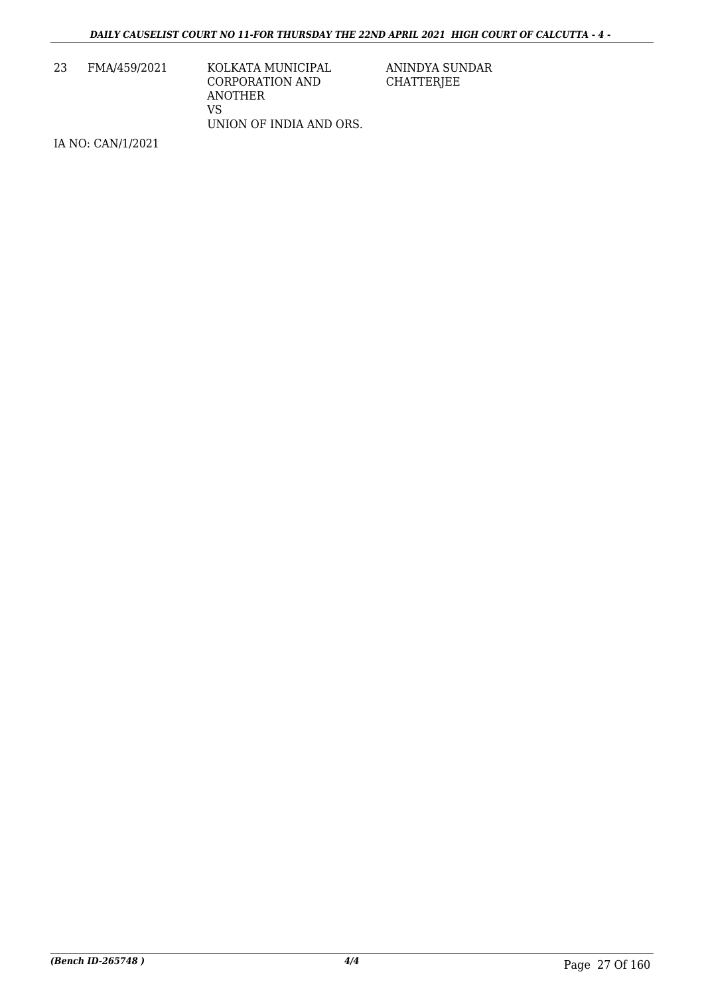| FMA/459/2021 | KOLKATA MUNICIPAL       |
|--------------|-------------------------|
|              | CORPORATION AND         |
|              | ANOTHER                 |
|              | VS                      |
|              | UNION OF INDIA AND ORS. |
|              |                         |

IA NO: CAN/1/2021

ANINDYA SUNDAR CHATTERJEE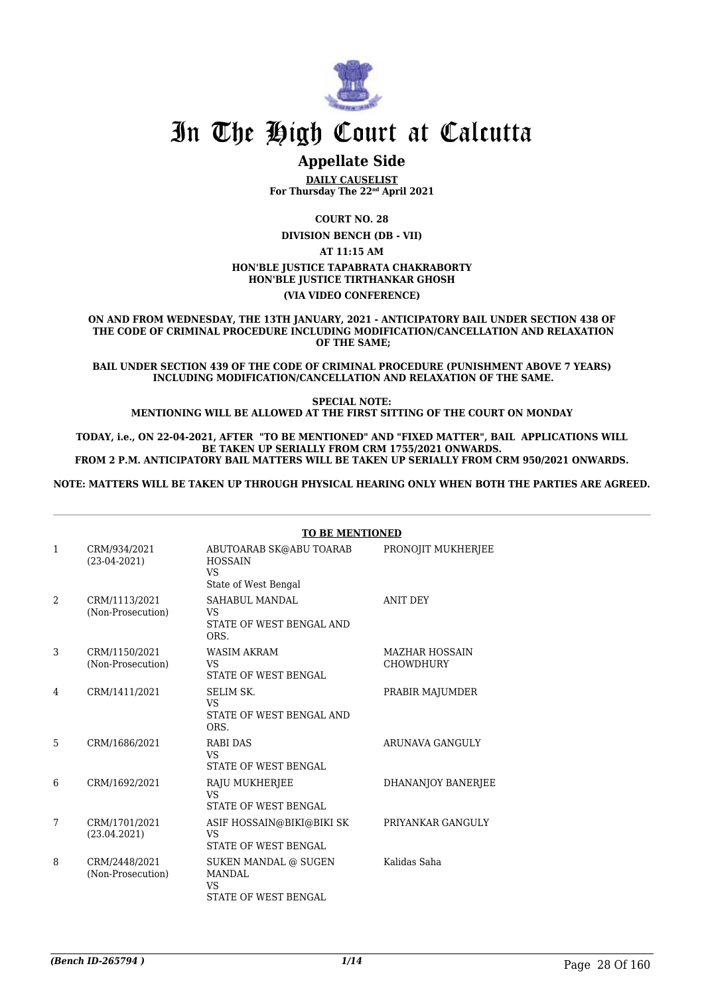

### **Appellate Side**

**DAILY CAUSELIST For Thursday The 22nd April 2021**

**COURT NO. 28**

**DIVISION BENCH (DB - VII)**

**AT 11:15 AM**

#### **HON'BLE JUSTICE TAPABRATA CHAKRABORTY**

**HON'BLE JUSTICE TIRTHANKAR GHOSH**

**(VIA VIDEO CONFERENCE)**

**ON AND FROM WEDNESDAY, THE 13TH JANUARY, 2021 - ANTICIPATORY BAIL UNDER SECTION 438 OF THE CODE OF CRIMINAL PROCEDURE INCLUDING MODIFICATION/CANCELLATION AND RELAXATION OF THE SAME;**

**BAIL UNDER SECTION 439 OF THE CODE OF CRIMINAL PROCEDURE (PUNISHMENT ABOVE 7 YEARS) INCLUDING MODIFICATION/CANCELLATION AND RELAXATION OF THE SAME.**

**SPECIAL NOTE: MENTIONING WILL BE ALLOWED AT THE FIRST SITTING OF THE COURT ON MONDAY**

**TODAY, i.e., ON 22-04-2021, AFTER "TO BE MENTIONED" AND "FIXED MATTER", BAIL APPLICATIONS WILL BE TAKEN UP SERIALLY FROM CRM 1755/2021 ONWARDS. FROM 2 P.M. ANTICIPATORY BAIL MATTERS WILL BE TAKEN UP SERIALLY FROM CRM 950/2021 ONWARDS.**

**NOTE: MATTERS WILL BE TAKEN UP THROUGH PHYSICAL HEARING ONLY WHEN BOTH THE PARTIES ARE AGREED.**

|                |                                    | <b>TO BE MENTIONED</b>                                                         |                                           |  |
|----------------|------------------------------------|--------------------------------------------------------------------------------|-------------------------------------------|--|
| 1              | CRM/934/2021<br>$(23-04-2021)$     | ABUTOARAB SK@ABU TOARAB<br><b>HOSSAIN</b><br><b>VS</b><br>State of West Bengal | PRONOJIT MUKHERJEE                        |  |
| $\mathfrak{D}$ | CRM/1113/2021<br>(Non-Prosecution) | SAHABUL MANDAL<br>VS.<br>STATE OF WEST BENGAL AND<br>ORS.                      | <b>ANIT DEY</b>                           |  |
| 3              | CRM/1150/2021<br>(Non-Prosecution) | WASIM AKRAM<br><b>VS</b><br><b>STATE OF WEST BENGAL</b>                        | <b>MAZHAR HOSSAIN</b><br><b>CHOWDHURY</b> |  |
| 4              | CRM/1411/2021                      | <b>SELIM SK.</b><br><b>VS</b><br>STATE OF WEST BENGAL AND<br>ORS.              | PRABIR MAJUMDER                           |  |
| 5              | CRM/1686/2021                      | RABI DAS<br><b>VS</b><br><b>STATE OF WEST BENGAL</b>                           | ARUNAVA GANGULY                           |  |
| 6              | CRM/1692/2021                      | RAJU MUKHERJEE<br><b>VS</b><br><b>STATE OF WEST BENGAL</b>                     | <b>DHANANJOY BANERJEE</b>                 |  |
| 7              | CRM/1701/2021<br>(23.04.2021)      | ASIF HOSSAIN@BIKI@BIKI SK<br>VS<br><b>STATE OF WEST BENGAL</b>                 | PRIYANKAR GANGULY                         |  |
| 8              | CRM/2448/2021<br>(Non-Prosecution) | SUKEN MANDAL @ SUGEN<br><b>MANDAL</b><br><b>VS</b><br>STATE OF WEST BENGAL     | Kalidas Saha                              |  |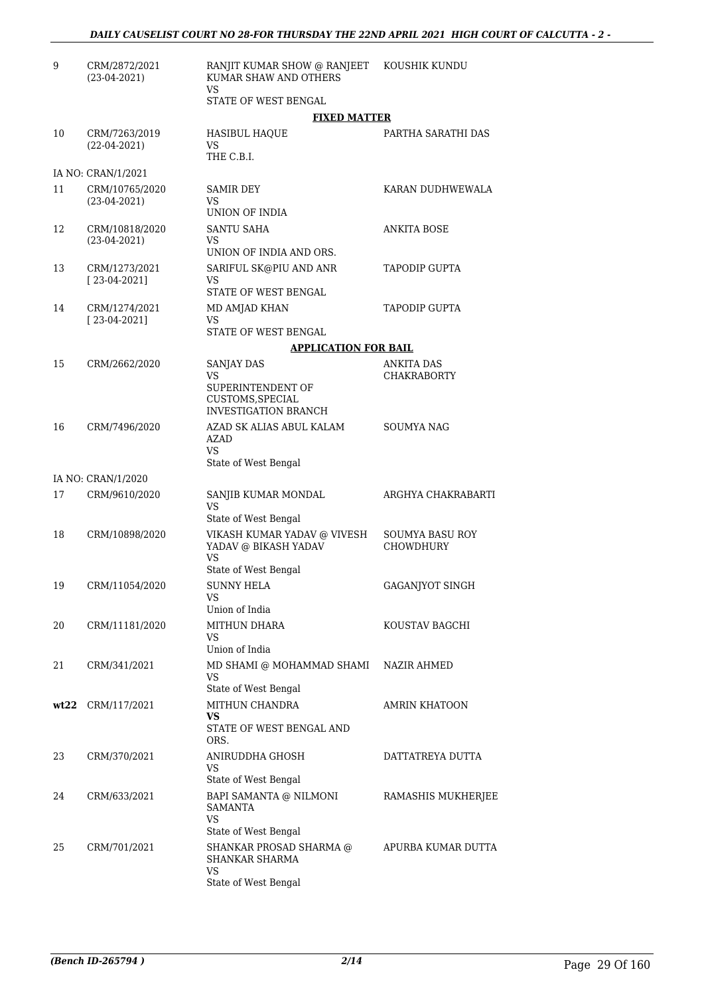| 9  | CRM/2872/2021<br>$(23-04-2021)$  | RANJIT KUMAR SHOW @ RANJEET<br>KUMAR SHAW AND OTHERS<br>VS.                                      | KOUSHIK KUNDU                           |
|----|----------------------------------|--------------------------------------------------------------------------------------------------|-----------------------------------------|
|    |                                  | STATE OF WEST BENGAL                                                                             |                                         |
|    |                                  | <b>FIXED MATTER</b>                                                                              |                                         |
| 10 | CRM/7263/2019<br>$(22-04-2021)$  | <b>HASIBUL HAQUE</b><br>VS.<br>THE C.B.I.                                                        | PARTHA SARATHI DAS                      |
|    | IA NO: CRAN/1/2021               |                                                                                                  |                                         |
| 11 | CRM/10765/2020<br>$(23-04-2021)$ | SAMIR DEY<br>VS.<br>UNION OF INDIA                                                               | KARAN DUDHWEWALA                        |
| 12 | CRM/10818/2020<br>$(23-04-2021)$ | SANTU SAHA<br>VS.<br>UNION OF INDIA AND ORS.                                                     | ANKITA BOSE                             |
| 13 | CRM/1273/2021<br>$[23-04-2021]$  | SARIFUL SK@PIU AND ANR<br>VS.<br>STATE OF WEST BENGAL                                            | <b>TAPODIP GUPTA</b>                    |
| 14 | CRM/1274/2021<br>$[23-04-2021]$  | MD AMJAD KHAN<br>VS.                                                                             | <b>TAPODIP GUPTA</b>                    |
|    |                                  | STATE OF WEST BENGAL                                                                             |                                         |
|    |                                  | <b>APPLICATION FOR BAIL</b>                                                                      |                                         |
| 15 | CRM/2662/2020                    | <b>SANJAY DAS</b><br>VS.<br>SUPERINTENDENT OF<br>CUSTOMS, SPECIAL<br><b>INVESTIGATION BRANCH</b> | <b>ANKITA DAS</b><br><b>CHAKRABORTY</b> |
| 16 | CRM/7496/2020                    | AZAD SK ALIAS ABUL KALAM<br><b>AZAD</b><br>VS.<br>State of West Bengal                           | <b>SOUMYA NAG</b>                       |
|    | IA NO: CRAN/1/2020               |                                                                                                  |                                         |
| 17 | CRM/9610/2020                    | SANJIB KUMAR MONDAL<br>VS<br>State of West Bengal                                                | ARGHYA CHAKRABARTI                      |
| 18 | CRM/10898/2020                   | VIKASH KUMAR YADAV @ VIVESH<br>YADAV @ BIKASH YADAV<br>VS                                        | <b>SOUMYA BASU ROY</b><br>CHOWDHURY     |
|    |                                  | State of West Bengal                                                                             |                                         |
| 19 | CRM/11054/2020                   | <b>SUNNY HELA</b><br>VS<br>Union of India                                                        | <b>GAGANJYOT SINGH</b>                  |
| 20 | CRM/11181/2020                   | MITHUN DHARA<br>VS.<br>Union of India                                                            | KOUSTAV BAGCHI                          |
| 21 | CRM/341/2021                     | MD SHAMI @ MOHAMMAD SHAMI<br>VS<br>State of West Bengal                                          | NAZIR AHMED                             |
|    | wt22 CRM/117/2021                | MITHUN CHANDRA                                                                                   | <b>AMRIN KHATOON</b>                    |
|    |                                  | VS<br>STATE OF WEST BENGAL AND<br>ORS.                                                           |                                         |
| 23 | CRM/370/2021                     | ANIRUDDHA GHOSH<br>VS<br>State of West Bengal                                                    | DATTATREYA DUTTA                        |
| 24 | CRM/633/2021                     | BAPI SAMANTA @ NILMONI<br><b>SAMANTA</b><br>VS                                                   | RAMASHIS MUKHERJEE                      |
| 25 | CRM/701/2021                     | State of West Bengal<br>SHANKAR PROSAD SHARMA @<br>SHANKAR SHARMA<br>VS<br>State of West Bengal  | APURBA KUMAR DUTTA                      |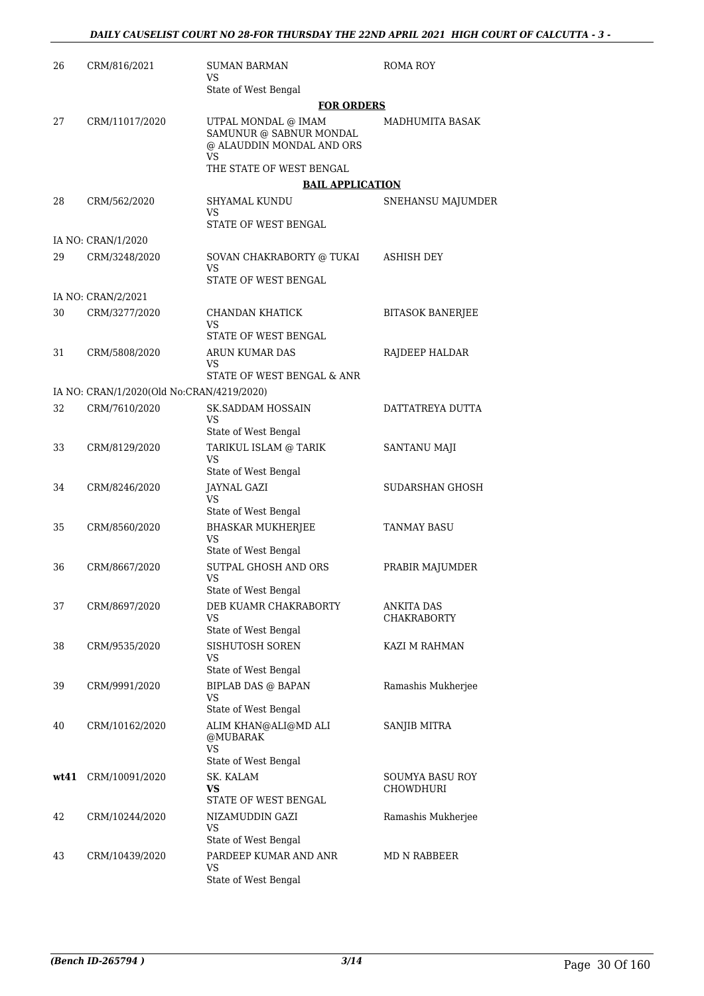| 26   | CRM/816/2021                              | <b>SUMAN BARMAN</b><br>VS                                                                | <b>ROMA ROY</b>              |
|------|-------------------------------------------|------------------------------------------------------------------------------------------|------------------------------|
|      |                                           | State of West Bengal                                                                     |                              |
|      |                                           | <b>FOR ORDERS</b>                                                                        |                              |
| 27   | CRM/11017/2020                            | UTPAL MONDAL @ IMAM<br>SAMUNUR @ SABNUR MONDAL<br>@ ALAUDDIN MONDAL AND ORS<br><b>VS</b> | <b>MADHUMITA BASAK</b>       |
|      |                                           | THE STATE OF WEST BENGAL                                                                 |                              |
|      |                                           | <b>BAIL APPLICATION</b>                                                                  |                              |
| 28   | CRM/562/2020                              | <b>SHYAMAL KUNDU</b><br>VS<br>STATE OF WEST BENGAL                                       | SNEHANSU MAJUMDER            |
|      | IA NO: CRAN/1/2020                        |                                                                                          |                              |
| 29   | CRM/3248/2020                             | SOVAN CHAKRABORTY @ TUKAI                                                                | ASHISH DEY                   |
|      |                                           | VS<br>STATE OF WEST BENGAL                                                               |                              |
|      | IA NO: CRAN/2/2021                        |                                                                                          |                              |
| 30   | CRM/3277/2020                             | CHANDAN KHATICK<br>VS                                                                    | <b>BITASOK BANERJEE</b>      |
|      |                                           | STATE OF WEST BENGAL                                                                     |                              |
| 31   | CRM/5808/2020                             | ARUN KUMAR DAS<br>VS                                                                     | RAJDEEP HALDAR               |
|      |                                           | STATE OF WEST BENGAL & ANR                                                               |                              |
|      | IA NO: CRAN/1/2020(Old No:CRAN/4219/2020) |                                                                                          |                              |
| 32   | CRM/7610/2020                             | <b>SK.SADDAM HOSSAIN</b><br>VS                                                           | DATTATREYA DUTTA             |
|      |                                           | State of West Bengal                                                                     |                              |
| 33   | CRM/8129/2020                             | TARIKUL ISLAM @ TARIK<br><b>VS</b><br>State of West Bengal                               | SANTANU MAJI                 |
| 34   | CRM/8246/2020                             | JAYNAL GAZI<br>VS                                                                        | SUDARSHAN GHOSH              |
|      |                                           | State of West Bengal                                                                     |                              |
| 35   | CRM/8560/2020                             | <b>BHASKAR MUKHERJEE</b><br>VS                                                           | <b>TANMAY BASU</b>           |
|      |                                           | State of West Bengal                                                                     |                              |
| 36   | CRM/8667/2020                             | SUTPAL GHOSH AND ORS<br><b>VS</b><br>State of West Bengal                                | PRABIR MAJUMDER              |
| 37   | CRM/8697/2020                             | DEB KUAMR CHAKRABORTY                                                                    | ANKITA DAS                   |
|      |                                           | VS<br>State of West Bengal                                                               | CHAKRABORTY                  |
| 38   | CRM/9535/2020                             | SISHUTOSH SOREN<br>VS                                                                    | KAZI M RAHMAN                |
|      |                                           | State of West Bengal                                                                     |                              |
| 39   | CRM/9991/2020                             | <b>BIPLAB DAS @ BAPAN</b><br>VS                                                          | Ramashis Mukherjee           |
| 40   | CRM/10162/2020                            | State of West Bengal<br>ALIM KHAN@ALI@MD ALI                                             | SANJIB MITRA                 |
|      |                                           | @MUBARAK<br><b>VS</b>                                                                    |                              |
|      |                                           | State of West Bengal                                                                     |                              |
| wt41 | CRM/10091/2020                            | SK. KALAM<br>VS<br>STATE OF WEST BENGAL                                                  | SOUMYA BASU ROY<br>CHOWDHURI |
| 42   | CRM/10244/2020                            | NIZAMUDDIN GAZI                                                                          | Ramashis Mukherjee           |
|      |                                           | VS<br>State of West Bengal                                                               |                              |
| 43   | CRM/10439/2020                            | PARDEEP KUMAR AND ANR                                                                    | MD N RABBEER                 |
|      |                                           | VS<br>State of West Bengal                                                               |                              |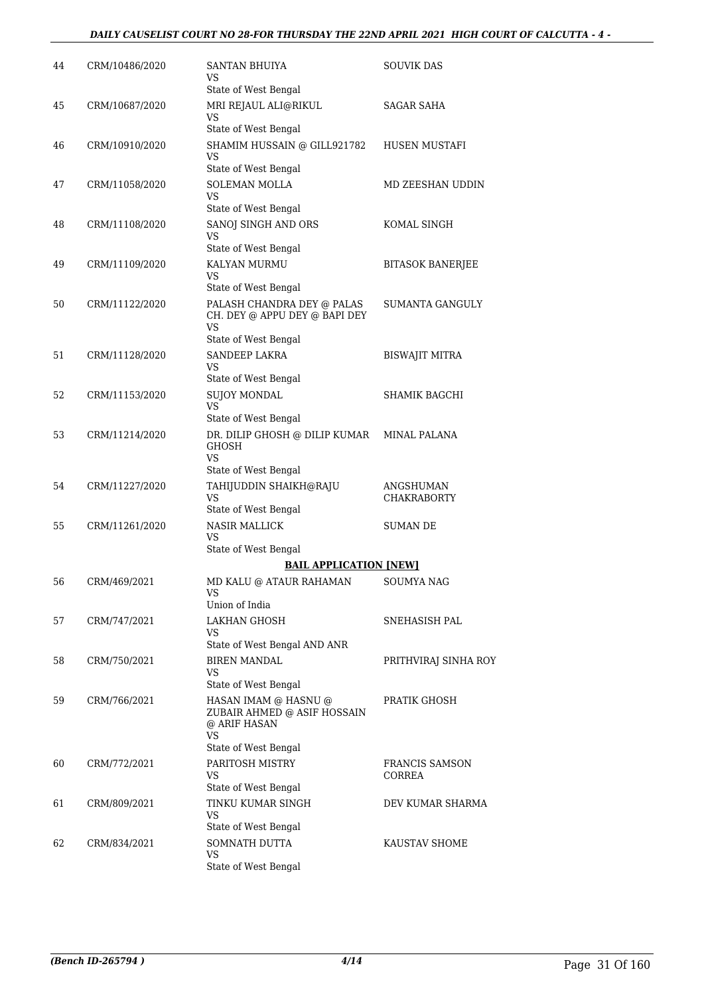| 44 | CRM/10486/2020 | SANTAN BHUIYA<br>VS                                                       | SOUVIK DAS               |
|----|----------------|---------------------------------------------------------------------------|--------------------------|
| 45 | CRM/10687/2020 | State of West Bengal<br>MRI REJAUL ALI@RIKUL                              | SAGAR SAHA               |
|    |                | VS<br>State of West Bengal                                                |                          |
| 46 | CRM/10910/2020 | SHAMIM HUSSAIN @ GILL921782<br>VS                                         | HUSEN MUSTAFI            |
|    |                | State of West Bengal                                                      |                          |
| 47 | CRM/11058/2020 | SOLEMAN MOLLA<br>VS<br>State of West Bengal                               | MD ZEESHAN UDDIN         |
| 48 | CRM/11108/2020 | SANOJ SINGH AND ORS<br>VS                                                 | KOMAL SINGH              |
|    |                | State of West Bengal                                                      |                          |
| 49 | CRM/11109/2020 | KALYAN MURMU<br>VS<br>State of West Bengal                                | <b>BITASOK BANERJEE</b>  |
| 50 | CRM/11122/2020 | PALASH CHANDRA DEY @ PALAS<br>CH. DEY @ APPU DEY @ BAPI DEY<br>VS         | SUMANTA GANGULY          |
|    |                | State of West Bengal                                                      |                          |
| 51 | CRM/11128/2020 | SANDEEP LAKRA<br>VS                                                       | <b>BISWAJIT MITRA</b>    |
|    |                | State of West Bengal                                                      |                          |
| 52 | CRM/11153/2020 | <b>SUJOY MONDAL</b><br>VS                                                 | SHAMIK BAGCHI            |
|    |                | State of West Bengal                                                      |                          |
| 53 | CRM/11214/2020 | DR. DILIP GHOSH @ DILIP KUMAR<br>GHOSH<br>VS.                             | MINAL PALANA             |
|    |                | State of West Bengal                                                      |                          |
| 54 | CRM/11227/2020 | TAHIJUDDIN SHAIKH@RAJU<br>VS<br>State of West Bengal                      | ANGSHUMAN<br>CHAKRABORTY |
| 55 | CRM/11261/2020 | <b>NASIR MALLICK</b><br>VS                                                | <b>SUMAN DE</b>          |
|    |                | State of West Bengal                                                      |                          |
|    |                | <b>BAIL APPLICATION [NEW]</b>                                             |                          |
| 56 | CRM/469/2021   | MD KALU @ ATAUR RAHAMAN<br>VS<br>Union of India                           | SOUMYA NAG               |
| 57 | CRM/747/2021   | <b>LAKHAN GHOSH</b>                                                       | SNEHASISH PAL            |
|    |                | VS<br>State of West Bengal AND ANR                                        |                          |
| 58 | CRM/750/2021   | <b>BIREN MANDAL</b>                                                       | PRITHVIRAJ SINHA ROY     |
|    |                | VS<br>State of West Bengal                                                |                          |
| 59 | CRM/766/2021   | HASAN IMAM @ HASNU @<br>ZUBAIR AHMED @ ASIF HOSSAIN<br>@ ARIF HASAN<br>VS | PRATIK GHOSH             |
|    |                | State of West Bengal                                                      |                          |
| 60 | CRM/772/2021   | PARITOSH MISTRY<br>VS<br>State of West Bengal                             | FRANCIS SAMSON<br>CORREA |
| 61 | CRM/809/2021   | TINKU KUMAR SINGH<br>VS                                                   | DEV KUMAR SHARMA         |
|    |                | State of West Bengal                                                      |                          |
| 62 | CRM/834/2021   | SOMNATH DUTTA<br>VS<br>State of West Bengal                               | KAUSTAV SHOME            |
|    |                |                                                                           |                          |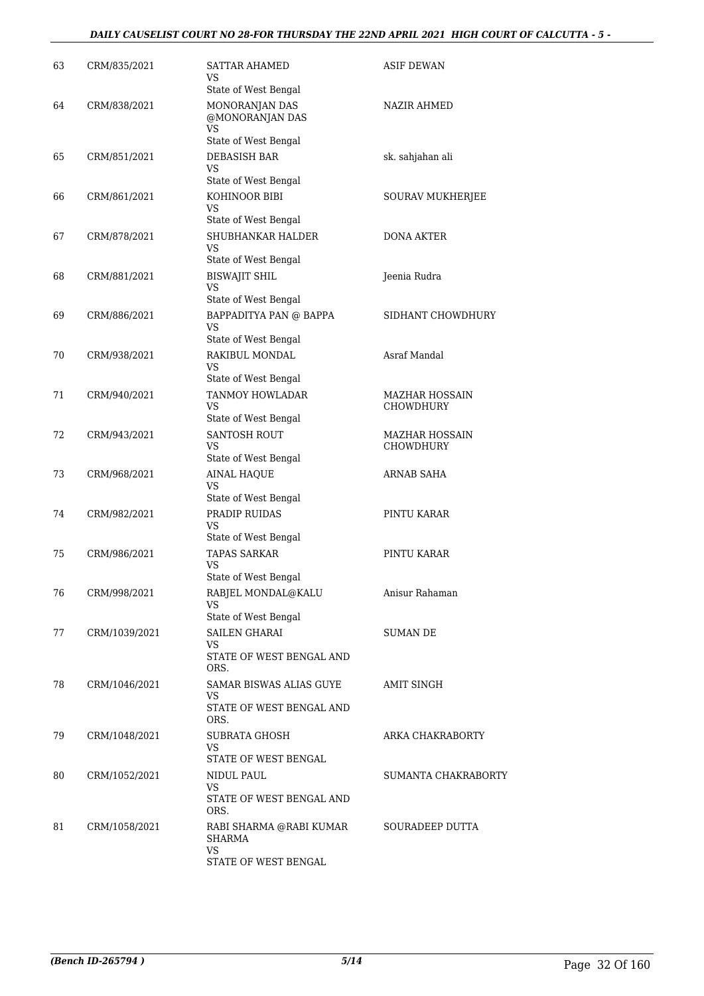#### *DAILY CAUSELIST COURT NO 28-FOR THURSDAY THE 22ND APRIL 2021 HIGH COURT OF CALCUTTA - 5 -*

| 63 | CRM/835/2021  | <b>SATTAR AHAMED</b><br>VS<br>State of West Bengal                       | <b>ASIF DEWAN</b>                         |
|----|---------------|--------------------------------------------------------------------------|-------------------------------------------|
| 64 | CRM/838/2021  | MONORANJAN DAS<br>@MONORANJAN DAS<br>VS<br>State of West Bengal          | NAZIR AHMED                               |
| 65 | CRM/851/2021  | <b>DEBASISH BAR</b><br>VS<br>State of West Bengal                        | sk. sahjahan ali                          |
| 66 | CRM/861/2021  | KOHINOOR BIBI<br>VS                                                      | SOURAV MUKHERJEE                          |
| 67 | CRM/878/2021  | State of West Bengal<br>SHUBHANKAR HALDER<br>VS.<br>State of West Bengal | <b>DONA AKTER</b>                         |
| 68 | CRM/881/2021  | <b>BISWAJIT SHIL</b><br>VS<br>State of West Bengal                       | Jeenia Rudra                              |
| 69 | CRM/886/2021  | BAPPADITYA PAN @ BAPPA<br><b>VS</b>                                      | SIDHANT CHOWDHURY                         |
| 70 | CRM/938/2021  | State of West Bengal<br>RAKIBUL MONDAL<br>VS<br>State of West Bengal     | Asraf Mandal                              |
| 71 | CRM/940/2021  | TANMOY HOWLADAR<br>VS<br>State of West Bengal                            | <b>MAZHAR HOSSAIN</b><br><b>CHOWDHURY</b> |
| 72 | CRM/943/2021  | <b>SANTOSH ROUT</b><br>VS<br>State of West Bengal                        | <b>MAZHAR HOSSAIN</b><br><b>CHOWDHURY</b> |
| 73 | CRM/968/2021  | <b>AINAL HAQUE</b><br><b>VS</b><br>State of West Bengal                  | ARNAB SAHA                                |
| 74 | CRM/982/2021  | PRADIP RUIDAS<br>VS<br>State of West Bengal                              | PINTU KARAR                               |
| 75 | CRM/986/2021  | <b>TAPAS SARKAR</b><br>VS<br>State of West Bengal                        | PINTU KARAR                               |
| 76 | CRM/998/2021  | RABJEL MONDAL@KALU<br>VS<br>State of West Bengal                         | Anisur Rahaman                            |
| 77 | CRM/1039/2021 | <b>SAILEN GHARAI</b><br>VS<br>STATE OF WEST BENGAL AND<br>ORS.           | SUMAN DE                                  |
| 78 | CRM/1046/2021 | SAMAR BISWAS ALIAS GUYE<br>VS<br>STATE OF WEST BENGAL AND<br>ORS.        | AMIT SINGH                                |
| 79 | CRM/1048/2021 | SUBRATA GHOSH<br>VS<br>STATE OF WEST BENGAL                              | ARKA CHAKRABORTY                          |
| 80 | CRM/1052/2021 | NIDUL PAUL<br><b>VS</b><br>STATE OF WEST BENGAL AND<br>ORS.              | SUMANTA CHAKRABORTY                       |
| 81 | CRM/1058/2021 | RABI SHARMA @RABI KUMAR<br>SHARMA<br><b>VS</b><br>STATE OF WEST BENGAL   | SOURADEEP DUTTA                           |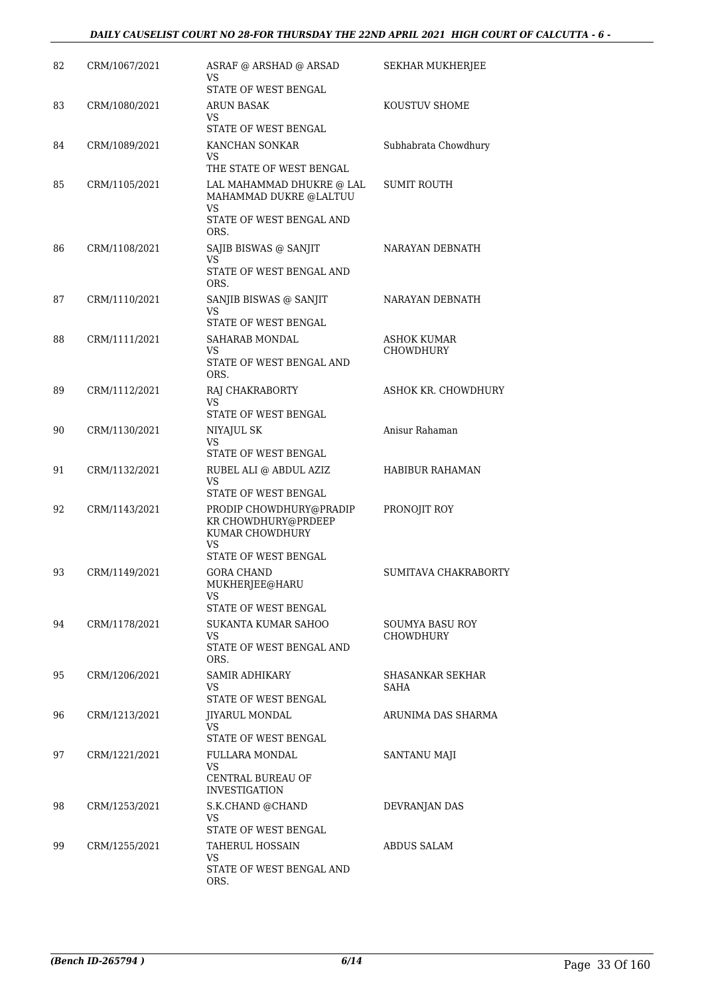| 82 | CRM/1067/2021 | ASRAF @ ARSHAD @ ARSAD<br>VS                                                                                       | <b>SEKHAR MUKHERJEE</b>             |
|----|---------------|--------------------------------------------------------------------------------------------------------------------|-------------------------------------|
| 83 | CRM/1080/2021 | STATE OF WEST BENGAL<br>ARUN BASAK<br>VS.<br>STATE OF WEST BENGAL                                                  | KOUSTUV SHOME                       |
| 84 | CRM/1089/2021 | KANCHAN SONKAR<br>VS                                                                                               | Subhabrata Chowdhury                |
| 85 | CRM/1105/2021 | THE STATE OF WEST BENGAL<br>LAL MAHAMMAD DHUKRE @ LAL<br>MAHAMMAD DUKRE @LALTUU<br>VS.<br>STATE OF WEST BENGAL AND | <b>SUMIT ROUTH</b>                  |
| 86 | CRM/1108/2021 | ORS.<br>SAJIB BISWAS @ SANJIT<br>VS<br>STATE OF WEST BENGAL AND                                                    | NARAYAN DEBNATH                     |
| 87 | CRM/1110/2021 | ORS.<br>SANJIB BISWAS @ SANJIT<br>VS                                                                               | NARAYAN DEBNATH                     |
| 88 | CRM/1111/2021 | STATE OF WEST BENGAL<br><b>SAHARAB MONDAL</b><br>VS<br>STATE OF WEST BENGAL AND<br>ORS.                            | ASHOK KUMAR<br><b>CHOWDHURY</b>     |
| 89 | CRM/1112/2021 | RAJ CHAKRABORTY<br>VS<br>STATE OF WEST BENGAL                                                                      | ASHOK KR. CHOWDHURY                 |
| 90 | CRM/1130/2021 | NIYAJUL SK<br><b>VS</b><br>STATE OF WEST BENGAL                                                                    | Anisur Rahaman                      |
| 91 | CRM/1132/2021 | RUBEL ALI @ ABDUL AZIZ<br>VS<br>STATE OF WEST BENGAL                                                               | HABIBUR RAHAMAN                     |
| 92 | CRM/1143/2021 | PRODIP CHOWDHURY@PRADIP<br>KR CHOWDHURY@PRDEEP<br>KUMAR CHOWDHURY<br>VS<br>STATE OF WEST BENGAL                    | PRONOJIT ROY                        |
| 93 | CRM/1149/2021 | GORA CHAND<br>MUKHERJEE@HARU<br>VS<br>STATE OF WEST BENGAL                                                         | SUMITAVA CHAKRABORTY                |
| 94 | CRM/1178/2021 | SUKANTA KUMAR SAHOO<br>VS<br>STATE OF WEST BENGAL AND<br>ORS.                                                      | SOUMYA BASU ROY<br><b>CHOWDHURY</b> |
| 95 | CRM/1206/2021 | SAMIR ADHIKARY<br>VS<br>STATE OF WEST BENGAL                                                                       | SHASANKAR SEKHAR<br>SAHA            |
| 96 | CRM/1213/2021 | <b>JIYARUL MONDAL</b><br>VS                                                                                        | ARUNIMA DAS SHARMA                  |
| 97 | CRM/1221/2021 | STATE OF WEST BENGAL<br>FULLARA MONDAL<br>VS<br>CENTRAL BUREAU OF<br><b>INVESTIGATION</b>                          | SANTANU MAJI                        |
| 98 | CRM/1253/2021 | S.K.CHAND @CHAND<br><b>VS</b><br>STATE OF WEST BENGAL                                                              | DEVRANJAN DAS                       |
| 99 | CRM/1255/2021 | <b>TAHERUL HOSSAIN</b><br>VS<br>STATE OF WEST BENGAL AND<br>ORS.                                                   | <b>ABDUS SALAM</b>                  |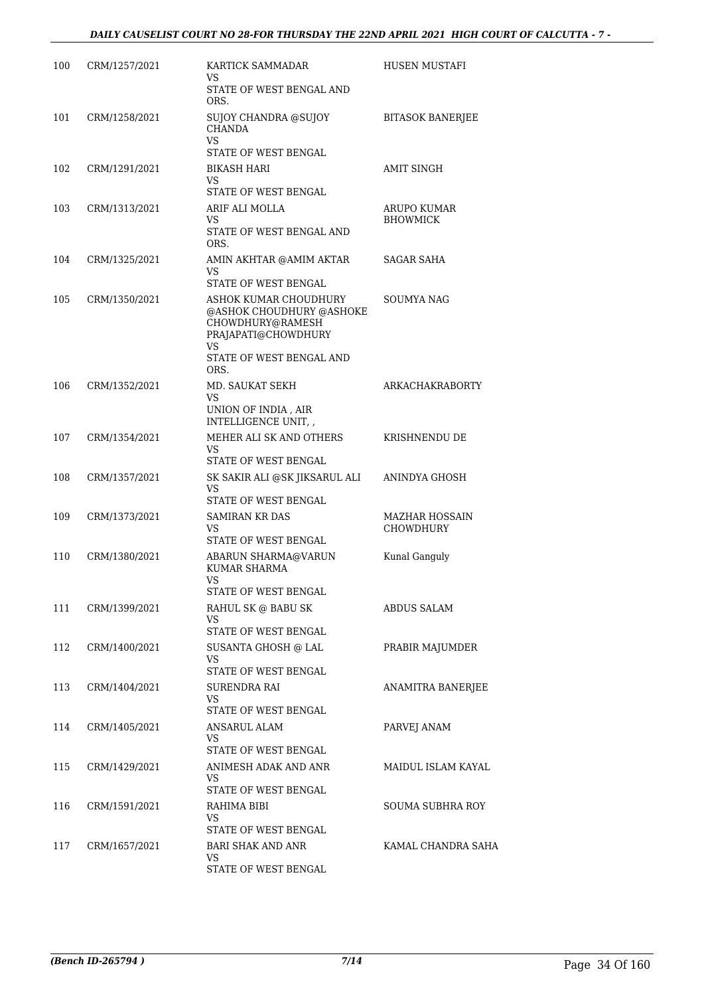| 100 | CRM/1257/2021 | KARTICK SAMMADAR<br>VS.                                                                            | HUSEN MUSTAFI                             |
|-----|---------------|----------------------------------------------------------------------------------------------------|-------------------------------------------|
|     |               | STATE OF WEST BENGAL AND<br>ORS.                                                                   |                                           |
| 101 | CRM/1258/2021 | SUJOY CHANDRA @SUJOY<br><b>CHANDA</b><br>VS.                                                       | <b>BITASOK BANERJEE</b>                   |
|     |               | STATE OF WEST BENGAL                                                                               |                                           |
| 102 | CRM/1291/2021 | BIKASH HARI<br>VS.<br>STATE OF WEST BENGAL                                                         | AMIT SINGH                                |
| 103 | CRM/1313/2021 | ARIF ALI MOLLA                                                                                     | ARUPO KUMAR                               |
|     |               | VS<br>STATE OF WEST BENGAL AND<br>ORS.                                                             | <b>BHOWMICK</b>                           |
| 104 | CRM/1325/2021 | AMIN AKHTAR @AMIM AKTAR<br><b>VS</b>                                                               | SAGAR SAHA                                |
|     | CRM/1350/2021 | STATE OF WEST BENGAL                                                                               | <b>SOUMYA NAG</b>                         |
| 105 |               | ASHOK KUMAR CHOUDHURY<br>@ASHOK CHOUDHURY @ASHOKE<br>CHOWDHURY@RAMESH<br>PRAJAPATI@CHOWDHURY<br>VS |                                           |
|     |               | STATE OF WEST BENGAL AND<br>ORS.                                                                   |                                           |
| 106 | CRM/1352/2021 | MD. SAUKAT SEKH<br>VS<br>UNION OF INDIA, AIR                                                       | ARKACHAKRABORTY                           |
| 107 | CRM/1354/2021 | INTELLIGENCE UNIT, ,<br>MEHER ALI SK AND OTHERS                                                    | KRISHNENDU DE                             |
|     |               | VS<br>STATE OF WEST BENGAL                                                                         |                                           |
| 108 | CRM/1357/2021 | SK SAKIR ALI @SK JIKSARUL ALI<br>VS<br>STATE OF WEST BENGAL                                        | ANINDYA GHOSH                             |
| 109 | CRM/1373/2021 | <b>SAMIRAN KR DAS</b><br>VS.                                                                       | <b>MAZHAR HOSSAIN</b><br><b>CHOWDHURY</b> |
| 110 | CRM/1380/2021 | STATE OF WEST BENGAL<br>ABARUN SHARMA@VARUN<br><b>KUMAR SHARMA</b><br>VS                           | Kunal Ganguly                             |
|     |               | STATE OF WEST BENGAL                                                                               |                                           |
| 111 | CRM/1399/2021 | RAHUL SK @ BABU SK<br>VS<br>STATE OF WEST BENGAL                                                   | ABDUS SALAM                               |
| 112 | CRM/1400/2021 | SUSANTA GHOSH @ LAL                                                                                | PRABIR MAJUMDER                           |
|     |               | VS<br>STATE OF WEST BENGAL                                                                         |                                           |
| 113 | CRM/1404/2021 | SURENDRA RAI                                                                                       | ANAMITRA BANERJEE                         |
|     |               | VS.<br>STATE OF WEST BENGAL                                                                        |                                           |
| 114 | CRM/1405/2021 | ANSARUL ALAM                                                                                       | PARVEJ ANAM                               |
|     |               | VS.<br>STATE OF WEST BENGAL                                                                        |                                           |
| 115 | CRM/1429/2021 | ANIMESH ADAK AND ANR                                                                               | MAIDUL ISLAM KAYAL                        |
|     |               | VS.<br>STATE OF WEST BENGAL                                                                        |                                           |
| 116 | CRM/1591/2021 | RAHIMA BIBI                                                                                        | SOUMA SUBHRA ROY                          |
|     |               | VS                                                                                                 |                                           |
|     |               | STATE OF WEST BENGAL                                                                               |                                           |
| 117 | CRM/1657/2021 | <b>BARI SHAK AND ANR</b><br>VS                                                                     | KAMAL CHANDRA SAHA                        |
|     |               | STATE OF WEST BENGAL                                                                               |                                           |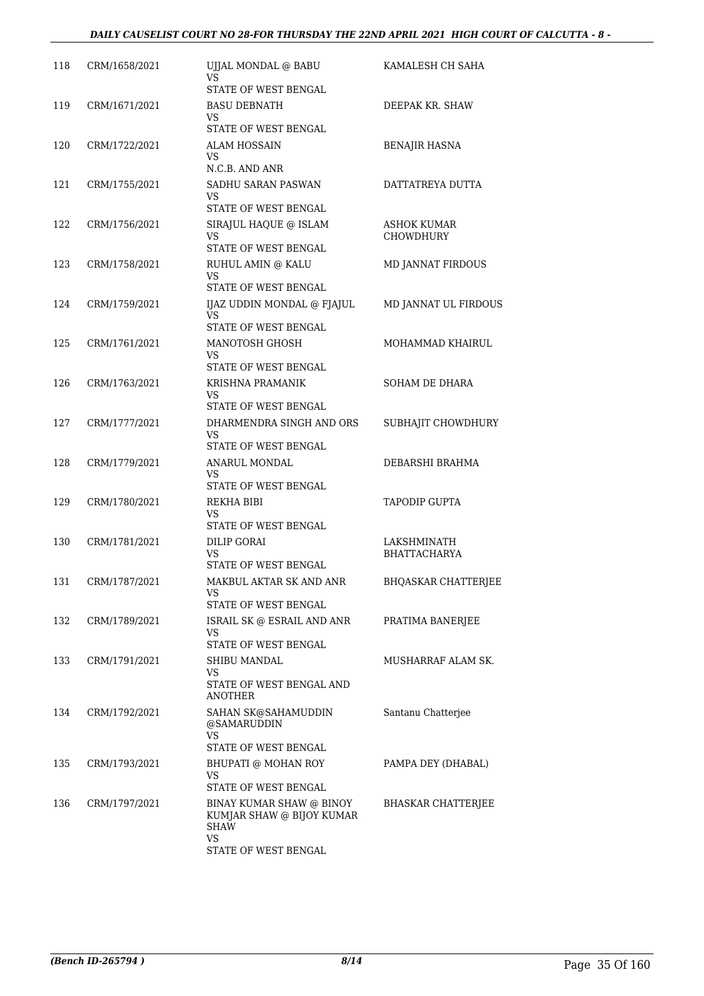| 118 | CRM/1658/2021 | UJJAL MONDAL @ BABU<br>VS                                                  | KAMALESH CH SAHA           |
|-----|---------------|----------------------------------------------------------------------------|----------------------------|
|     |               | STATE OF WEST BENGAL                                                       |                            |
| 119 | CRM/1671/2021 | <b>BASU DEBNATH</b><br>VS                                                  | DEEPAK KR. SHAW            |
|     |               | STATE OF WEST BENGAL                                                       |                            |
| 120 | CRM/1722/2021 | ALAM HOSSAIN<br>VS.<br>N.C.B. AND ANR                                      | BENAJIR HASNA              |
|     |               |                                                                            |                            |
| 121 | CRM/1755/2021 | SADHU SARAN PASWAN<br>VS.<br>STATE OF WEST BENGAL                          | DATTATREYA DUTTA           |
| 122 | CRM/1756/2021 | SIRAJUL HAQUE @ ISLAM                                                      | <b>ASHOK KUMAR</b>         |
|     |               | VS.<br>STATE OF WEST BENGAL                                                | <b>CHOWDHURY</b>           |
| 123 | CRM/1758/2021 | RUHUL AMIN @ KALU                                                          | MD JANNAT FIRDOUS          |
|     |               | VS.<br>STATE OF WEST BENGAL                                                |                            |
| 124 | CRM/1759/2021 | IJAZ UDDIN MONDAL @ FJAJUL<br>VS.<br>STATE OF WEST BENGAL                  | MD JANNAT UL FIRDOUS       |
| 125 | CRM/1761/2021 | MANOTOSH GHOSH                                                             | MOHAMMAD KHAIRUL           |
|     |               | VS.<br>STATE OF WEST BENGAL                                                |                            |
| 126 | CRM/1763/2021 | KRISHNA PRAMANIK                                                           | SOHAM DE DHARA             |
|     |               | VS.<br>STATE OF WEST BENGAL                                                |                            |
| 127 | CRM/1777/2021 | DHARMENDRA SINGH AND ORS<br>VS                                             | SUBHAJIT CHOWDHURY         |
|     |               | STATE OF WEST BENGAL                                                       |                            |
| 128 | CRM/1779/2021 | ANARUL MONDAL<br>VS.                                                       | DEBARSHI BRAHMA            |
|     |               | STATE OF WEST BENGAL                                                       |                            |
| 129 | CRM/1780/2021 | REKHA BIBI<br>VS<br>STATE OF WEST BENGAL                                   | <b>TAPODIP GUPTA</b>       |
| 130 | CRM/1781/2021 | <b>DILIP GORAI</b>                                                         | <b>LAKSHMINATH</b>         |
|     |               | <b>VS</b><br>STATE OF WEST BENGAL                                          | <b>BHATTACHARYA</b>        |
| 131 | CRM/1787/2021 | MAKBUL AKTAR SK AND ANR                                                    | <b>BHQASKAR CHATTERJEE</b> |
|     |               | VS<br>STATE OF WEST BENGAL                                                 |                            |
| 132 | CRM/1789/2021 | ISRAIL SK @ ESRAIL AND ANR<br>VS                                           | PRATIMA BANERJEE           |
|     |               | STATE OF WEST BENGAL                                                       |                            |
| 133 | CRM/1791/2021 | SHIBU MANDAL<br>VS                                                         | MUSHARRAF ALAM SK.         |
|     |               | STATE OF WEST BENGAL AND<br><b>ANOTHER</b>                                 |                            |
| 134 | CRM/1792/2021 | SAHAN SK@SAHAMUDDIN<br>@SAMARUDDIN<br><b>VS</b>                            | Santanu Chatterjee         |
|     |               | STATE OF WEST BENGAL                                                       |                            |
| 135 | CRM/1793/2021 | BHUPATI @ MOHAN ROY<br>VS                                                  | PAMPA DEY (DHABAL)         |
|     |               | STATE OF WEST BENGAL                                                       |                            |
| 136 | CRM/1797/2021 | BINAY KUMAR SHAW @ BINOY<br>KUMJAR SHAW @ BIJOY KUMAR<br><b>SHAW</b><br>VS | <b>BHASKAR CHATTERJEE</b>  |
|     |               | STATE OF WEST BENGAL                                                       |                            |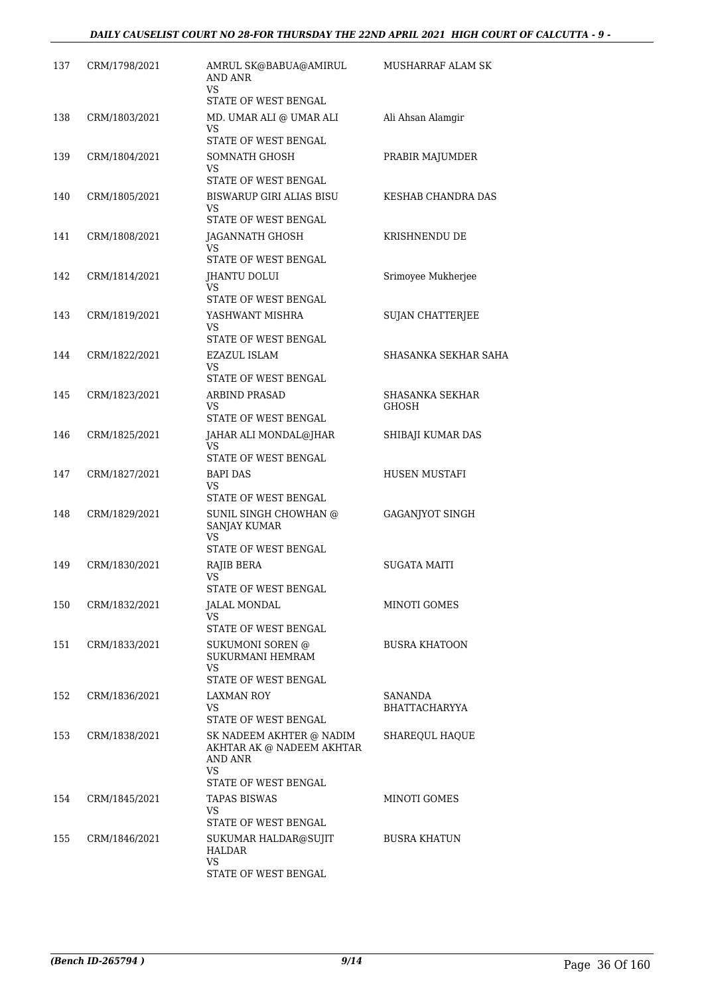| 137 | CRM/1798/2021 | AMRUL SK@BABUA@AMIRUL<br>AND ANR<br>VS                                                         | MUSHARRAF ALAM SK               |
|-----|---------------|------------------------------------------------------------------------------------------------|---------------------------------|
|     |               | STATE OF WEST BENGAL                                                                           |                                 |
| 138 | CRM/1803/2021 | MD. UMAR ALI @ UMAR ALI<br>VS<br>STATE OF WEST BENGAL                                          | Ali Ahsan Alamgir               |
| 139 | CRM/1804/2021 | SOMNATH GHOSH<br><b>VS</b><br>STATE OF WEST BENGAL                                             | PRABIR MAJUMDER                 |
| 140 | CRM/1805/2021 | <b>BISWARUP GIRI ALIAS BISU</b><br>VS                                                          | KESHAB CHANDRA DAS              |
| 141 | CRM/1808/2021 | STATE OF WEST BENGAL<br>JAGANNATH GHOSH<br>VS.                                                 | KRISHNENDU DE                   |
| 142 | CRM/1814/2021 | STATE OF WEST BENGAL<br>JHANTU DOLUI<br><b>VS</b>                                              | Srimoyee Mukherjee              |
| 143 | CRM/1819/2021 | STATE OF WEST BENGAL<br>YASHWANT MISHRA<br>VS                                                  | <b>SUJAN CHATTERJEE</b>         |
| 144 | CRM/1822/2021 | STATE OF WEST BENGAL<br>EZAZUL ISLAM<br>VS                                                     | SHASANKA SEKHAR SAHA            |
| 145 | CRM/1823/2021 | STATE OF WEST BENGAL<br>ARBIND PRASAD<br>VS                                                    | SHASANKA SEKHAR<br>GHOSH        |
| 146 | CRM/1825/2021 | STATE OF WEST BENGAL<br>JAHAR ALI MONDAL@JHAR<br>VS.<br>STATE OF WEST BENGAL                   | SHIBAJI KUMAR DAS               |
| 147 | CRM/1827/2021 | <b>BAPI DAS</b><br>VS<br>STATE OF WEST BENGAL                                                  | HUSEN MUSTAFI                   |
| 148 | CRM/1829/2021 | SUNIL SINGH CHOWHAN @<br><b>SANJAY KUMAR</b><br>VS.<br>STATE OF WEST BENGAL                    | <b>GAGANJYOT SINGH</b>          |
| 149 | CRM/1830/2021 | RAJIB BERA<br>VS<br>STATE OF WEST BENGAL                                                       | SUGATA MAITI                    |
| 150 | CRM/1832/2021 | JALAL MONDAL<br>VS.<br>STATE OF WEST BENGAL                                                    | MINOTI GOMES                    |
| 151 | CRM/1833/2021 | <b>SUKUMONI SOREN @</b><br>SUKURMANI HEMRAM<br>VS.<br>STATE OF WEST BENGAL                     | <b>BUSRA KHATOON</b>            |
| 152 | CRM/1836/2021 | <b>LAXMAN ROY</b><br>VS.<br>STATE OF WEST BENGAL                                               | SANANDA<br><b>BHATTACHARYYA</b> |
| 153 | CRM/1838/2021 | SK NADEEM AKHTER @ NADIM<br>AKHTAR AK @ NADEEM AKHTAR<br>AND ANR<br>VS<br>STATE OF WEST BENGAL | SHAREOUL HAOUE                  |
| 154 | CRM/1845/2021 | <b>TAPAS BISWAS</b><br><b>VS</b><br>STATE OF WEST BENGAL                                       | MINOTI GOMES                    |
| 155 | CRM/1846/2021 | SUKUMAR HALDAR@SUJIT<br>HALDAR<br>VS.<br>STATE OF WEST BENGAL                                  | <b>BUSRA KHATUN</b>             |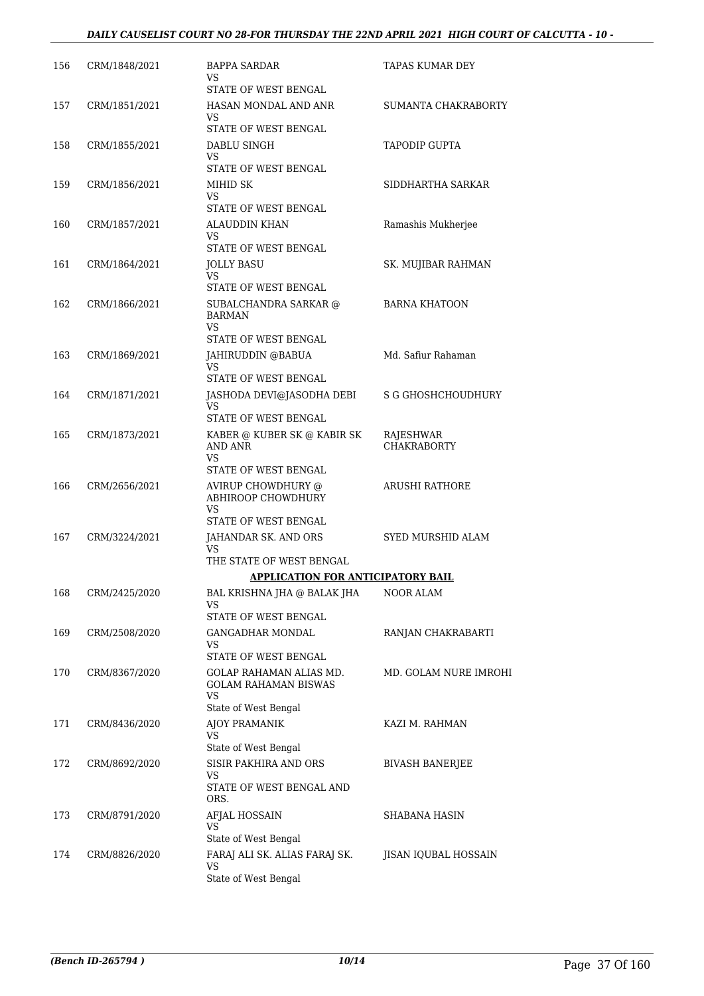| 156 | CRM/1848/2021 | BAPPA SARDAR<br>VS.<br>STATE OF WEST BENGAL                                           | TAPAS KUMAR DEY                 |
|-----|---------------|---------------------------------------------------------------------------------------|---------------------------------|
| 157 | CRM/1851/2021 | HASAN MONDAL AND ANR<br>VS<br>STATE OF WEST BENGAL                                    | SUMANTA CHAKRABORTY             |
| 158 | CRM/1855/2021 | DABLU SINGH<br>VS<br>STATE OF WEST BENGAL                                             | <b>TAPODIP GUPTA</b>            |
| 159 | CRM/1856/2021 | MIHID SK<br>VS<br>STATE OF WEST BENGAL                                                | SIDDHARTHA SARKAR               |
| 160 | CRM/1857/2021 | ALAUDDIN KHAN<br>VS<br>STATE OF WEST BENGAL                                           | Ramashis Mukherjee              |
| 161 | CRM/1864/2021 | JOLLY BASU<br>VS                                                                      | SK. MUJIBAR RAHMAN              |
| 162 | CRM/1866/2021 | STATE OF WEST BENGAL<br>SUBALCHANDRA SARKAR @<br>BARMAN<br>VS<br>STATE OF WEST BENGAL | <b>BARNA KHATOON</b>            |
| 163 | CRM/1869/2021 | JAHIRUDDIN @BABUA<br>VS                                                               | Md. Safiur Rahaman              |
| 164 | CRM/1871/2021 | STATE OF WEST BENGAL<br>JASHODA DEVI@JASODHA DEBI<br>VS<br>STATE OF WEST BENGAL       | <b>S G GHOSHCHOUDHURY</b>       |
| 165 | CRM/1873/2021 | KABER @ KUBER SK @ KABIR SK<br><b>AND ANR</b><br><b>VS</b><br>STATE OF WEST BENGAL    | RAJESHWAR<br><b>CHAKRABORTY</b> |
| 166 | CRM/2656/2021 | AVIRUP CHOWDHURY @<br>ABHIROOP CHOWDHURY<br>VS<br>STATE OF WEST BENGAL                | <b>ARUSHI RATHORE</b>           |
| 167 | CRM/3224/2021 | JAHANDAR SK. AND ORS<br>VS<br>THE STATE OF WEST BENGAL                                | SYED MURSHID ALAM               |
|     |               | <b>APPLICATION FOR ANTICIPATORY BAIL</b>                                              |                                 |
| 168 | CRM/2425/2020 | BAL KRISHNA JHA @ BALAK JHA<br>VS<br>STATE OF WEST BENGAL                             | NOOR ALAM                       |
| 169 | CRM/2508/2020 | <b>GANGADHAR MONDAL</b><br>VS<br>STATE OF WEST BENGAL                                 | RANJAN CHAKRABARTI              |
| 170 | CRM/8367/2020 | GOLAP RAHAMAN ALIAS MD.<br>GOLAM RAHAMAN BISWAS<br>VS<br>State of West Bengal         | MD. GOLAM NURE IMROHI           |
| 171 | CRM/8436/2020 | AJOY PRAMANIK<br>VS<br>State of West Bengal                                           | KAZI M. RAHMAN                  |
| 172 | CRM/8692/2020 | SISIR PAKHIRA AND ORS<br>VS<br>STATE OF WEST BENGAL AND<br>ORS.                       | <b>BIVASH BANERJEE</b>          |
| 173 | CRM/8791/2020 | AFJAL HOSSAIN<br>VS<br>State of West Bengal                                           | SHABANA HASIN                   |
| 174 | CRM/8826/2020 | FARAJ ALI SK. ALIAS FARAJ SK.<br>VS<br>State of West Bengal                           | JISAN IQUBAL HOSSAIN            |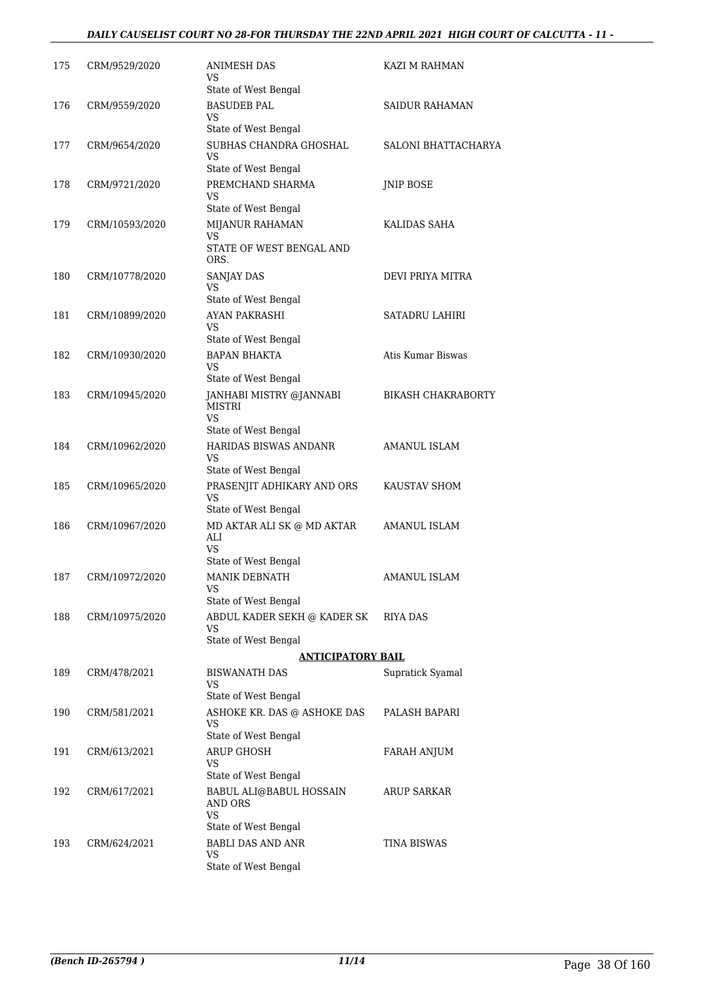| 175 | CRM/9529/2020  | ANIMESH DAS<br>VS                                         | KAZI M RAHMAN             |
|-----|----------------|-----------------------------------------------------------|---------------------------|
|     |                | State of West Bengal                                      |                           |
| 176 | CRM/9559/2020  | <b>BASUDEB PAL</b><br>VS.                                 | SAIDUR RAHAMAN            |
|     |                | State of West Bengal                                      |                           |
| 177 | CRM/9654/2020  | SUBHAS CHANDRA GHOSHAL<br><b>VS</b>                       | SALONI BHATTACHARYA       |
|     |                | State of West Bengal                                      |                           |
| 178 | CRM/9721/2020  | PREMCHAND SHARMA<br>VS<br>State of West Bengal            | <b>JNIP BOSE</b>          |
| 179 | CRM/10593/2020 | MIJANUR RAHAMAN                                           | KALIDAS SAHA              |
|     |                | VS<br>STATE OF WEST BENGAL AND<br>ORS.                    |                           |
| 180 | CRM/10778/2020 | SANJAY DAS                                                | DEVI PRIYA MITRA          |
|     |                | <b>VS</b>                                                 |                           |
|     |                | State of West Bengal                                      |                           |
| 181 | CRM/10899/2020 | AYAN PAKRASHI<br>VS                                       | <b>SATADRU LAHIRI</b>     |
| 182 |                | State of West Bengal<br><b>BAPAN BHAKTA</b>               | Atis Kumar Biswas         |
|     | CRM/10930/2020 | VS<br>State of West Bengal                                |                           |
| 183 | CRM/10945/2020 | JANHABI MISTRY @JANNABI                                   | <b>BIKASH CHAKRABORTY</b> |
|     |                | <b>MISTRI</b><br>VS.                                      |                           |
| 184 | CRM/10962/2020 | State of West Bengal<br><b>HARIDAS BISWAS ANDANR</b>      | <b>AMANUL ISLAM</b>       |
|     |                | VS                                                        |                           |
|     |                | State of West Bengal                                      |                           |
| 185 | CRM/10965/2020 | PRASENJIT ADHIKARY AND ORS<br><b>VS</b>                   | KAUSTAV SHOM              |
|     |                | State of West Bengal                                      | <b>AMANUL ISLAM</b>       |
| 186 | CRM/10967/2020 | MD AKTAR ALI SK @ MD AKTAR<br>ALI<br><b>VS</b>            |                           |
|     |                | State of West Bengal                                      |                           |
| 187 | CRM/10972/2020 | <b>MANIK DEBNATH</b><br>VS                                | AMANUL ISLAM              |
|     |                | State of West Bengal                                      |                           |
| 188 | CRM/10975/2020 | ABDUL KADER SEKH @ KADER SK<br>VS<br>State of West Bengal | RIYA DAS                  |
|     |                | <b>ANTICIPATORY BAIL</b>                                  |                           |
| 189 | CRM/478/2021   | <b>BISWANATH DAS</b>                                      | Supratick Syamal          |
|     |                | VS<br>State of West Bengal                                |                           |
| 190 | CRM/581/2021   | ASHOKE KR. DAS @ ASHOKE DAS                               | PALASH BAPARI             |
|     |                | VS<br>State of West Bengal                                |                           |
| 191 | CRM/613/2021   | <b>ARUP GHOSH</b>                                         | FARAH ANJUM               |
|     |                | VS<br>State of West Bengal                                |                           |
| 192 | CRM/617/2021   | BABUL ALI@BABUL HOSSAIN<br>AND ORS                        | <b>ARUP SARKAR</b>        |
|     |                | <b>VS</b><br>State of West Bengal                         |                           |
| 193 | CRM/624/2021   | <b>BABLI DAS AND ANR</b>                                  | TINA BISWAS               |
|     |                | VS<br>State of West Bengal                                |                           |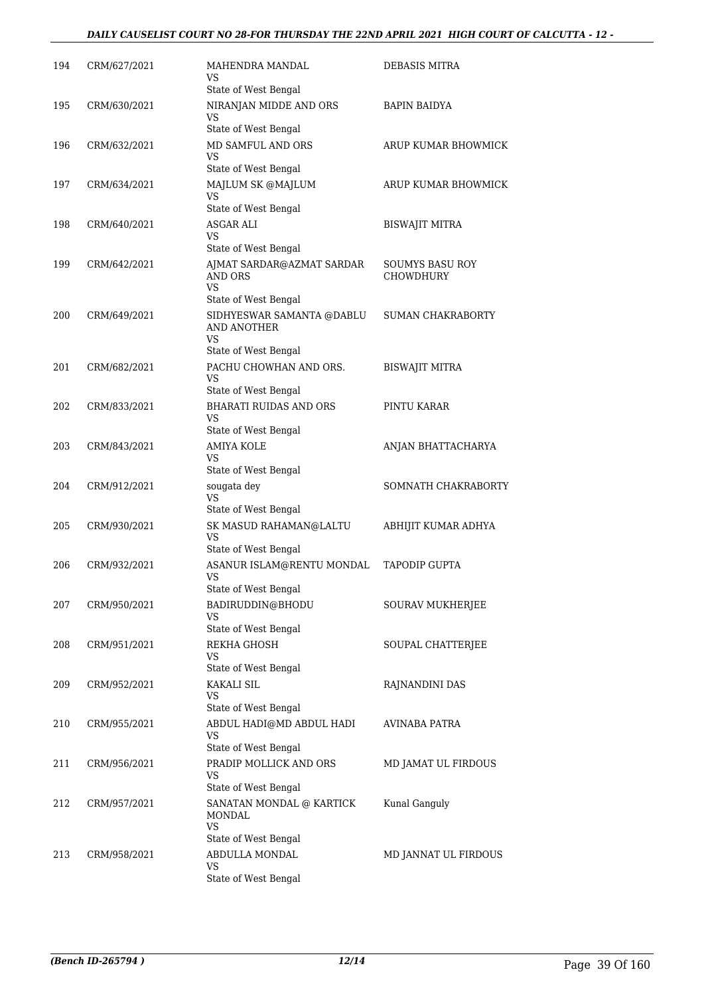| 194 | CRM/627/2021 | MAHENDRA MANDAL<br>VS<br>State of West Bengal                                              | <b>DEBASIS MITRA</b>         |
|-----|--------------|--------------------------------------------------------------------------------------------|------------------------------|
| 195 | CRM/630/2021 | NIRANJAN MIDDE AND ORS<br><b>VS</b>                                                        | BAPIN BAIDYA                 |
| 196 | CRM/632/2021 | State of West Bengal<br>MD SAMFUL AND ORS<br>VS                                            | ARUP KUMAR BHOWMICK          |
| 197 | CRM/634/2021 | State of West Bengal<br>MAJLUM SK @MAJLUM<br>VS                                            | ARUP KUMAR BHOWMICK          |
| 198 | CRM/640/2021 | State of West Bengal<br>ASGAR ALI<br>VS                                                    | <b>BISWAJIT MITRA</b>        |
| 199 | CRM/642/2021 | State of West Bengal<br>AJMAT SARDAR@AZMAT SARDAR<br>AND ORS<br>VS.                        | SOUMYS BASU ROY<br>CHOWDHURY |
| 200 | CRM/649/2021 | State of West Bengal<br>SIDHYESWAR SAMANTA @DABLU<br><b>AND ANOTHER</b><br>VS              | <b>SUMAN CHAKRABORTY</b>     |
| 201 | CRM/682/2021 | State of West Bengal<br>PACHU CHOWHAN AND ORS.<br>VS                                       | <b>BISWAJIT MITRA</b>        |
| 202 | CRM/833/2021 | State of West Bengal<br><b>BHARATI RUIDAS AND ORS</b><br><b>VS</b><br>State of West Bengal | PINTU KARAR                  |
| 203 | CRM/843/2021 | <b>AMIYA KOLE</b><br>VS.<br>State of West Bengal                                           | ANJAN BHATTACHARYA           |
| 204 | CRM/912/2021 | sougata dey<br><b>VS</b><br>State of West Bengal                                           | SOMNATH CHAKRABORTY          |
| 205 | CRM/930/2021 | SK MASUD RAHAMAN@LALTU<br>VS<br>State of West Bengal                                       | ABHIJIT KUMAR ADHYA          |
| 206 | CRM/932/2021 | ASANUR ISLAM@RENTU MONDAL<br><b>VS</b><br>State of West Bengal                             | <b>TAPODIP GUPTA</b>         |
| 207 | CRM/950/2021 | BADIRUDDIN@BHODU<br>VS<br>State of West Bengal                                             | SOURAV MUKHERJEE             |
| 208 | CRM/951/2021 | REKHA GHOSH<br>VS<br>State of West Bengal                                                  | SOUPAL CHATTERJEE            |
| 209 | CRM/952/2021 | <b>KAKALI SIL</b><br>VS<br>State of West Bengal                                            | RAJNANDINI DAS               |
| 210 | CRM/955/2021 | ABDUL HADI@MD ABDUL HADI<br>VS.<br>State of West Bengal                                    | AVINABA PATRA                |
| 211 | CRM/956/2021 | PRADIP MOLLICK AND ORS<br>VS.<br>State of West Bengal                                      | MD JAMAT UL FIRDOUS          |
| 212 | CRM/957/2021 | SANATAN MONDAL @ KARTICK<br><b>MONDAL</b><br>VS.<br>State of West Bengal                   | Kunal Ganguly                |
| 213 | CRM/958/2021 | ABDULLA MONDAL<br>VS<br>State of West Bengal                                               | MD JANNAT UL FIRDOUS         |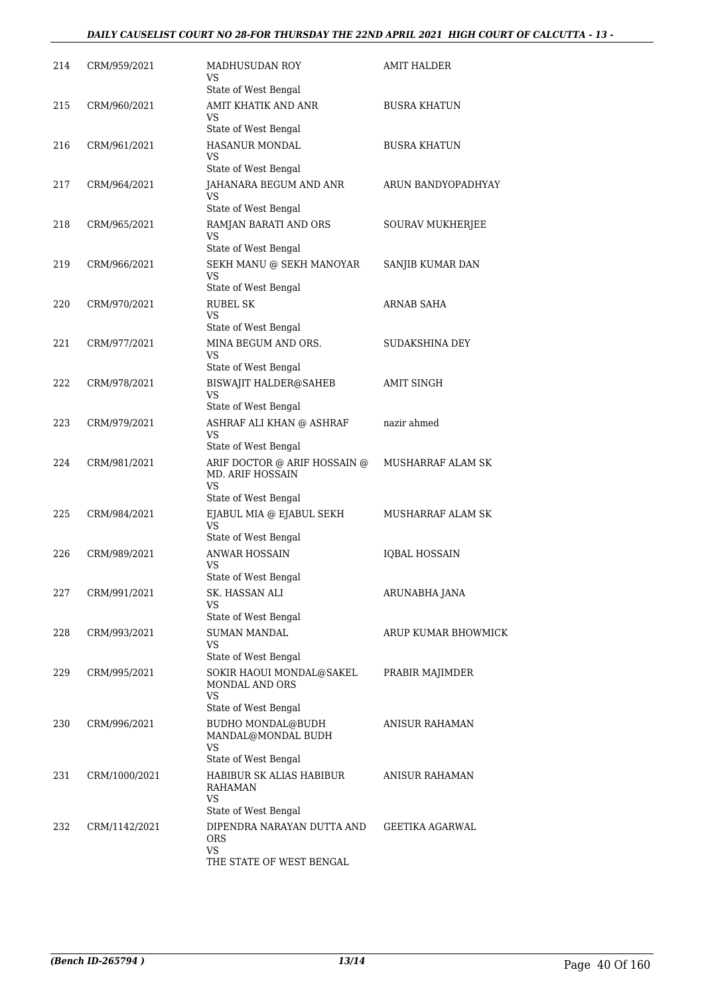| 214 | CRM/959/2021  | <b>MADHUSUDAN ROY</b><br>VS                                   | AMIT HALDER           |
|-----|---------------|---------------------------------------------------------------|-----------------------|
| 215 | CRM/960/2021  | State of West Bengal<br>AMIT KHATIK AND ANR<br>VS             | <b>BUSRA KHATUN</b>   |
|     |               | State of West Bengal                                          |                       |
| 216 | CRM/961/2021  | HASANUR MONDAL<br>VS                                          | <b>BUSRA KHATUN</b>   |
|     |               | State of West Bengal                                          |                       |
| 217 | CRM/964/2021  | JAHANARA BEGUM AND ANR<br>VS<br>State of West Bengal          | ARUN BANDYOPADHYAY    |
| 218 | CRM/965/2021  | RAMJAN BARATI AND ORS<br>VS                                   | SOURAV MUKHERJEE      |
|     |               | State of West Bengal                                          |                       |
| 219 | CRM/966/2021  | SEKH MANU @ SEKH MANOYAR<br>VS                                | SANJIB KUMAR DAN      |
|     |               | State of West Bengal<br><b>RUBEL SK</b>                       | ARNAB SAHA            |
| 220 | CRM/970/2021  | VS<br>State of West Bengal                                    |                       |
| 221 | CRM/977/2021  | MINA BEGUM AND ORS.<br>VS                                     | <b>SUDAKSHINA DEY</b> |
|     |               | State of West Bengal                                          |                       |
| 222 | CRM/978/2021  | <b>BISWAJIT HALDER@SAHEB</b><br>VS<br>State of West Bengal    | <b>AMIT SINGH</b>     |
| 223 | CRM/979/2021  | ASHRAF ALI KHAN @ ASHRAF<br>VS                                | nazir ahmed           |
|     |               | State of West Bengal                                          |                       |
| 224 | CRM/981/2021  | ARIF DOCTOR @ ARIF HOSSAIN @<br><b>MD. ARIF HOSSAIN</b><br>VS | MUSHARRAF ALAM SK     |
|     |               | State of West Bengal                                          |                       |
| 225 | CRM/984/2021  | EJABUL MIA @ EJABUL SEKH<br>VS<br>State of West Bengal        | MUSHARRAF ALAM SK     |
| 226 | CRM/989/2021  | <b>ANWAR HOSSAIN</b>                                          | <b>IQBAL HOSSAIN</b>  |
|     |               | VS<br>State of West Bengal                                    |                       |
| 227 | CRM/991/2021  | SK. HASSAN ALI<br>VS                                          | ARUNABHA JANA         |
|     |               | State of West Bengal                                          |                       |
| 228 | CRM/993/2021  | <b>SUMAN MANDAL</b><br>VS<br>State of West Bengal             | ARUP KUMAR BHOWMICK   |
| 229 | CRM/995/2021  | SOKIR HAOUI MONDAL@SAKEL<br>MONDAL AND ORS<br>VS              | PRABIR MAJIMDER       |
|     |               | State of West Bengal                                          |                       |
| 230 | CRM/996/2021  | BUDHO MONDAL@BUDH<br>MANDAL@MONDAL BUDH<br>VS                 | ANISUR RAHAMAN        |
|     |               | State of West Bengal                                          |                       |
| 231 | CRM/1000/2021 | HABIBUR SK ALIAS HABIBUR<br>RAHAMAN<br>VS                     | ANISUR RAHAMAN        |
|     |               | State of West Bengal                                          |                       |
| 232 | CRM/1142/2021 | DIPENDRA NARAYAN DUTTA AND<br>ORS                             | GEETIKA AGARWAL       |
|     |               | VS<br>THE STATE OF WEST BENGAL                                |                       |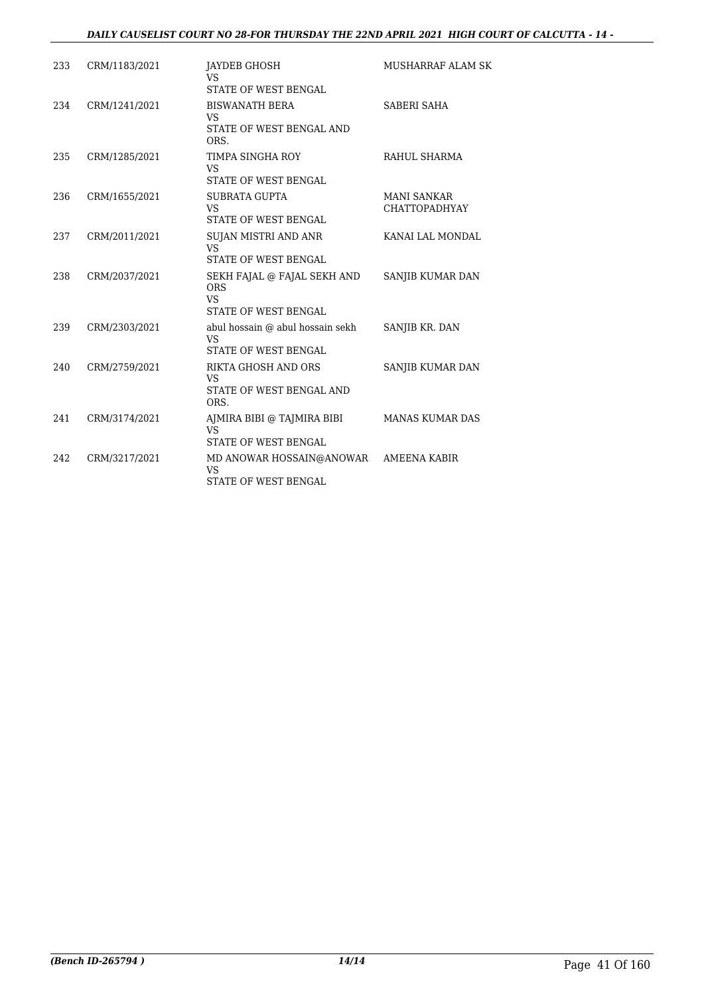| 233 | CRM/1183/2021 | JAYDEB GHOSH<br><b>VS</b><br>STATE OF WEST BENGAL                                     | MUSHARRAF ALAM SK                          |
|-----|---------------|---------------------------------------------------------------------------------------|--------------------------------------------|
| 234 | CRM/1241/2021 | <b>BISWANATH BERA</b><br><b>VS</b><br>STATE OF WEST BENGAL AND<br>ORS.                | SABERI SAHA                                |
| 235 | CRM/1285/2021 | TIMPA SINGHA ROY<br>VS<br>STATE OF WEST BENGAL                                        | RAHUL SHARMA                               |
| 236 | CRM/1655/2021 | <b>SUBRATA GUPTA</b><br><b>VS</b><br>STATE OF WEST BENGAL                             | <b>MANI SANKAR</b><br><b>CHATTOPADHYAY</b> |
| 237 | CRM/2011/2021 | SUJAN MISTRI AND ANR<br><b>VS</b><br>STATE OF WEST BENGAL                             | KANAI LAL MONDAL                           |
| 238 | CRM/2037/2021 | SEKH FAJAL @ FAJAL SEKH AND<br><b>ORS</b><br><b>VS</b><br><b>STATE OF WEST BENGAL</b> | SANJIB KUMAR DAN                           |
| 239 | CRM/2303/2021 | abul hossain @ abul hossain sekh<br><b>VS</b><br>STATE OF WEST BENGAL                 | SANJIB KR. DAN                             |
| 240 | CRM/2759/2021 | RIKTA GHOSH AND ORS<br><b>VS</b><br>STATE OF WEST BENGAL AND<br>ORS.                  | SANJIB KUMAR DAN                           |
| 241 | CRM/3174/2021 | AJMIRA BIBI @ TAJMIRA BIBI<br><b>VS</b><br>STATE OF WEST BENGAL                       | <b>MANAS KUMAR DAS</b>                     |
| 242 | CRM/3217/2021 | MD ANOWAR HOSSAIN@ANOWAR<br><b>VS</b><br>STATE OF WEST BENGAL                         | AMEENA KABIR                               |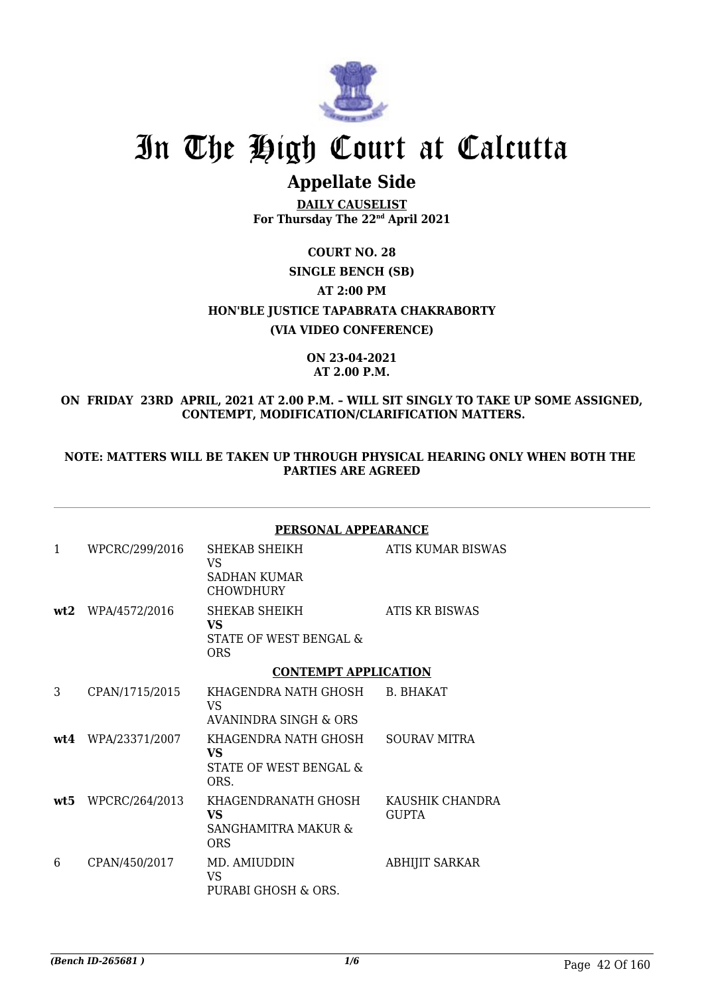

# In The High Court at Calcutta

# **Appellate Side**

**DAILY CAUSELIST For Thursday The 22nd April 2021**

**COURT NO. 28 SINGLE BENCH (SB) AT 2:00 PM HON'BLE JUSTICE TAPABRATA CHAKRABORTY (VIA VIDEO CONFERENCE)**

#### **ON 23-04-2021 AT 2.00 P.M.**

## **ON FRIDAY 23RD APRIL, 2021 AT 2.00 P.M. – WILL SIT SINGLY TO TAKE UP SOME ASSIGNED, CONTEMPT, MODIFICATION/CLARIFICATION MATTERS.**

### **NOTE: MATTERS WILL BE TAKEN UP THROUGH PHYSICAL HEARING ONLY WHEN BOTH THE PARTIES ARE AGREED**

|              |                    | <b>PERSONAL APPEARANCE</b>                                           |                                 |
|--------------|--------------------|----------------------------------------------------------------------|---------------------------------|
| $\mathbf{1}$ | WPCRC/299/2016     | SHEKAB SHEIKH<br>VS<br><b>SADHAN KUMAR</b><br><b>CHOWDHURY</b>       | ATIS KUMAR BISWAS               |
|              | wt2 WPA/4572/2016  | SHEKAB SHEIKH<br>VS.<br>STATE OF WEST BENGAL &<br><b>ORS</b>         | ATIS KR BISWAS                  |
|              |                    | <b>CONTEMPT APPLICATION</b>                                          |                                 |
| 3            | CPAN/1715/2015     | KHAGENDRA NATH GHOSH B. BHAKAT<br><b>VS</b><br>AVANINDRA SINGH & ORS |                                 |
|              | wt4 WPA/23371/2007 | KHAGENDRA NATH GHOSH<br>VS.<br>STATE OF WEST BENGAL &<br>ORS.        | <b>SOURAV MITRA</b>             |
| wt5          | WPCRC/264/2013     | KHAGENDRANATH GHOSH<br>VS.<br>SANGHAMITRA MAKUR &<br><b>ORS</b>      | KAUSHIK CHANDRA<br><b>GUPTA</b> |
| 6            | CPAN/450/2017      | MD. AMIUDDIN<br>VS.<br>PURABI GHOSH & ORS.                           | <b>ABHIJIT SARKAR</b>           |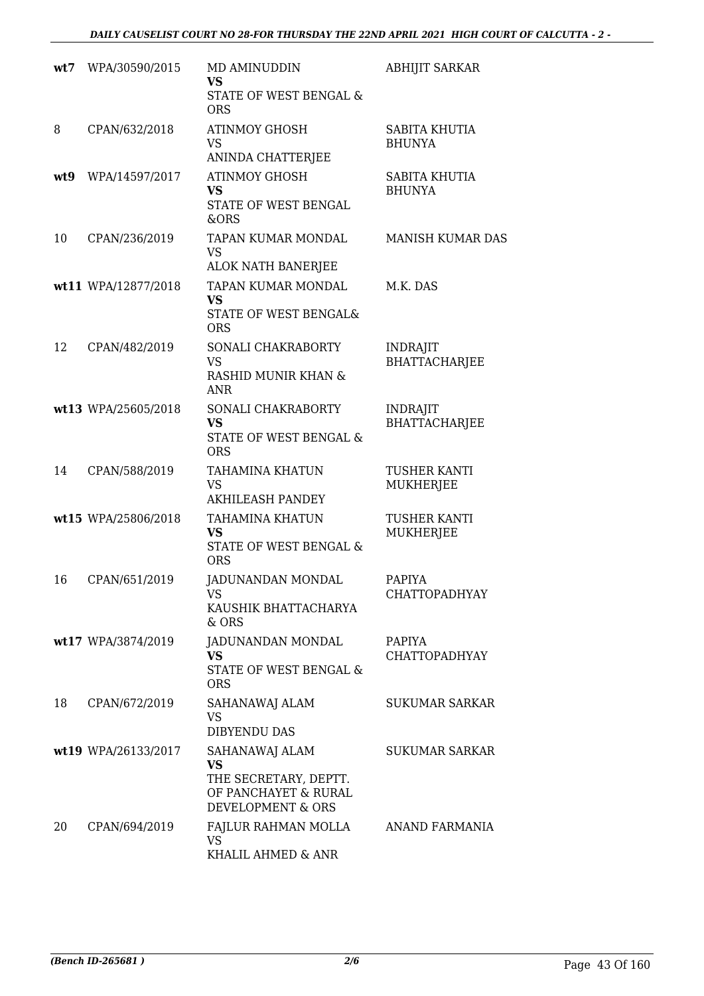| wt7 | WPA/30590/2015      | MD AMINUDDIN<br><b>VS</b><br>STATE OF WEST BENGAL &<br><b>ORS</b>                                 | <b>ABHIJIT SARKAR</b>                   |
|-----|---------------------|---------------------------------------------------------------------------------------------------|-----------------------------------------|
| 8   | CPAN/632/2018       | <b>ATINMOY GHOSH</b><br><b>VS</b><br>ANINDA CHATTERJEE                                            | <b>SABITA KHUTIA</b><br><b>BHUNYA</b>   |
| wt9 | WPA/14597/2017      | <b>ATINMOY GHOSH</b><br><b>VS</b><br>STATE OF WEST BENGAL<br>&ORS                                 | SABITA KHUTIA<br><b>BHUNYA</b>          |
| 10  | CPAN/236/2019       | TAPAN KUMAR MONDAL<br>VS<br>ALOK NATH BANERJEE                                                    | <b>MANISH KUMAR DAS</b>                 |
|     | wt11 WPA/12877/2018 | TAPAN KUMAR MONDAL<br><b>VS</b><br>STATE OF WEST BENGAL&<br><b>ORS</b>                            | M.K. DAS                                |
| 12  | CPAN/482/2019       | SONALI CHAKRABORTY<br><b>VS</b><br>RASHID MUNIR KHAN &<br><b>ANR</b>                              | <b>INDRAJIT</b><br>BHATTACHARJEE        |
|     | wt13 WPA/25605/2018 | SONALI CHAKRABORTY<br><b>VS</b><br>STATE OF WEST BENGAL &<br><b>ORS</b>                           | <b>INDRAJIT</b><br><b>BHATTACHARJEE</b> |
| 14  | CPAN/588/2019       | <b>TAHAMINA KHATUN</b><br><b>VS</b><br><b>AKHILEASH PANDEY</b>                                    | TUSHER KANTI<br>MUKHERJEE               |
|     | wt15 WPA/25806/2018 | TAHAMINA KHATUN<br>VS<br>STATE OF WEST BENGAL &<br><b>ORS</b>                                     | TUSHER KANTI<br>MUKHERJEE               |
| 16  | CPAN/651/2019       | <b>JADUNANDAN MONDAL</b><br><b>VS</b><br>KAUSHIK BHATTACHARYA<br>& ORS                            | <b>PAPIYA</b><br><b>CHATTOPADHYAY</b>   |
|     | wt17 WPA/3874/2019  | JADUNANDAN MONDAL<br><b>VS</b><br><b>STATE OF WEST BENGAL &amp;</b><br><b>ORS</b>                 | PAPIYA<br>CHATTOPADHYAY                 |
| 18  | CPAN/672/2019       | SAHANAWAJ ALAM<br>VS<br><b>DIBYENDU DAS</b>                                                       | <b>SUKUMAR SARKAR</b>                   |
|     | wt19 WPA/26133/2017 | SAHANAWAJ ALAM<br><b>VS</b><br>THE SECRETARY, DEPTT.<br>OF PANCHAYET & RURAL<br>DEVELOPMENT & ORS | <b>SUKUMAR SARKAR</b>                   |
| 20  | CPAN/694/2019       | FAJLUR RAHMAN MOLLA<br><b>VS</b><br>KHALIL AHMED & ANR                                            | ANAND FARMANIA                          |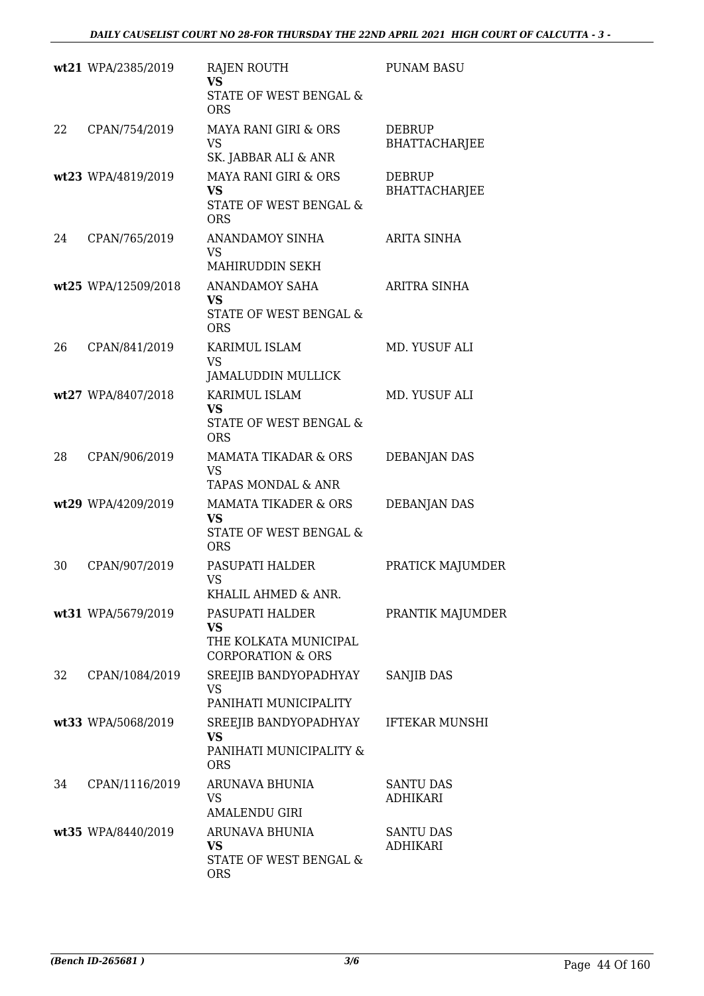|    | wt21 WPA/2385/2019  | <b>RAJEN ROUTH</b><br><b>VS</b><br>STATE OF WEST BENGAL &<br><b>ORS</b>              | <b>PUNAM BASU</b>                     |
|----|---------------------|--------------------------------------------------------------------------------------|---------------------------------------|
| 22 | CPAN/754/2019       | <b>MAYA RANI GIRI &amp; ORS</b><br><b>VS</b><br>SK. JABBAR ALI & ANR                 | <b>DEBRUP</b><br><b>BHATTACHARJEE</b> |
|    | wt23 WPA/4819/2019  | MAYA RANI GIRI & ORS<br><b>VS</b><br>STATE OF WEST BENGAL &<br><b>ORS</b>            | <b>DEBRUP</b><br><b>BHATTACHARJEE</b> |
| 24 | CPAN/765/2019       | <b>ANANDAMOY SINHA</b><br>VS.<br>MAHIRUDDIN SEKH                                     | ARITA SINHA                           |
|    | wt25 WPA/12509/2018 | ANANDAMOY SAHA<br><b>VS</b><br>STATE OF WEST BENGAL &<br><b>ORS</b>                  | <b>ARITRA SINHA</b>                   |
| 26 | CPAN/841/2019       | KARIMUL ISLAM<br>VS<br><b>JAMALUDDIN MULLICK</b>                                     | MD. YUSUF ALI                         |
|    | wt27 WPA/8407/2018  | KARIMUL ISLAM<br><b>VS</b><br>STATE OF WEST BENGAL &<br><b>ORS</b>                   | MD. YUSUF ALI                         |
| 28 | CPAN/906/2019       | MAMATA TIKADAR & ORS<br><b>VS</b><br>TAPAS MONDAL & ANR                              | <b>DEBANJAN DAS</b>                   |
|    | wt29 WPA/4209/2019  | <b>MAMATA TIKADER &amp; ORS</b><br><b>VS</b><br>STATE OF WEST BENGAL &<br><b>ORS</b> | <b>DEBANJAN DAS</b>                   |
| 30 | CPAN/907/2019       | PASUPATI HALDER<br>VS<br>KHALIL AHMED & ANR.                                         | PRATICK MAJUMDER                      |
|    | wt31 WPA/5679/2019  | PASUPATI HALDER<br>VS<br>THE KOLKATA MUNICIPAL<br><b>CORPORATION &amp; ORS</b>       | PRANTIK MAJUMDER                      |
| 32 | CPAN/1084/2019      | SREEJIB BANDYOPADHYAY<br><b>VS</b><br>PANIHATI MUNICIPALITY                          | <b>SANJIB DAS</b>                     |
|    | wt33 WPA/5068/2019  | SREEJIB BANDYOPADHYAY<br><b>VS</b><br>PANIHATI MUNICIPALITY &<br><b>ORS</b>          | <b>IFTEKAR MUNSHI</b>                 |
| 34 | CPAN/1116/2019      | ARUNAVA BHUNIA<br>VS<br>AMALENDU GIRI                                                | <b>SANTU DAS</b><br><b>ADHIKARI</b>   |
|    | wt35 WPA/8440/2019  | ARUNAVA BHUNIA<br>VS.<br>STATE OF WEST BENGAL &<br><b>ORS</b>                        | <b>SANTU DAS</b><br><b>ADHIKARI</b>   |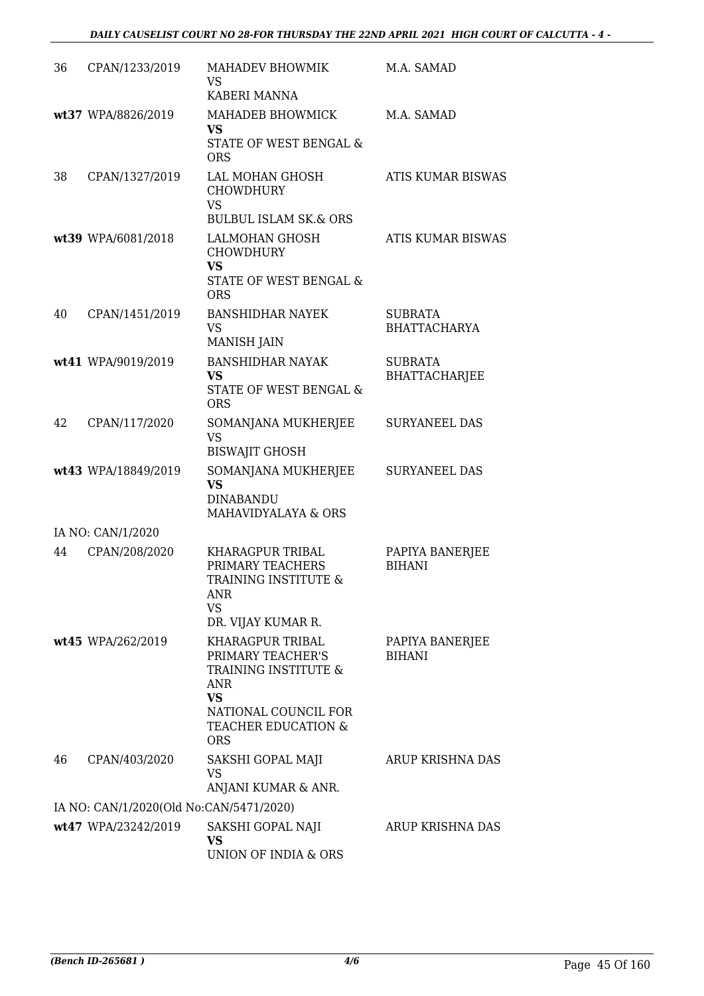| 36 | CPAN/1233/2019                          | MAHADEV BHOWMIK<br><b>VS</b><br>KABERI MANNA                                                                                                          | M.A. SAMAD                             |
|----|-----------------------------------------|-------------------------------------------------------------------------------------------------------------------------------------------------------|----------------------------------------|
|    | wt37 WPA/8826/2019                      | MAHADEB BHOWMICK<br><b>VS</b><br>STATE OF WEST BENGAL &<br><b>ORS</b>                                                                                 | M.A. SAMAD                             |
| 38 | CPAN/1327/2019                          | LAL MOHAN GHOSH<br><b>CHOWDHURY</b><br><b>VS</b><br><b>BULBUL ISLAM SK.&amp; ORS</b>                                                                  | <b>ATIS KUMAR BISWAS</b>               |
|    | wt39 WPA/6081/2018                      | LALMOHAN GHOSH<br><b>CHOWDHURY</b><br><b>VS</b><br>STATE OF WEST BENGAL &<br><b>ORS</b>                                                               | <b>ATIS KUMAR BISWAS</b>               |
| 40 | CPAN/1451/2019                          | <b>BANSHIDHAR NAYEK</b><br><b>VS</b><br><b>MANISH JAIN</b>                                                                                            | <b>SUBRATA</b><br><b>BHATTACHARYA</b>  |
|    | wt41 WPA/9019/2019                      | <b>BANSHIDHAR NAYAK</b><br>VS<br>STATE OF WEST BENGAL &<br><b>ORS</b>                                                                                 | <b>SUBRATA</b><br><b>BHATTACHARJEE</b> |
| 42 | CPAN/117/2020                           | SOMANJANA MUKHERJEE<br><b>VS</b><br><b>BISWAJIT GHOSH</b>                                                                                             | <b>SURYANEEL DAS</b>                   |
|    | wt43 WPA/18849/2019                     | SOMANJANA MUKHERJEE<br><b>VS</b><br><b>DINABANDU</b><br>MAHAVIDYALAYA & ORS                                                                           | <b>SURYANEEL DAS</b>                   |
|    | IA NO: CAN/1/2020                       |                                                                                                                                                       |                                        |
| 44 | CPAN/208/2020                           | KHARAGPUR TRIBAL<br>PRIMARY TEACHERS<br>TRAINING INSTITUTE &<br><b>ANR</b><br><b>VS</b><br>DR. VIJAY KUMAR R.                                         | PAPIYA BANERJEE<br><b>BIHANI</b>       |
|    | wt45 WPA/262/2019                       | KHARAGPUR TRIBAL<br>PRIMARY TEACHER'S<br>TRAINING INSTITUTE &<br><b>ANR</b><br><b>VS</b><br>NATIONAL COUNCIL FOR<br>TEACHER EDUCATION &<br><b>ORS</b> | PAPIYA BANERJEE<br><b>BIHANI</b>       |
| 46 | CPAN/403/2020                           | SAKSHI GOPAL MAJI<br>VS<br>ANJANI KUMAR & ANR.                                                                                                        | ARUP KRISHNA DAS                       |
|    | IA NO: CAN/1/2020(Old No:CAN/5471/2020) |                                                                                                                                                       |                                        |
|    | wt47 WPA/23242/2019                     | SAKSHI GOPAL NAJI<br><b>VS</b><br>UNION OF INDIA & ORS                                                                                                | ARUP KRISHNA DAS                       |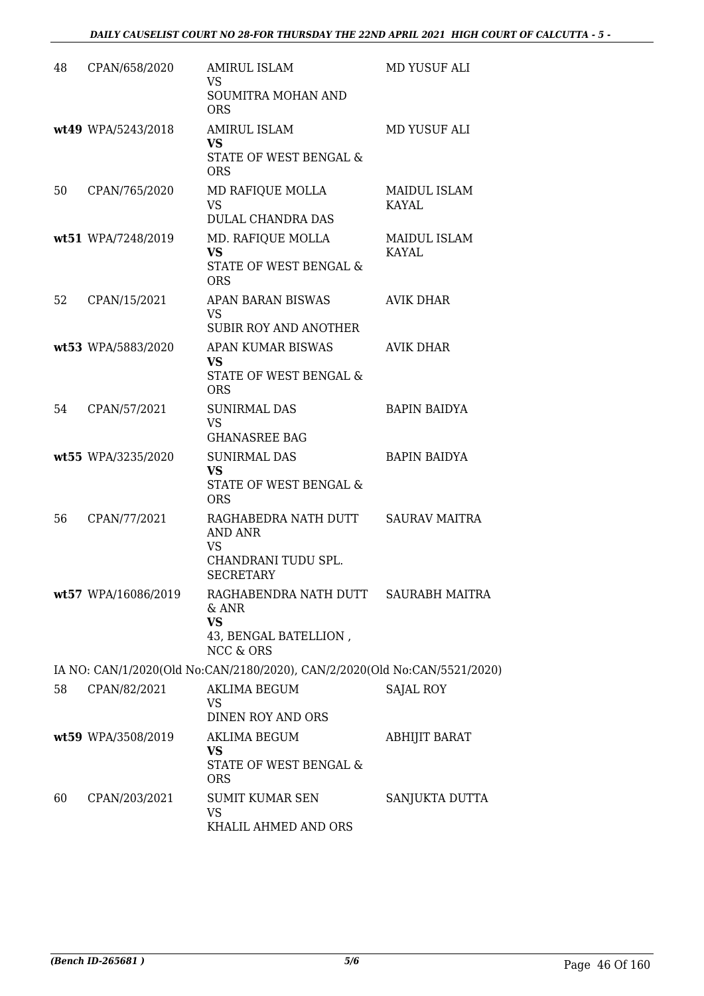| 48 | CPAN/658/2020       | <b>AMIRUL ISLAM</b><br><b>VS</b>                                                             | MD YUSUF ALI                 |
|----|---------------------|----------------------------------------------------------------------------------------------|------------------------------|
|    |                     | SOUMITRA MOHAN AND<br><b>ORS</b>                                                             |                              |
|    | wt49 WPA/5243/2018  | <b>AMIRUL ISLAM</b><br><b>VS</b>                                                             | MD YUSUF ALI                 |
|    |                     | STATE OF WEST BENGAL &<br><b>ORS</b>                                                         |                              |
| 50 | CPAN/765/2020       | MD RAFIQUE MOLLA<br><b>VS</b><br>DULAL CHANDRA DAS                                           | MAIDUL ISLAM<br><b>KAYAL</b> |
|    | wt51 WPA/7248/2019  | MD. RAFIQUE MOLLA<br>VS<br>STATE OF WEST BENGAL &<br><b>ORS</b>                              | MAIDUL ISLAM<br><b>KAYAL</b> |
| 52 | CPAN/15/2021        | APAN BARAN BISWAS<br><b>VS</b>                                                               | <b>AVIK DHAR</b>             |
|    |                     | <b>SUBIR ROY AND ANOTHER</b>                                                                 |                              |
|    | wt53 WPA/5883/2020  | APAN KUMAR BISWAS<br>VS                                                                      | AVIK DHAR                    |
|    |                     | STATE OF WEST BENGAL &<br><b>ORS</b>                                                         |                              |
| 54 | CPAN/57/2021        | <b>SUNIRMAL DAS</b><br><b>VS</b><br><b>GHANASREE BAG</b>                                     | <b>BAPIN BAIDYA</b>          |
|    | wt55 WPA/3235/2020  | <b>SUNIRMAL DAS</b><br><b>VS</b><br>STATE OF WEST BENGAL &<br><b>ORS</b>                     | <b>BAPIN BAIDYA</b>          |
| 56 | CPAN/77/2021        | RAGHABEDRA NATH DUTT<br>AND ANR<br><b>VS</b><br>CHANDRANI TUDU SPL.<br><b>SECRETARY</b>      | <b>SAURAV MAITRA</b>         |
|    | wt57 WPA/16086/2019 | RAGHABENDRA NATH DUTT<br>& ANR<br><b>VS</b><br>43, BENGAL BATELLION,<br><b>NCC &amp; ORS</b> | SAURABH MAITRA               |
|    |                     | IA NO: CAN/1/2020(Old No:CAN/2180/2020), CAN/2/2020(Old No:CAN/5521/2020)                    |                              |
| 58 | CPAN/82/2021        | <b>AKLIMA BEGUM</b><br>VS                                                                    | <b>SAJAL ROY</b>             |
|    |                     | DINEN ROY AND ORS                                                                            |                              |
|    | wt59 WPA/3508/2019  | <b>AKLIMA BEGUM</b><br><b>VS</b><br>STATE OF WEST BENGAL &<br><b>ORS</b>                     | <b>ABHIJIT BARAT</b>         |
| 60 | CPAN/203/2021       | <b>SUMIT KUMAR SEN</b><br><b>VS</b><br>KHALIL AHMED AND ORS                                  | SANJUKTA DUTTA               |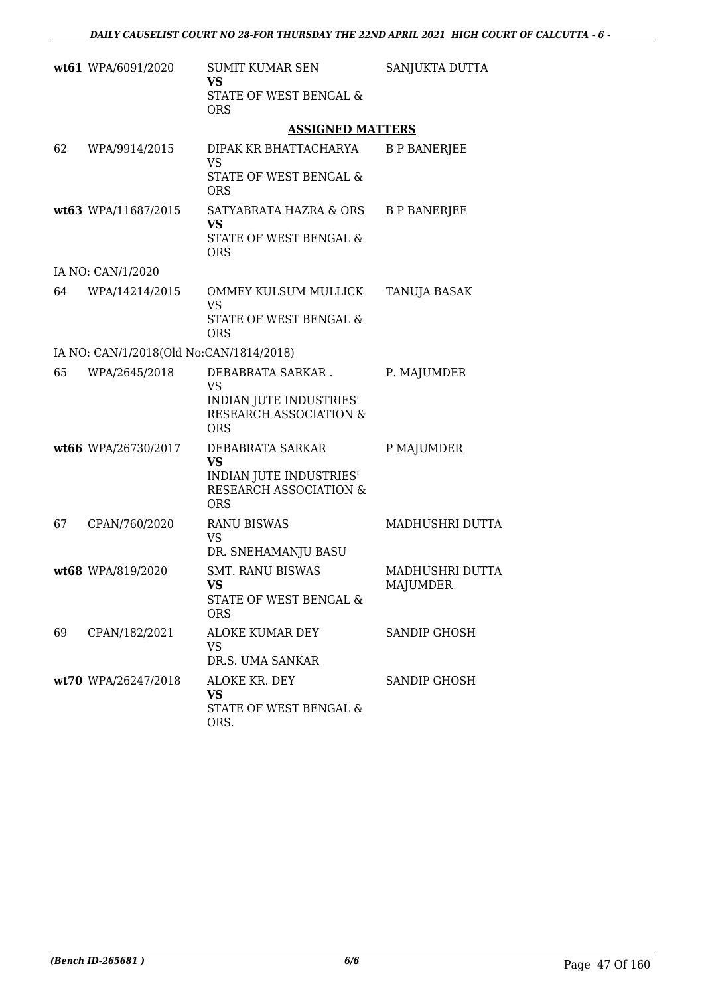|    | wt61 WPA/6091/2020                      | <b>SUMIT KUMAR SEN</b><br>VS                                                                      | SANJUKTA DUTTA                     |
|----|-----------------------------------------|---------------------------------------------------------------------------------------------------|------------------------------------|
|    |                                         | STATE OF WEST BENGAL &<br><b>ORS</b>                                                              |                                    |
|    |                                         | <b>ASSIGNED MATTERS</b>                                                                           |                                    |
| 62 | WPA/9914/2015                           | DIPAK KR BHATTACHARYA<br><b>VS</b>                                                                | <b>B P BANERJEE</b>                |
|    |                                         | STATE OF WEST BENGAL &<br><b>ORS</b>                                                              |                                    |
|    | wt63 WPA/11687/2015                     | SATYABRATA HAZRA & ORS<br><b>VS</b><br>STATE OF WEST BENGAL &<br><b>ORS</b>                       | <b>B P BANERJEE</b>                |
|    | IA NO: CAN/1/2020                       |                                                                                                   |                                    |
| 64 | WPA/14214/2015                          | OMMEY KULSUM MULLICK<br><b>VS</b>                                                                 | TANUJA BASAK                       |
|    |                                         | STATE OF WEST BENGAL &<br><b>ORS</b>                                                              |                                    |
|    | IA NO: CAN/1/2018(Old No:CAN/1814/2018) |                                                                                                   |                                    |
| 65 | WPA/2645/2018                           | DEBABRATA SARKAR.<br><b>VS</b><br>INDIAN JUTE INDUSTRIES'<br>RESEARCH ASSOCIATION &<br><b>ORS</b> | P. MAJUMDER                        |
|    | wt66 WPA/26730/2017                     | DEBABRATA SARKAR<br><b>VS</b><br>INDIAN JUTE INDUSTRIES'<br>RESEARCH ASSOCIATION &<br><b>ORS</b>  | P MAJUMDER                         |
| 67 | CPAN/760/2020                           | <b>RANU BISWAS</b><br><b>VS</b><br>DR. SNEHAMANJU BASU                                            | MADHUSHRI DUTTA                    |
|    | wt68 WPA/819/2020                       | <b>SMT. RANU BISWAS</b><br><b>VS</b><br>STATE OF WEST BENGAL &<br><b>ORS</b>                      | <b>MADHUSHRI DUTTA</b><br>MAJUMDER |
| 69 | CPAN/182/2021                           | ALOKE KUMAR DEY<br><b>VS</b><br>DR.S. UMA SANKAR                                                  | <b>SANDIP GHOSH</b>                |
|    | wt70 WPA/26247/2018                     | ALOKE KR. DEY<br><b>VS</b><br>STATE OF WEST BENGAL &<br>ORS.                                      | <b>SANDIP GHOSH</b>                |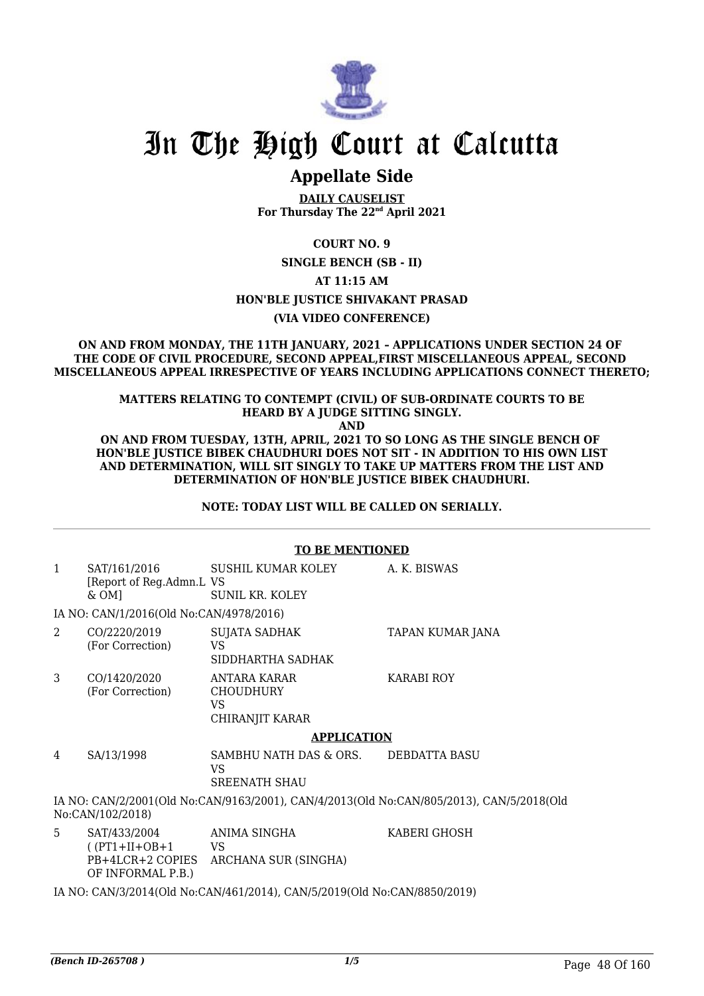

# In The High Court at Calcutta

## **Appellate Side**

**DAILY CAUSELIST For Thursday The 22nd April 2021**

**COURT NO. 9**

**SINGLE BENCH (SB - II)**

**AT 11:15 AM**

**HON'BLE JUSTICE SHIVAKANT PRASAD**

**(VIA VIDEO CONFERENCE)**

**ON AND FROM MONDAY, THE 11TH JANUARY, 2021 – APPLICATIONS UNDER SECTION 24 OF THE CODE OF CIVIL PROCEDURE, SECOND APPEAL,FIRST MISCELLANEOUS APPEAL, SECOND MISCELLANEOUS APPEAL IRRESPECTIVE OF YEARS INCLUDING APPLICATIONS CONNECT THERETO;**

#### **MATTERS RELATING TO CONTEMPT (CIVIL) OF SUB-ORDINATE COURTS TO BE HEARD BY A JUDGE SITTING SINGLY.**

**AND**

**ON AND FROM TUESDAY, 13TH, APRIL, 2021 TO SO LONG AS THE SINGLE BENCH OF HON'BLE JUSTICE BIBEK CHAUDHURI DOES NOT SIT - IN ADDITION TO HIS OWN LIST AND DETERMINATION, WILL SIT SINGLY TO TAKE UP MATTERS FROM THE LIST AND DETERMINATION OF HON'BLE JUSTICE BIBEK CHAUDHURI.**

**NOTE: TODAY LIST WILL BE CALLED ON SERIALLY.**

|                                                                                                              | <b>TO BE MENTIONED</b>                                                    |                                                           |                      |  |  |
|--------------------------------------------------------------------------------------------------------------|---------------------------------------------------------------------------|-----------------------------------------------------------|----------------------|--|--|
| $\mathbf{1}$                                                                                                 | SAT/161/2016<br>[Report of Reg.Admn.L VS<br>$&OM$ ]                       | SUSHIL KUMAR KOLEY<br><b>SUNIL KR. KOLEY</b>              | A. K. BISWAS         |  |  |
|                                                                                                              | IA NO: CAN/1/2016(Old No:CAN/4978/2016)                                   |                                                           |                      |  |  |
| 2                                                                                                            | CO/2220/2019<br>(For Correction)                                          | SUJATA SADHAK<br><b>VS</b><br>SIDDHARTHA SADHAK           | TAPAN KUMAR JANA     |  |  |
| 3                                                                                                            | CO/1420/2020<br>(For Correction)                                          | ANTARA KARAR<br><b>CHOUDHURY</b><br>VS<br>CHIRANJIT KARAR | <b>KARABI ROY</b>    |  |  |
|                                                                                                              | <b>APPLICATION</b>                                                        |                                                           |                      |  |  |
| 4                                                                                                            | SA/13/1998                                                                | SAMBHU NATH DAS & ORS.<br>VS.<br><b>SREENATH SHAU</b>     | <b>DEBDATTA BASU</b> |  |  |
| IA NO: CAN/2/2001(Old No:CAN/9163/2001), CAN/4/2013(Old No:CAN/805/2013), CAN/5/2018(Old<br>No:CAN/102/2018) |                                                                           |                                                           |                      |  |  |
| 5                                                                                                            | SAT/433/2004<br>$( (PT1+II+OB+1$<br>PB+4LCR+2 COPIES<br>OF INFORMAL P.B.) | ANIMA SINGHA<br><b>VS</b><br>ARCHANA SUR (SINGHA)         | KABERI GHOSH         |  |  |
| IA NO: CAN/3/2014(Old No:CAN/461/2014), CAN/5/2019(Old No:CAN/8850/2019)                                     |                                                                           |                                                           |                      |  |  |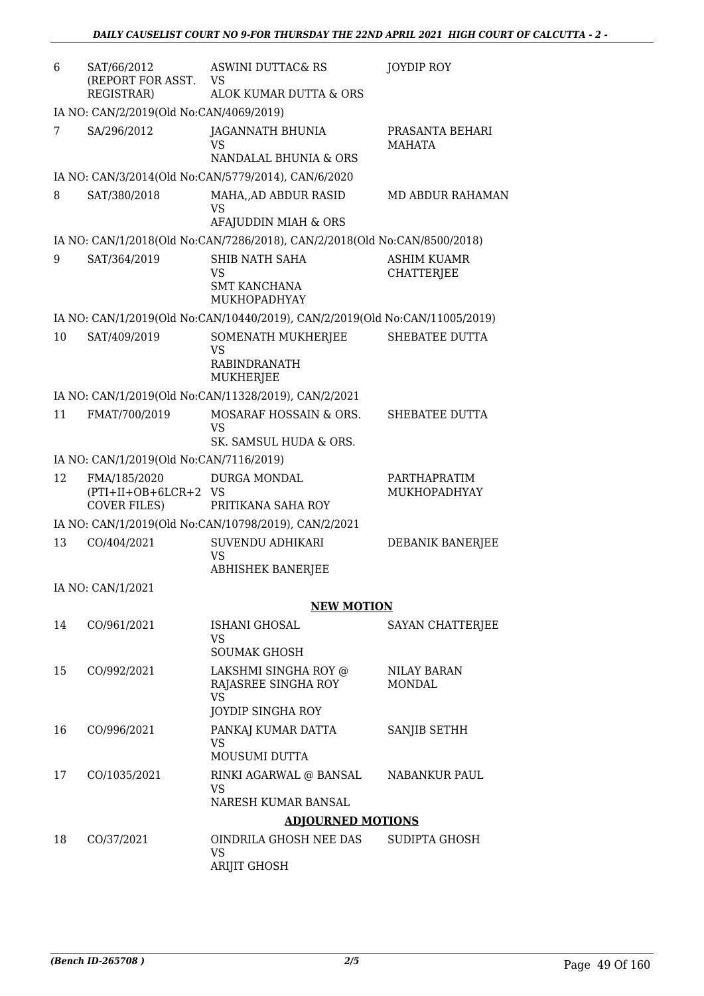| 6  | SAT/66/2012<br>(REPORT FOR ASST.<br><b>REGISTRAR)</b>       | <b>ASWINI DUTTAC&amp; RS</b><br><b>VS</b><br>ALOK KUMAR DUTTA & ORS                                | JOYDIP ROY                       |
|----|-------------------------------------------------------------|----------------------------------------------------------------------------------------------------|----------------------------------|
|    | IA NO: CAN/2/2019(Old No:CAN/4069/2019)                     |                                                                                                    |                                  |
| 7  | SA/296/2012                                                 | JAGANNATH BHUNIA<br><b>VS</b><br>NANDALAL BHUNIA & ORS                                             | PRASANTA BEHARI<br><b>MAHATA</b> |
|    |                                                             | IA NO: CAN/3/2014(Old No:CAN/5779/2014), CAN/6/2020                                                |                                  |
| 8  | SAT/380/2018                                                | MAHA, AD ABDUR RASID<br><b>VS</b>                                                                  | MD ABDUR RAHAMAN                 |
|    |                                                             | AFAJUDDIN MIAH & ORS                                                                               |                                  |
| 9  | SAT/364/2019                                                | IA NO: CAN/1/2018(Old No:CAN/7286/2018), CAN/2/2018(Old No:CAN/8500/2018)<br><b>SHIB NATH SAHA</b> | <b>ASHIM KUAMR</b>               |
|    |                                                             | <b>VS</b><br><b>SMT KANCHANA</b><br>MUKHOPADHYAY                                                   | <b>CHATTERJEE</b>                |
|    |                                                             | IA NO: CAN/1/2019(Old No:CAN/10440/2019), CAN/2/2019(Old No:CAN/11005/2019)                        |                                  |
| 10 | SAT/409/2019                                                | SOMENATH MUKHERJEE<br><b>VS</b><br><b>RABINDRANATH</b><br><b>MUKHERJEE</b>                         | SHEBATEE DUTTA                   |
|    |                                                             | IA NO: CAN/1/2019(Old No:CAN/11328/2019), CAN/2/2021                                               |                                  |
| 11 | FMAT/700/2019                                               | MOSARAF HOSSAIN & ORS.<br><b>VS</b>                                                                | SHEBATEE DUTTA                   |
|    |                                                             | SK. SAMSUL HUDA & ORS.                                                                             |                                  |
|    | IA NO: CAN/1/2019(Old No:CAN/7116/2019)                     |                                                                                                    |                                  |
| 12 | FMA/185/2020<br>(PTI+II+OB+6LCR+2 VS<br><b>COVER FILES)</b> | DURGA MONDAL<br>PRITIKANA SAHA ROY                                                                 | PARTHAPRATIM<br>MUKHOPADHYAY     |
|    |                                                             | IA NO: CAN/1/2019(Old No:CAN/10798/2019), CAN/2/2021                                               |                                  |
| 13 | CO/404/2021                                                 | SUVENDU ADHIKARI<br><b>VS</b><br><b>ABHISHEK BANERJEE</b>                                          | DEBANIK BANERJEE                 |
|    | IA NO: CAN/1/2021                                           |                                                                                                    |                                  |
|    |                                                             | <b>NEW MOTION</b>                                                                                  |                                  |
| 14 | CO/961/2021                                                 | ISHANI GHOSAL<br><b>VS</b>                                                                         | SAYAN CHATTERJEE                 |
|    |                                                             | <b>SOUMAK GHOSH</b>                                                                                |                                  |
| 15 | CO/992/2021                                                 | LAKSHMI SINGHA ROY @<br>RAJASREE SINGHA ROY<br><b>VS</b>                                           | NILAY BARAN<br><b>MONDAL</b>     |
|    |                                                             | <b>JOYDIP SINGHA ROY</b>                                                                           |                                  |
| 16 | CO/996/2021                                                 | PANKAJ KUMAR DATTA<br><b>VS</b><br>MOUSUMI DUTTA                                                   | SANJIB SETHH                     |
| 17 | CO/1035/2021                                                | RINKI AGARWAL @ BANSAL<br><b>VS</b>                                                                | <b>NABANKUR PAUL</b>             |
|    |                                                             | NARESH KUMAR BANSAL                                                                                |                                  |
|    |                                                             | <b>ADJOURNED MOTIONS</b>                                                                           |                                  |
| 18 | CO/37/2021                                                  | OINDRILA GHOSH NEE DAS<br><b>VS</b><br>ARIJIT GHOSH                                                | SUDIPTA GHOSH                    |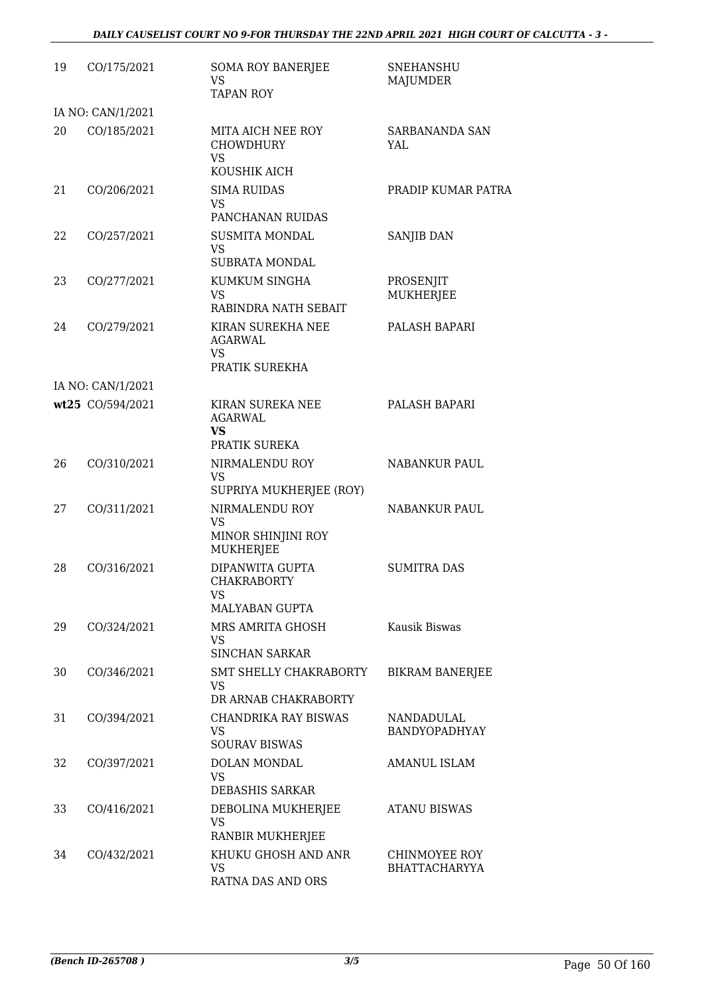| 19 | CO/175/2021                           | <b>SOMA ROY BANERJEE</b><br><b>VS</b><br><b>TAPAN ROY</b>                 | <b>SNEHANSHU</b><br>MAJUMDER          |
|----|---------------------------------------|---------------------------------------------------------------------------|---------------------------------------|
|    | IA NO: CAN/1/2021                     |                                                                           |                                       |
| 20 | CO/185/2021                           | MITA AICH NEE ROY<br><b>CHOWDHURY</b><br><b>VS</b><br>KOUSHIK AICH        | SARBANANDA SAN<br>YAL                 |
| 21 | CO/206/2021                           | <b>SIMA RUIDAS</b><br><b>VS</b><br>PANCHANAN RUIDAS                       | PRADIP KUMAR PATRA                    |
| 22 | CO/257/2021                           | <b>SUSMITA MONDAL</b><br><b>VS</b><br><b>SUBRATA MONDAL</b>               | SANJIB DAN                            |
| 23 | CO/277/2021                           | KUMKUM SINGHA<br>VS.<br>RABINDRA NATH SEBAIT                              | PROSENJIT<br><b>MUKHERJEE</b>         |
| 24 | CO/279/2021                           | KIRAN SUREKHA NEE<br><b>AGARWAL</b><br>VS.                                | PALASH BAPARI                         |
|    |                                       | PRATIK SUREKHA                                                            |                                       |
|    | IA NO: CAN/1/2021<br>wt25 CO/594/2021 | KIRAN SUREKA NEE<br><b>AGARWAL</b><br><b>VS</b><br>PRATIK SUREKA          | PALASH BAPARI                         |
| 26 | CO/310/2021                           | NIRMALENDU ROY<br><b>VS</b><br>SUPRIYA MUKHERJEE (ROY)                    | <b>NABANKUR PAUL</b>                  |
| 27 | CO/311/2021                           | NIRMALENDU ROY<br><b>VS</b><br>MINOR SHINJINI ROY                         | <b>NABANKUR PAUL</b>                  |
| 28 | CO/316/2021                           | <b>MUKHERJEE</b><br><b>DIPANWITA GUPTA</b><br><b>CHAKRABORTY</b><br>VS    | <b>SUMITRA DAS</b>                    |
| 29 | CO/324/2021                           | MALYABAN GUPTA<br>MRS AMRITA GHOSH<br><b>VS</b><br><b>SINCHAN SARKAR</b>  | Kausik Biswas                         |
| 30 | CO/346/2021                           | SMT SHELLY CHAKRABORTY<br><b>VS</b><br>DR ARNAB CHAKRABORTY               | <b>BIKRAM BANERJEE</b>                |
| 31 | CO/394/2021                           | <b>CHANDRIKA RAY BISWAS</b><br><b>VS</b><br><b>SOURAV BISWAS</b>          | NANDADULAL<br>BANDYOPADHYAY           |
| 32 | CO/397/2021                           | DOLAN MONDAL<br><b>VS</b><br><b>DEBASHIS SARKAR</b>                       | <b>AMANUL ISLAM</b>                   |
| 33 | CO/416/2021                           | DEBOLINA MUKHERJEE<br><b>VS</b>                                           | <b>ATANU BISWAS</b>                   |
| 34 | CO/432/2021                           | RANBIR MUKHERJEE<br>KHUKU GHOSH AND ANR<br><b>VS</b><br>RATNA DAS AND ORS | CHINMOYEE ROY<br><b>BHATTACHARYYA</b> |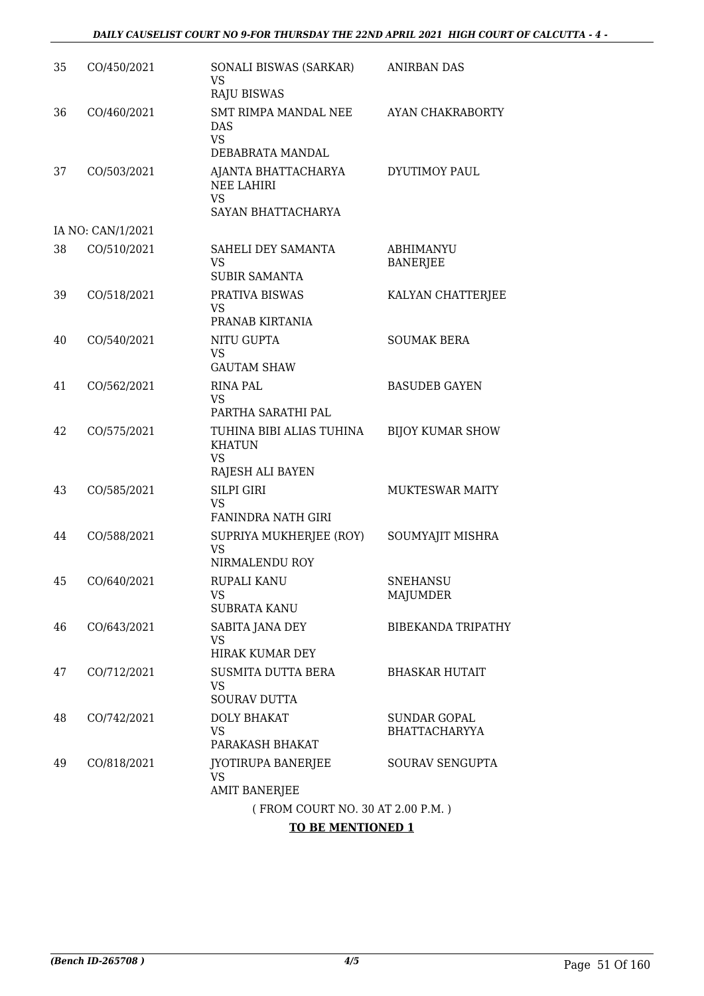| 35 | CO/450/2021       | SONALI BISWAS (SARKAR)<br><b>VS</b><br><b>RAJU BISWAS</b>                   | ANIRBAN DAS                                 |
|----|-------------------|-----------------------------------------------------------------------------|---------------------------------------------|
| 36 | CO/460/2021       | <b>SMT RIMPA MANDAL NEE</b><br>DAS<br><b>VS</b><br>DEBABRATA MANDAL         | AYAN CHAKRABORTY                            |
| 37 | CO/503/2021       | AJANTA BHATTACHARYA<br><b>NEE LAHIRI</b><br><b>VS</b><br>SAYAN BHATTACHARYA | <b>DYUTIMOY PAUL</b>                        |
|    | IA NO: CAN/1/2021 |                                                                             |                                             |
| 38 | CO/510/2021       | SAHELI DEY SAMANTA<br><b>VS</b><br><b>SUBIR SAMANTA</b>                     | <b>ABHIMANYU</b><br><b>BANERJEE</b>         |
| 39 | CO/518/2021       | PRATIVA BISWAS<br><b>VS</b><br>PRANAB KIRTANIA                              | KALYAN CHATTERJEE                           |
| 40 | CO/540/2021       | NITU GUPTA<br>VS<br><b>GAUTAM SHAW</b>                                      | <b>SOUMAK BERA</b>                          |
| 41 | CO/562/2021       | <b>RINA PAL</b><br><b>VS</b><br>PARTHA SARATHI PAL                          | <b>BASUDEB GAYEN</b>                        |
| 42 | CO/575/2021       | TUHINA BIBI ALIAS TUHINA<br><b>KHATUN</b><br><b>VS</b><br>RAJESH ALI BAYEN  | <b>BIJOY KUMAR SHOW</b>                     |
| 43 | CO/585/2021       | <b>SILPI GIRI</b><br><b>VS</b><br><b>FANINDRA NATH GIRI</b>                 | <b>MUKTESWAR MAITY</b>                      |
| 44 | CO/588/2021       | SUPRIYA MUKHERJEE (ROY)<br><b>VS</b><br>NIRMALENDU ROY                      | SOUMYAJIT MISHRA                            |
| 45 | CO/640/2021       | RUPALI KANU<br>VS<br><b>SUBRATA KANU</b>                                    | SNEHANSU<br><b>MAJUMDER</b>                 |
| 46 | CO/643/2021       | SABITA JANA DEY<br><b>VS</b><br><b>HIRAK KUMAR DEY</b>                      | <b>BIBEKANDA TRIPATHY</b>                   |
| 47 | CO/712/2021       | SUSMITA DUTTA BERA<br><b>VS</b><br><b>SOURAV DUTTA</b>                      | <b>BHASKAR HUTAIT</b>                       |
| 48 | CO/742/2021       | <b>DOLY BHAKAT</b><br>VS<br>PARAKASH BHAKAT                                 | <b>SUNDAR GOPAL</b><br><b>BHATTACHARYYA</b> |
| 49 | CO/818/2021       | JYOTIRUPA BANERJEE<br><b>VS</b><br><b>AMIT BANERJEE</b>                     | SOURAV SENGUPTA                             |
|    |                   | (FROM COURT NO. 30 AT 2.00 P.M.)                                            |                                             |
|    |                   |                                                                             |                                             |

#### **TO BE MENTIONED 1**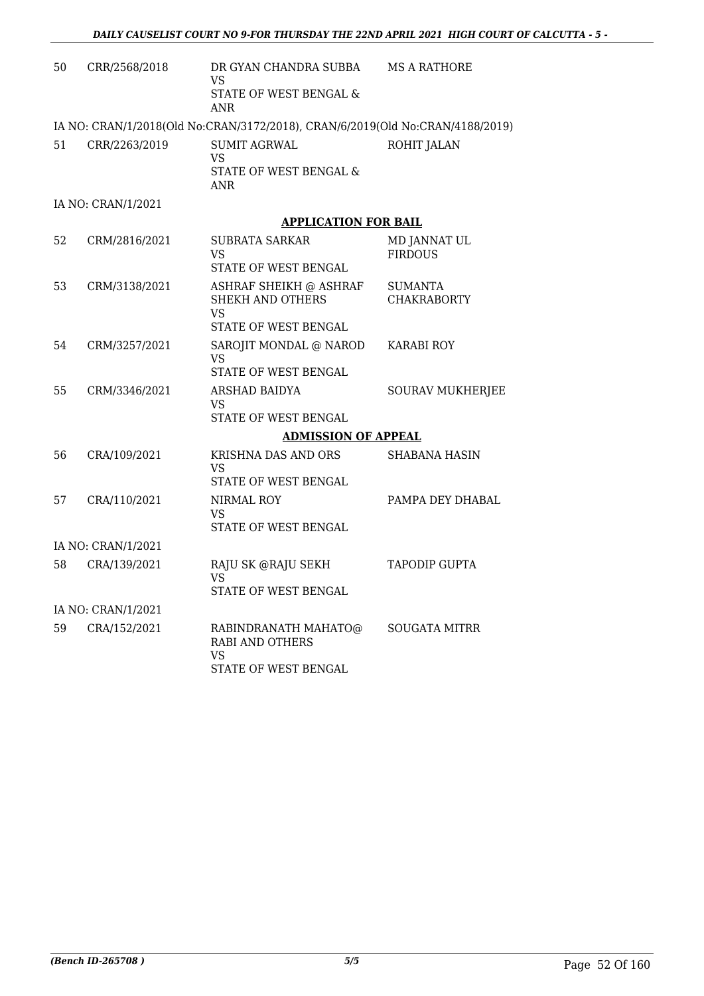| 50 | CRR/2568/2018      | DR GYAN CHANDRA SUBBA<br>VS<br>STATE OF WEST BENGAL &<br><b>ANR</b>                    | MS A RATHORE                   |
|----|--------------------|----------------------------------------------------------------------------------------|--------------------------------|
|    |                    | IA NO: CRAN/1/2018(Old No:CRAN/3172/2018), CRAN/6/2019(Old No:CRAN/4188/2019)          |                                |
| 51 | CRR/2263/2019      | <b>SUMIT AGRWAL</b><br>VS<br>STATE OF WEST BENGAL &<br>ANR                             | ROHIT JALAN                    |
|    | IA NO: CRAN/1/2021 |                                                                                        |                                |
|    |                    | <b>APPLICATION FOR BAIL</b>                                                            |                                |
| 52 | CRM/2816/2021      | SUBRATA SARKAR<br>VS.<br>STATE OF WEST BENGAL                                          | MD JANNAT UL<br><b>FIRDOUS</b> |
| 53 | CRM/3138/2021      | ASHRAF SHEIKH @ ASHRAF<br><b>SHEKH AND OTHERS</b><br><b>VS</b><br>STATE OF WEST BENGAL | SUMANTA<br><b>CHAKRABORTY</b>  |
| 54 | CRM/3257/2021      | SAROJIT MONDAL @ NAROD<br>VS<br>STATE OF WEST BENGAL                                   | KARABI ROY                     |
| 55 | CRM/3346/2021      | ARSHAD BAIDYA<br>VS.<br>STATE OF WEST BENGAL                                           | <b>SOURAV MUKHERJEE</b>        |
|    |                    | <b>ADMISSION OF APPEAL</b>                                                             |                                |
| 56 | CRA/109/2021       | KRISHNA DAS AND ORS<br>VS                                                              | SHABANA HASIN                  |
| 57 | CRA/110/2021       | STATE OF WEST BENGAL<br>NIRMAL ROY<br>VS.<br>STATE OF WEST BENGAL                      | PAMPA DEY DHABAL               |
|    | IA NO: CRAN/1/2021 |                                                                                        |                                |
| 58 | CRA/139/2021       | RAJU SK @RAJU SEKH<br>VS<br>STATE OF WEST BENGAL                                       | TAPODIP GUPTA                  |
|    | IA NO: CRAN/1/2021 |                                                                                        |                                |
| 59 | CRA/152/2021       | RABINDRANATH MAHATO@<br><b>RABI AND OTHERS</b><br><b>VS</b><br>STATE OF WEST BENGAL    | <b>SOUGATA MITRR</b>           |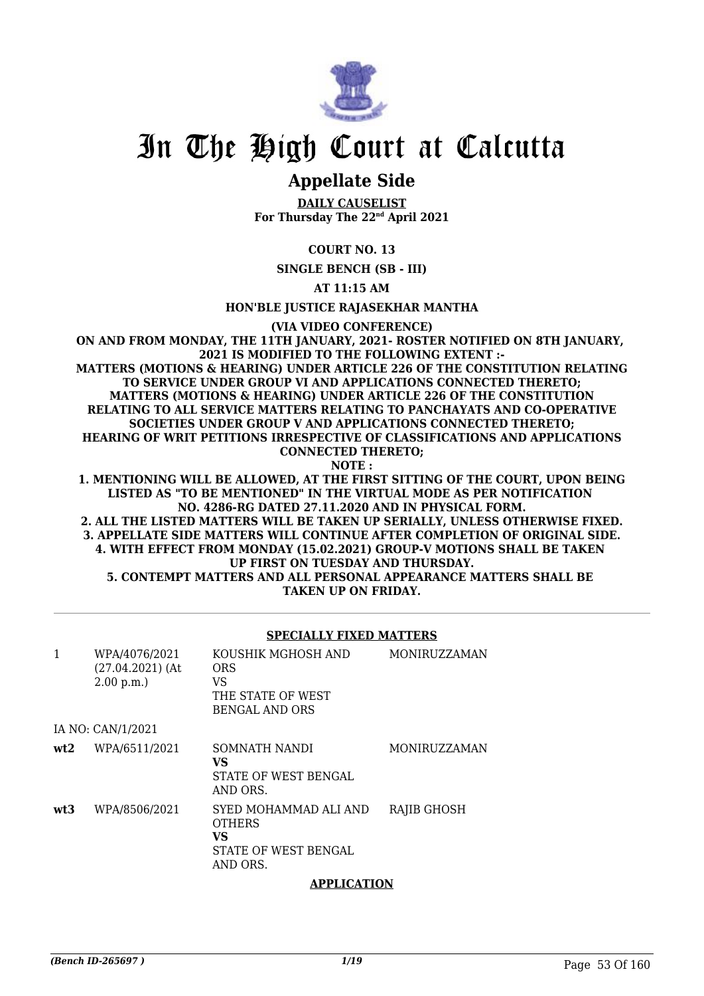

# In The High Court at Calcutta

# **Appellate Side**

**DAILY CAUSELIST For Thursday The 22nd April 2021**

## **COURT NO. 13**

**SINGLE BENCH (SB - III)**

**AT 11:15 AM**

**HON'BLE JUSTICE RAJASEKHAR MANTHA**

**(VIA VIDEO CONFERENCE)**

**ON AND FROM MONDAY, THE 11TH JANUARY, 2021- ROSTER NOTIFIED ON 8TH JANUARY, 2021 IS MODIFIED TO THE FOLLOWING EXTENT :- MATTERS (MOTIONS & HEARING) UNDER ARTICLE 226 OF THE CONSTITUTION RELATING TO SERVICE UNDER GROUP VI AND APPLICATIONS CONNECTED THERETO; MATTERS (MOTIONS & HEARING) UNDER ARTICLE 226 OF THE CONSTITUTION RELATING TO ALL SERVICE MATTERS RELATING TO PANCHAYATS AND CO-OPERATIVE SOCIETIES UNDER GROUP V AND APPLICATIONS CONNECTED THERETO; HEARING OF WRIT PETITIONS IRRESPECTIVE OF CLASSIFICATIONS AND APPLICATIONS CONNECTED THERETO; NOTE :**

**1. MENTIONING WILL BE ALLOWED, AT THE FIRST SITTING OF THE COURT, UPON BEING LISTED AS "TO BE MENTIONED" IN THE VIRTUAL MODE AS PER NOTIFICATION NO. 4286-RG DATED 27.11.2020 AND IN PHYSICAL FORM.**

**2. ALL THE LISTED MATTERS WILL BE TAKEN UP SERIALLY, UNLESS OTHERWISE FIXED. 3. APPELLATE SIDE MATTERS WILL CONTINUE AFTER COMPLETION OF ORIGINAL SIDE. 4. WITH EFFECT FROM MONDAY (15.02.2021) GROUP-V MOTIONS SHALL BE TAKEN UP FIRST ON TUESDAY AND THURSDAY. 5. CONTEMPT MATTERS AND ALL PERSONAL APPEARANCE MATTERS SHALL BE TAKEN UP ON FRIDAY.**

#### **SPECIALLY FIXED MATTERS**

| $\mathbf{1}$ | WPA/4076/2021<br>$(27.04.2021)$ (At<br>2.00 p.m. | KOUSHIK MGHOSH AND<br><b>ORS</b><br>VS<br>THE STATE OF WEST<br><b>BENGAL AND ORS</b> | <b>MONIRUZZAMAN</b> |
|--------------|--------------------------------------------------|--------------------------------------------------------------------------------------|---------------------|
|              | IA NO: CAN/1/2021                                |                                                                                      |                     |
| wt2          | WPA/6511/2021                                    | SOMNATH NANDI<br>VS<br>STATE OF WEST BENGAL<br>AND ORS.                              | <b>MONIRUZZAMAN</b> |
| wt3          | WPA/8506/2021                                    | SYED MOHAMMAD ALI AND<br><b>OTHERS</b><br>VS<br>STATE OF WEST BENGAL<br>AND ORS.     | RAJIB GHOSH         |

#### **APPLICATION**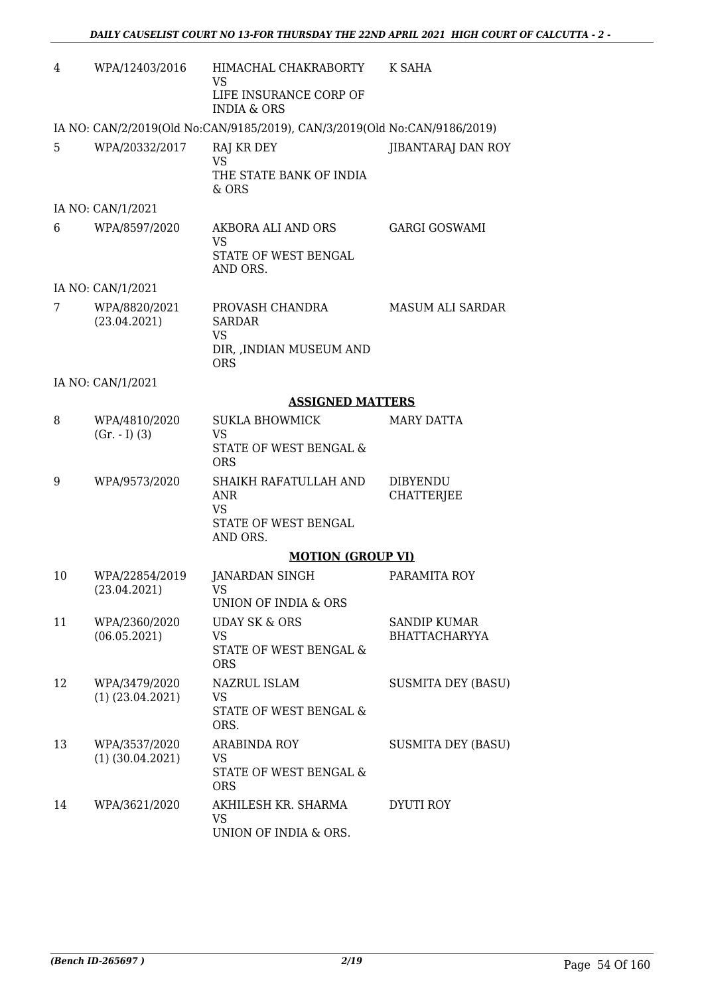| 4  | WPA/12403/2016                        | HIMACHAL CHAKRABORTY<br>VS<br>LIFE INSURANCE CORP OF<br><b>INDIA &amp; ORS</b>          | K SAHA                                      |
|----|---------------------------------------|-----------------------------------------------------------------------------------------|---------------------------------------------|
|    |                                       | IA NO: CAN/2/2019(Old No:CAN/9185/2019), CAN/3/2019(Old No:CAN/9186/2019)               |                                             |
| 5  | WPA/20332/2017                        | RAJ KR DEY<br><b>VS</b><br>THE STATE BANK OF INDIA<br>& ORS                             | JIBANTARAJ DAN ROY                          |
|    | IA NO: CAN/1/2021                     |                                                                                         |                                             |
| 6  | WPA/8597/2020                         | AKBORA ALI AND ORS<br><b>VS</b><br>STATE OF WEST BENGAL<br>AND ORS.                     | <b>GARGI GOSWAMI</b>                        |
|    | IA NO: CAN/1/2021                     |                                                                                         |                                             |
| 7  | WPA/8820/2021<br>(23.04.2021)         | PROVASH CHANDRA<br><b>SARDAR</b><br><b>VS</b><br>DIR, , INDIAN MUSEUM AND<br><b>ORS</b> | <b>MASUM ALI SARDAR</b>                     |
|    | IA NO: CAN/1/2021                     |                                                                                         |                                             |
|    |                                       | <b>ASSIGNED MATTERS</b>                                                                 |                                             |
| 8  | WPA/4810/2020<br>$(Gr. - I) (3)$      | <b>SUKLA BHOWMICK</b><br>VS.<br>STATE OF WEST BENGAL &<br><b>ORS</b>                    | <b>MARY DATTA</b>                           |
| 9  | WPA/9573/2020                         | SHAIKH RAFATULLAH AND<br>ANR<br><b>VS</b><br>STATE OF WEST BENGAL<br>AND ORS.           | <b>DIBYENDU</b><br><b>CHATTERJEE</b>        |
|    |                                       | <b>MOTION (GROUP VI)</b>                                                                |                                             |
| 10 | WPA/22854/2019<br>(23.04.2021)        | <b>JANARDAN SINGH</b><br>VS<br>UNION OF INDIA & ORS                                     | PARAMITA ROY                                |
| 11 | WPA/2360/2020<br>(06.05.2021)         | <b>UDAY SK &amp; ORS</b><br><b>VS</b><br>STATE OF WEST BENGAL &<br><b>ORS</b>           | <b>SANDIP KUMAR</b><br><b>BHATTACHARYYA</b> |
| 12 | WPA/3479/2020<br>$(1)$ $(23.04.2021)$ | NAZRUL ISLAM<br><b>VS</b><br>STATE OF WEST BENGAL &<br>ORS.                             | <b>SUSMITA DEY (BASU)</b>                   |
| 13 | WPA/3537/2020<br>$(1)$ $(30.04.2021)$ | <b>ARABINDA ROY</b><br><b>VS</b><br>STATE OF WEST BENGAL &<br><b>ORS</b>                | <b>SUSMITA DEY (BASU)</b>                   |
| 14 | WPA/3621/2020                         | AKHILESH KR. SHARMA<br>VS<br>UNION OF INDIA & ORS.                                      | <b>DYUTI ROY</b>                            |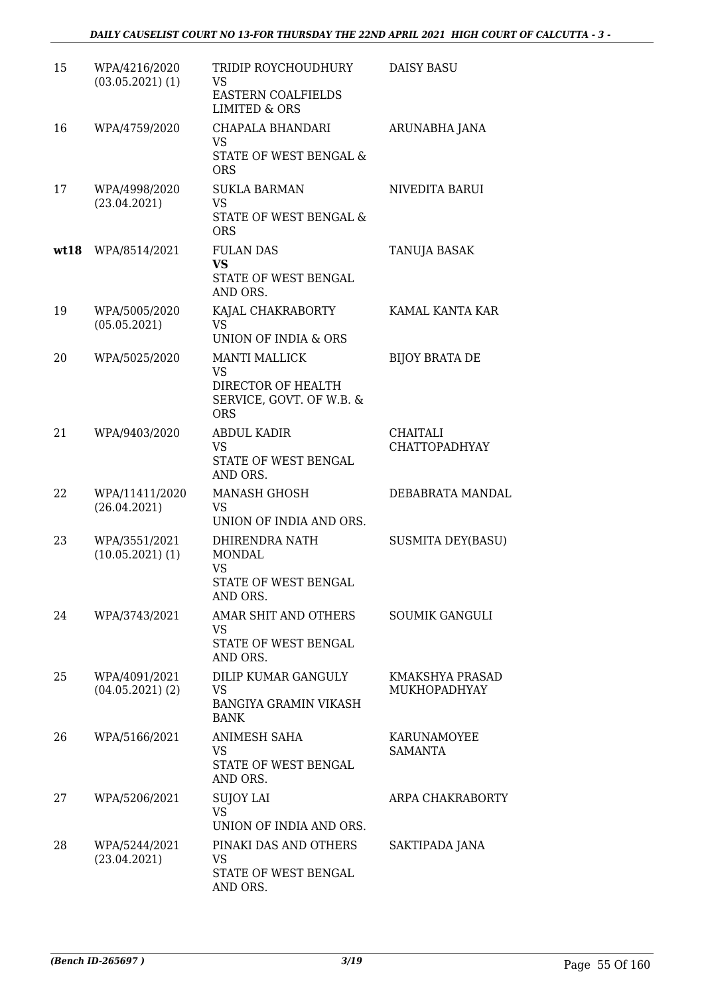| 15   | WPA/4216/2020<br>$(03.05.2021)$ (1) | TRIDIP ROYCHOUDHURY<br>VS<br><b>EASTERN COALFIELDS</b><br><b>LIMITED &amp; ORS</b>                | <b>DAISY BASU</b>                      |
|------|-------------------------------------|---------------------------------------------------------------------------------------------------|----------------------------------------|
| 16   | WPA/4759/2020                       | CHAPALA BHANDARI<br><b>VS</b><br>STATE OF WEST BENGAL &<br><b>ORS</b>                             | ARUNABHA JANA                          |
| 17   | WPA/4998/2020<br>(23.04.2021)       | <b>SUKLA BARMAN</b><br><b>VS</b><br><b>STATE OF WEST BENGAL &amp;</b><br><b>ORS</b>               | NIVEDITA BARUI                         |
| wt18 | WPA/8514/2021                       | <b>FULAN DAS</b><br><b>VS</b><br>STATE OF WEST BENGAL<br>AND ORS.                                 | TANUJA BASAK                           |
| 19   | WPA/5005/2020<br>(05.05.2021)       | KAJAL CHAKRABORTY<br><b>VS</b><br>UNION OF INDIA & ORS                                            | KAMAL KANTA KAR                        |
| 20   | WPA/5025/2020                       | <b>MANTI MALLICK</b><br><b>VS</b><br>DIRECTOR OF HEALTH<br>SERVICE, GOVT. OF W.B. &<br><b>ORS</b> | <b>BIJOY BRATA DE</b>                  |
| 21   | WPA/9403/2020                       | <b>ABDUL KADIR</b><br><b>VS</b><br>STATE OF WEST BENGAL<br>AND ORS.                               | CHAITALI<br><b>CHATTOPADHYAY</b>       |
| 22   | WPA/11411/2020<br>(26.04.2021)      | <b>MANASH GHOSH</b><br>VS<br>UNION OF INDIA AND ORS.                                              | DEBABRATA MANDAL                       |
| 23   | WPA/3551/2021<br>(10.05.2021)(1)    | DHIRENDRA NATH<br><b>MONDAL</b><br><b>VS</b><br>STATE OF WEST BENGAL<br>AND ORS.                  | <b>SUSMITA DEY(BASU)</b>               |
| 24   | WPA/3743/2021                       | AMAR SHIT AND OTHERS<br>VS<br>STATE OF WEST BENGAL<br>AND ORS.                                    | <b>SOUMIK GANGULI</b>                  |
| 25   | WPA/4091/2021<br>$(04.05.2021)$ (2) | DILIP KUMAR GANGULY<br>VS<br><b>BANGIYA GRAMIN VIKASH</b><br><b>BANK</b>                          | KMAKSHYA PRASAD<br><b>MUKHOPADHYAY</b> |
| 26   | WPA/5166/2021                       | ANIMESH SAHA<br><b>VS</b><br>STATE OF WEST BENGAL<br>AND ORS.                                     | KARUNAMOYEE<br><b>SAMANTA</b>          |
| 27   | WPA/5206/2021                       | <b>SUJOY LAI</b><br><b>VS</b><br>UNION OF INDIA AND ORS.                                          | ARPA CHAKRABORTY                       |
| 28   | WPA/5244/2021<br>(23.04.2021)       | PINAKI DAS AND OTHERS<br>VS<br>STATE OF WEST BENGAL<br>AND ORS.                                   | SAKTIPADA JANA                         |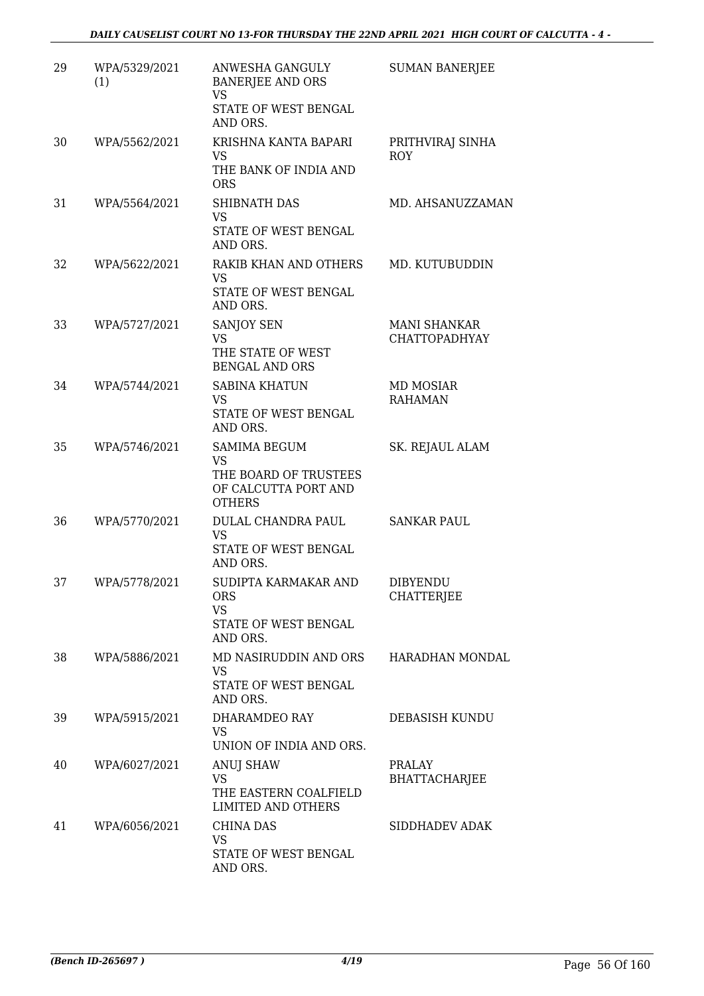| 29 | WPA/5329/2021<br>(1) | ANWESHA GANGULY<br><b>BANERJEE AND ORS</b><br><b>VS</b><br>STATE OF WEST BENGAL<br>AND ORS.        | <b>SUMAN BANERJEE</b>                |
|----|----------------------|----------------------------------------------------------------------------------------------------|--------------------------------------|
| 30 | WPA/5562/2021        | KRISHNA KANTA BAPARI<br>VS<br>THE BANK OF INDIA AND<br><b>ORS</b>                                  | PRITHVIRAJ SINHA<br>ROY              |
| 31 | WPA/5564/2021        | SHIBNATH DAS<br><b>VS</b><br>STATE OF WEST BENGAL<br>AND ORS.                                      | MD. AHSANUZZAMAN                     |
| 32 | WPA/5622/2021        | RAKIB KHAN AND OTHERS<br><b>VS</b><br>STATE OF WEST BENGAL<br>AND ORS.                             | MD. KUTUBUDDIN                       |
| 33 | WPA/5727/2021        | SANJOY SEN<br><b>VS</b><br>THE STATE OF WEST<br><b>BENGAL AND ORS</b>                              | <b>MANI SHANKAR</b><br>CHATTOPADHYAY |
| 34 | WPA/5744/2021        | <b>SABINA KHATUN</b><br><b>VS</b><br>STATE OF WEST BENGAL<br>AND ORS.                              | MD MOSIAR<br><b>RAHAMAN</b>          |
| 35 | WPA/5746/2021        | <b>SAMIMA BEGUM</b><br><b>VS</b><br>THE BOARD OF TRUSTEES<br>OF CALCUTTA PORT AND<br><b>OTHERS</b> | SK. REJAUL ALAM                      |
| 36 | WPA/5770/2021        | DULAL CHANDRA PAUL<br><b>VS</b><br>STATE OF WEST BENGAL<br>AND ORS.                                | <b>SANKAR PAUL</b>                   |
| 37 | WPA/5778/2021        | SUDIPTA KARMAKAR AND<br><b>ORS</b><br><b>VS</b><br>STATE OF WEST BENGAL<br>AND ORS.                | <b>DIBYENDU</b><br><b>CHATTERJEE</b> |
| 38 | WPA/5886/2021        | MD NASIRUDDIN AND ORS<br>VS.<br>STATE OF WEST BENGAL<br>AND ORS.                                   | HARADHAN MONDAL                      |
| 39 | WPA/5915/2021        | DHARAMDEO RAY<br>VS<br>UNION OF INDIA AND ORS.                                                     | DEBASISH KUNDU                       |
| 40 | WPA/6027/2021        | ANUJ SHAW<br><b>VS</b><br>THE EASTERN COALFIELD<br>LIMITED AND OTHERS                              | <b>PRALAY</b><br>BHATTACHARJEE       |
| 41 | WPA/6056/2021        | <b>CHINA DAS</b><br><b>VS</b><br>STATE OF WEST BENGAL<br>AND ORS.                                  | SIDDHADEV ADAK                       |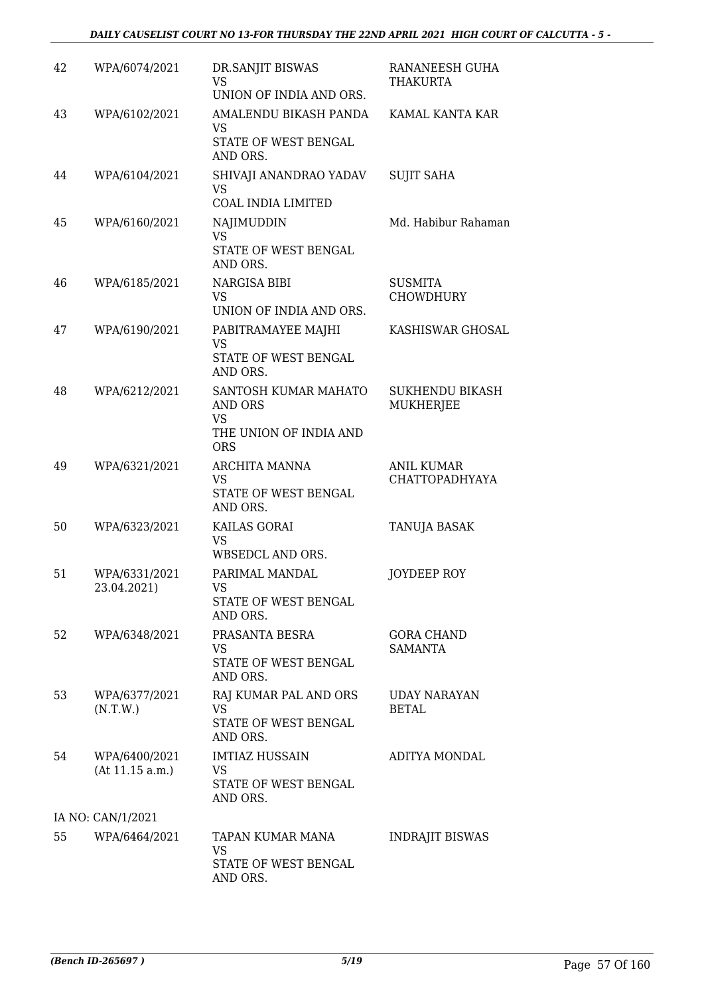| 42 | WPA/6074/2021                    | DR.SANJIT BISWAS<br>VS<br>UNION OF INDIA AND ORS.                      | RANANEESH GUHA<br><b>THAKURTA</b>          |
|----|----------------------------------|------------------------------------------------------------------------|--------------------------------------------|
| 43 | WPA/6102/2021                    | AMALENDU BIKASH PANDA<br><b>VS</b><br>STATE OF WEST BENGAL<br>AND ORS. | KAMAL KANTA KAR                            |
| 44 | WPA/6104/2021                    | SHIVAJI ANANDRAO YADAV<br>VS                                           | <b>SUJIT SAHA</b>                          |
|    |                                  | COAL INDIA LIMITED                                                     |                                            |
| 45 | WPA/6160/2021                    | NAJIMUDDIN<br><b>VS</b><br>STATE OF WEST BENGAL                        | Md. Habibur Rahaman                        |
|    |                                  | AND ORS.                                                               |                                            |
| 46 | WPA/6185/2021                    | NARGISA BIBI<br><b>VS</b>                                              | <b>SUSMITA</b><br><b>CHOWDHURY</b>         |
|    |                                  | UNION OF INDIA AND ORS.                                                |                                            |
| 47 | WPA/6190/2021                    | PABITRAMAYEE MAJHI<br>VS<br>STATE OF WEST BENGAL<br>AND ORS.           | KASHISWAR GHOSAL                           |
| 48 | WPA/6212/2021                    | SANTOSH KUMAR MAHATO<br>AND ORS                                        | <b>SUKHENDU BIKASH</b><br>MUKHERJEE        |
|    |                                  | VS<br>THE UNION OF INDIA AND<br><b>ORS</b>                             |                                            |
| 49 | WPA/6321/2021                    | ARCHITA MANNA<br><b>VS</b><br>STATE OF WEST BENGAL<br>AND ORS.         | <b>ANIL KUMAR</b><br><b>CHATTOPADHYAYA</b> |
| 50 | WPA/6323/2021                    | KAILAS GORAI<br><b>VS</b><br>WBSEDCL AND ORS.                          | TANUJA BASAK                               |
| 51 | WPA/6331/2021<br>23.04.2021)     | PARIMAL MANDAL<br>VS 7<br>STATE OF WEST BENGAL<br>AND ORS.             | JOYDEEP ROY                                |
| 52 | WPA/6348/2021                    | PRASANTA BESRA<br>VS.<br>STATE OF WEST BENGAL<br>AND ORS.              | <b>GORA CHAND</b><br><b>SAMANTA</b>        |
| 53 | WPA/6377/2021<br>(N.T.W.)        | RAJ KUMAR PAL AND ORS<br>VS<br>STATE OF WEST BENGAL<br>AND ORS.        | <b>UDAY NARAYAN</b><br><b>BETAL</b>        |
| 54 | WPA/6400/2021<br>(At 11.15 a.m.) | <b>IMTIAZ HUSSAIN</b><br>VS<br>STATE OF WEST BENGAL<br>AND ORS.        | ADITYA MONDAL                              |
|    | IA NO: CAN/1/2021                |                                                                        |                                            |
| 55 | WPA/6464/2021                    | TAPAN KUMAR MANA<br>VS.<br>STATE OF WEST BENGAL<br>AND ORS.            | <b>INDRAJIT BISWAS</b>                     |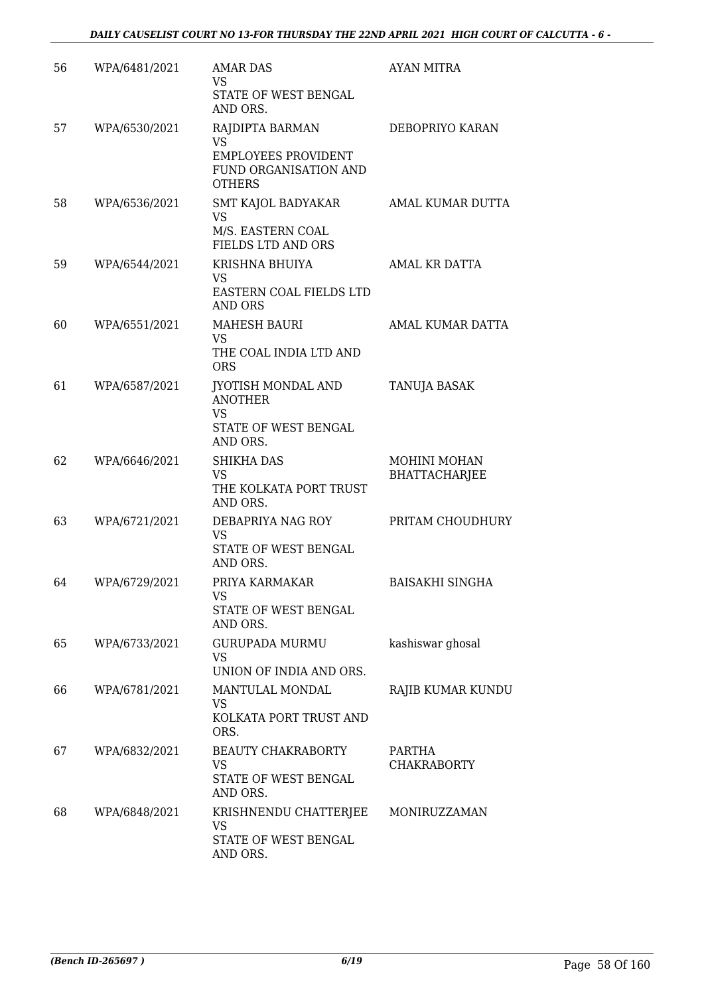| 56 | WPA/6481/2021 | <b>AMAR DAS</b><br><b>VS</b><br>STATE OF WEST BENGAL<br>AND ORS.                                     | <b>AYAN MITRA</b>                    |
|----|---------------|------------------------------------------------------------------------------------------------------|--------------------------------------|
| 57 | WPA/6530/2021 | RAJDIPTA BARMAN<br><b>VS</b><br><b>EMPLOYEES PROVIDENT</b><br>FUND ORGANISATION AND<br><b>OTHERS</b> | DEBOPRIYO KARAN                      |
| 58 | WPA/6536/2021 | SMT KAJOL BADYAKAR<br><b>VS</b><br>M/S. EASTERN COAL<br>FIELDS LTD AND ORS                           | AMAL KUMAR DUTTA                     |
| 59 | WPA/6544/2021 | KRISHNA BHUIYA<br>VS<br>EASTERN COAL FIELDS LTD<br><b>AND ORS</b>                                    | AMAL KR DATTA                        |
| 60 | WPA/6551/2021 | <b>MAHESH BAURI</b><br>VS<br>THE COAL INDIA LTD AND<br><b>ORS</b>                                    | AMAL KUMAR DATTA                     |
| 61 | WPA/6587/2021 | JYOTISH MONDAL AND<br><b>ANOTHER</b><br><b>VS</b><br>STATE OF WEST BENGAL<br>AND ORS.                | TANUJA BASAK                         |
| 62 | WPA/6646/2021 | <b>SHIKHA DAS</b><br>VS<br>THE KOLKATA PORT TRUST<br>AND ORS.                                        | MOHINI MOHAN<br><b>BHATTACHARJEE</b> |
| 63 | WPA/6721/2021 | DEBAPRIYA NAG ROY<br><b>VS</b><br>STATE OF WEST BENGAL<br>AND ORS.                                   | PRITAM CHOUDHURY                     |
| 64 | WPA/6729/2021 | PRIYA KARMAKAR<br>VS<br>STATE OF WEST BENGAL<br>AND ORS.                                             | <b>BAISAKHI SINGHA</b>               |
| 65 | WPA/6733/2021 | <b>GURUPADA MURMU</b><br>VS<br>UNION OF INDIA AND ORS.                                               | kashiswar ghosal                     |
| 66 | WPA/6781/2021 | MANTULAL MONDAL<br>VS.<br>KOLKATA PORT TRUST AND<br>ORS.                                             | RAJIB KUMAR KUNDU                    |
| 67 | WPA/6832/2021 | <b>BEAUTY CHAKRABORTY</b><br><b>VS</b><br>STATE OF WEST BENGAL<br>AND ORS.                           | PARTHA<br><b>CHAKRABORTY</b>         |
| 68 | WPA/6848/2021 | KRISHNENDU CHATTERJEE<br>VS<br>STATE OF WEST BENGAL<br>AND ORS.                                      | MONIRUZZAMAN                         |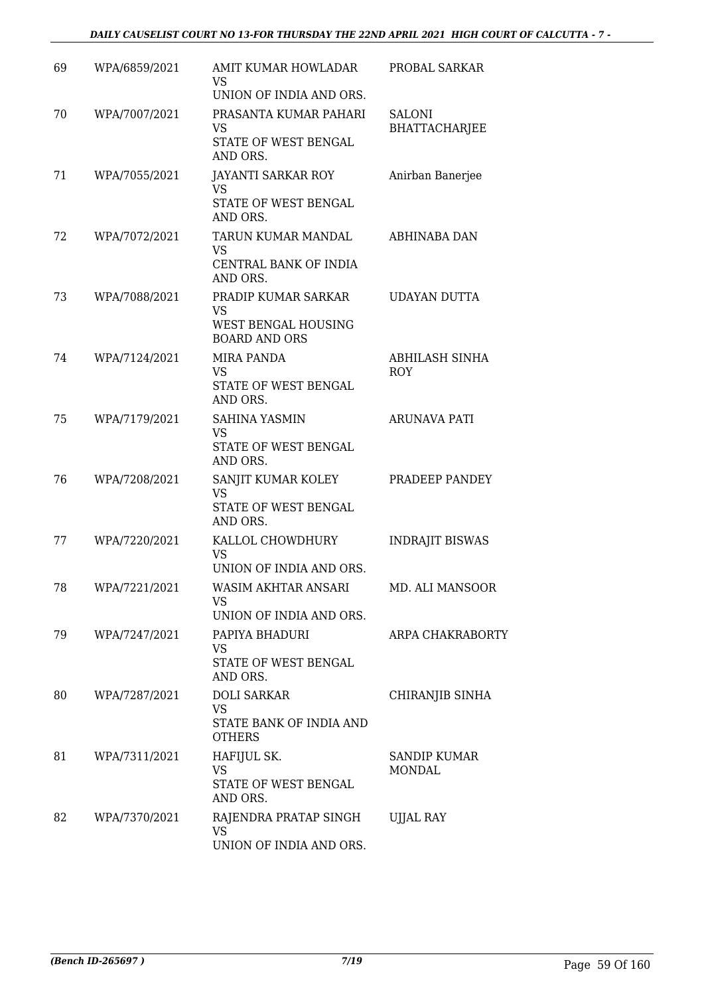### *DAILY CAUSELIST COURT NO 13-FOR THURSDAY THE 22ND APRIL 2021 HIGH COURT OF CALCUTTA - 7 -*

| 69 | WPA/6859/2021 | AMIT KUMAR HOWLADAR<br>VS<br>UNION OF INDIA AND ORS.                     | PROBAL SARKAR                         |
|----|---------------|--------------------------------------------------------------------------|---------------------------------------|
| 70 | WPA/7007/2021 | PRASANTA KUMAR PAHARI<br>VS.<br>STATE OF WEST BENGAL<br>AND ORS.         | <b>SALONI</b><br><b>BHATTACHARJEE</b> |
| 71 | WPA/7055/2021 | JAYANTI SARKAR ROY<br>VS<br>STATE OF WEST BENGAL<br>AND ORS.             | Anirban Banerjee                      |
| 72 | WPA/7072/2021 | TARUN KUMAR MANDAL<br>VS<br>CENTRAL BANK OF INDIA<br>AND ORS.            | ABHINABA DAN                          |
| 73 | WPA/7088/2021 | PRADIP KUMAR SARKAR<br>VS<br>WEST BENGAL HOUSING<br><b>BOARD AND ORS</b> | <b>UDAYAN DUTTA</b>                   |
| 74 | WPA/7124/2021 | MIRA PANDA<br>VS<br>STATE OF WEST BENGAL<br>AND ORS.                     | ABHILASH SINHA<br>ROY                 |
| 75 | WPA/7179/2021 | SAHINA YASMIN<br><b>VS</b><br>STATE OF WEST BENGAL<br>AND ORS.           | <b>ARUNAVA PATI</b>                   |
| 76 | WPA/7208/2021 | SANJIT KUMAR KOLEY<br>VS<br>STATE OF WEST BENGAL<br>AND ORS.             | PRADEEP PANDEY                        |
| 77 | WPA/7220/2021 | KALLOL CHOWDHURY<br><b>VS</b><br>UNION OF INDIA AND ORS.                 | <b>INDRAJIT BISWAS</b>                |
| 78 | WPA/7221/2021 | WASIM AKHTAR ANSARI<br>VS<br>UNION OF INDIA AND ORS.                     | MD. ALI MANSOOR                       |
| 79 | WPA/7247/2021 | PAPIYA BHADURI<br>VS.<br>STATE OF WEST BENGAL<br>AND ORS.                | ARPA CHAKRABORTY                      |
| 80 | WPA/7287/2021 | <b>DOLI SARKAR</b><br>VS.<br>STATE BANK OF INDIA AND<br><b>OTHERS</b>    | CHIRANJIB SINHA                       |
| 81 | WPA/7311/2021 | HAFIJUL SK.<br>VS<br>STATE OF WEST BENGAL<br>AND ORS.                    | <b>SANDIP KUMAR</b><br><b>MONDAL</b>  |
| 82 | WPA/7370/2021 | RAJENDRA PRATAP SINGH<br><b>VS</b><br>UNION OF INDIA AND ORS.            | <b>UJJAL RAY</b>                      |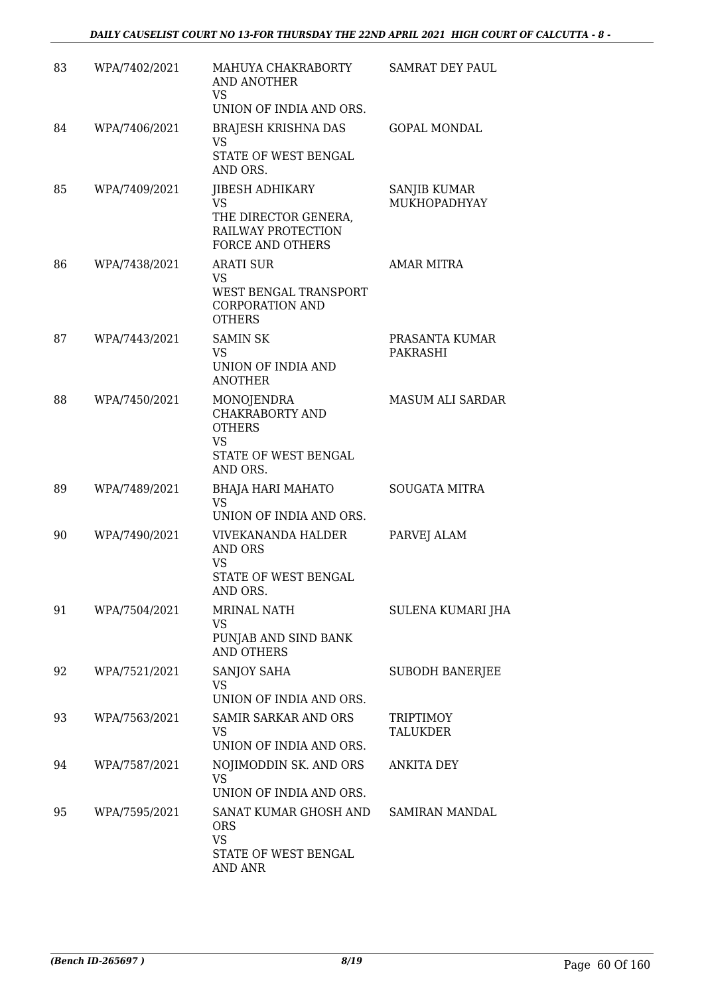| 83 | WPA/7402/2021 | MAHUYA CHAKRABORTY<br>AND ANOTHER<br>VS.<br>UNION OF INDIA AND ORS.                                           | <b>SAMRAT DEY PAUL</b>              |
|----|---------------|---------------------------------------------------------------------------------------------------------------|-------------------------------------|
| 84 | WPA/7406/2021 | BRAJESH KRISHNA DAS<br>VS<br>STATE OF WEST BENGAL<br>AND ORS.                                                 | <b>GOPAL MONDAL</b>                 |
| 85 | WPA/7409/2021 | JIBESH ADHIKARY<br><b>VS</b><br>THE DIRECTOR GENERA,<br>RAILWAY PROTECTION<br><b>FORCE AND OTHERS</b>         | SANJIB KUMAR<br>MUKHOPADHYAY        |
| 86 | WPA/7438/2021 | <b>ARATI SUR</b><br>VS<br>WEST BENGAL TRANSPORT<br><b>CORPORATION AND</b><br><b>OTHERS</b>                    | <b>AMAR MITRA</b>                   |
| 87 | WPA/7443/2021 | <b>SAMIN SK</b><br>VS<br>UNION OF INDIA AND<br><b>ANOTHER</b>                                                 | PRASANTA KUMAR<br><b>PAKRASHI</b>   |
| 88 | WPA/7450/2021 | <b>MONOJENDRA</b><br><b>CHAKRABORTY AND</b><br><b>OTHERS</b><br><b>VS</b><br>STATE OF WEST BENGAL<br>AND ORS. | <b>MASUM ALI SARDAR</b>             |
| 89 | WPA/7489/2021 | <b>BHAJA HARI MAHATO</b><br><b>VS</b><br>UNION OF INDIA AND ORS.                                              | <b>SOUGATA MITRA</b>                |
| 90 | WPA/7490/2021 | <b>VIVEKANANDA HALDER</b><br><b>AND ORS</b><br>VS<br><b>STATE OF WEST BENGAL</b><br>AND ORS.                  | PARVEJ ALAM                         |
| 91 | WPA/7504/2021 | <b>MRINAL NATH</b><br>VS.<br>PUNJAB AND SIND BANK<br><b>AND OTHERS</b>                                        | SULENA KUMARI JHA                   |
| 92 | WPA/7521/2021 | SANJOY SAHA<br>VS.<br>UNION OF INDIA AND ORS.                                                                 | <b>SUBODH BANERJEE</b>              |
| 93 | WPA/7563/2021 | SAMIR SARKAR AND ORS<br>VS<br>UNION OF INDIA AND ORS.                                                         | <b>TRIPTIMOY</b><br><b>TALUKDER</b> |
| 94 | WPA/7587/2021 | NOJIMODDIN SK. AND ORS<br><b>VS</b><br>UNION OF INDIA AND ORS.                                                | ANKITA DEY                          |
| 95 | WPA/7595/2021 | SANAT KUMAR GHOSH AND<br><b>ORS</b><br><b>VS</b><br>STATE OF WEST BENGAL<br><b>AND ANR</b>                    | SAMIRAN MANDAL                      |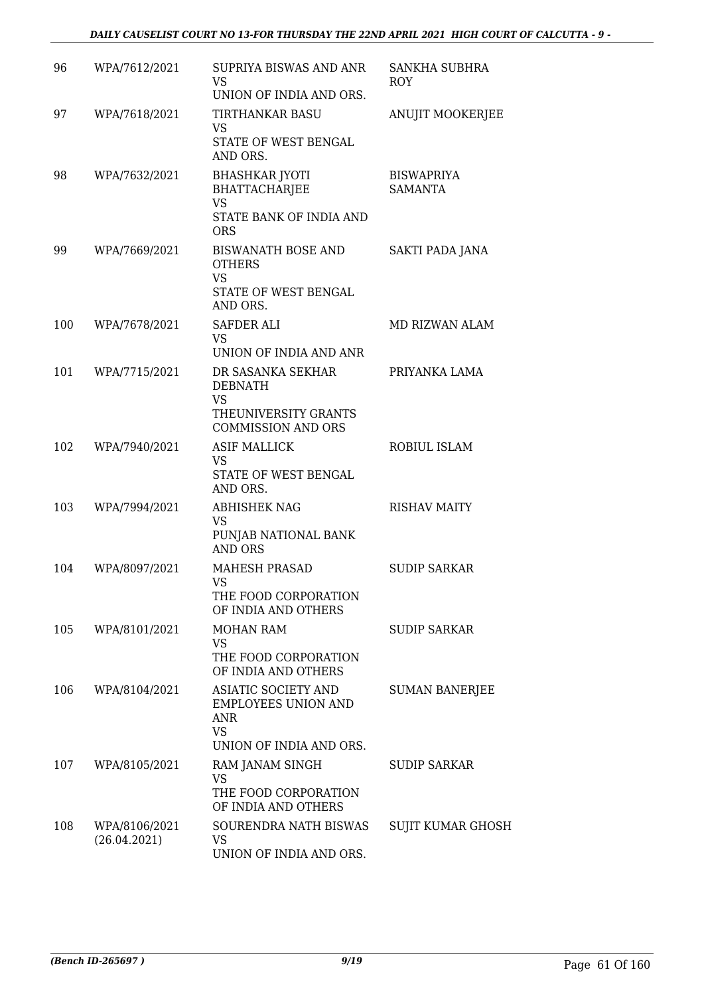### *DAILY CAUSELIST COURT NO 13-FOR THURSDAY THE 22ND APRIL 2021 HIGH COURT OF CALCUTTA - 9 -*

| 96  | WPA/7612/2021                 | SUPRIYA BISWAS AND ANR<br>VS.<br>UNION OF INDIA AND ORS.                                              | SANKHA SUBHRA<br>ROY                |
|-----|-------------------------------|-------------------------------------------------------------------------------------------------------|-------------------------------------|
| 97  | WPA/7618/2021                 | TIRTHANKAR BASU<br>VS<br>STATE OF WEST BENGAL<br>AND ORS.                                             | ANUJIT MOOKERJEE                    |
| 98  | WPA/7632/2021                 | <b>BHASHKAR JYOTI</b><br><b>BHATTACHARJEE</b><br><b>VS</b><br>STATE BANK OF INDIA AND<br><b>ORS</b>   | <b>BISWAPRIYA</b><br><b>SAMANTA</b> |
| 99  | WPA/7669/2021                 | <b>BISWANATH BOSE AND</b><br><b>OTHERS</b><br><b>VS</b><br>STATE OF WEST BENGAL<br>AND ORS.           | SAKTI PADA JANA                     |
| 100 | WPA/7678/2021                 | <b>SAFDER ALI</b><br>VS<br>UNION OF INDIA AND ANR                                                     | <b>MD RIZWAN ALAM</b>               |
| 101 | WPA/7715/2021                 | DR SASANKA SEKHAR<br><b>DEBNATH</b><br><b>VS</b><br>THEUNIVERSITY GRANTS<br><b>COMMISSION AND ORS</b> | PRIYANKA LAMA                       |
| 102 | WPA/7940/2021                 | <b>ASIF MALLICK</b><br><b>VS</b><br>STATE OF WEST BENGAL<br>AND ORS.                                  | ROBIUL ISLAM                        |
| 103 | WPA/7994/2021                 | <b>ABHISHEK NAG</b><br>VS<br>PUNJAB NATIONAL BANK<br><b>AND ORS</b>                                   | <b>RISHAV MAITY</b>                 |
| 104 | WPA/8097/2021                 | <b>MAHESH PRASAD</b><br>VS<br>THE FOOD CORPORATION<br>OF INDIA AND OTHERS                             | <b>SUDIP SARKAR</b>                 |
| 105 | WPA/8101/2021                 | <b>MOHAN RAM</b><br>VS<br>THE FOOD CORPORATION<br>OF INDIA AND OTHERS                                 | <b>SUDIP SARKAR</b>                 |
| 106 | WPA/8104/2021                 | ASIATIC SOCIETY AND<br>EMPLOYEES UNION AND<br>ANR<br><b>VS</b><br>UNION OF INDIA AND ORS.             | <b>SUMAN BANERJEE</b>               |
| 107 | WPA/8105/2021                 | RAM JANAM SINGH<br>VS<br>THE FOOD CORPORATION<br>OF INDIA AND OTHERS                                  | <b>SUDIP SARKAR</b>                 |
| 108 | WPA/8106/2021<br>(26.04.2021) | SOURENDRA NATH BISWAS<br>VS<br>UNION OF INDIA AND ORS.                                                | SUJIT KUMAR GHOSH                   |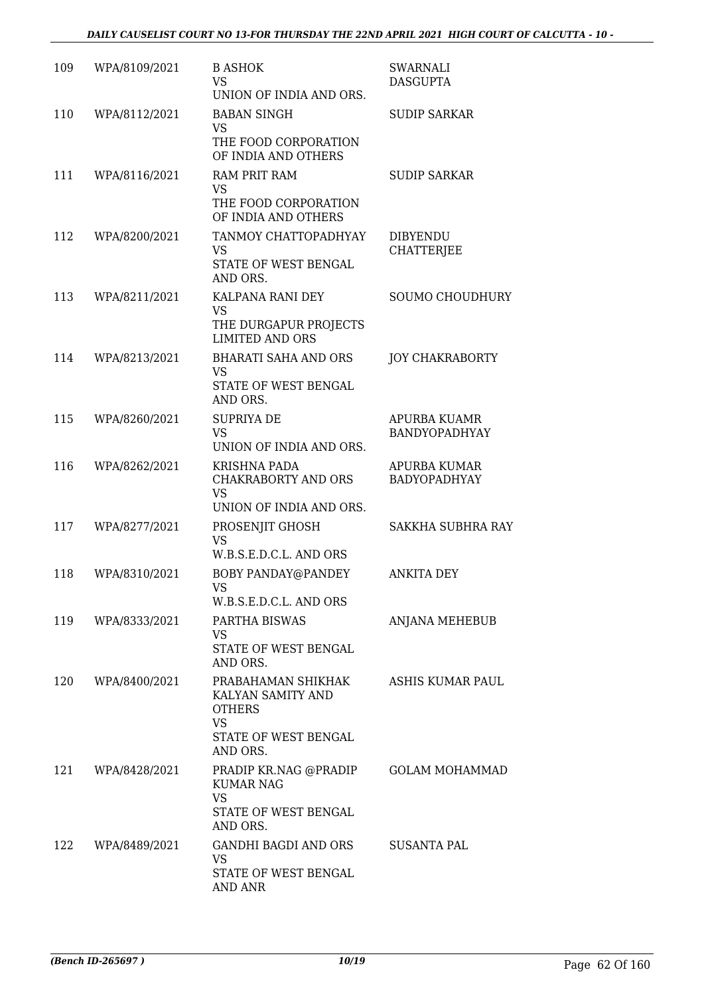| 109 | WPA/8109/2021 | <b>B ASHOK</b><br><b>VS</b><br>UNION OF INDIA AND ORS.                                                    | SWARNALI<br><b>DASGUPTA</b>          |
|-----|---------------|-----------------------------------------------------------------------------------------------------------|--------------------------------------|
| 110 | WPA/8112/2021 | <b>BABAN SINGH</b><br><b>VS</b><br>THE FOOD CORPORATION<br>OF INDIA AND OTHERS                            | <b>SUDIP SARKAR</b>                  |
| 111 | WPA/8116/2021 | <b>RAM PRIT RAM</b><br><b>VS</b><br>THE FOOD CORPORATION<br>OF INDIA AND OTHERS                           | <b>SUDIP SARKAR</b>                  |
| 112 | WPA/8200/2021 | TANMOY CHATTOPADHYAY<br>VS<br>STATE OF WEST BENGAL<br>AND ORS.                                            | <b>DIBYENDU</b><br>CHATTERJEE        |
| 113 | WPA/8211/2021 | KALPANA RANI DEY<br><b>VS</b><br>THE DURGAPUR PROJECTS<br><b>LIMITED AND ORS</b>                          | <b>SOUMO CHOUDHURY</b>               |
| 114 | WPA/8213/2021 | <b>BHARATI SAHA AND ORS</b><br><b>VS</b><br>STATE OF WEST BENGAL<br>AND ORS.                              | <b>JOY CHAKRABORTY</b>               |
| 115 | WPA/8260/2021 | <b>SUPRIYA DE</b><br><b>VS</b><br>UNION OF INDIA AND ORS.                                                 | <b>APURBA KUAMR</b><br>BANDYOPADHYAY |
| 116 | WPA/8262/2021 | <b>KRISHNA PADA</b><br>CHAKRABORTY AND ORS<br><b>VS</b><br>UNION OF INDIA AND ORS.                        | <b>APURBA KUMAR</b><br>BADYOPADHYAY  |
| 117 | WPA/8277/2021 | PROSENJIT GHOSH<br><b>VS</b><br>W.B.S.E.D.C.L. AND ORS                                                    | <b>SAKKHA SUBHRA RAY</b>             |
| 118 | WPA/8310/2021 | BOBY PANDAY@PANDEY<br>VS.<br>W.B.S.E.D.C.L. AND ORS                                                       | <b>ANKITA DEY</b>                    |
| 119 | WPA/8333/2021 | PARTHA BISWAS<br>VS<br>STATE OF WEST BENGAL<br>AND ORS.                                                   | <b>ANJANA MEHEBUB</b>                |
| 120 | WPA/8400/2021 | PRABAHAMAN SHIKHAK<br>KALYAN SAMITY AND<br><b>OTHERS</b><br><b>VS</b><br>STATE OF WEST BENGAL<br>AND ORS. | ASHIS KUMAR PAUL                     |
| 121 | WPA/8428/2021 | PRADIP KR.NAG @PRADIP<br><b>KUMAR NAG</b><br><b>VS</b><br>STATE OF WEST BENGAL<br>AND ORS.                | <b>GOLAM MOHAMMAD</b>                |
| 122 | WPA/8489/2021 | GANDHI BAGDI AND ORS<br>VS<br>STATE OF WEST BENGAL<br>AND ANR                                             | SUSANTA PAL                          |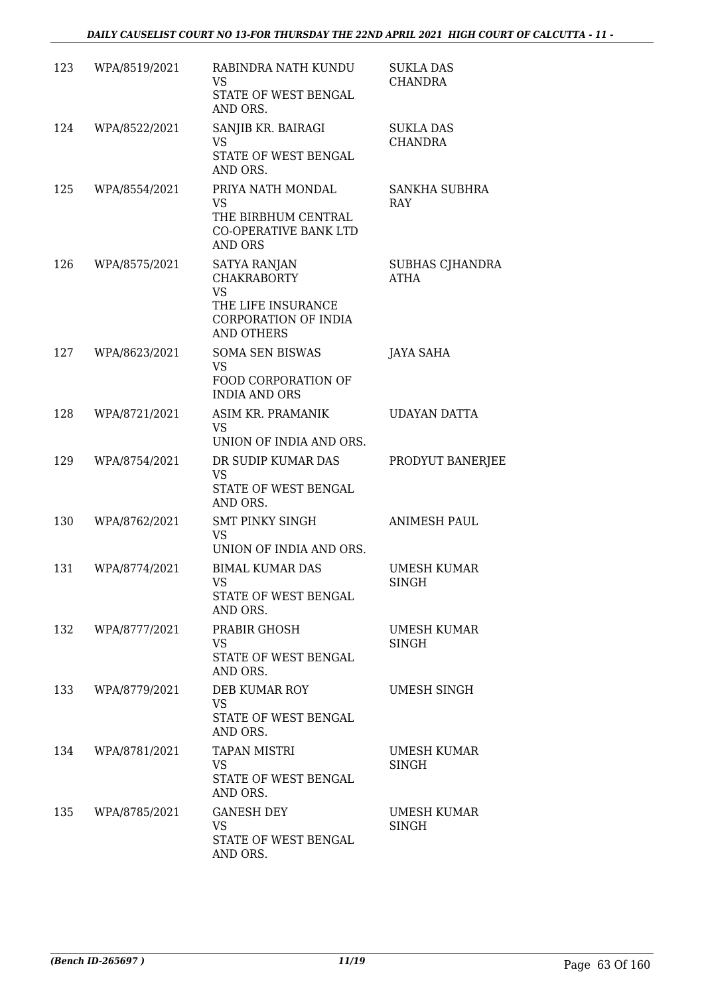| 123 | WPA/8519/2021 | RABINDRA NATH KUNDU<br>VS<br>STATE OF WEST BENGAL<br>AND ORS.                                                             | <b>SUKLA DAS</b><br>CHANDRA        |
|-----|---------------|---------------------------------------------------------------------------------------------------------------------------|------------------------------------|
| 124 | WPA/8522/2021 | SANJIB KR. BAIRAGI<br><b>VS</b><br>STATE OF WEST BENGAL<br>AND ORS.                                                       | <b>SUKLA DAS</b><br><b>CHANDRA</b> |
| 125 | WPA/8554/2021 | PRIYA NATH MONDAL<br><b>VS</b><br>THE BIRBHUM CENTRAL<br><b>CO-OPERATIVE BANK LTD</b><br><b>AND ORS</b>                   | <b>SANKHA SUBHRA</b><br>RAY        |
| 126 | WPA/8575/2021 | <b>SATYA RANJAN</b><br><b>CHAKRABORTY</b><br><b>VS</b><br>THE LIFE INSURANCE<br>CORPORATION OF INDIA<br><b>AND OTHERS</b> | SUBHAS CJHANDRA<br>ATHA            |
| 127 | WPA/8623/2021 | <b>SOMA SEN BISWAS</b><br><b>VS</b><br>FOOD CORPORATION OF<br><b>INDIA AND ORS</b>                                        | JAYA SAHA                          |
| 128 | WPA/8721/2021 | ASIM KR. PRAMANIK<br><b>VS</b><br>UNION OF INDIA AND ORS.                                                                 | <b>UDAYAN DATTA</b>                |
| 129 | WPA/8754/2021 | DR SUDIP KUMAR DAS<br><b>VS</b><br>STATE OF WEST BENGAL<br>AND ORS.                                                       | PRODYUT BANERJEE                   |
| 130 | WPA/8762/2021 | <b>SMT PINKY SINGH</b><br>VS<br>UNION OF INDIA AND ORS.                                                                   | <b>ANIMESH PAUL</b>                |
| 131 | WPA/8774/2021 | <b>BIMAL KUMAR DAS</b><br>VS.<br>STATE OF WEST BENGAL<br>AND ORS.                                                         | <b>UMESH KUMAR</b><br>SINGH        |
| 132 | WPA/8777/2021 | PRABIR GHOSH<br>VS<br>STATE OF WEST BENGAL<br>AND ORS.                                                                    | <b>UMESH KUMAR</b><br><b>SINGH</b> |
| 133 | WPA/8779/2021 | DEB KUMAR ROY<br><b>VS</b><br>STATE OF WEST BENGAL<br>AND ORS.                                                            | UMESH SINGH                        |
| 134 | WPA/8781/2021 | <b>TAPAN MISTRI</b><br>VS.<br>STATE OF WEST BENGAL<br>AND ORS.                                                            | <b>UMESH KUMAR</b><br>SINGH        |
| 135 | WPA/8785/2021 | <b>GANESH DEY</b><br><b>VS</b><br>STATE OF WEST BENGAL<br>AND ORS.                                                        | <b>UMESH KUMAR</b><br>SINGH        |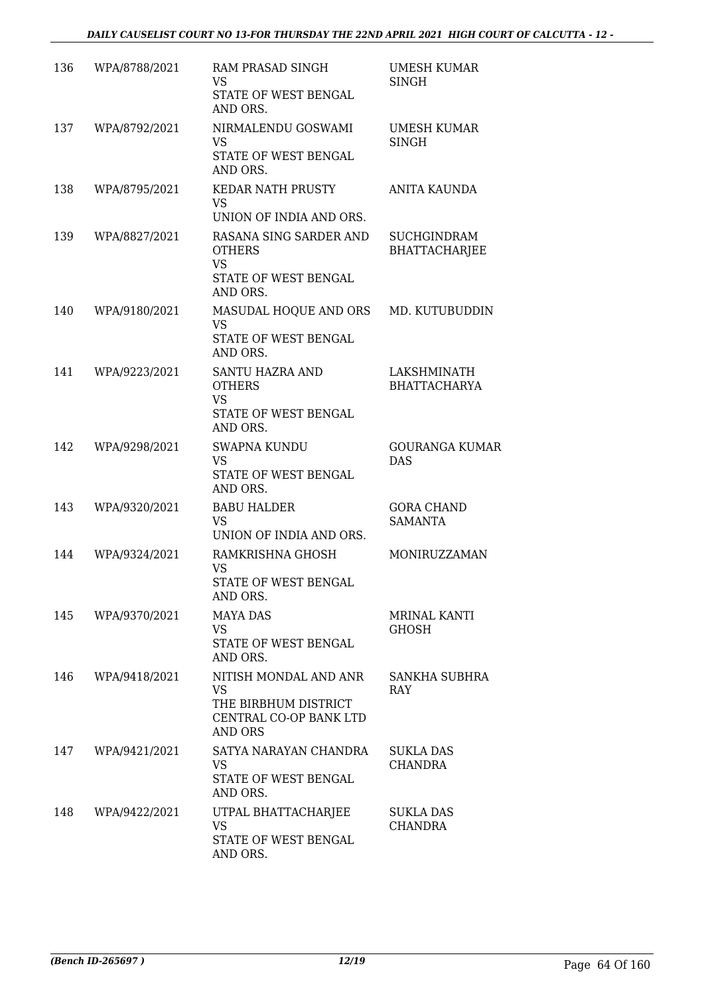| 136 | WPA/8788/2021 | RAM PRASAD SINGH<br><b>VS</b><br>STATE OF WEST BENGAL<br>AND ORS.                                      | UMESH KUMAR<br>SINGH                       |
|-----|---------------|--------------------------------------------------------------------------------------------------------|--------------------------------------------|
| 137 | WPA/8792/2021 | NIRMALENDU GOSWAMI<br><b>VS</b><br>STATE OF WEST BENGAL<br>AND ORS.                                    | UMESH KUMAR<br><b>SINGH</b>                |
| 138 | WPA/8795/2021 | <b>KEDAR NATH PRUSTY</b><br><b>VS</b><br>UNION OF INDIA AND ORS.                                       | ANITA KAUNDA                               |
| 139 | WPA/8827/2021 | RASANA SING SARDER AND<br><b>OTHERS</b><br><b>VS</b><br>STATE OF WEST BENGAL<br>AND ORS.               | <b>SUCHGINDRAM</b><br><b>BHATTACHARJEE</b> |
| 140 | WPA/9180/2021 | MASUDAL HOQUE AND ORS<br><b>VS</b><br>STATE OF WEST BENGAL<br>AND ORS.                                 | MD. KUTUBUDDIN                             |
| 141 | WPA/9223/2021 | SANTU HAZRA AND<br><b>OTHERS</b><br><b>VS</b><br>STATE OF WEST BENGAL<br>AND ORS.                      | LAKSHMINATH<br><b>BHATTACHARYA</b>         |
| 142 | WPA/9298/2021 | <b>SWAPNA KUNDU</b><br><b>VS</b><br>STATE OF WEST BENGAL<br>AND ORS.                                   | <b>GOURANGA KUMAR</b><br><b>DAS</b>        |
| 143 | WPA/9320/2021 | <b>BABU HALDER</b><br><b>VS</b><br>UNION OF INDIA AND ORS.                                             | <b>GORA CHAND</b><br><b>SAMANTA</b>        |
| 144 | WPA/9324/2021 | RAMKRISHNA GHOSH<br><b>VS</b><br>STATE OF WEST BENGAL<br>AND ORS.                                      | MONIRUZZAMAN                               |
| 145 | WPA/9370/2021 | <b>MAYA DAS</b><br><b>VS</b><br>STATE OF WEST BENGAL<br>AND ORS.                                       | MRINAL KANTI<br><b>GHOSH</b>               |
| 146 | WPA/9418/2021 | NITISH MONDAL AND ANR<br><b>VS</b><br>THE BIRBHUM DISTRICT<br>CENTRAL CO-OP BANK LTD<br><b>AND ORS</b> | SANKHA SUBHRA<br><b>RAY</b>                |
| 147 | WPA/9421/2021 | SATYA NARAYAN CHANDRA<br>VS<br>STATE OF WEST BENGAL<br>AND ORS.                                        | SUKLA DAS<br>CHANDRA                       |
| 148 | WPA/9422/2021 | UTPAL BHATTACHARJEE<br><b>VS</b><br>STATE OF WEST BENGAL<br>AND ORS.                                   | <b>SUKLA DAS</b><br>CHANDRA                |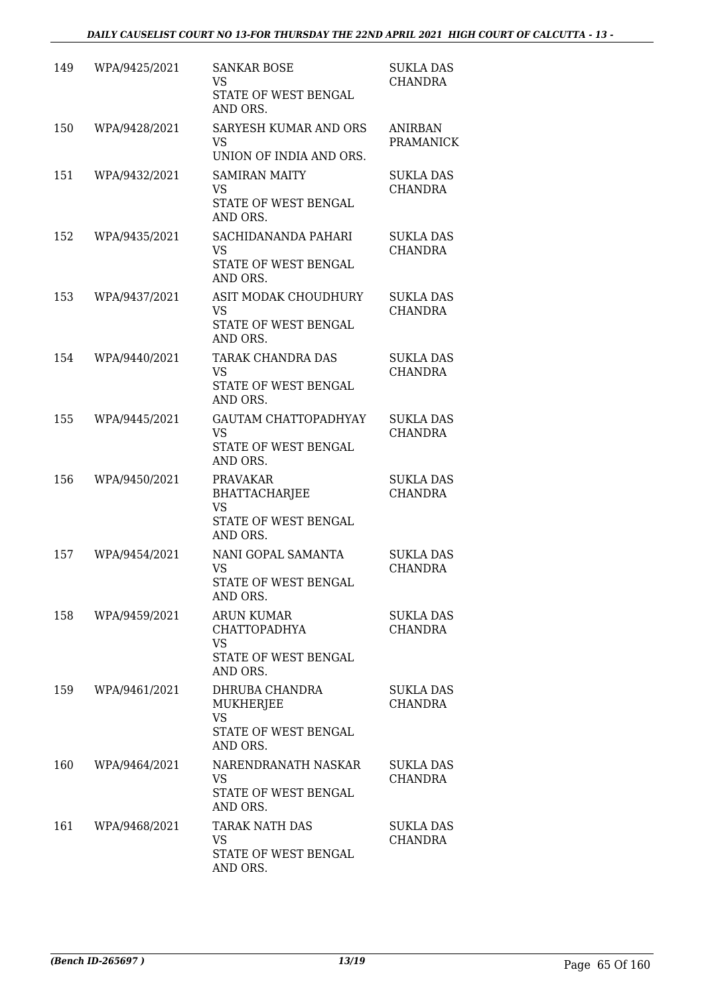| 149 | WPA/9425/2021 | <b>SANKAR BOSE</b><br><b>VS</b><br>STATE OF WEST BENGAL<br>AND ORS.                      | <b>SUKLA DAS</b><br><b>CHANDRA</b> |
|-----|---------------|------------------------------------------------------------------------------------------|------------------------------------|
| 150 | WPA/9428/2021 | <b>SARYESH KUMAR AND ORS</b><br><b>VS</b><br>UNION OF INDIA AND ORS.                     | ANIRBAN<br><b>PRAMANICK</b>        |
| 151 | WPA/9432/2021 | <b>SAMIRAN MAITY</b><br>VS.<br>STATE OF WEST BENGAL<br>AND ORS.                          | <b>SUKLA DAS</b><br><b>CHANDRA</b> |
| 152 | WPA/9435/2021 | SACHIDANANDA PAHARI<br>VS.<br>STATE OF WEST BENGAL<br>AND ORS.                           | <b>SUKLA DAS</b><br><b>CHANDRA</b> |
| 153 | WPA/9437/2021 | ASIT MODAK CHOUDHURY<br><b>VS</b><br>STATE OF WEST BENGAL<br>AND ORS.                    | <b>SUKLA DAS</b><br><b>CHANDRA</b> |
| 154 | WPA/9440/2021 | TARAK CHANDRA DAS<br>VS.<br>STATE OF WEST BENGAL<br>AND ORS.                             | <b>SUKLA DAS</b><br><b>CHANDRA</b> |
| 155 | WPA/9445/2021 | <b>GAUTAM CHATTOPADHYAY</b><br><b>VS</b><br>STATE OF WEST BENGAL<br>AND ORS.             | <b>SUKLA DAS</b><br><b>CHANDRA</b> |
| 156 | WPA/9450/2021 | <b>PRAVAKAR</b><br><b>BHATTACHARJEE</b><br><b>VS</b><br>STATE OF WEST BENGAL<br>AND ORS. | <b>SUKLA DAS</b><br><b>CHANDRA</b> |
| 157 | WPA/9454/2021 | NANI GOPAL SAMANTA<br><b>VS</b><br>STATE OF WEST BENGAL<br>AND ORS.                      | <b>SUKLA DAS</b><br><b>CHANDRA</b> |
| 158 | WPA/9459/2021 | ARUN KUMAR<br><b>CHATTOPADHYA</b><br><b>VS</b><br>STATE OF WEST BENGAL<br>AND ORS.       | <b>SUKLA DAS</b><br><b>CHANDRA</b> |
| 159 | WPA/9461/2021 | DHRUBA CHANDRA<br><b>MUKHERJEE</b><br><b>VS</b><br>STATE OF WEST BENGAL<br>AND ORS.      | <b>SUKLA DAS</b><br><b>CHANDRA</b> |
| 160 | WPA/9464/2021 | NARENDRANATH NASKAR<br><b>VS</b><br>STATE OF WEST BENGAL<br>AND ORS.                     | SUKLA DAS<br><b>CHANDRA</b>        |
| 161 | WPA/9468/2021 | TARAK NATH DAS<br>VS<br>STATE OF WEST BENGAL<br>AND ORS.                                 | <b>SUKLA DAS</b><br><b>CHANDRA</b> |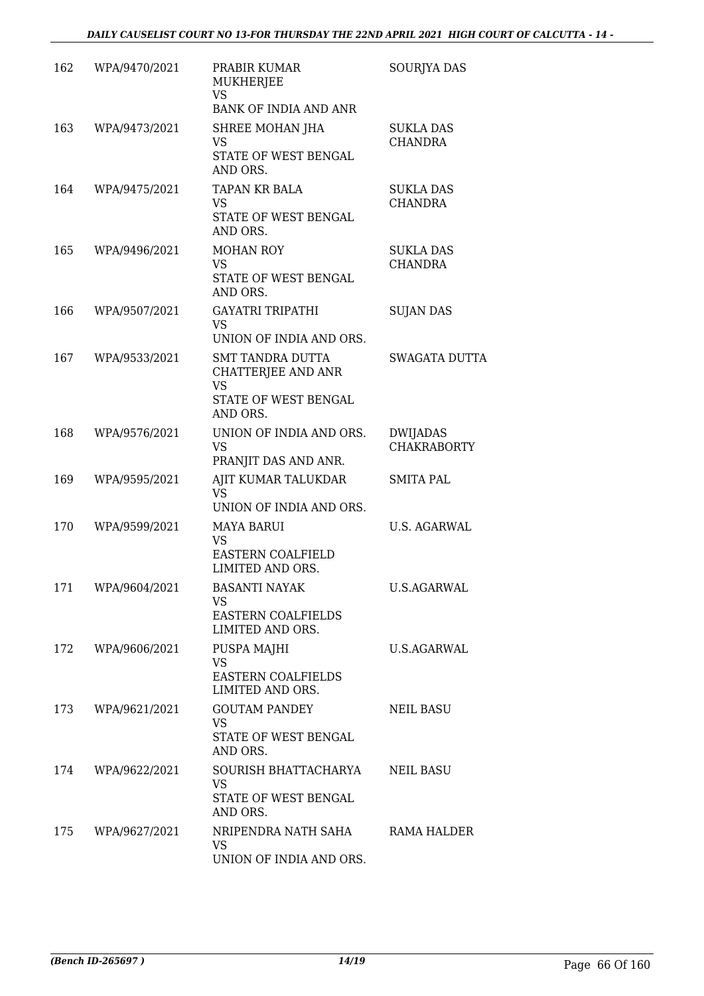| 162 | WPA/9470/2021 | PRABIR KUMAR<br>MUKHERJEE<br>VS<br>BANK OF INDIA AND ANR                                       | SOURJYA DAS                           |
|-----|---------------|------------------------------------------------------------------------------------------------|---------------------------------------|
| 163 | WPA/9473/2021 | SHREE MOHAN JHA<br>VS<br>STATE OF WEST BENGAL<br>AND ORS.                                      | <b>SUKLA DAS</b><br><b>CHANDRA</b>    |
| 164 | WPA/9475/2021 | <b>TAPAN KR BALA</b><br><b>VS</b><br>STATE OF WEST BENGAL<br>AND ORS.                          | <b>SUKLA DAS</b><br><b>CHANDRA</b>    |
| 165 | WPA/9496/2021 | <b>MOHAN ROY</b><br>VS.<br>STATE OF WEST BENGAL<br>AND ORS.                                    | <b>SUKLA DAS</b><br><b>CHANDRA</b>    |
| 166 | WPA/9507/2021 | <b>GAYATRI TRIPATHI</b><br><b>VS</b><br>UNION OF INDIA AND ORS.                                | <b>SUJAN DAS</b>                      |
| 167 | WPA/9533/2021 | <b>SMT TANDRA DUTTA</b><br>CHATTERJEE AND ANR<br><b>VS</b><br>STATE OF WEST BENGAL<br>AND ORS. | <b>SWAGATA DUTTA</b>                  |
| 168 | WPA/9576/2021 | UNION OF INDIA AND ORS.<br><b>VS</b><br>PRANJIT DAS AND ANR.                                   | <b>DWIJADAS</b><br><b>CHAKRABORTY</b> |
| 169 | WPA/9595/2021 | AJIT KUMAR TALUKDAR<br>VS<br>UNION OF INDIA AND ORS.                                           | <b>SMITA PAL</b>                      |
| 170 | WPA/9599/2021 | <b>MAYA BARUI</b><br><b>VS</b><br><b>EASTERN COALFIELD</b><br>LIMITED AND ORS.                 | <b>U.S. AGARWAL</b>                   |
| 171 | WPA/9604/2021 | <b>BASANTI NAYAK</b><br>VS.<br><b>EASTERN COALFIELDS</b><br>LIMITED AND ORS.                   | <b>U.S.AGARWAL</b>                    |
| 172 | WPA/9606/2021 | PUSPA MAJHI<br><b>VS</b><br><b>EASTERN COALFIELDS</b><br>LIMITED AND ORS.                      | <b>U.S.AGARWAL</b>                    |
| 173 | WPA/9621/2021 | <b>GOUTAM PANDEY</b><br><b>VS</b><br>STATE OF WEST BENGAL<br>AND ORS.                          | NEIL BASU                             |
| 174 | WPA/9622/2021 | SOURISH BHATTACHARYA<br>VS<br>STATE OF WEST BENGAL<br>AND ORS.                                 | <b>NEIL BASU</b>                      |
| 175 | WPA/9627/2021 | NRIPENDRA NATH SAHA<br>VS.<br>UNION OF INDIA AND ORS.                                          | RAMA HALDER                           |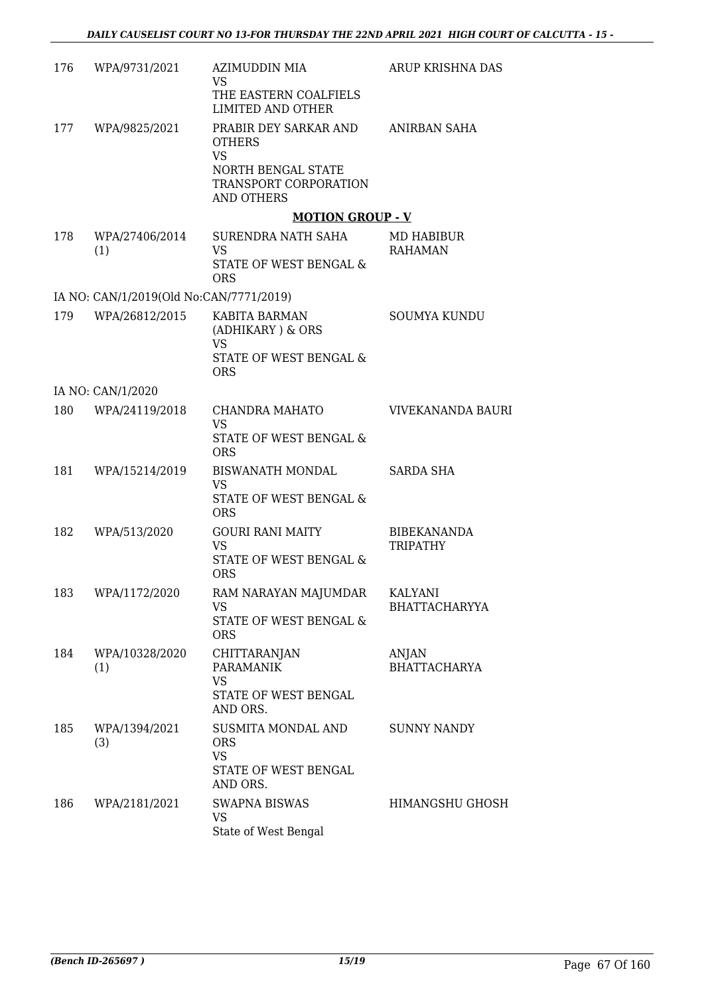| 176 | WPA/9731/2021                           | AZIMUDDIN MIA<br><b>VS</b><br>THE EASTERN COALFIELS                                                                                          | ARUP KRISHNA DAS                       |
|-----|-----------------------------------------|----------------------------------------------------------------------------------------------------------------------------------------------|----------------------------------------|
| 177 | WPA/9825/2021                           | <b>LIMITED AND OTHER</b><br>PRABIR DEY SARKAR AND<br><b>OTHERS</b><br><b>VS</b><br>NORTH BENGAL STATE<br>TRANSPORT CORPORATION<br>AND OTHERS | ANIRBAN SAHA                           |
|     |                                         | <b>MOTION GROUP - V</b>                                                                                                                      |                                        |
| 178 | WPA/27406/2014<br>(1)                   | SURENDRA NATH SAHA<br><b>VS</b><br>STATE OF WEST BENGAL &<br><b>ORS</b>                                                                      | MD HABIBUR<br><b>RAHAMAN</b>           |
|     | IA NO: CAN/1/2019(Old No:CAN/7771/2019) |                                                                                                                                              |                                        |
| 179 | WPA/26812/2015                          | KABITA BARMAN<br>(ADHIKARY) & ORS<br><b>VS</b><br>STATE OF WEST BENGAL &<br><b>ORS</b>                                                       | <b>SOUMYA KUNDU</b>                    |
|     | IA NO: CAN/1/2020                       |                                                                                                                                              |                                        |
| 180 | WPA/24119/2018                          | CHANDRA MAHATO<br><b>VS</b><br>STATE OF WEST BENGAL &<br><b>ORS</b>                                                                          | VIVEKANANDA BAURI                      |
| 181 | WPA/15214/2019                          | BISWANATH MONDAL<br><b>VS</b><br>STATE OF WEST BENGAL &<br><b>ORS</b>                                                                        | <b>SARDA SHA</b>                       |
| 182 | WPA/513/2020                            | <b>GOURI RANI MAITY</b><br>VS<br>STATE OF WEST BENGAL &<br><b>ORS</b>                                                                        | <b>BIBEKANANDA</b><br><b>TRIPATHY</b>  |
| 183 | WPA/1172/2020                           | RAM NARAYAN MAJUMDAR<br><b>VS</b><br>STATE OF WEST BENGAL &<br><b>ORS</b>                                                                    | <b>KALYANI</b><br><b>BHATTACHARYYA</b> |
| 184 | WPA/10328/2020<br>(1)                   | CHITTARANJAN<br><b>PARAMANIK</b><br><b>VS</b><br>STATE OF WEST BENGAL<br>AND ORS.                                                            | ANJAN<br><b>BHATTACHARYA</b>           |
| 185 | WPA/1394/2021<br>(3)                    | SUSMITA MONDAL AND<br><b>ORS</b><br><b>VS</b><br>STATE OF WEST BENGAL<br>AND ORS.                                                            | SUNNY NANDY                            |
| 186 | WPA/2181/2021                           | <b>SWAPNA BISWAS</b><br>VS<br>State of West Bengal                                                                                           | HIMANGSHU GHOSH                        |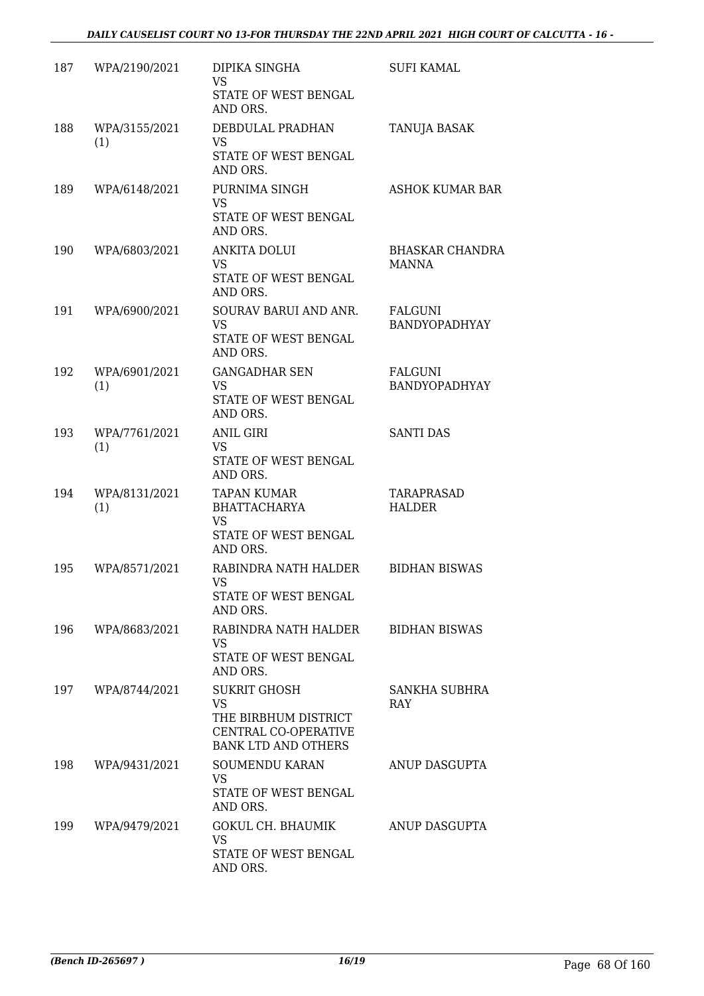| 187 | WPA/2190/2021        | DIPIKA SINGHA<br>VS<br>STATE OF WEST BENGAL<br>AND ORS.                                                 | <b>SUFI KAMAL</b>                      |
|-----|----------------------|---------------------------------------------------------------------------------------------------------|----------------------------------------|
| 188 | WPA/3155/2021<br>(1) | DEBDULAL PRADHAN<br>VS<br>STATE OF WEST BENGAL<br>AND ORS.                                              | <b>TANUJA BASAK</b>                    |
| 189 | WPA/6148/2021        | PURNIMA SINGH<br><b>VS</b><br>STATE OF WEST BENGAL<br>AND ORS.                                          | ASHOK KUMAR BAR                        |
| 190 | WPA/6803/2021        | <b>ANKITA DOLUI</b><br><b>VS</b><br>STATE OF WEST BENGAL<br>AND ORS.                                    | <b>BHASKAR CHANDRA</b><br><b>MANNA</b> |
| 191 | WPA/6900/2021        | SOURAV BARUI AND ANR.<br>VS<br>STATE OF WEST BENGAL<br>AND ORS.                                         | FALGUNI<br>BANDYOPADHYAY               |
| 192 | WPA/6901/2021<br>(1) | <b>GANGADHAR SEN</b><br><b>VS</b><br>STATE OF WEST BENGAL<br>AND ORS.                                   | FALGUNI<br>BANDYOPADHYAY               |
| 193 | WPA/7761/2021<br>(1) | <b>ANIL GIRI</b><br>VS<br>STATE OF WEST BENGAL<br>AND ORS.                                              | <b>SANTI DAS</b>                       |
| 194 | WPA/8131/2021<br>(1) | <b>TAPAN KUMAR</b><br><b>BHATTACHARYA</b><br>VS<br>STATE OF WEST BENGAL<br>AND ORS.                     | TARAPRASAD<br>HALDER                   |
| 195 | WPA/8571/2021        | RABINDRA NATH HALDER<br>VS<br>STATE OF WEST BENGAL<br>AND ORS.                                          | <b>BIDHAN BISWAS</b>                   |
| 196 | WPA/8683/2021        | RABINDRA NATH HALDER<br>VS.<br>STATE OF WEST BENGAL<br>AND ORS.                                         | <b>BIDHAN BISWAS</b>                   |
| 197 | WPA/8744/2021        | <b>SUKRIT GHOSH</b><br>VS<br>THE BIRBHUM DISTRICT<br>CENTRAL CO-OPERATIVE<br><b>BANK LTD AND OTHERS</b> | SANKHA SUBHRA<br>RAY                   |
| 198 | WPA/9431/2021        | <b>SOUMENDU KARAN</b><br>VS.<br>STATE OF WEST BENGAL<br>AND ORS.                                        | ANUP DASGUPTA                          |
| 199 | WPA/9479/2021        | <b>GOKUL CH. BHAUMIK</b><br><b>VS</b><br>STATE OF WEST BENGAL<br>AND ORS.                               | ANUP DASGUPTA                          |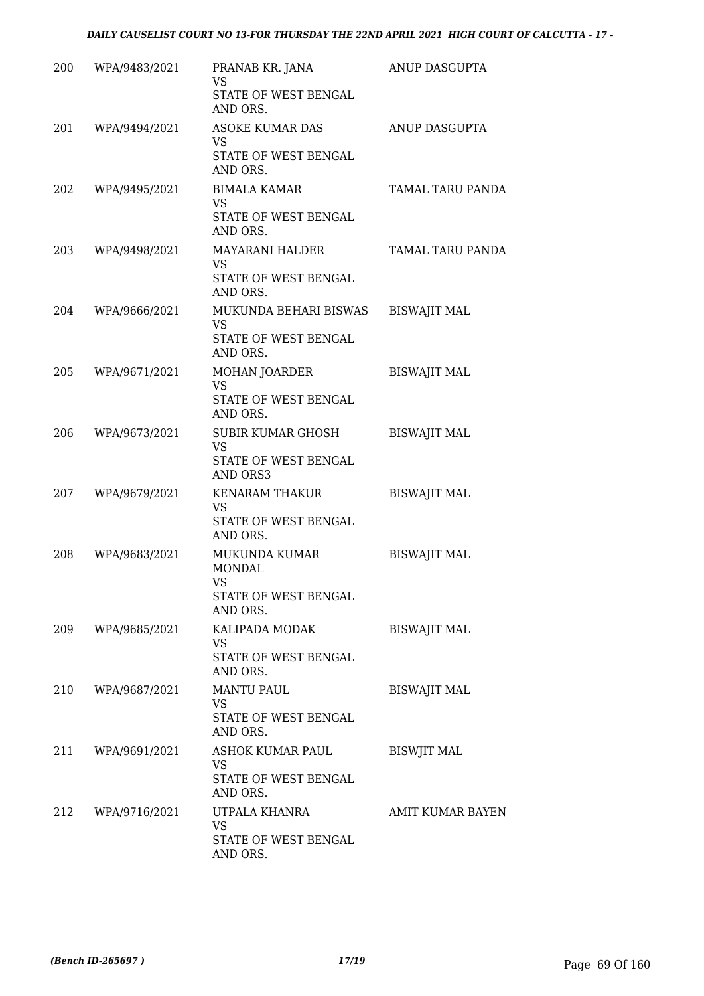| 200 | WPA/9483/2021 | PRANAB KR. JANA<br>VS<br>STATE OF WEST BENGAL<br>AND ORS.                        | ANUP DASGUPTA           |
|-----|---------------|----------------------------------------------------------------------------------|-------------------------|
| 201 | WPA/9494/2021 | ASOKE KUMAR DAS<br>VS<br>STATE OF WEST BENGAL<br>AND ORS.                        | ANUP DASGUPTA           |
| 202 | WPA/9495/2021 | <b>BIMALA KAMAR</b><br><b>VS</b><br>STATE OF WEST BENGAL<br>AND ORS.             | TAMAL TARU PANDA        |
| 203 | WPA/9498/2021 | MAYARANI HALDER<br>VS<br>STATE OF WEST BENGAL<br>AND ORS.                        | TAMAL TARU PANDA        |
| 204 | WPA/9666/2021 | MUKUNDA BEHARI BISWAS<br><b>VS</b><br>STATE OF WEST BENGAL<br>AND ORS.           | <b>BISWAJIT MAL</b>     |
| 205 | WPA/9671/2021 | <b>MOHAN JOARDER</b><br><b>VS</b><br>STATE OF WEST BENGAL<br>AND ORS.            | <b>BISWAJIT MAL</b>     |
| 206 | WPA/9673/2021 | <b>SUBIR KUMAR GHOSH</b><br>VS<br>STATE OF WEST BENGAL<br>AND ORS3               | <b>BISWAJIT MAL</b>     |
| 207 | WPA/9679/2021 | KENARAM THAKUR<br>VS<br>STATE OF WEST BENGAL<br>AND ORS.                         | <b>BISWAJIT MAL</b>     |
| 208 | WPA/9683/2021 | <b>MUKUNDA KUMAR</b><br><b>MONDAL</b><br>VS.<br>STATE OF WEST BENGAL<br>AND ORS. | <b>BISWAJIT MAL</b>     |
| 209 | WPA/9685/2021 | KALIPADA MODAK<br>VS<br>STATE OF WEST BENGAL<br>AND ORS.                         | <b>BISWAJIT MAL</b>     |
| 210 | WPA/9687/2021 | <b>MANTU PAUL</b><br><b>VS</b><br>STATE OF WEST BENGAL<br>AND ORS.               | <b>BISWAJIT MAL</b>     |
| 211 | WPA/9691/2021 | ASHOK KUMAR PAUL<br><b>VS</b><br>STATE OF WEST BENGAL<br>AND ORS.                | <b>BISWJIT MAL</b>      |
| 212 | WPA/9716/2021 | UTPALA KHANRA<br><b>VS</b><br>STATE OF WEST BENGAL<br>AND ORS.                   | <b>AMIT KUMAR BAYEN</b> |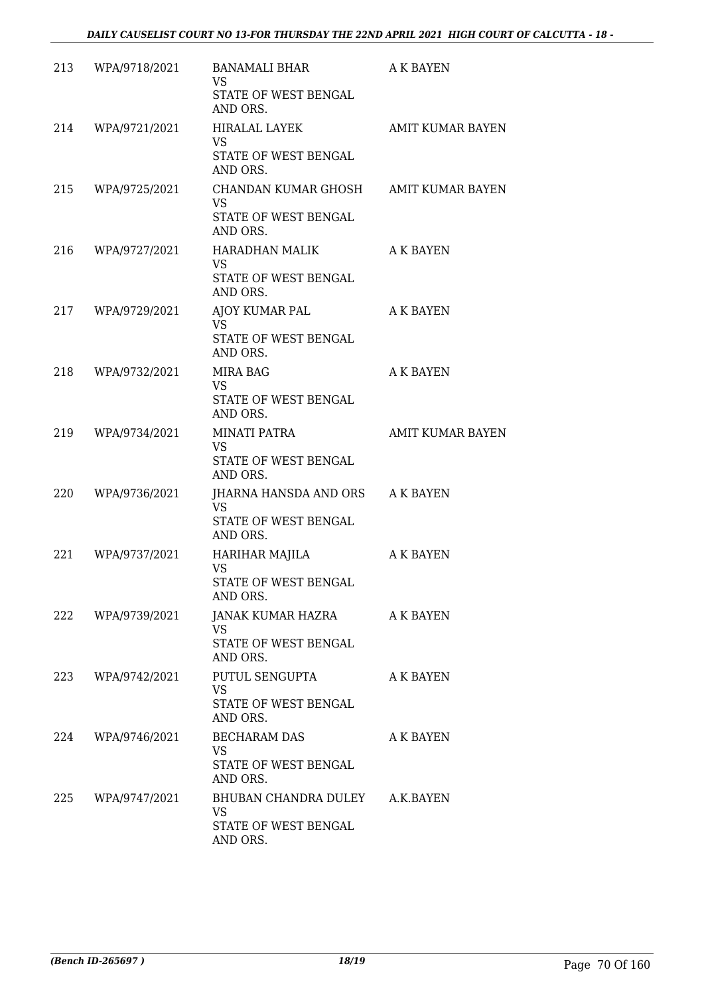| 213 | WPA/9718/2021     | BANAMALI BHAR<br><b>VS</b><br>STATE OF WEST BENGAL<br>AND ORS.                        | <b>A K BAYEN</b>        |
|-----|-------------------|---------------------------------------------------------------------------------------|-------------------------|
| 214 | WPA/9721/2021     | HIRALAL LAYEK<br>VS.<br>STATE OF WEST BENGAL<br>AND ORS.                              | <b>AMIT KUMAR BAYEN</b> |
| 215 | WPA/9725/2021     | CHANDAN KUMAR GHOSH AMIT KUMAR BAYEN<br><b>VS</b><br>STATE OF WEST BENGAL<br>AND ORS. |                         |
| 216 | WPA/9727/2021     | HARADHAN MALIK<br><b>VS</b><br>STATE OF WEST BENGAL<br>AND ORS.                       | A K BAYEN               |
| 217 | WPA/9729/2021     | AJOY KUMAR PAL<br>VS.<br>STATE OF WEST BENGAL<br>AND ORS.                             | A K BAYEN               |
| 218 | WPA/9732/2021     | MIRA BAG<br><b>VS</b><br>STATE OF WEST BENGAL<br>AND ORS.                             | A K BAYEN               |
| 219 | WPA/9734/2021     | MINATI PATRA<br><b>VS</b><br>STATE OF WEST BENGAL<br>AND ORS.                         | <b>AMIT KUMAR BAYEN</b> |
| 220 | WPA/9736/2021     | JHARNA HANSDA AND ORS A K BAYEN<br><b>VS</b><br>STATE OF WEST BENGAL<br>AND ORS.      |                         |
| 221 | WPA/9737/2021     | HARIHAR MAJILA<br><b>VS</b><br>STATE OF WEST BENGAL<br>AND ORS.                       | <b>A K BAYEN</b>        |
|     | 222 WPA/9739/2021 | JANAK KUMAR HAZRA<br><b>VS</b><br>STATE OF WEST BENGAL<br>AND ORS.                    | <b>A K BAYEN</b>        |
| 223 | WPA/9742/2021     | PUTUL SENGUPTA<br><b>VS</b><br>STATE OF WEST BENGAL<br>AND ORS.                       | A K BAYEN               |
| 224 | WPA/9746/2021     | <b>BECHARAM DAS</b><br>VS<br>STATE OF WEST BENGAL<br>AND ORS.                         | A K BAYEN               |
| 225 | WPA/9747/2021     | BHUBAN CHANDRA DULEY<br>VS<br>STATE OF WEST BENGAL<br>AND ORS.                        | A.K.BAYEN               |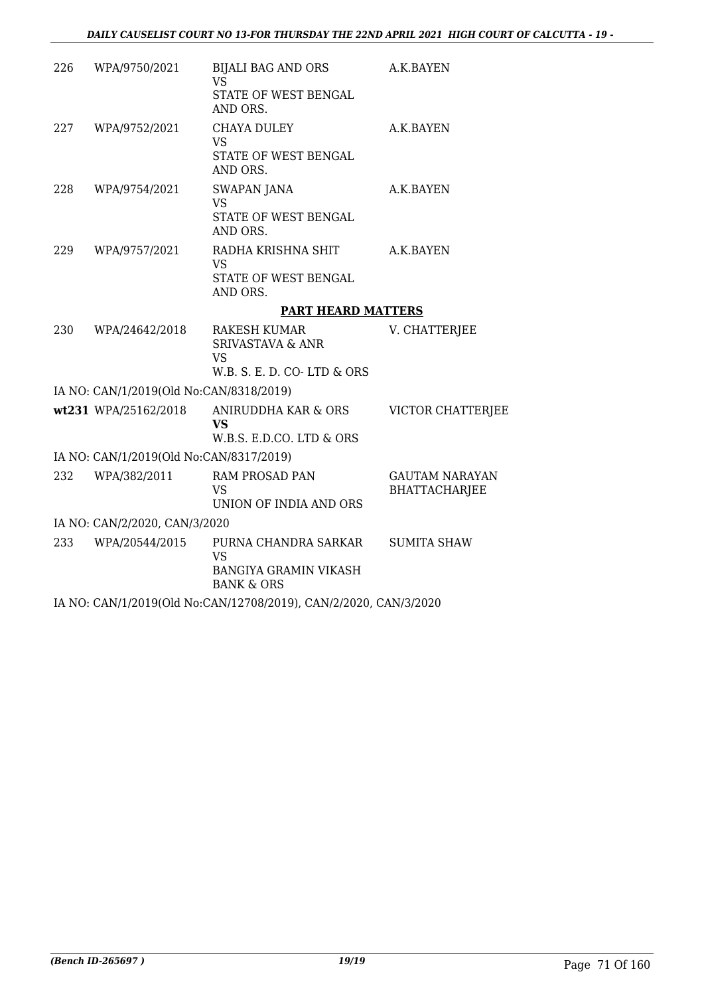| 226 | WPA/9750/2021                           | BIJALI BAG AND ORS<br><b>VS</b>                                                               | A.K.BAYEN                                     |
|-----|-----------------------------------------|-----------------------------------------------------------------------------------------------|-----------------------------------------------|
|     |                                         | STATE OF WEST BENGAL<br>AND ORS.                                                              |                                               |
| 227 | WPA/9752/2021                           | CHAYA DULEY<br>VS                                                                             | A.K.BAYEN                                     |
|     |                                         | STATE OF WEST BENGAL<br>AND ORS.                                                              |                                               |
| 228 | WPA/9754/2021                           | <b>SWAPAN JANA</b><br><b>VS</b>                                                               | A.K.BAYEN                                     |
|     |                                         | STATE OF WEST BENGAL<br>AND ORS.                                                              |                                               |
| 229 | WPA/9757/2021                           | RADHA KRISHNA SHIT<br><b>VS</b>                                                               | A.K.BAYEN                                     |
|     |                                         | STATE OF WEST BENGAL<br>AND ORS.                                                              |                                               |
|     |                                         | <b>PART HEARD MATTERS</b>                                                                     |                                               |
| 230 | WPA/24642/2018                          | <b>RAKESH KUMAR</b><br><b>SRIVASTAVA &amp; ANR</b><br><b>VS</b><br>W.B. S. E. D. CO-LTD & ORS | V. CHATTERJEE                                 |
|     | IA NO: CAN/1/2019(Old No:CAN/8318/2019) |                                                                                               |                                               |
|     | wt231 WPA/25162/2018                    | ANIRUDDHA KAR & ORS                                                                           | VICTOR CHATTERJEE                             |
|     |                                         | <b>VS</b><br>W.B.S. E.D.CO. LTD & ORS                                                         |                                               |
|     | IA NO: CAN/1/2019(Old No:CAN/8317/2019) |                                                                                               |                                               |
| 232 | WPA/382/2011                            | <b>RAM PROSAD PAN</b><br><b>VS</b>                                                            | <b>GAUTAM NARAYAN</b><br><b>BHATTACHARJEE</b> |
|     |                                         | UNION OF INDIA AND ORS                                                                        |                                               |
|     | IA NO: CAN/2/2020, CAN/3/2020           |                                                                                               |                                               |
| 233 | WPA/20544/2015                          | PURNA CHANDRA SARKAR<br><b>VS</b>                                                             | <b>SUMITA SHAW</b>                            |
|     |                                         | <b>BANGIYA GRAMIN VIKASH</b><br><b>BANK &amp; ORS</b>                                         |                                               |
|     |                                         | IA NO: CAN/1/2019(Old No:CAN/12708/2019), CAN/2/2020, CAN/3/2020                              |                                               |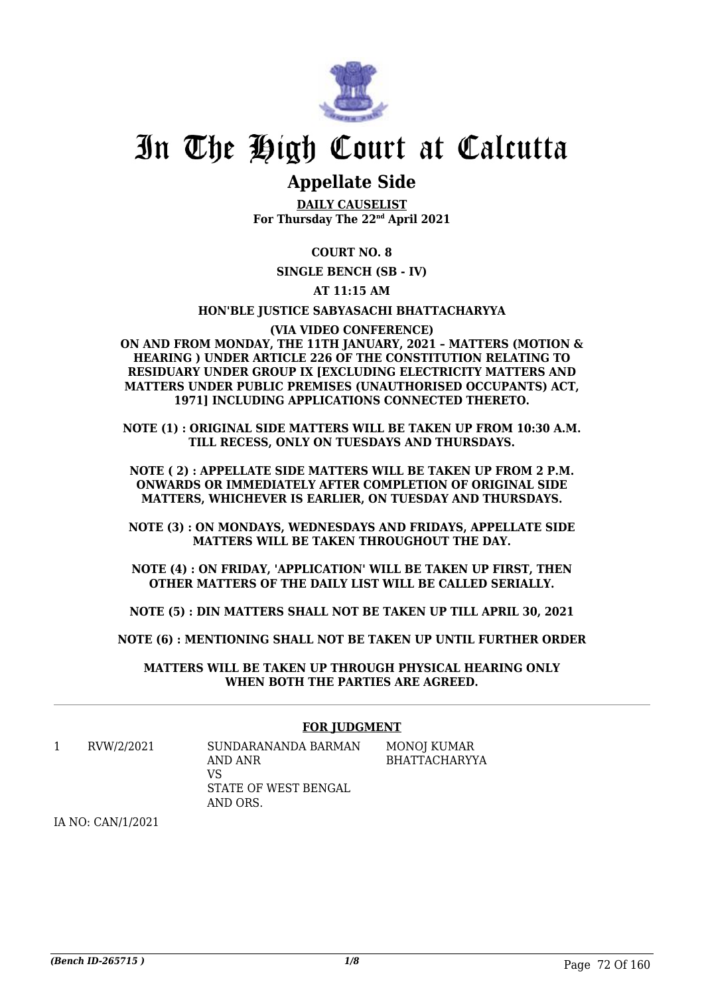

## **Appellate Side**

**DAILY CAUSELIST For Thursday The 22nd April 2021**

**COURT NO. 8**

**SINGLE BENCH (SB - IV)**

**AT 11:15 AM**

**HON'BLE JUSTICE SABYASACHI BHATTACHARYYA**

**(VIA VIDEO CONFERENCE) ON AND FROM MONDAY, THE 11TH JANUARY, 2021 – MATTERS (MOTION & HEARING ) UNDER ARTICLE 226 OF THE CONSTITUTION RELATING TO RESIDUARY UNDER GROUP IX [EXCLUDING ELECTRICITY MATTERS AND MATTERS UNDER PUBLIC PREMISES (UNAUTHORISED OCCUPANTS) ACT, 1971] INCLUDING APPLICATIONS CONNECTED THERETO.**

**NOTE (1) : ORIGINAL SIDE MATTERS WILL BE TAKEN UP FROM 10:30 A.M. TILL RECESS, ONLY ON TUESDAYS AND THURSDAYS.**

**NOTE ( 2) : APPELLATE SIDE MATTERS WILL BE TAKEN UP FROM 2 P.M. ONWARDS OR IMMEDIATELY AFTER COMPLETION OF ORIGINAL SIDE MATTERS, WHICHEVER IS EARLIER, ON TUESDAY AND THURSDAYS.**

**NOTE (3) : ON MONDAYS, WEDNESDAYS AND FRIDAYS, APPELLATE SIDE MATTERS WILL BE TAKEN THROUGHOUT THE DAY.**

**NOTE (4) : ON FRIDAY, 'APPLICATION' WILL BE TAKEN UP FIRST, THEN OTHER MATTERS OF THE DAILY LIST WILL BE CALLED SERIALLY.**

**NOTE (5) : DIN MATTERS SHALL NOT BE TAKEN UP TILL APRIL 30, 2021**

**NOTE (6) : MENTIONING SHALL NOT BE TAKEN UP UNTIL FURTHER ORDER**

**MATTERS WILL BE TAKEN UP THROUGH PHYSICAL HEARING ONLY WHEN BOTH THE PARTIES ARE AGREED.**

#### **FOR JUDGMENT**

1 RVW/2/2021 SUNDARANANDA BARMAN AND ANR VS STATE OF WEST BENGAL AND ORS. MONOJ KUMAR BHATTACHARYYA

IA NO: CAN/1/2021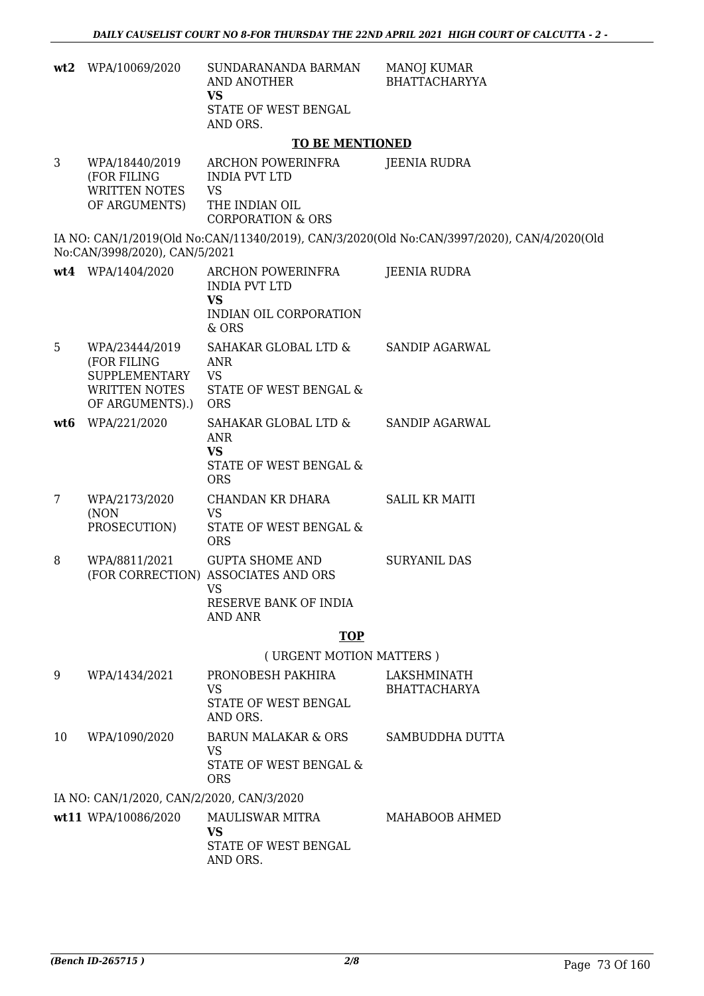| wt2 | WPA/10069/2020                                                                            | SUNDARANANDA BARMAN<br>AND ANOTHER<br><b>VS</b><br>STATE OF WEST BENGAL<br>AND ORS.                             | <b>MANOJ KUMAR</b><br><b>BHATTACHARYYA</b>                                                 |
|-----|-------------------------------------------------------------------------------------------|-----------------------------------------------------------------------------------------------------------------|--------------------------------------------------------------------------------------------|
|     |                                                                                           | <b>TO BE MENTIONED</b>                                                                                          |                                                                                            |
| 3   | WPA/18440/2019<br>(FOR FILING<br>WRITTEN NOTES<br>OF ARGUMENTS)                           | ARCHON POWERINFRA<br><b>INDIA PVT LTD</b><br><b>VS</b><br>THE INDIAN OIL<br><b>CORPORATION &amp; ORS</b>        | <b>JEENIA RUDRA</b>                                                                        |
|     | No:CAN/3998/2020), CAN/5/2021                                                             |                                                                                                                 | IA NO: CAN/1/2019(Old No:CAN/11340/2019), CAN/3/2020(Old No:CAN/3997/2020), CAN/4/2020(Old |
|     | wt4 WPA/1404/2020                                                                         | ARCHON POWERINFRA<br><b>INDIA PVT LTD</b><br><b>VS</b><br>INDIAN OIL CORPORATION<br>$&$ ORS                     | JEENIA RUDRA                                                                               |
| 5   | WPA/23444/2019<br>(FOR FILING<br><b>SUPPLEMENTARY</b><br>WRITTEN NOTES<br>OF ARGUMENTS).) | SAHAKAR GLOBAL LTD &<br>ANR<br><b>VS</b><br><b>STATE OF WEST BENGAL &amp;</b><br><b>ORS</b>                     | <b>SANDIP AGARWAL</b>                                                                      |
| wt6 | WPA/221/2020                                                                              | SAHAKAR GLOBAL LTD &<br>ANR<br><b>VS</b><br>STATE OF WEST BENGAL &<br><b>ORS</b>                                | <b>SANDIP AGARWAL</b>                                                                      |
| 7   | WPA/2173/2020<br>(NON<br>PROSECUTION)                                                     | CHANDAN KR DHARA<br><b>VS</b><br>STATE OF WEST BENGAL &<br><b>ORS</b>                                           | <b>SALIL KR MAITI</b>                                                                      |
| 8   | WPA/8811/2021                                                                             | <b>GUPTA SHOME AND</b><br>(FOR CORRECTION) ASSOCIATES AND ORS<br>VS.<br>RESERVE BANK OF INDIA<br><b>AND ANR</b> | <b>SURYANIL DAS</b>                                                                        |
|     |                                                                                           | <b>TOP</b>                                                                                                      |                                                                                            |
|     |                                                                                           | (URGENT MOTION MATTERS)                                                                                         |                                                                                            |
| 9   | WPA/1434/2021                                                                             | PRONOBESH PAKHIRA<br><b>VS</b><br>STATE OF WEST BENGAL<br>AND ORS.                                              | LAKSHMINATH<br><b>BHATTACHARYA</b>                                                         |
| 10  | WPA/1090/2020                                                                             | <b>BARUN MALAKAR &amp; ORS</b><br>VS<br>STATE OF WEST BENGAL &<br><b>ORS</b>                                    | SAMBUDDHA DUTTA                                                                            |
|     | IA NO: CAN/1/2020, CAN/2/2020, CAN/3/2020                                                 |                                                                                                                 |                                                                                            |
|     | wt11 WPA/10086/2020                                                                       | MAULISWAR MITRA<br><b>VS</b><br>STATE OF WEST BENGAL<br>AND ORS.                                                | MAHABOOB AHMED                                                                             |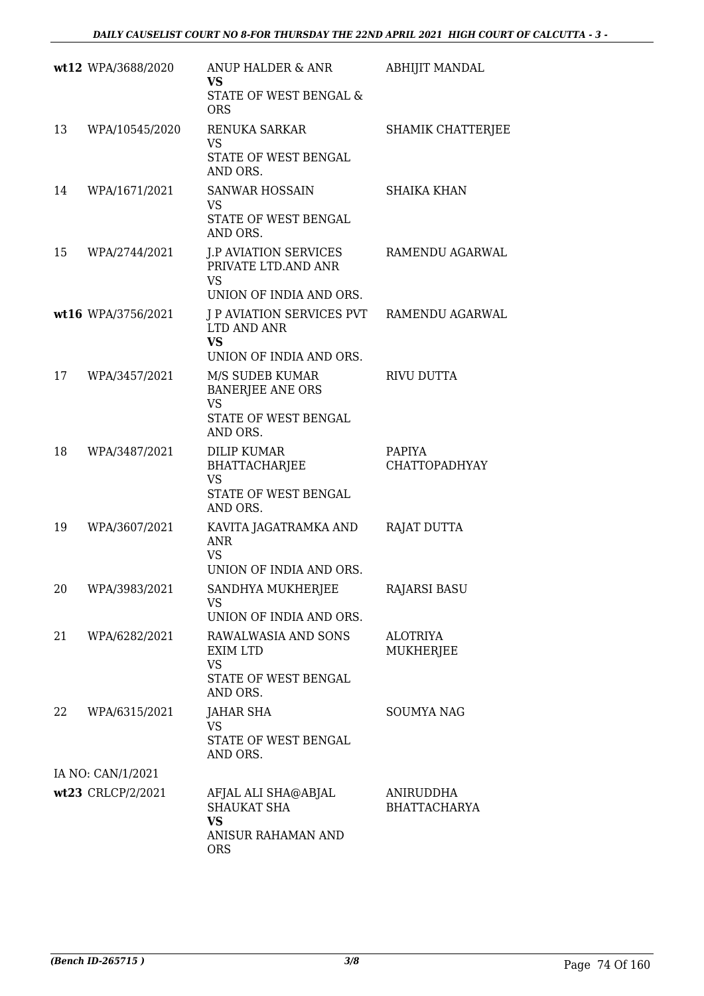|    | wt12 WPA/3688/2020 | ANUP HALDER & ANR<br><b>VS</b>                                       | ABHIJIT MANDAL                   |
|----|--------------------|----------------------------------------------------------------------|----------------------------------|
|    |                    | STATE OF WEST BENGAL &<br><b>ORS</b>                                 |                                  |
| 13 | WPA/10545/2020     | <b>RENUKA SARKAR</b><br><b>VS</b>                                    | SHAMIK CHATTERJEE                |
|    |                    | STATE OF WEST BENGAL<br>AND ORS.                                     |                                  |
| 14 | WPA/1671/2021      | SANWAR HOSSAIN<br><b>VS</b>                                          | <b>SHAIKA KHAN</b>               |
|    |                    | STATE OF WEST BENGAL<br>AND ORS.                                     |                                  |
| 15 | WPA/2744/2021      | <b>J.P AVIATION SERVICES</b><br>PRIVATE LTD.AND ANR<br><b>VS</b>     | RAMENDU AGARWAL                  |
|    |                    | UNION OF INDIA AND ORS.<br>J P AVIATION SERVICES PVT RAMENDU AGARWAL |                                  |
|    | wt16 WPA/3756/2021 | LTD AND ANR<br><b>VS</b>                                             |                                  |
| 17 | WPA/3457/2021      | UNION OF INDIA AND ORS.<br>M/S SUDEB KUMAR                           | <b>RIVU DUTTA</b>                |
|    |                    | <b>BANERJEE ANE ORS</b><br><b>VS</b>                                 |                                  |
|    |                    | STATE OF WEST BENGAL<br>AND ORS.                                     |                                  |
| 18 | WPA/3487/2021      | <b>DILIP KUMAR</b><br><b>BHATTACHARJEE</b><br><b>VS</b>              | <b>PAPIYA</b><br>CHATTOPADHYAY   |
|    |                    | STATE OF WEST BENGAL<br>AND ORS.                                     |                                  |
| 19 | WPA/3607/2021      | KAVITA JAGATRAMKA AND<br><b>ANR</b><br><b>VS</b>                     | RAJAT DUTTA                      |
|    |                    | UNION OF INDIA AND ORS.                                              |                                  |
| 20 | WPA/3983/2021      | SANDHYA MUKHERJEE<br>VS.                                             | <b>RAJARSI BASU</b>              |
|    |                    | UNION OF INDIA AND ORS.                                              |                                  |
| 21 | WPA/6282/2021      | RAWALWASIA AND SONS<br>EXIM LTD<br><b>VS</b><br>STATE OF WEST BENGAL | <b>ALOTRIYA</b><br>MUKHERJEE     |
|    |                    | AND ORS.                                                             |                                  |
| 22 | WPA/6315/2021      | JAHAR SHA<br>VS<br>STATE OF WEST BENGAL<br>AND ORS.                  | <b>SOUMYA NAG</b>                |
|    | IA NO: CAN/1/2021  |                                                                      |                                  |
|    | wt23 CRLCP/2/2021  | AFJAL ALI SHA@ABJAL<br><b>SHAUKAT SHA</b><br><b>VS</b>               | ANIRUDDHA<br><b>BHATTACHARYA</b> |
|    |                    | ANISUR RAHAMAN AND<br><b>ORS</b>                                     |                                  |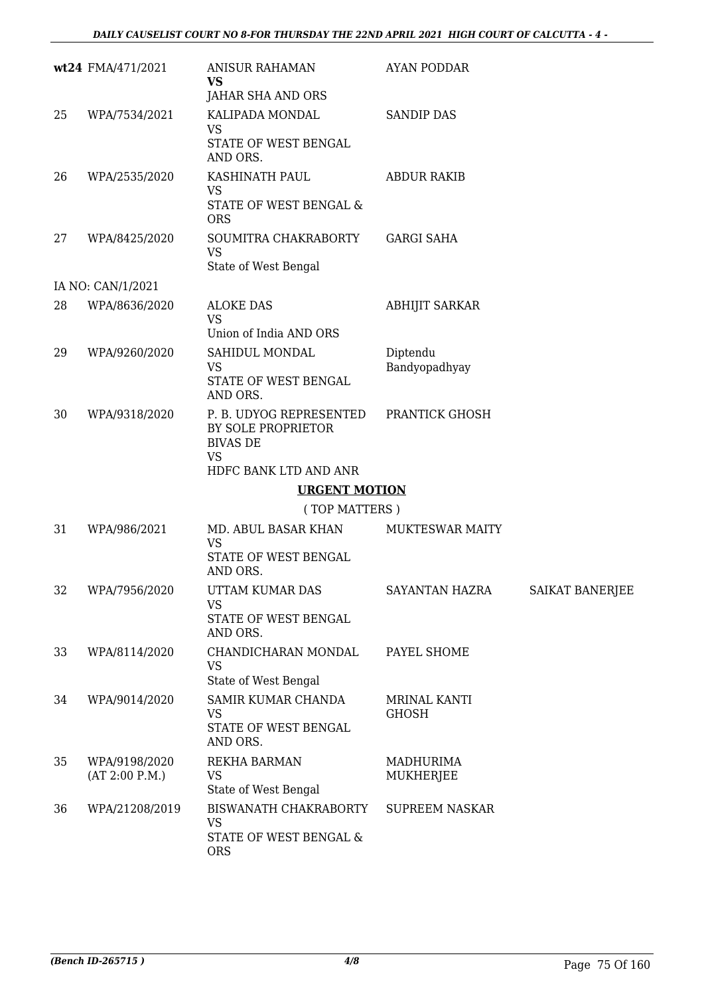|    | wt24 FMA/471/2021               | <b>ANISUR RAHAMAN</b><br><b>VS</b><br>JAHAR SHA AND ORS                                                | AYAN PODDAR                  |                        |
|----|---------------------------------|--------------------------------------------------------------------------------------------------------|------------------------------|------------------------|
| 25 | WPA/7534/2021                   | KALIPADA MONDAL<br><b>VS</b><br>STATE OF WEST BENGAL<br>AND ORS.                                       | <b>SANDIP DAS</b>            |                        |
| 26 | WPA/2535/2020                   | KASHINATH PAUL<br><b>VS</b><br>STATE OF WEST BENGAL &<br><b>ORS</b>                                    | <b>ABDUR RAKIB</b>           |                        |
| 27 | WPA/8425/2020                   | SOUMITRA CHAKRABORTY<br><b>VS</b><br>State of West Bengal                                              | <b>GARGI SAHA</b>            |                        |
|    | IA NO: CAN/1/2021               |                                                                                                        |                              |                        |
| 28 | WPA/8636/2020                   | <b>ALOKE DAS</b><br><b>VS</b><br>Union of India AND ORS                                                | <b>ABHIJIT SARKAR</b>        |                        |
| 29 | WPA/9260/2020                   | SAHIDUL MONDAL<br><b>VS</b><br>STATE OF WEST BENGAL<br>AND ORS.                                        | Diptendu<br>Bandyopadhyay    |                        |
| 30 | WPA/9318/2020                   | P. B. UDYOG REPRESENTED<br>BY SOLE PROPRIETOR<br><b>BIVAS DE</b><br><b>VS</b><br>HDFC BANK LTD AND ANR | PRANTICK GHOSH               |                        |
|    |                                 |                                                                                                        |                              |                        |
|    |                                 | <b>URGENT MOTION</b>                                                                                   |                              |                        |
|    |                                 | (TOP MATTERS)                                                                                          |                              |                        |
| 31 | WPA/986/2021                    | MD. ABUL BASAR KHAN<br><b>VS</b><br>STATE OF WEST BENGAL<br>AND ORS.                                   | <b>MUKTESWAR MAITY</b>       |                        |
| 32 | WPA/7956/2020                   | UTTAM KUMAR DAS<br><b>VS</b><br>STATE OF WEST BENGAL<br>AND ORS.                                       | <b>SAYANTAN HAZRA</b>        | <b>SAIKAT BANERJEE</b> |
| 33 | WPA/8114/2020                   | CHANDICHARAN MONDAL<br><b>VS</b><br>State of West Bengal                                               | PAYEL SHOME                  |                        |
| 34 | WPA/9014/2020                   | SAMIR KUMAR CHANDA<br><b>VS</b><br>STATE OF WEST BENGAL<br>AND ORS.                                    | MRINAL KANTI<br><b>GHOSH</b> |                        |
| 35 | WPA/9198/2020<br>(AT 2:00 P.M.) | REKHA BARMAN<br><b>VS</b><br>State of West Bengal                                                      | MADHURIMA<br>MUKHERJEE       |                        |
| 36 | WPA/21208/2019                  | BISWANATH CHAKRABORTY<br><b>VS</b><br>STATE OF WEST BENGAL &<br><b>ORS</b>                             | <b>SUPREEM NASKAR</b>        |                        |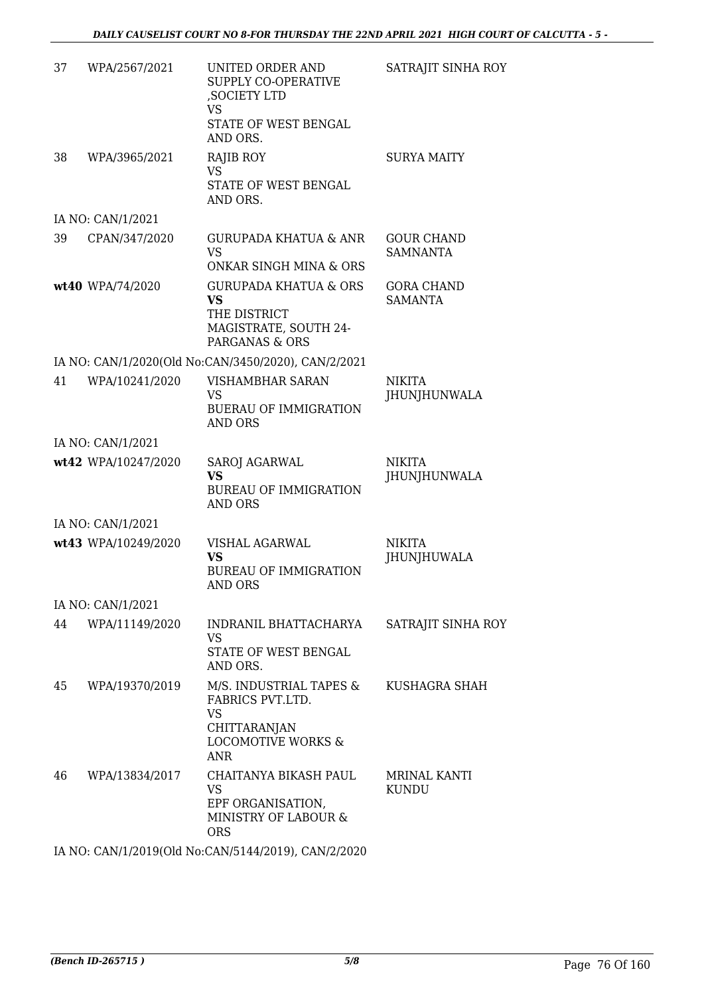| 37 | WPA/2567/2021       | <b>UNITED ORDER AND</b><br>SUPPLY CO-OPERATIVE<br>, SOCIETY LTD<br>VS<br>STATE OF WEST BENGAL<br>AND ORS.               | SATRAJIT SINHA ROY                   |
|----|---------------------|-------------------------------------------------------------------------------------------------------------------------|--------------------------------------|
| 38 | WPA/3965/2021       | RAJIB ROY<br><b>VS</b><br>STATE OF WEST BENGAL<br>AND ORS.                                                              | <b>SURYA MAITY</b>                   |
|    | IA NO: CAN/1/2021   |                                                                                                                         |                                      |
| 39 | CPAN/347/2020       | <b>GURUPADA KHATUA &amp; ANR</b><br><b>VS</b><br>ONKAR SINGH MINA & ORS                                                 | <b>GOUR CHAND</b><br><b>SAMNANTA</b> |
|    | wt40 WPA/74/2020    | <b>GURUPADA KHATUA &amp; ORS</b><br><b>VS</b><br>THE DISTRICT<br>MAGISTRATE, SOUTH 24-<br>PARGANAS & ORS                | <b>GORA CHAND</b><br><b>SAMANTA</b>  |
|    |                     | IA NO: CAN/1/2020(Old No:CAN/3450/2020), CAN/2/2021                                                                     |                                      |
| 41 | WPA/10241/2020      | VISHAMBHAR SARAN<br>VS.<br><b>BUERAU OF IMMIGRATION</b><br>AND ORS                                                      | <b>NIKITA</b><br>JHUNJHUNWALA        |
|    | IA NO: CAN/1/2021   |                                                                                                                         |                                      |
|    | wt42 WPA/10247/2020 | <b>SAROJ AGARWAL</b><br><b>VS</b><br><b>BUREAU OF IMMIGRATION</b><br><b>AND ORS</b>                                     | <b>NIKITA</b><br>JHUNJHUNWALA        |
|    | IA NO: CAN/1/2021   |                                                                                                                         |                                      |
|    | wt43 WPA/10249/2020 | VISHAL AGARWAL<br><b>VS</b><br><b>BUREAU OF IMMIGRATION</b><br>AND ORS                                                  | <b>NIKITA</b><br>JHUNJHUWALA         |
|    | IA NO: CAN/1/2021   |                                                                                                                         |                                      |
| 44 | WPA/11149/2020      | INDRANIL BHATTACHARYA<br><b>VS</b><br>STATE OF WEST BENGAL<br>AND ORS.                                                  | SATRAJIT SINHA ROY                   |
| 45 | WPA/19370/2019      | M/S. INDUSTRIAL TAPES &<br>FABRICS PVT.LTD.<br><b>VS</b><br>CHITTARANJAN<br><b>LOCOMOTIVE WORKS &amp;</b><br><b>ANR</b> | KUSHAGRA SHAH                        |
| 46 | WPA/13834/2017      | CHAITANYA BIKASH PAUL<br><b>VS</b><br>EPF ORGANISATION,<br>MINISTRY OF LABOUR &<br><b>ORS</b>                           | <b>MRINAL KANTI</b><br><b>KUNDU</b>  |
|    |                     |                                                                                                                         |                                      |

IA NO: CAN/1/2019(Old No:CAN/5144/2019), CAN/2/2020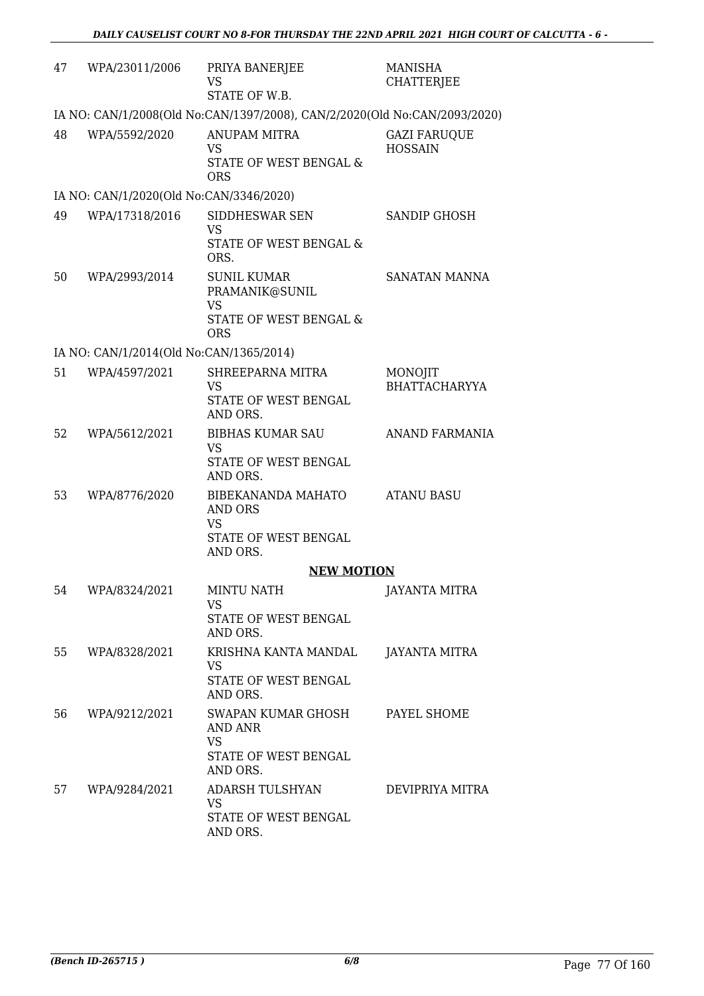| 47 | WPA/23011/2006                          | PRIYA BANERJEE<br>VS<br>STATE OF W.B.                                                                | <b>MANISHA</b><br><b>CHATTERJEE</b>   |
|----|-----------------------------------------|------------------------------------------------------------------------------------------------------|---------------------------------------|
|    |                                         | IA NO: CAN/1/2008(Old No:CAN/1397/2008), CAN/2/2020(Old No:CAN/2093/2020)                            |                                       |
| 48 | WPA/5592/2020                           | <b>ANUPAM MITRA</b><br><b>VS</b><br>STATE OF WEST BENGAL &<br><b>ORS</b>                             | <b>GAZI FARUQUE</b><br><b>HOSSAIN</b> |
|    | IA NO: CAN/1/2020(Old No:CAN/3346/2020) |                                                                                                      |                                       |
| 49 | WPA/17318/2016                          | SIDDHESWAR SEN<br><b>VS</b><br>STATE OF WEST BENGAL &<br>ORS.                                        | SANDIP GHOSH                          |
| 50 | WPA/2993/2014                           | <b>SUNIL KUMAR</b><br>PRAMANIK@SUNIL<br><b>VS</b><br><b>STATE OF WEST BENGAL &amp;</b><br><b>ORS</b> | SANATAN MANNA                         |
|    | IA NO: CAN/1/2014(Old No:CAN/1365/2014) |                                                                                                      |                                       |
| 51 | WPA/4597/2021                           | SHREEPARNA MITRA<br>VS<br>STATE OF WEST BENGAL<br>AND ORS.                                           | MONOJIT<br><b>BHATTACHARYYA</b>       |
| 52 | WPA/5612/2021                           | <b>BIBHAS KUMAR SAU</b><br><b>VS</b><br>STATE OF WEST BENGAL<br>AND ORS.                             | ANAND FARMANIA                        |
| 53 | WPA/8776/2020                           | BIBEKANANDA MAHATO<br>AND ORS<br><b>VS</b><br>STATE OF WEST BENGAL<br>AND ORS.                       | <b>ATANU BASU</b>                     |
|    |                                         | <b>NEW MOTION</b>                                                                                    |                                       |
| 54 | WPA/8324/2021                           | <b>MINTU NATH</b><br><b>VS</b><br>STATE OF WEST BENGAL<br>AND ORS.                                   | <b>JAYANTA MITRA</b>                  |
| 55 | WPA/8328/2021                           | KRISHNA KANTA MANDAL<br><b>VS</b><br>STATE OF WEST BENGAL<br>AND ORS.                                | JAYANTA MITRA                         |
| 56 | WPA/9212/2021                           | SWAPAN KUMAR GHOSH<br>AND ANR<br><b>VS</b><br>STATE OF WEST BENGAL<br>AND ORS.                       | PAYEL SHOME                           |
| 57 | WPA/9284/2021                           | ADARSH TULSHYAN<br><b>VS</b><br>STATE OF WEST BENGAL<br>AND ORS.                                     | DEVIPRIYA MITRA                       |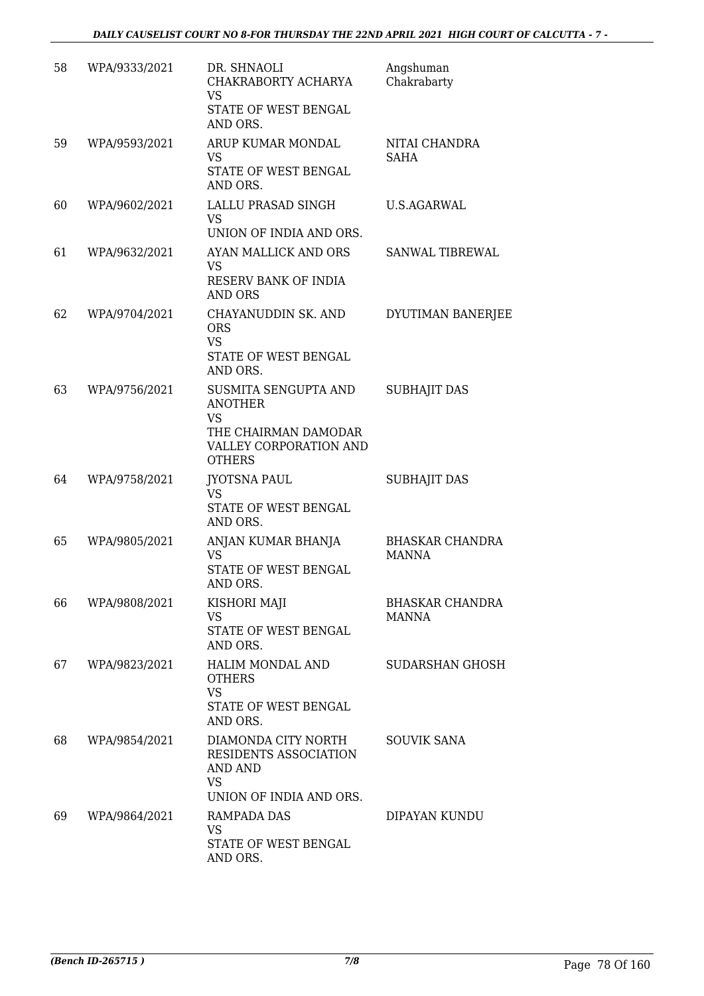| 58 | WPA/9333/2021 | DR. SHNAOLI<br>CHAKRABORTY ACHARYA<br>VS<br>STATE OF WEST BENGAL<br>AND ORS.                                           | Angshuman<br>Chakrabarty               |
|----|---------------|------------------------------------------------------------------------------------------------------------------------|----------------------------------------|
| 59 | WPA/9593/2021 | ARUP KUMAR MONDAL<br><b>VS</b><br>STATE OF WEST BENGAL<br>AND ORS.                                                     | NITAI CHANDRA<br><b>SAHA</b>           |
| 60 | WPA/9602/2021 | LALLU PRASAD SINGH<br>VS.<br>UNION OF INDIA AND ORS.                                                                   | <b>U.S.AGARWAL</b>                     |
| 61 | WPA/9632/2021 | AYAN MALLICK AND ORS<br><b>VS</b><br>RESERV BANK OF INDIA<br><b>AND ORS</b>                                            | SANWAL TIBREWAL                        |
| 62 | WPA/9704/2021 | CHAYANUDDIN SK. AND<br><b>ORS</b><br><b>VS</b><br>STATE OF WEST BENGAL<br>AND ORS.                                     | DYUTIMAN BANERJEE                      |
| 63 | WPA/9756/2021 | SUSMITA SENGUPTA AND<br><b>ANOTHER</b><br><b>VS</b><br>THE CHAIRMAN DAMODAR<br>VALLEY CORPORATION AND<br><b>OTHERS</b> | <b>SUBHAJIT DAS</b>                    |
| 64 | WPA/9758/2021 | JYOTSNA PAUL<br><b>VS</b><br>STATE OF WEST BENGAL<br>AND ORS.                                                          | <b>SUBHAJIT DAS</b>                    |
| 65 | WPA/9805/2021 | ANJAN KUMAR BHANJA<br><b>VS</b><br>STATE OF WEST BENGAL<br>AND ORS.                                                    | <b>BHASKAR CHANDRA</b><br><b>MANNA</b> |
| 66 | WPA/9808/2021 | KISHORI MAJI<br><b>VS</b><br>STATE OF WEST BENGAL<br>AND ORS.                                                          | <b>BHASKAR CHANDRA</b><br>MANNA        |
| 67 | WPA/9823/2021 | HALIM MONDAL AND<br><b>OTHERS</b><br><b>VS</b><br>STATE OF WEST BENGAL<br>AND ORS.                                     | SUDARSHAN GHOSH                        |
| 68 | WPA/9854/2021 | DIAMONDA CITY NORTH<br>RESIDENTS ASSOCIATION<br>AND AND<br><b>VS</b><br>UNION OF INDIA AND ORS.                        | <b>SOUVIK SANA</b>                     |
| 69 | WPA/9864/2021 | RAMPADA DAS<br><b>VS</b><br>STATE OF WEST BENGAL<br>AND ORS.                                                           | DIPAYAN KUNDU                          |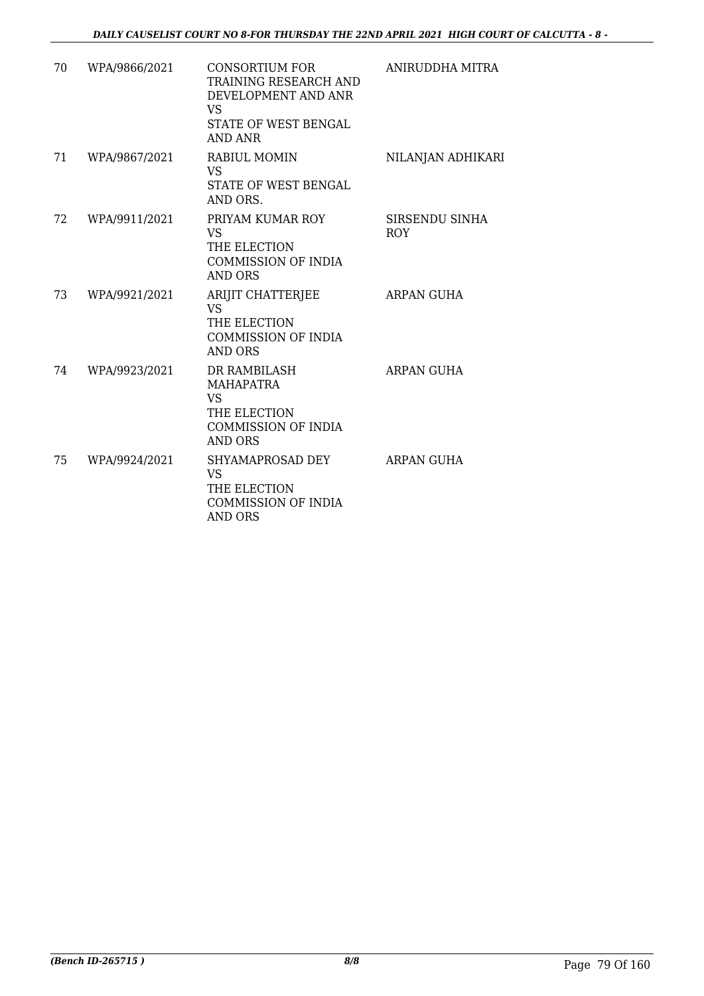| 70 | WPA/9866/2021 | CONSORTIUM FOR<br>TRAINING RESEARCH AND<br>DEVELOPMENT AND ANR<br><b>VS</b><br>STATE OF WEST BENGAL<br>AND ANR | ANIRUDDHA MITRA              |
|----|---------------|----------------------------------------------------------------------------------------------------------------|------------------------------|
| 71 | WPA/9867/2021 | <b>RABIUL MOMIN</b><br>VS.<br>STATE OF WEST BENGAL<br>AND ORS.                                                 | NILANJAN ADHIKARI            |
| 72 | WPA/9911/2021 | PRIYAM KUMAR ROY<br>VS<br>THE ELECTION<br><b>COMMISSION OF INDIA</b><br><b>AND ORS</b>                         | SIRSENDU SINHA<br><b>ROY</b> |
| 73 | WPA/9921/2021 | ARIJIT CHATTERJEE<br><b>VS</b><br>THE ELECTION<br><b>COMMISSION OF INDIA</b><br><b>AND ORS</b>                 | <b>ARPAN GUHA</b>            |
| 74 | WPA/9923/2021 | DR RAMBILASH<br><b>MAHAPATRA</b><br><b>VS</b><br>THE ELECTION<br><b>COMMISSION OF INDIA</b><br><b>AND ORS</b>  | <b>ARPAN GUHA</b>            |
| 75 | WPA/9924/2021 | SHYAMAPROSAD DEY<br><b>VS</b><br>THE ELECTION<br><b>COMMISSION OF INDIA</b><br><b>AND ORS</b>                  | ARPAN GUHA                   |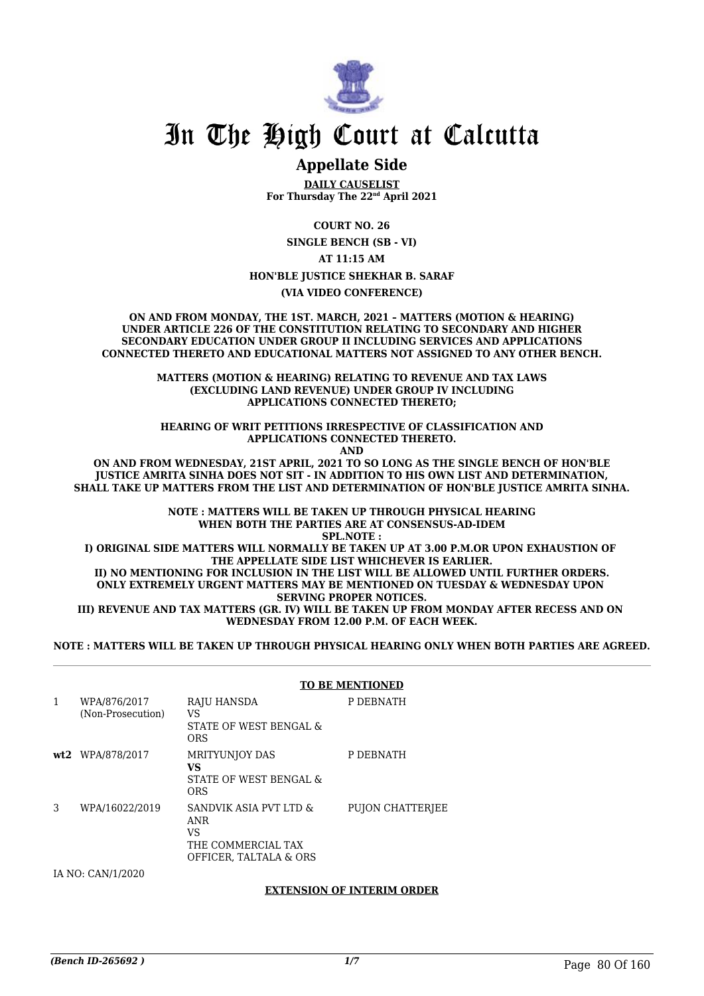

### **Appellate Side**

**DAILY CAUSELIST For Thursday The 22nd April 2021**

**COURT NO. 26**

**SINGLE BENCH (SB - VI)**

**AT 11:15 AM**

**HON'BLE JUSTICE SHEKHAR B. SARAF**

**(VIA VIDEO CONFERENCE)**

**ON AND FROM MONDAY, THE 1ST. MARCH, 2021 – MATTERS (MOTION & HEARING) UNDER ARTICLE 226 OF THE CONSTITUTION RELATING TO SECONDARY AND HIGHER SECONDARY EDUCATION UNDER GROUP II INCLUDING SERVICES AND APPLICATIONS CONNECTED THERETO AND EDUCATIONAL MATTERS NOT ASSIGNED TO ANY OTHER BENCH.**

> **MATTERS (MOTION & HEARING) RELATING TO REVENUE AND TAX LAWS (EXCLUDING LAND REVENUE) UNDER GROUP IV INCLUDING APPLICATIONS CONNECTED THERETO;**

**HEARING OF WRIT PETITIONS IRRESPECTIVE OF CLASSIFICATION AND APPLICATIONS CONNECTED THERETO. AND**

**ON AND FROM WEDNESDAY, 21ST APRIL, 2021 TO SO LONG AS THE SINGLE BENCH OF HON'BLE JUSTICE AMRITA SINHA DOES NOT SIT - IN ADDITION TO HIS OWN LIST AND DETERMINATION, SHALL TAKE UP MATTERS FROM THE LIST AND DETERMINATION OF HON'BLE JUSTICE AMRITA SINHA.**

> **NOTE : MATTERS WILL BE TAKEN UP THROUGH PHYSICAL HEARING WHEN BOTH THE PARTIES ARE AT CONSENSUS-AD-IDEM SPL.NOTE :**

**I) ORIGINAL SIDE MATTERS WILL NORMALLY BE TAKEN UP AT 3.00 P.M.OR UPON EXHAUSTION OF THE APPELLATE SIDE LIST WHICHEVER IS EARLIER. II) NO MENTIONING FOR INCLUSION IN THE LIST WILL BE ALLOWED UNTIL FURTHER ORDERS. ONLY EXTREMELY URGENT MATTERS MAY BE MENTIONED ON TUESDAY & WEDNESDAY UPON SERVING PROPER NOTICES.**

**III) REVENUE AND TAX MATTERS (GR. IV) WILL BE TAKEN UP FROM MONDAY AFTER RECESS AND ON WEDNESDAY FROM 12.00 P.M. OF EACH WEEK.**

**NOTE : MATTERS WILL BE TAKEN UP THROUGH PHYSICAL HEARING ONLY WHEN BOTH PARTIES ARE AGREED.**

|   |                                   |                                                                                            | <b>TO BE MENTIONED</b> |
|---|-----------------------------------|--------------------------------------------------------------------------------------------|------------------------|
| 1 | WPA/876/2017<br>(Non-Prosecution) | RAJU HANSDA<br>VS<br>STATE OF WEST BENGAL &<br><b>ORS</b>                                  | P DEBNATH              |
|   | wt2 WPA/878/2017                  | <b>MRITYUNIOY DAS</b><br>VS<br>STATE OF WEST BENGAL &<br><b>ORS</b>                        | P DEBNATH              |
| 3 | WPA/16022/2019                    | SANDVIK ASIA PVT LTD &<br><b>ANR</b><br>VS<br>THE COMMERCIAL TAX<br>OFFICER. TALTALA & ORS | PUJON CHATTERJEE       |
|   | IA NO: CAN/1/2020                 |                                                                                            |                        |

**EXTENSION OF INTERIM ORDER**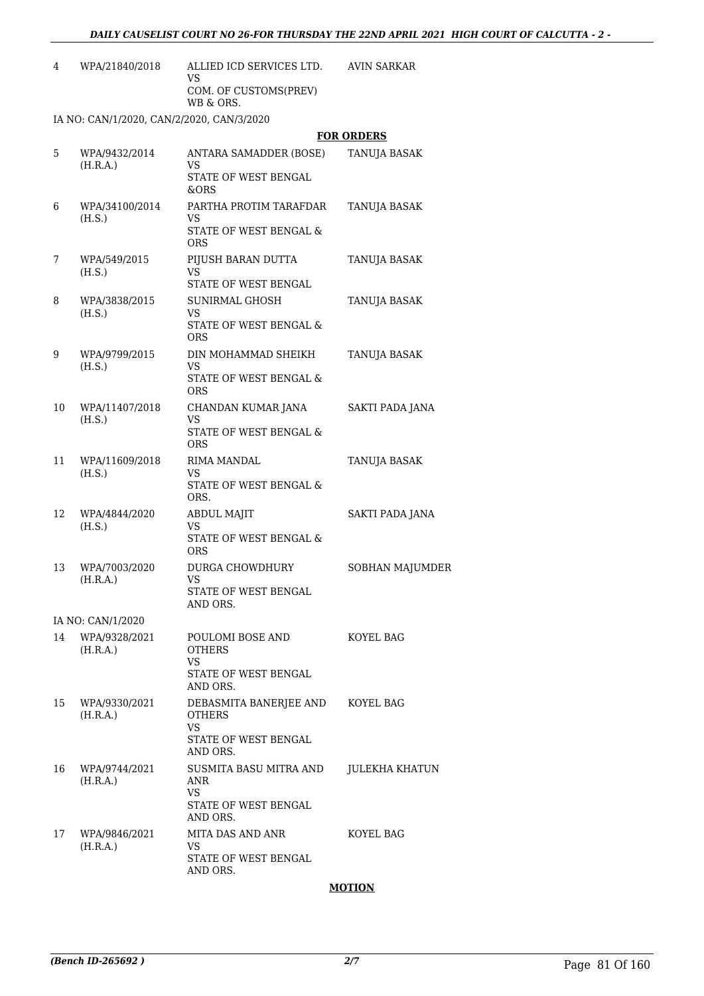| 4 | WPA/21840/2018                            | ALLIED ICD SERVICES LTD.<br>VS<br>COM. OF CUSTOMS(PREV)<br>WB & ORS. | AVIN SARKAR       |  |  |
|---|-------------------------------------------|----------------------------------------------------------------------|-------------------|--|--|
|   | IA NO: CAN/1/2020, CAN/2/2020, CAN/3/2020 |                                                                      |                   |  |  |
|   |                                           |                                                                      | <b>FOR ORDERS</b> |  |  |
| 5 | WPA/9432/2014<br>(H.R.A.)                 | ANTARA SAMADDER (BOSE)<br>VS                                         | TANUJA BASAK      |  |  |

| 6  | WPA/34100/2014<br>(H.S.)  | PARTHA PROTIM TARAFDAR<br>VS<br>STATE OF WEST BENGAL &<br><b>ORS</b>              | TANUJA BASAK        |
|----|---------------------------|-----------------------------------------------------------------------------------|---------------------|
| 7  | WPA/549/2015<br>(H.S.)    | PIJUSH BARAN DUTTA<br>VS.<br>STATE OF WEST BENGAL                                 | TANUJA BASAK        |
| 8  | WPA/3838/2015<br>(H.S.)   | SUNIRMAL GHOSH<br>VS.<br><b>STATE OF WEST BENGAL &amp;</b><br><b>ORS</b>          | TANUJA BASAK        |
| 9  | WPA/9799/2015<br>(H.S.)   | DIN MOHAMMAD SHEIKH<br>VS<br>STATE OF WEST BENGAL &<br><b>ORS</b>                 | TANUJA BASAK        |
| 10 | WPA/11407/2018<br>(H.S.)  | CHANDAN KUMAR JANA<br>VS<br><b>STATE OF WEST BENGAL &amp;</b><br><b>ORS</b>       | SAKTI PADA JANA     |
| 11 | WPA/11609/2018<br>(H.S.)  | RIMA MANDAL<br>VS<br>STATE OF WEST BENGAL &<br>ORS.                               | <b>TANUJA BASAK</b> |
| 12 | WPA/4844/2020<br>(H.S.)   | <b>ABDUL MAJIT</b><br>VS<br>STATE OF WEST BENGAL &<br><b>ORS</b>                  | SAKTI PADA JANA     |
| 13 | WPA/7003/2020<br>(H.R.A.) | DURGA CHOWDHURY<br><b>VS</b><br>STATE OF WEST BENGAL<br>AND ORS.                  | SOBHAN MAJUMDER     |
|    | IA NO: CAN/1/2020         |                                                                                   |                     |
| 14 | WPA/9328/2021<br>(H.R.A.) | POULOMI BOSE AND<br><b>OTHERS</b><br>VS<br>STATE OF WEST BENGAL<br>AND ORS.       | KOYEL BAG           |
| 15 | WPA/9330/2021<br>(H.R.A.) | DEBASMITA BANERJEE AND<br><b>OTHERS</b><br>VS<br>STATE OF WEST BENGAL<br>AND ORS. | KOYEL BAG           |
| 16 | WPA/9744/2021<br>(H.R.A.) | SUSMITA BASU MITRA AND<br>ANR<br><b>VS</b><br>STATE OF WEST BENGAL<br>AND ORS.    | JULEKHA KHATUN      |
| 17 | WPA/9846/2021<br>(H.R.A.) | MITA DAS AND ANR<br>VS<br>STATE OF WEST BENGAL<br>AND ORS.                        | KOYEL BAG           |

#### **MOTION**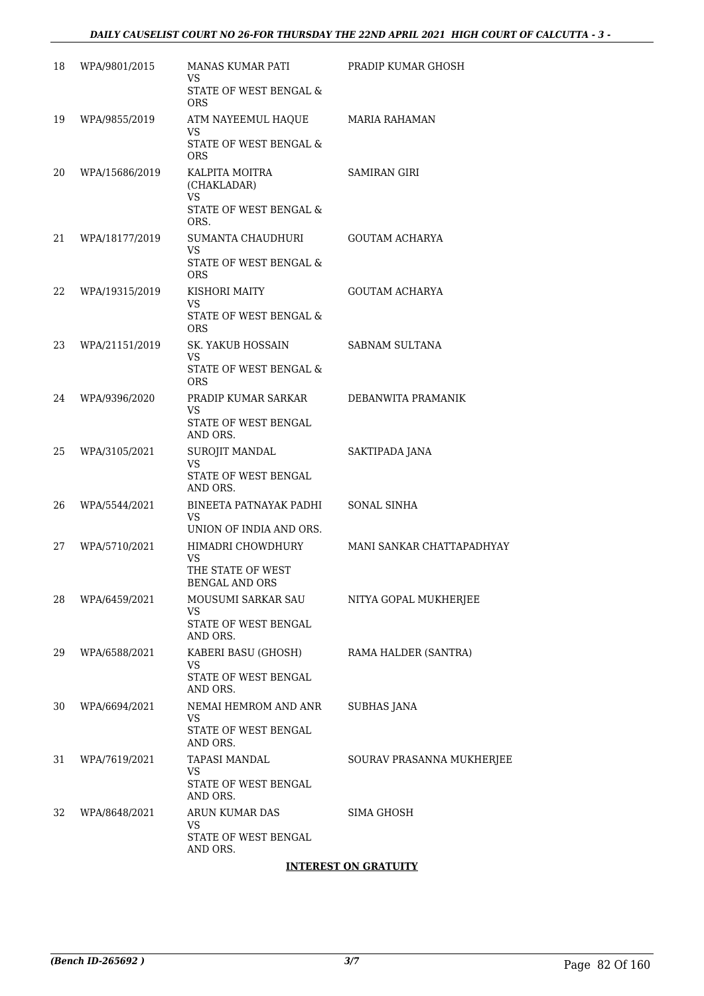| 18 | WPA/9801/2015  | MANAS KUMAR PATI<br>VS.<br><b>STATE OF WEST BENGAL &amp;</b>                    | PRADIP KUMAR GHOSH        |
|----|----------------|---------------------------------------------------------------------------------|---------------------------|
| 19 | WPA/9855/2019  | <b>ORS</b><br>ATM NAYEEMUL HAQUE<br>VS.<br>STATE OF WEST BENGAL &<br><b>ORS</b> | MARIA RAHAMAN             |
| 20 | WPA/15686/2019 | KALPITA MOITRA<br>(CHAKLADAR)<br>VS.<br>STATE OF WEST BENGAL &<br>ORS.          | SAMIRAN GIRI              |
| 21 | WPA/18177/2019 | SUMANTA CHAUDHURI<br>VS<br>STATE OF WEST BENGAL &<br><b>ORS</b>                 | <b>GOUTAM ACHARYA</b>     |
| 22 | WPA/19315/2019 | KISHORI MAITY<br>VS.<br>STATE OF WEST BENGAL &<br><b>ORS</b>                    | GOUTAM ACHARYA            |
| 23 | WPA/21151/2019 | SK. YAKUB HOSSAIN<br>VS.<br>STATE OF WEST BENGAL &                              | SABNAM SULTANA            |
| 24 | WPA/9396/2020  | <b>ORS</b><br>PRADIP KUMAR SARKAR<br>VS.<br>STATE OF WEST BENGAL                | DEBANWITA PRAMANIK        |
| 25 | WPA/3105/2021  | AND ORS.<br>SUROJIT MANDAL<br>VS.<br>STATE OF WEST BENGAL                       | SAKTIPADA JANA            |
| 26 | WPA/5544/2021  | AND ORS.<br>BINEETA PATNAYAK PADHI<br>VS.<br>UNION OF INDIA AND ORS.            | <b>SONAL SINHA</b>        |
| 27 | WPA/5710/2021  | HIMADRI CHOWDHURY<br>VS.<br>THE STATE OF WEST<br><b>BENGAL AND ORS</b>          | MANI SANKAR CHATTAPADHYAY |
| 28 | WPA/6459/2021  | MOUSUMI SARKAR SAU<br>VS<br>STATE OF WEST BENGAL<br>AND ORS.                    | NITYA GOPAL MUKHERJEE     |
| 29 | WPA/6588/2021  | KABERI BASU (GHOSH)<br>VS.<br>STATE OF WEST BENGAL<br>AND ORS.                  | RAMA HALDER (SANTRA)      |
| 30 | WPA/6694/2021  | NEMAI HEMROM AND ANR<br>VS<br>STATE OF WEST BENGAL<br>AND ORS.                  | SUBHAS JANA               |
| 31 | WPA/7619/2021  | TAPASI MANDAL<br>VS<br>STATE OF WEST BENGAL<br>AND ORS.                         | SOURAV PRASANNA MUKHERJEE |
| 32 | WPA/8648/2021  | ARUN KUMAR DAS<br>VS.<br>STATE OF WEST BENGAL<br>AND ORS.                       | <b>SIMA GHOSH</b>         |
|    |                |                                                                                 |                           |

#### **INTEREST ON GRATUITY**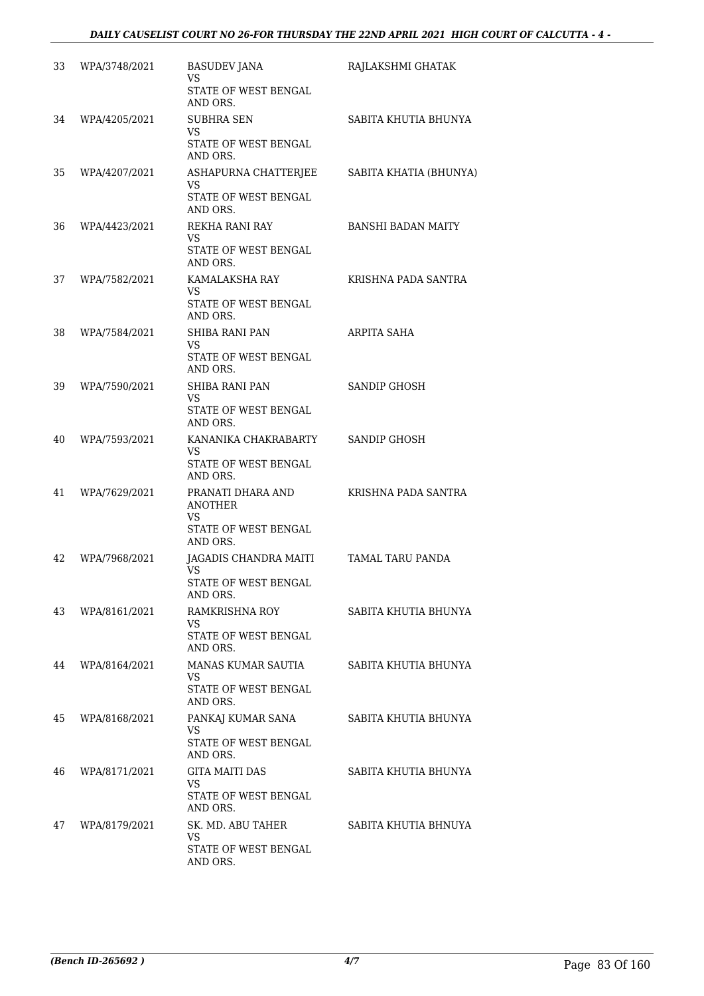| 33 | WPA/3748/2021 | <b>BASUDEV JANA</b><br>VS<br>STATE OF WEST BENGAL<br>AND ORS.                        | RAJLAKSHMI GHATAK         |
|----|---------------|--------------------------------------------------------------------------------------|---------------------------|
| 34 | WPA/4205/2021 | <b>SUBHRA SEN</b><br>VS<br>STATE OF WEST BENGAL<br>AND ORS.                          | SABITA KHUTIA BHUNYA      |
| 35 | WPA/4207/2021 | ASHAPURNA CHATTERJEE<br><b>VS</b><br>STATE OF WEST BENGAL<br>AND ORS.                | SABITA KHATIA (BHUNYA)    |
| 36 | WPA/4423/2021 | REKHA RANI RAY<br>VS<br>STATE OF WEST BENGAL<br>AND ORS.                             | <b>BANSHI BADAN MAITY</b> |
| 37 | WPA/7582/2021 | KAMALAKSHA RAY<br>VS<br>STATE OF WEST BENGAL<br>AND ORS.                             | KRISHNA PADA SANTRA       |
| 38 | WPA/7584/2021 | <b>SHIBA RANI PAN</b><br>VS<br>STATE OF WEST BENGAL<br>AND ORS.                      | ARPITA SAHA               |
| 39 | WPA/7590/2021 | <b>SHIBA RANI PAN</b><br>VS<br>STATE OF WEST BENGAL<br>AND ORS.                      | <b>SANDIP GHOSH</b>       |
| 40 | WPA/7593/2021 | KANANIKA CHAKRABARTY<br>VS<br>STATE OF WEST BENGAL<br>AND ORS.                       | SANDIP GHOSH              |
| 41 | WPA/7629/2021 | PRANATI DHARA AND<br><b>ANOTHER</b><br>VS<br><b>STATE OF WEST BENGAL</b><br>AND ORS. | KRISHNA PADA SANTRA       |
| 42 | WPA/7968/2021 | JAGADIS CHANDRA MAITI<br><b>VS</b><br>STATE OF WEST BENGAL<br>AND ORS.               | TAMAL TARU PANDA          |
| 43 | WPA/8161/2021 | RAMKRISHNA ROY<br>VS<br>STATE OF WEST BENGAL<br>AND ORS.                             | SABITA KHUTIA BHUNYA      |
| 44 | WPA/8164/2021 | MANAS KUMAR SAUTIA<br>VS<br>STATE OF WEST BENGAL<br>AND ORS.                         | SABITA KHUTIA BHUNYA      |
| 45 | WPA/8168/2021 | PANKAJ KUMAR SANA<br>VS.<br>STATE OF WEST BENGAL<br>AND ORS.                         | SABITA KHUTIA BHUNYA      |
| 46 | WPA/8171/2021 | <b>GITA MAITI DAS</b><br>VS<br>STATE OF WEST BENGAL<br>AND ORS.                      | SABITA KHUTIA BHUNYA      |
| 47 | WPA/8179/2021 | SK. MD. ABU TAHER<br>VS<br>STATE OF WEST BENGAL<br>AND ORS.                          | SABITA KHUTIA BHNUYA      |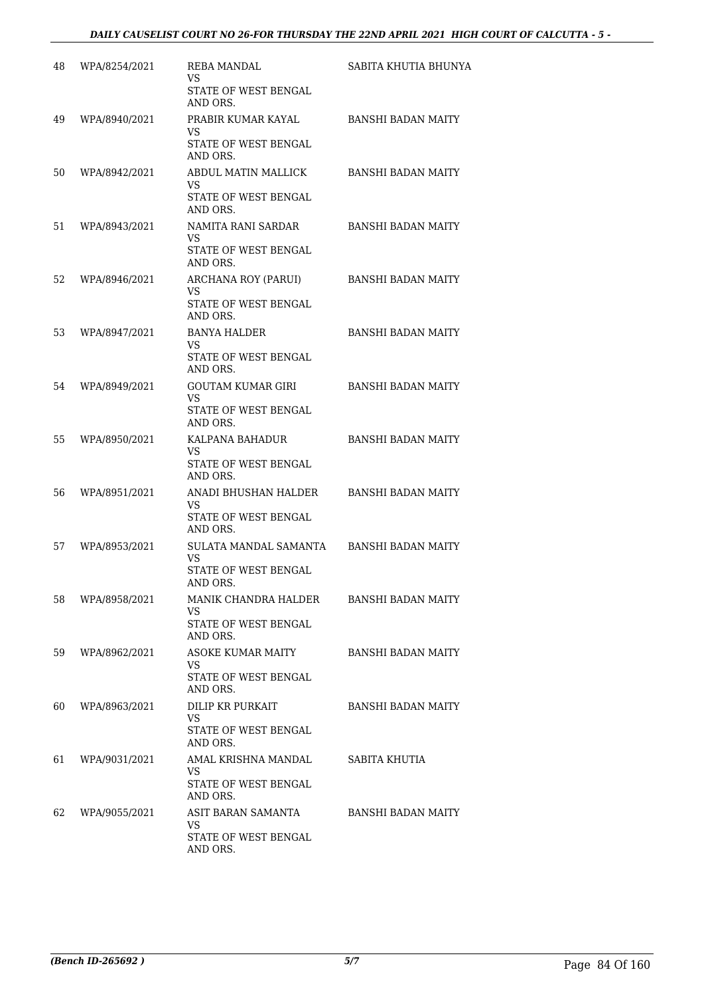| 48 | WPA/8254/2021 | REBA MANDAL<br>VS<br>STATE OF WEST BENGAL                                | SABITA KHUTIA BHUNYA      |
|----|---------------|--------------------------------------------------------------------------|---------------------------|
| 49 | WPA/8940/2021 | AND ORS.<br>PRABIR KUMAR KAYAL<br>VS<br>STATE OF WEST BENGAL<br>AND ORS. | <b>BANSHI BADAN MAITY</b> |
| 50 | WPA/8942/2021 | ABDUL MATIN MALLICK<br>VS<br>STATE OF WEST BENGAL<br>AND ORS.            | <b>BANSHI BADAN MAITY</b> |
| 51 | WPA/8943/2021 | NAMITA RANI SARDAR<br>VS<br>STATE OF WEST BENGAL<br>AND ORS.             | <b>BANSHI BADAN MAITY</b> |
| 52 | WPA/8946/2021 | ARCHANA ROY (PARUI)<br>VS<br>STATE OF WEST BENGAL<br>AND ORS.            | <b>BANSHI BADAN MAITY</b> |
| 53 | WPA/8947/2021 | <b>BANYA HALDER</b><br>VS<br>STATE OF WEST BENGAL<br>AND ORS.            | <b>BANSHI BADAN MAITY</b> |
| 54 | WPA/8949/2021 | GOUTAM KUMAR GIRI<br>VS<br>STATE OF WEST BENGAL<br>AND ORS.              | <b>BANSHI BADAN MAITY</b> |
| 55 | WPA/8950/2021 | KALPANA BAHADUR<br>VS<br>STATE OF WEST BENGAL<br>AND ORS.                | <b>BANSHI BADAN MAITY</b> |
| 56 | WPA/8951/2021 | ANADI BHUSHAN HALDER<br>VS<br>STATE OF WEST BENGAL<br>AND ORS.           | <b>BANSHI BADAN MAITY</b> |
| 57 | WPA/8953/2021 | SULATA MANDAL SAMANTA<br>VS.<br><b>STATE OF WEST BENGAL</b><br>AND ORS.  | <b>BANSHI BADAN MAITY</b> |
| 58 | WPA/8958/2021 | MANIK CHANDRA HALDER<br>VS.<br>STATE OF WEST BENGAL<br>AND ORS.          | BANSHI BADAN MAITY        |
| 59 | WPA/8962/2021 | <b>ASOKE KUMAR MAITY</b><br>VS<br>STATE OF WEST BENGAL<br>AND ORS.       | BANSHI BADAN MAITY        |
| 60 | WPA/8963/2021 | DILIP KR PURKAIT<br>VS<br>STATE OF WEST BENGAL<br>AND ORS.               | <b>BANSHI BADAN MAITY</b> |
| 61 | WPA/9031/2021 | AMAL KRISHNA MANDAL<br>VS.<br>STATE OF WEST BENGAL<br>AND ORS.           | SABITA KHUTIA             |
| 62 | WPA/9055/2021 | ASIT BARAN SAMANTA<br>VS<br>STATE OF WEST BENGAL<br>AND ORS.             | BANSHI BADAN MAITY        |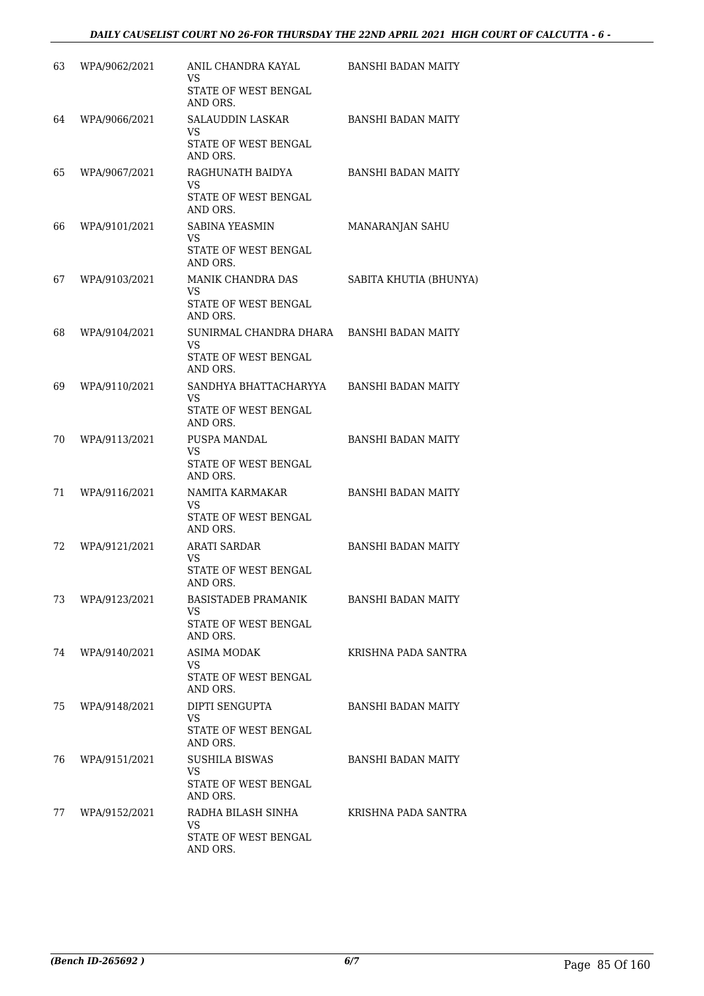| 63 | WPA/9062/2021 | ANIL CHANDRA KAYAL<br>VS                                   | <b>BANSHI BADAN MAITY</b> |
|----|---------------|------------------------------------------------------------|---------------------------|
|    |               | STATE OF WEST BENGAL<br>AND ORS.                           |                           |
| 64 | WPA/9066/2021 | SALAUDDIN LASKAR<br><b>VS</b><br>STATE OF WEST BENGAL      | <b>BANSHI BADAN MAITY</b> |
|    |               | AND ORS.                                                   |                           |
| 65 | WPA/9067/2021 | RAGHUNATH BAIDYA<br>VS<br>STATE OF WEST BENGAL<br>AND ORS. | <b>BANSHI BADAN MAITY</b> |
| 66 | WPA/9101/2021 | SABINA YEASMIN                                             | MANARANJAN SAHU           |
|    |               | VS<br>STATE OF WEST BENGAL<br>AND ORS.                     |                           |
| 67 | WPA/9103/2021 | MANIK CHANDRA DAS<br>VS<br>STATE OF WEST BENGAL            | SABITA KHUTIA (BHUNYA)    |
| 68 | WPA/9104/2021 | AND ORS.<br>SUNIRMAL CHANDRA DHARA<br><b>VS</b>            | <b>BANSHI BADAN MAITY</b> |
|    |               | STATE OF WEST BENGAL<br>AND ORS.                           |                           |
| 69 | WPA/9110/2021 | SANDHYA BHATTACHARYYA<br>VS<br>STATE OF WEST BENGAL        | <b>BANSHI BADAN MAITY</b> |
|    |               | AND ORS.                                                   |                           |
| 70 | WPA/9113/2021 | PUSPA MANDAL<br>VS<br>STATE OF WEST BENGAL                 | <b>BANSHI BADAN MAITY</b> |
| 71 | WPA/9116/2021 | AND ORS.<br>NAMITA KARMAKAR                                | <b>BANSHI BADAN MAITY</b> |
|    |               | VS<br>STATE OF WEST BENGAL<br>AND ORS.                     |                           |
| 72 | WPA/9121/2021 | <b>ARATI SARDAR</b><br>VS.                                 | <b>BANSHI BADAN MAITY</b> |
|    |               | <b>STATE OF WEST BENGAL</b><br>AND ORS.                    |                           |
| 73 | WPA/9123/2021 | BASISTADEB PRAMANIK<br>VS.<br>STATE OF WEST BENGAL         | BANSHI BADAN MAITY        |
|    |               | AND ORS.                                                   |                           |
| 74 | WPA/9140/2021 | <b>ASIMA MODAK</b><br>VS<br>STATE OF WEST BENGAL           | KRISHNA PADA SANTRA       |
| 75 | WPA/9148/2021 | AND ORS.<br>DIPTI SENGUPTA                                 | <b>BANSHI BADAN MAITY</b> |
|    |               | VS<br>STATE OF WEST BENGAL<br>AND ORS.                     |                           |
| 76 | WPA/9151/2021 | <b>SUSHILA BISWAS</b>                                      | BANSHI BADAN MAITY        |
|    |               | VS.<br>STATE OF WEST BENGAL<br>AND ORS.                    |                           |
| 77 | WPA/9152/2021 | RADHA BILASH SINHA<br>VS                                   | KRISHNA PADA SANTRA       |
|    |               | STATE OF WEST BENGAL<br>AND ORS.                           |                           |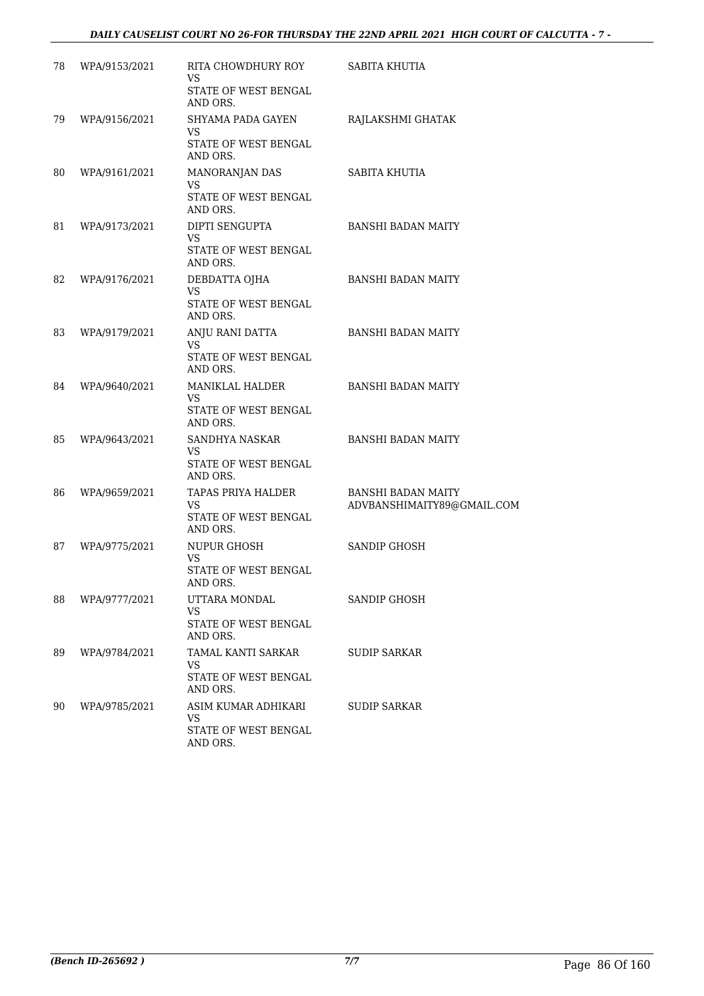| 78 | WPA/9153/2021 | RITA CHOWDHURY ROY<br>VS<br>STATE OF WEST BENGAL<br>AND ORS.     | SABITA KHUTIA                                           |
|----|---------------|------------------------------------------------------------------|---------------------------------------------------------|
| 79 | WPA/9156/2021 | SHYAMA PADA GAYEN<br>VS<br>STATE OF WEST BENGAL<br>AND ORS.      | RAJLAKSHMI GHATAK                                       |
| 80 | WPA/9161/2021 | MANORANJAN DAS<br>VS<br>STATE OF WEST BENGAL<br>AND ORS.         | SABITA KHUTIA                                           |
| 81 | WPA/9173/2021 | DIPTI SENGUPTA<br>VS<br>STATE OF WEST BENGAL<br>AND ORS.         | <b>BANSHI BADAN MAITY</b>                               |
| 82 | WPA/9176/2021 | DEBDATTA OJHA<br><b>VS</b><br>STATE OF WEST BENGAL<br>AND ORS.   | <b>BANSHI BADAN MAITY</b>                               |
| 83 | WPA/9179/2021 | ANJU RANI DATTA<br><b>VS</b><br>STATE OF WEST BENGAL<br>AND ORS. | <b>BANSHI BADAN MAITY</b>                               |
| 84 | WPA/9640/2021 | MANIKLAL HALDER<br>VS.<br>STATE OF WEST BENGAL<br>AND ORS.       | <b>BANSHI BADAN MAITY</b>                               |
| 85 | WPA/9643/2021 | SANDHYA NASKAR<br>VS<br>STATE OF WEST BENGAL<br>AND ORS.         | <b>BANSHI BADAN MAITY</b>                               |
| 86 | WPA/9659/2021 | TAPAS PRIYA HALDER<br>VS<br>STATE OF WEST BENGAL<br>AND ORS.     | <b>BANSHI BADAN MAITY</b><br>ADVBANSHIMAITY89@GMAIL.COM |
| 87 | WPA/9775/2021 | NUPUR GHOSH<br>VS.<br>STATE OF WEST BENGAL<br>AND ORS.           | <b>SANDIP GHOSH</b>                                     |
| 88 | WPA/9777/2021 | UTTARA MONDAL<br>VS<br>STATE OF WEST BENGAL<br>AND ORS.          | <b>SANDIP GHOSH</b>                                     |
| 89 | WPA/9784/2021 | TAMAL KANTI SARKAR<br>VS<br>STATE OF WEST BENGAL<br>AND ORS.     | <b>SUDIP SARKAR</b>                                     |
| 90 | WPA/9785/2021 | ASIM KUMAR ADHIKARI<br>VS.<br>STATE OF WEST BENGAL<br>AND ORS.   | <b>SUDIP SARKAR</b>                                     |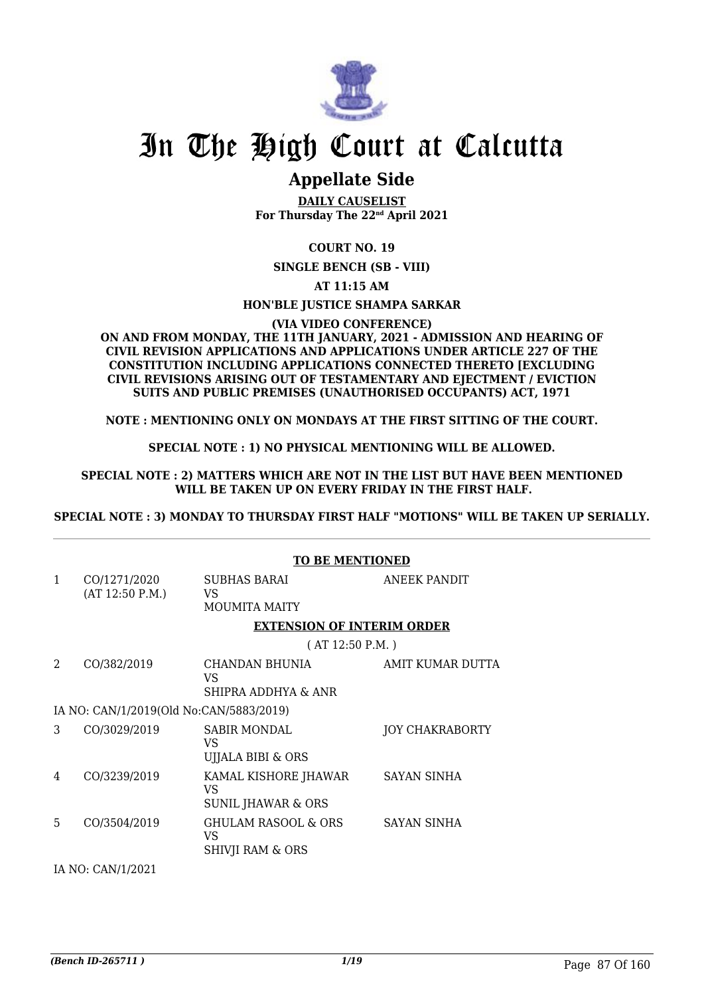

## **Appellate Side**

**DAILY CAUSELIST For Thursday The 22nd April 2021**

### **COURT NO. 19**

**SINGLE BENCH (SB - VIII)**

**AT 11:15 AM**

#### **HON'BLE JUSTICE SHAMPA SARKAR**

**(VIA VIDEO CONFERENCE)**

#### **ON AND FROM MONDAY, THE 11TH JANUARY, 2021 - ADMISSION AND HEARING OF CIVIL REVISION APPLICATIONS AND APPLICATIONS UNDER ARTICLE 227 OF THE CONSTITUTION INCLUDING APPLICATIONS CONNECTED THERETO [EXCLUDING CIVIL REVISIONS ARISING OUT OF TESTAMENTARY AND EJECTMENT / EVICTION SUITS AND PUBLIC PREMISES (UNAUTHORISED OCCUPANTS) ACT, 1971**

**NOTE : MENTIONING ONLY ON MONDAYS AT THE FIRST SITTING OF THE COURT.**

#### **SPECIAL NOTE : 1) NO PHYSICAL MENTIONING WILL BE ALLOWED.**

#### **SPECIAL NOTE : 2) MATTERS WHICH ARE NOT IN THE LIST BUT HAVE BEEN MENTIONED WILL BE TAKEN UP ON EVERY FRIDAY IN THE FIRST HALF.**

**SPECIAL NOTE : 3) MONDAY TO THURSDAY FIRST HALF "MOTIONS" WILL BE TAKEN UP SERIALLY.**

#### **TO BE MENTIONED**

| $\mathbf{1}$ | CO/1271/2020<br>(AT 12:50 P.M.)         | SUBHAS BARAI<br>VS.<br><b>MOUMITA MAITY</b>              | ANEEK PANDIT           |
|--------------|-----------------------------------------|----------------------------------------------------------|------------------------|
|              |                                         | <b>EXTENSION OF INTERIM ORDER</b>                        |                        |
|              |                                         | (AT 12:50 P.M.)                                          |                        |
| 2.           | CO/382/2019                             | CHANDAN BHUNIA<br>VS<br>SHIPRA ADDHYA & ANR              | AMIT KUMAR DUTTA       |
|              | IA NO: CAN/1/2019(Old No:CAN/5883/2019) |                                                          |                        |
| 3            | CO/3029/2019                            | <b>SABIR MONDAL</b><br>VS<br>UJJALA BIBI & ORS           | <b>JOY CHAKRABORTY</b> |
| 4            | CO/3239/2019                            | KAMAL KISHORE JHAWAR<br>VS<br>SUNIL JHAWAR & ORS         | SAYAN SINHA            |
| 5            | CO/3504/2019                            | GHULAM RASOOL & ORS<br>VS<br><b>SHIVJI RAM &amp; ORS</b> | <b>SAYAN SINHA</b>     |
|              | IA NO: CAN/1/2021                       |                                                          |                        |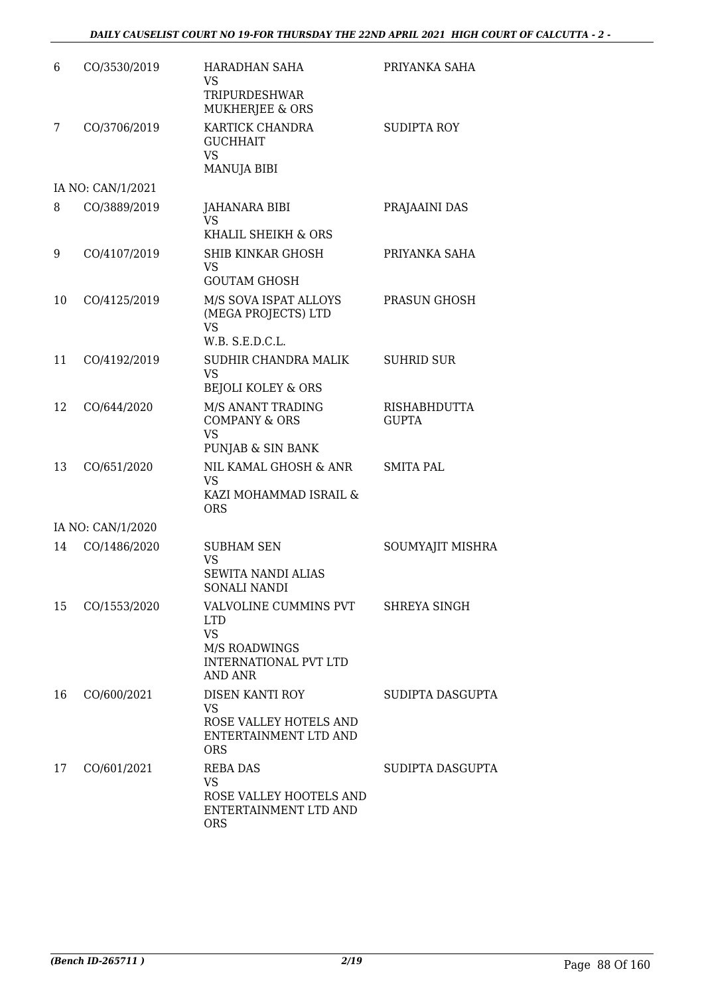| 6  | CO/3530/2019      | <b>HARADHAN SAHA</b><br><b>VS</b><br>TRIPURDESHWAR<br><b>MUKHERJEE &amp; ORS</b>                             | PRIYANKA SAHA                       |
|----|-------------------|--------------------------------------------------------------------------------------------------------------|-------------------------------------|
| 7  | CO/3706/2019      | KARTICK CHANDRA<br><b>GUCHHAIT</b><br>VS<br><b>MANUJA BIBI</b>                                               | <b>SUDIPTA ROY</b>                  |
|    | IA NO: CAN/1/2021 |                                                                                                              |                                     |
| 8  | CO/3889/2019      | JAHANARA BIBI<br>VS<br>KHALIL SHEIKH & ORS                                                                   | PRAJAAINI DAS                       |
| 9  | CO/4107/2019      | SHIB KINKAR GHOSH<br>VS<br><b>GOUTAM GHOSH</b>                                                               | PRIYANKA SAHA                       |
| 10 | CO/4125/2019      | M/S SOVA ISPAT ALLOYS<br>(MEGA PROJECTS) LTD<br><b>VS</b>                                                    | PRASUN GHOSH                        |
| 11 | CO/4192/2019      | W.B. S.E.D.C.L.<br>SUDHIR CHANDRA MALIK<br><b>VS</b><br><b>BEJOLI KOLEY &amp; ORS</b>                        | <b>SUHRID SUR</b>                   |
| 12 | CO/644/2020       | M/S ANANT TRADING<br><b>COMPANY &amp; ORS</b><br><b>VS</b><br>PUNJAB & SIN BANK                              | <b>RISHABHDUTTA</b><br><b>GUPTA</b> |
| 13 | CO/651/2020       | NIL KAMAL GHOSH & ANR<br><b>VS</b><br>KAZI MOHAMMAD ISRAIL &<br><b>ORS</b>                                   | <b>SMITA PAL</b>                    |
|    | IA NO: CAN/1/2020 |                                                                                                              |                                     |
| 14 | CO/1486/2020      | <b>SUBHAM SEN</b><br><b>VS</b><br>SEWITA NANDI ALIAS<br>SONALI NANDI                                         | SOUMYAJIT MISHRA                    |
| 15 | CO/1553/2020      | VALVOLINE CUMMINS PVT<br><b>LTD</b><br><b>VS</b><br>M/S ROADWINGS<br><b>INTERNATIONAL PVT LTD</b><br>AND ANR | SHREYA SINGH                        |
| 16 | CO/600/2021       | DISEN KANTI ROY<br><b>VS</b><br>ROSE VALLEY HOTELS AND<br>ENTERTAINMENT LTD AND<br><b>ORS</b>                | SUDIPTA DASGUPTA                    |
| 17 | CO/601/2021       | <b>REBA DAS</b><br><b>VS</b><br>ROSE VALLEY HOOTELS AND<br>ENTERTAINMENT LTD AND<br><b>ORS</b>               | SUDIPTA DASGUPTA                    |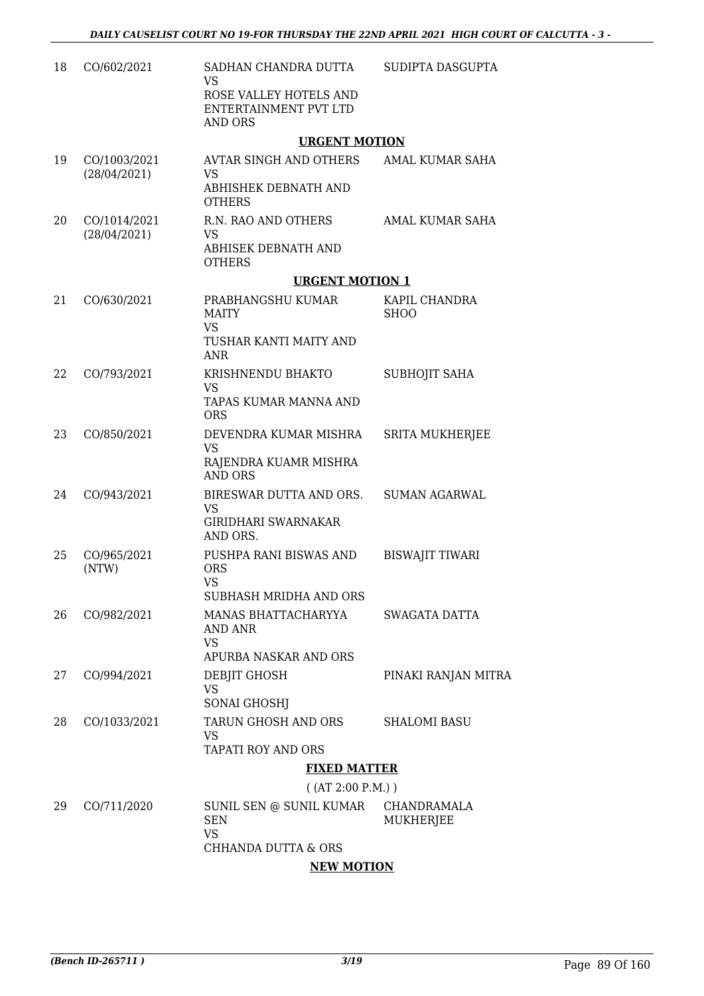| 18 | CO/602/2021                  | SADHAN CHANDRA DUTTA<br><b>VS</b><br>ROSE VALLEY HOTELS AND<br>ENTERTAINMENT PVT LTD<br>AND ORS | SUDIPTA DASGUPTA                |
|----|------------------------------|-------------------------------------------------------------------------------------------------|---------------------------------|
|    |                              | <b>URGENT MOTION</b>                                                                            |                                 |
| 19 | CO/1003/2021<br>(28/04/2021) | AVTAR SINGH AND OTHERS<br>VS                                                                    | AMAL KUMAR SAHA                 |
|    |                              | ABHISHEK DEBNATH AND<br><b>OTHERS</b>                                                           |                                 |
| 20 | CO/1014/2021<br>(28/04/2021) | R.N. RAO AND OTHERS<br><b>VS</b><br>ABHISEK DEBNATH AND<br><b>OTHERS</b>                        | AMAL KUMAR SAHA                 |
|    |                              | <b>URGENT MOTION 1</b>                                                                          |                                 |
| 21 | CO/630/2021                  | PRABHANGSHU KUMAR<br><b>MAITY</b><br><b>VS</b>                                                  | KAPIL CHANDRA<br><b>SHOO</b>    |
|    |                              | TUSHAR KANTI MAITY AND<br><b>ANR</b>                                                            |                                 |
| 22 | CO/793/2021                  | KRISHNENDU BHAKTO<br><b>VS</b>                                                                  | <b>SUBHOJIT SAHA</b>            |
|    |                              | TAPAS KUMAR MANNA AND<br><b>ORS</b>                                                             |                                 |
| 23 | CO/850/2021                  | DEVENDRA KUMAR MISHRA<br><b>VS</b>                                                              | <b>SRITA MUKHERJEE</b>          |
|    |                              | RAJENDRA KUAMR MISHRA<br><b>AND ORS</b>                                                         |                                 |
| 24 | CO/943/2021                  | BIRESWAR DUTTA AND ORS.<br>VS                                                                   | <b>SUMAN AGARWAL</b>            |
|    |                              | <b>GIRIDHARI SWARNAKAR</b><br>AND ORS.                                                          |                                 |
| 25 | CO/965/2021<br>(NTW)         | PUSHPA RANI BISWAS AND<br><b>ORS</b><br><b>VS</b>                                               | <b>BISWAJIT TIWARI</b>          |
|    |                              | SUBHASH MRIDHA AND ORS                                                                          |                                 |
| 26 | CO/982/2021                  | MANAS BHATTACHARYYA<br>AND ANR<br>VS                                                            | SWAGATA DATTA                   |
|    |                              | APURBA NASKAR AND ORS                                                                           |                                 |
| 27 | CO/994/2021                  | DEBJIT GHOSH<br>VS                                                                              | PINAKI RANJAN MITRA             |
|    |                              | <b>SONAI GHOSHJ</b>                                                                             |                                 |
| 28 | CO/1033/2021                 | TARUN GHOSH AND ORS<br>VS                                                                       | <b>SHALOMI BASU</b>             |
|    |                              | TAPATI ROY AND ORS                                                                              |                                 |
|    |                              | <b>FIXED MATTER</b>                                                                             |                                 |
|    |                              | ( (AT 2:00 P.M.) )                                                                              |                                 |
| 29 | CO/711/2020                  | SUNIL SEN @ SUNIL KUMAR<br><b>SEN</b><br><b>VS</b>                                              | CHANDRAMALA<br><b>MUKHERJEE</b> |
|    |                              | CHHANDA DUTTA & ORS                                                                             |                                 |
|    |                              | <b>NEW MOTION</b>                                                                               |                                 |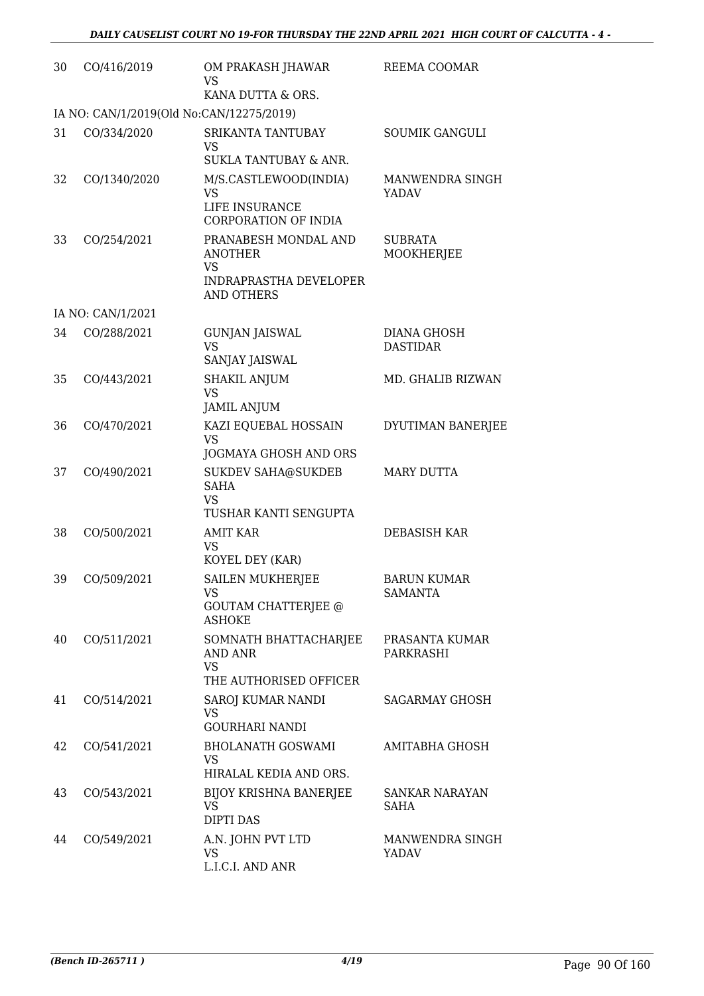| 30 | CO/416/2019                              | OM PRAKASH JHAWAR<br>VS<br>KANA DUTTA & ORS.                                         | REEMA COOMAR                         |
|----|------------------------------------------|--------------------------------------------------------------------------------------|--------------------------------------|
|    | IA NO: CAN/1/2019(Old No:CAN/12275/2019) |                                                                                      |                                      |
| 31 | CO/334/2020                              | SRIKANTA TANTUBAY<br>VS<br>SUKLA TANTUBAY & ANR.                                     | <b>SOUMIK GANGULI</b>                |
| 32 | CO/1340/2020                             | M/S.CASTLEWOOD(INDIA)<br>VS<br>LIFE INSURANCE<br><b>CORPORATION OF INDIA</b>         | MANWENDRA SINGH<br>YADAV             |
| 33 | CO/254/2021                              | PRANABESH MONDAL AND<br>ANOTHER<br>VS<br>INDRAPRASTHA DEVELOPER<br><b>AND OTHERS</b> | <b>SUBRATA</b><br>MOOKHERJEE         |
|    | IA NO: CAN/1/2021                        |                                                                                      |                                      |
| 34 | CO/288/2021                              | <b>GUNJAN JAISWAL</b><br><b>VS</b><br>SANJAY JAISWAL                                 | DIANA GHOSH<br><b>DASTIDAR</b>       |
| 35 | CO/443/2021                              | <b>SHAKIL ANJUM</b><br><b>VS</b><br><b>JAMIL ANJUM</b>                               | MD. GHALIB RIZWAN                    |
| 36 | CO/470/2021                              | KAZI EQUEBAL HOSSAIN<br><b>VS</b><br>JOGMAYA GHOSH AND ORS                           | DYUTIMAN BANERJEE                    |
| 37 | CO/490/2021                              | <b>SUKDEV SAHA@SUKDEB</b><br><b>SAHA</b><br><b>VS</b><br>TUSHAR KANTI SENGUPTA       | <b>MARY DUTTA</b>                    |
| 38 | CO/500/2021                              | <b>AMIT KAR</b><br>VS<br>KOYEL DEY (KAR)                                             | DEBASISH KAR                         |
| 39 | CO/509/2021                              | <b>SAILEN MUKHERJEE</b><br><b>VS</b><br><b>GOUTAM CHATTERJEE @</b><br><b>ASHOKE</b>  | <b>BARUN KUMAR</b><br><b>SAMANTA</b> |
| 40 | CO/511/2021                              | SOMNATH BHATTACHARJEE<br>AND ANR<br><b>VS</b><br>THE AUTHORISED OFFICER              | PRASANTA KUMAR<br>PARKRASHI          |
| 41 | CO/514/2021                              | SAROJ KUMAR NANDI<br>VS<br><b>GOURHARI NANDI</b>                                     | <b>SAGARMAY GHOSH</b>                |
| 42 | CO/541/2021                              | <b>BHOLANATH GOSWAMI</b><br>VS<br>HIRALAL KEDIA AND ORS.                             | AMITABHA GHOSH                       |
| 43 | CO/543/2021                              | <b>BIJOY KRISHNA BANERJEE</b><br>VS<br><b>DIPTI DAS</b>                              | SANKAR NARAYAN<br>SAHA               |
| 44 | CO/549/2021                              | A.N. JOHN PVT LTD<br>VS.<br>L.I.C.I. AND ANR                                         | MANWENDRA SINGH<br>YADAV             |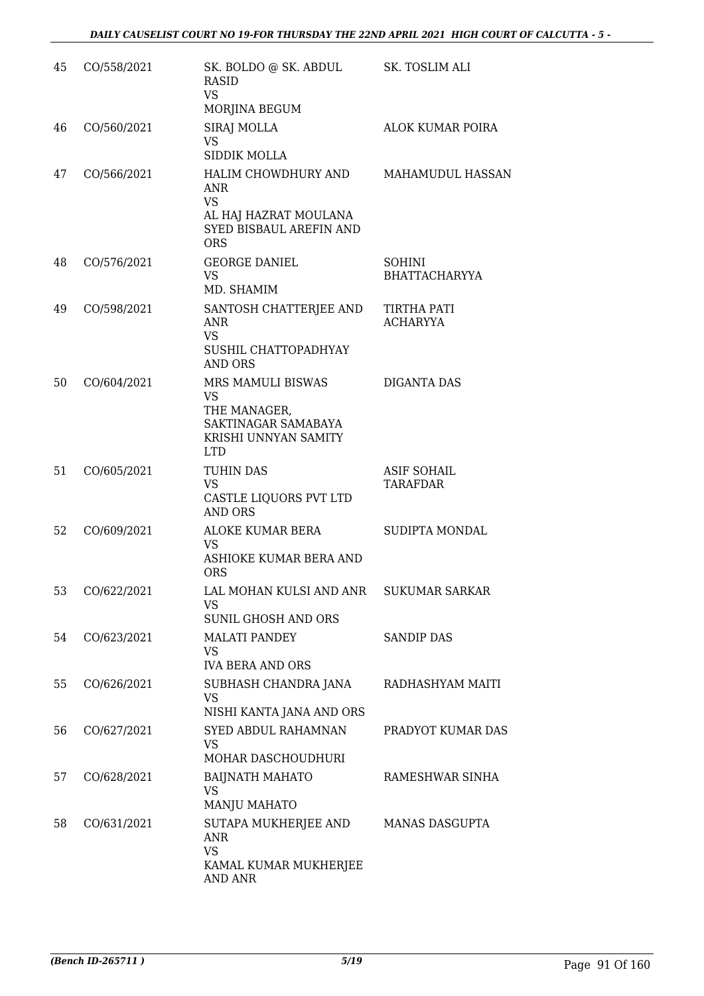| 45 | CO/558/2021 | SK. BOLDO @ SK. ABDUL<br><b>RASID</b><br><b>VS</b>                                                               | SK. TOSLIM ALI                        |
|----|-------------|------------------------------------------------------------------------------------------------------------------|---------------------------------------|
|    |             | MORJINA BEGUM                                                                                                    |                                       |
| 46 | CO/560/2021 | SIRAJ MOLLA<br><b>VS</b><br>SIDDIK MOLLA                                                                         | ALOK KUMAR POIRA                      |
| 47 | CO/566/2021 | HALIM CHOWDHURY AND<br><b>ANR</b><br><b>VS</b><br>AL HAJ HAZRAT MOULANA<br>SYED BISBAUL AREFIN AND<br><b>ORS</b> | MAHAMUDUL HASSAN                      |
| 48 | CO/576/2021 | <b>GEORGE DANIEL</b><br>VS.<br>MD. SHAMIM                                                                        | <b>SOHINI</b><br><b>BHATTACHARYYA</b> |
| 49 | CO/598/2021 | SANTOSH CHATTERJEE AND<br>ANR<br><b>VS</b><br>SUSHIL CHATTOPADHYAY<br><b>AND ORS</b>                             | TIRTHA PATI<br><b>ACHARYYA</b>        |
| 50 | CO/604/2021 | MRS MAMULI BISWAS<br>VS<br>THE MANAGER,<br>SAKTINAGAR SAMABAYA<br>KRISHI UNNYAN SAMITY<br><b>LTD</b>             | <b>DIGANTA DAS</b>                    |
| 51 | CO/605/2021 | TUHIN DAS<br><b>VS</b><br>CASTLE LIQUORS PVT LTD<br><b>AND ORS</b>                                               | <b>ASIF SOHAIL</b><br>TARAFDAR        |
| 52 | CO/609/2021 | ALOKE KUMAR BERA<br><b>VS</b><br>ASHIOKE KUMAR BERA AND<br><b>ORS</b>                                            | <b>SUDIPTA MONDAL</b>                 |
| 53 | CO/622/2021 | LAL MOHAN KULSI AND ANR<br>VS<br><b>SUNIL GHOSH AND ORS</b>                                                      | SUKUMAR SARKAR                        |
| 54 | CO/623/2021 | <b>MALATI PANDEY</b><br>VS.<br><b>IVA BERA AND ORS</b>                                                           | <b>SANDIP DAS</b>                     |
| 55 | CO/626/2021 | SUBHASH CHANDRA JANA<br>VS<br>NISHI KANTA JANA AND ORS                                                           | RADHASHYAM MAITI                      |
| 56 | CO/627/2021 | SYED ABDUL RAHAMNAN<br>VS<br>MOHAR DASCHOUDHURI                                                                  | PRADYOT KUMAR DAS                     |
| 57 | CO/628/2021 | <b>BAIJNATH MAHATO</b><br><b>VS</b><br>MANJU MAHATO                                                              | RAMESHWAR SINHA                       |
| 58 | CO/631/2021 | SUTAPA MUKHERJEE AND<br><b>ANR</b><br><b>VS</b><br>KAMAL KUMAR MUKHERJEE<br><b>AND ANR</b>                       | MANAS DASGUPTA                        |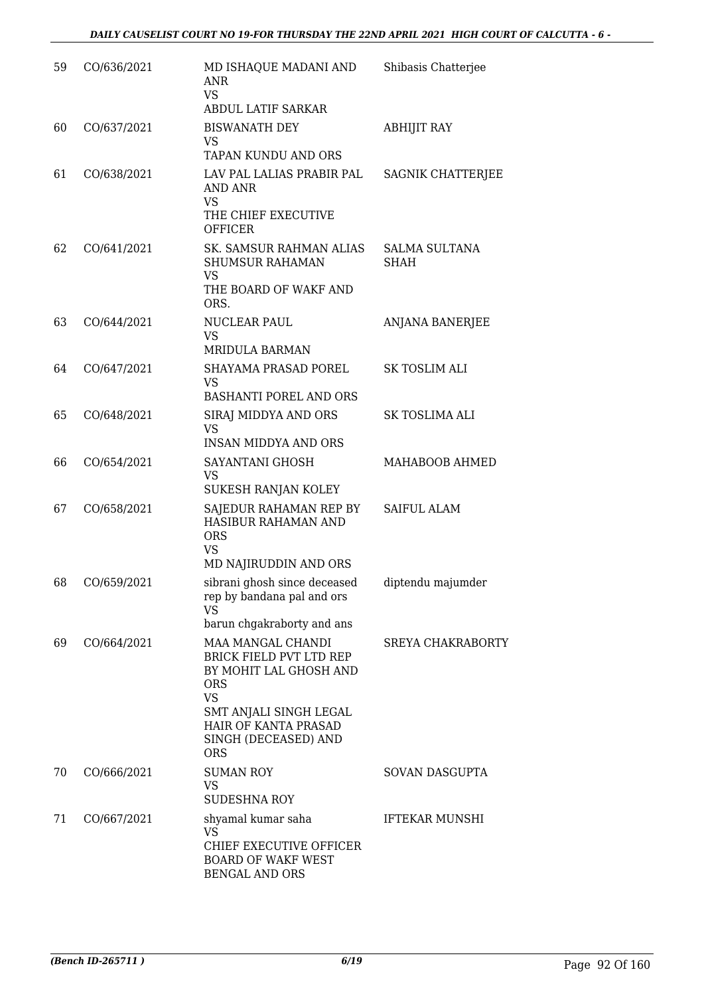| 59 | CO/636/2021 | MD ISHAQUE MADANI AND<br>ANR<br>VS<br><b>ABDUL LATIF SARKAR</b>                                                                                                                           | Shibasis Chatterjee                 |
|----|-------------|-------------------------------------------------------------------------------------------------------------------------------------------------------------------------------------------|-------------------------------------|
| 60 | CO/637/2021 | <b>BISWANATH DEY</b><br>VS<br>TAPAN KUNDU AND ORS                                                                                                                                         | <b>ABHIJIT RAY</b>                  |
| 61 | CO/638/2021 | LAV PAL LALIAS PRABIR PAL<br><b>AND ANR</b><br>VS<br>THE CHIEF EXECUTIVE<br><b>OFFICER</b>                                                                                                | SAGNIK CHATTERJEE                   |
| 62 | CO/641/2021 | SK. SAMSUR RAHMAN ALIAS<br><b>SHUMSUR RAHAMAN</b><br><b>VS</b><br>THE BOARD OF WAKF AND<br>ORS.                                                                                           | <b>SALMA SULTANA</b><br><b>SHAH</b> |
| 63 | CO/644/2021 | NUCLEAR PAUL<br>VS<br><b>MRIDULA BARMAN</b>                                                                                                                                               | <b>ANJANA BANERJEE</b>              |
| 64 | CO/647/2021 | SHAYAMA PRASAD POREL<br>VS<br>BASHANTI POREL AND ORS                                                                                                                                      | SK TOSLIM ALI                       |
| 65 | CO/648/2021 | SIRAJ MIDDYA AND ORS<br><b>VS</b><br><b>INSAN MIDDYA AND ORS</b>                                                                                                                          | SK TOSLIMA ALI                      |
| 66 | CO/654/2021 | SAYANTANI GHOSH<br><b>VS</b><br>SUKESH RANJAN KOLEY                                                                                                                                       | MAHABOOB AHMED                      |
| 67 | CO/658/2021 | SAJEDUR RAHAMAN REP BY<br>HASIBUR RAHAMAN AND<br><b>ORS</b><br><b>VS</b><br>MD NAJIRUDDIN AND ORS                                                                                         | <b>SAIFUL ALAM</b>                  |
| 68 | CO/659/2021 | sibrani ghosh since deceased<br>rep by bandana pal and ors<br>VS<br>barun chgakraborty and ans                                                                                            | diptendu majumder                   |
| 69 | CO/664/2021 | MAA MANGAL CHANDI<br>BRICK FIELD PVT LTD REP<br>BY MOHIT LAL GHOSH AND<br>ORS<br><b>VS</b><br>SMT ANJALI SINGH LEGAL<br><b>HAIR OF KANTA PRASAD</b><br>SINGH (DECEASED) AND<br><b>ORS</b> | <b>SREYA CHAKRABORTY</b>            |
| 70 | CO/666/2021 | <b>SUMAN ROY</b><br>VS<br><b>SUDESHNA ROY</b>                                                                                                                                             | SOVAN DASGUPTA                      |
| 71 | CO/667/2021 | shyamal kumar saha<br>VS<br>CHIEF EXECUTIVE OFFICER<br><b>BOARD OF WAKF WEST</b><br><b>BENGAL AND ORS</b>                                                                                 | <b>IFTEKAR MUNSHI</b>               |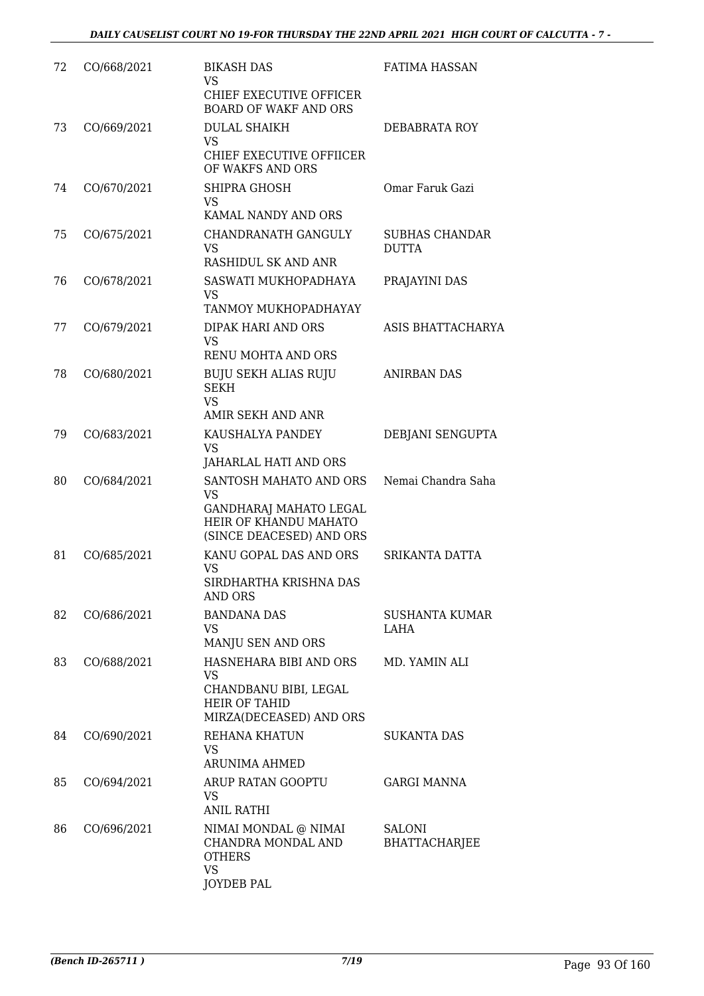| 72 | CO/668/2021 | <b>BIKASH DAS</b>                                                                                                         | <b>FATIMA HASSAN</b>           |
|----|-------------|---------------------------------------------------------------------------------------------------------------------------|--------------------------------|
|    |             | <b>VS</b><br>CHIEF EXECUTIVE OFFICER<br><b>BOARD OF WAKF AND ORS</b>                                                      |                                |
| 73 | CO/669/2021 | <b>DULAL SHAIKH</b><br>VS                                                                                                 | DEBABRATA ROY                  |
|    |             | CHIEF EXECUTIVE OFFIICER<br>OF WAKFS AND ORS                                                                              |                                |
| 74 | CO/670/2021 | SHIPRA GHOSH<br><b>VS</b><br>KAMAL NANDY AND ORS                                                                          | Omar Faruk Gazi                |
| 75 | CO/675/2021 | CHANDRANATH GANGULY                                                                                                       | SUBHAS CHANDAR                 |
|    |             | VS<br>RASHIDUL SK AND ANR                                                                                                 | <b>DUTTA</b>                   |
| 76 | CO/678/2021 | SASWATI MUKHOPADHAYA<br><b>VS</b>                                                                                         | PRAJAYINI DAS                  |
|    |             | TANMOY MUKHOPADHAYAY                                                                                                      |                                |
| 77 | CO/679/2021 | DIPAK HARI AND ORS<br><b>VS</b><br>RENU MOHTA AND ORS                                                                     | ASIS BHATTACHARYA              |
| 78 | CO/680/2021 | <b>BUJU SEKH ALIAS RUJU</b><br><b>SEKH</b><br><b>VS</b>                                                                   | <b>ANIRBAN DAS</b>             |
|    |             | AMIR SEKH AND ANR                                                                                                         |                                |
| 79 | CO/683/2021 | KAUSHALYA PANDEY<br>VS<br>JAHARLAL HATI AND ORS                                                                           | DEBJANI SENGUPTA               |
| 80 | CO/684/2021 | SANTOSH MAHATO AND ORS<br><b>VS</b><br><b>GANDHARAJ MAHATO LEGAL</b><br>HEIR OF KHANDU MAHATO<br>(SINCE DEACESED) AND ORS | Nemai Chandra Saha             |
| 81 | CO/685/2021 | KANU GOPAL DAS AND ORS<br>VS<br>SIRDHARTHA KRISHNA DAS<br><b>AND ORS</b>                                                  | SRIKANTA DATTA                 |
| 82 | CO/686/2021 | <b>BANDANA DAS</b><br>VS                                                                                                  | SUSHANTA KUMAR<br>LAHA         |
|    |             | MANJU SEN AND ORS                                                                                                         |                                |
| 83 | CO/688/2021 | HASNEHARA BIBI AND ORS<br>VS<br>CHANDBANU BIBI, LEGAL<br><b>HEIR OF TAHID</b><br>MIRZA(DECEASED) AND ORS                  | MD. YAMIN ALI                  |
| 84 | CO/690/2021 | REHANA KHATUN<br>VS<br><b>ARUNIMA AHMED</b>                                                                               | <b>SUKANTA DAS</b>             |
| 85 | CO/694/2021 | ARUP RATAN GOOPTU<br>VS<br><b>ANIL RATHI</b>                                                                              | <b>GARGI MANNA</b>             |
| 86 | CO/696/2021 | NIMAI MONDAL @ NIMAI<br>CHANDRA MONDAL AND<br><b>OTHERS</b><br><b>VS</b><br><b>JOYDEB PAL</b>                             | SALONI<br><b>BHATTACHARJEE</b> |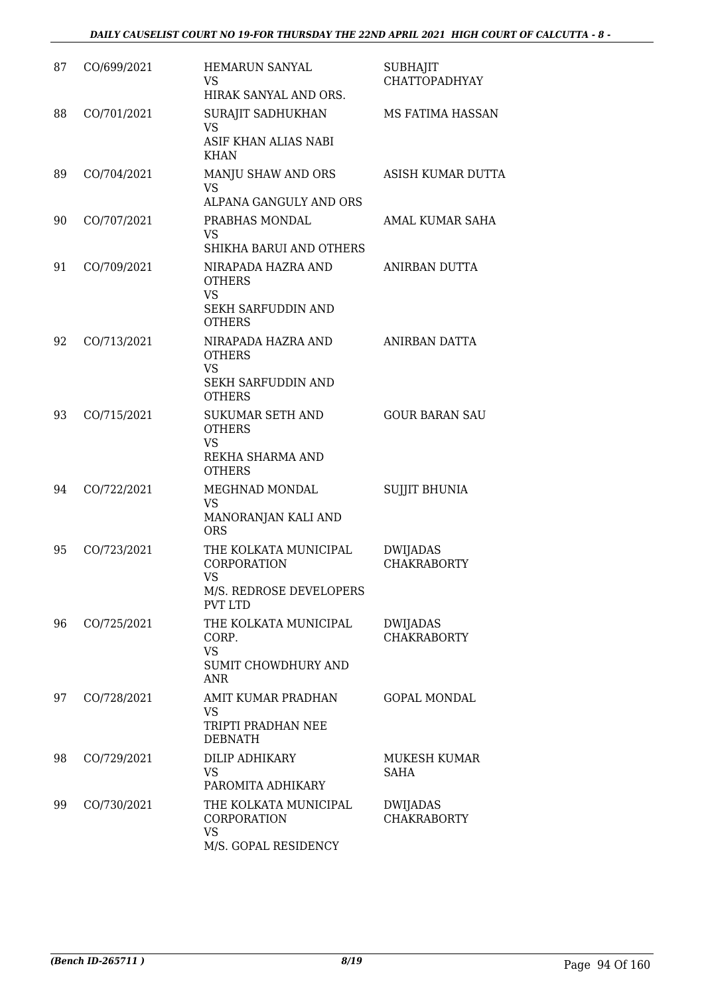| 87 | CO/699/2021 | <b>HEMARUN SANYAL</b><br>VS.<br>HIRAK SANYAL AND ORS.                                                              | <b>SUBHAJIT</b><br><b>CHATTOPADHYAY</b> |
|----|-------------|--------------------------------------------------------------------------------------------------------------------|-----------------------------------------|
| 88 | CO/701/2021 | SURAJIT SADHUKHAN<br>VS<br>ASIF KHAN ALIAS NABI<br><b>KHAN</b>                                                     | MS FATIMA HASSAN                        |
| 89 | CO/704/2021 | MANJU SHAW AND ORS<br><b>VS</b><br>ALPANA GANGULY AND ORS                                                          | ASISH KUMAR DUTTA                       |
| 90 | CO/707/2021 | PRABHAS MONDAL<br>VS                                                                                               | AMAL KUMAR SAHA                         |
| 91 | CO/709/2021 | SHIKHA BARUI AND OTHERS<br>NIRAPADA HAZRA AND<br><b>OTHERS</b><br><b>VS</b><br>SEKH SARFUDDIN AND<br><b>OTHERS</b> | ANIRBAN DUTTA                           |
| 92 | CO/713/2021 | NIRAPADA HAZRA AND<br><b>OTHERS</b><br><b>VS</b><br><b>SEKH SARFUDDIN AND</b>                                      | ANIRBAN DATTA                           |
| 93 | CO/715/2021 | <b>OTHERS</b><br><b>SUKUMAR SETH AND</b><br><b>OTHERS</b><br><b>VS</b><br>REKHA SHARMA AND<br><b>OTHERS</b>        | <b>GOUR BARAN SAU</b>                   |
| 94 | CO/722/2021 | MEGHNAD MONDAL<br><b>VS</b><br>MANORANJAN KALI AND<br><b>ORS</b>                                                   | <b>SUJJIT BHUNIA</b>                    |
| 95 | CO/723/2021 | THE KOLKATA MUNICIPAL<br><b>CORPORATION</b><br><b>VS</b><br>M/S. REDROSE DEVELOPERS<br><b>PVT LTD</b>              | <b>DWIJADAS</b><br><b>CHAKRABORTY</b>   |
| 96 | CO/725/2021 | THE KOLKATA MUNICIPAL<br>CORP.<br><b>VS</b><br>SUMIT CHOWDHURY AND<br>ANR                                          | DWIJADAS<br><b>CHAKRABORTY</b>          |
| 97 | CO/728/2021 | AMIT KUMAR PRADHAN<br>VS<br>TRIPTI PRADHAN NEE<br><b>DEBNATH</b>                                                   | <b>GOPAL MONDAL</b>                     |
| 98 | CO/729/2021 | DILIP ADHIKARY<br><b>VS</b><br>PAROMITA ADHIKARY                                                                   | MUKESH KUMAR<br>SAHA                    |
| 99 | CO/730/2021 | THE KOLKATA MUNICIPAL<br>CORPORATION<br><b>VS</b><br>M/S. GOPAL RESIDENCY                                          | DWIJADAS<br><b>CHAKRABORTY</b>          |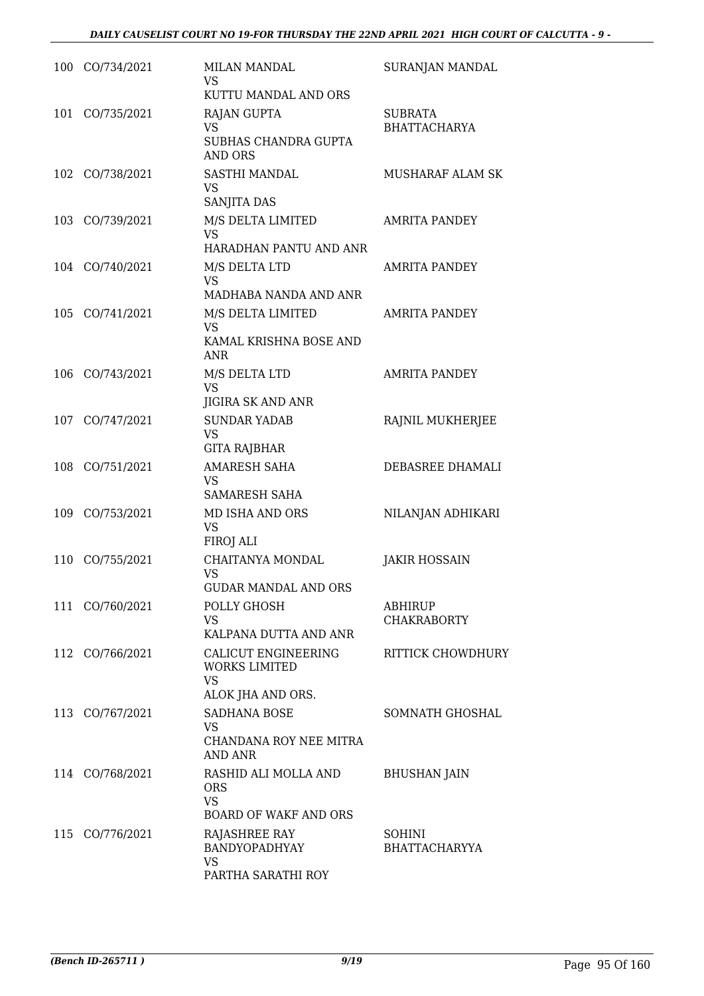|     | 100 CO/734/2021 | <b>MILAN MANDAL</b><br>VS<br>KUTTU MANDAL AND ORS                               | SURANJAN MANDAL                       |
|-----|-----------------|---------------------------------------------------------------------------------|---------------------------------------|
|     | 101 CO/735/2021 | <b>RAJAN GUPTA</b><br>VS.<br>SUBHAS CHANDRA GUPTA<br>AND ORS                    | SUBRATA<br><b>BHATTACHARYA</b>        |
|     | 102 CO/738/2021 | SASTHI MANDAL<br>VS<br>SANJITA DAS                                              | MUSHARAF ALAM SK                      |
|     | 103 CO/739/2021 | M/S DELTA LIMITED<br><b>VS</b><br>HARADHAN PANTU AND ANR                        | <b>AMRITA PANDEY</b>                  |
|     | 104 CO/740/2021 | M/S DELTA LTD<br><b>VS</b><br>MADHABA NANDA AND ANR                             | <b>AMRITA PANDEY</b>                  |
|     | 105 CO/741/2021 | M/S DELTA LIMITED<br><b>VS</b><br>KAMAL KRISHNA BOSE AND<br>ANR                 | <b>AMRITA PANDEY</b>                  |
| 106 | CO/743/2021     | M/S DELTA LTD<br><b>VS</b><br><b>JIGIRA SK AND ANR</b>                          | <b>AMRITA PANDEY</b>                  |
|     | 107 CO/747/2021 | <b>SUNDAR YADAB</b><br><b>VS</b><br>GITA RAJBHAR                                | RAJNIL MUKHERJEE                      |
|     | 108 CO/751/2021 | <b>AMARESH SAHA</b><br><b>VS</b><br>SAMARESH SAHA                               | DEBASREE DHAMALI                      |
| 109 | CO/753/2021     | MD ISHA AND ORS<br><b>VS</b><br>FIROJ ALI                                       | NILANJAN ADHIKARI                     |
| 110 | CO/755/2021     | CHAITANYA MONDAL<br>VS<br><b>GUDAR MANDAL AND ORS</b>                           | <b>JAKIR HOSSAIN</b>                  |
|     | 111 CO/760/2021 | POLLY GHOSH<br><b>VS</b><br>KALPANA DUTTA AND ANR                               | ABHIRUP<br><b>CHAKRABORTY</b>         |
|     | 112 CO/766/2021 | CALICUT ENGINEERING<br><b>WORKS LIMITED</b><br><b>VS</b><br>ALOK JHA AND ORS.   | RITTICK CHOWDHURY                     |
|     | 113 CO/767/2021 | SADHANA BOSE<br>VS<br>CHANDANA ROY NEE MITRA<br>AND ANR                         | SOMNATH GHOSHAL                       |
|     | 114 CO/768/2021 | RASHID ALI MOLLA AND<br><b>ORS</b><br><b>VS</b><br><b>BOARD OF WAKF AND ORS</b> | <b>BHUSHAN JAIN</b>                   |
|     | 115 CO/776/2021 | <b>RAJASHREE RAY</b><br>BANDYOPADHYAY<br>VS<br>PARTHA SARATHI ROY               | <b>SOHINI</b><br><b>BHATTACHARYYA</b> |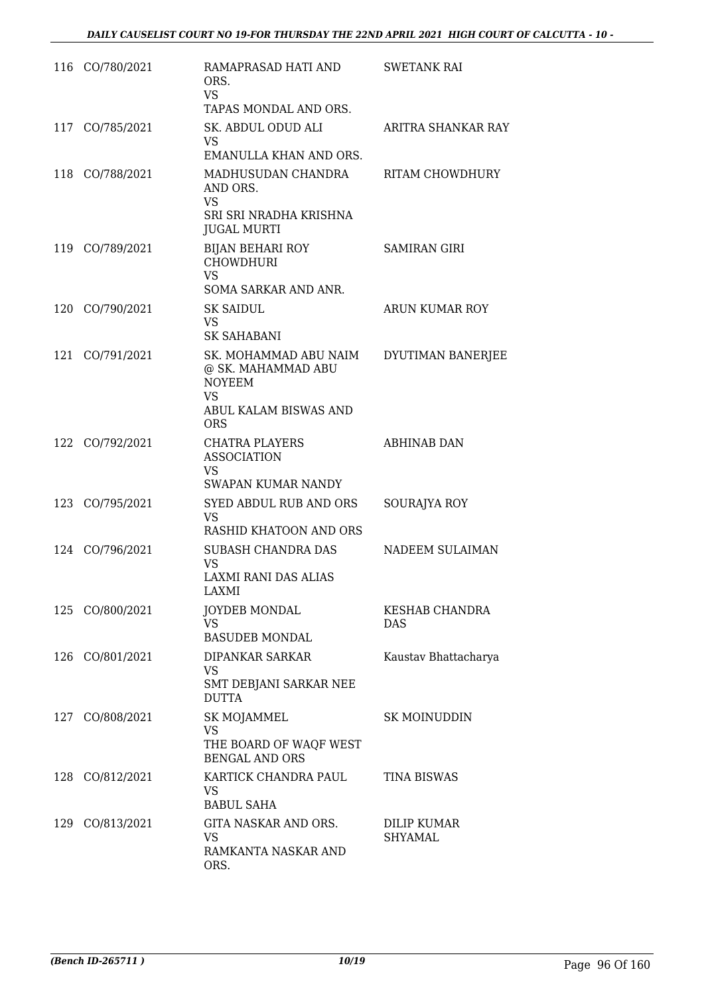|     | 116 CO/780/2021 | RAMAPRASAD HATI AND<br>ORS.<br><b>VS</b><br>TAPAS MONDAL AND ORS.                                                | <b>SWETANK RAI</b>                  |
|-----|-----------------|------------------------------------------------------------------------------------------------------------------|-------------------------------------|
|     | 117 CO/785/2021 | SK. ABDUL ODUD ALI<br>VS.<br>EMANULLA KHAN AND ORS.                                                              | ARITRA SHANKAR RAY                  |
| 118 | CO/788/2021     | MADHUSUDAN CHANDRA<br>AND ORS.<br><b>VS</b><br>SRI SRI NRADHA KRISHNA<br><b>JUGAL MURTI</b>                      | <b>RITAM CHOWDHURY</b>              |
|     | 119 CO/789/2021 | <b>BIJAN BEHARI ROY</b><br><b>CHOWDHURI</b><br><b>VS</b><br><b>SOMA SARKAR AND ANR.</b>                          | <b>SAMIRAN GIRI</b>                 |
| 120 | CO/790/2021     | <b>SK SAIDUL</b><br><b>VS</b><br><b>SK SAHABANI</b>                                                              | ARUN KUMAR ROY                      |
|     | 121 CO/791/2021 | SK. MOHAMMAD ABU NAIM<br>@ SK. MAHAMMAD ABU<br><b>NOYEEM</b><br><b>VS</b><br>ABUL KALAM BISWAS AND<br><b>ORS</b> | DYUTIMAN BANERJEE                   |
| 122 | CO/792/2021     | <b>CHATRA PLAYERS</b><br><b>ASSOCIATION</b><br><b>VS</b><br><b>SWAPAN KUMAR NANDY</b>                            | <b>ABHINAB DAN</b>                  |
|     | 123 CO/795/2021 | <b>SYED ABDUL RUB AND ORS</b><br><b>VS</b><br>RASHID KHATOON AND ORS                                             | SOURAJYA ROY                        |
|     | 124 CO/796/2021 | <b>SUBASH CHANDRA DAS</b><br>VS<br>LAXMI RANI DAS ALIAS<br>LAXMI                                                 | NADEEM SULAIMAN                     |
|     | 125 CO/800/2021 | <b>JOYDEB MONDAL</b><br><b>VS</b><br><b>BASUDEB MONDAL</b>                                                       | <b>KESHAB CHANDRA</b><br><b>DAS</b> |
|     | 126 CO/801/2021 | DIPANKAR SARKAR<br>VS.<br>SMT DEBJANI SARKAR NEE<br><b>DUTTA</b>                                                 | Kaustav Bhattacharya                |
|     | 127 CO/808/2021 | <b>SK MOJAMMEL</b><br>VS<br>THE BOARD OF WAQF WEST<br><b>BENGAL AND ORS</b>                                      | <b>SK MOINUDDIN</b>                 |
|     | 128 CO/812/2021 | KARTICK CHANDRA PAUL<br><b>VS</b><br><b>BABUL SAHA</b>                                                           | <b>TINA BISWAS</b>                  |
|     | 129 CO/813/2021 | GITA NASKAR AND ORS.<br><b>VS</b><br>RAMKANTA NASKAR AND<br>ORS.                                                 | DILIP KUMAR<br>SHYAMAL              |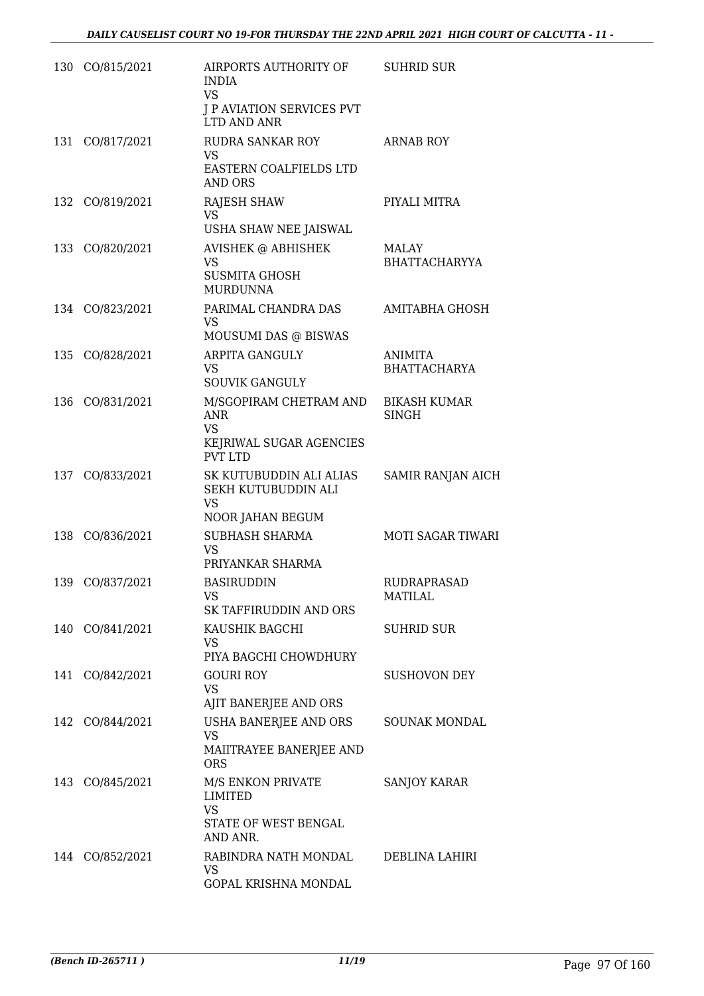| 130 | CO/815/2021     | AIRPORTS AUTHORITY OF<br><b>INDIA</b><br><b>VS</b><br><b>J P AVIATION SERVICES PVT</b><br>LTD AND ANR | <b>SUHRID SUR</b>                    |
|-----|-----------------|-------------------------------------------------------------------------------------------------------|--------------------------------------|
| 131 | CO/817/2021     | RUDRA SANKAR ROY<br>VS.<br>EASTERN COALFIELDS LTD<br><b>AND ORS</b>                                   | <b>ARNAB ROY</b>                     |
| 132 | CO/819/2021     | <b>RAJESH SHAW</b><br>VS<br>USHA SHAW NEE JAISWAL                                                     | PIYALI MITRA                         |
| 133 | CO/820/2021     | <b>AVISHEK @ ABHISHEK</b><br><b>VS</b><br><b>SUSMITA GHOSH</b><br><b>MURDUNNA</b>                     | MALAY<br>BHATTACHARYYA               |
|     | 134 CO/823/2021 | PARIMAL CHANDRA DAS<br>VS<br>MOUSUMI DAS @ BISWAS                                                     | <b>AMITABHA GHOSH</b>                |
|     | 135 CO/828/2021 | <b>ARPITA GANGULY</b><br><b>VS</b><br><b>SOUVIK GANGULY</b>                                           | ANIMITA<br><b>BHATTACHARYA</b>       |
| 136 | CO/831/2021     | M/SGOPIRAM CHETRAM AND<br><b>ANR</b><br><b>VS</b><br>KEJRIWAL SUGAR AGENCIES<br><b>PVT LTD</b>        | <b>BIKASH KUMAR</b><br><b>SINGH</b>  |
| 137 | CO/833/2021     | SK KUTUBUDDIN ALI ALIAS<br>SEKH KUTUBUDDIN ALI<br><b>VS</b><br>NOOR JAHAN BEGUM                       | <b>SAMIR RANJAN AICH</b>             |
| 138 | CO/836/2021     | <b>SUBHASH SHARMA</b><br>VS<br>PRIYANKAR SHARMA                                                       | <b>MOTI SAGAR TIWARI</b>             |
| 139 | CO/837/2021     | <b>BASIRUDDIN</b><br>VS<br>SK TAFFIRUDDIN AND ORS                                                     | <b>RUDRAPRASAD</b><br><b>MATILAL</b> |
|     | 140 CO/841/2021 | KAUSHIK BAGCHI<br>VS<br>PIYA BAGCHI CHOWDHURY                                                         | <b>SUHRID SUR</b>                    |
|     | 141 CO/842/2021 | <b>GOURI ROY</b><br>VS<br>AJIT BANERJEE AND ORS                                                       | <b>SUSHOVON DEY</b>                  |
|     | 142 CO/844/2021 | USHA BANERJEE AND ORS<br>VS<br>MAIITRAYEE BANERJEE AND<br><b>ORS</b>                                  | SOUNAK MONDAL                        |
|     | 143 CO/845/2021 | M/S ENKON PRIVATE<br>LIMITED<br>VS<br>STATE OF WEST BENGAL<br>AND ANR.                                | <b>SANJOY KARAR</b>                  |
|     | 144 CO/852/2021 | RABINDRA NATH MONDAL<br>VS<br>GOPAL KRISHNA MONDAL                                                    | DEBLINA LAHIRI                       |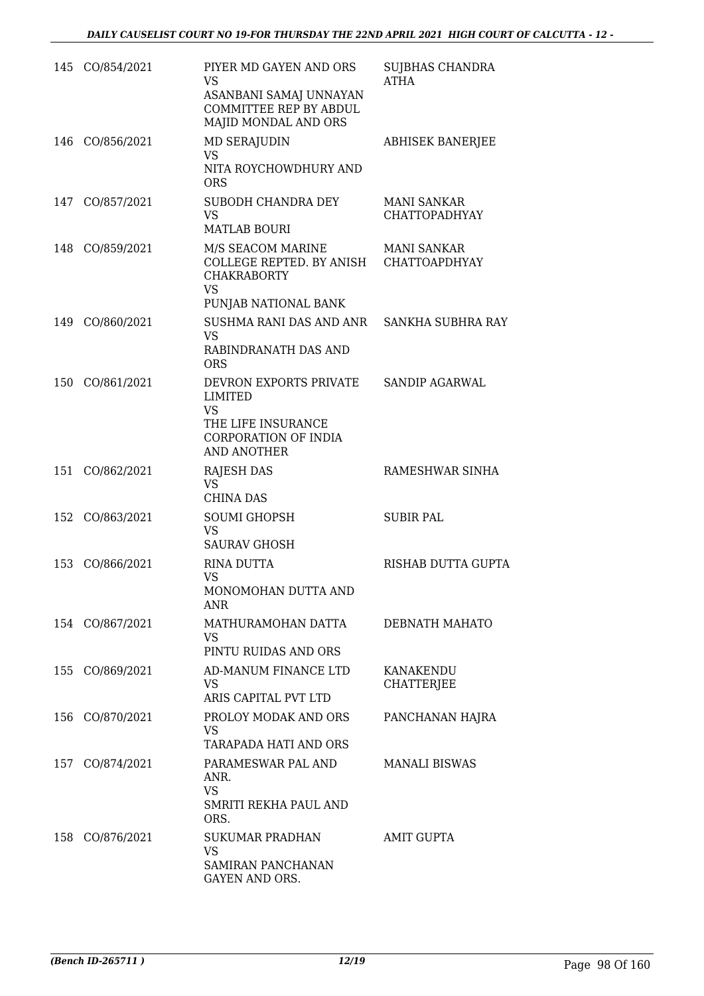|     | 145 CO/854/2021 | PIYER MD GAYEN AND ORS<br><b>VS</b><br>ASANBANI SAMAJ UNNAYAN<br>COMMITTEE REP BY ABDUL<br>MAJID MONDAL AND ORS        | <b>SUJBHAS CHANDRA</b><br><b>ATHA</b> |
|-----|-----------------|------------------------------------------------------------------------------------------------------------------------|---------------------------------------|
|     | 146 CO/856/2021 | <b>MD SERAJUDIN</b><br><b>VS</b><br>NITA ROYCHOWDHURY AND<br><b>ORS</b>                                                | <b>ABHISEK BANERJEE</b>               |
| 147 | CO/857/2021     | SUBODH CHANDRA DEY<br><b>VS</b><br><b>MATLAB BOURI</b>                                                                 | MANI SANKAR<br><b>CHATTOPADHYAY</b>   |
|     | 148 CO/859/2021 | M/S SEACOM MARINE<br>COLLEGE REPTED. BY ANISH CHATTOAPDHYAY<br><b>CHAKRABORTY</b><br><b>VS</b><br>PUNJAB NATIONAL BANK | <b>MANI SANKAR</b>                    |
|     | 149 CO/860/2021 | SUSHMA RANI DAS AND ANR SANKHA SUBHRA RAY<br><b>VS</b><br>RABINDRANATH DAS AND<br><b>ORS</b>                           |                                       |
| 150 | CO/861/2021     | DEVRON EXPORTS PRIVATE<br>LIMITED<br><b>VS</b><br>THE LIFE INSURANCE<br>CORPORATION OF INDIA<br><b>AND ANOTHER</b>     | SANDIP AGARWAL                        |
| 151 | CO/862/2021     | <b>RAJESH DAS</b><br><b>VS</b><br><b>CHINA DAS</b>                                                                     | RAMESHWAR SINHA                       |
|     | 152 CO/863/2021 | <b>SOUMI GHOPSH</b><br><b>VS</b><br><b>SAURAV GHOSH</b>                                                                | <b>SUBIR PAL</b>                      |
| 153 | CO/866/2021     | <b>RINA DUTTA</b><br>VS<br>MONOMOHAN DUTTA AND<br>ANR                                                                  | <b>RISHAB DUTTA GUPTA</b>             |
|     | 154 CO/867/2021 | MATHURAMOHAN DATTA<br><b>VS</b><br>PINTU RUIDAS AND ORS                                                                | DEBNATH MAHATO                        |
|     | 155 CO/869/2021 | AD-MANUM FINANCE LTD<br>VS<br>ARIS CAPITAL PVT LTD                                                                     | KANAKENDU<br><b>CHATTERJEE</b>        |
|     | 156 CO/870/2021 | PROLOY MODAK AND ORS<br>VS<br>TARAPADA HATI AND ORS                                                                    | PANCHANAN HAJRA                       |
| 157 | CO/874/2021     | PARAMESWAR PAL AND<br>ANR.<br><b>VS</b><br>SMRITI REKHA PAUL AND<br>ORS.                                               | <b>MANALI BISWAS</b>                  |
|     | 158 CO/876/2021 | <b>SUKUMAR PRADHAN</b><br><b>VS</b><br>SAMIRAN PANCHANAN<br>GAYEN AND ORS.                                             | AMIT GUPTA                            |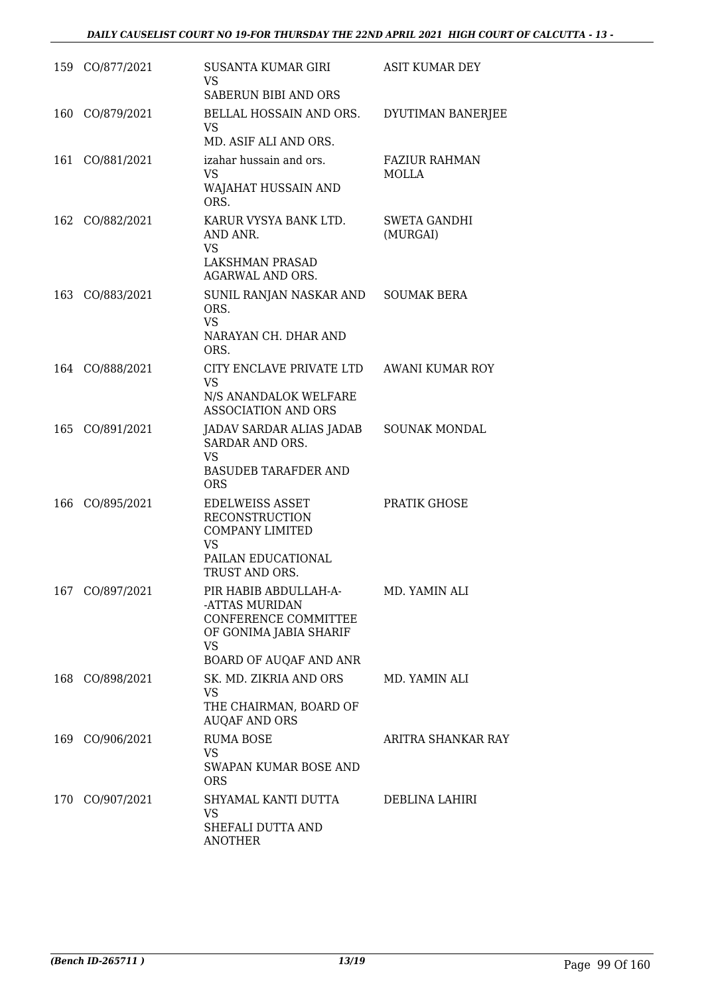|     | 159 CO/877/2021 | SUSANTA KUMAR GIRI<br><b>VS</b><br>SABERUN BIBI AND ORS                                                                   | ASIT KUMAR DEY                  |
|-----|-----------------|---------------------------------------------------------------------------------------------------------------------------|---------------------------------|
| 160 | CO/879/2021     | BELLAL HOSSAIN AND ORS.<br><b>VS</b><br>MD. ASIF ALI AND ORS.                                                             | DYUTIMAN BANERJEE               |
|     | 161 CO/881/2021 | izahar hussain and ors.<br><b>VS</b><br>WAJAHAT HUSSAIN AND<br>ORS.                                                       | <b>FAZIUR RAHMAN</b><br>MOLLA   |
|     | 162 CO/882/2021 | KARUR VYSYA BANK LTD.<br>AND ANR.<br><b>VS</b><br>LAKSHMAN PRASAD<br>AGARWAL AND ORS.                                     | <b>SWETA GANDHI</b><br>(MURGAI) |
|     | 163 CO/883/2021 | SUNIL RANJAN NASKAR AND<br>ORS.<br><b>VS</b><br>NARAYAN CH. DHAR AND<br>ORS.                                              | <b>SOUMAK BERA</b>              |
|     | 164 CO/888/2021 | CITY ENCLAVE PRIVATE LTD<br><b>VS</b><br>N/S ANANDALOK WELFARE<br><b>ASSOCIATION AND ORS</b>                              | AWANI KUMAR ROY                 |
| 165 | CO/891/2021     | JADAV SARDAR ALIAS JADAB<br>SARDAR AND ORS.<br><b>VS</b><br><b>BASUDEB TARAFDER AND</b><br><b>ORS</b>                     | <b>SOUNAK MONDAL</b>            |
| 166 | CO/895/2021     | <b>EDELWEISS ASSET</b><br><b>RECONSTRUCTION</b><br><b>COMPANY LIMITED</b><br>VS<br>PAILAN EDUCATIONAL<br>TRUST AND ORS.   | PRATIK GHOSE                    |
|     | 167 CO/897/2021 | PIR HABIB ABDULLAH-A-<br>-ATTAS MURIDAN<br>CONFERENCE COMMITTEE<br>OF GONIMA JABIA SHARIF<br>VS<br>BOARD OF AUQAF AND ANR | MD. YAMIN ALI                   |
|     | 168 CO/898/2021 | SK. MD. ZIKRIA AND ORS<br><b>VS</b><br>THE CHAIRMAN, BOARD OF<br><b>AUQAF AND ORS</b>                                     | MD. YAMIN ALI                   |
|     | 169 CO/906/2021 | RUMA BOSE<br>VS.<br>SWAPAN KUMAR BOSE AND<br><b>ORS</b>                                                                   | ARITRA SHANKAR RAY              |
|     | 170 CO/907/2021 | SHYAMAL KANTI DUTTA<br>VS<br>SHEFALI DUTTA AND<br>ANOTHER                                                                 | DEBLINA LAHIRI                  |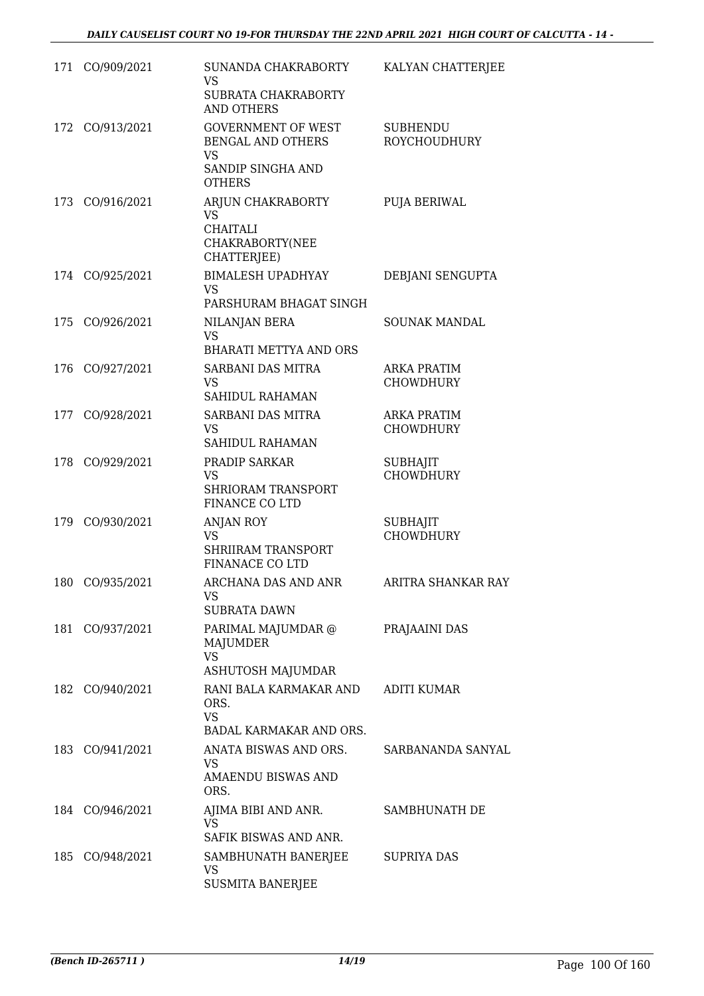| 171 | CO/909/2021     | SUNANDA CHAKRABORTY<br>VS<br>SUBRATA CHAKRABORTY<br><b>AND OTHERS</b>                             | KALYAN CHATTERJEE                      |
|-----|-----------------|---------------------------------------------------------------------------------------------------|----------------------------------------|
|     | 172 CO/913/2021 | <b>GOVERNMENT OF WEST</b><br>BENGAL AND OTHERS<br><b>VS</b><br>SANDIP SINGHA AND<br><b>OTHERS</b> | <b>SUBHENDU</b><br><b>ROYCHOUDHURY</b> |
| 173 | CO/916/2021     | ARJUN CHAKRABORTY<br><b>VS</b><br><b>CHAITALI</b><br>CHAKRABORTY(NEE<br>CHATTERJEE)               | PUJA BERIWAL                           |
| 174 | CO/925/2021     | <b>BIMALESH UPADHYAY</b><br><b>VS</b><br>PARSHURAM BHAGAT SINGH                                   | DEBJANI SENGUPTA                       |
| 175 | CO/926/2021     | NILANJAN BERA<br><b>VS</b><br><b>BHARATI METTYA AND ORS</b>                                       | <b>SOUNAK MANDAL</b>                   |
| 176 | CO/927/2021     | SARBANI DAS MITRA<br><b>VS</b><br><b>SAHIDUL RAHAMAN</b>                                          | <b>ARKA PRATIM</b><br><b>CHOWDHURY</b> |
| 177 | CO/928/2021     | SARBANI DAS MITRA<br><b>VS</b><br>SAHIDUL RAHAMAN                                                 | <b>ARKA PRATIM</b><br><b>CHOWDHURY</b> |
|     | 178 CO/929/2021 | PRADIP SARKAR<br>VS<br>SHRIORAM TRANSPORT<br>FINANCE CO LTD                                       | <b>SUBHAJIT</b><br><b>CHOWDHURY</b>    |
| 179 | CO/930/2021     | ANJAN ROY<br>VS<br><b>SHRIIRAM TRANSPORT</b><br><b>FINANACE CO LTD</b>                            | <b>SUBHAJIT</b><br><b>CHOWDHURY</b>    |
| 180 | CO/935/2021     | ARCHANA DAS AND ANR<br>VS<br>SUBRATA DAWN                                                         | ARITRA SHANKAR RAY                     |
|     | 181 CO/937/2021 | PARIMAL MAJUMDAR @<br><b>MAJUMDER</b><br><b>VS</b><br>ASHUTOSH MAJUMDAR                           | PRAJAAINI DAS                          |
|     | 182 CO/940/2021 | RANI BALA KARMAKAR AND<br>ORS.<br><b>VS</b><br>BADAL KARMAKAR AND ORS.                            | <b>ADITI KUMAR</b>                     |
|     | 183 CO/941/2021 | ANATA BISWAS AND ORS.<br>VS.<br><b>AMAENDU BISWAS AND</b><br>ORS.                                 | SARBANANDA SANYAL                      |
|     | 184 CO/946/2021 | AJIMA BIBI AND ANR.<br>VS<br>SAFIK BISWAS AND ANR.                                                | SAMBHUNATH DE                          |
|     | 185 CO/948/2021 | SAMBHUNATH BANERJEE<br>VS.<br><b>SUSMITA BANERJEE</b>                                             | SUPRIYA DAS                            |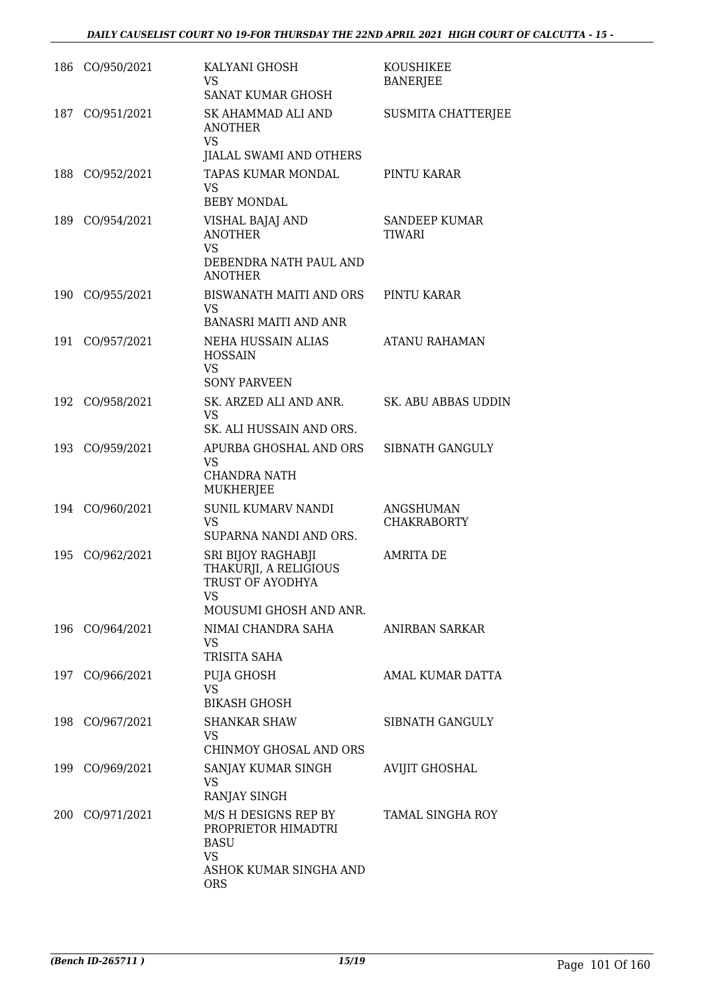|     | 186 CO/950/2021 | KALYANI GHOSH<br>VS.<br><b>SANAT KUMAR GHOSH</b>                                                         | KOUSHIKEE<br><b>BANERJEE</b>    |
|-----|-----------------|----------------------------------------------------------------------------------------------------------|---------------------------------|
| 187 | CO/951/2021     | SK AHAMMAD ALI AND<br><b>ANOTHER</b><br>VS                                                               | SUSMITA CHATTERJEE              |
|     | 188 CO/952/2021 | JIALAL SWAMI AND OTHERS<br>TAPAS KUMAR MONDAL<br>VS<br><b>BEBY MONDAL</b>                                | PINTU KARAR                     |
|     | 189 CO/954/2021 | VISHAL BAJAJ AND<br><b>ANOTHER</b><br><b>VS</b><br>DEBENDRA NATH PAUL AND<br><b>ANOTHER</b>              | SANDEEP KUMAR<br><b>TIWARI</b>  |
|     | 190 CO/955/2021 | BISWANATH MAITI AND ORS<br>VS.<br><b>BANASRI MAITI AND ANR</b>                                           | PINTU KARAR                     |
| 191 | CO/957/2021     | NEHA HUSSAIN ALIAS<br><b>HOSSAIN</b><br><b>VS</b><br><b>SONY PARVEEN</b>                                 | <b>ATANU RAHAMAN</b>            |
|     | 192 CO/958/2021 | SK. ARZED ALI AND ANR.<br><b>VS</b><br>SK. ALI HUSSAIN AND ORS.                                          | SK. ABU ABBAS UDDIN             |
|     | 193 CO/959/2021 | APURBA GHOSHAL AND ORS<br>VS<br><b>CHANDRA NATH</b><br>MUKHERJEE                                         | SIBNATH GANGULY                 |
|     | 194 CO/960/2021 | <b>SUNIL KUMARV NANDI</b><br><b>VS</b><br>SUPARNA NANDI AND ORS.                                         | ANGSHUMAN<br><b>CHAKRABORTY</b> |
| 195 | CO/962/2021     | SRI BIJOY RAGHABJI<br>THAKURJI, A RELIGIOUS<br>TRUST OF AYODHYA<br>VS<br>MOUSUMI GHOSH AND ANR.          | <b>AMRITA DE</b>                |
|     | 196 CO/964/2021 | NIMAI CHANDRA SAHA<br>VS.<br>TRISITA SAHA                                                                | ANIRBAN SARKAR                  |
|     | 197 CO/966/2021 | PUJA GHOSH<br>VS<br><b>BIKASH GHOSH</b>                                                                  | AMAL KUMAR DATTA                |
|     | 198 CO/967/2021 | <b>SHANKAR SHAW</b><br>VS.<br>CHINMOY GHOSAL AND ORS                                                     | SIBNATH GANGULY                 |
|     | 199 CO/969/2021 | SANJAY KUMAR SINGH<br>VS<br>RANJAY SINGH                                                                 | <b>AVIJIT GHOSHAL</b>           |
|     | 200 CO/971/2021 | M/S H DESIGNS REP BY<br>PROPRIETOR HIMADTRI<br><b>BASU</b><br>VS<br>ASHOK KUMAR SINGHA AND<br><b>ORS</b> | <b>TAMAL SINGHA ROY</b>         |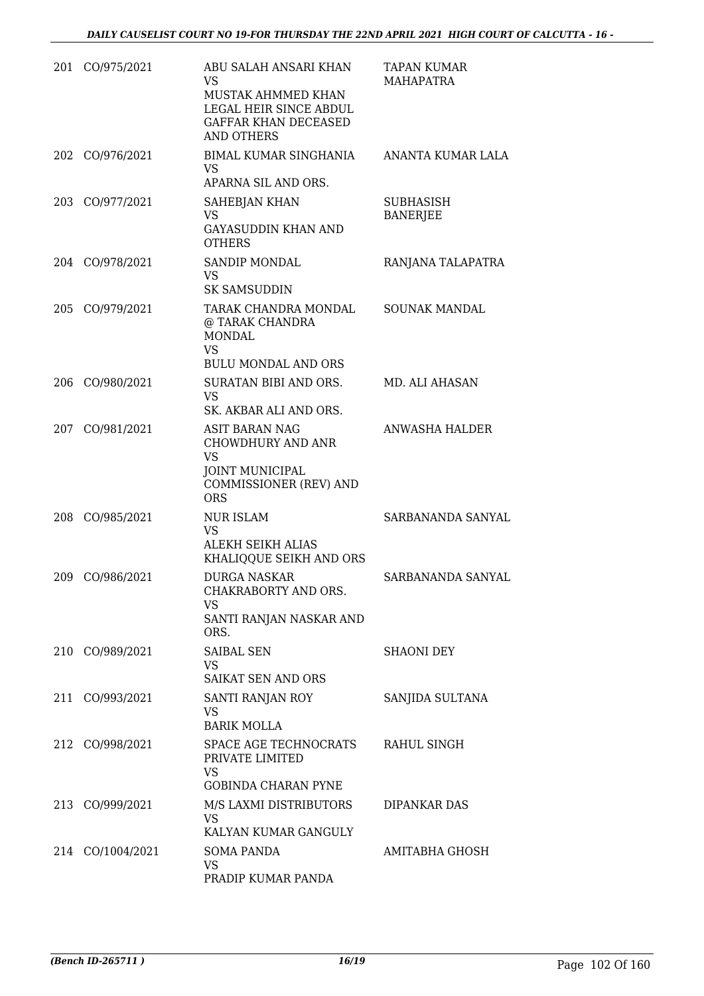| 201 | CO/975/2021      | ABU SALAH ANSARI KHAN<br>VS<br>MUSTAK AHMMED KHAN<br>LEGAL HEIR SINCE ABDUL<br><b>GAFFAR KHAN DECEASED</b><br><b>AND OTHERS</b>  | <b>TAPAN KUMAR</b><br><b>MAHAPATRA</b> |
|-----|------------------|----------------------------------------------------------------------------------------------------------------------------------|----------------------------------------|
| 202 | CO/976/2021      | BIMAL KUMAR SINGHANIA<br>VS<br>APARNA SIL AND ORS.                                                                               | ANANTA KUMAR LALA                      |
| 203 | CO/977/2021      | SAHEBJAN KHAN<br><b>VS</b><br><b>GAYASUDDIN KHAN AND</b><br><b>OTHERS</b>                                                        | <b>SUBHASISH</b><br><b>BANERJEE</b>    |
|     | 204 CO/978/2021  | <b>SANDIP MONDAL</b><br>VS.<br><b>SK SAMSUDDIN</b>                                                                               | RANJANA TALAPATRA                      |
| 205 | CO/979/2021      | TARAK CHANDRA MONDAL<br>@ TARAK CHANDRA<br><b>MONDAL</b><br><b>VS</b><br><b>BULU MONDAL AND ORS</b>                              | SOUNAK MANDAL                          |
| 206 | CO/980/2021      | SURATAN BIBI AND ORS.<br><b>VS</b><br>SK. AKBAR ALI AND ORS.                                                                     | MD. ALI AHASAN                         |
| 207 | CO/981/2021      | <b>ASIT BARAN NAG</b><br><b>CHOWDHURY AND ANR</b><br><b>VS</b><br><b>JOINT MUNICIPAL</b><br>COMMISSIONER (REV) AND<br><b>ORS</b> | ANWASHA HALDER                         |
| 208 | CO/985/2021      | NUR ISLAM<br>VS<br>ALEKH SEIKH ALIAS<br>KHALIQQUE SEIKH AND ORS                                                                  | SARBANANDA SANYAL                      |
| 209 | CO/986/2021      | <b>DURGA NASKAR</b><br>CHAKRABORTY AND ORS.<br>VS<br>SANTI RANJAN NASKAR AND<br>ORS.                                             | SARBANANDA SANYAL                      |
|     | 210 CO/989/2021  | <b>SAIBAL SEN</b><br>VS.<br><b>SAIKAT SEN AND ORS</b>                                                                            | <b>SHAONI DEY</b>                      |
|     | 211 CO/993/2021  | SANTI RANJAN ROY<br>VS.<br><b>BARIK MOLLA</b>                                                                                    | SANJIDA SULTANA                        |
|     | 212 CO/998/2021  | SPACE AGE TECHNOCRATS<br>PRIVATE LIMITED<br>VS.<br><b>GOBINDA CHARAN PYNE</b>                                                    | RAHUL SINGH                            |
|     | 213 CO/999/2021  | M/S LAXMI DISTRIBUTORS<br><b>VS</b><br>KALYAN KUMAR GANGULY                                                                      | <b>DIPANKAR DAS</b>                    |
|     | 214 CO/1004/2021 | <b>SOMA PANDA</b><br>VS<br>PRADIP KUMAR PANDA                                                                                    | AMITABHA GHOSH                         |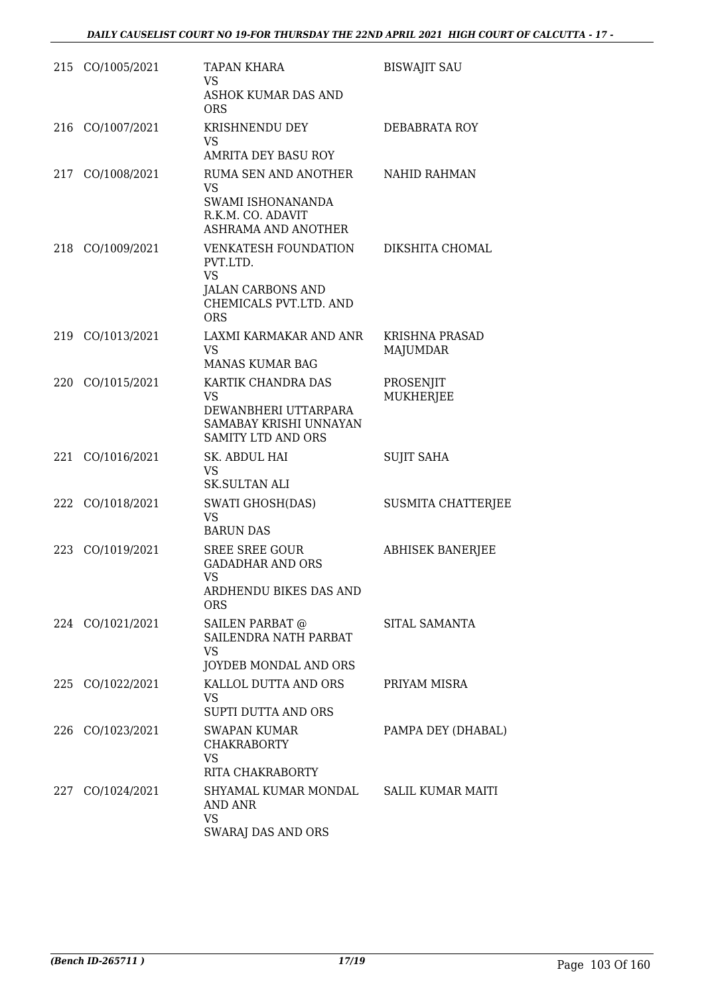|     | 215 CO/1005/2021 | <b>TAPAN KHARA</b><br>VS<br>ASHOK KUMAR DAS AND<br><b>ORS</b>                                                            | <b>BISWAJIT SAU</b>                      |
|-----|------------------|--------------------------------------------------------------------------------------------------------------------------|------------------------------------------|
| 216 | CO/1007/2021     | KRISHNENDU DEY<br>VS<br>AMRITA DEY BASU ROY                                                                              | <b>DEBABRATA ROY</b>                     |
|     | 217 CO/1008/2021 | RUMA SEN AND ANOTHER<br><b>VS</b><br>SWAMI ISHONANANDA<br>R.K.M. CO. ADAVIT<br>ASHRAMA AND ANOTHER                       | <b>NAHID RAHMAN</b>                      |
|     | 218 CO/1009/2021 | <b>VENKATESH FOUNDATION</b><br>PVT.LTD.<br><b>VS</b><br><b>JALAN CARBONS AND</b><br>CHEMICALS PVT.LTD. AND<br><b>ORS</b> | DIKSHITA CHOMAL                          |
|     | 219 CO/1013/2021 | LAXMI KARMAKAR AND ANR<br><b>VS</b><br><b>MANAS KUMAR BAG</b>                                                            | <b>KRISHNA PRASAD</b><br><b>MAJUMDAR</b> |
| 220 | CO/1015/2021     | KARTIK CHANDRA DAS<br><b>VS</b><br>DEWANBHERI UTTARPARA<br>SAMABAY KRISHI UNNAYAN<br><b>SAMITY LTD AND ORS</b>           | PROSENJIT<br>MUKHERJEE                   |
|     | 221 CO/1016/2021 | SK. ABDUL HAI<br><b>VS</b><br><b>SK.SULTAN ALI</b>                                                                       | <b>SUJIT SAHA</b>                        |
|     | 222 CO/1018/2021 | <b>SWATI GHOSH(DAS)</b><br>VS<br><b>BARUN DAS</b>                                                                        | <b>SUSMITA CHATTERJEE</b>                |
|     | 223 CO/1019/2021 | <b>SREE SREE GOUR</b><br><b>GADADHAR AND ORS</b><br><b>VS</b><br>ARDHENDU BIKES DAS AND<br><b>ORS</b>                    | <b>ABHISEK BANERJEE</b>                  |
|     | 224 CO/1021/2021 | SAILEN PARBAT @<br>SAILENDRA NATH PARBAT<br><b>VS</b><br>JOYDEB MONDAL AND ORS                                           | SITAL SAMANTA                            |
|     | 225 CO/1022/2021 | KALLOL DUTTA AND ORS<br>VS<br>SUPTI DUTTA AND ORS                                                                        | PRIYAM MISRA                             |
|     | 226 CO/1023/2021 | <b>SWAPAN KUMAR</b><br><b>CHAKRABORTY</b><br><b>VS</b><br>RITA CHAKRABORTY                                               | PAMPA DEY (DHABAL)                       |
|     | 227 CO/1024/2021 | SHYAMAL KUMAR MONDAL SALIL KUMAR MAITI<br>AND ANR<br><b>VS</b><br>SWARAJ DAS AND ORS                                     |                                          |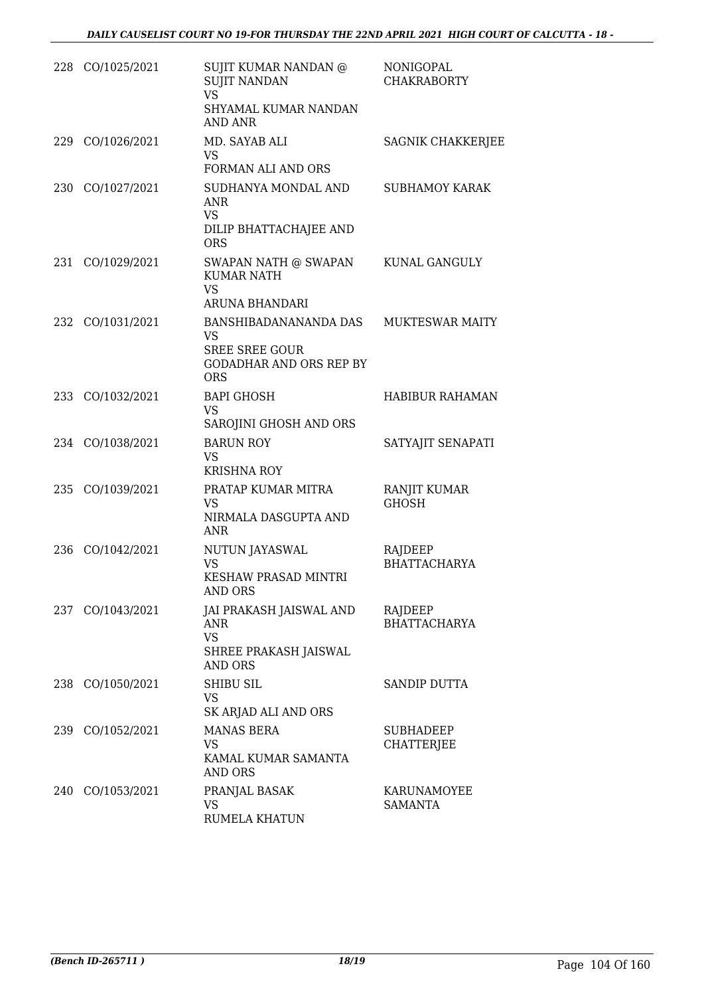|     | 228 CO/1025/2021 | SUJIT KUMAR NANDAN @<br><b>SUJIT NANDAN</b><br><b>VS</b><br>SHYAMAL KUMAR NANDAN<br>AND ANR          | NONIGOPAL<br><b>CHAKRABORTY</b>       |
|-----|------------------|------------------------------------------------------------------------------------------------------|---------------------------------------|
|     | 229 CO/1026/2021 | MD. SAYAB ALI<br>VS.<br>FORMAN ALI AND ORS                                                           | <b>SAGNIK CHAKKERJEE</b>              |
| 230 | CO/1027/2021     | SUDHANYA MONDAL AND<br>ANR<br><b>VS</b><br>DILIP BHATTACHAJEE AND<br><b>ORS</b>                      | <b>SUBHAMOY KARAK</b>                 |
| 231 | CO/1029/2021     | SWAPAN NATH @ SWAPAN<br><b>KUMAR NATH</b><br><b>VS</b><br>ARUNA BHANDARI                             | KUNAL GANGULY                         |
| 232 | CO/1031/2021     | BANSHIBADANANANDA DAS<br>VS<br><b>SREE SREE GOUR</b><br><b>GODADHAR AND ORS REP BY</b><br><b>ORS</b> | <b>MUKTESWAR MAITY</b>                |
|     | 233 CO/1032/2021 | <b>BAPI GHOSH</b><br><b>VS</b><br>SAROJINI GHOSH AND ORS                                             | <b>HABIBUR RAHAMAN</b>                |
|     | 234 CO/1038/2021 | <b>BARUN ROY</b><br><b>VS</b><br><b>KRISHNA ROY</b>                                                  | SATYAJIT SENAPATI                     |
| 235 | CO/1039/2021     | PRATAP KUMAR MITRA<br><b>VS</b><br>NIRMALA DASGUPTA AND<br>ANR                                       | RANJIT KUMAR<br><b>GHOSH</b>          |
| 236 | CO/1042/2021     | NUTUN JAYASWAL<br>VS<br><b>KESHAW PRASAD MINTRI</b><br>AND ORS                                       | RAJDEEP<br><b>BHATTACHARYA</b>        |
|     | 237 CO/1043/2021 | JAI PRAKASH JAISWAL AND<br><b>ANR</b><br><b>VS</b><br>SHREE PRAKASH JAISWAL<br><b>AND ORS</b>        | RAJDEEP<br><b>BHATTACHARYA</b>        |
| 238 | CO/1050/2021     | SHIBU SIL<br>VS<br>SK ARJAD ALI AND ORS                                                              | <b>SANDIP DUTTA</b>                   |
| 239 | CO/1052/2021     | <b>MANAS BERA</b><br>VS<br>KAMAL KUMAR SAMANTA<br>AND ORS                                            | <b>SUBHADEEP</b><br><b>CHATTERJEE</b> |
| 240 | CO/1053/2021     | PRANJAL BASAK<br>VS<br>RUMELA KHATUN                                                                 | KARUNAMOYEE<br><b>SAMANTA</b>         |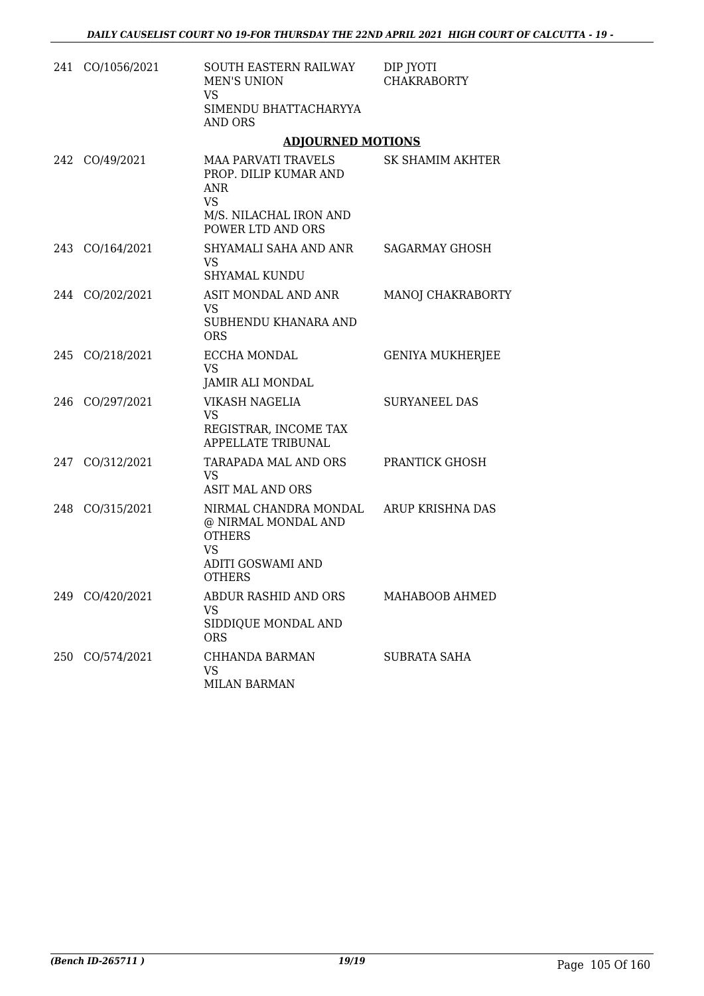|     | 241 CO/1056/2021 | SOUTH EASTERN RAILWAY<br><b>MEN'S UNION</b><br>VS<br>SIMENDU BHATTACHARYYA<br><b>AND ORS</b>                           | DIP JYOTI<br><b>CHAKRABORTY</b> |
|-----|------------------|------------------------------------------------------------------------------------------------------------------------|---------------------------------|
|     |                  | <b>ADJOURNED MOTIONS</b>                                                                                               |                                 |
| 242 | CO/49/2021       | MAA PARVATI TRAVELS<br>PROP. DILIP KUMAR AND<br><b>ANR</b><br><b>VS</b><br>M/S. NILACHAL IRON AND<br>POWER LTD AND ORS | SK SHAMIM AKHTER                |
|     | 243 CO/164/2021  | SHYAMALI SAHA AND ANR<br><b>VS</b><br><b>SHYAMAL KUNDU</b>                                                             | <b>SAGARMAY GHOSH</b>           |
|     | 244 CO/202/2021  | ASIT MONDAL AND ANR<br>VS<br>SUBHENDU KHANARA AND<br><b>ORS</b>                                                        | MANOJ CHAKRABORTY               |
|     | 245 CO/218/2021  | <b>ECCHA MONDAL</b><br><b>VS</b><br>JAMIR ALI MONDAL                                                                   | <b>GENIYA MUKHERJEE</b>         |
| 246 | CO/297/2021      | VIKASH NAGELIA<br><b>VS</b><br>REGISTRAR, INCOME TAX<br><b>APPELLATE TRIBUNAL</b>                                      | <b>SURYANEEL DAS</b>            |
|     | 247 CO/312/2021  | TARAPADA MAL AND ORS<br>VS<br><b>ASIT MAL AND ORS</b>                                                                  | PRANTICK GHOSH                  |
|     | 248 CO/315/2021  | NIRMAL CHANDRA MONDAL<br>@ NIRMAL MONDAL AND<br><b>OTHERS</b><br><b>VS</b><br>ADITI GOSWAMI AND<br><b>OTHERS</b>       | ARUP KRISHNA DAS                |
| 249 | CO/420/2021      | ABDUR RASHID AND ORS<br><b>VS</b><br>SIDDIQUE MONDAL AND<br><b>ORS</b>                                                 | MAHABOOB AHMED                  |
| 250 | CO/574/2021      | CHHANDA BARMAN<br>VS<br><b>MILAN BARMAN</b>                                                                            | SUBRATA SAHA                    |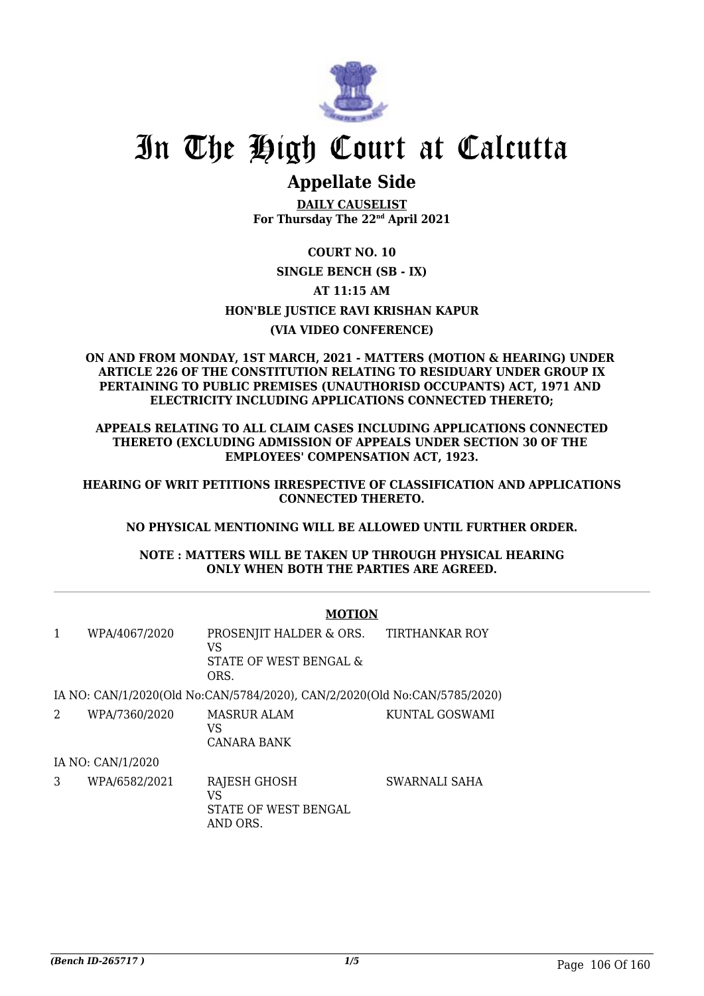

## **Appellate Side**

**DAILY CAUSELIST For Thursday The 22nd April 2021**

### **COURT NO. 10 SINGLE BENCH (SB - IX) AT 11:15 AM HON'BLE JUSTICE RAVI KRISHAN KAPUR (VIA VIDEO CONFERENCE)**

#### **ON AND FROM MONDAY, 1ST MARCH, 2021 - MATTERS (MOTION & HEARING) UNDER ARTICLE 226 OF THE CONSTITUTION RELATING TO RESIDUARY UNDER GROUP IX PERTAINING TO PUBLIC PREMISES (UNAUTHORISD OCCUPANTS) ACT, 1971 AND ELECTRICITY INCLUDING APPLICATIONS CONNECTED THERETO;**

**APPEALS RELATING TO ALL CLAIM CASES INCLUDING APPLICATIONS CONNECTED THERETO (EXCLUDING ADMISSION OF APPEALS UNDER SECTION 30 OF THE EMPLOYEES' COMPENSATION ACT, 1923.**

**HEARING OF WRIT PETITIONS IRRESPECTIVE OF CLASSIFICATION AND APPLICATIONS CONNECTED THERETO.**

#### **NO PHYSICAL MENTIONING WILL BE ALLOWED UNTIL FURTHER ORDER.**

**NOTE : MATTERS WILL BE TAKEN UP THROUGH PHYSICAL HEARING ONLY WHEN BOTH THE PARTIES ARE AGREED.**

|   |                   |                                                                           | <b>MOTION</b>         |  |  |
|---|-------------------|---------------------------------------------------------------------------|-----------------------|--|--|
| 1 | WPA/4067/2020     | PROSENJIT HALDER & ORS.<br>VS<br>STATE OF WEST BENGAL &<br>ORS.           | <b>TIRTHANKAR ROY</b> |  |  |
|   |                   | IA NO: CAN/1/2020(Old No:CAN/5784/2020), CAN/2/2020(Old No:CAN/5785/2020) |                       |  |  |
| 2 | WPA/7360/2020     | <b>MASRUR ALAM</b><br>VS<br>CANARA BANK                                   | KUNTAL GOSWAMI        |  |  |
|   | IA NO: CAN/1/2020 |                                                                           |                       |  |  |
| 3 | WPA/6582/2021     | <b>RAJESH GHOSH</b><br>VS<br>STATE OF WEST BENGAL<br>AND ORS.             | SWARNALI SAHA         |  |  |

### *(Bench ID-265717 ) 1/5* Page 106 Of 160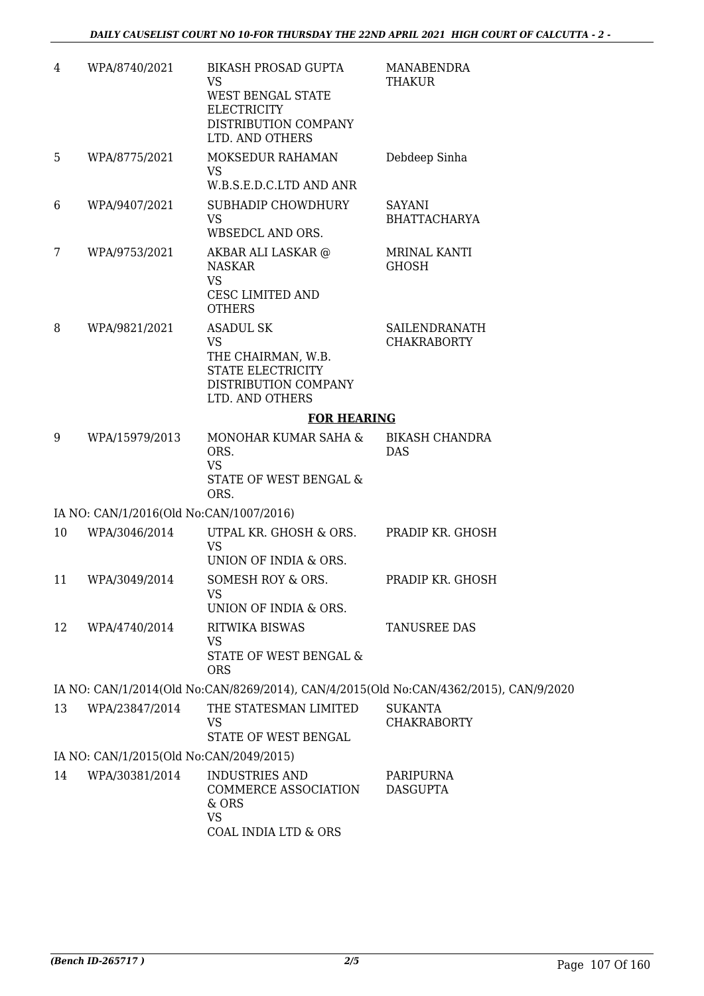| 4  | WPA/8740/2021                           | <b>BIKASH PROSAD GUPTA</b><br>VS<br>WEST BENGAL STATE<br><b>ELECTRICITY</b><br>DISTRIBUTION COMPANY<br>LTD. AND OTHERS | MANABENDRA<br>THAKUR                                                                  |  |
|----|-----------------------------------------|------------------------------------------------------------------------------------------------------------------------|---------------------------------------------------------------------------------------|--|
| 5  | WPA/8775/2021                           | MOKSEDUR RAHAMAN<br><b>VS</b><br>W.B.S.E.D.C.LTD AND ANR                                                               | Debdeep Sinha                                                                         |  |
| 6  | WPA/9407/2021                           | SUBHADIP CHOWDHURY<br><b>VS</b><br>WBSEDCL AND ORS.                                                                    | SAYANI<br><b>BHATTACHARYA</b>                                                         |  |
| 7  | WPA/9753/2021                           | AKBAR ALI LASKAR @<br><b>NASKAR</b><br><b>VS</b>                                                                       | <b>MRINAL KANTI</b><br><b>GHOSH</b>                                                   |  |
|    |                                         | CESC LIMITED AND<br><b>OTHERS</b>                                                                                      |                                                                                       |  |
| 8  | WPA/9821/2021                           | ASADUL SK<br><b>VS</b><br>THE CHAIRMAN, W.B.<br>STATE ELECTRICITY<br>DISTRIBUTION COMPANY<br>LTD. AND OTHERS           | SAILENDRANATH<br><b>CHAKRABORTY</b>                                                   |  |
|    |                                         | <b>FOR HEARING</b>                                                                                                     |                                                                                       |  |
| 9  | WPA/15979/2013                          | MONOHAR KUMAR SAHA &<br>ORS.<br><b>VS</b><br>STATE OF WEST BENGAL &<br>ORS.                                            | BIKASH CHANDRA<br><b>DAS</b>                                                          |  |
|    | IA NO: CAN/1/2016(Old No:CAN/1007/2016) |                                                                                                                        |                                                                                       |  |
| 10 | WPA/3046/2014                           | UTPAL KR. GHOSH & ORS.<br><b>VS</b><br>UNION OF INDIA & ORS.                                                           | PRADIP KR. GHOSH                                                                      |  |
| 11 | WPA/3049/2014                           | SOMESH ROY & ORS.<br>VS<br>UNION OF INDIA & ORS.                                                                       | PRADIP KR. GHOSH                                                                      |  |
| 12 | WPA/4740/2014                           | RITWIKA BISWAS<br><b>VS</b><br>STATE OF WEST BENGAL &<br><b>ORS</b>                                                    | TANUSREE DAS                                                                          |  |
|    |                                         |                                                                                                                        | IA NO: CAN/1/2014(Old No:CAN/8269/2014), CAN/4/2015(Old No:CAN/4362/2015), CAN/9/2020 |  |
| 13 | WPA/23847/2014                          | THE STATESMAN LIMITED<br>VS                                                                                            | <b>SUKANTA</b><br><b>CHAKRABORTY</b>                                                  |  |
|    |                                         | STATE OF WEST BENGAL                                                                                                   |                                                                                       |  |
|    | IA NO: CAN/1/2015(Old No:CAN/2049/2015) |                                                                                                                        |                                                                                       |  |
| 14 | WPA/30381/2014                          | INDUSTRIES AND<br>COMMERCE ASSOCIATION<br>& ORS<br><b>VS</b><br>COAL INDIA LTD & ORS                                   | PARIPURNA<br><b>DASGUPTA</b>                                                          |  |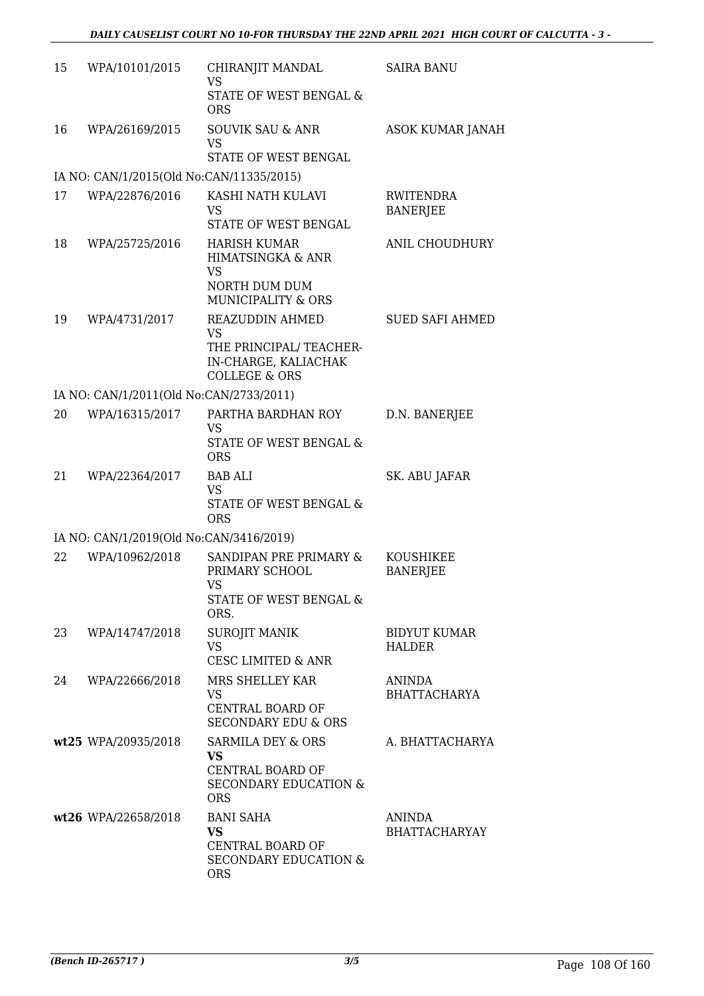| 15 | WPA/10101/2015                           | CHIRANJIT MANDAL<br><b>VS</b><br>STATE OF WEST BENGAL &<br><b>ORS</b>                                              | <b>SAIRA BANU</b>                     |
|----|------------------------------------------|--------------------------------------------------------------------------------------------------------------------|---------------------------------------|
| 16 | WPA/26169/2015                           | <b>SOUVIK SAU &amp; ANR</b><br><b>VS</b><br>STATE OF WEST BENGAL                                                   | <b>ASOK KUMAR JANAH</b>               |
|    | IA NO: CAN/1/2015(Old No:CAN/11335/2015) |                                                                                                                    |                                       |
| 17 | WPA/22876/2016                           | KASHI NATH KULAVI<br><b>VS</b><br>STATE OF WEST BENGAL                                                             | RWITENDRA<br><b>BANERJEE</b>          |
| 18 | WPA/25725/2016                           | <b>HARISH KUMAR</b><br>HIMATSINGKA & ANR<br><b>VS</b><br>NORTH DUM DUM<br><b>MUNICIPALITY &amp; ORS</b>            | ANIL CHOUDHURY                        |
| 19 | WPA/4731/2017                            | <b>REAZUDDIN AHMED</b><br><b>VS</b><br>THE PRINCIPAL/ TEACHER-<br>IN-CHARGE, KALIACHAK<br><b>COLLEGE &amp; ORS</b> | <b>SUED SAFI AHMED</b>                |
|    | IA NO: CAN/1/2011(Old No:CAN/2733/2011)  |                                                                                                                    |                                       |
| 20 | WPA/16315/2017                           | PARTHA BARDHAN ROY<br><b>VS</b><br>STATE OF WEST BENGAL &<br><b>ORS</b>                                            | D.N. BANERJEE                         |
| 21 | WPA/22364/2017                           | <b>BAB ALI</b><br>VS<br>STATE OF WEST BENGAL &<br><b>ORS</b>                                                       | SK. ABU JAFAR                         |
|    | IA NO: CAN/1/2019(Old No:CAN/3416/2019)  |                                                                                                                    |                                       |
| 22 | WPA/10962/2018                           | SANDIPAN PRE PRIMARY &<br>PRIMARY SCHOOL<br><b>VS</b><br>STATE OF WEST BENGAL &<br>ORS.                            | <b>KOUSHIKEE</b><br><b>BANERJEE</b>   |
| 23 | WPA/14747/2018                           | <b>SUROJIT MANIK</b><br><b>VS</b><br><b>CESC LIMITED &amp; ANR</b>                                                 | <b>BIDYUT KUMAR</b><br><b>HALDER</b>  |
| 24 | WPA/22666/2018                           | MRS SHELLEY KAR<br>VS<br>CENTRAL BOARD OF<br><b>SECONDARY EDU &amp; ORS</b>                                        | <b>ANINDA</b><br><b>BHATTACHARYA</b>  |
|    | wt25 WPA/20935/2018                      | SARMILA DEY & ORS<br>VS<br>CENTRAL BOARD OF<br><b>SECONDARY EDUCATION &amp;</b><br><b>ORS</b>                      | A. BHATTACHARYA                       |
|    | wt26 WPA/22658/2018                      | <b>BANI SAHA</b><br><b>VS</b><br>CENTRAL BOARD OF<br><b>SECONDARY EDUCATION &amp;</b><br><b>ORS</b>                | <b>ANINDA</b><br><b>BHATTACHARYAY</b> |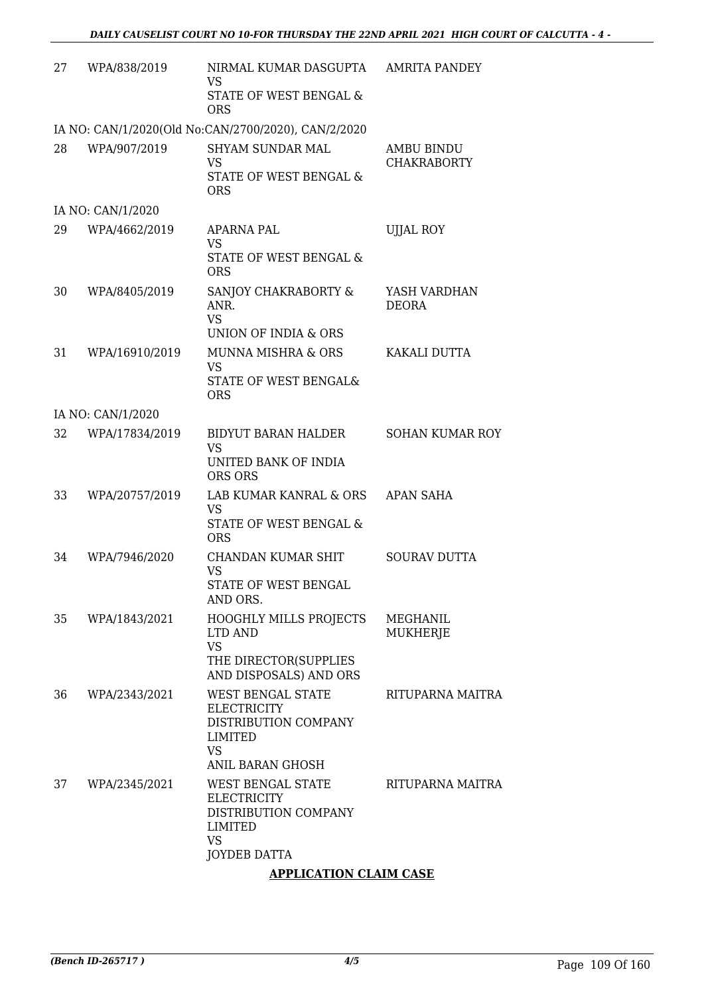| 27 | WPA/838/2019      | NIRMAL KUMAR DASGUPTA<br>VS<br>STATE OF WEST BENGAL &<br><b>ORS</b>                                                | <b>AMRITA PANDEY</b>                    |
|----|-------------------|--------------------------------------------------------------------------------------------------------------------|-----------------------------------------|
|    |                   | IA NO: CAN/1/2020(Old No:CAN/2700/2020), CAN/2/2020                                                                |                                         |
| 28 | WPA/907/2019      | <b>SHYAM SUNDAR MAL</b><br><b>VS</b><br>STATE OF WEST BENGAL &<br><b>ORS</b>                                       | <b>AMBU BINDU</b><br><b>CHAKRABORTY</b> |
|    | IA NO: CAN/1/2020 |                                                                                                                    |                                         |
| 29 | WPA/4662/2019     | APARNA PAL<br><b>VS</b><br>STATE OF WEST BENGAL &<br><b>ORS</b>                                                    | UJJAL ROY                               |
| 30 | WPA/8405/2019     | SANJOY CHAKRABORTY &<br>ANR.<br><b>VS</b><br>UNION OF INDIA & ORS                                                  | YASH VARDHAN<br><b>DEORA</b>            |
| 31 | WPA/16910/2019    | MUNNA MISHRA & ORS<br><b>VS</b><br><b>STATE OF WEST BENGAL&amp;</b><br><b>ORS</b>                                  | KAKALI DUTTA                            |
|    | IA NO: CAN/1/2020 |                                                                                                                    |                                         |
| 32 | WPA/17834/2019    | <b>BIDYUT BARAN HALDER</b><br><b>VS</b><br>UNITED BANK OF INDIA<br>ORS ORS                                         | <b>SOHAN KUMAR ROY</b>                  |
| 33 | WPA/20757/2019    | LAB KUMAR KANRAL & ORS<br><b>VS</b><br>STATE OF WEST BENGAL &<br><b>ORS</b>                                        | APAN SAHA                               |
| 34 | WPA/7946/2020     | CHANDAN KUMAR SHIT<br><b>VS</b><br>STATE OF WEST BENGAL<br>AND ORS.                                                | <b>SOURAV DUTTA</b>                     |
| 35 | WPA/1843/2021     | HOOGHLY MILLS PROJECTS<br>LTD AND<br><b>VS</b><br>THE DIRECTOR(SUPPLIES<br>AND DISPOSALS) AND ORS                  | MEGHANIL<br><b>MUKHERJE</b>             |
| 36 | WPA/2343/2021     | WEST BENGAL STATE<br><b>ELECTRICITY</b><br>DISTRIBUTION COMPANY<br><b>LIMITED</b><br><b>VS</b><br>ANIL BARAN GHOSH | RITUPARNA MAITRA                        |
| 37 | WPA/2345/2021     | WEST BENGAL STATE<br><b>ELECTRICITY</b><br>DISTRIBUTION COMPANY<br>LIMITED<br><b>VS</b><br>JOYDEB DATTA            | RITUPARNA MAITRA                        |
|    |                   | A DDI IOATIONI OI AIM OACE                                                                                         |                                         |

#### **APPLICATION CLAIM CASE**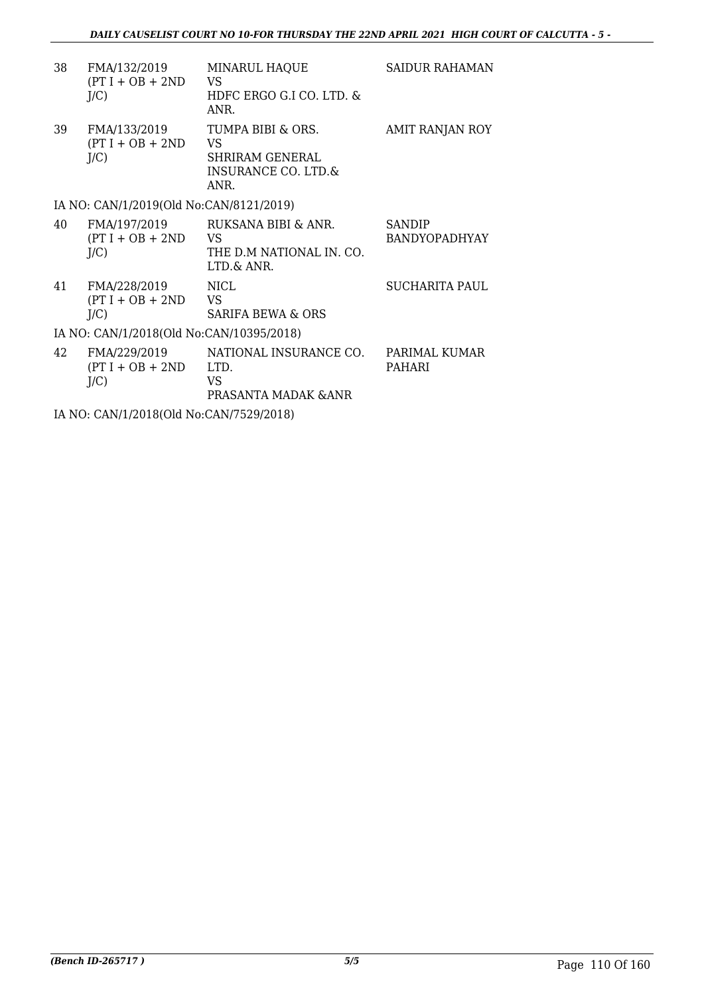| 38                                       | FMA/132/2019<br>$(PT I + OB + 2ND$<br>J/C     | MINARUL HAQUE<br>VS.<br>HDFC ERGO G.I CO. LTD. &<br>ANR.                  | SAIDUR RAHAMAN                        |  |  |
|------------------------------------------|-----------------------------------------------|---------------------------------------------------------------------------|---------------------------------------|--|--|
| 39                                       | FMA/133/2019<br>$(PT I + OB + 2ND$<br>$J/C$ ) | TUMPA BIBI & ORS.<br>VS<br>SHRIRAM GENERAL<br>INSURANCE CO. LTD.&<br>ANR. | AMIT RANJAN ROY                       |  |  |
|                                          | IA NO: CAN/1/2019(Old No:CAN/8121/2019)       |                                                                           |                                       |  |  |
| 40                                       | FMA/197/2019<br>$(PT I + OB + 2ND$<br>J/C     | RUKSANA BIBI & ANR.<br>VS<br>THE D.M NATIONAL IN. CO.<br>LTD.& ANR.       | <b>SANDIP</b><br><b>BANDYOPADHYAY</b> |  |  |
| 41                                       | FMA/228/2019<br>$(PT I + OB + 2ND$<br>$J/C$ ) | <b>NICL</b><br>VS.<br><b>SARIFA BEWA &amp; ORS</b>                        | SUCHARITA PAUL                        |  |  |
| IA NO: CAN/1/2018(Old No:CAN/10395/2018) |                                               |                                                                           |                                       |  |  |
| 42                                       | FMA/229/2019<br>$(PT I + OB + 2ND$<br>J/C     | NATIONAL INSURANCE CO.<br>LTD.<br>VS<br>PRASANTA MADAK & ANR              | PARIMAL KUMAR<br><b>PAHARI</b>        |  |  |

IA NO: CAN/1/2018(Old No:CAN/7529/2018)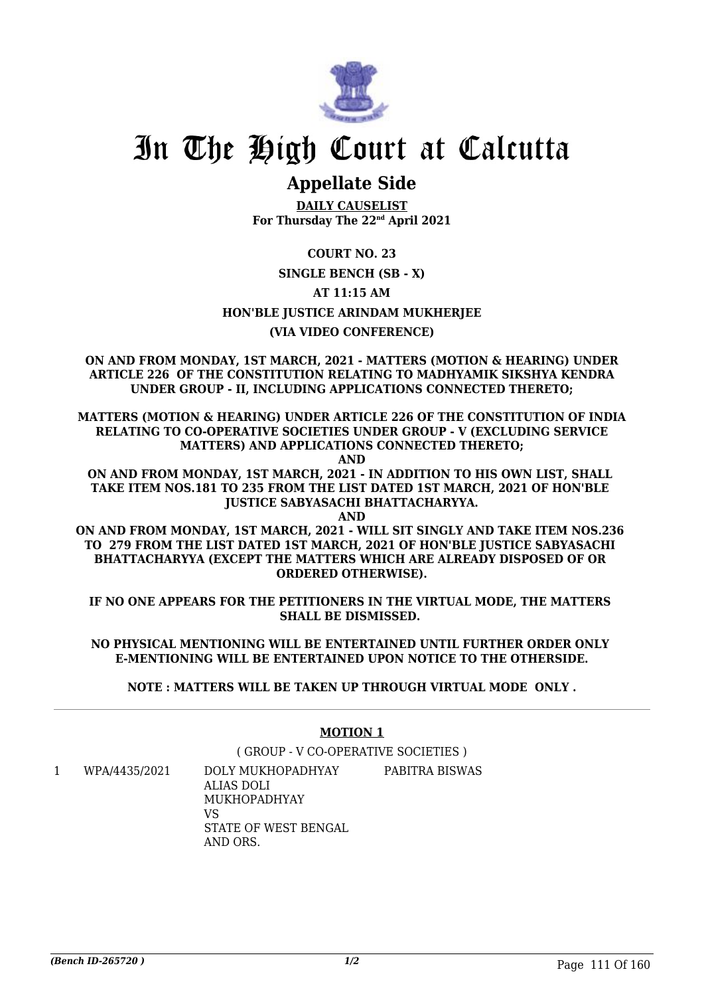

## **Appellate Side**

**DAILY CAUSELIST For Thursday The 22nd April 2021**

**COURT NO. 23**

#### **SINGLE BENCH (SB - X)**

**AT 11:15 AM**

#### **HON'BLE JUSTICE ARINDAM MUKHERJEE**

#### **(VIA VIDEO CONFERENCE)**

**ON AND FROM MONDAY, 1ST MARCH, 2021 - MATTERS (MOTION & HEARING) UNDER ARTICLE 226 OF THE CONSTITUTION RELATING TO MADHYAMIK SIKSHYA KENDRA UNDER GROUP - II, INCLUDING APPLICATIONS CONNECTED THERETO;**

**MATTERS (MOTION & HEARING) UNDER ARTICLE 226 OF THE CONSTITUTION OF INDIA RELATING TO CO-OPERATIVE SOCIETIES UNDER GROUP - V (EXCLUDING SERVICE MATTERS) AND APPLICATIONS CONNECTED THERETO;**

**AND**

**ON AND FROM MONDAY, 1ST MARCH, 2021 - IN ADDITION TO HIS OWN LIST, SHALL TAKE ITEM NOS.181 TO 235 FROM THE LIST DATED 1ST MARCH, 2021 OF HON'BLE JUSTICE SABYASACHI BHATTACHARYYA.**

**AND**

**ON AND FROM MONDAY, 1ST MARCH, 2021 - WILL SIT SINGLY AND TAKE ITEM NOS.236 TO 279 FROM THE LIST DATED 1ST MARCH, 2021 OF HON'BLE JUSTICE SABYASACHI BHATTACHARYYA (EXCEPT THE MATTERS WHICH ARE ALREADY DISPOSED OF OR ORDERED OTHERWISE).**

**IF NO ONE APPEARS FOR THE PETITIONERS IN THE VIRTUAL MODE, THE MATTERS SHALL BE DISMISSED.** 

**NO PHYSICAL MENTIONING WILL BE ENTERTAINED UNTIL FURTHER ORDER ONLY E-MENTIONING WILL BE ENTERTAINED UPON NOTICE TO THE OTHERSIDE.**

**NOTE : MATTERS WILL BE TAKEN UP THROUGH VIRTUAL MODE ONLY .**

#### **MOTION 1**

( GROUP - V CO-OPERATIVE SOCIETIES )

1 WPA/4435/2021 DOLY MUKHOPADHYAY ALIAS DOLI MUKHOPADHYAY VS STATE OF WEST BENGAL AND ORS. PABITRA BISWAS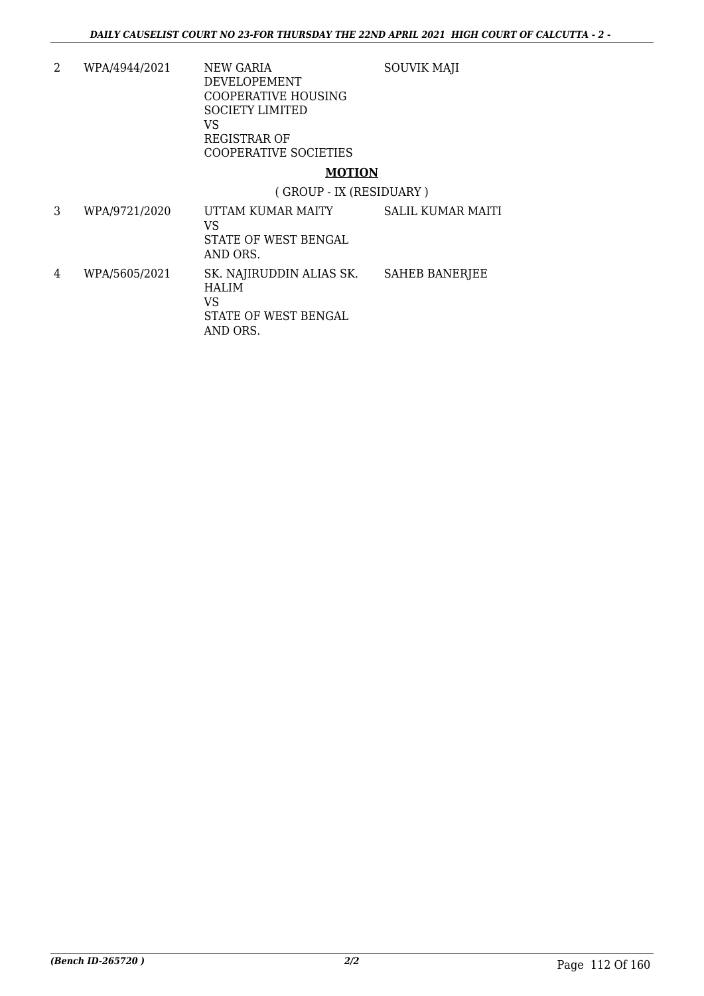SOUVIK MAJI

2 WPA/4944/2021 NEW GARIA DEVELOPEMENT COOPERATIVE HOUSING SOCIETY LIMITED VS REGISTRAR OF COOPERATIVE SOCIETIES

#### **MOTION**

( GROUP - IX (RESIDUARY )

3 WPA/9721/2020 UTTAM KUMAR MAITY VS STATE OF WEST BENGAL AND ORS. SALIL KUMAR MAITI 4 WPA/5605/2021 SK. NAJIRUDDIN ALIAS SK. HALIM VS STATE OF WEST BENGAL AND ORS. SAHEB BANERJEE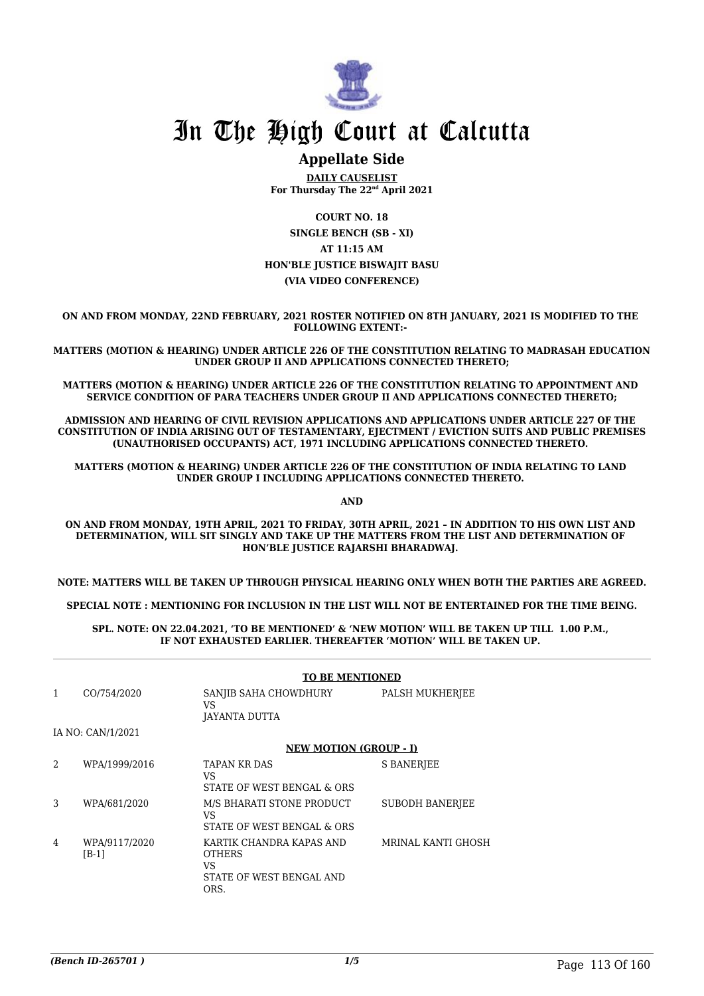

### **Appellate Side**

**DAILY CAUSELIST For Thursday The 22nd April 2021**

**COURT NO. 18 SINGLE BENCH (SB - XI) AT 11:15 AM HON'BLE JUSTICE BISWAJIT BASU (VIA VIDEO CONFERENCE)**

**ON AND FROM MONDAY, 22ND FEBRUARY, 2021 ROSTER NOTIFIED ON 8TH JANUARY, 2021 IS MODIFIED TO THE FOLLOWING EXTENT:-** 

**MATTERS (MOTION & HEARING) UNDER ARTICLE 226 OF THE CONSTITUTION RELATING TO MADRASAH EDUCATION UNDER GROUP II AND APPLICATIONS CONNECTED THERETO;**

**MATTERS (MOTION & HEARING) UNDER ARTICLE 226 OF THE CONSTITUTION RELATING TO APPOINTMENT AND SERVICE CONDITION OF PARA TEACHERS UNDER GROUP II AND APPLICATIONS CONNECTED THERETO;**

**ADMISSION AND HEARING OF CIVIL REVISION APPLICATIONS AND APPLICATIONS UNDER ARTICLE 227 OF THE CONSTITUTION OF INDIA ARISING OUT OF TESTAMENTARY, EJECTMENT / EVICTION SUITS AND PUBLIC PREMISES (UNAUTHORISED OCCUPANTS) ACT, 1971 INCLUDING APPLICATIONS CONNECTED THERETO.** 

**MATTERS (MOTION & HEARING) UNDER ARTICLE 226 OF THE CONSTITUTION OF INDIA RELATING TO LAND UNDER GROUP I INCLUDING APPLICATIONS CONNECTED THERETO.** 

**AND**

**ON AND FROM MONDAY, 19TH APRIL, 2021 TO FRIDAY, 30TH APRIL, 2021 – IN ADDITION TO HIS OWN LIST AND DETERMINATION, WILL SIT SINGLY AND TAKE UP THE MATTERS FROM THE LIST AND DETERMINATION OF HON'BLE JUSTICE RAJARSHI BHARADWAJ.** 

**NOTE: MATTERS WILL BE TAKEN UP THROUGH PHYSICAL HEARING ONLY WHEN BOTH THE PARTIES ARE AGREED.**

**SPECIAL NOTE : MENTIONING FOR INCLUSION IN THE LIST WILL NOT BE ENTERTAINED FOR THE TIME BEING.**

**SPL. NOTE: ON 22.04.2021, 'TO BE MENTIONED' & 'NEW MOTION' WILL BE TAKEN UP TILL 1.00 P.M., IF NOT EXHAUSTED EARLIER. THEREAFTER 'MOTION' WILL BE TAKEN UP.** 

|   |                          | <b>TO BE MENTIONED</b>                                                               |                        |
|---|--------------------------|--------------------------------------------------------------------------------------|------------------------|
| 1 | CO/754/2020              | SANJIB SAHA CHOWDHURY<br>VS<br>JAYANTA DUTTA                                         | PALSH MUKHERJEE        |
|   | IA NO: CAN/1/2021        |                                                                                      |                        |
|   |                          | <b>NEW MOTION (GROUP - I)</b>                                                        |                        |
| 2 | WPA/1999/2016            | TAPAN KR DAS<br>VS.<br>STATE OF WEST BENGAL & ORS                                    | <b>S BANERIEE</b>      |
| 3 | WPA/681/2020             | M/S BHARATI STONE PRODUCT<br>VS.<br>STATE OF WEST BENGAL & ORS                       | <b>SUBODH BANERIEE</b> |
| 4 | WPA/9117/2020<br>$[B-1]$ | KARTIK CHANDRA KAPAS AND<br><b>OTHERS</b><br>VS.<br>STATE OF WEST BENGAL AND<br>ORS. | MRINAL KANTI GHOSH     |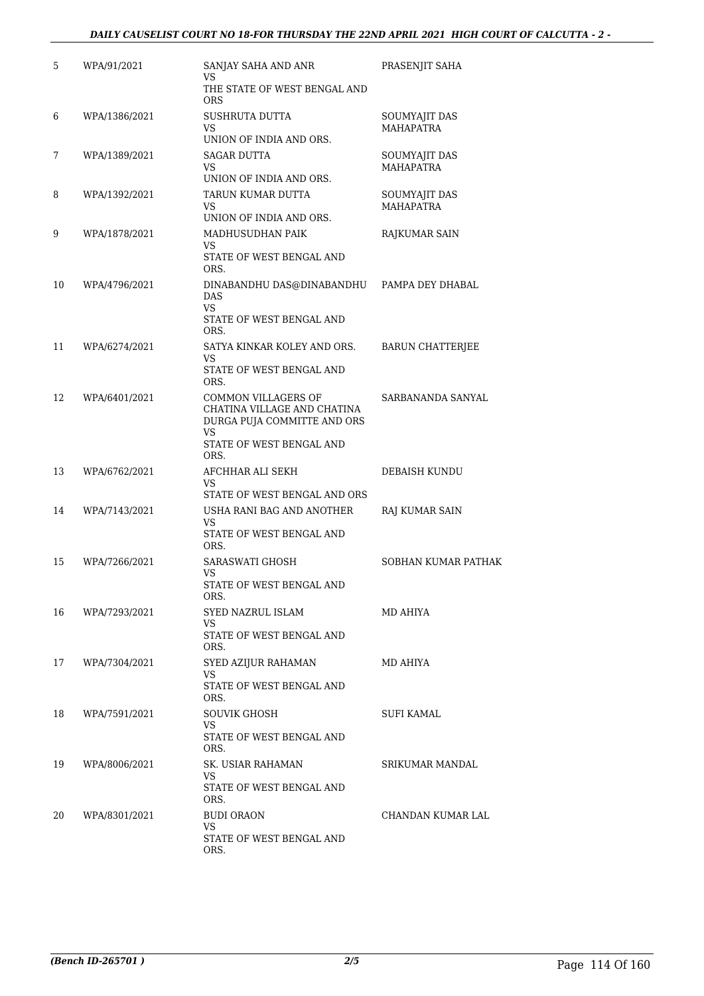#### *DAILY CAUSELIST COURT NO 18-FOR THURSDAY THE 22ND APRIL 2021 HIGH COURT OF CALCUTTA - 2 -*

| 5  | WPA/91/2021   | SANJAY SAHA AND ANR<br>VS                                                                                                   | PRASENJIT SAHA                    |
|----|---------------|-----------------------------------------------------------------------------------------------------------------------------|-----------------------------------|
|    |               | THE STATE OF WEST BENGAL AND<br><b>ORS</b>                                                                                  |                                   |
| 6  | WPA/1386/2021 | SUSHRUTA DUTTA<br>VS<br>UNION OF INDIA AND ORS.                                                                             | SOUMYAJIT DAS<br><b>MAHAPATRA</b> |
| 7  | WPA/1389/2021 | SAGAR DUTTA<br>VS<br>UNION OF INDIA AND ORS.                                                                                | SOUMYAJIT DAS<br><b>MAHAPATRA</b> |
| 8  | WPA/1392/2021 | TARUN KUMAR DUTTA<br>VS<br>UNION OF INDIA AND ORS.                                                                          | SOUMYAJIT DAS<br><b>MAHAPATRA</b> |
| 9  | WPA/1878/2021 | MADHUSUDHAN PAIK<br>VS<br>STATE OF WEST BENGAL AND<br>ORS.                                                                  | RAJKUMAR SAIN                     |
| 10 | WPA/4796/2021 | DINABANDHU DAS@DINABANDHU<br><b>DAS</b><br>VS<br>STATE OF WEST BENGAL AND<br>ORS.                                           | PAMPA DEY DHABAL                  |
| 11 | WPA/6274/2021 | SATYA KINKAR KOLEY AND ORS.<br>VS<br>STATE OF WEST BENGAL AND<br>ORS.                                                       | <b>BARUN CHATTERJEE</b>           |
| 12 | WPA/6401/2021 | COMMON VILLAGERS OF<br>CHATINA VILLAGE AND CHATINA<br>DURGA PUJA COMMITTE AND ORS<br>VS<br>STATE OF WEST BENGAL AND<br>ORS. | SARBANANDA SANYAL                 |
| 13 | WPA/6762/2021 | AFCHHAR ALI SEKH<br>VS<br>STATE OF WEST BENGAL AND ORS                                                                      | DEBAISH KUNDU                     |
| 14 | WPA/7143/2021 | USHA RANI BAG AND ANOTHER<br>VS<br>STATE OF WEST BENGAL AND<br>ORS.                                                         | RAJ KUMAR SAIN                    |
| 15 | WPA/7266/2021 | SARASWATI GHOSH<br>VS<br>STATE OF WEST BENGAL AND<br>ORS.                                                                   | SOBHAN KUMAR PATHAK               |
| 16 | WPA/7293/2021 | SYED NAZRUL ISLAM<br>VS.<br>STATE OF WEST BENGAL AND<br>ORS.                                                                | MD AHIYA                          |
| 17 | WPA/7304/2021 | SYED AZIJUR RAHAMAN<br>VS<br>STATE OF WEST BENGAL AND<br>ORS.                                                               | MD AHIYA                          |
| 18 | WPA/7591/2021 | SOUVIK GHOSH<br>VS<br>STATE OF WEST BENGAL AND<br>ORS.                                                                      | SUFI KAMAL                        |
| 19 | WPA/8006/2021 | SK. USIAR RAHAMAN<br>VS<br>STATE OF WEST BENGAL AND<br>ORS.                                                                 | SRIKUMAR MANDAL                   |
| 20 | WPA/8301/2021 | <b>BUDI ORAON</b><br>VS<br>STATE OF WEST BENGAL AND<br>ORS.                                                                 | CHANDAN KUMAR LAL                 |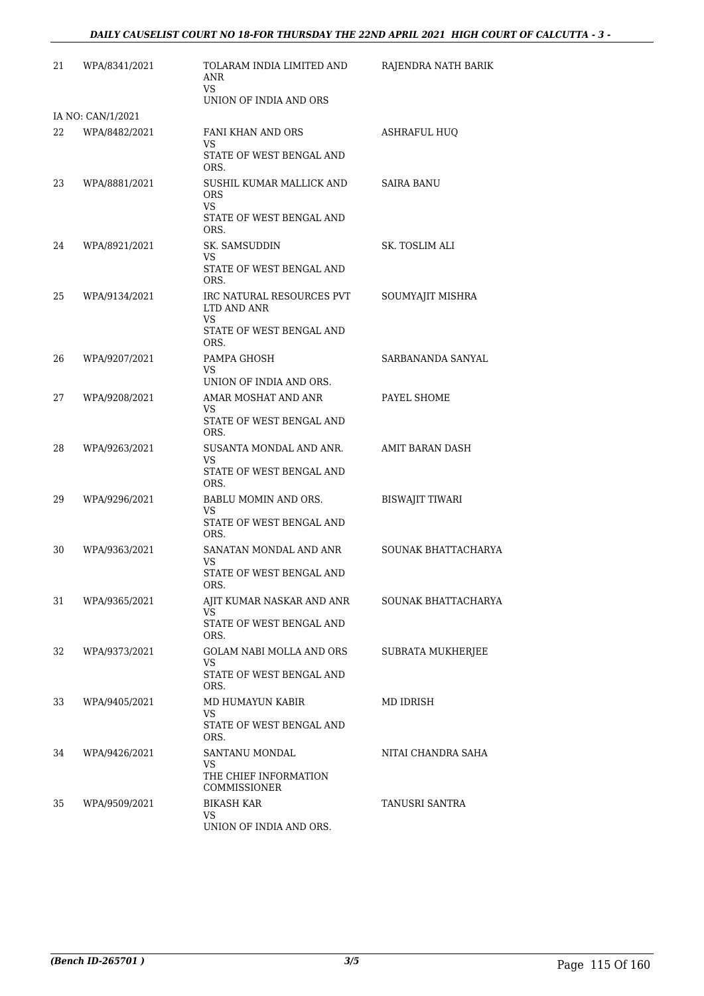| 21 | WPA/8341/2021     | TOLARAM INDIA LIMITED AND<br>ANR<br>VS<br>UNION OF INDIA AND ORS                   | RAJENDRA NATH BARIK    |
|----|-------------------|------------------------------------------------------------------------------------|------------------------|
|    | IA NO: CAN/1/2021 |                                                                                    |                        |
| 22 | WPA/8482/2021     | FANI KHAN AND ORS<br>VS<br>STATE OF WEST BENGAL AND<br>ORS.                        | <b>ASHRAFUL HUQ</b>    |
| 23 | WPA/8881/2021     | SUSHIL KUMAR MALLICK AND<br>ORS<br>VS<br>STATE OF WEST BENGAL AND<br>ORS.          | SAIRA BANU             |
| 24 | WPA/8921/2021     | SK. SAMSUDDIN<br>VS<br>STATE OF WEST BENGAL AND<br>ORS.                            | SK. TOSLIM ALI         |
| 25 | WPA/9134/2021     | IRC NATURAL RESOURCES PVT<br>LTD AND ANR<br>VS<br>STATE OF WEST BENGAL AND<br>ORS. | SOUMYAJIT MISHRA       |
| 26 | WPA/9207/2021     | PAMPA GHOSH<br>VS<br>UNION OF INDIA AND ORS.                                       | SARBANANDA SANYAL      |
| 27 | WPA/9208/2021     | AMAR MOSHAT AND ANR<br>VS<br>STATE OF WEST BENGAL AND<br>ORS.                      | PAYEL SHOME            |
| 28 | WPA/9263/2021     | SUSANTA MONDAL AND ANR.<br>VS<br>STATE OF WEST BENGAL AND<br>ORS.                  | AMIT BARAN DASH        |
| 29 | WPA/9296/2021     | BABLU MOMIN AND ORS.<br>VS<br>STATE OF WEST BENGAL AND<br>ORS.                     | <b>BISWAJIT TIWARI</b> |
| 30 | WPA/9363/2021     | SANATAN MONDAL AND ANR<br>VS<br>STATE OF WEST BENGAL AND<br>ORS.                   | SOUNAK BHATTACHARYA    |
| 31 | WPA/9365/2021     | AJIT KUMAR NASKAR AND ANR<br>VS<br>STATE OF WEST BENGAL AND<br>ORS.                | SOUNAK BHATTACHARYA    |
| 32 | WPA/9373/2021     | <b>GOLAM NABI MOLLA AND ORS</b><br>VS<br>STATE OF WEST BENGAL AND<br>ORS.          | SUBRATA MUKHERJEE      |
| 33 | WPA/9405/2021     | MD HUMAYUN KABIR<br>VS<br>STATE OF WEST BENGAL AND<br>ORS.                         | MD IDRISH              |
| 34 | WPA/9426/2021     | SANTANU MONDAL<br>VS<br>THE CHIEF INFORMATION<br>COMMISSIONER                      | NITAI CHANDRA SAHA     |
| 35 | WPA/9509/2021     | <b>BIKASH KAR</b><br><b>VS</b><br>UNION OF INDIA AND ORS.                          | TANUSRI SANTRA         |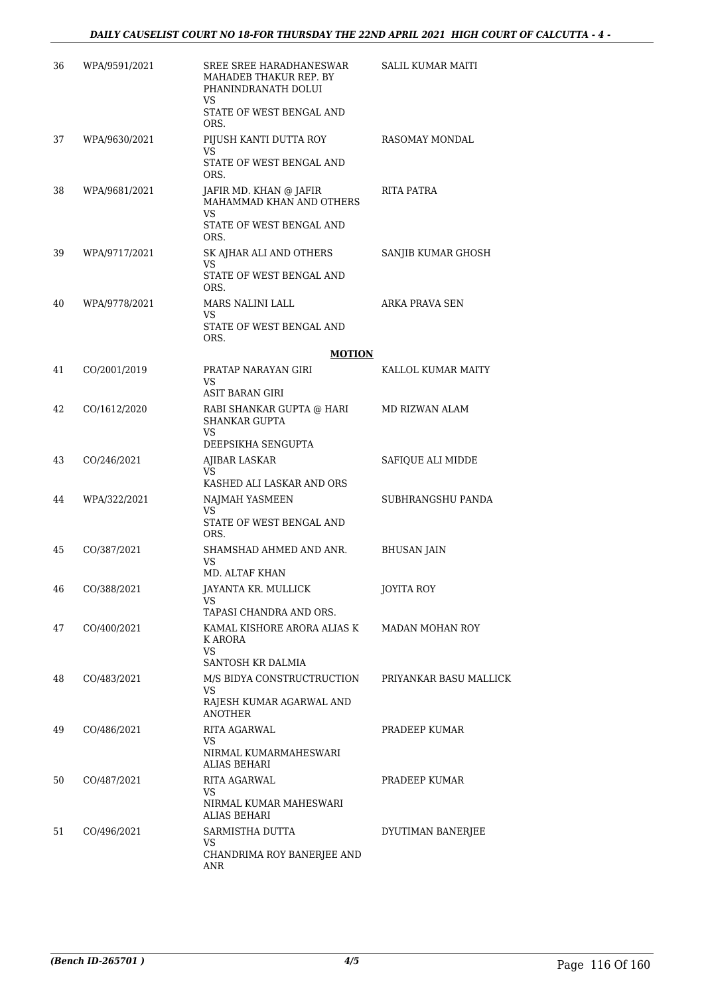| 36 | WPA/9591/2021 | SREE SREE HARADHANESWAR<br>MAHADEB THAKUR REP. BY<br>PHANINDRANATH DOLUI<br>VS<br>STATE OF WEST BENGAL AND<br>ORS. | SALIL KUMAR MAITI      |
|----|---------------|--------------------------------------------------------------------------------------------------------------------|------------------------|
| 37 | WPA/9630/2021 | PIJUSH KANTI DUTTA ROY<br>VS<br>STATE OF WEST BENGAL AND<br>ORS.                                                   | RASOMAY MONDAL         |
| 38 | WPA/9681/2021 | JAFIR MD. KHAN @ JAFIR<br>MAHAMMAD KHAN AND OTHERS<br>VS<br>STATE OF WEST BENGAL AND<br>ORS.                       | RITA PATRA             |
| 39 | WPA/9717/2021 | SK AJHAR ALI AND OTHERS<br>VS<br>STATE OF WEST BENGAL AND<br>ORS.                                                  | SANJIB KUMAR GHOSH     |
| 40 | WPA/9778/2021 | MARS NALINI LALL<br>VS<br>STATE OF WEST BENGAL AND<br>ORS.                                                         | ARKA PRAVA SEN         |
|    |               | <b>MOTION</b>                                                                                                      |                        |
| 41 | CO/2001/2019  | PRATAP NARAYAN GIRI<br>VS<br>ASIT BARAN GIRI                                                                       | KALLOL KUMAR MAITY     |
| 42 | CO/1612/2020  | RABI SHANKAR GUPTA @ HARI<br><b>SHANKAR GUPTA</b><br>VS                                                            | MD RIZWAN ALAM         |
|    |               | DEEPSIKHA SENGUPTA                                                                                                 |                        |
| 43 | CO/246/2021   | AJIBAR LASKAR<br>VS<br>KASHED ALI LASKAR AND ORS                                                                   | SAFIQUE ALI MIDDE      |
| 44 | WPA/322/2021  | NAJMAH YASMEEN<br>VS<br>STATE OF WEST BENGAL AND<br>ORS.                                                           | SUBHRANGSHU PANDA      |
| 45 | CO/387/2021   | SHAMSHAD AHMED AND ANR.<br>VS<br>MD. ALTAF KHAN                                                                    | <b>BHUSAN JAIN</b>     |
| 46 | CO/388/2021   | JAYANTA KR. MULLICK<br>VS                                                                                          | <b>JOYITA ROY</b>      |
| 47 | CO/400/2021   | TAPASI CHANDRA AND ORS.<br>KAMAL KISHORE ARORA ALIAS K<br>K ARORA<br>VS                                            | MADAN MOHAN ROY        |
| 48 | CO/483/2021   | SANTOSH KR DALMIA<br>M/S BIDYA CONSTRUCTRUCTION<br>VS<br>RAJESH KUMAR AGARWAL AND<br><b>ANOTHER</b>                | PRIYANKAR BASU MALLICK |
| 49 | CO/486/2021   | <b>RITA AGARWAL</b><br>VS<br>NIRMAL KUMARMAHESWARI<br><b>ALIAS BEHARI</b>                                          | PRADEEP KUMAR          |
| 50 | CO/487/2021   | RITA AGARWAL<br>VS<br>NIRMAL KUMAR MAHESWARI<br><b>ALIAS BEHARI</b>                                                | PRADEEP KUMAR          |
| 51 | CO/496/2021   | SARMISTHA DUTTA<br>VS<br>CHANDRIMA ROY BANERJEE AND<br>ANR                                                         | DYUTIMAN BANERJEE      |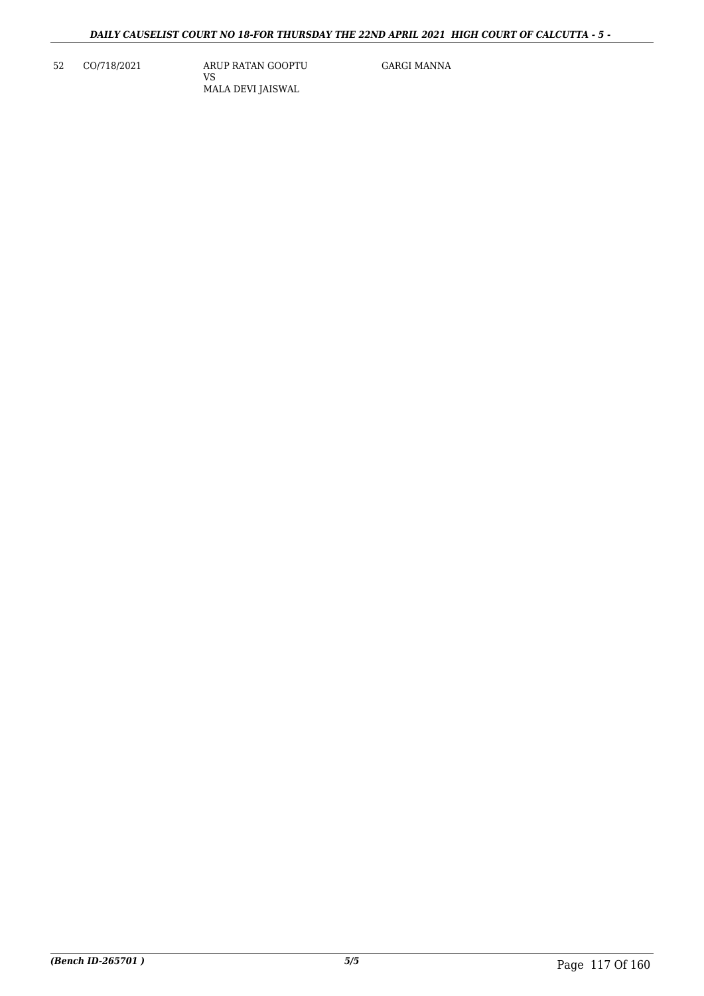52 CO/718/2021 ARUP RATAN GOOPTU VS MALA DEVI JAISWAL

GARGI MANNA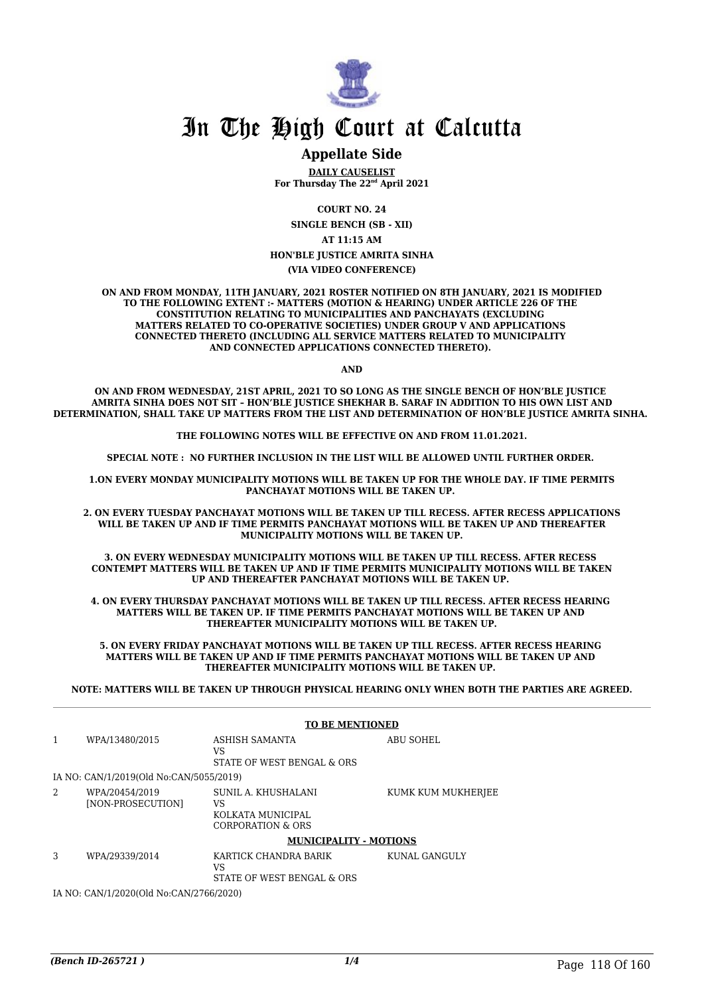

#### **Appellate Side**

**DAILY CAUSELIST For Thursday The 22nd April 2021**

**COURT NO. 24**

**SINGLE BENCH (SB - XII)**

**AT 11:15 AM**

**HON'BLE JUSTICE AMRITA SINHA**

**(VIA VIDEO CONFERENCE)**

**ON AND FROM MONDAY, 11TH JANUARY, 2021 ROSTER NOTIFIED ON 8TH JANUARY, 2021 IS MODIFIED TO THE FOLLOWING EXTENT :- MATTERS (MOTION & HEARING) UNDER ARTICLE 226 OF THE CONSTITUTION RELATING TO MUNICIPALITIES AND PANCHAYATS (EXCLUDING MATTERS RELATED TO CO-OPERATIVE SOCIETIES) UNDER GROUP V AND APPLICATIONS CONNECTED THERETO (INCLUDING ALL SERVICE MATTERS RELATED TO MUNICIPALITY AND CONNECTED APPLICATIONS CONNECTED THERETO).** 

**AND**

**ON AND FROM WEDNESDAY, 21ST APRIL, 2021 TO SO LONG AS THE SINGLE BENCH OF HON'BLE JUSTICE AMRITA SINHA DOES NOT SIT – HON'BLE JUSTICE SHEKHAR B. SARAF IN ADDITION TO HIS OWN LIST AND DETERMINATION, SHALL TAKE UP MATTERS FROM THE LIST AND DETERMINATION OF HON'BLE JUSTICE AMRITA SINHA.** 

**THE FOLLOWING NOTES WILL BE EFFECTIVE ON AND FROM 11.01.2021.**

**SPECIAL NOTE : NO FURTHER INCLUSION IN THE LIST WILL BE ALLOWED UNTIL FURTHER ORDER.** 

**1.ON EVERY MONDAY MUNICIPALITY MOTIONS WILL BE TAKEN UP FOR THE WHOLE DAY. IF TIME PERMITS PANCHAYAT MOTIONS WILL BE TAKEN UP.** 

**2. ON EVERY TUESDAY PANCHAYAT MOTIONS WILL BE TAKEN UP TILL RECESS. AFTER RECESS APPLICATIONS WILL BE TAKEN UP AND IF TIME PERMITS PANCHAYAT MOTIONS WILL BE TAKEN UP AND THEREAFTER MUNICIPALITY MOTIONS WILL BE TAKEN UP.**

**3. ON EVERY WEDNESDAY MUNICIPALITY MOTIONS WILL BE TAKEN UP TILL RECESS. AFTER RECESS CONTEMPT MATTERS WILL BE TAKEN UP AND IF TIME PERMITS MUNICIPALITY MOTIONS WILL BE TAKEN UP AND THEREAFTER PANCHAYAT MOTIONS WILL BE TAKEN UP.** 

**4. ON EVERY THURSDAY PANCHAYAT MOTIONS WILL BE TAKEN UP TILL RECESS. AFTER RECESS HEARING MATTERS WILL BE TAKEN UP. IF TIME PERMITS PANCHAYAT MOTIONS WILL BE TAKEN UP AND THEREAFTER MUNICIPALITY MOTIONS WILL BE TAKEN UP.**

**5. ON EVERY FRIDAY PANCHAYAT MOTIONS WILL BE TAKEN UP TILL RECESS. AFTER RECESS HEARING MATTERS WILL BE TAKEN UP AND IF TIME PERMITS PANCHAYAT MOTIONS WILL BE TAKEN UP AND THEREAFTER MUNICIPALITY MOTIONS WILL BE TAKEN UP.** 

**NOTE: MATTERS WILL BE TAKEN UP THROUGH PHYSICAL HEARING ONLY WHEN BOTH THE PARTIES ARE AGREED.**

|                                         | <b>TO BE MENTIONED</b>                  |                                                                     |                    |  |
|-----------------------------------------|-----------------------------------------|---------------------------------------------------------------------|--------------------|--|
| 1                                       | WPA/13480/2015                          | ASHISH SAMANTA<br><b>VS</b><br>STATE OF WEST BENGAL & ORS           | ABU SOHEL          |  |
|                                         | IA NO: CAN/1/2019(Old No:CAN/5055/2019) |                                                                     |                    |  |
| 2                                       | WPA/20454/2019<br>[NON-PROSECUTION]     | SUNIL A. KHUSHALANI<br>VS<br>KOLKATA MUNICIPAL<br>CORPORATION & ORS | KUMK KUM MUKHERJEE |  |
|                                         |                                         | <b>MUNICIPALITY - MOTIONS</b>                                       |                    |  |
| 3                                       | WPA/29339/2014                          | KARTICK CHANDRA BARIK<br>VS<br>STATE OF WEST BENGAL & ORS           | KUNAL GANGULY      |  |
| IA NO: CAN/1/2020(Old No:CAN/2766/2020) |                                         |                                                                     |                    |  |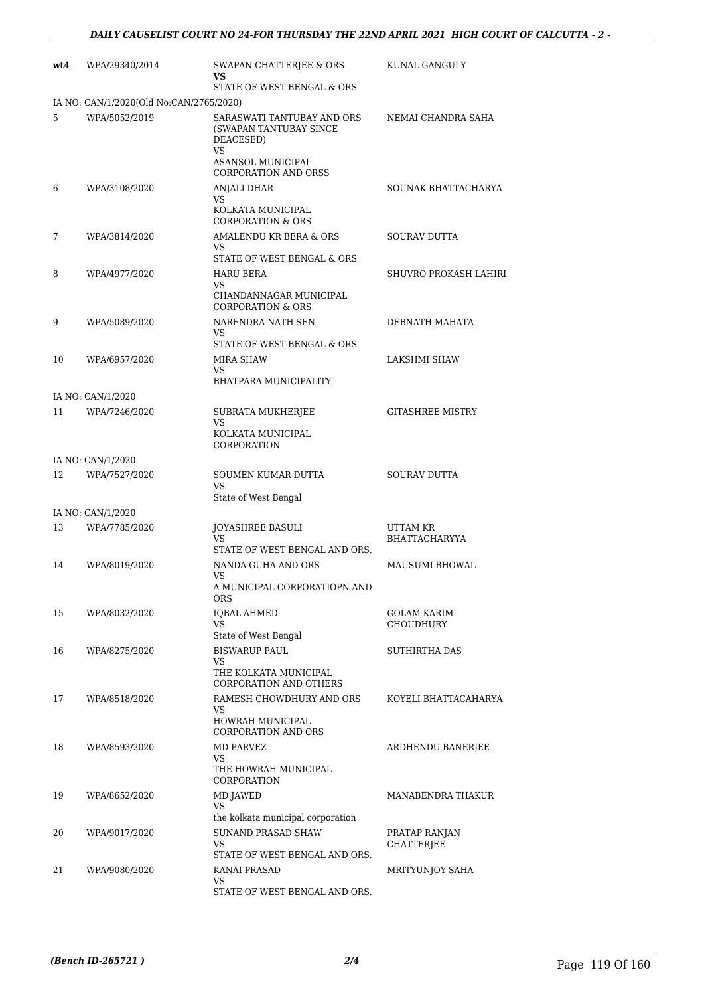| wt4 | WPA/29340/2014                          | SWAPAN CHATTERJEE & ORS<br>vs                                                                                               | KUNAL GANGULY                      |
|-----|-----------------------------------------|-----------------------------------------------------------------------------------------------------------------------------|------------------------------------|
|     |                                         | STATE OF WEST BENGAL & ORS                                                                                                  |                                    |
|     | IA NO: CAN/1/2020(Old No:CAN/2765/2020) |                                                                                                                             |                                    |
| 5   | WPA/5052/2019                           | SARASWATI TANTUBAY AND ORS<br>(SWAPAN TANTUBAY SINCE<br>DEACESED)<br>VS<br>ASANSOL MUNICIPAL<br><b>CORPORATION AND ORSS</b> | NEMAI CHANDRA SAHA                 |
| 6   | WPA/3108/2020                           | <b>ANJALI DHAR</b><br>VS<br>KOLKATA MUNICIPAL                                                                               | SOUNAK BHATTACHARYA                |
| 7   | WPA/3814/2020                           | <b>CORPORATION &amp; ORS</b><br>AMALENDU KR BERA & ORS                                                                      | <b>SOURAV DUTTA</b>                |
|     |                                         | <b>VS</b>                                                                                                                   |                                    |
|     |                                         | STATE OF WEST BENGAL & ORS                                                                                                  |                                    |
| 8   | WPA/4977/2020                           | <b>HARU BERA</b><br>VS<br>CHANDANNAGAR MUNICIPAL                                                                            | SHUVRO PROKASH LAHIRI              |
| 9   | WPA/5089/2020                           | <b>CORPORATION &amp; ORS</b><br>NARENDRA NATH SEN<br>VS                                                                     | DEBNATH MAHATA                     |
|     |                                         | STATE OF WEST BENGAL & ORS                                                                                                  |                                    |
| 10  | WPA/6957/2020                           | <b>MIRA SHAW</b><br>VS                                                                                                      | LAKSHMI SHAW                       |
|     |                                         | BHATPARA MUNICIPALITY                                                                                                       |                                    |
|     | IA NO: CAN/1/2020                       |                                                                                                                             |                                    |
| 11  | WPA/7246/2020                           | SUBRATA MUKHERJEE<br>VS                                                                                                     | <b>GITASHREE MISTRY</b>            |
|     |                                         | KOLKATA MUNICIPAL<br>CORPORATION                                                                                            |                                    |
|     | IA NO: CAN/1/2020                       |                                                                                                                             |                                    |
| 12  | WPA/7527/2020                           | SOUMEN KUMAR DUTTA<br><b>VS</b><br>State of West Bengal                                                                     | <b>SOURAV DUTTA</b>                |
|     | IA NO: CAN/1/2020                       |                                                                                                                             |                                    |
| 13  | WPA/7785/2020                           | <b>JOYASHREE BASULI</b><br>VS                                                                                               | UTTAM KR<br><b>BHATTACHARYYA</b>   |
| 14  | WPA/8019/2020                           | STATE OF WEST BENGAL AND ORS.<br>NANDA GUHA AND ORS<br>VS                                                                   | <b>MAUSUMI BHOWAL</b>              |
|     |                                         | A MUNICIPAL CORPORATIOPN AND<br>ORS                                                                                         |                                    |
| 15  | WPA/8032/2020                           | <b>IQBAL AHMED</b><br>VS<br>State of West Bengal                                                                            | GOLAM KARIM<br>CHOUDHURY           |
| 16  | WPA/8275/2020                           | <b>BISWARUP PAUL</b><br>VS                                                                                                  | SUTHIRTHA DAS                      |
|     |                                         | THE KOLKATA MUNICIPAL<br>CORPORATION AND OTHERS                                                                             |                                    |
| 17  | WPA/8518/2020                           | RAMESH CHOWDHURY AND ORS<br>VS<br>HOWRAH MUNICIPAL<br><b>CORPORATION AND ORS</b>                                            | KOYELI BHATTACAHARYA               |
| 18  | WPA/8593/2020                           | MD PARVEZ<br>VS                                                                                                             | ARDHENDU BANERJEE                  |
| 19  | WPA/8652/2020                           | THE HOWRAH MUNICIPAL<br>CORPORATION<br><b>MD JAWED</b>                                                                      | MANABENDRA THAKUR                  |
|     |                                         | <b>VS</b>                                                                                                                   |                                    |
|     |                                         | the kolkata municipal corporation                                                                                           |                                    |
| 20  | WPA/9017/2020                           | <b>SUNAND PRASAD SHAW</b><br>VS<br>STATE OF WEST BENGAL AND ORS.                                                            | PRATAP RANJAN<br><b>CHATTERJEE</b> |
| 21  | WPA/9080/2020                           | KANAI PRASAD<br>VS                                                                                                          | MRITYUNJOY SAHA                    |
|     |                                         | STATE OF WEST BENGAL AND ORS.                                                                                               |                                    |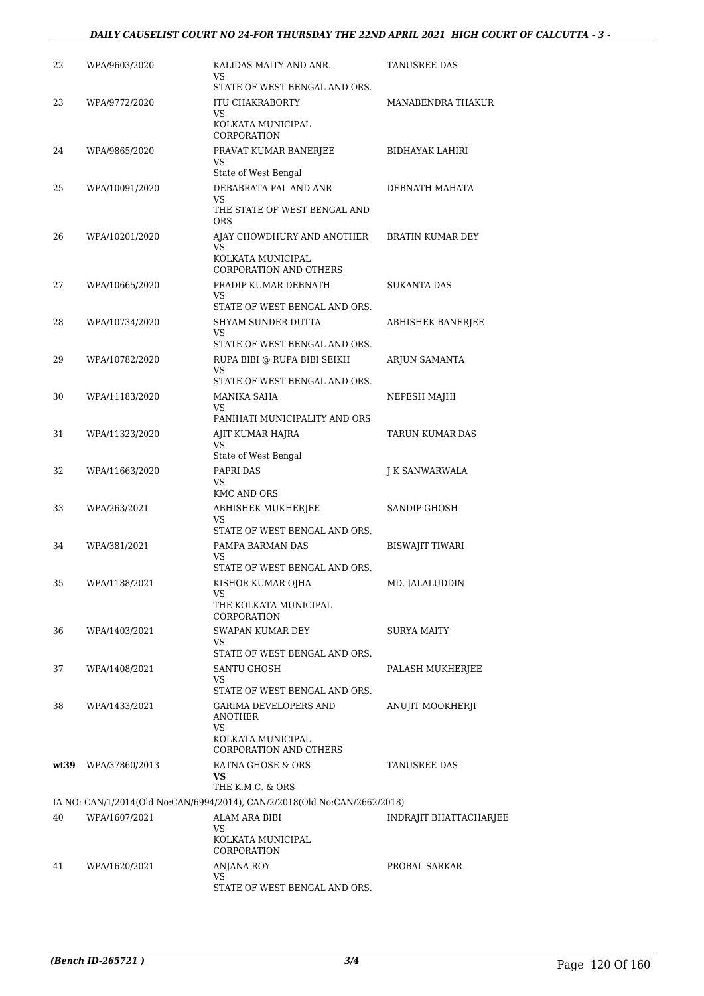| 22 | WPA/9603/2020       | KALIDAS MAITY AND ANR.<br>VS                                                                  | TANUSREE DAS            |
|----|---------------------|-----------------------------------------------------------------------------------------------|-------------------------|
| 23 | WPA/9772/2020       | STATE OF WEST BENGAL AND ORS.<br><b>ITU CHAKRABORTY</b><br>VS<br>KOLKATA MUNICIPAL            | MANABENDRA THAKUR       |
| 24 | WPA/9865/2020       | CORPORATION<br>PRAVAT KUMAR BANERJEE<br>VS                                                    | BIDHAYAK LAHIRI         |
| 25 | WPA/10091/2020      | State of West Bengal<br>DEBABRATA PAL AND ANR<br>VS<br>THE STATE OF WEST BENGAL AND           | DEBNATH MAHATA          |
| 26 | WPA/10201/2020      | <b>ORS</b><br>AJAY CHOWDHURY AND ANOTHER<br><b>VS</b>                                         | <b>BRATIN KUMAR DEY</b> |
| 27 | WPA/10665/2020      | KOLKATA MUNICIPAL<br><b>CORPORATION AND OTHERS</b><br>PRADIP KUMAR DEBNATH<br>VS              | <b>SUKANTA DAS</b>      |
| 28 | WPA/10734/2020      | STATE OF WEST BENGAL AND ORS.<br>SHYAM SUNDER DUTTA<br>VS                                     | ABHISHEK BANERJEE       |
| 29 | WPA/10782/2020      | STATE OF WEST BENGAL AND ORS.<br>RUPA BIBI @ RUPA BIBI SEIKH<br><b>VS</b>                     | ARJUN SAMANTA           |
| 30 | WPA/11183/2020      | STATE OF WEST BENGAL AND ORS.<br>MANIKA SAHA<br>VS                                            | NEPESH MAJHI            |
| 31 | WPA/11323/2020      | PANIHATI MUNICIPALITY AND ORS<br>AJIT KUMAR HAJRA<br>VS                                       | TARUN KUMAR DAS         |
| 32 | WPA/11663/2020      | State of West Bengal<br>PAPRI DAS<br>VS<br><b>KMC AND ORS</b>                                 | J K SANWARWALA          |
| 33 | WPA/263/2021        | ABHISHEK MUKHERJEE<br>VS<br>STATE OF WEST BENGAL AND ORS.                                     | SANDIP GHOSH            |
| 34 | WPA/381/2021        | PAMPA BARMAN DAS<br><b>VS</b><br>STATE OF WEST BENGAL AND ORS.                                | <b>BISWAJIT TIWARI</b>  |
| 35 | WPA/1188/2021       | KISHOR KUMAR OJHA<br>VS<br>THE KOLKATA MUNICIPAL                                              | MD. JALALUDDIN          |
| 36 | WPA/1403/2021       | CORPORATION<br>SWAPAN KUMAR DEY<br>VS                                                         | SURYA MAITY             |
| 37 | WPA/1408/2021       | STATE OF WEST BENGAL AND ORS.<br>SANTU GHOSH<br>VS<br>STATE OF WEST BENGAL AND ORS.           | PALASH MUKHERJEE        |
| 38 | WPA/1433/2021       | GARIMA DEVELOPERS AND<br>ANOTHER<br>VS<br>KOLKATA MUNICIPAL<br>CORPORATION AND OTHERS         | ANUJIT MOOKHERJI        |
|    | wt39 WPA/37860/2013 | RATNA GHOSE & ORS<br>VS                                                                       | TANUSREE DAS            |
|    |                     | THE K.M.C. & ORS<br>IA NO: CAN/1/2014(Old No:CAN/6994/2014), CAN/2/2018(Old No:CAN/2662/2018) |                         |
| 40 | WPA/1607/2021       | ALAM ARA BIBI<br>VS<br>KOLKATA MUNICIPAL                                                      | INDRAJIT BHATTACHARJEE  |
|    |                     | CORPORATION                                                                                   |                         |
| 41 | WPA/1620/2021       | <b>ANJANA ROY</b><br>VS<br>STATE OF WEST BENGAL AND ORS.                                      | PROBAL SARKAR           |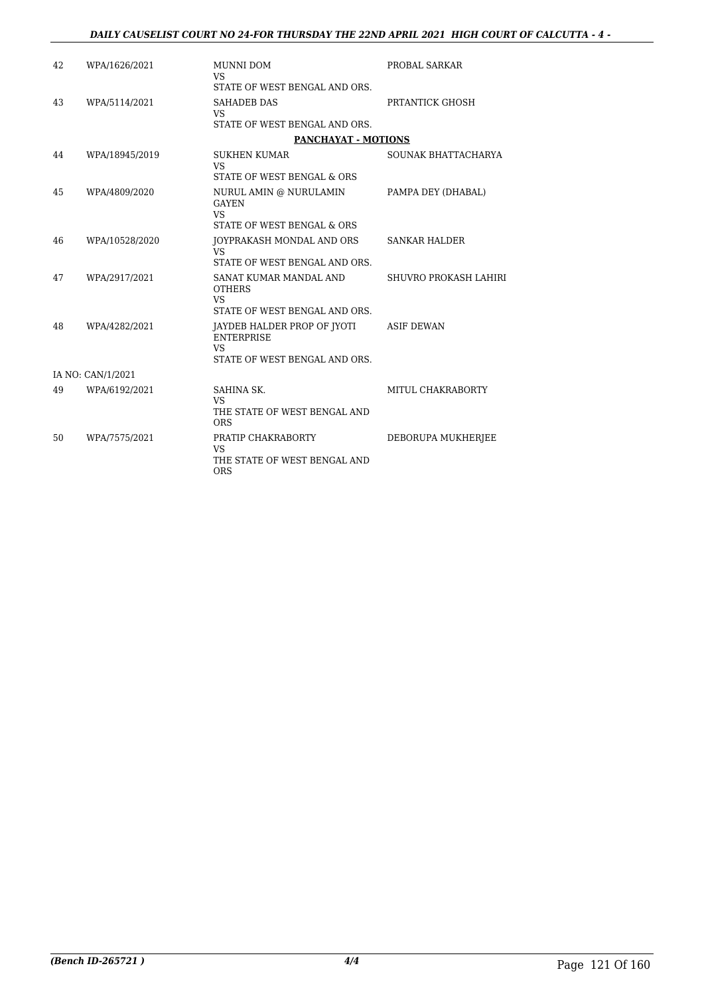| 42 | WPA/1626/2021     | MUNNI DOM<br><b>VS</b>                                                                         | PROBAL SARKAR         |
|----|-------------------|------------------------------------------------------------------------------------------------|-----------------------|
|    |                   | STATE OF WEST BENGAL AND ORS.                                                                  |                       |
| 43 | WPA/5114/2021     | <b>SAHADEB DAS</b><br>VS                                                                       | PRTANTICK GHOSH       |
|    |                   | STATE OF WEST BENGAL AND ORS.                                                                  |                       |
|    |                   | <b>PANCHAYAT - MOTIONS</b>                                                                     |                       |
| 44 | WPA/18945/2019    | <b>SUKHEN KUMAR</b><br><b>VS</b>                                                               | SOUNAK BHATTACHARYA   |
|    |                   | STATE OF WEST BENGAL & ORS                                                                     |                       |
| 45 | WPA/4809/2020     | NURUL AMIN @ NURULAMIN<br><b>GAYEN</b><br><b>VS</b><br>STATE OF WEST BENGAL & ORS              | PAMPA DEY (DHABAL)    |
|    |                   |                                                                                                |                       |
| 46 | WPA/10528/2020    | JOYPRAKASH MONDAL AND ORS<br>VS.                                                               | <b>SANKAR HALDER</b>  |
|    |                   | STATE OF WEST BENGAL AND ORS.                                                                  |                       |
| 47 | WPA/2917/2021     | SANAT KUMAR MANDAL AND<br><b>OTHERS</b><br><b>VS</b><br>STATE OF WEST BENGAL AND ORS.          | SHUVRO PROKASH LAHIRI |
| 48 | WPA/4282/2021     | JAYDEB HALDER PROP OF JYOTI<br><b>ENTERPRISE</b><br><b>VS</b><br>STATE OF WEST BENGAL AND ORS. | <b>ASIF DEWAN</b>     |
|    | IA NO: CAN/1/2021 |                                                                                                |                       |
| 49 | WPA/6192/2021     | SAHINA SK.<br><b>VS</b><br>THE STATE OF WEST BENGAL AND<br><b>ORS</b>                          | MITUL CHAKRABORTY     |
| 50 | WPA/7575/2021     | PRATIP CHAKRABORTY<br><b>VS</b><br>THE STATE OF WEST BENGAL AND<br><b>ORS</b>                  | DEBORUPA MUKHERJEE    |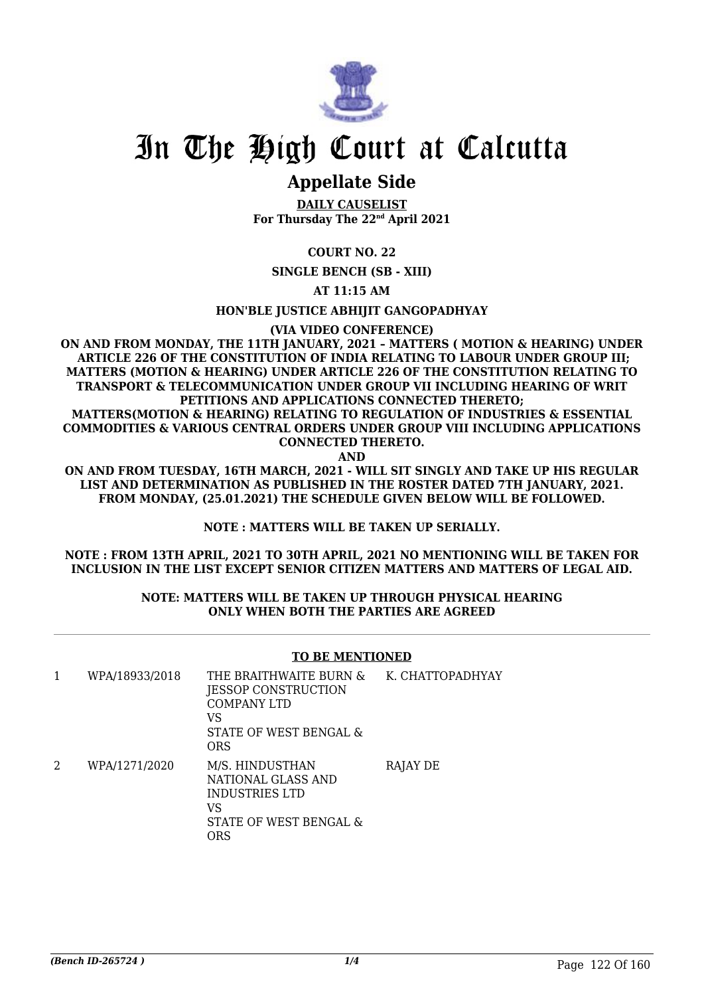

### **Appellate Side**

**DAILY CAUSELIST For Thursday The 22nd April 2021**

**COURT NO. 22**

**SINGLE BENCH (SB - XIII)**

**AT 11:15 AM**

**HON'BLE JUSTICE ABHIJIT GANGOPADHYAY**

**(VIA VIDEO CONFERENCE)**

**ON AND FROM MONDAY, THE 11TH JANUARY, 2021 – MATTERS ( MOTION & HEARING) UNDER ARTICLE 226 OF THE CONSTITUTION OF INDIA RELATING TO LABOUR UNDER GROUP III; MATTERS (MOTION & HEARING) UNDER ARTICLE 226 OF THE CONSTITUTION RELATING TO TRANSPORT & TELECOMMUNICATION UNDER GROUP VII INCLUDING HEARING OF WRIT PETITIONS AND APPLICATIONS CONNECTED THERETO;**

**MATTERS(MOTION & HEARING) RELATING TO REGULATION OF INDUSTRIES & ESSENTIAL COMMODITIES & VARIOUS CENTRAL ORDERS UNDER GROUP VIII INCLUDING APPLICATIONS CONNECTED THERETO.**

**AND**

**ON AND FROM TUESDAY, 16TH MARCH, 2021 - WILL SIT SINGLY AND TAKE UP HIS REGULAR LIST AND DETERMINATION AS PUBLISHED IN THE ROSTER DATED 7TH JANUARY, 2021. FROM MONDAY, (25.01.2021) THE SCHEDULE GIVEN BELOW WILL BE FOLLOWED.**

**NOTE : MATTERS WILL BE TAKEN UP SERIALLY.**

**NOTE : FROM 13TH APRIL, 2021 TO 30TH APRIL, 2021 NO MENTIONING WILL BE TAKEN FOR INCLUSION IN THE LIST EXCEPT SENIOR CITIZEN MATTERS AND MATTERS OF LEGAL AID.**

#### **NOTE: MATTERS WILL BE TAKEN UP THROUGH PHYSICAL HEARING ONLY WHEN BOTH THE PARTIES ARE AGREED**

#### **TO BE MENTIONED**

| 1 | WPA/18933/2018 | THE BRAITHWAITE BURN &<br>JESSOP CONSTRUCTION<br><b>COMPANY LTD</b><br>VS<br>STATE OF WEST BENGAL &<br>ORS | K. CHATTOPADHYAY |
|---|----------------|------------------------------------------------------------------------------------------------------------|------------------|
| 2 | WPA/1271/2020  | M/S. HINDUSTHAN<br>NATIONAL GLASS AND<br>INDUSTRIES LTD<br>VS<br>STATE OF WEST BENGAL &<br>ORS             | RAJAY DE         |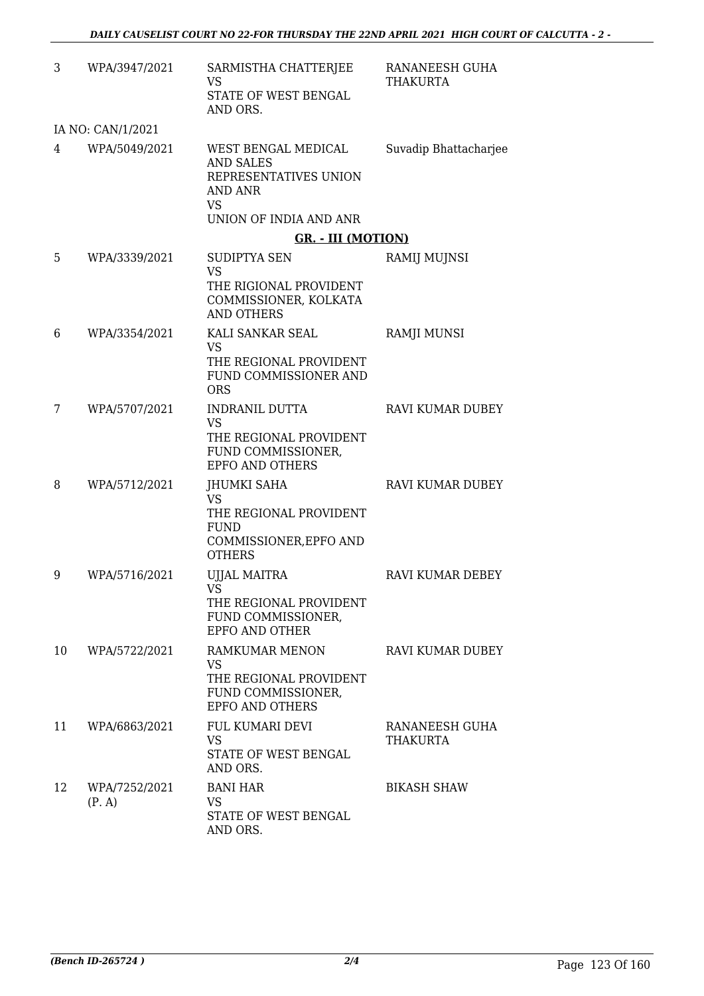| 3  | WPA/3947/2021           | SARMISTHA CHATTERJEE<br>VS<br>STATE OF WEST BENGAL<br>AND ORS.                                                     | RANANEESH GUHA<br><b>THAKURTA</b> |
|----|-------------------------|--------------------------------------------------------------------------------------------------------------------|-----------------------------------|
|    | IA NO: CAN/1/2021       |                                                                                                                    |                                   |
| 4  | WPA/5049/2021           | WEST BENGAL MEDICAL<br><b>AND SALES</b><br>REPRESENTATIVES UNION<br>AND ANR<br><b>VS</b><br>UNION OF INDIA AND ANR | Suvadip Bhattacharjee             |
|    |                         | <b>GR. - III (MOTION)</b>                                                                                          |                                   |
| 5  | WPA/3339/2021           | SUDIPTYA SEN<br><b>VS</b><br>THE RIGIONAL PROVIDENT<br>COMMISSIONER, KOLKATA<br><b>AND OTHERS</b>                  | RAMIJ MUJNSI                      |
| 6  | WPA/3354/2021           | KALI SANKAR SEAL<br><b>VS</b><br>THE REGIONAL PROVIDENT<br><b>FUND COMMISSIONER AND</b><br><b>ORS</b>              | <b>RAMJI MUNSI</b>                |
| 7  | WPA/5707/2021           | <b>INDRANIL DUTTA</b><br><b>VS</b><br>THE REGIONAL PROVIDENT<br>FUND COMMISSIONER,<br><b>EPFO AND OTHERS</b>       | <b>RAVI KUMAR DUBEY</b>           |
| 8  | WPA/5712/2021           | JHUMKI SAHA<br><b>VS</b><br>THE REGIONAL PROVIDENT<br><b>FUND</b><br>COMMISSIONER, EPFO AND<br><b>OTHERS</b>       | <b>RAVI KUMAR DUBEY</b>           |
| 9  | WPA/5716/2021           | UJJAL MAITRA<br>VS<br>THE REGIONAL PROVIDENT<br>FUND COMMISSIONER,<br>EPFO AND OTHER                               | RAVI KUMAR DEBEY                  |
| 10 | WPA/5722/2021           | RAMKUMAR MENON<br><b>VS</b><br>THE REGIONAL PROVIDENT<br>FUND COMMISSIONER,<br><b>EPFO AND OTHERS</b>              | RAVI KUMAR DUBEY                  |
| 11 | WPA/6863/2021           | FUL KUMARI DEVI<br>VS<br>STATE OF WEST BENGAL<br>AND ORS.                                                          | RANANEESH GUHA<br><b>THAKURTA</b> |
| 12 | WPA/7252/2021<br>(P, A) | <b>BANI HAR</b><br><b>VS</b><br>STATE OF WEST BENGAL<br>AND ORS.                                                   | <b>BIKASH SHAW</b>                |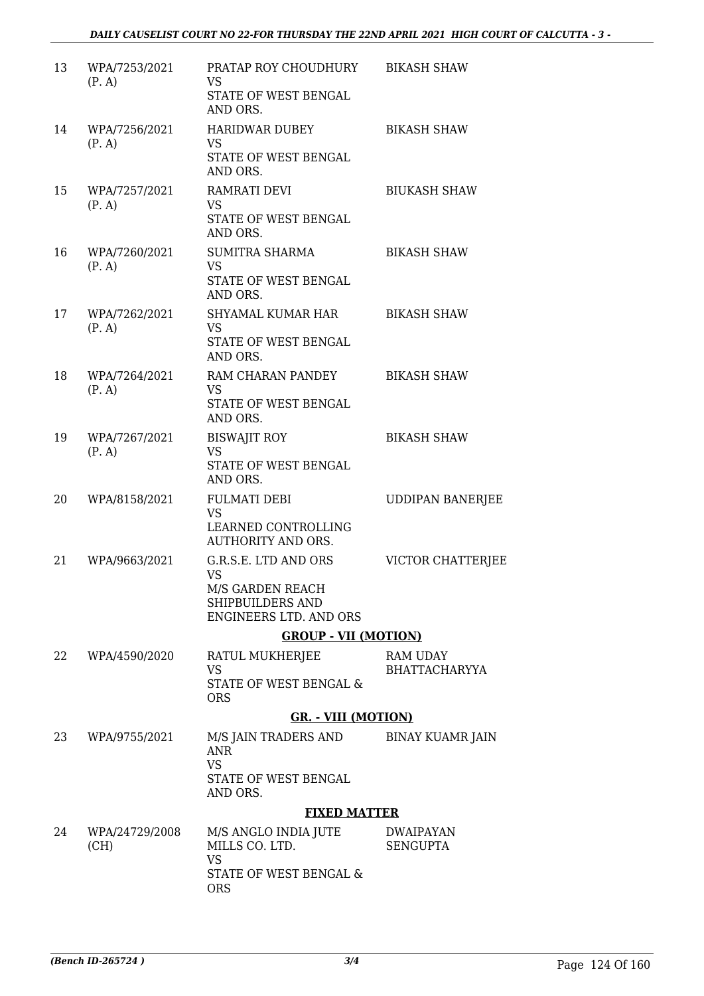| 13 | WPA/7253/2021<br>(P, A) | PRATAP ROY CHOUDHURY<br><b>VS</b><br>STATE OF WEST BENGAL             | <b>BIKASH SHAW</b>                  |
|----|-------------------------|-----------------------------------------------------------------------|-------------------------------------|
|    |                         | AND ORS.                                                              |                                     |
| 14 | WPA/7256/2021<br>(P, A) | HARIDWAR DUBEY<br><b>VS</b><br>STATE OF WEST BENGAL                   | <b>BIKASH SHAW</b>                  |
|    |                         | AND ORS.                                                              |                                     |
| 15 | WPA/7257/2021<br>(P, A) | RAMRATI DEVI<br><b>VS</b>                                             | <b>BIUKASH SHAW</b>                 |
|    |                         | STATE OF WEST BENGAL<br>AND ORS.                                      |                                     |
| 16 | WPA/7260/2021<br>(P, A) | <b>SUMITRA SHARMA</b><br><b>VS</b>                                    | <b>BIKASH SHAW</b>                  |
|    |                         | STATE OF WEST BENGAL<br>AND ORS.                                      |                                     |
| 17 | WPA/7262/2021<br>(P, A) | SHYAMAL KUMAR HAR<br><b>VS</b>                                        | <b>BIKASH SHAW</b>                  |
|    |                         | STATE OF WEST BENGAL<br>AND ORS.                                      |                                     |
| 18 | WPA/7264/2021<br>(P, A) | RAM CHARAN PANDEY<br>VS                                               | <b>BIKASH SHAW</b>                  |
|    |                         | STATE OF WEST BENGAL<br>AND ORS.                                      |                                     |
| 19 | WPA/7267/2021<br>(P, A) | <b>BISWAJIT ROY</b><br><b>VS</b>                                      | <b>BIKASH SHAW</b>                  |
|    |                         | STATE OF WEST BENGAL<br>AND ORS.                                      |                                     |
| 20 | WPA/8158/2021           | <b>FULMATI DEBI</b><br><b>VS</b>                                      | <b>UDDIPAN BANERJEE</b>             |
|    |                         | LEARNED CONTROLLING<br><b>AUTHORITY AND ORS.</b>                      |                                     |
| 21 | WPA/9663/2021           | G.R.S.E. LTD AND ORS<br><b>VS</b>                                     | VICTOR CHATTERJEE                   |
|    |                         | M/S GARDEN REACH<br>SHIPBUILDERS AND<br><b>ENGINEERS LTD. AND ORS</b> |                                     |
|    |                         | <b>GROUP - VII (MOTION)</b>                                           |                                     |
| 22 | WPA/4590/2020           | RATUL MUKHERJEE                                                       | RAM UDAY                            |
|    |                         | VS<br>STATE OF WEST BENGAL &                                          | <b>BHATTACHARYYA</b>                |
|    |                         | <b>ORS</b><br><b>GR. - VIII (MOTION)</b>                              |                                     |
| 23 | WPA/9755/2021           | M/S JAIN TRADERS AND                                                  | BINAY KUAMR JAIN                    |
|    |                         | <b>ANR</b><br><b>VS</b>                                               |                                     |
|    |                         | STATE OF WEST BENGAL<br>AND ORS.                                      |                                     |
|    |                         | <b>FIXED MATTER</b>                                                   |                                     |
| 24 | WPA/24729/2008<br>(CH)  | M/S ANGLO INDIA JUTE<br>MILLS CO. LTD.<br><b>VS</b>                   | <b>DWAIPAYAN</b><br><b>SENGUPTA</b> |
|    |                         | STATE OF WEST BENGAL &                                                |                                     |

ORS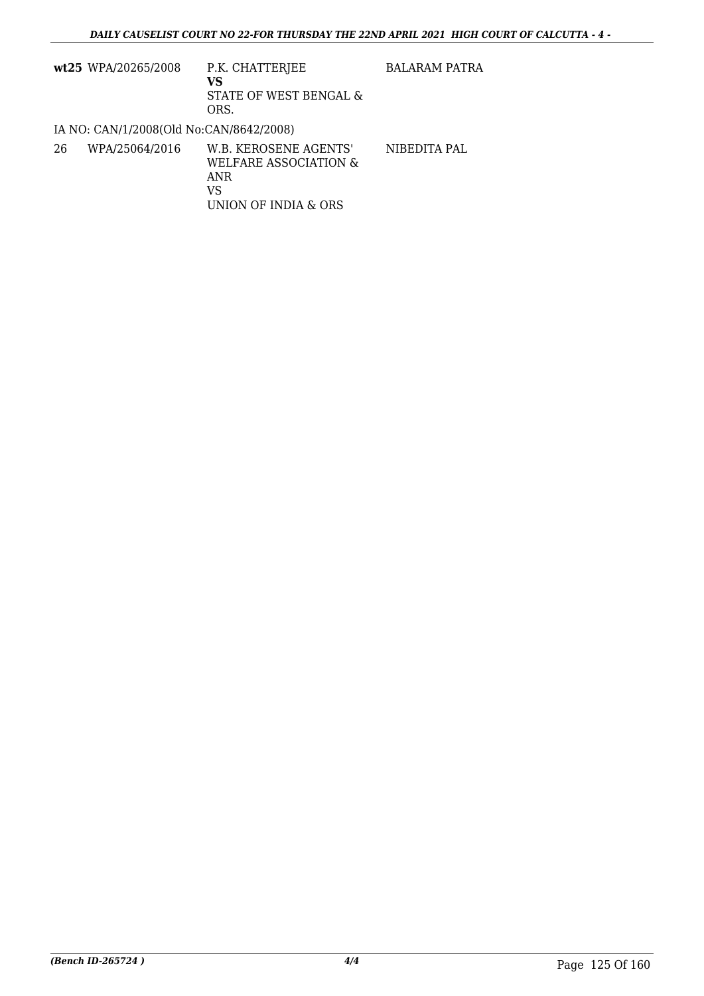|    | wt25 WPA/20265/2008                     | P.K. CHATTERJEE<br>VS<br>STATE OF WEST BENGAL &<br>ORS.                             | <b>BALARAM PATRA</b> |
|----|-----------------------------------------|-------------------------------------------------------------------------------------|----------------------|
|    | IA NO: CAN/1/2008(Old No:CAN/8642/2008) |                                                                                     |                      |
| 26 | WPA/25064/2016                          | W.B. KEROSENE AGENTS'<br>WELFARE ASSOCIATION &<br>ANR<br>VS<br>UNION OF INDIA & ORS | NIBEDITA PAL         |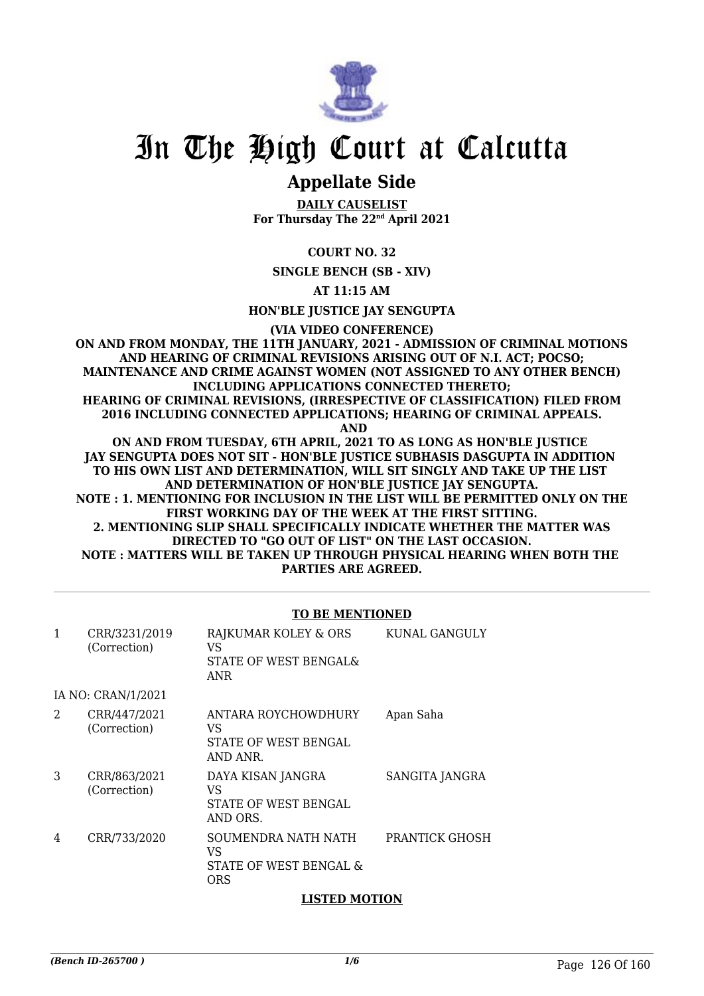

### **Appellate Side**

**DAILY CAUSELIST For Thursday The 22nd April 2021**

**COURT NO. 32**

**SINGLE BENCH (SB - XIV)**

**AT 11:15 AM**

**HON'BLE JUSTICE JAY SENGUPTA**

**(VIA VIDEO CONFERENCE)**

**ON AND FROM MONDAY, THE 11TH JANUARY, 2021 - ADMISSION OF CRIMINAL MOTIONS AND HEARING OF CRIMINAL REVISIONS ARISING OUT OF N.I. ACT; POCSO; MAINTENANCE AND CRIME AGAINST WOMEN (NOT ASSIGNED TO ANY OTHER BENCH) INCLUDING APPLICATIONS CONNECTED THERETO; HEARING OF CRIMINAL REVISIONS, (IRRESPECTIVE OF CLASSIFICATION) FILED FROM 2016 INCLUDING CONNECTED APPLICATIONS; HEARING OF CRIMINAL APPEALS. AND**

**ON AND FROM TUESDAY, 6TH APRIL, 2021 TO AS LONG AS HON'BLE JUSTICE JAY SENGUPTA DOES NOT SIT - HON'BLE JUSTICE SUBHASIS DASGUPTA IN ADDITION TO HIS OWN LIST AND DETERMINATION, WILL SIT SINGLY AND TAKE UP THE LIST AND DETERMINATION OF HON'BLE JUSTICE JAY SENGUPTA. NOTE : 1. MENTIONING FOR INCLUSION IN THE LIST WILL BE PERMITTED ONLY ON THE FIRST WORKING DAY OF THE WEEK AT THE FIRST SITTING. 2. MENTIONING SLIP SHALL SPECIFICALLY INDICATE WHETHER THE MATTER WAS DIRECTED TO "GO OUT OF LIST" ON THE LAST OCCASION. NOTE : MATTERS WILL BE TAKEN UP THROUGH PHYSICAL HEARING WHEN BOTH THE PARTIES ARE AGREED.**

#### **TO BE MENTIONED**

| 1              | CRR/3231/2019<br>(Correction) | RAJKUMAR KOLEY & ORS<br>VS<br>STATE OF WEST BENGAL&<br><b>ANR</b> | KUNAL GANGULY  |
|----------------|-------------------------------|-------------------------------------------------------------------|----------------|
|                | IA NO: CRAN/1/2021            |                                                                   |                |
| $\mathfrak{D}$ | CRR/447/2021<br>(Correction)  | ANTARA ROYCHOWDHURY<br>VS<br>STATE OF WEST BENGAL<br>AND ANR.     | Apan Saha      |
| 3              | CRR/863/2021<br>(Correction)  | DAYA KISAN JANGRA<br>VS<br>STATE OF WEST BENGAL<br>AND ORS.       | SANGITA JANGRA |
| 4              | CRR/733/2020                  | SOUMENDRA NATH NATH<br>VS<br>STATE OF WEST BENGAL &<br><b>ORS</b> | PRANTICK GHOSH |

#### **LISTED MOTION**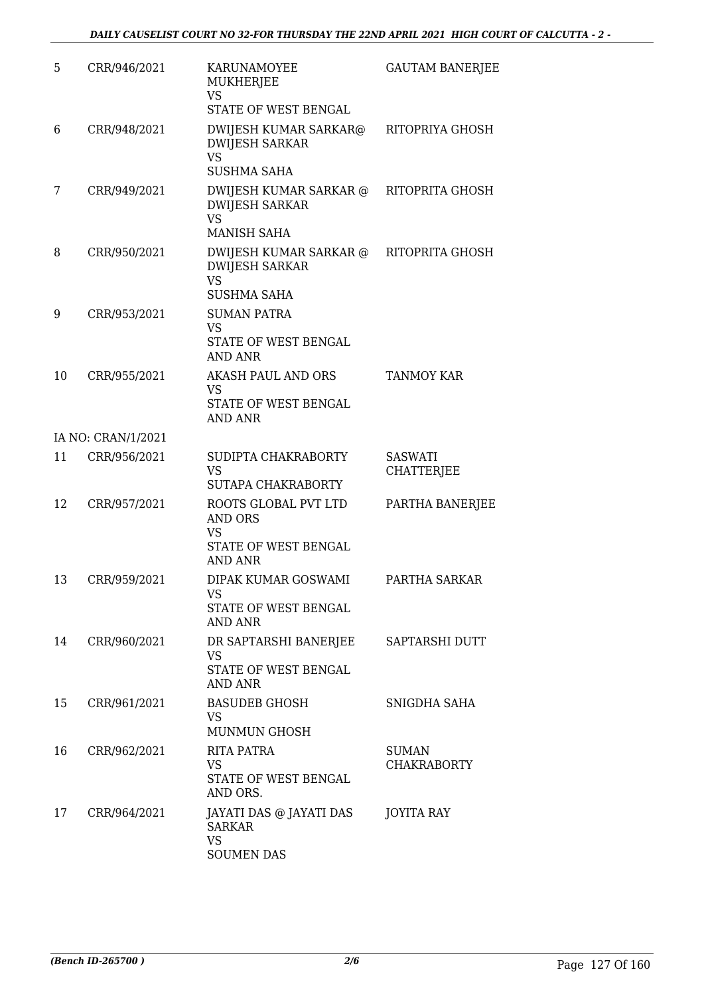| 5  | CRR/946/2021       | KARUNAMOYEE<br>MUKHERJEE                                                                      | <b>GAUTAM BANERJEE</b>             |
|----|--------------------|-----------------------------------------------------------------------------------------------|------------------------------------|
|    |                    | VS<br>STATE OF WEST BENGAL                                                                    |                                    |
| 6  | CRR/948/2021       | DWIJESH KUMAR SARKAR@<br><b>DWIJESH SARKAR</b><br><b>VS</b>                                   | RITOPRIYA GHOSH                    |
| 7  | CRR/949/2021       | <b>SUSHMA SAHA</b><br>DWIJESH KUMAR SARKAR @<br><b>DWIJESH SARKAR</b>                         | RITOPRITA GHOSH                    |
|    |                    | <b>VS</b><br><b>MANISH SAHA</b>                                                               |                                    |
| 8  | CRR/950/2021       | DWIJESH KUMAR SARKAR @<br><b>DWIJESH SARKAR</b><br><b>VS</b><br><b>SUSHMA SAHA</b>            | RITOPRITA GHOSH                    |
| 9  | CRR/953/2021       | <b>SUMAN PATRA</b><br><b>VS</b><br>STATE OF WEST BENGAL<br><b>AND ANR</b>                     |                                    |
| 10 | CRR/955/2021       | AKASH PAUL AND ORS<br><b>VS</b><br>STATE OF WEST BENGAL<br><b>AND ANR</b>                     | <b>TANMOY KAR</b>                  |
|    | IA NO: CRAN/1/2021 |                                                                                               |                                    |
| 11 | CRR/956/2021       | SUDIPTA CHAKRABORTY<br><b>VS</b><br>SUTAPA CHAKRABORTY                                        | SASWATI<br>CHATTERJEE              |
| 12 | CRR/957/2021       | ROOTS GLOBAL PVT LTD<br><b>AND ORS</b><br><b>VS</b><br>STATE OF WEST BENGAL<br><b>AND ANR</b> | PARTHA BANERJEE                    |
| 13 | CRR/959/2021       | DIPAK KUMAR GOSWAMI<br>VS<br>STATE OF WEST BENGAL<br><b>AND ANR</b>                           | PARTHA SARKAR                      |
| 14 | CRR/960/2021       | DR SAPTARSHI BANERJEE<br><b>VS</b><br>STATE OF WEST BENGAL<br><b>AND ANR</b>                  | SAPTARSHI DUTT                     |
| 15 | CRR/961/2021       | <b>BASUDEB GHOSH</b><br><b>VS</b><br><b>MUNMUN GHOSH</b>                                      | SNIGDHA SAHA                       |
| 16 | CRR/962/2021       | RITA PATRA<br><b>VS</b><br>STATE OF WEST BENGAL<br>AND ORS.                                   | <b>SUMAN</b><br><b>CHAKRABORTY</b> |
| 17 | CRR/964/2021       | JAYATI DAS @ JAYATI DAS<br><b>SARKAR</b><br><b>VS</b><br><b>SOUMEN DAS</b>                    | <b>JOYITA RAY</b>                  |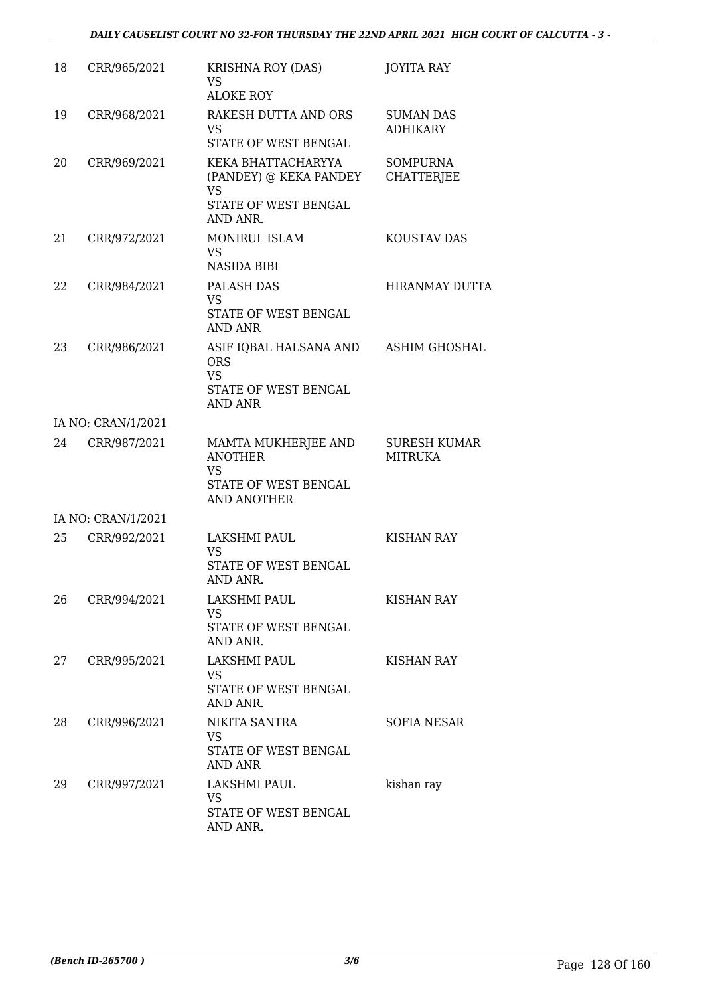| 18 | CRR/965/2021       | <b>KRISHNA ROY (DAS)</b><br><b>VS</b><br><b>ALOKE ROY</b>                                     | <b>JOYITA RAY</b>                     |
|----|--------------------|-----------------------------------------------------------------------------------------------|---------------------------------------|
| 19 | CRR/968/2021       | RAKESH DUTTA AND ORS<br><b>VS</b><br>STATE OF WEST BENGAL                                     | <b>SUMAN DAS</b><br><b>ADHIKARY</b>   |
| 20 | CRR/969/2021       | KEKA BHATTACHARYYA<br>(PANDEY) @ KEKA PANDEY<br><b>VS</b><br>STATE OF WEST BENGAL<br>AND ANR. | <b>SOMPURNA</b><br><b>CHATTERJEE</b>  |
| 21 | CRR/972/2021       | MONIRUL ISLAM<br><b>VS</b><br><b>NASIDA BIBI</b>                                              | KOUSTAV DAS                           |
| 22 | CRR/984/2021       | PALASH DAS<br><b>VS</b><br>STATE OF WEST BENGAL<br><b>AND ANR</b>                             | <b>HIRANMAY DUTTA</b>                 |
| 23 | CRR/986/2021       | ASIF IQBAL HALSANA AND<br><b>ORS</b><br><b>VS</b><br>STATE OF WEST BENGAL<br><b>AND ANR</b>   | ASHIM GHOSHAL                         |
|    | IA NO: CRAN/1/2021 |                                                                                               |                                       |
| 24 | CRR/987/2021       | MAMTA MUKHERJEE AND<br><b>ANOTHER</b><br><b>VS</b><br>STATE OF WEST BENGAL                    | <b>SURESH KUMAR</b><br><b>MITRUKA</b> |
|    | IA NO: CRAN/1/2021 | <b>AND ANOTHER</b>                                                                            |                                       |
| 25 | CRR/992/2021       | LAKSHMI PAUL                                                                                  | <b>KISHAN RAY</b>                     |
|    |                    | <b>VS</b><br>STATE OF WEST BENGAL<br>AND ANR.                                                 |                                       |
| 26 | CRR/994/2021       | LAKSHMI PAUL<br><b>VS</b><br>STATE OF WEST BENGAL<br>AND ANR.                                 | <b>KISHAN RAY</b>                     |
| 27 | CRR/995/2021       | LAKSHMI PAUL<br><b>VS</b><br>STATE OF WEST BENGAL<br>AND ANR.                                 | KISHAN RAY                            |
| 28 | CRR/996/2021       | NIKITA SANTRA<br>VS<br>STATE OF WEST BENGAL<br>AND ANR                                        | SOFIA NESAR                           |
| 29 | CRR/997/2021       | LAKSHMI PAUL<br>VS<br>STATE OF WEST BENGAL<br>AND ANR.                                        | kishan ray                            |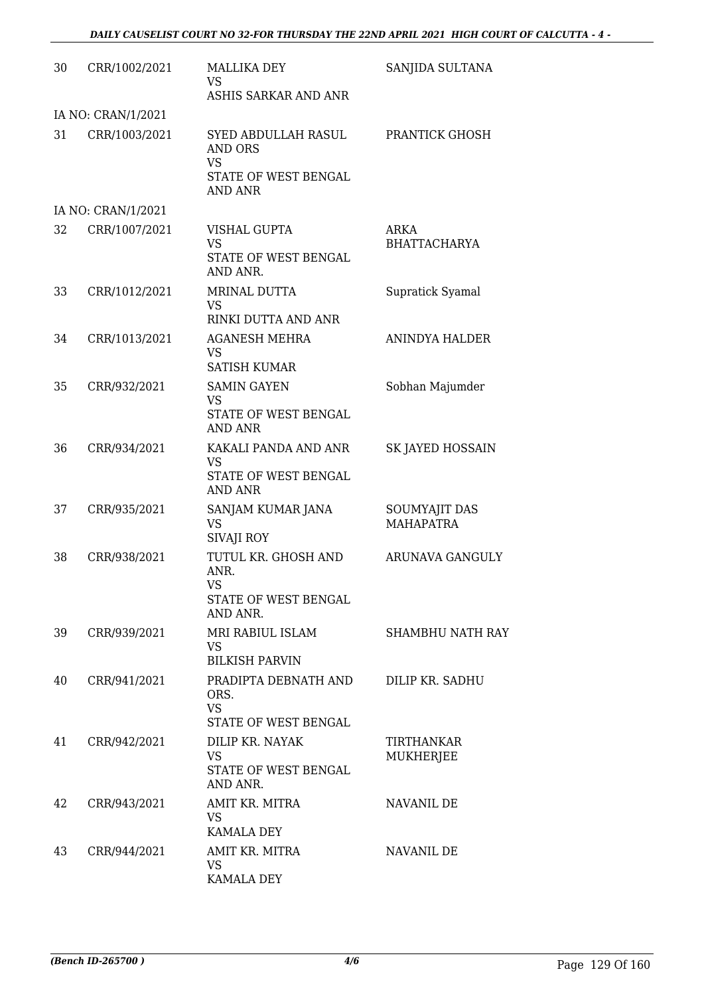| 30 | CRR/1002/2021      | <b>MALLIKA DEY</b><br><b>VS</b><br>ASHIS SARKAR AND ANR                               | SANJIDA SULTANA                   |
|----|--------------------|---------------------------------------------------------------------------------------|-----------------------------------|
|    | IA NO: CRAN/1/2021 |                                                                                       |                                   |
| 31 | CRR/1003/2021      | SYED ABDULLAH RASUL<br>AND ORS<br><b>VS</b><br>STATE OF WEST BENGAL<br><b>AND ANR</b> | PRANTICK GHOSH                    |
|    | IA NO: CRAN/1/2021 |                                                                                       |                                   |
| 32 | CRR/1007/2021      | VISHAL GUPTA<br><b>VS</b><br>STATE OF WEST BENGAL                                     | ARKA<br><b>BHATTACHARYA</b>       |
| 33 | CRR/1012/2021      | AND ANR.<br>MRINAL DUTTA<br>VS.<br>RINKI DUTTA AND ANR                                | Supratick Syamal                  |
| 34 | CRR/1013/2021      | <b>AGANESH MEHRA</b><br><b>VS</b><br><b>SATISH KUMAR</b>                              | <b>ANINDYA HALDER</b>             |
| 35 | CRR/932/2021       | <b>SAMIN GAYEN</b><br><b>VS</b><br>STATE OF WEST BENGAL<br><b>AND ANR</b>             | Sobhan Majumder                   |
| 36 | CRR/934/2021       | KAKALI PANDA AND ANR<br><b>VS</b><br>STATE OF WEST BENGAL<br><b>AND ANR</b>           | SK JAYED HOSSAIN                  |
| 37 | CRR/935/2021       | SANJAM KUMAR JANA<br><b>VS</b><br><b>SIVAJI ROY</b>                                   | SOUMYAJIT DAS<br><b>MAHAPATRA</b> |
| 38 | CRR/938/2021       | TUTUL KR. GHOSH AND<br>ANR.<br><b>VS</b><br>STATE OF WEST BENGAL<br>AND ANR.          | ARUNAVA GANGULY                   |
| 39 | CRR/939/2021       | MRI RABIUL ISLAM<br><b>VS</b><br><b>BILKISH PARVIN</b>                                | SHAMBHU NATH RAY                  |
| 40 | CRR/941/2021       | PRADIPTA DEBNATH AND<br>ORS.<br><b>VS</b><br><b>STATE OF WEST BENGAL</b>              | DILIP KR. SADHU                   |
| 41 | CRR/942/2021       | DILIP KR. NAYAK<br>VS<br>STATE OF WEST BENGAL<br>AND ANR.                             | TIRTHANKAR<br><b>MUKHERJEE</b>    |
| 42 | CRR/943/2021       | AMIT KR. MITRA<br>VS.<br><b>KAMALA DEY</b>                                            | NAVANIL DE                        |
| 43 | CRR/944/2021       | AMIT KR. MITRA<br><b>VS</b><br>KAMALA DEY                                             | NAVANIL DE                        |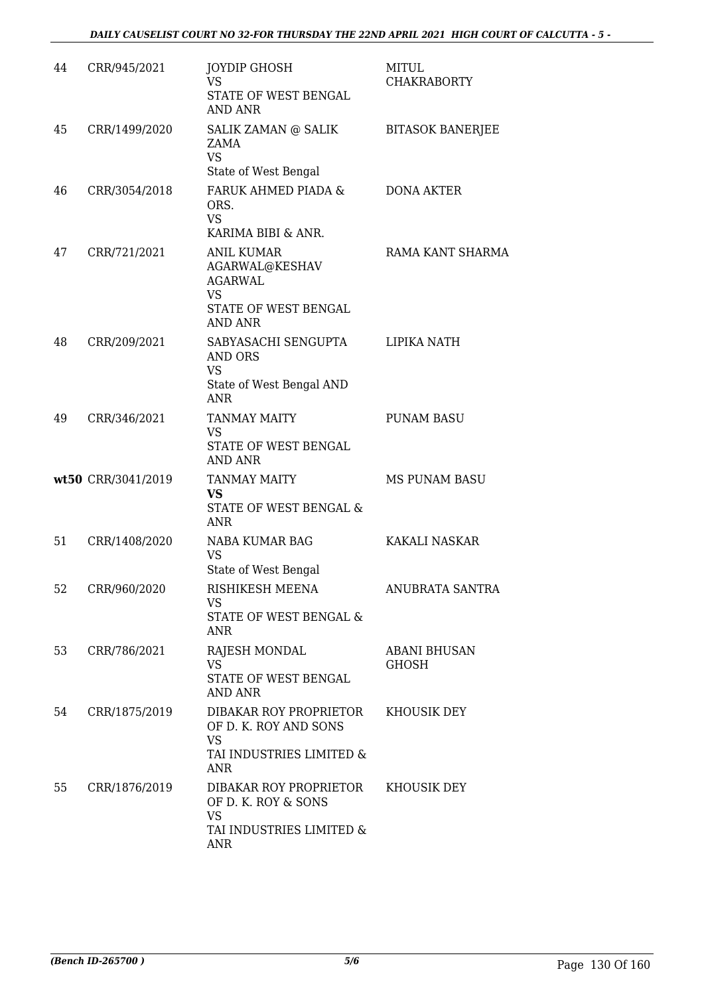| 44 | CRR/945/2021       | <b>JOYDIP GHOSH</b><br><b>VS</b><br><b>STATE OF WEST BENGAL</b><br>AND ANR                                   | <b>MITUL</b><br><b>CHAKRABORTY</b>  |
|----|--------------------|--------------------------------------------------------------------------------------------------------------|-------------------------------------|
| 45 | CRR/1499/2020      | SALIK ZAMAN @ SALIK<br>ZAMA<br><b>VS</b><br>State of West Bengal                                             | <b>BITASOK BANERJEE</b>             |
| 46 | CRR/3054/2018      | FARUK AHMED PIADA &<br>ORS.<br><b>VS</b><br>KARIMA BIBI & ANR.                                               | <b>DONA AKTER</b>                   |
| 47 | CRR/721/2021       | <b>ANIL KUMAR</b><br>AGARWAL@KESHAV<br><b>AGARWAL</b><br><b>VS</b><br>STATE OF WEST BENGAL<br><b>AND ANR</b> | RAMA KANT SHARMA                    |
| 48 | CRR/209/2021       | SABYASACHI SENGUPTA<br><b>AND ORS</b><br><b>VS</b><br>State of West Bengal AND<br><b>ANR</b>                 | LIPIKA NATH                         |
| 49 | CRR/346/2021       | <b>TANMAY MAITY</b><br>VS<br>STATE OF WEST BENGAL<br>AND ANR                                                 | <b>PUNAM BASU</b>                   |
|    | wt50 CRR/3041/2019 | <b>TANMAY MAITY</b><br><b>VS</b><br>STATE OF WEST BENGAL &<br><b>ANR</b>                                     | <b>MS PUNAM BASU</b>                |
| 51 | CRR/1408/2020      | NABA KUMAR BAG<br><b>VS</b><br>State of West Bengal                                                          | <b>KAKALI NASKAR</b>                |
| 52 | CRR/960/2020       | RISHIKESH MEENA<br><b>VS</b><br>STATE OF WEST BENGAL &<br><b>ANR</b>                                         | ANUBRATA SANTRA                     |
| 53 | CRR/786/2021       | RAJESH MONDAL<br><b>VS</b><br>STATE OF WEST BENGAL<br><b>AND ANR</b>                                         | <b>ABANI BHUSAN</b><br><b>GHOSH</b> |
| 54 | CRR/1875/2019      | DIBAKAR ROY PROPRIETOR<br>OF D. K. ROY AND SONS<br><b>VS</b><br>TAI INDUSTRIES LIMITED &<br><b>ANR</b>       | KHOUSIK DEY                         |
| 55 | CRR/1876/2019      | DIBAKAR ROY PROPRIETOR<br>OF D. K. ROY & SONS<br><b>VS</b><br>TAI INDUSTRIES LIMITED &<br><b>ANR</b>         | KHOUSIK DEY                         |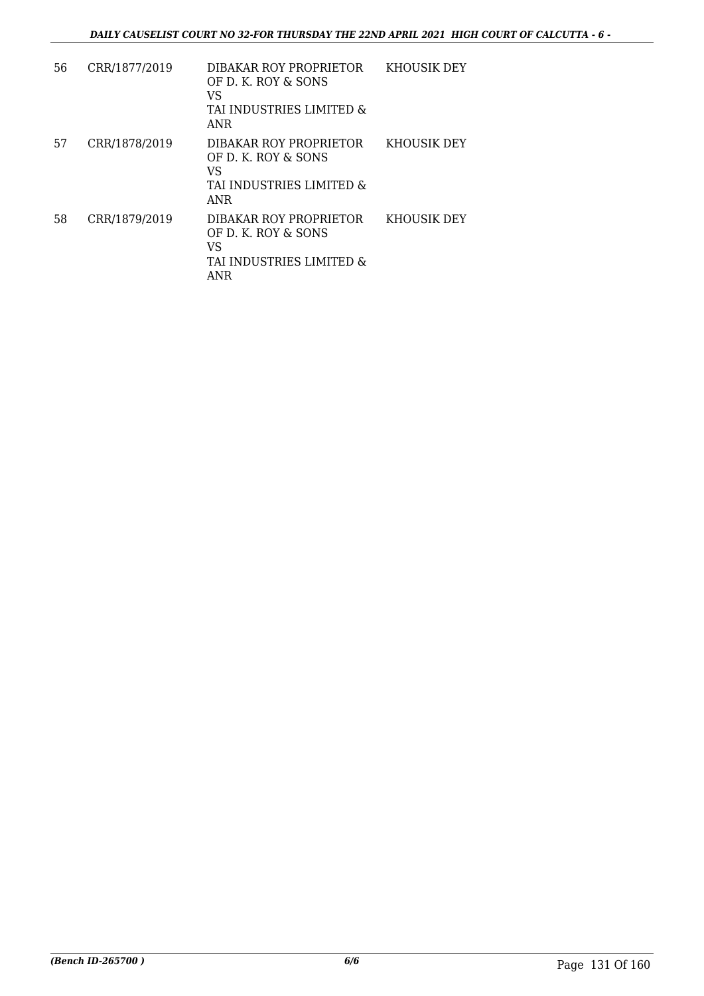| 56 | CRR/1877/2019 | DIBAKAR ROY PROPRIETOR<br>OF D. K. ROY & SONS<br>VS<br>TAI INDUSTRIES LIMITED &<br>ANR        | KHOUSIK DEY |
|----|---------------|-----------------------------------------------------------------------------------------------|-------------|
| 57 | CRR/1878/2019 | DIBAKAR ROY PROPRIETOR<br>OF D. K. ROY & SONS<br>VS<br>TAI INDUSTRIES LIMITED &<br><b>ANR</b> | KHOUSIK DEY |
| 58 | CRR/1879/2019 | DIBAKAR ROY PROPRIETOR<br>OF D. K. ROY & SONS<br>VS<br>TAI INDUSTRIES LIMITED &<br><b>ANR</b> | KHOUSIK DEY |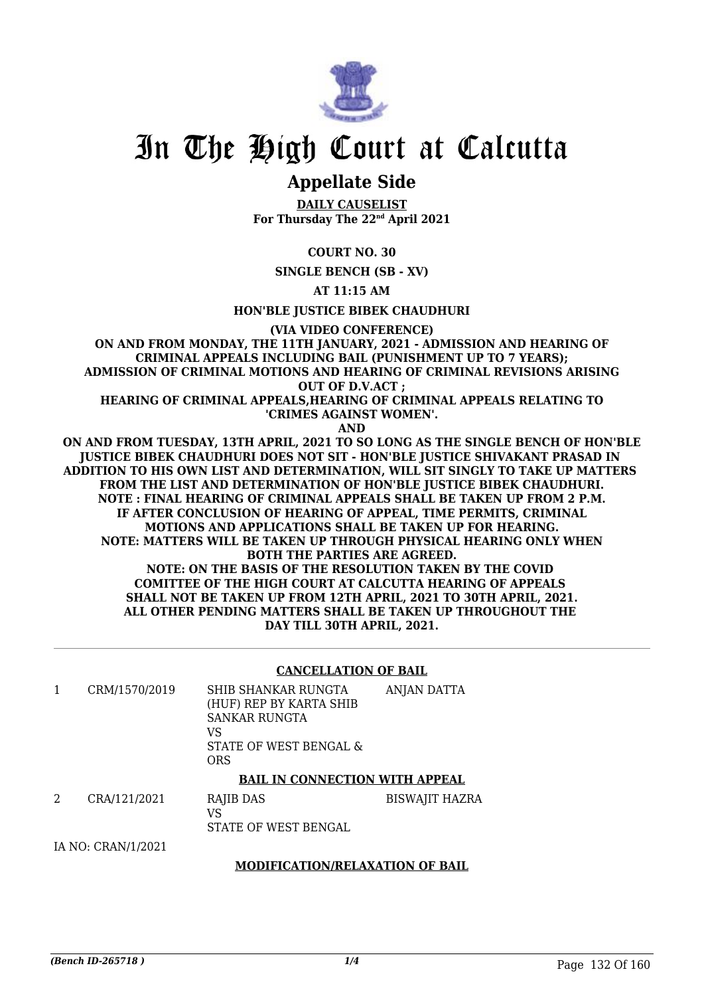

### **Appellate Side**

**DAILY CAUSELIST For Thursday The 22nd April 2021**

**COURT NO. 30**

**SINGLE BENCH (SB - XV)**

**AT 11:15 AM**

**HON'BLE JUSTICE BIBEK CHAUDHURI**

**(VIA VIDEO CONFERENCE)**

**ON AND FROM MONDAY, THE 11TH JANUARY, 2021 - ADMISSION AND HEARING OF CRIMINAL APPEALS INCLUDING BAIL (PUNISHMENT UP TO 7 YEARS); ADMISSION OF CRIMINAL MOTIONS AND HEARING OF CRIMINAL REVISIONS ARISING OUT OF D.V.ACT ;**

**HEARING OF CRIMINAL APPEALS,HEARING OF CRIMINAL APPEALS RELATING TO 'CRIMES AGAINST WOMEN'.**

**AND**

**ON AND FROM TUESDAY, 13TH APRIL, 2021 TO SO LONG AS THE SINGLE BENCH OF HON'BLE JUSTICE BIBEK CHAUDHURI DOES NOT SIT - HON'BLE JUSTICE SHIVAKANT PRASAD IN ADDITION TO HIS OWN LIST AND DETERMINATION, WILL SIT SINGLY TO TAKE UP MATTERS FROM THE LIST AND DETERMINATION OF HON'BLE JUSTICE BIBEK CHAUDHURI. NOTE : FINAL HEARING OF CRIMINAL APPEALS SHALL BE TAKEN UP FROM 2 P.M. IF AFTER CONCLUSION OF HEARING OF APPEAL, TIME PERMITS, CRIMINAL MOTIONS AND APPLICATIONS SHALL BE TAKEN UP FOR HEARING. NOTE: MATTERS WILL BE TAKEN UP THROUGH PHYSICAL HEARING ONLY WHEN BOTH THE PARTIES ARE AGREED. NOTE: ON THE BASIS OF THE RESOLUTION TAKEN BY THE COVID COMITTEE OF THE HIGH COURT AT CALCUTTA HEARING OF APPEALS SHALL NOT BE TAKEN UP FROM 12TH APRIL, 2021 TO 30TH APRIL, 2021. ALL OTHER PENDING MATTERS SHALL BE TAKEN UP THROUGHOUT THE DAY TILL 30TH APRIL, 2021.**

#### **CANCELLATION OF BAIL**

| CRM/1570/2019 | SHIB SHANKAR RUNGTA<br>(HUF) REP BY KARTA SHIB<br><b>SANKAR RUNGTA</b><br>VS<br>STATE OF WEST BENGAL &<br>ORS | ANJAN DATTA |
|---------------|---------------------------------------------------------------------------------------------------------------|-------------|
|               |                                                                                                               |             |

#### **BAIL IN CONNECTION WITH APPEAL**

| CRA/121/2021 | RAJIB DAS            | BISWAJIT HAZRA |
|--------------|----------------------|----------------|
|              |                      |                |
|              | STATE OF WEST BENGAL |                |
|              |                      |                |

IA NO: CRAN/1/2021

#### **MODIFICATION/RELAXATION OF BAIL**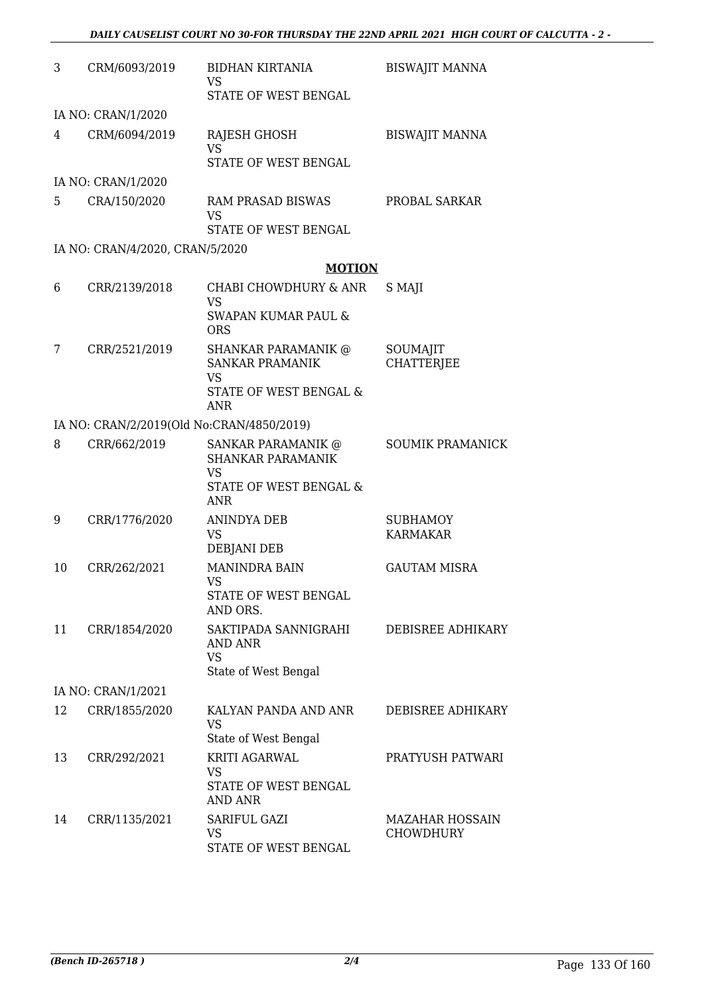| 3  | CRM/6093/2019                             | <b>BIDHAN KIRTANIA</b><br>VS                                       | <b>BISWAJIT MANNA</b>              |
|----|-------------------------------------------|--------------------------------------------------------------------|------------------------------------|
|    |                                           | STATE OF WEST BENGAL                                               |                                    |
|    | IA NO: CRAN/1/2020                        |                                                                    |                                    |
| 4  | CRM/6094/2019                             | <b>RAJESH GHOSH</b><br><b>VS</b>                                   | <b>BISWAJIT MANNA</b>              |
|    |                                           | STATE OF WEST BENGAL                                               |                                    |
|    | IA NO: CRAN/1/2020                        |                                                                    |                                    |
| 5  | CRA/150/2020                              | RAM PRASAD BISWAS<br><b>VS</b>                                     | PROBAL SARKAR                      |
|    |                                           | STATE OF WEST BENGAL                                               |                                    |
|    | IA NO: CRAN/4/2020, CRAN/5/2020           |                                                                    |                                    |
|    |                                           | <b>MOTION</b>                                                      |                                    |
| 6  | CRR/2139/2018                             | CHABI CHOWDHURY & ANR<br><b>VS</b>                                 | S MAJI                             |
|    |                                           | SWAPAN KUMAR PAUL &<br><b>ORS</b>                                  |                                    |
| 7  | CRR/2521/2019                             | <b>SHANKAR PARAMANIK @</b><br><b>SANKAR PRAMANIK</b><br><b>VS</b>  | SOUMAJIT<br><b>CHATTERJEE</b>      |
|    |                                           | STATE OF WEST BENGAL &<br><b>ANR</b>                               |                                    |
|    | IA NO: CRAN/2/2019(Old No:CRAN/4850/2019) |                                                                    |                                    |
| 8  | CRR/662/2019                              | <b>SANKAR PARAMANIK @</b><br><b>SHANKAR PARAMANIK</b><br><b>VS</b> | <b>SOUMIK PRAMANICK</b>            |
|    |                                           | STATE OF WEST BENGAL &<br><b>ANR</b>                               |                                    |
| 9  | CRR/1776/2020                             | <b>ANINDYA DEB</b><br>VS                                           | <b>SUBHAMOY</b><br><b>KARMAKAR</b> |
|    |                                           | <b>DEBJANI DEB</b>                                                 |                                    |
| 10 | CRR/262/2021                              | <b>MANINDRA BAIN</b><br>VS.                                        | <b>GAUTAM MISRA</b>                |
|    |                                           | STATE OF WEST BENGAL<br>AND ORS.                                   |                                    |
| 11 | CRR/1854/2020                             | SAKTIPADA SANNIGRAHI<br>AND ANR<br><b>VS</b>                       | DEBISREE ADHIKARY                  |
|    |                                           | State of West Bengal                                               |                                    |
|    | IA NO: CRAN/1/2021                        |                                                                    |                                    |
| 12 | CRR/1855/2020                             | KALYAN PANDA AND ANR                                               | DEBISREE ADHIKARY                  |
|    |                                           | <b>VS</b><br>State of West Bengal                                  |                                    |
| 13 | CRR/292/2021                              | KRITI AGARWAL                                                      | PRATYUSH PATWARI                   |
|    |                                           | VS<br>STATE OF WEST BENGAL<br><b>AND ANR</b>                       |                                    |
| 14 | CRR/1135/2021                             | SARIFUL GAZI                                                       | MAZAHAR HOSSAIN                    |
|    |                                           | <b>VS</b><br>STATE OF WEST BENGAL                                  | <b>CHOWDHURY</b>                   |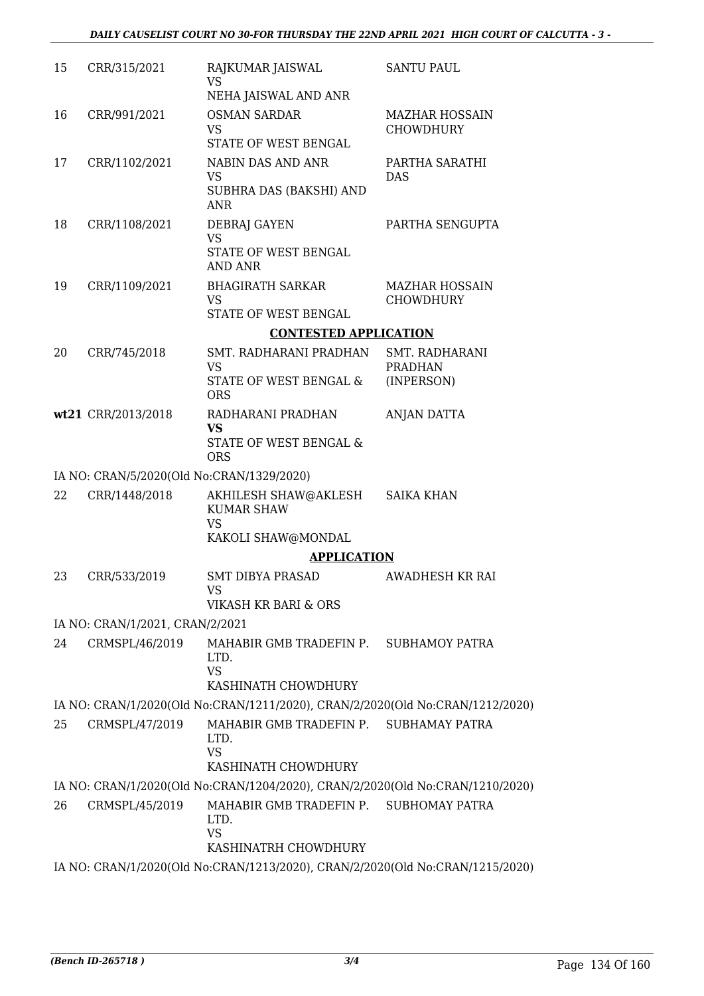| 15 | CRR/315/2021                              | RAJKUMAR JAISWAL<br><b>VS</b>                                                                         | <b>SANTU PAUL</b>                         |
|----|-------------------------------------------|-------------------------------------------------------------------------------------------------------|-------------------------------------------|
|    |                                           | NEHA JAISWAL AND ANR                                                                                  |                                           |
| 16 | CRR/991/2021                              | <b>OSMAN SARDAR</b><br><b>VS</b><br>STATE OF WEST BENGAL                                              | <b>MAZHAR HOSSAIN</b><br><b>CHOWDHURY</b> |
| 17 | CRR/1102/2021                             | NABIN DAS AND ANR<br><b>VS</b><br>SUBHRA DAS (BAKSHI) AND<br><b>ANR</b>                               | PARTHA SARATHI<br><b>DAS</b>              |
| 18 | CRR/1108/2021                             | DEBRAJ GAYEN<br><b>VS</b><br>STATE OF WEST BENGAL                                                     | PARTHA SENGUPTA                           |
|    |                                           | <b>AND ANR</b>                                                                                        |                                           |
| 19 | CRR/1109/2021                             | <b>BHAGIRATH SARKAR</b><br><b>VS</b><br>STATE OF WEST BENGAL                                          | <b>MAZHAR HOSSAIN</b><br><b>CHOWDHURY</b> |
|    |                                           | <b>CONTESTED APPLICATION</b>                                                                          |                                           |
| 20 | CRR/745/2018                              | SMT. RADHARANI PRADHAN                                                                                | SMT. RADHARANI                            |
|    |                                           | <b>VS</b><br>STATE OF WEST BENGAL &<br><b>ORS</b>                                                     | <b>PRADHAN</b><br>(INPERSON)              |
|    | wt21 CRR/2013/2018                        | RADHARANI PRADHAN<br><b>VS</b>                                                                        | ANJAN DATTA                               |
|    |                                           | STATE OF WEST BENGAL &<br><b>ORS</b>                                                                  |                                           |
|    | IA NO: CRAN/5/2020(Old No:CRAN/1329/2020) |                                                                                                       |                                           |
| 22 | CRR/1448/2018                             | AKHILESH SHAW@AKLESH<br><b>KUMAR SHAW</b><br><b>VS</b>                                                | <b>SAIKA KHAN</b>                         |
|    |                                           | KAKOLI SHAW@MONDAL                                                                                    |                                           |
|    |                                           | <b>APPLICATION</b>                                                                                    |                                           |
| 23 | CRR/533/2019                              | <b>SMT DIBYA PRASAD</b><br>VS                                                                         | AWADHESH KR RAI                           |
|    |                                           | VIKASH KR BARI & ORS                                                                                  |                                           |
|    | IA NO: CRAN/1/2021, CRAN/2/2021           |                                                                                                       |                                           |
| 24 | CRMSPL/46/2019                            | MAHABIR GMB TRADEFIN P. SUBHAMOY PATRA<br>LTD.<br><b>VS</b><br>KASHINATH CHOWDHURY                    |                                           |
|    |                                           | IA NO: CRAN/1/2020(Old No:CRAN/1211/2020), CRAN/2/2020(Old No:CRAN/1212/2020)                         |                                           |
| 25 | CRMSPL/47/2019                            | MAHABIR GMB TRADEFIN P. SUBHAMAY PATRA<br>LTD.<br><b>VS</b>                                           |                                           |
|    |                                           | KASHINATH CHOWDHURY                                                                                   |                                           |
|    |                                           | IA NO: CRAN/1/2020(Old No:CRAN/1204/2020), CRAN/2/2020(Old No:CRAN/1210/2020)                         |                                           |
| 26 | CRMSPL/45/2019                            | MAHABIR GMB TRADEFIN P. SUBHOMAY PATRA<br>LTD.<br><b>VS</b>                                           |                                           |
|    |                                           | KASHINATRH CHOWDHURY<br>IA NO: CRAN/1/2020(Old No:CRAN/1213/2020), CRAN/2/2020(Old No:CRAN/1215/2020) |                                           |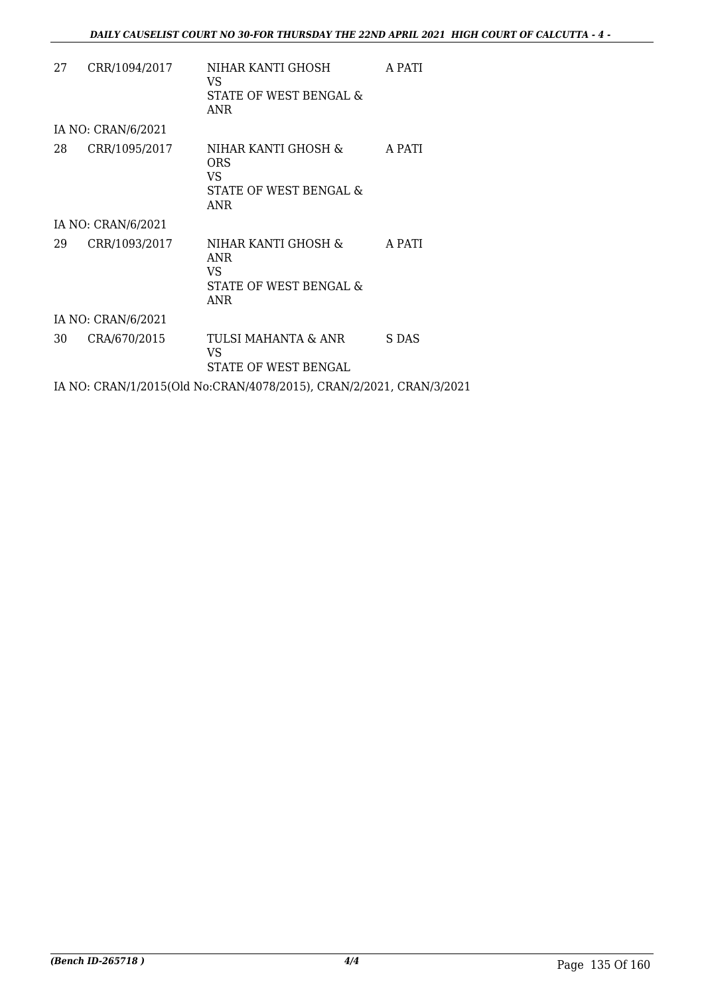| 27 | CRR/1094/2017      | NIHAR KANTI GHOSH<br>VS.<br>STATE OF WEST BENGAL &<br>ANR                 | A PATI |
|----|--------------------|---------------------------------------------------------------------------|--------|
|    | IA NO: CRAN/6/2021 |                                                                           |        |
| 28 | CRR/1095/2017      | NIHAR KANTI GHOSH &<br>ORS<br>VS.<br>STATE OF WEST BENGAL &<br>ANR        | A PATI |
|    | IA NO: CRAN/6/2021 |                                                                           |        |
| 29 | CRR/1093/2017      | NIHAR KANTI GHOSH &<br><b>ANR</b><br>VS.<br>STATE OF WEST BENGAL &<br>ANR | A PATI |
|    | IA NO: CRAN/6/2021 |                                                                           |        |
| 30 | CRA/670/2015       | TULSI MAHANTA & ANR<br>VS<br>STATE OF WEST BENGAL                         | S DAS  |
|    |                    | IA NO: CRAN/1/2015(Old No:CRAN/4078/2015), CRAN/2/2021, CRAN/3/2021       |        |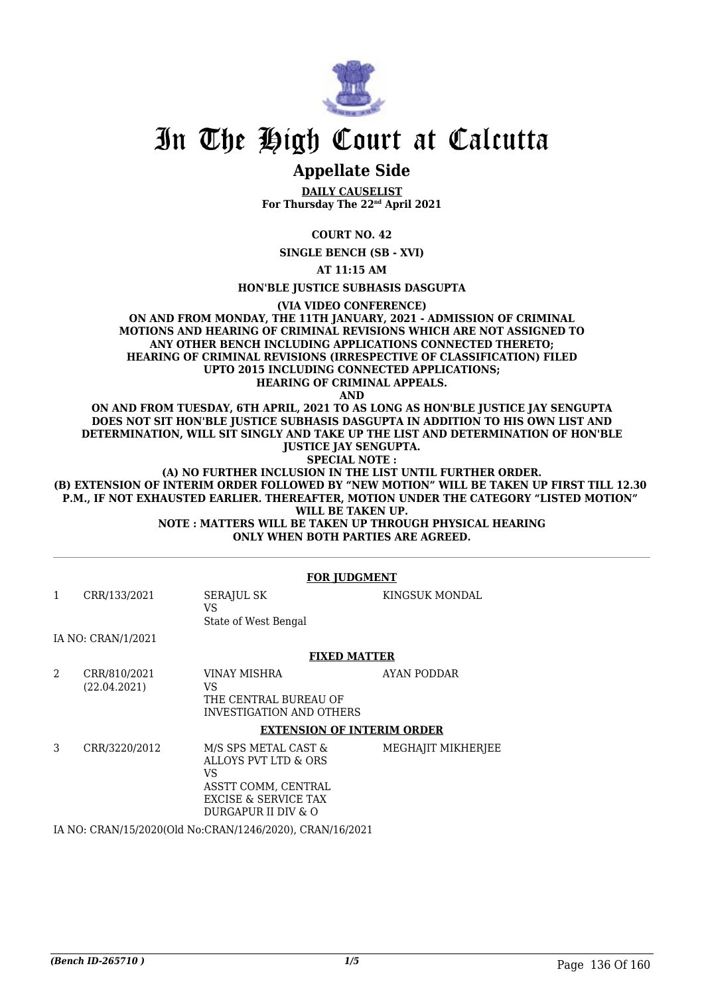

### **Appellate Side**

**DAILY CAUSELIST For Thursday The 22nd April 2021**

**COURT NO. 42**

**SINGLE BENCH (SB - XVI)**

**AT 11:15 AM**

**HON'BLE JUSTICE SUBHASIS DASGUPTA**

**(VIA VIDEO CONFERENCE)**

**ON AND FROM MONDAY, THE 11TH JANUARY, 2021 - ADMISSION OF CRIMINAL MOTIONS AND HEARING OF CRIMINAL REVISIONS WHICH ARE NOT ASSIGNED TO ANY OTHER BENCH INCLUDING APPLICATIONS CONNECTED THERETO; HEARING OF CRIMINAL REVISIONS (IRRESPECTIVE OF CLASSIFICATION) FILED UPTO 2015 INCLUDING CONNECTED APPLICATIONS; HEARING OF CRIMINAL APPEALS.**

**AND**

**ON AND FROM TUESDAY, 6TH APRIL, 2021 TO AS LONG AS HON'BLE JUSTICE JAY SENGUPTA DOES NOT SIT HON'BLE JUSTICE SUBHASIS DASGUPTA IN ADDITION TO HIS OWN LIST AND DETERMINATION, WILL SIT SINGLY AND TAKE UP THE LIST AND DETERMINATION OF HON'BLE JUSTICE JAY SENGUPTA.**

**SPECIAL NOTE :**

**(A) NO FURTHER INCLUSION IN THE LIST UNTIL FURTHER ORDER. (B) EXTENSION OF INTERIM ORDER FOLLOWED BY "NEW MOTION" WILL BE TAKEN UP FIRST TILL 12.30 P.M., IF NOT EXHAUSTED EARLIER. THEREAFTER, MOTION UNDER THE CATEGORY "LISTED MOTION" WILL BE TAKEN UP. NOTE : MATTERS WILL BE TAKEN UP THROUGH PHYSICAL HEARING**

**ONLY WHEN BOTH PARTIES ARE AGREED.**

|   |                              | <b>FOR JUDGMENT</b>                                                                                                                 |                    |
|---|------------------------------|-------------------------------------------------------------------------------------------------------------------------------------|--------------------|
| 1 | CRR/133/2021                 | <b>SERAJUL SK</b><br>VS<br>State of West Bengal                                                                                     | KINGSUK MONDAL     |
|   | IA NO: CRAN/1/2021           |                                                                                                                                     |                    |
|   |                              | <b>FIXED MATTER</b>                                                                                                                 |                    |
| 2 | CRR/810/2021<br>(22.04.2021) | <b>VINAY MISHRA</b><br>VS.<br>THE CENTRAL BUREAU OF<br><b>INVESTIGATION AND OTHERS</b><br><b>EXTENSION OF INTERIM ORDER</b>         | AYAN PODDAR        |
| 3 | CRR/3220/2012                | M/S SPS METAL CAST &<br>ALLOYS PVT LTD & ORS<br>VS<br>ASSTT COMM, CENTRAL<br><b>EXCISE &amp; SERVICE TAX</b><br>DURGAPUR II DIV & O | MEGHAJIT MIKHERJEE |
|   |                              | IA NIO CONNISSE COOOCOLLINI CONNISSACIO QOO CONNISSISTIA CIOOSA                                                                     |                    |

IA NO: CRAN/15/2020(Old No:CRAN/1246/2020), CRAN/16/2021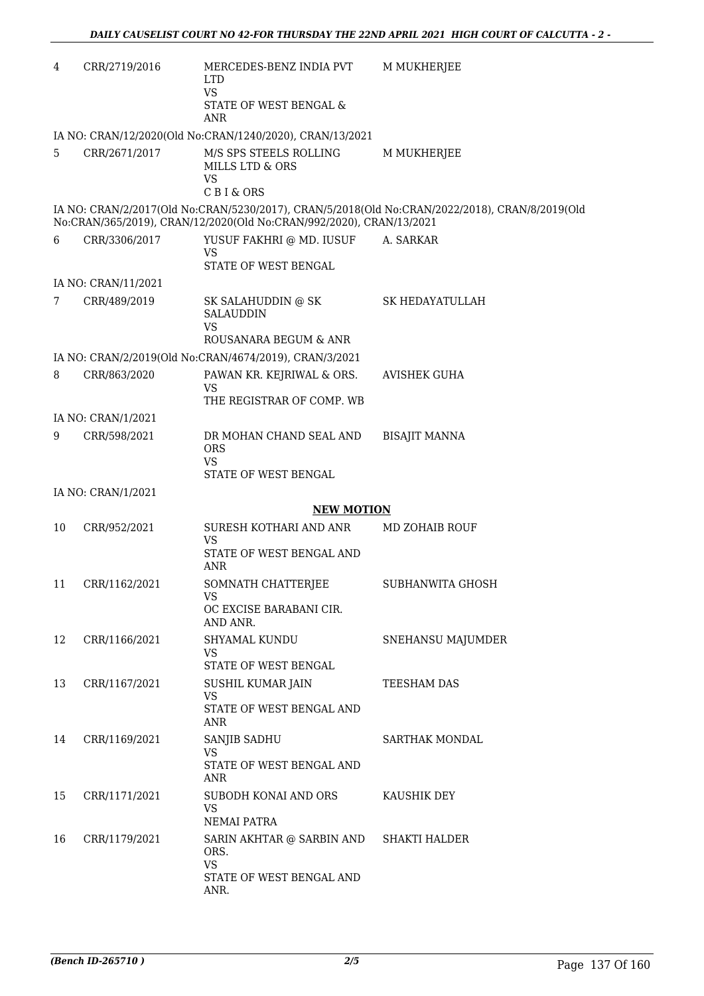| 4  | CRR/2719/2016       | MERCEDES-BENZ INDIA PVT<br><b>LTD</b><br><b>VS</b><br>STATE OF WEST BENGAL &<br>ANR | M MUKHERJEE                                                                                    |
|----|---------------------|-------------------------------------------------------------------------------------|------------------------------------------------------------------------------------------------|
|    |                     | IA NO: CRAN/12/2020(Old No:CRAN/1240/2020), CRAN/13/2021                            |                                                                                                |
| 5  | CRR/2671/2017       | M/S SPS STEELS ROLLING<br>MILLS LTD & ORS<br><b>VS</b><br>C B I & ORS               | M MUKHERJEE                                                                                    |
|    |                     | No:CRAN/365/2019), CRAN/12/2020(Old No:CRAN/992/2020), CRAN/13/2021                 | IA NO: CRAN/2/2017(Old No:CRAN/5230/2017), CRAN/5/2018(Old No:CRAN/2022/2018), CRAN/8/2019(Old |
| 6  | CRR/3306/2017       | YUSUF FAKHRI @ MD. IUSUF                                                            | A. SARKAR                                                                                      |
|    |                     | <b>VS</b><br>STATE OF WEST BENGAL                                                   |                                                                                                |
|    | IA NO: CRAN/11/2021 |                                                                                     |                                                                                                |
| 7  | CRR/489/2019        | SK SALAHUDDIN @ SK                                                                  | <b>SK HEDAYATULLAH</b>                                                                         |
|    |                     | <b>SALAUDDIN</b><br><b>VS</b>                                                       |                                                                                                |
|    |                     | ROUSANARA BEGUM & ANR                                                               |                                                                                                |
|    |                     | IA NO: CRAN/2/2019(Old No:CRAN/4674/2019), CRAN/3/2021                              |                                                                                                |
| 8  | CRR/863/2020        | PAWAN KR. KEJRIWAL & ORS.<br>VS                                                     | <b>AVISHEK GUHA</b>                                                                            |
|    |                     | THE REGISTRAR OF COMP. WB                                                           |                                                                                                |
|    | IA NO: CRAN/1/2021  |                                                                                     |                                                                                                |
| 9  | CRR/598/2021        | DR MOHAN CHAND SEAL AND<br><b>ORS</b><br><b>VS</b>                                  | <b>BISAJIT MANNA</b>                                                                           |
|    |                     | STATE OF WEST BENGAL                                                                |                                                                                                |
|    | IA NO: CRAN/1/2021  |                                                                                     |                                                                                                |
|    |                     | <b>NEW MOTION</b>                                                                   |                                                                                                |
| 10 | CRR/952/2021        | SURESH KOTHARI AND ANR<br>VS                                                        | MD ZOHAIB ROUF                                                                                 |
|    |                     | STATE OF WEST BENGAL AND<br><b>ANR</b>                                              |                                                                                                |
| 11 | CRR/1162/2021       | SOMNATH CHATTERJEE<br>VS                                                            | SUBHANWITA GHOSH                                                                               |
|    |                     | OC EXCISE BARABANI CIR.<br>AND ANR.                                                 |                                                                                                |
| 12 | CRR/1166/2021       | SHYAMAL KUNDU<br>VS                                                                 | SNEHANSU MAJUMDER                                                                              |
|    |                     | STATE OF WEST BENGAL                                                                |                                                                                                |
| 13 | CRR/1167/2021       | SUSHIL KUMAR JAIN<br>VS                                                             | TEESHAM DAS                                                                                    |
|    |                     | STATE OF WEST BENGAL AND<br>ANR                                                     |                                                                                                |
| 14 | CRR/1169/2021       | SANJIB SADHU<br>VS                                                                  | SARTHAK MONDAL                                                                                 |
|    |                     | STATE OF WEST BENGAL AND<br>ANR                                                     |                                                                                                |
| 15 | CRR/1171/2021       | SUBODH KONAI AND ORS<br>VS                                                          | KAUSHIK DEY                                                                                    |
|    |                     | NEMAI PATRA                                                                         |                                                                                                |
| 16 | CRR/1179/2021       | SARIN AKHTAR @ SARBIN AND<br>ORS.<br><b>VS</b>                                      | <b>SHAKTI HALDER</b>                                                                           |
|    |                     | STATE OF WEST BENGAL AND<br>ANR.                                                    |                                                                                                |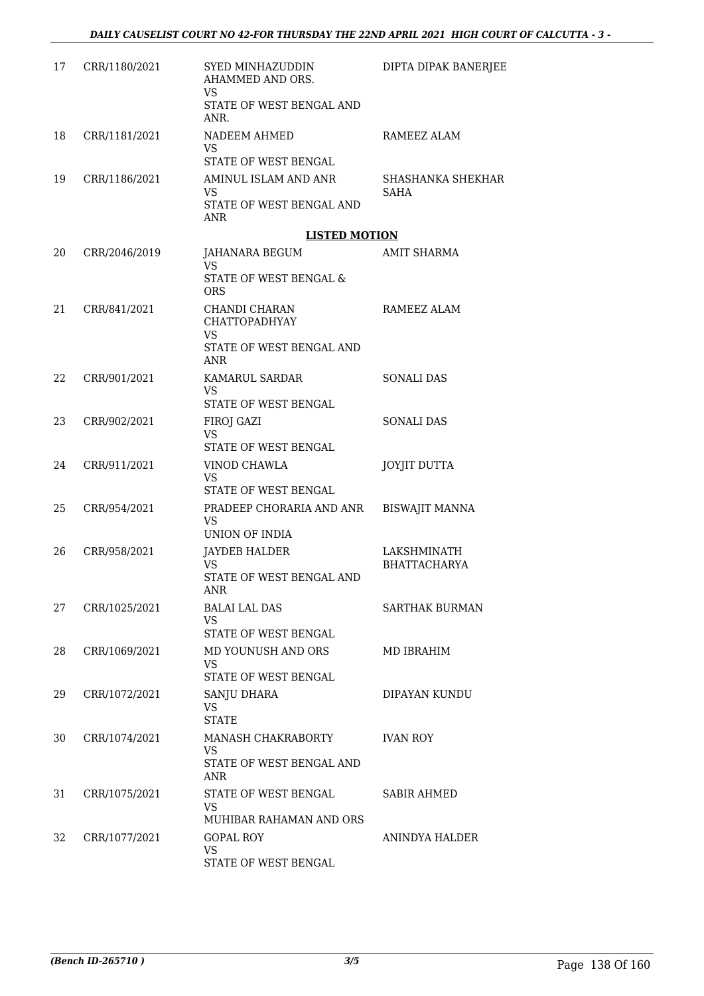| 17 | CRR/1180/2021 | SYED MINHAZUDDIN<br>AHAMMED AND ORS.<br><b>VS</b>   | DIPTA DIPAK BANERJEE               |
|----|---------------|-----------------------------------------------------|------------------------------------|
|    |               | STATE OF WEST BENGAL AND<br>ANR.                    |                                    |
| 18 | CRR/1181/2021 | NADEEM AHMED                                        | RAMEEZ ALAM                        |
|    |               | VS.<br>STATE OF WEST BENGAL                         |                                    |
| 19 | CRR/1186/2021 | AMINUL ISLAM AND ANR                                | SHASHANKA SHEKHAR                  |
|    |               | <b>VS</b><br>STATE OF WEST BENGAL AND<br><b>ANR</b> | <b>SAHA</b>                        |
|    |               | <b>LISTED MOTION</b>                                |                                    |
| 20 | CRR/2046/2019 | JAHANARA BEGUM<br>VS.                               | <b>AMIT SHARMA</b>                 |
|    |               | STATE OF WEST BENGAL &<br><b>ORS</b>                |                                    |
| 21 | CRR/841/2021  | CHANDI CHARAN<br><b>CHATTOPADHYAY</b>               | RAMEEZ ALAM                        |
|    |               | VS<br>STATE OF WEST BENGAL AND                      |                                    |
|    |               | <b>ANR</b>                                          |                                    |
| 22 | CRR/901/2021  | KAMARUL SARDAR                                      | <b>SONALI DAS</b>                  |
|    |               | VS.<br>STATE OF WEST BENGAL                         |                                    |
| 23 | CRR/902/2021  | FIROJ GAZI                                          | <b>SONALI DAS</b>                  |
|    |               | <b>VS</b><br>STATE OF WEST BENGAL                   |                                    |
| 24 | CRR/911/2021  | VINOD CHAWLA<br>VS                                  | JOYJIT DUTTA                       |
|    |               | STATE OF WEST BENGAL                                |                                    |
| 25 | CRR/954/2021  | PRADEEP CHORARIA AND ANR<br>VS.                     | <b>BISWAJIT MANNA</b>              |
|    |               | UNION OF INDIA                                      |                                    |
| 26 | CRR/958/2021  | <b>JAYDEB HALDER</b><br>VS.                         | LAKSHMINATH<br><b>BHATTACHARYA</b> |
|    |               | STATE OF WEST BENGAL AND                            |                                    |
| 27 | CRR/1025/2021 | ANR<br><b>BALAI LAL DAS</b>                         | <b>SARTHAK BURMAN</b>              |
|    |               | <b>VS</b>                                           |                                    |
| 28 | CRR/1069/2021 | STATE OF WEST BENGAL<br>MD YOUNUSH AND ORS          | MD IBRAHIM                         |
|    |               | VS.                                                 |                                    |
|    |               | STATE OF WEST BENGAL                                |                                    |
| 29 | CRR/1072/2021 | <b>SANJU DHARA</b><br><b>VS</b><br><b>STATE</b>     | DIPAYAN KUNDU                      |
| 30 | CRR/1074/2021 | MANASH CHAKRABORTY<br><b>VS</b>                     | <b>IVAN ROY</b>                    |
|    |               | STATE OF WEST BENGAL AND<br><b>ANR</b>              |                                    |
| 31 | CRR/1075/2021 | STATE OF WEST BENGAL                                | <b>SABIR AHMED</b>                 |
|    |               | <b>VS</b><br>MUHIBAR RAHAMAN AND ORS                |                                    |
| 32 | CRR/1077/2021 | <b>GOPAL ROY</b>                                    | ANINDYA HALDER                     |
|    |               | <b>VS</b><br>STATE OF WEST BENGAL                   |                                    |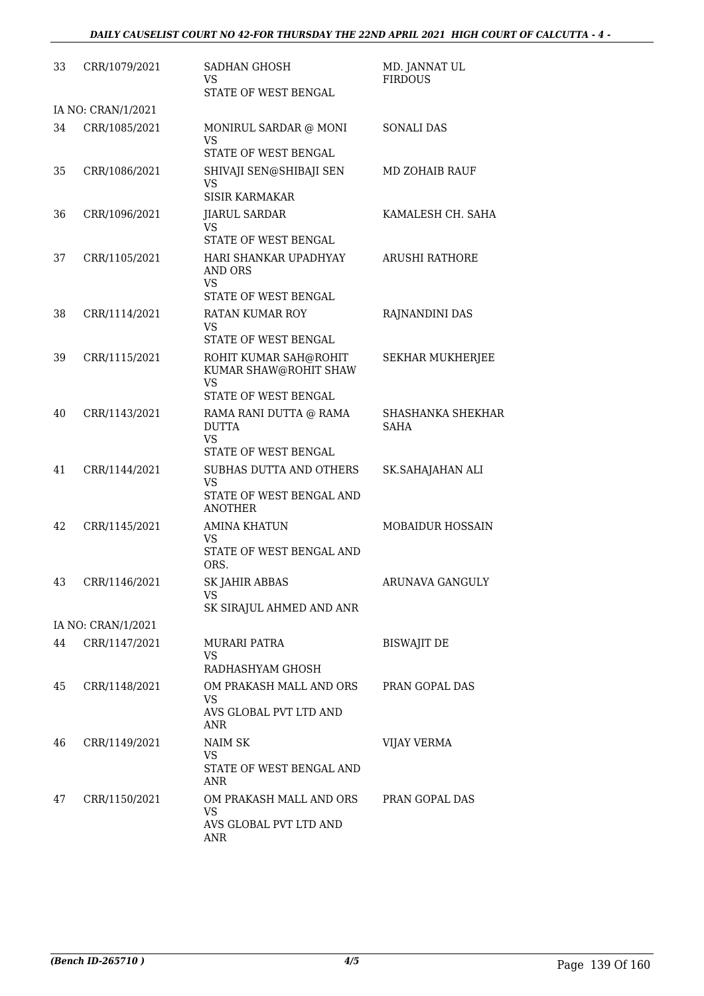| 33 | CRR/1079/2021      | SADHAN GHOSH<br>VS<br>STATE OF WEST BENGAL                                                   | MD. JANNAT UL<br><b>FIRDOUS</b>  |
|----|--------------------|----------------------------------------------------------------------------------------------|----------------------------------|
|    | IA NO: CRAN/1/2021 |                                                                                              |                                  |
| 34 | CRR/1085/2021      | MONIRUL SARDAR @ MONI<br>VS<br>STATE OF WEST BENGAL                                          | <b>SONALI DAS</b>                |
| 35 | CRR/1086/2021      | SHIVAJI SEN@SHIBAJI SEN<br><b>VS</b><br><b>SISIR KARMAKAR</b>                                | <b>MD ZOHAIB RAUF</b>            |
| 36 | CRR/1096/2021      | <b>JIARUL SARDAR</b><br><b>VS</b><br>STATE OF WEST BENGAL                                    | KAMALESH CH. SAHA                |
| 37 | CRR/1105/2021      | HARI SHANKAR UPADHYAY<br><b>AND ORS</b><br><b>VS</b><br>STATE OF WEST BENGAL                 | <b>ARUSHI RATHORE</b>            |
| 38 | CRR/1114/2021      | <b>RATAN KUMAR ROY</b><br>VS<br>STATE OF WEST BENGAL                                         | RAJNANDINI DAS                   |
| 39 | CRR/1115/2021      | ROHIT KUMAR SAH@ROHIT<br>KUMAR SHAW@ROHIT SHAW<br>VS                                         | <b>SEKHAR MUKHERJEE</b>          |
| 40 | CRR/1143/2021      | STATE OF WEST BENGAL<br>RAMA RANI DUTTA @ RAMA<br><b>DUTTA</b><br>VS<br>STATE OF WEST BENGAL | SHASHANKA SHEKHAR<br><b>SAHA</b> |
| 41 | CRR/1144/2021      | SUBHAS DUTTA AND OTHERS<br>VS<br>STATE OF WEST BENGAL AND<br><b>ANOTHER</b>                  | SK.SAHAJAHAN ALI                 |
| 42 | CRR/1145/2021      | <b>AMINA KHATUN</b><br>VS<br>STATE OF WEST BENGAL AND<br>ORS.                                | <b>MOBAIDUR HOSSAIN</b>          |
| 43 | CRR/1146/2021      | SK JAHIR ABBAS<br>VS<br>SK SIRAJUL AHMED AND ANR                                             | ARUNAVA GANGULY                  |
|    | IA NO: CRAN/1/2021 |                                                                                              |                                  |
| 44 | CRR/1147/2021      | MURARI PATRA<br>VS<br>RADHASHYAM GHOSH                                                       | <b>BISWAJIT DE</b>               |
| 45 | CRR/1148/2021      | OM PRAKASH MALL AND ORS<br><b>VS</b><br>AVS GLOBAL PVT LTD AND<br>ANR                        | PRAN GOPAL DAS                   |
| 46 | CRR/1149/2021      | <b>NAIM SK</b><br><b>VS</b><br>STATE OF WEST BENGAL AND<br>ANR                               | <b>VIJAY VERMA</b>               |
| 47 | CRR/1150/2021      | OM PRAKASH MALL AND ORS<br><b>VS</b><br>AVS GLOBAL PVT LTD AND<br>ANR                        | PRAN GOPAL DAS                   |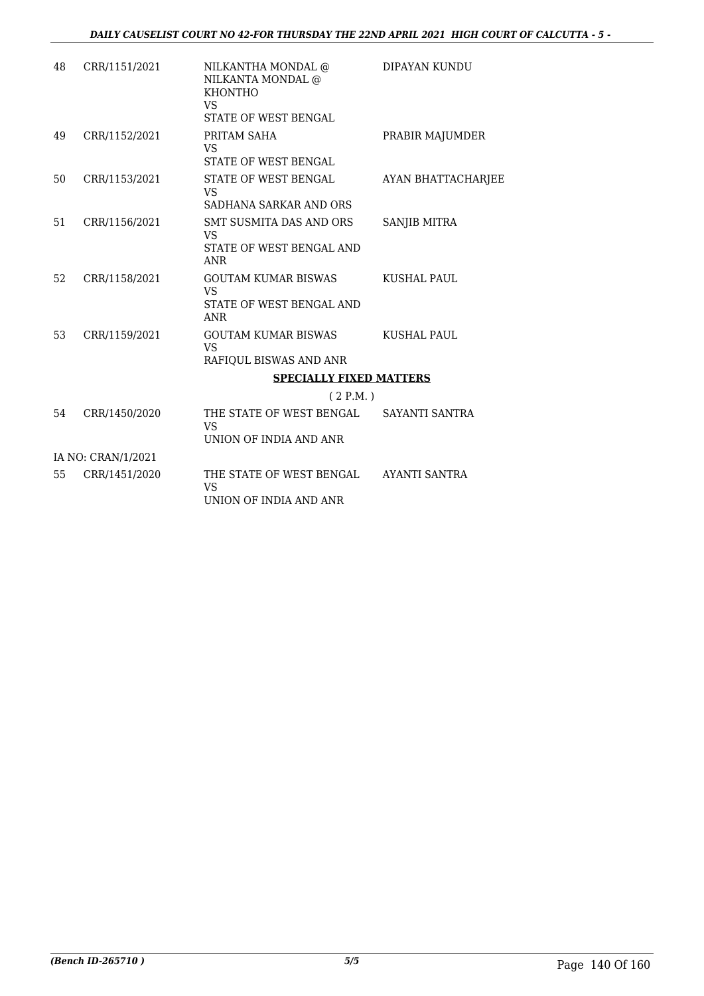| 48 | CRR/1151/2021      | NILKANTHA MONDAL @<br>NILKANTA MONDAL @<br><b>KHONTHO</b><br>VS<br><b>STATE OF WEST BENGAL</b> | DIPAYAN KUNDU             |
|----|--------------------|------------------------------------------------------------------------------------------------|---------------------------|
| 49 | CRR/1152/2021      | PRITAM SAHA<br><b>VS</b><br><b>STATE OF WEST BENGAL</b>                                        | PRABIR MAJUMDER           |
| 50 | CRR/1153/2021      | STATE OF WEST BENGAL<br><b>VS</b><br>SADHANA SARKAR AND ORS                                    | <b>AYAN BHATTACHARJEE</b> |
| 51 | CRR/1156/2021      | SMT SUSMITA DAS AND ORS<br>VS<br>STATE OF WEST BENGAL AND<br><b>ANR</b>                        | SANJIB MITRA              |
| 52 | CRR/1158/2021      | <b>GOUTAM KUMAR BISWAS</b><br><b>VS</b><br>STATE OF WEST BENGAL AND<br><b>ANR</b>              | <b>KUSHAL PAUL</b>        |
| 53 | CRR/1159/2021      | <b>GOUTAM KUMAR BISWAS</b><br><b>VS</b><br>RAFIQUL BISWAS AND ANR                              | KUSHAL PAUL               |
|    |                    | <b>SPECIALLY FIXED MATTERS</b>                                                                 |                           |
|    |                    | (2 P.M.)                                                                                       |                           |
| 54 | CRR/1450/2020      | THE STATE OF WEST BENGAL<br><b>VS</b><br>UNION OF INDIA AND ANR                                | SAYANTI SANTRA            |
|    | IA NO: CRAN/1/2021 |                                                                                                |                           |
| 55 | CRR/1451/2020      | THE STATE OF WEST BENGAL<br><b>VS</b><br>UNION OF INDIA AND ANR                                | AYANTI SANTRA             |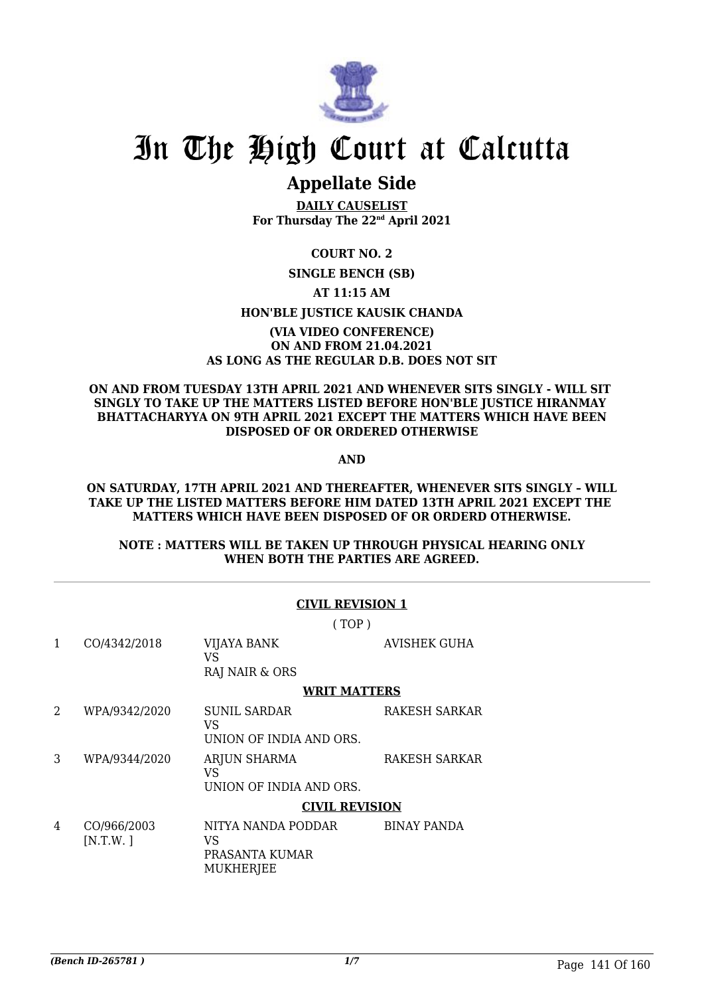

## **Appellate Side**

**DAILY CAUSELIST For Thursday The 22nd April 2021**

#### **COURT NO. 2**

#### **SINGLE BENCH (SB)**

#### **AT 11:15 AM**

#### **HON'BLE JUSTICE KAUSIK CHANDA**

#### **(VIA VIDEO CONFERENCE) ON AND FROM 21.04.2021 AS LONG AS THE REGULAR D.B. DOES NOT SIT**

#### **ON AND FROM TUESDAY 13TH APRIL 2021 AND WHENEVER SITS SINGLY - WILL SIT SINGLY TO TAKE UP THE MATTERS LISTED BEFORE HON'BLE JUSTICE HIRANMAY BHATTACHARYYA ON 9TH APRIL 2021 EXCEPT THE MATTERS WHICH HAVE BEEN DISPOSED OF OR ORDERED OTHERWISE**

**AND**

#### **ON SATURDAY, 17TH APRIL 2021 AND THEREAFTER, WHENEVER SITS SINGLY – WILL TAKE UP THE LISTED MATTERS BEFORE HIM DATED 13TH APRIL 2021 EXCEPT THE MATTERS WHICH HAVE BEEN DISPOSED OF OR ORDERD OTHERWISE.**

#### **NOTE : MATTERS WILL BE TAKEN UP THROUGH PHYSICAL HEARING ONLY WHEN BOTH THE PARTIES ARE AGREED.**

| <b>CIVIL REVISION 1</b> |                         |                                                                |                      |  |  |
|-------------------------|-------------------------|----------------------------------------------------------------|----------------------|--|--|
| (TOP)                   |                         |                                                                |                      |  |  |
| 1                       | CO/4342/2018            | <b>VIJAYA BANK</b><br>VS<br>RAJ NAIR & ORS                     | <b>AVISHEK GUHA</b>  |  |  |
|                         |                         | <b>WRIT MATTERS</b>                                            |                      |  |  |
| 2                       | WPA/9342/2020           | <b>SUNIL SARDAR</b><br>VS<br>UNION OF INDIA AND ORS.           | RAKESH SARKAR        |  |  |
| 3                       | WPA/9344/2020           | <b>ARJUN SHARMA</b><br>VS<br>UNION OF INDIA AND ORS.           | <b>RAKESH SARKAR</b> |  |  |
|                         |                         | <b>CIVIL REVISION</b>                                          |                      |  |  |
| 4                       | CO/966/2003<br>[N.T.W.] | NITYA NANDA PODDAR<br>VS<br>PRASANTA KUMAR<br><b>MUKHERJEE</b> | <b>BINAY PANDA</b>   |  |  |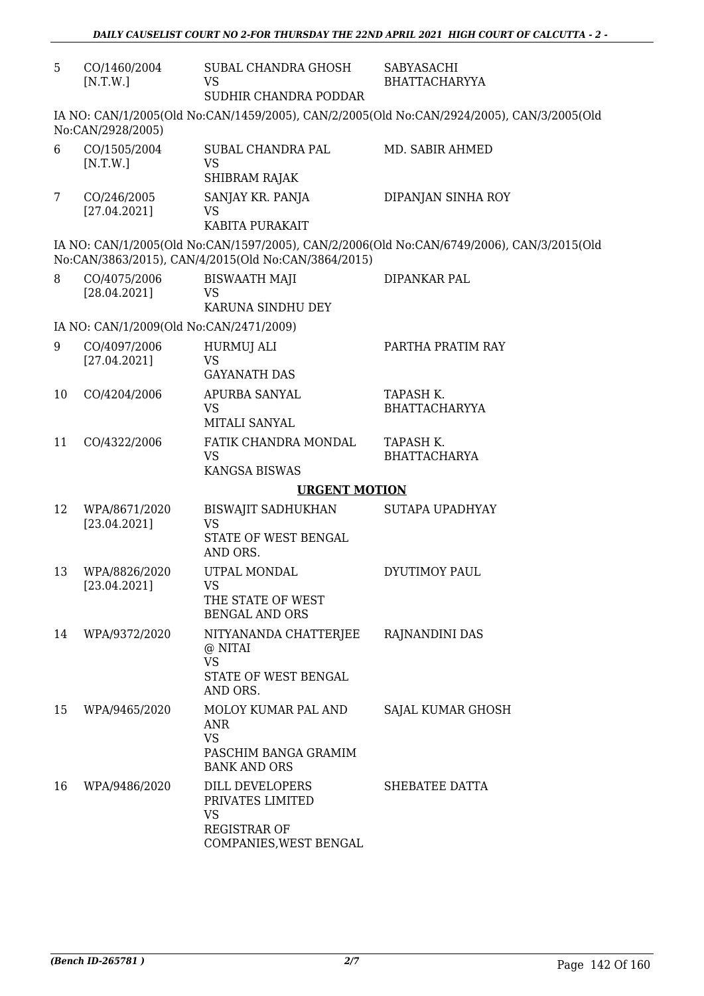| 5  | CO/1460/2004<br>[N.T.W.]                                                                                       | SUBAL CHANDRA GHOSH<br>VS<br>SUDHIR CHANDRA PODDAR                                         | SABYASACHI<br><b>BHATTACHARYYA</b>                                                        |  |  |
|----|----------------------------------------------------------------------------------------------------------------|--------------------------------------------------------------------------------------------|-------------------------------------------------------------------------------------------|--|--|
|    | IA NO: CAN/1/2005(Old No:CAN/1459/2005), CAN/2/2005(Old No:CAN/2924/2005), CAN/3/2005(Old<br>No:CAN/2928/2005) |                                                                                            |                                                                                           |  |  |
| 6  | CO/1505/2004<br>[N.T.W.]                                                                                       | SUBAL CHANDRA PAL<br><b>VS</b><br>SHIBRAM RAJAK                                            | MD. SABIR AHMED                                                                           |  |  |
| 7  | CO/246/2005<br>[27.04.2021]                                                                                    | SANJAY KR. PANJA<br><b>VS</b><br>KABITA PURAKAIT                                           | DIPANJAN SINHA ROY                                                                        |  |  |
|    |                                                                                                                | No:CAN/3863/2015), CAN/4/2015(Old No:CAN/3864/2015)                                        | IA NO: CAN/1/2005(Old No:CAN/1597/2005), CAN/2/2006(Old No:CAN/6749/2006), CAN/3/2015(Old |  |  |
| 8  | CO/4075/2006<br>[28.04.2021]                                                                                   | <b>BISWAATH MAJI</b><br>VS<br>KARUNA SINDHU DEY                                            | DIPANKAR PAL                                                                              |  |  |
|    | IA NO: CAN/1/2009(Old No:CAN/2471/2009)                                                                        |                                                                                            |                                                                                           |  |  |
| 9  | CO/4097/2006<br>[27.04.2021]                                                                                   | HURMUJ ALI<br><b>VS</b><br><b>GAYANATH DAS</b>                                             | PARTHA PRATIM RAY                                                                         |  |  |
| 10 | CO/4204/2006                                                                                                   | APURBA SANYAL<br><b>VS</b><br>MITALI SANYAL                                                | TAPASH K.<br><b>BHATTACHARYYA</b>                                                         |  |  |
| 11 | CO/4322/2006                                                                                                   | FATIK CHANDRA MONDAL<br><b>VS</b><br><b>KANGSA BISWAS</b>                                  | TAPASH K.<br><b>BHATTACHARYA</b>                                                          |  |  |
|    | <b>URGENT MOTION</b>                                                                                           |                                                                                            |                                                                                           |  |  |
| 12 | WPA/8671/2020<br>[23.04.2021]                                                                                  | <b>BISWAJIT SADHUKHAN</b><br><b>VS</b><br>STATE OF WEST BENGAL<br>AND ORS.                 | <b>SUTAPA UPADHYAY</b>                                                                    |  |  |
| 13 | WPA/8826/2020<br>[23.04.2021]                                                                                  | UTPAL MONDAL<br><b>VS</b><br>THE STATE OF WEST<br><b>BENGAL AND ORS</b>                    | DYUTIMOY PAUL                                                                             |  |  |
| 14 | WPA/9372/2020                                                                                                  | NITYANANDA CHATTERJEE<br>@ NITAI<br><b>VS</b><br>STATE OF WEST BENGAL<br>AND ORS.          | RAJNANDINI DAS                                                                            |  |  |
| 15 | WPA/9465/2020                                                                                                  | MOLOY KUMAR PAL AND<br>ANR<br><b>VS</b><br>PASCHIM BANGA GRAMIM<br><b>BANK AND ORS</b>     | SAJAL KUMAR GHOSH                                                                         |  |  |
| 16 | WPA/9486/2020                                                                                                  | DILL DEVELOPERS<br>PRIVATES LIMITED<br>VS<br><b>REGISTRAR OF</b><br>COMPANIES, WEST BENGAL | SHEBATEE DATTA                                                                            |  |  |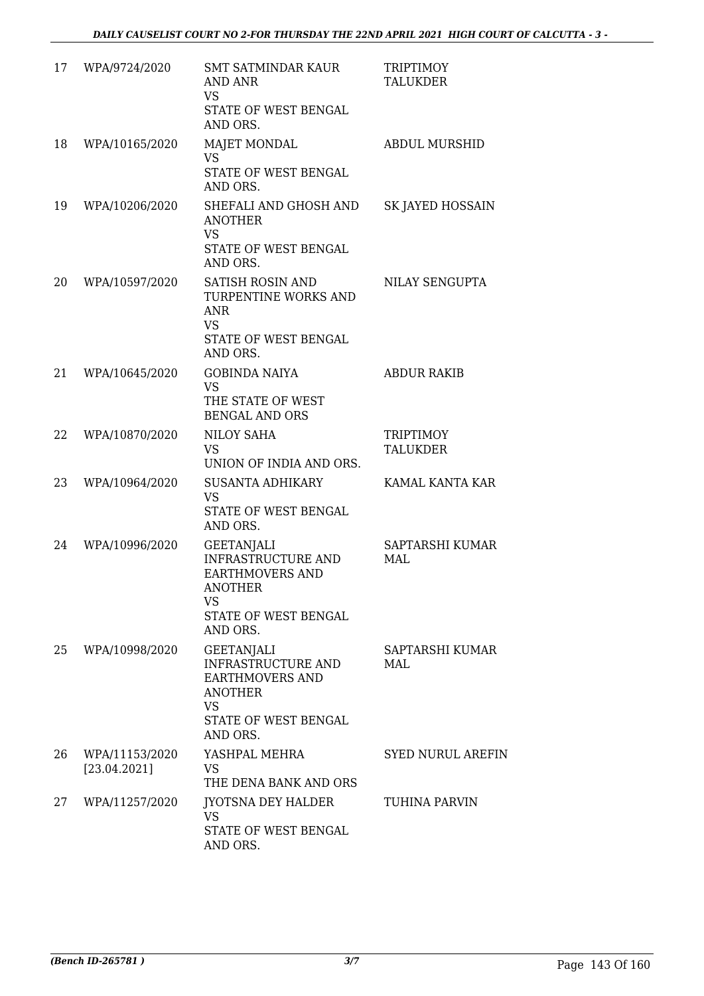| 17 | WPA/9724/2020                  | <b>SMT SATMINDAR KAUR</b><br>AND ANR<br><b>VS</b><br>STATE OF WEST BENGAL<br>AND ORS.                                                              | <b>TRIPTIMOY</b><br><b>TALUKDER</b> |
|----|--------------------------------|----------------------------------------------------------------------------------------------------------------------------------------------------|-------------------------------------|
| 18 | WPA/10165/2020                 | <b>MAJET MONDAL</b><br><b>VS</b><br>STATE OF WEST BENGAL<br>AND ORS.                                                                               | <b>ABDUL MURSHID</b>                |
| 19 | WPA/10206/2020                 | SHEFALI AND GHOSH AND<br><b>ANOTHER</b><br><b>VS</b><br>STATE OF WEST BENGAL<br>AND ORS.                                                           | SK JAYED HOSSAIN                    |
| 20 | WPA/10597/2020                 | <b>SATISH ROSIN AND</b><br>TURPENTINE WORKS AND<br><b>ANR</b><br><b>VS</b><br>STATE OF WEST BENGAL<br>AND ORS.                                     | NILAY SENGUPTA                      |
| 21 | WPA/10645/2020                 | <b>GOBINDA NAIYA</b><br><b>VS</b><br>THE STATE OF WEST<br><b>BENGAL AND ORS</b>                                                                    | <b>ABDUR RAKIB</b>                  |
| 22 | WPA/10870/2020                 | NILOY SAHA<br><b>VS</b><br>UNION OF INDIA AND ORS.                                                                                                 | <b>TRIPTIMOY</b><br><b>TALUKDER</b> |
| 23 | WPA/10964/2020                 | <b>SUSANTA ADHIKARY</b><br><b>VS</b><br>STATE OF WEST BENGAL<br>AND ORS.                                                                           | KAMAL KANTA KAR                     |
| 24 | WPA/10996/2020                 | <b>GEETANJALI</b><br><b>INFRASTRUCTURE AND</b><br><b>EARTHMOVERS AND</b><br>ANOTHER<br>VS.<br><b>STATE OF WEST BENGAL</b><br>AND ORS.              | SAPTARSHI KUMAR<br>MAL              |
| 25 | WPA/10998/2020                 | <b>GEETANJALI</b><br><b>INFRASTRUCTURE AND</b><br><b>EARTHMOVERS AND</b><br><b>ANOTHER</b><br><b>VS</b><br><b>STATE OF WEST BENGAL</b><br>AND ORS. | SAPTARSHI KUMAR<br>MAL              |
| 26 | WPA/11153/2020<br>[23.04.2021] | YASHPAL MEHRA<br><b>VS</b><br>THE DENA BANK AND ORS                                                                                                | <b>SYED NURUL AREFIN</b>            |
| 27 | WPA/11257/2020                 | <b>JYOTSNA DEY HALDER</b><br><b>VS</b><br>STATE OF WEST BENGAL<br>AND ORS.                                                                         | TUHINA PARVIN                       |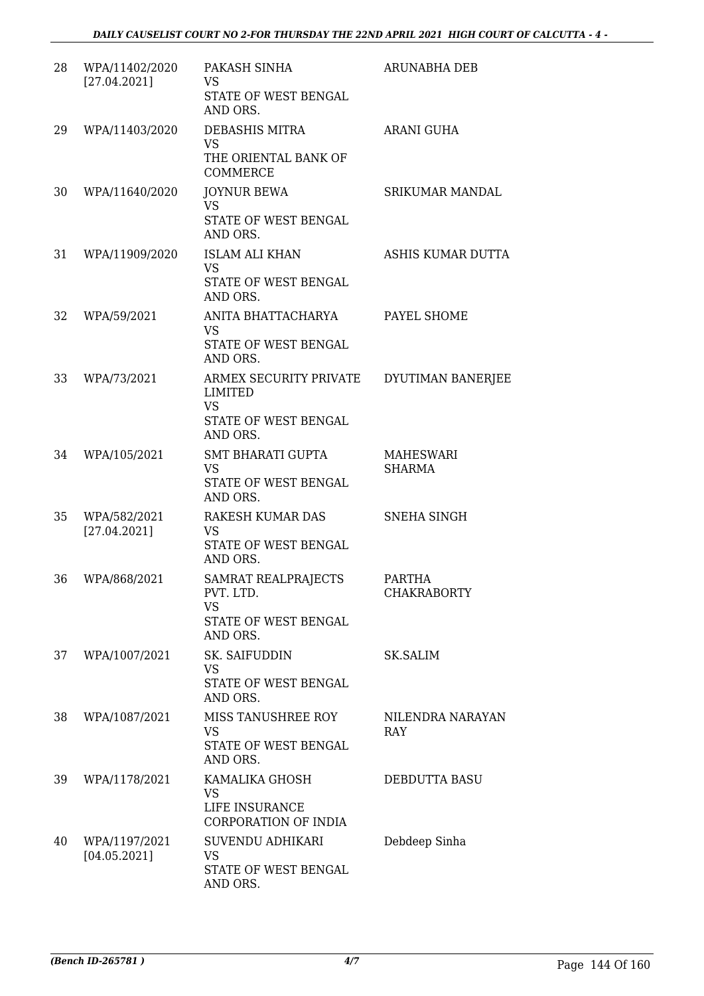| 28 | WPA/11402/2020<br>[27.04.2021] | PAKASH SINHA<br><b>VS</b><br>STATE OF WEST BENGAL<br>AND ORS.                      | <b>ARUNABHA DEB</b>                 |
|----|--------------------------------|------------------------------------------------------------------------------------|-------------------------------------|
| 29 | WPA/11403/2020                 | DEBASHIS MITRA<br><b>VS</b><br>THE ORIENTAL BANK OF<br><b>COMMERCE</b>             | <b>ARANI GUHA</b>                   |
| 30 | WPA/11640/2020                 | <b>JOYNUR BEWA</b><br><b>VS</b><br>STATE OF WEST BENGAL<br>AND ORS.                | SRIKUMAR MANDAL                     |
| 31 | WPA/11909/2020                 | <b>ISLAM ALI KHAN</b><br><b>VS</b><br>STATE OF WEST BENGAL<br>AND ORS.             | ASHIS KUMAR DUTTA                   |
| 32 | WPA/59/2021                    | ANITA BHATTACHARYA<br><b>VS</b><br>STATE OF WEST BENGAL<br>AND ORS.                | PAYEL SHOME                         |
| 33 | WPA/73/2021                    | ARMEX SECURITY PRIVATE<br>LIMITED<br><b>VS</b><br>STATE OF WEST BENGAL<br>AND ORS. | DYUTIMAN BANERJEE                   |
| 34 | WPA/105/2021                   | <b>SMT BHARATI GUPTA</b><br><b>VS</b><br>STATE OF WEST BENGAL<br>AND ORS.          | MAHESWARI<br><b>SHARMA</b>          |
| 35 | WPA/582/2021<br>[27.04.2021]   | RAKESH KUMAR DAS<br><b>VS</b><br>STATE OF WEST BENGAL<br>AND ORS.                  | SNEHA SINGH                         |
| 36 | WPA/868/2021                   | SAMRAT REALPRAJECTS<br>PVT. LTD.<br><b>VS</b><br>STATE OF WEST BENGAL<br>AND ORS.  | <b>PARTHA</b><br><b>CHAKRABORTY</b> |
| 37 | WPA/1007/2021                  | SK. SAIFUDDIN<br>VS.<br>STATE OF WEST BENGAL<br>AND ORS.                           | <b>SK.SALIM</b>                     |
| 38 | WPA/1087/2021                  | MISS TANUSHREE ROY<br><b>VS</b><br>STATE OF WEST BENGAL<br>AND ORS.                | NILENDRA NARAYAN<br>RAY             |
| 39 | WPA/1178/2021                  | KAMALIKA GHOSH<br><b>VS</b><br>LIFE INSURANCE<br>CORPORATION OF INDIA              | DEBDUTTA BASU                       |
| 40 | WPA/1197/2021<br>[04.05.2021]  | SUVENDU ADHIKARI<br><b>VS</b><br>STATE OF WEST BENGAL<br>AND ORS.                  | Debdeep Sinha                       |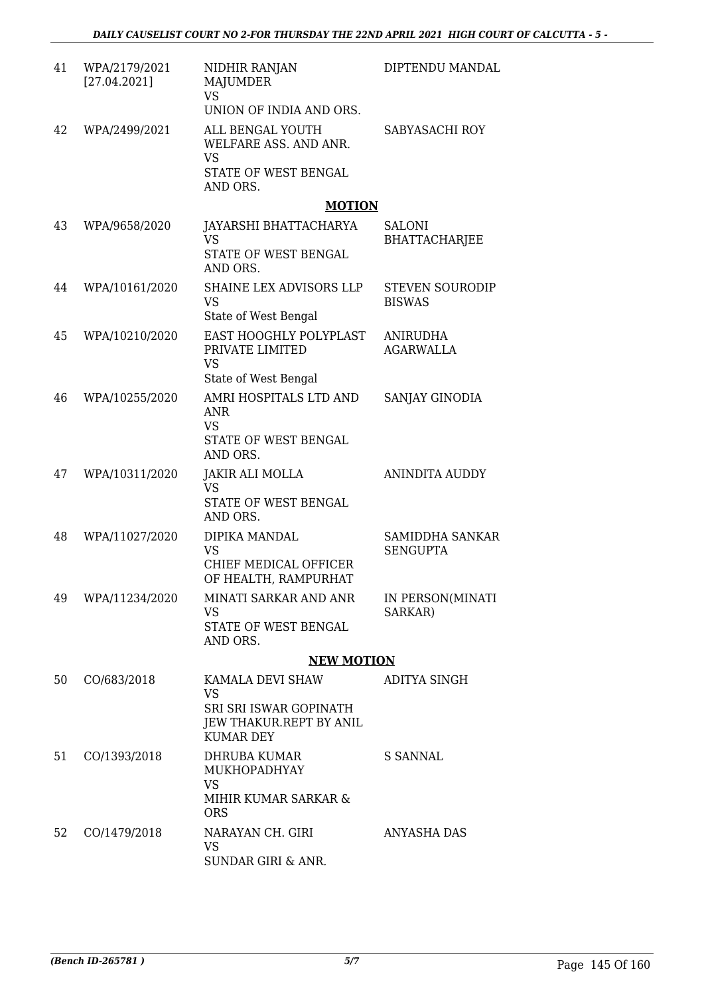| 41 | WPA/2179/2021<br>[27.04.2021] | NIDHIR RANJAN<br>MAJUMDER<br><b>VS</b><br>UNION OF INDIA AND ORS.           | DIPTENDU MANDAL                           |
|----|-------------------------------|-----------------------------------------------------------------------------|-------------------------------------------|
| 42 | WPA/2499/2021                 | ALL BENGAL YOUTH<br>WELFARE ASS. AND ANR.<br><b>VS</b>                      | SABYASACHI ROY                            |
|    |                               | STATE OF WEST BENGAL<br>AND ORS.                                            |                                           |
|    |                               | <b>MOTION</b>                                                               |                                           |
| 43 | WPA/9658/2020                 | JAYARSHI BHATTACHARYA<br><b>VS</b><br>STATE OF WEST BENGAL                  | <b>SALONI</b><br><b>BHATTACHARJEE</b>     |
|    |                               | AND ORS.                                                                    |                                           |
| 44 | WPA/10161/2020                | SHAINE LEX ADVISORS LLP<br><b>VS</b><br>State of West Bengal                | <b>STEVEN SOURODIP</b><br><b>BISWAS</b>   |
| 45 | WPA/10210/2020                | EAST HOOGHLY POLYPLAST<br>PRIVATE LIMITED<br><b>VS</b>                      | <b>ANIRUDHA</b><br><b>AGARWALLA</b>       |
|    |                               | State of West Bengal                                                        |                                           |
| 46 | WPA/10255/2020                | AMRI HOSPITALS LTD AND<br><b>ANR</b><br><b>VS</b>                           | SANJAY GINODIA                            |
|    |                               | STATE OF WEST BENGAL<br>AND ORS.                                            |                                           |
| 47 | WPA/10311/2020                | JAKIR ALI MOLLA<br><b>VS</b><br>STATE OF WEST BENGAL                        | ANINDITA AUDDY                            |
|    |                               | AND ORS.                                                                    |                                           |
| 48 | WPA/11027/2020                | DIPIKA MANDAL<br><b>VS</b><br>CHIEF MEDICAL OFFICER<br>OF HEALTH, RAMPURHAT | <b>SAMIDDHA SANKAR</b><br><b>SENGUPTA</b> |
| 49 | WPA/11234/2020                | MINATI SARKAR AND ANR<br><b>VS</b>                                          | IN PERSON(MINATI<br>SARKAR)               |
|    |                               | STATE OF WEST BENGAL<br>AND ORS.                                            |                                           |
|    |                               | <b>NEW MOTION</b>                                                           |                                           |
| 50 | CO/683/2018                   | KAMALA DEVI SHAW<br><b>VS</b>                                               | ADITYA SINGH                              |
|    |                               | SRI SRI ISWAR GOPINATH<br>JEW THAKUR.REPT BY ANIL<br><b>KUMAR DEY</b>       |                                           |
| 51 | CO/1393/2018                  | <b>DHRUBA KUMAR</b><br>MUKHOPADHYAY<br><b>VS</b>                            | S SANNAL                                  |
|    |                               | MIHIR KUMAR SARKAR &<br><b>ORS</b>                                          |                                           |
| 52 | CO/1479/2018                  | NARAYAN CH. GIRI<br><b>VS</b><br>SUNDAR GIRI & ANR.                         | ANYASHA DAS                               |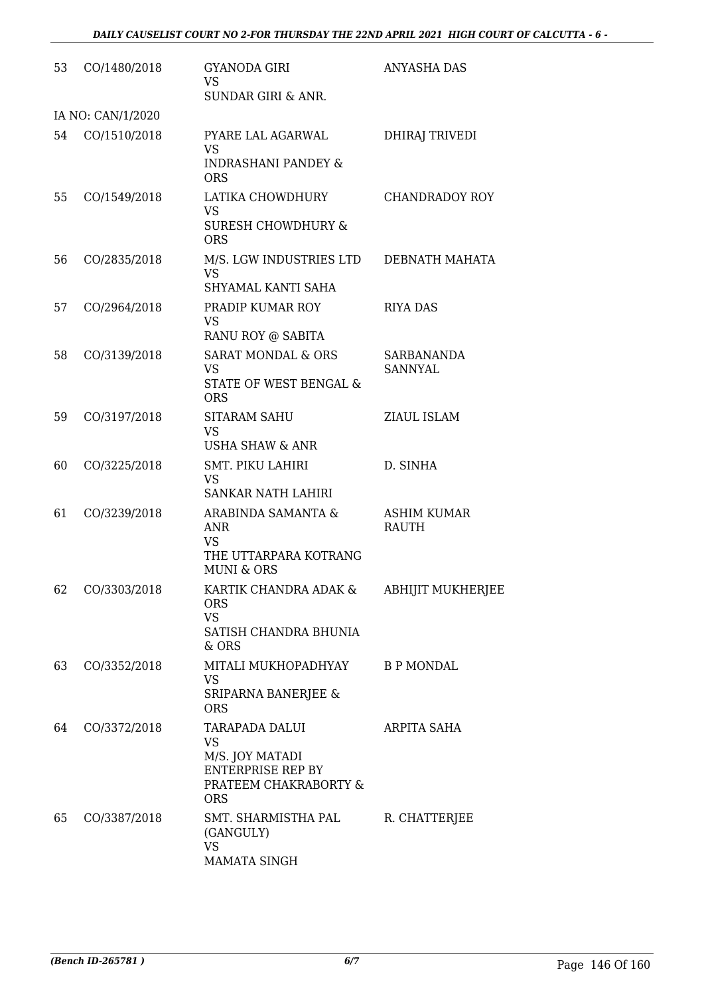| 53 | CO/1480/2018      | GYANODA GIRI<br><b>VS</b><br><b>SUNDAR GIRI &amp; ANR.</b>                                                               | <b>ANYASHA DAS</b>           |
|----|-------------------|--------------------------------------------------------------------------------------------------------------------------|------------------------------|
|    | IA NO: CAN/1/2020 |                                                                                                                          |                              |
| 54 | CO/1510/2018      | PYARE LAL AGARWAL<br><b>VS</b><br><b>INDRASHANI PANDEY &amp;</b><br><b>ORS</b>                                           | DHIRAJ TRIVEDI               |
| 55 | CO/1549/2018      | LATIKA CHOWDHURY<br><b>VS</b><br><b>SURESH CHOWDHURY &amp;</b><br><b>ORS</b>                                             | <b>CHANDRADOY ROY</b>        |
| 56 | CO/2835/2018      | M/S. LGW INDUSTRIES LTD<br><b>VS</b><br>SHYAMAL KANTI SAHA                                                               | DEBNATH MAHATA               |
| 57 | CO/2964/2018      | PRADIP KUMAR ROY<br><b>VS</b>                                                                                            | <b>RIYA DAS</b>              |
| 58 | CO/3139/2018      | RANU ROY @ SABITA<br><b>SARAT MONDAL &amp; ORS</b><br><b>VS</b><br>STATE OF WEST BENGAL &<br><b>ORS</b>                  | SARBANANDA<br><b>SANNYAL</b> |
| 59 | CO/3197/2018      | <b>SITARAM SAHU</b><br><b>VS</b><br><b>USHA SHAW &amp; ANR</b>                                                           | ZIAUL ISLAM                  |
| 60 | CO/3225/2018      | <b>SMT. PIKU LAHIRI</b><br><b>VS</b><br><b>SANKAR NATH LAHIRI</b>                                                        | D. SINHA                     |
| 61 | CO/3239/2018      | ARABINDA SAMANTA &<br><b>ANR</b><br><b>VS</b><br>THE UTTARPARA KOTRANG<br><b>MUNI &amp; ORS</b>                          | ASHIM KUMAR<br><b>RAUTH</b>  |
| 62 | CO/3303/2018      | KARTIK CHANDRA ADAK &<br><b>ORS</b><br><b>VS</b><br>SATISH CHANDRA BHUNIA<br>& ORS                                       | <b>ABHIJIT MUKHERJEE</b>     |
| 63 | CO/3352/2018      | MITALI MUKHOPADHYAY<br><b>VS</b><br>SRIPARNA BANERJEE &<br><b>ORS</b>                                                    | <b>B P MONDAL</b>            |
| 64 | CO/3372/2018      | <b>TARAPADA DALUI</b><br><b>VS</b><br>M/S. JOY MATADI<br><b>ENTERPRISE REP BY</b><br>PRATEEM CHAKRABORTY &<br><b>ORS</b> | <b>ARPITA SAHA</b>           |
| 65 | CO/3387/2018      | SMT. SHARMISTHA PAL<br>(GANGULY)<br><b>VS</b><br>MAMATA SINGH                                                            | R. CHATTERJEE                |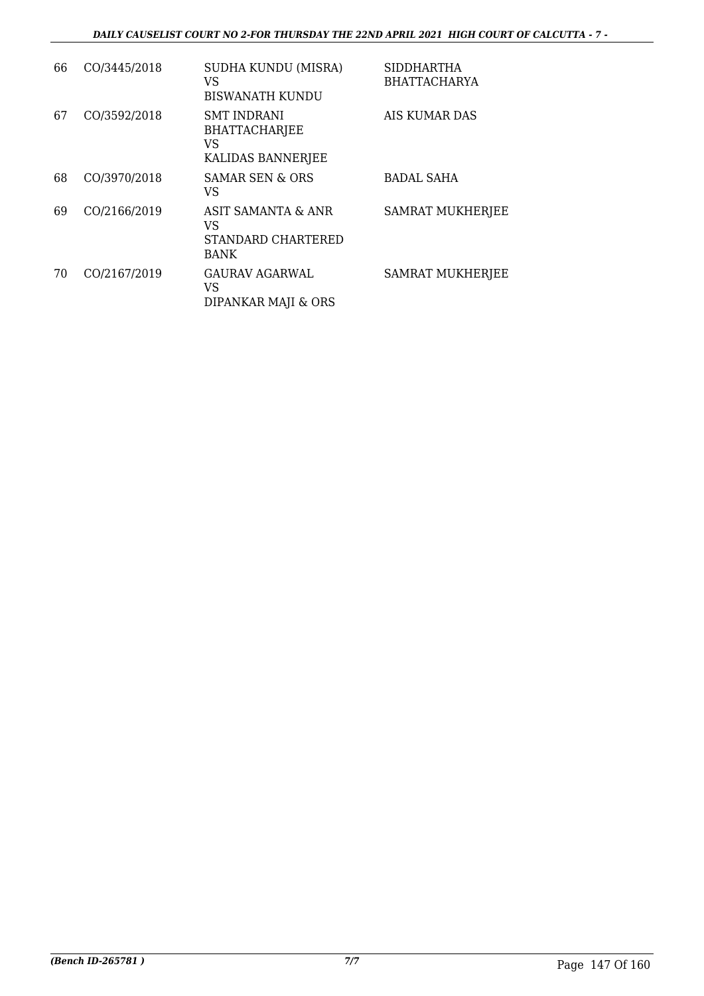| 66 | CO/3445/2018 | SUDHA KUNDU (MISRA)<br>VS<br>BISWANATH KUNDU                          | <b>SIDDHARTHA</b><br><b>BHATTACHARYA</b> |
|----|--------------|-----------------------------------------------------------------------|------------------------------------------|
| 67 | CO/3592/2018 | <b>SMT INDRANI</b><br><b>BHATTACHARJEE</b><br>VS<br>KALIDAS BANNERJEE | AIS KUMAR DAS                            |
| 68 | CO/3970/2018 | SAMAR SEN & ORS<br>VS                                                 | <b>BADAL SAHA</b>                        |
| 69 | CO/2166/2019 | ASIT SAMANTA & ANR<br>VS<br><b>STANDARD CHARTERED</b><br>BANK         | <b>SAMRAT MUKHERJEE</b>                  |
| 70 | CO/2167/2019 | <b>GAURAV AGARWAL</b><br>VS<br>DIPANKAR MAJI & ORS                    | <b>SAMRAT MUKHERJEE</b>                  |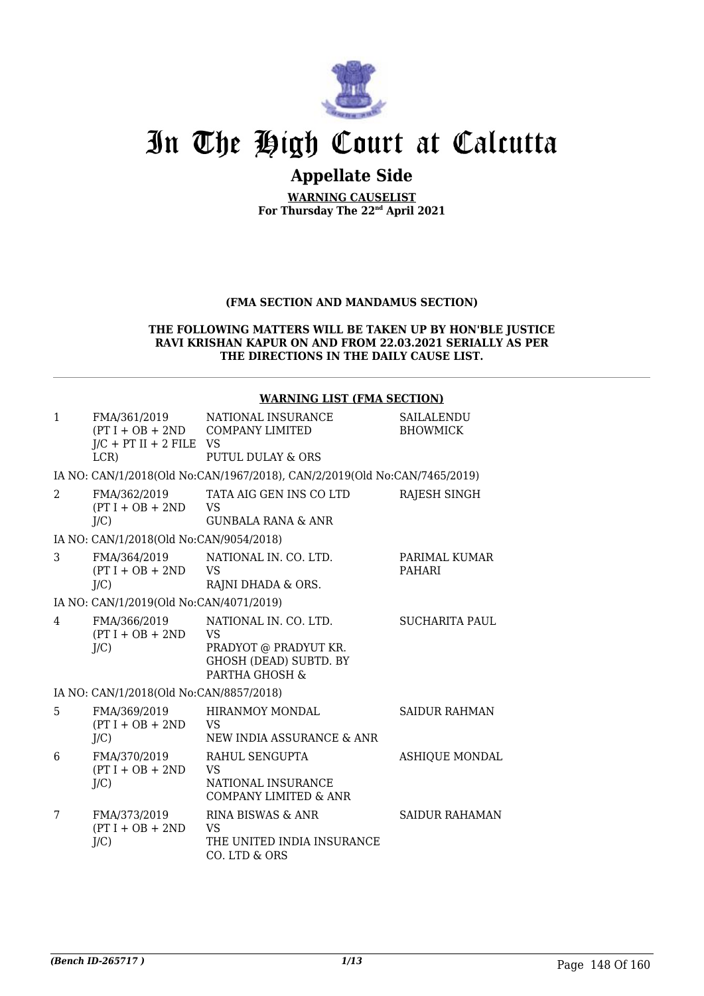

# In The High Court at Calcutta

# **Appellate Side**

**WARNING CAUSELIST For Thursday The 22nd April 2021**

## **(FMA SECTION AND MANDAMUS SECTION)**

### **THE FOLLOWING MATTERS WILL BE TAKEN UP BY HON'BLE JUSTICE RAVI KRISHAN KAPUR ON AND FROM 22.03.2021 SERIALLY AS PER THE DIRECTIONS IN THE DAILY CAUSE LIST.**

### **WARNING LIST (FMA SECTION)**

| $\mathbf{1}$   | FMA/361/2019<br>$J/C$ + PT II + 2 FILE VS<br>LCR | NATIONAL INSURANCE<br>$(PT I + OB + 2ND$ COMPANY LIMITED<br>PUTUL DULAY & ORS                           | SAILALENDU<br><b>BHOWMICK</b>  |
|----------------|--------------------------------------------------|---------------------------------------------------------------------------------------------------------|--------------------------------|
|                |                                                  | IA NO: CAN/1/2018(Old No:CAN/1967/2018), CAN/2/2019(Old No:CAN/7465/2019)                               |                                |
| $\mathcal{L}$  | FMA/362/2019<br>$(PT I + OB + 2ND$<br>J/C        | TATA AIG GEN INS CO LTD<br><b>VS</b><br><b>GUNBALA RANA &amp; ANR</b>                                   | RAJESH SINGH                   |
|                | IA NO: CAN/1/2018(Old No:CAN/9054/2018)          |                                                                                                         |                                |
| 3              | FMA/364/2019<br>$(PT I + OB + 2ND$<br>$J/C$ )    | NATIONAL IN, CO. LTD.<br><b>VS</b><br>RAJNI DHADA & ORS.                                                | PARIMAL KUMAR<br><b>PAHARI</b> |
|                | IA NO: CAN/1/2019(Old No:CAN/4071/2019)          |                                                                                                         |                                |
| $\overline{4}$ | FMA/366/2019<br>$(PT I + OB + 2ND$<br>J/C        | NATIONAL IN. CO. LTD.<br>VS<br>PRADYOT @ PRADYUT KR.<br><b>GHOSH (DEAD) SUBTD. BY</b><br>PARTHA GHOSH & | <b>SUCHARITA PAUL</b>          |
|                | IA NO: CAN/1/2018(Old No:CAN/8857/2018)          |                                                                                                         |                                |
| 5              | FMA/369/2019<br>$(PT I + OB + 2ND$<br>J/C        | <b>HIRANMOY MONDAL</b><br>VS<br>NEW INDIA ASSURANCE & ANR                                               | <b>SAIDUR RAHMAN</b>           |
| 6              | FMA/370/2019<br>$(PT I + OB + 2ND$<br>$J/C$ )    | RAHUL SENGUPTA<br><b>VS</b><br>NATIONAL INSURANCE<br><b>COMPANY LIMITED &amp; ANR</b>                   | <b>ASHIQUE MONDAL</b>          |
| 7              | FMA/373/2019<br>$(PT I + OB + 2ND$<br>$J/C$ )    | RINA BISWAS & ANR<br>VS<br>THE UNITED INDIA INSURANCE<br>CO. LTD & ORS                                  | <b>SAIDUR RAHAMAN</b>          |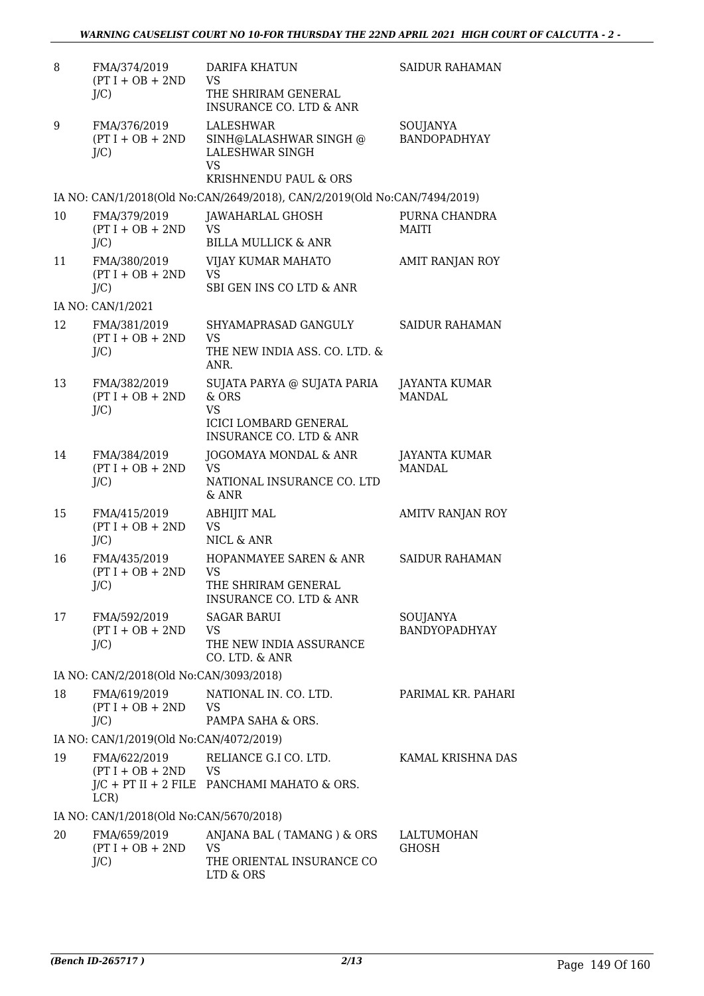| 8  | FMA/374/2019<br>$(PT I + OB + 2ND$<br>$J/C$ ) | <b>DARIFA KHATUN</b><br><b>VS</b><br>THE SHRIRAM GENERAL<br><b>INSURANCE CO. LTD &amp; ANR</b>                                  | <b>SAIDUR RAHAMAN</b>            |
|----|-----------------------------------------------|---------------------------------------------------------------------------------------------------------------------------------|----------------------------------|
| 9  | FMA/376/2019<br>$(PT I + OB + 2ND$<br>$J/C$ ) | LALESHWAR<br>SINH@LALASHWAR SINGH @<br>LALESHWAR SINGH<br><b>VS</b><br>KRISHNENDU PAUL & ORS                                    | SOUJANYA<br><b>BANDOPADHYAY</b>  |
|    |                                               | IA NO: CAN/1/2018(Old No:CAN/2649/2018), CAN/2/2019(Old No:CAN/7494/2019)                                                       |                                  |
| 10 | FMA/379/2019<br>$(PT I + OB + 2ND$<br>$J/C$ ) | JAWAHARLAL GHOSH<br><b>VS</b><br><b>BILLA MULLICK &amp; ANR</b>                                                                 | PURNA CHANDRA<br><b>MAITI</b>    |
| 11 | FMA/380/2019<br>$(PT I + OB + 2ND$<br>$J/C$ ) | VIJAY KUMAR MAHATO<br><b>VS</b><br>SBI GEN INS CO LTD & ANR                                                                     | AMIT RANJAN ROY                  |
|    | IA NO: CAN/1/2021                             |                                                                                                                                 |                                  |
| 12 | FMA/381/2019<br>$(PT I + OB + 2ND$<br>$J/C$ ) | SHYAMAPRASAD GANGULY<br><b>VS</b><br>THE NEW INDIA ASS. CO. LTD. &                                                              | <b>SAIDUR RAHAMAN</b>            |
| 13 | FMA/382/2019<br>$(PT I + OB + 2ND$<br>$J/C$ ) | ANR.<br>SUJATA PARYA @ SUJATA PARIA<br>& ORS<br><b>VS</b><br><b>ICICI LOMBARD GENERAL</b><br><b>INSURANCE CO. LTD &amp; ANR</b> | JAYANTA KUMAR<br><b>MANDAL</b>   |
| 14 | FMA/384/2019<br>$(PT I + OB + 2ND$<br>$J/C$ ) | JOGOMAYA MONDAL & ANR<br><b>VS</b><br>NATIONAL INSURANCE CO. LTD<br>& ANR                                                       | JAYANTA KUMAR<br><b>MANDAL</b>   |
| 15 | FMA/415/2019<br>$(PT I + OB + 2ND$<br>$J/C$ ) | <b>ABHIJIT MAL</b><br><b>VS</b><br>NICL & ANR                                                                                   | AMITV RANJAN ROY                 |
| 16 | FMA/435/2019<br>$(PT I + OB + 2ND$<br>$J/C$ ) | <b>HOPANMAYEE SAREN &amp; ANR</b><br><b>VS</b><br>THE SHRIRAM GENERAL<br><b>INSURANCE CO. LTD &amp; ANR</b>                     | <b>SAIDUR RAHAMAN</b>            |
| 17 | FMA/592/2019<br>$(PT I + OB + 2ND$<br>$J/C$ ) | <b>SAGAR BARUI</b><br><b>VS</b><br>THE NEW INDIA ASSURANCE<br>CO. LTD. & ANR                                                    | SOUJANYA<br><b>BANDYOPADHYAY</b> |
|    | IA NO: CAN/2/2018(Old No:CAN/3093/2018)       |                                                                                                                                 |                                  |
| 18 | FMA/619/2019<br>$(PT I + OB + 2ND$<br>$J/C$ ) | NATIONAL IN. CO. LTD.<br><b>VS</b><br>PAMPA SAHA & ORS.                                                                         | PARIMAL KR. PAHARI               |
|    | IA NO: CAN/1/2019(Old No:CAN/4072/2019)       |                                                                                                                                 |                                  |
| 19 | FMA/622/2019<br>$(PT I + OB + 2ND$ VS<br>LCR) | RELIANCE G.I CO. LTD.<br>$J/C$ + PT II + 2 FILE PANCHAMI MAHATO & ORS.                                                          | KAMAL KRISHNA DAS                |
|    | IA NO: CAN/1/2018(Old No:CAN/5670/2018)       |                                                                                                                                 |                                  |
| 20 | FMA/659/2019<br>$(PT I + OB + 2ND$<br>$J/C$ ) | ANJANA BAL (TAMANG) & ORS<br><b>VS</b><br>THE ORIENTAL INSURANCE CO<br>LTD & ORS                                                | LALTUMOHAN<br><b>GHOSH</b>       |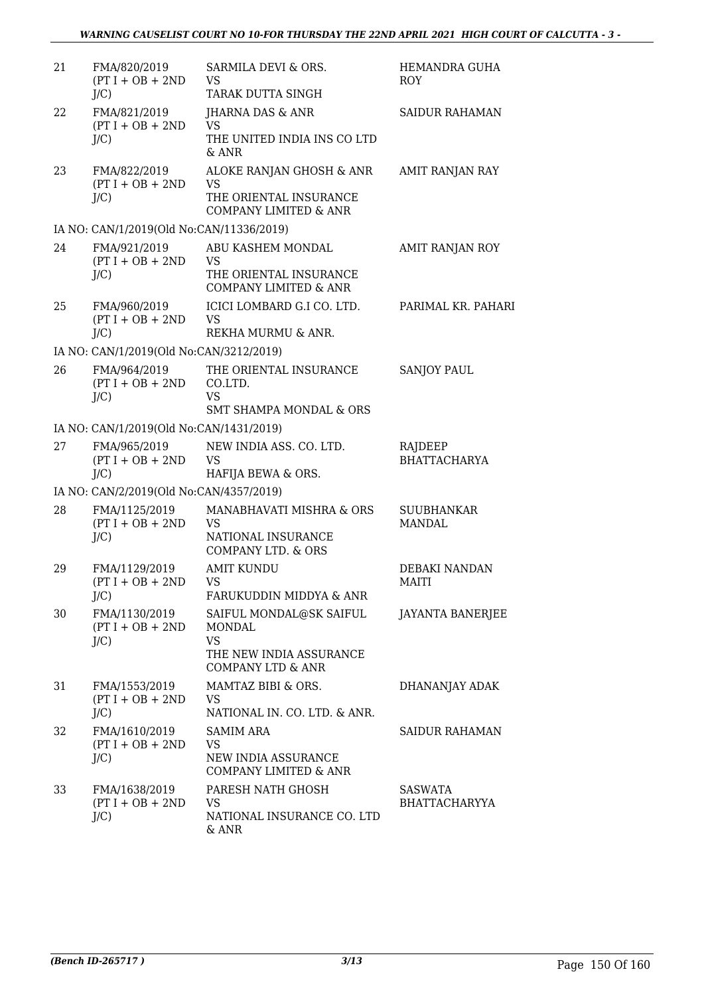| 21 | FMA/820/2019<br>$(PT I + OB + 2ND$<br>$J/C$ )  | SARMILA DEVI & ORS.<br><b>VS</b><br>TARAK DUTTA SINGH                                                     | HEMANDRA GUHA<br><b>ROY</b>        |
|----|------------------------------------------------|-----------------------------------------------------------------------------------------------------------|------------------------------------|
| 22 | FMA/821/2019<br>$(PT I + OB + 2ND$<br>$J/C$ )  | JHARNA DAS & ANR<br><b>VS</b><br>THE UNITED INDIA INS CO LTD<br>& ANR                                     | <b>SAIDUR RAHAMAN</b>              |
| 23 | FMA/822/2019<br>$(PT I + OB + 2ND$<br>$J/C$ )  | ALOKE RANJAN GHOSH & ANR<br><b>VS</b><br>THE ORIENTAL INSURANCE<br><b>COMPANY LIMITED &amp; ANR</b>       | AMIT RANJAN RAY                    |
|    | IA NO: CAN/1/2019(Old No:CAN/11336/2019)       |                                                                                                           |                                    |
| 24 | FMA/921/2019<br>$(PT I + OB + 2ND$<br>$J/C$ )  | ABU KASHEM MONDAL<br><b>VS</b><br>THE ORIENTAL INSURANCE<br><b>COMPANY LIMITED &amp; ANR</b>              | AMIT RANJAN ROY                    |
| 25 | FMA/960/2019<br>$(PT I + OB + 2ND$<br>$J/C$ )  | ICICI LOMBARD G.I CO. LTD.<br><b>VS</b><br>REKHA MURMU & ANR.                                             | PARIMAL KR. PAHARI                 |
|    | IA NO: CAN/1/2019(Old No:CAN/3212/2019)        |                                                                                                           |                                    |
| 26 | FMA/964/2019<br>$(PT I + OB + 2ND$<br>$J/C$ )  | THE ORIENTAL INSURANCE<br>CO.LTD.<br><b>VS</b>                                                            | <b>SANJOY PAUL</b>                 |
|    |                                                | <b>SMT SHAMPA MONDAL &amp; ORS</b>                                                                        |                                    |
|    | IA NO: CAN/1/2019(Old No:CAN/1431/2019)        |                                                                                                           |                                    |
| 27 | FMA/965/2019<br>$(PT I + OB + 2ND$<br>$J/C$ )  | NEW INDIA ASS. CO. LTD.<br><b>VS</b><br>HAFIJA BEWA & ORS.                                                | RAJDEEP<br><b>BHATTACHARYA</b>     |
|    | IA NO: CAN/2/2019(Old No:CAN/4357/2019)        |                                                                                                           |                                    |
| 28 | FMA/1125/2019<br>$(PT I + OB + 2ND$<br>$J/C$ ) | MANABHAVATI MISHRA & ORS<br><b>VS</b><br>NATIONAL INSURANCE<br><b>COMPANY LTD. &amp; ORS</b>              | <b>SUUBHANKAR</b><br><b>MANDAL</b> |
| 29 | FMA/1129/2019<br>$(PT I + OB + 2ND$<br>$J/C$ ) | <b>AMIT KUNDU</b><br>VS.<br>FARUKUDDIN MIDDYA & ANR                                                       | DEBAKI NANDAN<br>MAITI             |
| 30 | FMA/1130/2019<br>$(PT I + OB + 2ND$<br>$J/C$ ) | SAIFUL MONDAL@SK SAIFUL<br>MONDAL<br><b>VS</b><br>THE NEW INDIA ASSURANCE<br><b>COMPANY LTD &amp; ANR</b> | <b>JAYANTA BANERJEE</b>            |
| 31 | FMA/1553/2019<br>$(PT I + OB + 2ND$<br>$J/C$ ) | MAMTAZ BIBI & ORS.<br><b>VS</b><br>NATIONAL IN. CO. LTD. & ANR.                                           | DHANANJAY ADAK                     |
| 32 | FMA/1610/2019<br>$(PT I + OB + 2ND$<br>$J/C$ ) | <b>SAMIM ARA</b><br>VS<br>NEW INDIA ASSURANCE<br>COMPANY LIMITED & ANR                                    | <b>SAIDUR RAHAMAN</b>              |
| 33 | FMA/1638/2019<br>$(PT I + OB + 2ND$<br>$J/C$ ) | PARESH NATH GHOSH<br><b>VS</b><br>NATIONAL INSURANCE CO. LTD<br>& ANR                                     | <b>SASWATA</b><br>BHATTACHARYYA    |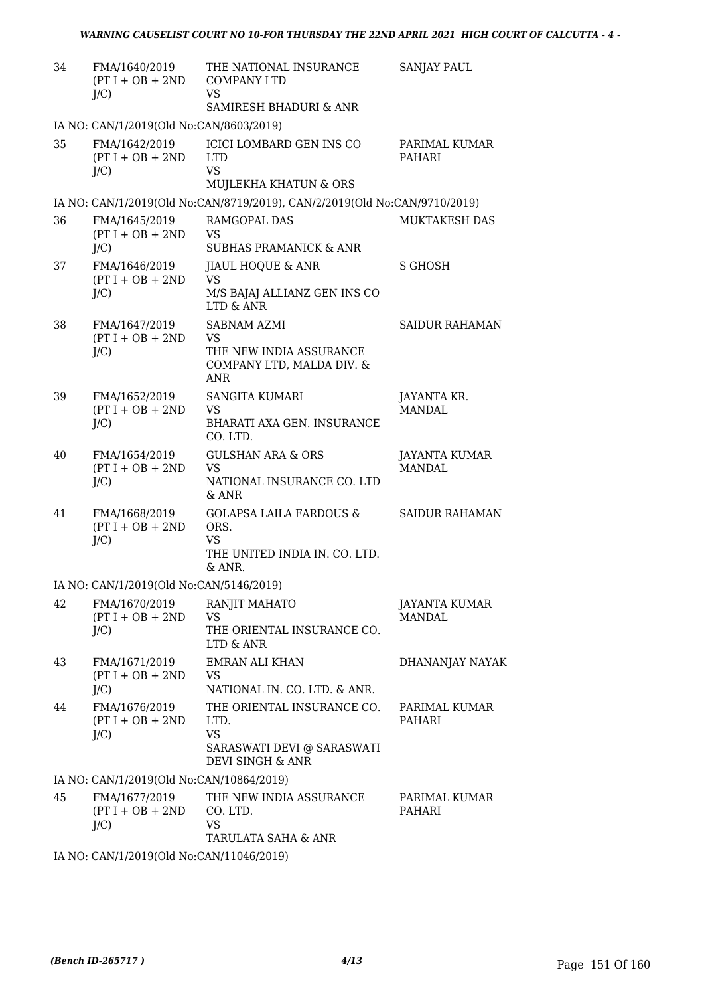| 34 | FMA/1640/2019<br>$(PT I + OB + 2ND$<br>$J/C$ ) | THE NATIONAL INSURANCE<br><b>COMPANY LTD</b><br><b>VS</b>                                                    | <b>SANJAY PAUL</b>             |
|----|------------------------------------------------|--------------------------------------------------------------------------------------------------------------|--------------------------------|
|    | IA NO: CAN/1/2019(Old No:CAN/8603/2019)        | SAMIRESH BHADURI & ANR                                                                                       |                                |
| 35 | FMA/1642/2019<br>$(PT I + OB + 2ND$<br>$J/C$ ) | ICICI LOMBARD GEN INS CO<br><b>LTD</b><br><b>VS</b><br>MUJLEKHA KHATUN & ORS                                 | PARIMAL KUMAR<br>PAHARI        |
|    |                                                | IA NO: CAN/1/2019(Old No:CAN/8719/2019), CAN/2/2019(Old No:CAN/9710/2019)                                    |                                |
| 36 | FMA/1645/2019<br>$(PT I + OB + 2ND$<br>$J/C$ ) | RAMGOPAL DAS<br><b>VS</b><br><b>SUBHAS PRAMANICK &amp; ANR</b>                                               | <b>MUKTAKESH DAS</b>           |
| 37 | FMA/1646/2019<br>$(PT I + OB + 2ND$<br>$J/C$ ) | JIAUL HOQUE & ANR<br><b>VS</b><br>M/S BAJAJ ALLIANZ GEN INS CO<br><b>LTD &amp; ANR</b>                       | <b>S GHOSH</b>                 |
| 38 | FMA/1647/2019<br>$(PT I + OB + 2ND$<br>$J/C$ ) | <b>SABNAM AZMI</b><br><b>VS</b><br>THE NEW INDIA ASSURANCE<br>COMPANY LTD, MALDA DIV. &<br><b>ANR</b>        | <b>SAIDUR RAHAMAN</b>          |
| 39 | FMA/1652/2019<br>$(PT I + OB + 2ND$<br>$J/C$ ) | <b>SANGITA KUMARI</b><br><b>VS</b><br>BHARATI AXA GEN. INSURANCE<br>CO. LTD.                                 | JAYANTA KR.<br><b>MANDAL</b>   |
| 40 | FMA/1654/2019<br>$(PT I + OB + 2ND$<br>$J/C$ ) | <b>GULSHAN ARA &amp; ORS</b><br><b>VS</b><br>NATIONAL INSURANCE CO. LTD<br>& ANR                             | JAYANTA KUMAR<br><b>MANDAL</b> |
| 41 | FMA/1668/2019<br>$(PT I + OB + 2ND$<br>$J/C$ ) | <b>GOLAPSA LAILA FARDOUS &amp;</b><br>ORS.<br><b>VS</b><br>THE UNITED INDIA IN. CO. LTD.<br>& ANR.           | <b>SAIDUR RAHAMAN</b>          |
|    | IA NO: CAN/1/2019(Old No:CAN/5146/2019)        |                                                                                                              |                                |
| 42 | FMA/1670/2019<br>$(PT I + OB + 2ND$<br>$J/C$ ) | RANJIT MAHATO<br><b>VS</b><br>THE ORIENTAL INSURANCE CO.<br>LTD & ANR                                        | JAYANTA KUMAR<br><b>MANDAL</b> |
| 43 | FMA/1671/2019<br>$(PT I + OB + 2ND$<br>$J/C$ ) | <b>EMRAN ALI KHAN</b><br><b>VS</b><br>NATIONAL IN. CO. LTD. & ANR.                                           | DHANANJAY NAYAK                |
| 44 | FMA/1676/2019<br>$(PT I + OB + 2ND$<br>$J/C$ ) | THE ORIENTAL INSURANCE CO.<br>LTD.<br><b>VS</b><br>SARASWATI DEVI @ SARASWATI<br><b>DEVI SINGH &amp; ANR</b> | PARIMAL KUMAR<br><b>PAHARI</b> |
|    | IA NO: CAN/1/2019(Old No:CAN/10864/2019)       |                                                                                                              |                                |
| 45 | FMA/1677/2019<br>$(PT I + OB + 2ND$<br>$J/C$ ) | THE NEW INDIA ASSURANCE<br>CO. LTD.<br><b>VS</b><br>TARULATA SAHA & ANR                                      | PARIMAL KUMAR<br>PAHARI        |
|    | IA NO: CAN/1/2019(Old No:CAN/11046/2019)       |                                                                                                              |                                |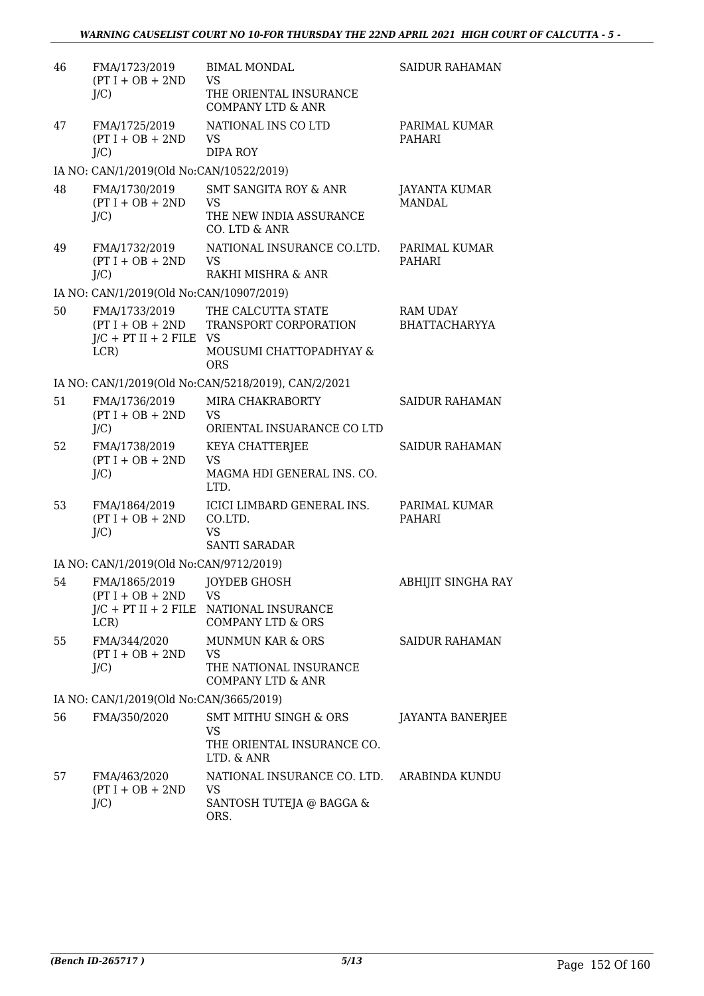| 46 | FMA/1723/2019<br>$(PT I + OB + 2ND$<br>$J/C$ )                           | <b>BIMAL MONDAL</b><br><b>VS</b><br>THE ORIENTAL INSURANCE<br><b>COMPANY LTD &amp; ANR</b>  | <b>SAIDUR RAHAMAN</b>                   |
|----|--------------------------------------------------------------------------|---------------------------------------------------------------------------------------------|-----------------------------------------|
| 47 | FMA/1725/2019<br>$(PT I + OB + 2ND$<br>$J/C$ )                           | NATIONAL INS CO LTD<br><b>VS</b><br>DIPA ROY                                                | PARIMAL KUMAR<br><b>PAHARI</b>          |
|    | IA NO: CAN/1/2019(Old No:CAN/10522/2019)                                 |                                                                                             |                                         |
| 48 | FMA/1730/2019<br>$(PT I + OB + 2ND$<br>$J/C$ )                           | <b>SMT SANGITA ROY &amp; ANR</b><br><b>VS</b><br>THE NEW INDIA ASSURANCE<br>CO. LTD & ANR   | JAYANTA KUMAR<br><b>MANDAL</b>          |
| 49 | FMA/1732/2019<br>$(PT I + OB + 2ND$<br>$J/C$ )                           | NATIONAL INSURANCE CO.LTD.<br><b>VS</b><br>RAKHI MISHRA & ANR                               | PARIMAL KUMAR<br>PAHARI                 |
|    | IA NO: CAN/1/2019(Old No:CAN/10907/2019)                                 |                                                                                             |                                         |
| 50 | FMA/1733/2019<br>$(PT I + OB + 2ND$<br>$J/C$ + PT II + 2 FILE VS<br>LCR) | THE CALCUTTA STATE<br>TRANSPORT CORPORATION<br>MOUSUMI CHATTOPADHYAY &<br><b>ORS</b>        | <b>RAM UDAY</b><br><b>BHATTACHARYYA</b> |
|    |                                                                          | IA NO: CAN/1/2019(Old No:CAN/5218/2019), CAN/2/2021                                         |                                         |
| 51 | FMA/1736/2019<br>$(PT I + OB + 2ND$<br>$J/C$ )                           | MIRA CHAKRABORTY<br><b>VS</b><br>ORIENTAL INSUARANCE CO LTD                                 | <b>SAIDUR RAHAMAN</b>                   |
| 52 | FMA/1738/2019<br>$(PT I + OB + 2ND$<br>$J/C$ )                           | KEYA CHATTERJEE<br><b>VS</b><br>MAGMA HDI GENERAL INS. CO.<br>LTD.                          | <b>SAIDUR RAHAMAN</b>                   |
| 53 | FMA/1864/2019<br>$(PT I + OB + 2ND$<br>$J/C$ )                           | ICICI LIMBARD GENERAL INS.<br>CO.LTD.<br><b>VS</b><br><b>SANTI SARADAR</b>                  | PARIMAL KUMAR<br><b>PAHARI</b>          |
|    | IA NO: CAN/1/2019(Old No:CAN/9712/2019)                                  |                                                                                             |                                         |
| 54 | FMA/1865/2019 JOYDEB GHOSH<br>$(PT I + OB + 2ND$ VS<br>LCR)              | J/C + PT II + 2 FILE NATIONAL INSURANCE<br><b>COMPANY LTD &amp; ORS</b>                     | ABHIJIT SINGHA RAY                      |
| 55 | FMA/344/2020<br>$(PT I + OB + 2ND$<br>$J/C$ )                            | <b>MUNMUN KAR &amp; ORS</b><br><b>VS</b><br>THE NATIONAL INSURANCE<br>COMPANY LTD & ANR     | SAIDUR RAHAMAN                          |
|    | IA NO: CAN/1/2019(Old No:CAN/3665/2019)                                  |                                                                                             |                                         |
| 56 | FMA/350/2020                                                             | <b>SMT MITHU SINGH &amp; ORS</b><br><b>VS</b><br>THE ORIENTAL INSURANCE CO.<br>LTD. & ANR   | <b>JAYANTA BANERJEE</b>                 |
| 57 | FMA/463/2020<br>$(PT I + OB + 2ND$<br>$J/C$ )                            | NATIONAL INSURANCE CO. LTD. ARABINDA KUNDU<br><b>VS</b><br>SANTOSH TUTEJA @ BAGGA &<br>ORS. |                                         |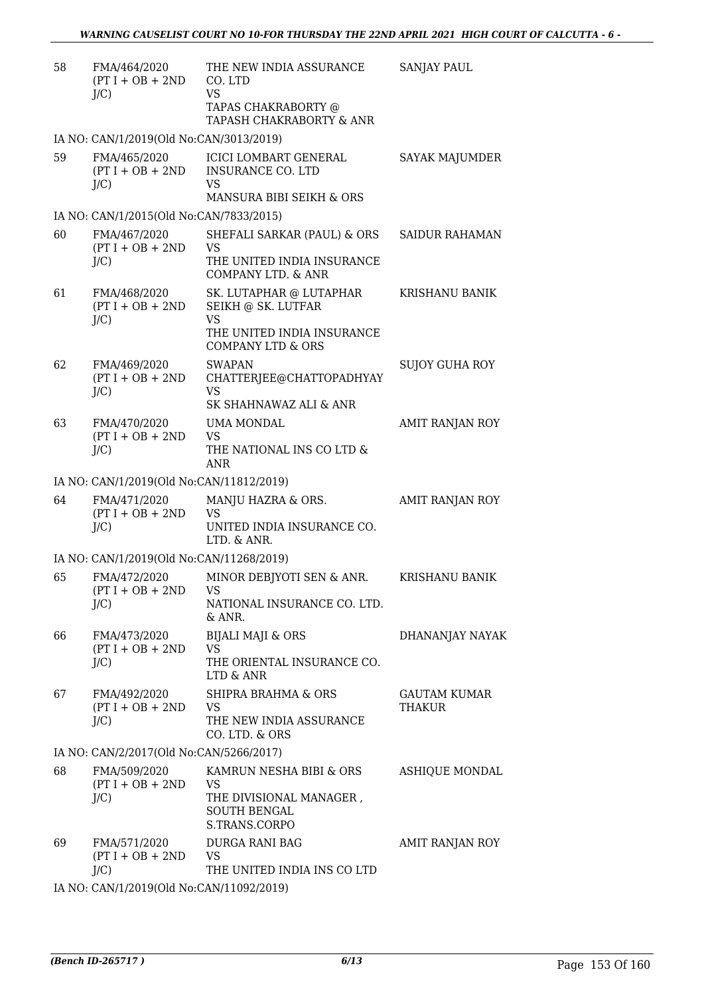| 58 | FMA/464/2020<br>$(PT I + OB + 2ND$<br>$J/C$ ) | THE NEW INDIA ASSURANCE<br>CO. LTD<br><b>VS</b><br>TAPAS CHAKRABORTY @<br>TAPASH CHAKRABORTY & ANR                       | SANJAY PAUL                          |
|----|-----------------------------------------------|--------------------------------------------------------------------------------------------------------------------------|--------------------------------------|
|    | IA NO: CAN/1/2019(Old No:CAN/3013/2019)       |                                                                                                                          |                                      |
| 59 | FMA/465/2020<br>$(PT I + OB + 2ND$<br>J/C     | ICICI LOMBART GENERAL<br><b>INSURANCE CO. LTD</b><br>VS<br>MANSURA BIBI SEIKH & ORS                                      | SAYAK MAJUMDER                       |
|    | IA NO: CAN/1/2015(Old No:CAN/7833/2015)       |                                                                                                                          |                                      |
| 60 | FMA/467/2020<br>$(PT I + OB + 2ND$<br>$J/C$ ) | SHEFALI SARKAR (PAUL) & ORS<br>VS<br>THE UNITED INDIA INSURANCE<br>COMPANY LTD. & ANR                                    | <b>SAIDUR RAHAMAN</b>                |
| 61 | FMA/468/2020<br>$(PT I + OB + 2ND$<br>$J/C$ ) | SK. LUTAPHAR @ LUTAPHAR<br>SEIKH @ SK. LUTFAR<br><b>VS</b><br>THE UNITED INDIA INSURANCE<br><b>COMPANY LTD &amp; ORS</b> | KRISHANU BANIK                       |
| 62 | FMA/469/2020<br>$(PT I + OB + 2ND$<br>$J/C$ ) | <b>SWAPAN</b><br>CHATTERJEE@CHATTOPADHYAY<br>VS<br>SK SHAHNAWAZ ALI & ANR                                                | <b>SUJOY GUHA ROY</b>                |
| 63 | FMA/470/2020<br>$(PT I + OB + 2ND$<br>$J/C$ ) | UMA MONDAL<br><b>VS</b><br>THE NATIONAL INS CO LTD &<br><b>ANR</b>                                                       | AMIT RANJAN ROY                      |
|    | IA NO: CAN/1/2019(Old No:CAN/11812/2019)      |                                                                                                                          |                                      |
| 64 | FMA/471/2020<br>$(PT I + OB + 2ND$<br>$J/C$ ) | MANJU HAZRA & ORS.<br><b>VS</b><br>UNITED INDIA INSURANCE CO.<br>LTD. & ANR.                                             | AMIT RANJAN ROY                      |
|    | IA NO: CAN/1/2019(Old No:CAN/11268/2019)      |                                                                                                                          |                                      |
| 65 | FMA/472/2020<br>$(PT I + OB + 2ND$<br>$J/C$ ) | MINOR DEBJYOTI SEN & ANR.<br>VS<br>NATIONAL INSURANCE CO. LTD.<br>& ANR.                                                 | <b>KRISHANU BANIK</b>                |
| 66 | FMA/473/2020<br>$(PT I + OB + 2ND$<br>$J/C$ ) | <b>BIJALI MAJI &amp; ORS</b><br><b>VS</b><br>THE ORIENTAL INSURANCE CO.<br>LTD & ANR                                     | DHANANJAY NAYAK                      |
| 67 | FMA/492/2020<br>$(PT I + OB + 2ND$<br>$J/C$ ) | SHIPRA BRAHMA & ORS<br><b>VS</b><br>THE NEW INDIA ASSURANCE<br>CO. LTD. & ORS                                            | <b>GAUTAM KUMAR</b><br><b>THAKUR</b> |
|    | IA NO: CAN/2/2017(Old No:CAN/5266/2017)       |                                                                                                                          |                                      |
| 68 | FMA/509/2020<br>$(PT I + OB + 2ND$<br>$J/C$ ) | KAMRUN NESHA BIBI & ORS<br><b>VS</b><br>THE DIVISIONAL MANAGER,<br><b>SOUTH BENGAL</b><br>S.TRANS.CORPO                  | ASHIQUE MONDAL                       |
| 69 | FMA/571/2020<br>$(PT I + OB + 2ND$<br>$J/C$ ) | DURGA RANI BAG<br>VS<br>THE UNITED INDIA INS CO LTD                                                                      | AMIT RANJAN ROY                      |

IA NO: CAN/1/2019(Old No:CAN/11092/2019)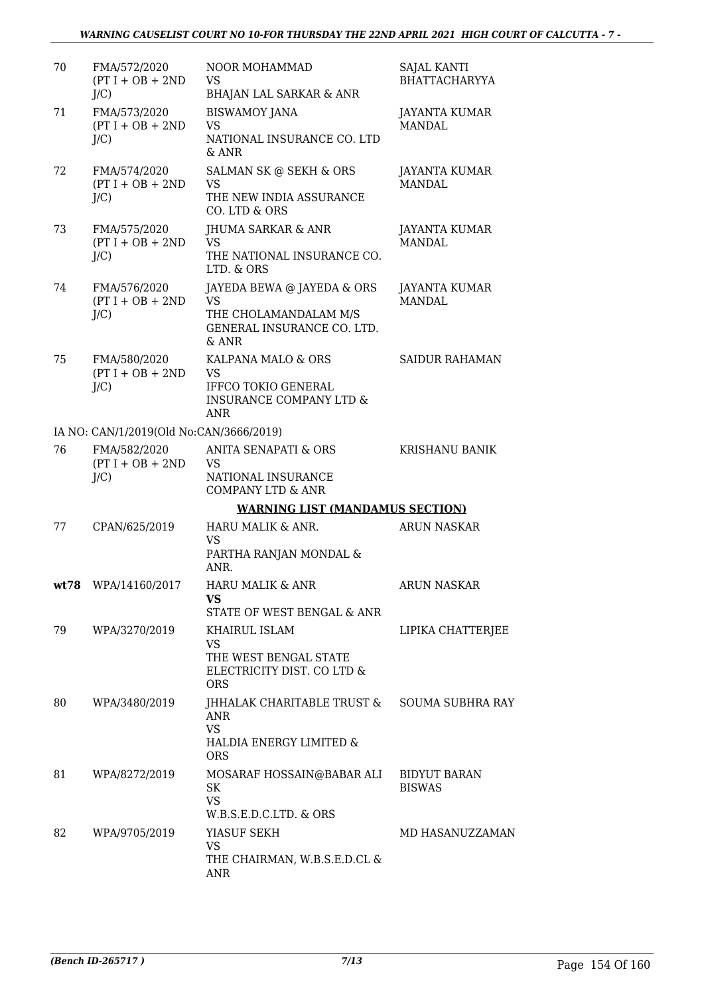| 70 | FMA/572/2020<br>$(PT I + OB + 2ND$<br>J/C     | NOOR MOHAMMAD<br><b>VS</b><br><b>BHAJAN LAL SARKAR &amp; ANR</b>                                                  | <b>SAJAL KANTI</b><br><b>BHATTACHARYYA</b> |
|----|-----------------------------------------------|-------------------------------------------------------------------------------------------------------------------|--------------------------------------------|
| 71 | FMA/573/2020<br>$(PT I + OB + 2ND$<br>J/C     | <b>BISWAMOY JANA</b><br><b>VS</b><br>NATIONAL INSURANCE CO. LTD<br>$&$ ANR                                        | <b>JAYANTA KUMAR</b><br><b>MANDAL</b>      |
| 72 | FMA/574/2020<br>$(PT I + OB + 2ND$<br>J/C     | SALMAN SK @ SEKH & ORS<br><b>VS</b><br>THE NEW INDIA ASSURANCE<br>CO. LTD & ORS                                   | JAYANTA KUMAR<br><b>MANDAL</b>             |
| 73 | FMA/575/2020<br>$(PT I + OB + 2ND$<br>$J/C$ ) | JHUMA SARKAR & ANR<br><b>VS</b><br>THE NATIONAL INSURANCE CO.<br>LTD. & ORS                                       | JAYANTA KUMAR<br><b>MANDAL</b>             |
| 74 | FMA/576/2020<br>$(PT I + OB + 2ND$<br>$J/C$ ) | JAYEDA BEWA @ JAYEDA & ORS<br><b>VS</b><br>THE CHOLAMANDALAM M/S<br>GENERAL INSURANCE CO. LTD.<br>& ANR           | JAYANTA KUMAR<br><b>MANDAL</b>             |
| 75 | FMA/580/2020<br>$(PT I + OB + 2ND$<br>$J/C$ ) | KALPANA MALO & ORS<br><b>VS</b><br><b>IFFCO TOKIO GENERAL</b><br><b>INSURANCE COMPANY LTD &amp;</b><br><b>ANR</b> | <b>SAIDUR RAHAMAN</b>                      |
|    | IA NO: CAN/1/2019(Old No:CAN/3666/2019)       |                                                                                                                   |                                            |
| 76 | FMA/582/2020<br>$(PT I + OB + 2ND$<br>$J/C$ ) | ANITA SENAPATI & ORS<br><b>VS</b><br>NATIONAL INSURANCE<br><b>COMPANY LTD &amp; ANR</b>                           | <b>KRISHANU BANIK</b>                      |
|    |                                               | <b>WARNING LIST (MANDAMUS SECTION)</b>                                                                            |                                            |
| 77 | CPAN/625/2019                                 | HARU MALIK & ANR.<br><b>VS</b><br>PARTHA RANJAN MONDAL &<br>ANR.                                                  | <b>ARUN NASKAR</b>                         |
|    | wt78 WPA/14160/2017                           | HARU MALIK & ANR<br>VS<br>STATE OF WEST BENGAL & ANR                                                              | <b>ARUN NASKAR</b>                         |
| 79 | WPA/3270/2019                                 | KHAIRUL ISLAM<br><b>VS</b><br>THE WEST BENGAL STATE<br>ELECTRICITY DIST. CO LTD &<br><b>ORS</b>                   | LIPIKA CHATTERJEE                          |
| 80 | WPA/3480/2019                                 | JHHALAK CHARITABLE TRUST &<br>ANR<br><b>VS</b><br>HALDIA ENERGY LIMITED &<br><b>ORS</b>                           | <b>SOUMA SUBHRA RAY</b>                    |
| 81 | WPA/8272/2019                                 | MOSARAF HOSSAIN@BABAR ALI<br>SK<br><b>VS</b><br>W.B.S.E.D.C.LTD. & ORS                                            | <b>BIDYUT BARAN</b><br><b>BISWAS</b>       |
| 82 | WPA/9705/2019                                 | YIASUF SEKH<br><b>VS</b><br>THE CHAIRMAN, W.B.S.E.D.CL &<br>ANR                                                   | MD HASANUZZAMAN                            |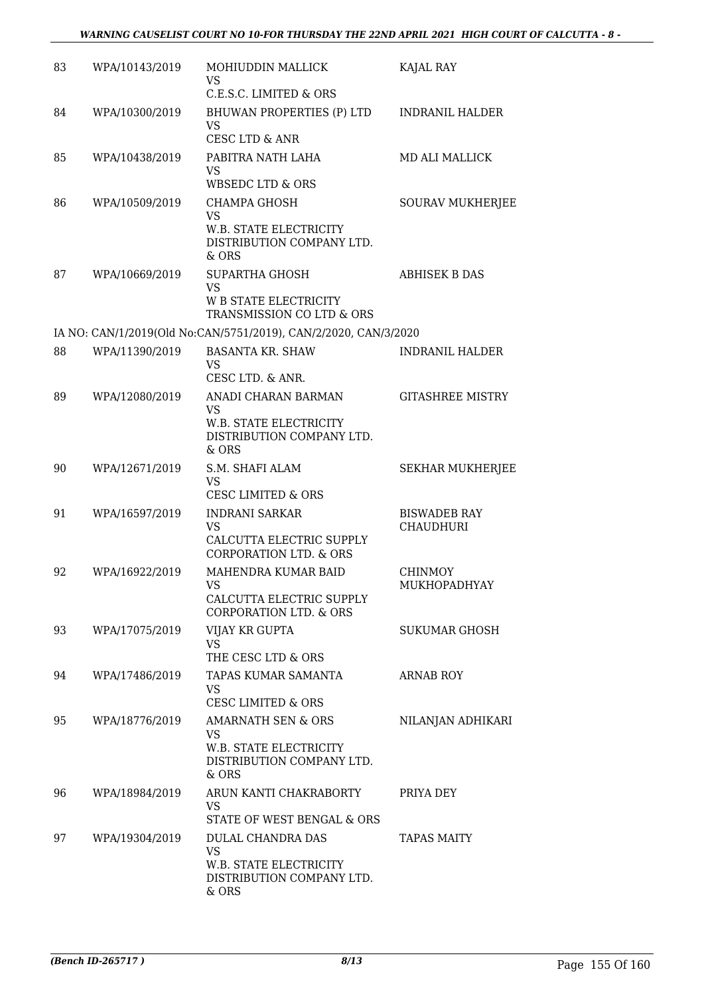| 83 | WPA/10143/2019 | MOHIUDDIN MALLICK<br><b>VS</b><br>C.E.S.C. LIMITED & ORS                                            | KAJAL RAY                               |
|----|----------------|-----------------------------------------------------------------------------------------------------|-----------------------------------------|
| 84 | WPA/10300/2019 | BHUWAN PROPERTIES (P) LTD<br>VS<br>CESC LTD & ANR                                                   | <b>INDRANIL HALDER</b>                  |
| 85 | WPA/10438/2019 | PABITRA NATH LAHA<br><b>VS</b><br><b>WBSEDC LTD &amp; ORS</b>                                       | <b>MD ALI MALLICK</b>                   |
| 86 | WPA/10509/2019 | <b>CHAMPA GHOSH</b><br><b>VS</b><br>W.B. STATE ELECTRICITY<br>DISTRIBUTION COMPANY LTD.<br>$&$ ORS  | <b>SOURAV MUKHERJEE</b>                 |
| 87 | WPA/10669/2019 | SUPARTHA GHOSH<br><b>VS</b><br><b>W B STATE ELECTRICITY</b><br>TRANSMISSION CO LTD & ORS            | <b>ABHISEK B DAS</b>                    |
|    |                | IA NO: CAN/1/2019(Old No:CAN/5751/2019), CAN/2/2020, CAN/3/2020                                     |                                         |
| 88 | WPA/11390/2019 | <b>BASANTA KR. SHAW</b><br><b>VS</b><br>CESC LTD. & ANR.                                            | <b>INDRANIL HALDER</b>                  |
| 89 | WPA/12080/2019 | ANADI CHARAN BARMAN<br>VS<br>W.B. STATE ELECTRICITY<br>DISTRIBUTION COMPANY LTD.<br>& ORS           | <b>GITASHREE MISTRY</b>                 |
| 90 | WPA/12671/2019 | S.M. SHAFI ALAM<br><b>VS</b><br><b>CESC LIMITED &amp; ORS</b>                                       | <b>SEKHAR MUKHERJEE</b>                 |
| 91 | WPA/16597/2019 | <b>INDRANI SARKAR</b><br><b>VS</b><br>CALCUTTA ELECTRIC SUPPLY<br><b>CORPORATION LTD. &amp; ORS</b> | <b>BISWADEB RAY</b><br><b>CHAUDHURI</b> |
| 92 | WPA/16922/2019 | MAHENDRA KUMAR BAID<br>VS<br>CALCUTTA ELECTRIC SUPPLY<br><b>CORPORATION LTD. &amp; ORS</b>          | <b>CHINMOY</b><br>MUKHOPADHYAY          |
| 93 | WPA/17075/2019 | VIJAY KR GUPTA<br><b>VS</b><br>THE CESC LTD & ORS                                                   | <b>SUKUMAR GHOSH</b>                    |
| 94 | WPA/17486/2019 | TAPAS KUMAR SAMANTA<br><b>VS</b><br><b>CESC LIMITED &amp; ORS</b>                                   | <b>ARNAB ROY</b>                        |
| 95 | WPA/18776/2019 | AMARNATH SEN & ORS<br><b>VS</b><br>W.B. STATE ELECTRICITY<br>DISTRIBUTION COMPANY LTD.<br>& ORS     | NILANJAN ADHIKARI                       |
| 96 | WPA/18984/2019 | ARUN KANTI CHAKRABORTY<br><b>VS</b><br>STATE OF WEST BENGAL & ORS                                   | PRIYA DEY                               |
| 97 | WPA/19304/2019 | DULAL CHANDRA DAS<br><b>VS</b><br>W.B. STATE ELECTRICITY<br>DISTRIBUTION COMPANY LTD.<br>& ORS      | <b>TAPAS MAITY</b>                      |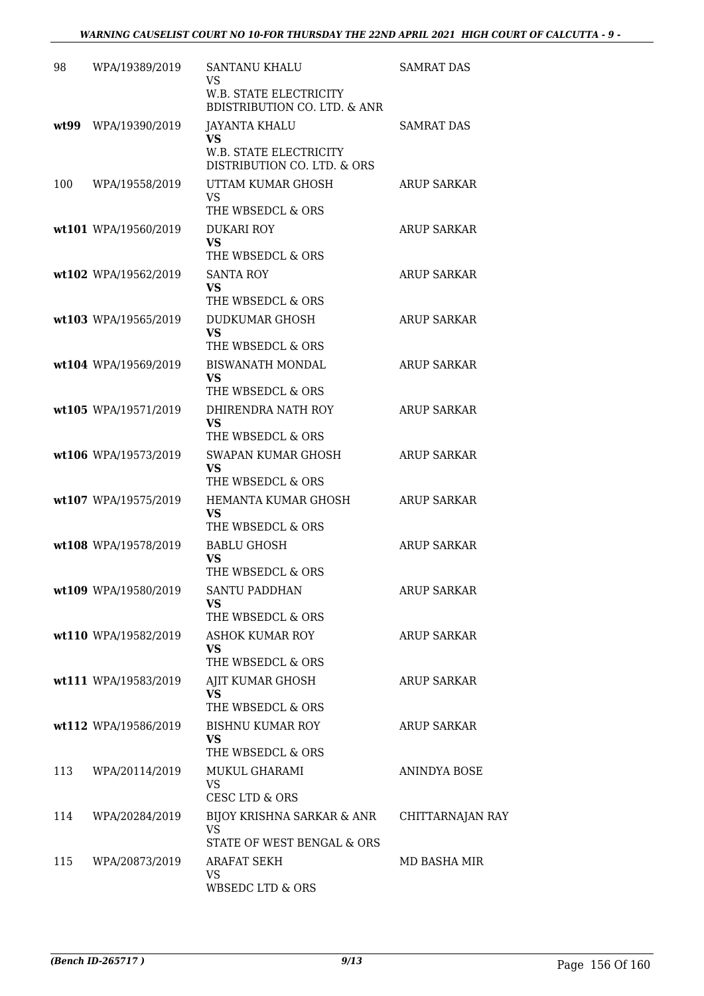| 98   | WPA/19389/2019       | SANTANU KHALU<br><b>VS</b><br>W.B. STATE ELECTRICITY                             | SAMRAT DAS         |
|------|----------------------|----------------------------------------------------------------------------------|--------------------|
| wt99 | WPA/19390/2019       | <b>BDISTRIBUTION CO. LTD. &amp; ANR</b><br><b>JAYANTA KHALU</b><br>VS            | <b>SAMRAT DAS</b>  |
|      |                      | <b>W.B. STATE ELECTRICITY</b><br>DISTRIBUTION CO. LTD. & ORS                     |                    |
| 100  | WPA/19558/2019       | UTTAM KUMAR GHOSH<br><b>VS</b><br>THE WBSEDCL & ORS                              | ARUP SARKAR        |
|      | wt101 WPA/19560/2019 | <b>DUKARI ROY</b><br><b>VS</b><br>THE WBSEDCL & ORS                              | <b>ARUP SARKAR</b> |
|      | wt102 WPA/19562/2019 | <b>SANTA ROY</b><br><b>VS</b><br>THE WBSEDCL & ORS                               | <b>ARUP SARKAR</b> |
|      | wt103 WPA/19565/2019 | DUDKUMAR GHOSH<br>VS                                                             | <b>ARUP SARKAR</b> |
|      | wt104 WPA/19569/2019 | THE WBSEDCL & ORS<br><b>BISWANATH MONDAL</b><br><b>VS</b><br>THE WBSEDCL & ORS   | ARUP SARKAR        |
|      | wt105 WPA/19571/2019 | DHIRENDRA NATH ROY<br><b>VS</b><br>THE WBSEDCL & ORS                             | <b>ARUP SARKAR</b> |
|      | wt106 WPA/19573/2019 | SWAPAN KUMAR GHOSH<br>VS<br>THE WBSEDCL & ORS                                    | <b>ARUP SARKAR</b> |
|      | wt107 WPA/19575/2019 | HEMANTA KUMAR GHOSH<br>VS<br>THE WBSEDCL & ORS                                   | <b>ARUP SARKAR</b> |
|      | wt108 WPA/19578/2019 | <b>BABLU GHOSH</b><br>VS<br>THE WBSEDCL & ORS                                    | <b>ARUP SARKAR</b> |
|      | wt109 WPA/19580/2019 | SANTU PADDHAN<br><b>VS</b><br>THE WBSEDCL & ORS                                  | <b>ARUP SARKAR</b> |
|      | wt110 WPA/19582/2019 | ASHOK KUMAR ROY<br><b>VS</b><br>THE WBSEDCL & ORS                                | <b>ARUP SARKAR</b> |
|      | wt111 WPA/19583/2019 | AJIT KUMAR GHOSH<br>VS<br>THE WBSEDCL & ORS                                      | ARUP SARKAR        |
|      | wt112 WPA/19586/2019 | <b>BISHNU KUMAR ROY</b><br><b>VS</b><br>THE WBSEDCL & ORS                        | <b>ARUP SARKAR</b> |
| 113  | WPA/20114/2019       | MUKUL GHARAMI<br><b>VS</b><br>CESC LTD & ORS                                     | ANINDYA BOSE       |
| 114  | WPA/20284/2019       | <b>BIJOY KRISHNA SARKAR &amp; ANR</b><br><b>VS</b><br>STATE OF WEST BENGAL & ORS | CHITTARNAJAN RAY   |
| 115  | WPA/20873/2019       | ARAFAT SEKH<br><b>VS</b><br>WBSEDC LTD & ORS                                     | MD BASHA MIR       |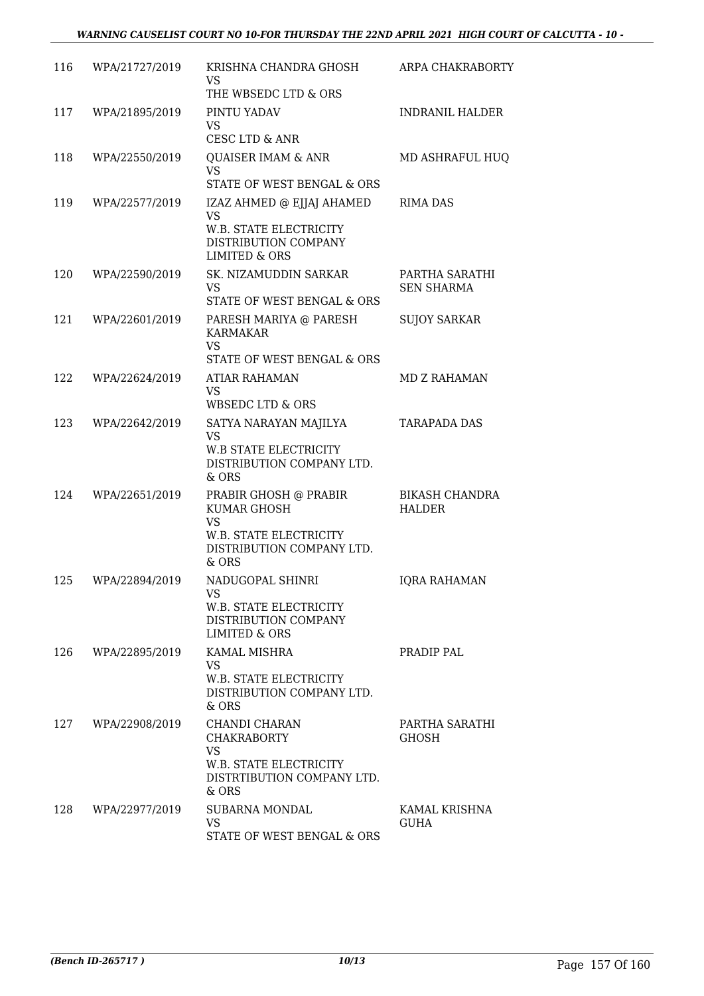| 116 | WPA/21727/2019 | KRISHNA CHANDRA GHOSH<br><b>VS</b><br>THE WBSEDC LTD & ORS                                                           | ARPA CHAKRABORTY                       |
|-----|----------------|----------------------------------------------------------------------------------------------------------------------|----------------------------------------|
| 117 | WPA/21895/2019 | PINTU YADAV<br><b>VS</b><br><b>CESC LTD &amp; ANR</b>                                                                | <b>INDRANIL HALDER</b>                 |
| 118 | WPA/22550/2019 | <b>QUAISER IMAM &amp; ANR</b><br><b>VS</b><br>STATE OF WEST BENGAL & ORS                                             | MD ASHRAFUL HUQ                        |
| 119 | WPA/22577/2019 | IZAZ AHMED @ EJJAJ AHAMED<br><b>VS</b><br>W.B. STATE ELECTRICITY<br>DISTRIBUTION COMPANY<br><b>LIMITED &amp; ORS</b> | <b>RIMA DAS</b>                        |
| 120 | WPA/22590/2019 | SK. NIZAMUDDIN SARKAR<br><b>VS</b><br>STATE OF WEST BENGAL & ORS                                                     | PARTHA SARATHI<br><b>SEN SHARMA</b>    |
| 121 | WPA/22601/2019 | PARESH MARIYA @ PARESH<br><b>KARMAKAR</b><br><b>VS</b><br>STATE OF WEST BENGAL & ORS                                 | <b>SUJOY SARKAR</b>                    |
| 122 | WPA/22624/2019 | ATIAR RAHAMAN<br><b>VS</b><br>WBSEDC LTD & ORS                                                                       | MD Z RAHAMAN                           |
| 123 | WPA/22642/2019 | SATYA NARAYAN MAJILYA<br><b>VS</b><br><b>W.B STATE ELECTRICITY</b><br>DISTRIBUTION COMPANY LTD.<br>& ORS             | <b>TARAPADA DAS</b>                    |
| 124 | WPA/22651/2019 | PRABIR GHOSH @ PRABIR<br>KUMAR GHOSH<br><b>VS</b><br>W.B. STATE ELECTRICITY<br>DISTRIBUTION COMPANY LTD.<br>$&$ ORS  | <b>BIKASH CHANDRA</b><br><b>HALDER</b> |
| 125 | WPA/22894/2019 | NADUGOPAL SHINRI<br><b>VS</b><br><b>W.B. STATE ELECTRICITY</b><br>DISTRIBUTION COMPANY<br>LIMITED & ORS              | <b>IORA RAHAMAN</b>                    |
| 126 | WPA/22895/2019 | KAMAL MISHRA<br><b>VS</b><br>W.B. STATE ELECTRICITY<br>DISTRIBUTION COMPANY LTD.<br>& ORS                            | PRADIP PAL                             |
| 127 | WPA/22908/2019 | CHANDI CHARAN<br><b>CHAKRABORTY</b><br><b>VS</b><br>W.B. STATE ELECTRICITY<br>DISTRTIBUTION COMPANY LTD.<br>& ORS    | PARTHA SARATHI<br><b>GHOSH</b>         |
| 128 | WPA/22977/2019 | <b>SUBARNA MONDAL</b><br><b>VS</b><br>STATE OF WEST BENGAL & ORS                                                     | KAMAL KRISHNA<br><b>GUHA</b>           |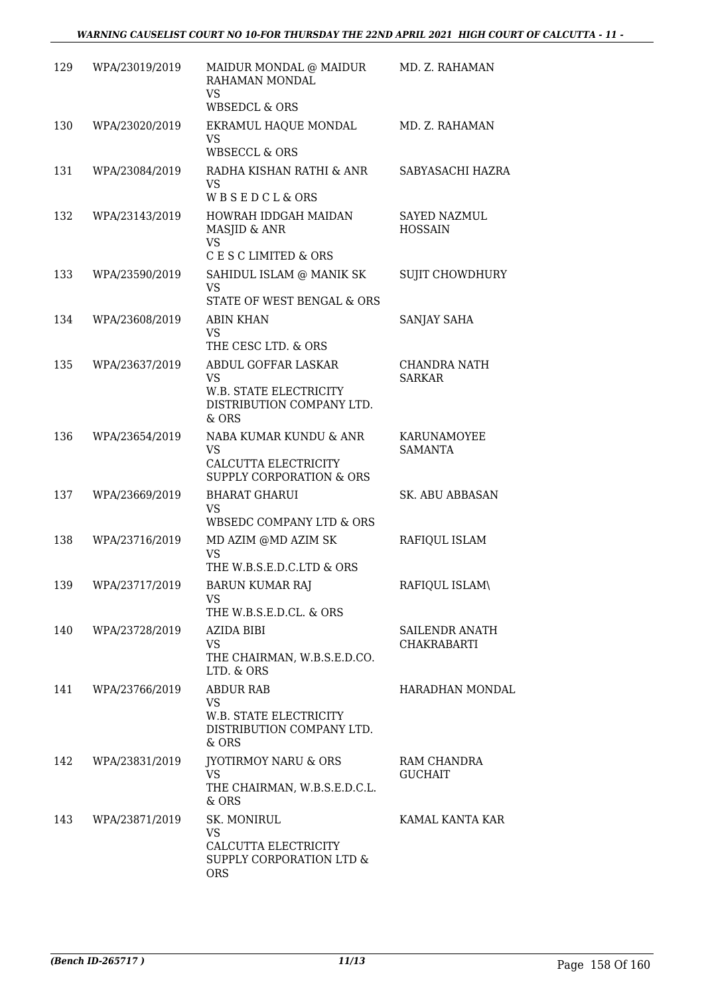| 129 | WPA/23019/2019 | MAIDUR MONDAL @ MAIDUR<br>RAHAMAN MONDAL<br><b>VS</b>                                              | MD. Z. RAHAMAN                        |
|-----|----------------|----------------------------------------------------------------------------------------------------|---------------------------------------|
| 130 | WPA/23020/2019 | <b>WBSEDCL &amp; ORS</b><br>EKRAMUL HAQUE MONDAL<br><b>VS</b><br><b>WBSECCL &amp; ORS</b>          | MD. Z. RAHAMAN                        |
| 131 | WPA/23084/2019 | RADHA KISHAN RATHI & ANR<br><b>VS</b><br><b>WBSEDCL&amp;ORS</b>                                    | SABYASACHI HAZRA                      |
| 132 | WPA/23143/2019 | HOWRAH IDDGAH MAIDAN<br>MASJID & ANR<br><b>VS</b>                                                  | <b>SAYED NAZMUL</b><br><b>HOSSAIN</b> |
|     |                | C E S C LIMITED & ORS                                                                              |                                       |
| 133 | WPA/23590/2019 | SAHIDUL ISLAM @ MANIK SK<br><b>VS</b><br><b>STATE OF WEST BENGAL &amp; ORS</b>                     | <b>SUJIT CHOWDHURY</b>                |
| 134 | WPA/23608/2019 | <b>ABIN KHAN</b><br><b>VS</b><br>THE CESC LTD. & ORS                                               | SANJAY SAHA                           |
| 135 | WPA/23637/2019 | ABDUL GOFFAR LASKAR<br><b>VS</b><br>W.B. STATE ELECTRICITY<br>DISTRIBUTION COMPANY LTD.<br>& ORS   | CHANDRA NATH<br><b>SARKAR</b>         |
| 136 | WPA/23654/2019 | NABA KUMAR KUNDU & ANR<br><b>VS</b><br>CALCUTTA ELECTRICITY<br><b>SUPPLY CORPORATION &amp; ORS</b> | KARUNAMOYEE<br><b>SAMANTA</b>         |
| 137 | WPA/23669/2019 | <b>BHARAT GHARUI</b><br><b>VS</b><br>WBSEDC COMPANY LTD & ORS                                      | <b>SK. ABU ABBASAN</b>                |
| 138 | WPA/23716/2019 | MD AZIM @MD AZIM SK<br><b>VS</b><br>THE W.B.S.E.D.C.LTD & ORS                                      | RAFIQUL ISLAM                         |
| 139 | WPA/23717/2019 | <b>BARUN KUMAR RAJ</b><br>VS<br>THE W.B.S.E.D.CL. & ORS                                            | RAFIOUL ISLAM\                        |
| 140 | WPA/23728/2019 | AZIDA BIBI<br><b>VS</b><br>THE CHAIRMAN, W.B.S.E.D.CO.<br>LTD. & ORS                               | SAILENDR ANATH<br><b>CHAKRABARTI</b>  |
| 141 | WPA/23766/2019 | <b>ABDUR RAB</b><br><b>VS</b><br>W.B. STATE ELECTRICITY<br>DISTRIBUTION COMPANY LTD.<br>& ORS      | HARADHAN MONDAL                       |
| 142 | WPA/23831/2019 | <b>JYOTIRMOY NARU &amp; ORS</b><br><b>VS</b><br>THE CHAIRMAN, W.B.S.E.D.C.L.<br>& ORS              | RAM CHANDRA<br><b>GUCHAIT</b>         |
| 143 | WPA/23871/2019 | SK. MONIRUL<br><b>VS</b><br>CALCUTTA ELECTRICITY<br>SUPPLY CORPORATION LTD &<br><b>ORS</b>         | KAMAL KANTA KAR                       |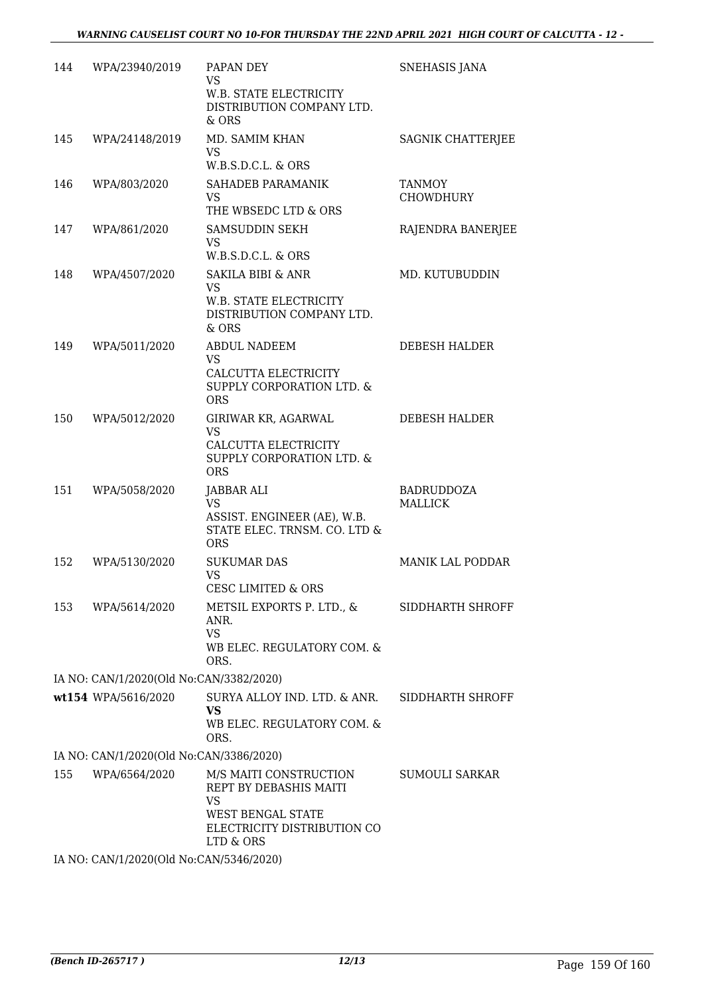| 144 | WPA/23940/2019                          | PAPAN DEY<br>VS<br>W.B. STATE ELECTRICITY<br>DISTRIBUTION COMPANY LTD.<br>& ORS                                                       | SNEHASIS JANA                     |
|-----|-----------------------------------------|---------------------------------------------------------------------------------------------------------------------------------------|-----------------------------------|
| 145 | WPA/24148/2019                          | MD. SAMIM KHAN<br>VS.<br>W.B.S.D.C.L. & ORS                                                                                           | SAGNIK CHATTERJEE                 |
| 146 | WPA/803/2020                            | SAHADEB PARAMANIK<br>VS<br>THE WBSEDC LTD & ORS                                                                                       | <b>TANMOY</b><br><b>CHOWDHURY</b> |
| 147 | WPA/861/2020                            | <b>SAMSUDDIN SEKH</b><br><b>VS</b><br>W.B.S.D.C.L. & ORS                                                                              | RAJENDRA BANERJEE                 |
| 148 | WPA/4507/2020                           | <b>SAKILA BIBI &amp; ANR</b><br>VS.<br>W.B. STATE ELECTRICITY<br>DISTRIBUTION COMPANY LTD.<br>& ORS                                   | MD. KUTUBUDDIN                    |
| 149 | WPA/5011/2020                           | <b>ABDUL NADEEM</b><br><b>VS</b><br>CALCUTTA ELECTRICITY<br>SUPPLY CORPORATION LTD. &<br><b>ORS</b>                                   | DEBESH HALDER                     |
| 150 | WPA/5012/2020                           | GIRIWAR KR, AGARWAL<br><b>VS</b><br>CALCUTTA ELECTRICITY<br>SUPPLY CORPORATION LTD. &<br><b>ORS</b>                                   | DEBESH HALDER                     |
| 151 | WPA/5058/2020                           | <b>JABBAR ALI</b><br><b>VS</b><br>ASSIST. ENGINEER (AE), W.B.<br>STATE ELEC. TRNSM. CO. LTD &<br><b>ORS</b>                           | BADRUDDOZA<br><b>MALLICK</b>      |
| 152 | WPA/5130/2020                           | <b>SUKUMAR DAS</b><br>VS<br><b>CESC LIMITED &amp; ORS</b>                                                                             | <b>MANIK LAL PODDAR</b>           |
| 153 | WPA/5614/2020                           | METSIL EXPORTS P. LTD., &<br>ANR.<br><b>VS</b><br>WB ELEC. REGULATORY COM. &<br>ORS.                                                  | SIDDHARTH SHROFF                  |
|     | IA NO: CAN/1/2020(Old No:CAN/3382/2020) |                                                                                                                                       |                                   |
|     | wt154 WPA/5616/2020                     | SURYA ALLOY IND. LTD. & ANR.<br><b>VS</b><br>WB ELEC. REGULATORY COM. &<br>ORS.                                                       | SIDDHARTH SHROFF                  |
|     | IA NO: CAN/1/2020(Old No:CAN/3386/2020) |                                                                                                                                       |                                   |
| 155 | WPA/6564/2020                           | M/S MAITI CONSTRUCTION<br>REPT BY DEBASHIS MAITI<br><b>VS</b><br><b>WEST BENGAL STATE</b><br>ELECTRICITY DISTRIBUTION CO<br>LTD & ORS | SUMOULI SARKAR                    |
|     | IA NO: CAN/1/2020(Old No:CAN/5346/2020) |                                                                                                                                       |                                   |